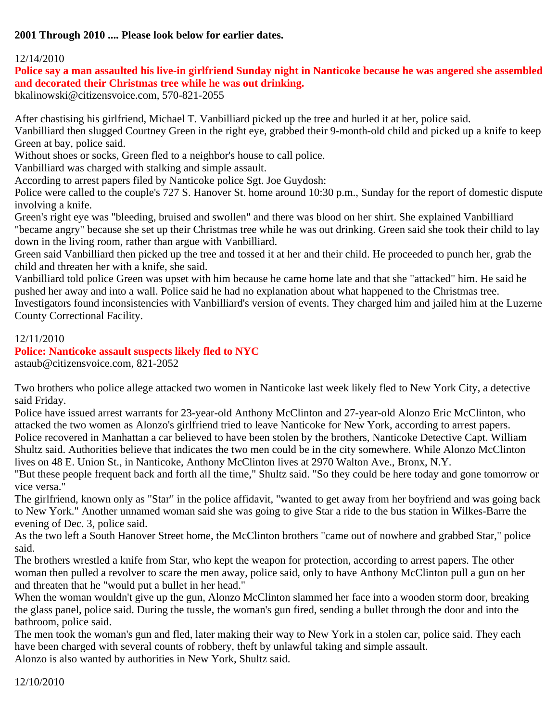### **2001 Through 2010 .... Please look below for earlier dates.**

#### 12/14/2010

#### **Police say a man assaulted his live-in girlfriend Sunday night in Nanticoke because he was angered she assembled and decorated their Christmas tree while he was out drinking.**

bkalinowski@citizensvoice.com, 570-821-2055

After chastising his girlfriend, Michael T. Vanbilliard picked up the tree and hurled it at her, police said.

Vanbilliard then slugged Courtney Green in the right eye, grabbed their 9-month-old child and picked up a knife to keep Green at bay, police said.

Without shoes or socks, Green fled to a neighbor's house to call police.

Vanbilliard was charged with stalking and simple assault.

According to arrest papers filed by Nanticoke police Sgt. Joe Guydosh:

Police were called to the couple's 727 S. Hanover St. home around 10:30 p.m., Sunday for the report of domestic dispute involving a knife.

Green's right eye was "bleeding, bruised and swollen" and there was blood on her shirt. She explained Vanbilliard "became angry" because she set up their Christmas tree while he was out drinking. Green said she took their child to lay down in the living room, rather than argue with Vanbilliard.

Green said Vanbilliard then picked up the tree and tossed it at her and their child. He proceeded to punch her, grab the child and threaten her with a knife, she said.

Vanbilliard told police Green was upset with him because he came home late and that she "attacked" him. He said he pushed her away and into a wall. Police said he had no explanation about what happened to the Christmas tree. Investigators found inconsistencies with Vanbilliard's version of events. They charged him and jailed him at the Luzerne County Correctional Facility.

#### 12/11/2010

**Police: Nanticoke assault suspects likely fled to NYC** astaub@citizensvoice.com, 821-2052

Two brothers who police allege attacked two women in Nanticoke last week likely fled to New York City, a detective said Friday.

Police have issued arrest warrants for 23-year-old Anthony McClinton and 27-year-old Alonzo Eric McClinton, who attacked the two women as Alonzo's girlfriend tried to leave Nanticoke for New York, according to arrest papers. Police recovered in Manhattan a car believed to have been stolen by the brothers, Nanticoke Detective Capt. William Shultz said. Authorities believe that indicates the two men could be in the city somewhere. While Alonzo McClinton lives on 48 E. Union St., in Nanticoke, Anthony McClinton lives at 2970 Walton Ave., Bronx, N.Y.

"But these people frequent back and forth all the time," Shultz said. "So they could be here today and gone tomorrow or vice versa."

The girlfriend, known only as "Star" in the police affidavit, "wanted to get away from her boyfriend and was going back to New York." Another unnamed woman said she was going to give Star a ride to the bus station in Wilkes-Barre the evening of Dec. 3, police said.

As the two left a South Hanover Street home, the McClinton brothers "came out of nowhere and grabbed Star," police said.

The brothers wrestled a knife from Star, who kept the weapon for protection, according to arrest papers. The other woman then pulled a revolver to scare the men away, police said, only to have Anthony McClinton pull a gun on her and threaten that he "would put a bullet in her head."

When the woman wouldn't give up the gun, Alonzo McClinton slammed her face into a wooden storm door, breaking the glass panel, police said. During the tussle, the woman's gun fired, sending a bullet through the door and into the bathroom, police said.

The men took the woman's gun and fled, later making their way to New York in a stolen car, police said. They each have been charged with several counts of robbery, theft by unlawful taking and simple assault. Alonzo is also wanted by authorities in New York, Shultz said.

12/10/2010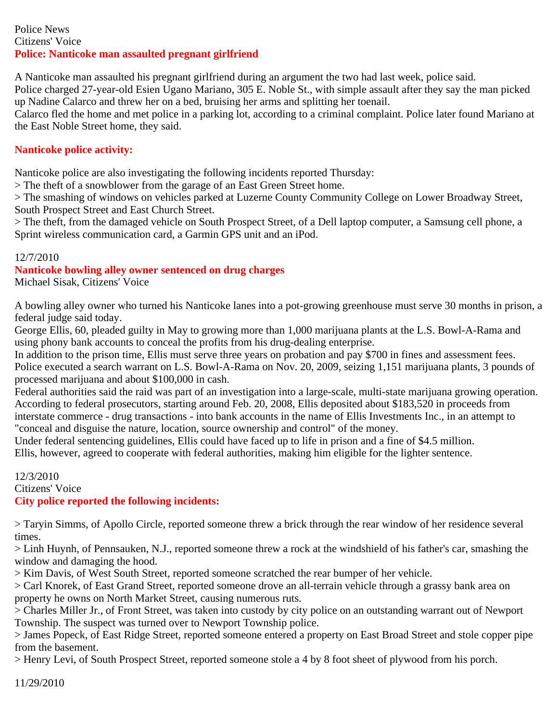#### Police News Citizens' Voice **Police: Nanticoke man assaulted pregnant girlfriend**

A Nanticoke man assaulted his pregnant girlfriend during an argument the two had last week, police said.

Police charged 27-year-old Esien Ugano Mariano, 305 E. Noble St., with simple assault after they say the man picked up Nadine Calarco and threw her on a bed, bruising her arms and splitting her toenail.

Calarco fled the home and met police in a parking lot, according to a criminal complaint. Police later found Mariano at the East Noble Street home, they said.

# **Nanticoke police activity:**

Nanticoke police are also investigating the following incidents reported Thursday:

> The theft of a snowblower from the garage of an East Green Street home.

> The smashing of windows on vehicles parked at Luzerne County Community College on Lower Broadway Street, South Prospect Street and East Church Street.

> The theft, from the damaged vehicle on South Prospect Street, of a Dell laptop computer, a Samsung cell phone, a Sprint wireless communication card, a Garmin GPS unit and an iPod.

# 12/7/2010

# **Nanticoke bowling alley owner sentenced on drug charges**

Michael Sisak, Citizens' Voice

A bowling alley owner who turned his Nanticoke lanes into a pot-growing greenhouse must serve 30 months in prison, a federal judge said today.

George Ellis, 60, pleaded guilty in May to growing more than 1,000 marijuana plants at the L.S. Bowl-A-Rama and using phony bank accounts to conceal the profits from his drug-dealing enterprise.

In addition to the prison time, Ellis must serve three years on probation and pay \$700 in fines and assessment fees. Police executed a search warrant on L.S. Bowl-A-Rama on Nov. 20, 2009, seizing 1,151 marijuana plants, 3 pounds of processed marijuana and about \$100,000 in cash.

Federal authorities said the raid was part of an investigation into a large-scale, multi-state marijuana growing operation. According to federal prosecutors, starting around Feb. 20, 2008, Ellis deposited about \$183,520 in proceeds from interstate commerce - drug transactions - into bank accounts in the name of Ellis Investments Inc., in an attempt to "conceal and disguise the nature, location, source ownership and control" of the money.

Under federal sentencing guidelines, Ellis could have faced up to life in prison and a fine of \$4.5 million.

Ellis, however, agreed to cooperate with federal authorities, making him eligible for the lighter sentence.

12/3/2010 Citizens' Voice **City police reported the following incidents:**

> Taryin Simms, of Apollo Circle, reported someone threw a brick through the rear window of her residence several times.

> Linh Huynh, of Pennsauken, N.J., reported someone threw a rock at the windshield of his father's car, smashing the window and damaging the hood.

> Kim Davis, of West South Street, reported someone scratched the rear bumper of her vehicle.

> Carl Knorek, of East Grand Street, reported someone drove an all-terrain vehicle through a grassy bank area on property he owns on North Market Street, causing numerous ruts.

> Charles Miller Jr., of Front Street, was taken into custody by city police on an outstanding warrant out of Newport Township. The suspect was turned over to Newport Township police.

> James Popeck, of East Ridge Street, reported someone entered a property on East Broad Street and stole copper pipe from the basement.

> Henry Levi, of South Prospect Street, reported someone stole a 4 by 8 foot sheet of plywood from his porch.

11/29/2010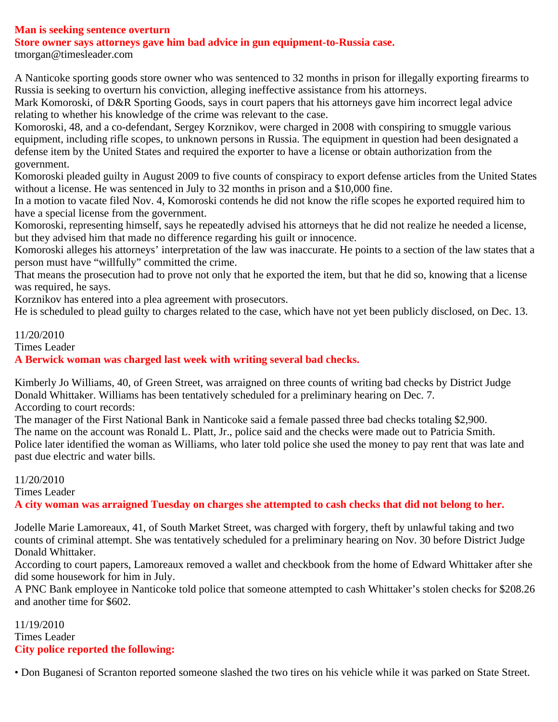#### **Man is seeking sentence overturn**

**Store owner says attorneys gave him bad advice in gun equipment-to-Russia case.**

tmorgan@timesleader.com

A Nanticoke sporting goods store owner who was sentenced to 32 months in prison for illegally exporting firearms to Russia is seeking to overturn his conviction, alleging ineffective assistance from his attorneys.

Mark Komoroski, of D&R Sporting Goods, says in court papers that his attorneys gave him incorrect legal advice relating to whether his knowledge of the crime was relevant to the case.

Komoroski, 48, and a co-defendant, Sergey Korznikov, were charged in 2008 with conspiring to smuggle various equipment, including rifle scopes, to unknown persons in Russia. The equipment in question had been designated a defense item by the United States and required the exporter to have a license or obtain authorization from the government.

Komoroski pleaded guilty in August 2009 to five counts of conspiracy to export defense articles from the United States without a license. He was sentenced in July to 32 months in prison and a \$10,000 fine.

In a motion to vacate filed Nov. 4, Komoroski contends he did not know the rifle scopes he exported required him to have a special license from the government.

Komoroski, representing himself, says he repeatedly advised his attorneys that he did not realize he needed a license, but they advised him that made no difference regarding his guilt or innocence.

Komoroski alleges his attorneys' interpretation of the law was inaccurate. He points to a section of the law states that a person must have "willfully" committed the crime.

That means the prosecution had to prove not only that he exported the item, but that he did so, knowing that a license was required, he says.

Korznikov has entered into a plea agreement with prosecutors.

He is scheduled to plead guilty to charges related to the case, which have not yet been publicly disclosed, on Dec. 13.

11/20/2010

Times Leader

**A Berwick woman was charged last week with writing several bad checks.**

Kimberly Jo Williams, 40, of Green Street, was arraigned on three counts of writing bad checks by District Judge Donald Whittaker. Williams has been tentatively scheduled for a preliminary hearing on Dec. 7. According to court records:

The manager of the First National Bank in Nanticoke said a female passed three bad checks totaling \$2,900. The name on the account was Ronald L. Platt, Jr., police said and the checks were made out to Patricia Smith. Police later identified the woman as Williams, who later told police she used the money to pay rent that was late and past due electric and water bills.

11/20/2010 Times Leader **A city woman was arraigned Tuesday on charges she attempted to cash checks that did not belong to her.**

Jodelle Marie Lamoreaux, 41, of South Market Street, was charged with forgery, theft by unlawful taking and two counts of criminal attempt. She was tentatively scheduled for a preliminary hearing on Nov. 30 before District Judge Donald Whittaker.

According to court papers, Lamoreaux removed a wallet and checkbook from the home of Edward Whittaker after she did some housework for him in July.

A PNC Bank employee in Nanticoke told police that someone attempted to cash Whittaker's stolen checks for \$208.26 and another time for \$602.

11/19/2010 Times Leader **City police reported the following:**

• Don Buganesi of Scranton reported someone slashed the two tires on his vehicle while it was parked on State Street.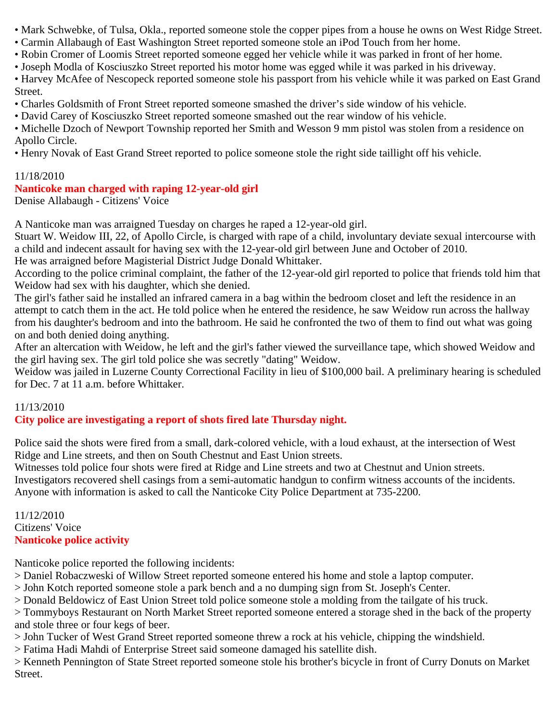- Mark Schwebke, of Tulsa, Okla., reported someone stole the copper pipes from a house he owns on West Ridge Street.
- Carmin Allabaugh of East Washington Street reported someone stole an iPod Touch from her home.
- Robin Cromer of Loomis Street reported someone egged her vehicle while it was parked in front of her home.
- Joseph Modla of Kosciuszko Street reported his motor home was egged while it was parked in his driveway.
- Harvey McAfee of Nescopeck reported someone stole his passport from his vehicle while it was parked on East Grand Street.
- Charles Goldsmith of Front Street reported someone smashed the driver's side window of his vehicle.
- David Carey of Kosciuszko Street reported someone smashed out the rear window of his vehicle.
- Michelle Dzoch of Newport Township reported her Smith and Wesson 9 mm pistol was stolen from a residence on Apollo Circle.
- Henry Novak of East Grand Street reported to police someone stole the right side taillight off his vehicle.

# 11/18/2010

# **Nanticoke man charged with raping 12-year-old girl**

Denise Allabaugh - Citizens' Voice

A Nanticoke man was arraigned Tuesday on charges he raped a 12-year-old girl.

Stuart W. Weidow III, 22, of Apollo Circle, is charged with rape of a child, involuntary deviate sexual intercourse with a child and indecent assault for having sex with the 12-year-old girl between June and October of 2010.

He was arraigned before Magisterial District Judge Donald Whittaker.

According to the police criminal complaint, the father of the 12-year-old girl reported to police that friends told him that Weidow had sex with his daughter, which she denied.

The girl's father said he installed an infrared camera in a bag within the bedroom closet and left the residence in an attempt to catch them in the act. He told police when he entered the residence, he saw Weidow run across the hallway from his daughter's bedroom and into the bathroom. He said he confronted the two of them to find out what was going on and both denied doing anything.

After an altercation with Weidow, he left and the girl's father viewed the surveillance tape, which showed Weidow and the girl having sex. The girl told police she was secretly "dating" Weidow.

Weidow was jailed in Luzerne County Correctional Facility in lieu of \$100,000 bail. A preliminary hearing is scheduled for Dec. 7 at 11 a.m. before Whittaker.

# 11/13/2010

# **City police are investigating a report of shots fired late Thursday night.**

Police said the shots were fired from a small, dark-colored vehicle, with a loud exhaust, at the intersection of West Ridge and Line streets, and then on South Chestnut and East Union streets.

Witnesses told police four shots were fired at Ridge and Line streets and two at Chestnut and Union streets.

Investigators recovered shell casings from a semi-automatic handgun to confirm witness accounts of the incidents. Anyone with information is asked to call the Nanticoke City Police Department at 735-2200.

11/12/2010 Citizens' Voice **Nanticoke police activity**

Nanticoke police reported the following incidents:

- > Daniel Robaczweski of Willow Street reported someone entered his home and stole a laptop computer.
- > John Kotch reported someone stole a park bench and a no dumping sign from St. Joseph's Center.

> Donald Beldowicz of East Union Street told police someone stole a molding from the tailgate of his truck.

> Tommyboys Restaurant on North Market Street reported someone entered a storage shed in the back of the property and stole three or four kegs of beer.

> John Tucker of West Grand Street reported someone threw a rock at his vehicle, chipping the windshield.

> Fatima Hadi Mahdi of Enterprise Street said someone damaged his satellite dish.

> Kenneth Pennington of State Street reported someone stole his brother's bicycle in front of Curry Donuts on Market Street.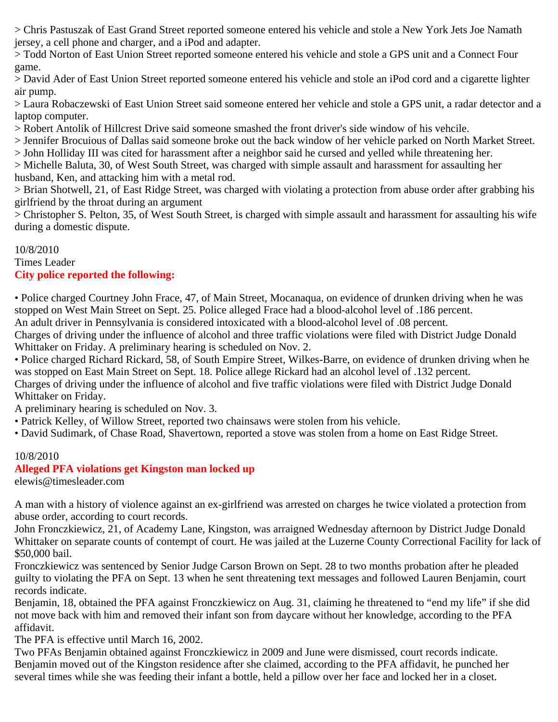> Chris Pastuszak of East Grand Street reported someone entered his vehicle and stole a New York Jets Joe Namath jersey, a cell phone and charger, and a iPod and adapter.

> Todd Norton of East Union Street reported someone entered his vehicle and stole a GPS unit and a Connect Four game.

> David Ader of East Union Street reported someone entered his vehicle and stole an iPod cord and a cigarette lighter air pump.

> Laura Robaczewski of East Union Street said someone entered her vehicle and stole a GPS unit, a radar detector and a laptop computer.

> Robert Antolik of Hillcrest Drive said someone smashed the front driver's side window of his vehcile.

> Jennifer Brocuious of Dallas said someone broke out the back window of her vehicle parked on North Market Street.

> John Holliday III was cited for harassment after a neighbor said he cursed and yelled while threatening her.

> Michelle Baluta, 30, of West South Street, was charged with simple assault and harassment for assaulting her husband, Ken, and attacking him with a metal rod.

> Brian Shotwell, 21, of East Ridge Street, was charged with violating a protection from abuse order after grabbing his girlfriend by the throat during an argument

> Christopher S. Pelton, 35, of West South Street, is charged with simple assault and harassment for assaulting his wife during a domestic dispute.

#### 10/8/2010 Times Leader **City police reported the following:**

• Police charged Courtney John Frace, 47, of Main Street, Mocanaqua, on evidence of drunken driving when he was stopped on West Main Street on Sept. 25. Police alleged Frace had a blood-alcohol level of .186 percent.

An adult driver in Pennsylvania is considered intoxicated with a blood-alcohol level of .08 percent.

Charges of driving under the influence of alcohol and three traffic violations were filed with District Judge Donald Whittaker on Friday. A preliminary hearing is scheduled on Nov. 2.

• Police charged Richard Rickard, 58, of South Empire Street, Wilkes-Barre, on evidence of drunken driving when he was stopped on East Main Street on Sept. 18. Police allege Rickard had an alcohol level of .132 percent. Charges of driving under the influence of alcohol and five traffic violations were filed with District Judge Donald

Whittaker on Friday.

A preliminary hearing is scheduled on Nov. 3.

• Patrick Kelley, of Willow Street, reported two chainsaws were stolen from his vehicle.

• David Sudimark, of Chase Road, Shavertown, reported a stove was stolen from a home on East Ridge Street.

#### 10/8/2010

# **Alleged PFA violations get Kingston man locked up**

elewis@timesleader.com

A man with a history of violence against an ex-girlfriend was arrested on charges he twice violated a protection from abuse order, according to court records.

John Fronczkiewicz, 21, of Academy Lane, Kingston, was arraigned Wednesday afternoon by District Judge Donald Whittaker on separate counts of contempt of court. He was jailed at the Luzerne County Correctional Facility for lack of \$50,000 bail.

Fronczkiewicz was sentenced by Senior Judge Carson Brown on Sept. 28 to two months probation after he pleaded guilty to violating the PFA on Sept. 13 when he sent threatening text messages and followed Lauren Benjamin, court records indicate.

Benjamin, 18, obtained the PFA against Fronczkiewicz on Aug. 31, claiming he threatened to "end my life" if she did not move back with him and removed their infant son from daycare without her knowledge, according to the PFA affidavit.

The PFA is effective until March 16, 2002.

Two PFAs Benjamin obtained against Fronczkiewicz in 2009 and June were dismissed, court records indicate. Benjamin moved out of the Kingston residence after she claimed, according to the PFA affidavit, he punched her several times while she was feeding their infant a bottle, held a pillow over her face and locked her in a closet.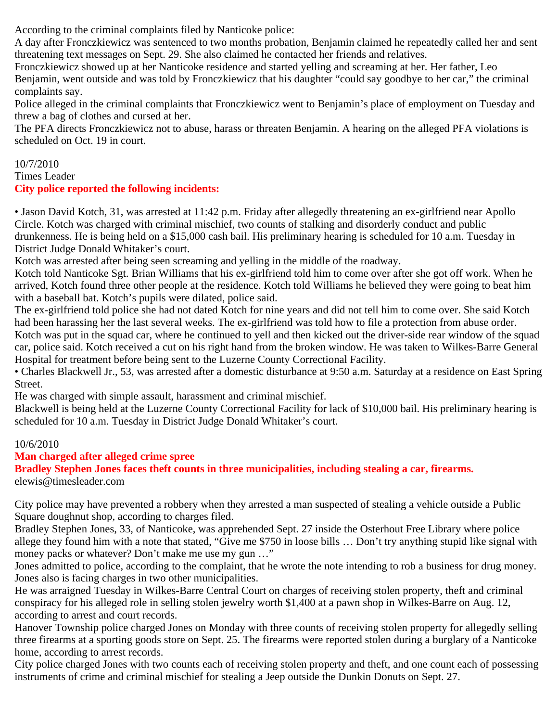According to the criminal complaints filed by Nanticoke police:

A day after Fronczkiewicz was sentenced to two months probation, Benjamin claimed he repeatedly called her and sent threatening text messages on Sept. 29. She also claimed he contacted her friends and relatives.

Fronczkiewicz showed up at her Nanticoke residence and started yelling and screaming at her. Her father, Leo Benjamin, went outside and was told by Fronczkiewicz that his daughter "could say goodbye to her car," the criminal complaints say.

Police alleged in the criminal complaints that Fronczkiewicz went to Benjamin's place of employment on Tuesday and threw a bag of clothes and cursed at her.

The PFA directs Fronczkiewicz not to abuse, harass or threaten Benjamin. A hearing on the alleged PFA violations is scheduled on Oct. 19 in court.

#### 10/7/2010 Times Leader **City police reported the following incidents:**

• Jason David Kotch, 31, was arrested at 11:42 p.m. Friday after allegedly threatening an ex-girlfriend near Apollo Circle. Kotch was charged with criminal mischief, two counts of stalking and disorderly conduct and public drunkenness. He is being held on a \$15,000 cash bail. His preliminary hearing is scheduled for 10 a.m. Tuesday in District Judge Donald Whitaker's court.

Kotch was arrested after being seen screaming and yelling in the middle of the roadway.

Kotch told Nanticoke Sgt. Brian Williams that his ex-girlfriend told him to come over after she got off work. When he arrived, Kotch found three other people at the residence. Kotch told Williams he believed they were going to beat him with a baseball bat. Kotch's pupils were dilated, police said.

The ex-girlfriend told police she had not dated Kotch for nine years and did not tell him to come over. She said Kotch had been harassing her the last several weeks. The ex-girlfriend was told how to file a protection from abuse order.

Kotch was put in the squad car, where he continued to yell and then kicked out the driver-side rear window of the squad car, police said. Kotch received a cut on his right hand from the broken window. He was taken to Wilkes-Barre General Hospital for treatment before being sent to the Luzerne County Correctional Facility.

• Charles Blackwell Jr., 53, was arrested after a domestic disturbance at 9:50 a.m. Saturday at a residence on East Spring Street.

He was charged with simple assault, harassment and criminal mischief.

Blackwell is being held at the Luzerne County Correctional Facility for lack of \$10,000 bail. His preliminary hearing is scheduled for 10 a.m. Tuesday in District Judge Donald Whitaker's court.

# 10/6/2010

# **Man charged after alleged crime spree**

**Bradley Stephen Jones faces theft counts in three municipalities, including stealing a car, firearms.** elewis@timesleader.com

City police may have prevented a robbery when they arrested a man suspected of stealing a vehicle outside a Public Square doughnut shop, according to charges filed.

Bradley Stephen Jones, 33, of Nanticoke, was apprehended Sept. 27 inside the Osterhout Free Library where police allege they found him with a note that stated, "Give me \$750 in loose bills … Don't try anything stupid like signal with money packs or whatever? Don't make me use my gun ..."

Jones admitted to police, according to the complaint, that he wrote the note intending to rob a business for drug money. Jones also is facing charges in two other municipalities.

He was arraigned Tuesday in Wilkes-Barre Central Court on charges of receiving stolen property, theft and criminal conspiracy for his alleged role in selling stolen jewelry worth \$1,400 at a pawn shop in Wilkes-Barre on Aug. 12, according to arrest and court records.

Hanover Township police charged Jones on Monday with three counts of receiving stolen property for allegedly selling three firearms at a sporting goods store on Sept. 25. The firearms were reported stolen during a burglary of a Nanticoke home, according to arrest records.

City police charged Jones with two counts each of receiving stolen property and theft, and one count each of possessing instruments of crime and criminal mischief for stealing a Jeep outside the Dunkin Donuts on Sept. 27.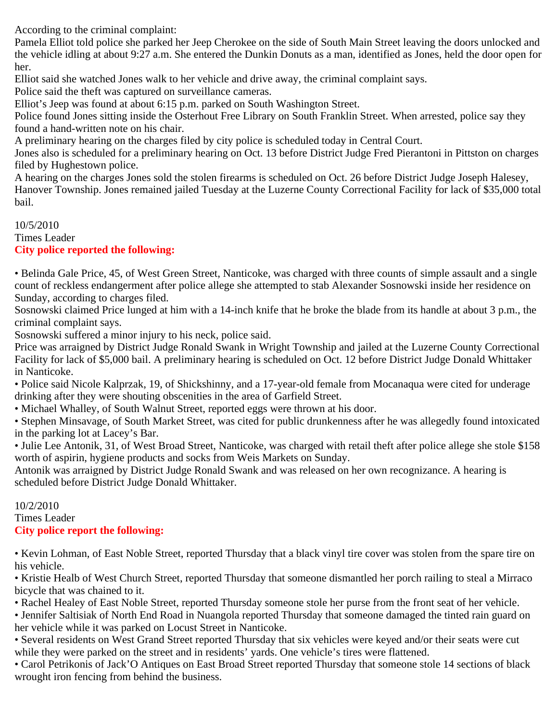According to the criminal complaint:

Pamela Elliot told police she parked her Jeep Cherokee on the side of South Main Street leaving the doors unlocked and the vehicle idling at about 9:27 a.m. She entered the Dunkin Donuts as a man, identified as Jones, held the door open for her.

Elliot said she watched Jones walk to her vehicle and drive away, the criminal complaint says.

Police said the theft was captured on surveillance cameras.

Elliot's Jeep was found at about 6:15 p.m. parked on South Washington Street.

Police found Jones sitting inside the Osterhout Free Library on South Franklin Street. When arrested, police say they found a hand-written note on his chair.

A preliminary hearing on the charges filed by city police is scheduled today in Central Court.

Jones also is scheduled for a preliminary hearing on Oct. 13 before District Judge Fred Pierantoni in Pittston on charges filed by Hughestown police.

A hearing on the charges Jones sold the stolen firearms is scheduled on Oct. 26 before District Judge Joseph Halesey, Hanover Township. Jones remained jailed Tuesday at the Luzerne County Correctional Facility for lack of \$35,000 total bail.

#### 10/5/2010 Times Leader

# **City police reported the following:**

• Belinda Gale Price, 45, of West Green Street, Nanticoke, was charged with three counts of simple assault and a single count of reckless endangerment after police allege she attempted to stab Alexander Sosnowski inside her residence on Sunday, according to charges filed.

Sosnowski claimed Price lunged at him with a 14-inch knife that he broke the blade from its handle at about 3 p.m., the criminal complaint says.

Sosnowski suffered a minor injury to his neck, police said.

Price was arraigned by District Judge Ronald Swank in Wright Township and jailed at the Luzerne County Correctional Facility for lack of \$5,000 bail. A preliminary hearing is scheduled on Oct. 12 before District Judge Donald Whittaker in Nanticoke.

• Police said Nicole Kalprzak, 19, of Shickshinny, and a 17-year-old female from Mocanaqua were cited for underage drinking after they were shouting obscenities in the area of Garfield Street.

• Michael Whalley, of South Walnut Street, reported eggs were thrown at his door.

• Stephen Minsavage, of South Market Street, was cited for public drunkenness after he was allegedly found intoxicated in the parking lot at Lacey's Bar.

• Julie Lee Antonik, 31, of West Broad Street, Nanticoke, was charged with retail theft after police allege she stole \$158 worth of aspirin, hygiene products and socks from Weis Markets on Sunday.

Antonik was arraigned by District Judge Ronald Swank and was released on her own recognizance. A hearing is scheduled before District Judge Donald Whittaker.

#### 10/2/2010 Times Leader **City police report the following:**

• Kevin Lohman, of East Noble Street, reported Thursday that a black vinyl tire cover was stolen from the spare tire on his vehicle.

• Kristie Healb of West Church Street, reported Thursday that someone dismantled her porch railing to steal a Mirraco bicycle that was chained to it.

• Rachel Healey of East Noble Street, reported Thursday someone stole her purse from the front seat of her vehicle.

• Jennifer Saltisiak of North End Road in Nuangola reported Thursday that someone damaged the tinted rain guard on her vehicle while it was parked on Locust Street in Nanticoke.

• Several residents on West Grand Street reported Thursday that six vehicles were keyed and/or their seats were cut while they were parked on the street and in residents' yards. One vehicle's tires were flattened.

• Carol Petrikonis of Jack'O Antiques on East Broad Street reported Thursday that someone stole 14 sections of black wrought iron fencing from behind the business.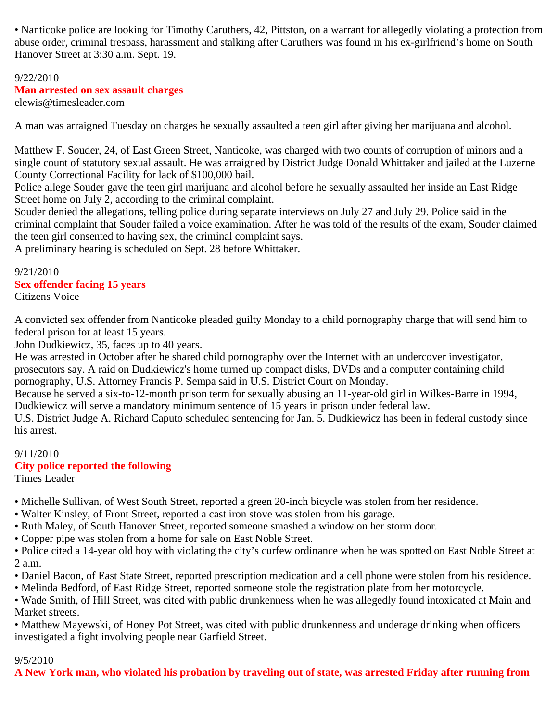• Nanticoke police are looking for Timothy Caruthers, 42, Pittston, on a warrant for allegedly violating a protection from abuse order, criminal trespass, harassment and stalking after Caruthers was found in his ex-girlfriend's home on South Hanover Street at 3:30 a.m. Sept. 19.

# 9/22/2010 **Man arrested on sex assault charges**

elewis@timesleader.com

A man was arraigned Tuesday on charges he sexually assaulted a teen girl after giving her marijuana and alcohol.

Matthew F. Souder, 24, of East Green Street, Nanticoke, was charged with two counts of corruption of minors and a single count of statutory sexual assault. He was arraigned by District Judge Donald Whittaker and jailed at the Luzerne County Correctional Facility for lack of \$100,000 bail.

Police allege Souder gave the teen girl marijuana and alcohol before he sexually assaulted her inside an East Ridge Street home on July 2, according to the criminal complaint.

Souder denied the allegations, telling police during separate interviews on July 27 and July 29. Police said in the criminal complaint that Souder failed a voice examination. After he was told of the results of the exam, Souder claimed the teen girl consented to having sex, the criminal complaint says.

A preliminary hearing is scheduled on Sept. 28 before Whittaker.

9/21/2010 **Sex offender facing 15 years** Citizens Voice

A convicted sex offender from Nanticoke pleaded guilty Monday to a child pornography charge that will send him to federal prison for at least 15 years.

John Dudkiewicz, 35, faces up to 40 years.

He was arrested in October after he shared child pornography over the Internet with an undercover investigator, prosecutors say. A raid on Dudkiewicz's home turned up compact disks, DVDs and a computer containing child pornography, U.S. Attorney Francis P. Sempa said in U.S. District Court on Monday.

Because he served a six-to-12-month prison term for sexually abusing an 11-year-old girl in Wilkes-Barre in 1994, Dudkiewicz will serve a mandatory minimum sentence of 15 years in prison under federal law.

U.S. District Judge A. Richard Caputo scheduled sentencing for Jan. 5. Dudkiewicz has been in federal custody since his arrest.

# 9/11/2010

# **City police reported the following**

Times Leader

• Michelle Sullivan, of West South Street, reported a green 20-inch bicycle was stolen from her residence.

- Walter Kinsley, of Front Street, reported a cast iron stove was stolen from his garage.
- Ruth Maley, of South Hanover Street, reported someone smashed a window on her storm door.
- Copper pipe was stolen from a home for sale on East Noble Street.
- Police cited a 14-year old boy with violating the city's curfew ordinance when he was spotted on East Noble Street at 2 a.m.
- Daniel Bacon, of East State Street, reported prescription medication and a cell phone were stolen from his residence.
- Melinda Bedford, of East Ridge Street, reported someone stole the registration plate from her motorcycle.

• Wade Smith, of Hill Street, was cited with public drunkenness when he was allegedly found intoxicated at Main and Market streets.

• Matthew Mayewski, of Honey Pot Street, was cited with public drunkenness and underage drinking when officers investigated a fight involving people near Garfield Street.

# 9/5/2010

**A New York man, who violated his probation by traveling out of state, was arrested Friday after running from**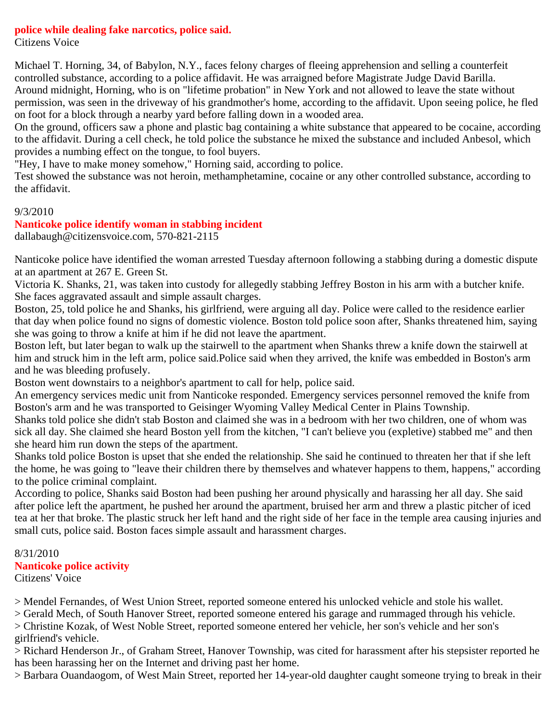#### **police while dealing fake narcotics, police said.**

Citizens Voice

Michael T. Horning, 34, of Babylon, N.Y., faces felony charges of fleeing apprehension and selling a counterfeit controlled substance, according to a police affidavit. He was arraigned before Magistrate Judge David Barilla. Around midnight, Horning, who is on "lifetime probation" in New York and not allowed to leave the state without permission, was seen in the driveway of his grandmother's home, according to the affidavit. Upon seeing police, he fled on foot for a block through a nearby yard before falling down in a wooded area.

On the ground, officers saw a phone and plastic bag containing a white substance that appeared to be cocaine, according to the affidavit. During a cell check, he told police the substance he mixed the substance and included Anbesol, which provides a numbing effect on the tongue, to fool buyers.

"Hey, I have to make money somehow," Horning said, according to police.

Test showed the substance was not heroin, methamphetamine, cocaine or any other controlled substance, according to the affidavit.

#### 9/3/2010

#### **Nanticoke police identify woman in stabbing incident**

dallabaugh@citizensvoice.com, 570-821-2115

Nanticoke police have identified the woman arrested Tuesday afternoon following a stabbing during a domestic dispute at an apartment at 267 E. Green St.

Victoria K. Shanks, 21, was taken into custody for allegedly stabbing Jeffrey Boston in his arm with a butcher knife. She faces aggravated assault and simple assault charges.

Boston, 25, told police he and Shanks, his girlfriend, were arguing all day. Police were called to the residence earlier that day when police found no signs of domestic violence. Boston told police soon after, Shanks threatened him, saying she was going to throw a knife at him if he did not leave the apartment.

Boston left, but later began to walk up the stairwell to the apartment when Shanks threw a knife down the stairwell at him and struck him in the left arm, police said.Police said when they arrived, the knife was embedded in Boston's arm and he was bleeding profusely.

Boston went downstairs to a neighbor's apartment to call for help, police said.

An emergency services medic unit from Nanticoke responded. Emergency services personnel removed the knife from Boston's arm and he was transported to Geisinger Wyoming Valley Medical Center in Plains Township.

Shanks told police she didn't stab Boston and claimed she was in a bedroom with her two children, one of whom was sick all day. She claimed she heard Boston yell from the kitchen, "I can't believe you (expletive) stabbed me" and then she heard him run down the steps of the apartment.

Shanks told police Boston is upset that she ended the relationship. She said he continued to threaten her that if she left the home, he was going to "leave their children there by themselves and whatever happens to them, happens," according to the police criminal complaint.

According to police, Shanks said Boston had been pushing her around physically and harassing her all day. She said after police left the apartment, he pushed her around the apartment, bruised her arm and threw a plastic pitcher of iced tea at her that broke. The plastic struck her left hand and the right side of her face in the temple area causing injuries and small cuts, police said. Boston faces simple assault and harassment charges.

#### 8/31/2010 **Nanticoke police activity** Citizens' Voice

> Mendel Fernandes, of West Union Street, reported someone entered his unlocked vehicle and stole his wallet.

> Gerald Mech, of South Hanover Street, reported someone entered his garage and rummaged through his vehicle.

> Christine Kozak, of West Noble Street, reported someone entered her vehicle, her son's vehicle and her son's girlfriend's vehicle.

> Richard Henderson Jr., of Graham Street, Hanover Township, was cited for harassment after his stepsister reported he has been harassing her on the Internet and driving past her home.

> Barbara Ouandaogom, of West Main Street, reported her 14-year-old daughter caught someone trying to break in their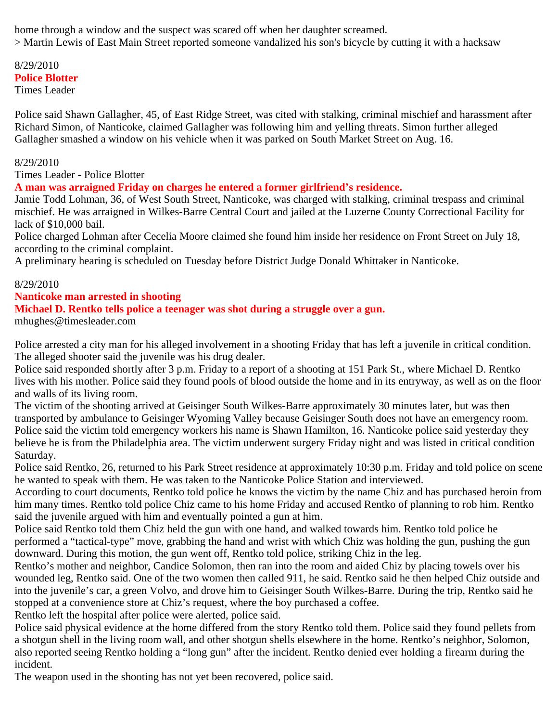home through a window and the suspect was scared off when her daughter screamed. > Martin Lewis of East Main Street reported someone vandalized his son's bicycle by cutting it with a hacksaw

# 8/29/2010 **Police Blotter**

Times Leader

Police said Shawn Gallagher, 45, of East Ridge Street, was cited with stalking, criminal mischief and harassment after Richard Simon, of Nanticoke, claimed Gallagher was following him and yelling threats. Simon further alleged Gallagher smashed a window on his vehicle when it was parked on South Market Street on Aug. 16.

#### 8/29/2010

Times Leader - Police Blotter

**A man was arraigned Friday on charges he entered a former girlfriend's residence.**

Jamie Todd Lohman, 36, of West South Street, Nanticoke, was charged with stalking, criminal trespass and criminal mischief. He was arraigned in Wilkes-Barre Central Court and jailed at the Luzerne County Correctional Facility for lack of \$10,000 bail.

Police charged Lohman after Cecelia Moore claimed she found him inside her residence on Front Street on July 18, according to the criminal complaint.

A preliminary hearing is scheduled on Tuesday before District Judge Donald Whittaker in Nanticoke.

#### 8/29/2010

#### **Nanticoke man arrested in shooting**

### **Michael D. Rentko tells police a teenager was shot during a struggle over a gun.**

mhughes@timesleader.com

Police arrested a city man for his alleged involvement in a shooting Friday that has left a juvenile in critical condition. The alleged shooter said the juvenile was his drug dealer.

Police said responded shortly after 3 p.m. Friday to a report of a shooting at 151 Park St., where Michael D. Rentko lives with his mother. Police said they found pools of blood outside the home and in its entryway, as well as on the floor and walls of its living room.

The victim of the shooting arrived at Geisinger South Wilkes-Barre approximately 30 minutes later, but was then transported by ambulance to Geisinger Wyoming Valley because Geisinger South does not have an emergency room. Police said the victim told emergency workers his name is Shawn Hamilton, 16. Nanticoke police said yesterday they believe he is from the Philadelphia area. The victim underwent surgery Friday night and was listed in critical condition Saturday.

Police said Rentko, 26, returned to his Park Street residence at approximately 10:30 p.m. Friday and told police on scene he wanted to speak with them. He was taken to the Nanticoke Police Station and interviewed.

According to court documents, Rentko told police he knows the victim by the name Chiz and has purchased heroin from him many times. Rentko told police Chiz came to his home Friday and accused Rentko of planning to rob him. Rentko said the juvenile argued with him and eventually pointed a gun at him.

Police said Rentko told them Chiz held the gun with one hand, and walked towards him. Rentko told police he performed a "tactical-type" move, grabbing the hand and wrist with which Chiz was holding the gun, pushing the gun downward. During this motion, the gun went off, Rentko told police, striking Chiz in the leg.

Rentko's mother and neighbor, Candice Solomon, then ran into the room and aided Chiz by placing towels over his wounded leg, Rentko said. One of the two women then called 911, he said. Rentko said he then helped Chiz outside and into the juvenile's car, a green Volvo, and drove him to Geisinger South Wilkes-Barre. During the trip, Rentko said he stopped at a convenience store at Chiz's request, where the boy purchased a coffee.

Rentko left the hospital after police were alerted, police said.

Police said physical evidence at the home differed from the story Rentko told them. Police said they found pellets from a shotgun shell in the living room wall, and other shotgun shells elsewhere in the home. Rentko's neighbor, Solomon, also reported seeing Rentko holding a "long gun" after the incident. Rentko denied ever holding a firearm during the incident.

The weapon used in the shooting has not yet been recovered, police said.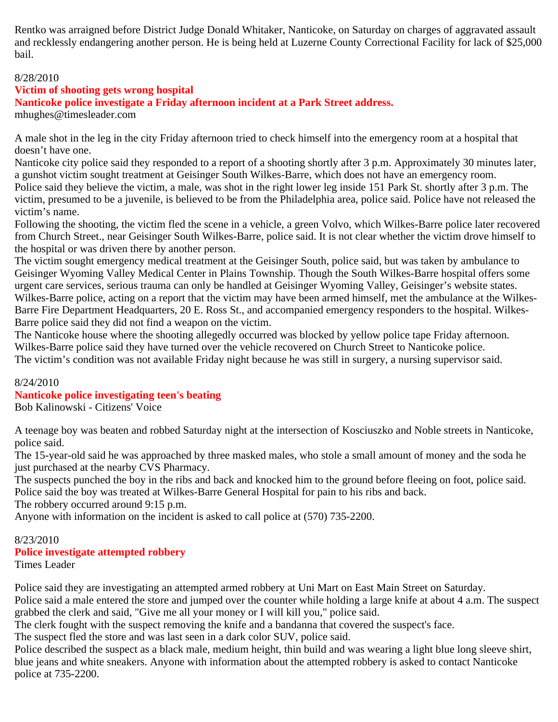Rentko was arraigned before District Judge Donald Whitaker, Nanticoke, on Saturday on charges of aggravated assault and recklessly endangering another person. He is being held at Luzerne County Correctional Facility for lack of \$25,000 bail.

#### 8/28/2010

#### **Victim of shooting gets wrong hospital**

**Nanticoke police investigate a Friday afternoon incident at a Park Street address.**

mhughes@timesleader.com

A male shot in the leg in the city Friday afternoon tried to check himself into the emergency room at a hospital that doesn't have one.

Nanticoke city police said they responded to a report of a shooting shortly after 3 p.m. Approximately 30 minutes later, a gunshot victim sought treatment at Geisinger South Wilkes-Barre, which does not have an emergency room. Police said they believe the victim, a male, was shot in the right lower leg inside 151 Park St. shortly after 3 p.m. The victim, presumed to be a juvenile, is believed to be from the Philadelphia area, police said. Police have not released the

victim's name.

Following the shooting, the victim fled the scene in a vehicle, a green Volvo, which Wilkes-Barre police later recovered from Church Street., near Geisinger South Wilkes-Barre, police said. It is not clear whether the victim drove himself to the hospital or was driven there by another person.

The victim sought emergency medical treatment at the Geisinger South, police said, but was taken by ambulance to Geisinger Wyoming Valley Medical Center in Plains Township. Though the South Wilkes-Barre hospital offers some urgent care services, serious trauma can only be handled at Geisinger Wyoming Valley, Geisinger's website states. Wilkes-Barre police, acting on a report that the victim may have been armed himself, met the ambulance at the Wilkes-Barre Fire Department Headquarters, 20 E. Ross St., and accompanied emergency responders to the hospital. Wilkes-Barre police said they did not find a weapon on the victim.

The Nanticoke house where the shooting allegedly occurred was blocked by yellow police tape Friday afternoon. Wilkes-Barre police said they have turned over the vehicle recovered on Church Street to Nanticoke police. The victim's condition was not available Friday night because he was still in surgery, a nursing supervisor said.

#### 8/24/2010

#### **Nanticoke police investigating teen's beating**

Bob Kalinowski - Citizens' Voice

A teenage boy was beaten and robbed Saturday night at the intersection of Kosciuszko and Noble streets in Nanticoke, police said.

The 15-year-old said he was approached by three masked males, who stole a small amount of money and the soda he just purchased at the nearby CVS Pharmacy.

The suspects punched the boy in the ribs and back and knocked him to the ground before fleeing on foot, police said. Police said the boy was treated at Wilkes-Barre General Hospital for pain to his ribs and back.

The robbery occurred around 9:15 p.m.

Anyone with information on the incident is asked to call police at (570) 735-2200.

# 8/23/2010

# **Police investigate attempted robbery**

Times Leader

Police said they are investigating an attempted armed robbery at Uni Mart on East Main Street on Saturday.

Police said a male entered the store and jumped over the counter while holding a large knife at about 4 a.m. The suspect grabbed the clerk and said, "Give me all your money or I will kill you," police said.

The clerk fought with the suspect removing the knife and a bandanna that covered the suspect's face.

The suspect fled the store and was last seen in a dark color SUV, police said.

Police described the suspect as a black male, medium height, thin build and was wearing a light blue long sleeve shirt, blue jeans and white sneakers. Anyone with information about the attempted robbery is asked to contact Nanticoke police at 735-2200.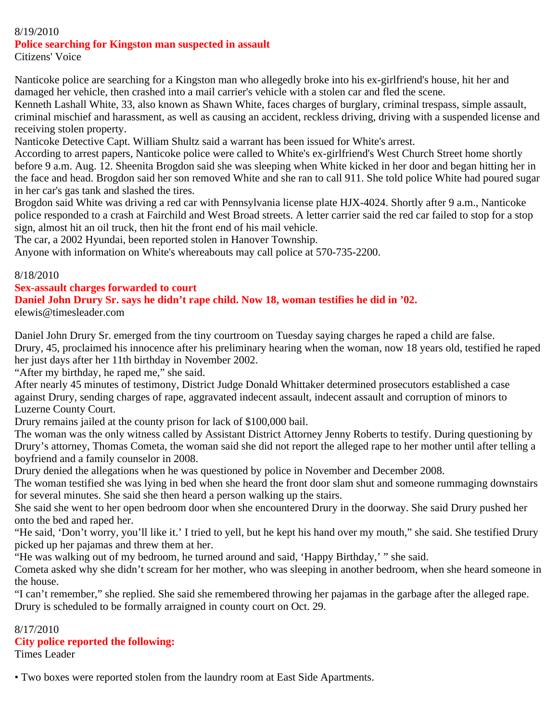#### 8/19/2010

### **Police searching for Kingston man suspected in assault**

Citizens' Voice

Nanticoke police are searching for a Kingston man who allegedly broke into his ex-girlfriend's house, hit her and damaged her vehicle, then crashed into a mail carrier's vehicle with a stolen car and fled the scene.

Kenneth Lashall White, 33, also known as Shawn White, faces charges of burglary, criminal trespass, simple assault, criminal mischief and harassment, as well as causing an accident, reckless driving, driving with a suspended license and receiving stolen property.

Nanticoke Detective Capt. William Shultz said a warrant has been issued for White's arrest.

According to arrest papers, Nanticoke police were called to White's ex-girlfriend's West Church Street home shortly before 9 a.m. Aug. 12. Sheenita Brogdon said she was sleeping when White kicked in her door and began hitting her in the face and head. Brogdon said her son removed White and she ran to call 911. She told police White had poured sugar in her car's gas tank and slashed the tires.

Brogdon said White was driving a red car with Pennsylvania license plate HJX-4024. Shortly after 9 a.m., Nanticoke police responded to a crash at Fairchild and West Broad streets. A letter carrier said the red car failed to stop for a stop sign, almost hit an oil truck, then hit the front end of his mail vehicle.

The car, a 2002 Hyundai, been reported stolen in Hanover Township.

Anyone with information on White's whereabouts may call police at 570-735-2200.

#### 8/18/2010

#### **Sex-assault charges forwarded to court**

# **Daniel John Drury Sr. says he didn't rape child. Now 18, woman testifies he did in '02.**

elewis@timesleader.com

Daniel John Drury Sr. emerged from the tiny courtroom on Tuesday saying charges he raped a child are false. Drury, 45, proclaimed his innocence after his preliminary hearing when the woman, now 18 years old, testified he raped her just days after her 11th birthday in November 2002.

"After my birthday, he raped me," she said.

After nearly 45 minutes of testimony, District Judge Donald Whittaker determined prosecutors established a case against Drury, sending charges of rape, aggravated indecent assault, indecent assault and corruption of minors to Luzerne County Court.

Drury remains jailed at the county prison for lack of \$100,000 bail.

The woman was the only witness called by Assistant District Attorney Jenny Roberts to testify. During questioning by Drury's attorney, Thomas Cometa, the woman said she did not report the alleged rape to her mother until after telling a boyfriend and a family counselor in 2008.

Drury denied the allegations when he was questioned by police in November and December 2008.

The woman testified she was lying in bed when she heard the front door slam shut and someone rummaging downstairs for several minutes. She said she then heard a person walking up the stairs.

She said she went to her open bedroom door when she encountered Drury in the doorway. She said Drury pushed her onto the bed and raped her.

"He said, 'Don't worry, you'll like it.' I tried to yell, but he kept his hand over my mouth," she said. She testified Drury picked up her pajamas and threw them at her.

"He was walking out of my bedroom, he turned around and said, 'Happy Birthday,' " she said.

Cometa asked why she didn't scream for her mother, who was sleeping in another bedroom, when she heard someone in the house.

"I can't remember," she replied. She said she remembered throwing her pajamas in the garbage after the alleged rape. Drury is scheduled to be formally arraigned in county court on Oct. 29.

#### 8/17/2010 **City police reported the following:**

Times Leader

• Two boxes were reported stolen from the laundry room at East Side Apartments.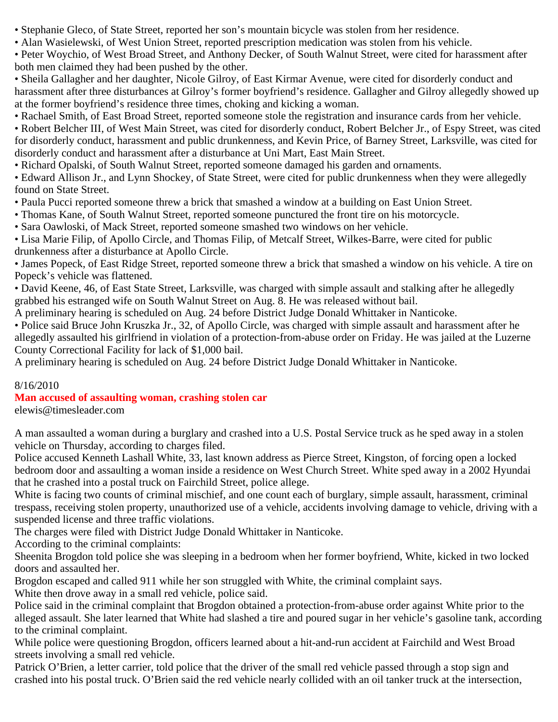- Stephanie Gleco, of State Street, reported her son's mountain bicycle was stolen from her residence.
- Alan Wasielewski, of West Union Street, reported prescription medication was stolen from his vehicle.
- Peter Woychio, of West Broad Street, and Anthony Decker, of South Walnut Street, were cited for harassment after both men claimed they had been pushed by the other.

• Sheila Gallagher and her daughter, Nicole Gilroy, of East Kirmar Avenue, were cited for disorderly conduct and harassment after three disturbances at Gilroy's former boyfriend's residence. Gallagher and Gilroy allegedly showed up at the former boyfriend's residence three times, choking and kicking a woman.

• Rachael Smith, of East Broad Street, reported someone stole the registration and insurance cards from her vehicle.

• Robert Belcher III, of West Main Street, was cited for disorderly conduct, Robert Belcher Jr., of Espy Street, was cited for disorderly conduct, harassment and public drunkenness, and Kevin Price, of Barney Street, Larksville, was cited for disorderly conduct and harassment after a disturbance at Uni Mart, East Main Street.

• Richard Opalski, of South Walnut Street, reported someone damaged his garden and ornaments.

• Edward Allison Jr., and Lynn Shockey, of State Street, were cited for public drunkenness when they were allegedly found on State Street.

• Paula Pucci reported someone threw a brick that smashed a window at a building on East Union Street.

- Thomas Kane, of South Walnut Street, reported someone punctured the front tire on his motorcycle.
- Sara Oawloski, of Mack Street, reported someone smashed two windows on her vehicle.

• Lisa Marie Filip, of Apollo Circle, and Thomas Filip, of Metcalf Street, Wilkes-Barre, were cited for public drunkenness after a disturbance at Apollo Circle.

• James Popeck, of East Ridge Street, reported someone threw a brick that smashed a window on his vehicle. A tire on Popeck's vehicle was flattened.

• David Keene, 46, of East State Street, Larksville, was charged with simple assault and stalking after he allegedly grabbed his estranged wife on South Walnut Street on Aug. 8. He was released without bail.

A preliminary hearing is scheduled on Aug. 24 before District Judge Donald Whittaker in Nanticoke.

• Police said Bruce John Kruszka Jr., 32, of Apollo Circle, was charged with simple assault and harassment after he allegedly assaulted his girlfriend in violation of a protection-from-abuse order on Friday. He was jailed at the Luzerne County Correctional Facility for lack of \$1,000 bail.

A preliminary hearing is scheduled on Aug. 24 before District Judge Donald Whittaker in Nanticoke.

# 8/16/2010

# **Man accused of assaulting woman, crashing stolen car**

elewis@timesleader.com

A man assaulted a woman during a burglary and crashed into a U.S. Postal Service truck as he sped away in a stolen vehicle on Thursday, according to charges filed.

Police accused Kenneth Lashall White, 33, last known address as Pierce Street, Kingston, of forcing open a locked bedroom door and assaulting a woman inside a residence on West Church Street. White sped away in a 2002 Hyundai that he crashed into a postal truck on Fairchild Street, police allege.

White is facing two counts of criminal mischief, and one count each of burglary, simple assault, harassment, criminal trespass, receiving stolen property, unauthorized use of a vehicle, accidents involving damage to vehicle, driving with a suspended license and three traffic violations.

The charges were filed with District Judge Donald Whittaker in Nanticoke.

According to the criminal complaints:

Sheenita Brogdon told police she was sleeping in a bedroom when her former boyfriend, White, kicked in two locked doors and assaulted her.

Brogdon escaped and called 911 while her son struggled with White, the criminal complaint says.

White then drove away in a small red vehicle, police said.

Police said in the criminal complaint that Brogdon obtained a protection-from-abuse order against White prior to the alleged assault. She later learned that White had slashed a tire and poured sugar in her vehicle's gasoline tank, according to the criminal complaint.

While police were questioning Brogdon, officers learned about a hit-and-run accident at Fairchild and West Broad streets involving a small red vehicle.

Patrick O'Brien, a letter carrier, told police that the driver of the small red vehicle passed through a stop sign and crashed into his postal truck. O'Brien said the red vehicle nearly collided with an oil tanker truck at the intersection,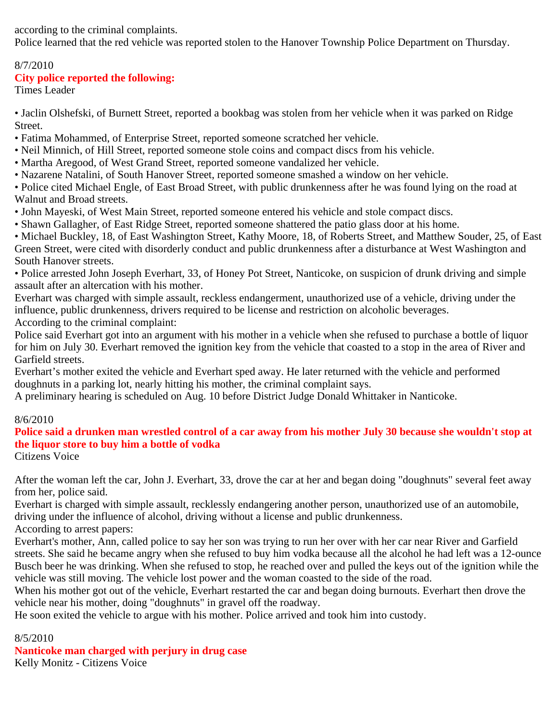according to the criminal complaints.

Police learned that the red vehicle was reported stolen to the Hanover Township Police Department on Thursday.

# 8/7/2010

### **City police reported the following:**

Times Leader

• Jaclin Olshefski, of Burnett Street, reported a bookbag was stolen from her vehicle when it was parked on Ridge Street.

- Fatima Mohammed, of Enterprise Street, reported someone scratched her vehicle.
- Neil Minnich, of Hill Street, reported someone stole coins and compact discs from his vehicle.
- Martha Aregood, of West Grand Street, reported someone vandalized her vehicle.
- Nazarene Natalini, of South Hanover Street, reported someone smashed a window on her vehicle.

• Police cited Michael Engle, of East Broad Street, with public drunkenness after he was found lying on the road at Walnut and Broad streets.

- John Mayeski, of West Main Street, reported someone entered his vehicle and stole compact discs.
- Shawn Gallagher, of East Ridge Street, reported someone shattered the patio glass door at his home.

• Michael Buckley, 18, of East Washington Street, Kathy Moore, 18, of Roberts Street, and Matthew Souder, 25, of East Green Street, were cited with disorderly conduct and public drunkenness after a disturbance at West Washington and South Hanover streets.

• Police arrested John Joseph Everhart, 33, of Honey Pot Street, Nanticoke, on suspicion of drunk driving and simple assault after an altercation with his mother.

Everhart was charged with simple assault, reckless endangerment, unauthorized use of a vehicle, driving under the influence, public drunkenness, drivers required to be license and restriction on alcoholic beverages.

According to the criminal complaint:

Police said Everhart got into an argument with his mother in a vehicle when she refused to purchase a bottle of liquor for him on July 30. Everhart removed the ignition key from the vehicle that coasted to a stop in the area of River and Garfield streets.

Everhart's mother exited the vehicle and Everhart sped away. He later returned with the vehicle and performed doughnuts in a parking lot, nearly hitting his mother, the criminal complaint says.

A preliminary hearing is scheduled on Aug. 10 before District Judge Donald Whittaker in Nanticoke.

# 8/6/2010

# **Police said a drunken man wrestled control of a car away from his mother July 30 because she wouldn't stop at the liquor store to buy him a bottle of vodka**

Citizens Voice

After the woman left the car, John J. Everhart, 33, drove the car at her and began doing "doughnuts" several feet away from her, police said.

Everhart is charged with simple assault, recklessly endangering another person, unauthorized use of an automobile, driving under the influence of alcohol, driving without a license and public drunkenness.

According to arrest papers:

Everhart's mother, Ann, called police to say her son was trying to run her over with her car near River and Garfield streets. She said he became angry when she refused to buy him vodka because all the alcohol he had left was a 12-ounce Busch beer he was drinking. When she refused to stop, he reached over and pulled the keys out of the ignition while the vehicle was still moving. The vehicle lost power and the woman coasted to the side of the road.

When his mother got out of the vehicle, Everhart restarted the car and began doing burnouts. Everhart then drove the vehicle near his mother, doing "doughnuts" in gravel off the roadway.

He soon exited the vehicle to argue with his mother. Police arrived and took him into custody.

#### 8/5/2010

**Nanticoke man charged with perjury in drug case** Kelly Monitz - Citizens Voice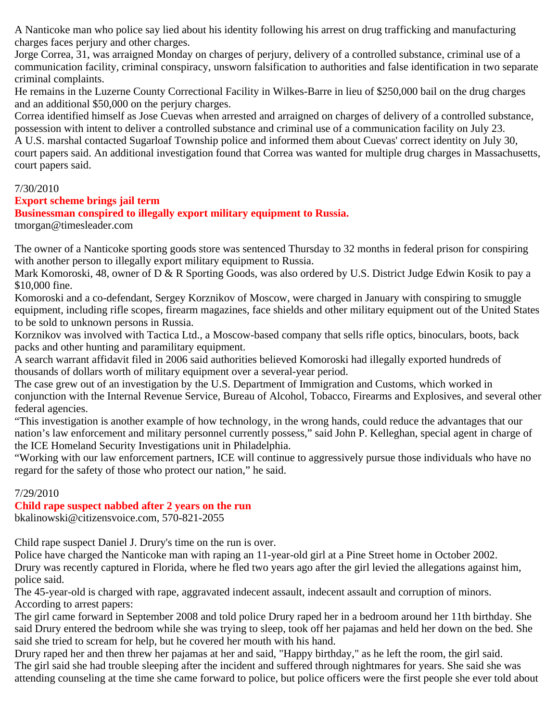A Nanticoke man who police say lied about his identity following his arrest on drug trafficking and manufacturing charges faces perjury and other charges.

Jorge Correa, 31, was arraigned Monday on charges of perjury, delivery of a controlled substance, criminal use of a communication facility, criminal conspiracy, unsworn falsification to authorities and false identification in two separate criminal complaints.

He remains in the Luzerne County Correctional Facility in Wilkes-Barre in lieu of \$250,000 bail on the drug charges and an additional \$50,000 on the perjury charges.

Correa identified himself as Jose Cuevas when arrested and arraigned on charges of delivery of a controlled substance, possession with intent to deliver a controlled substance and criminal use of a communication facility on July 23. A U.S. marshal contacted Sugarloaf Township police and informed them about Cuevas' correct identity on July 30, court papers said. An additional investigation found that Correa was wanted for multiple drug charges in Massachusetts, court papers said.

#### 7/30/2010

#### **Export scheme brings jail term**

#### **Businessman conspired to illegally export military equipment to Russia.**

tmorgan@timesleader.com

The owner of a Nanticoke sporting goods store was sentenced Thursday to 32 months in federal prison for conspiring with another person to illegally export military equipment to Russia.

Mark Komoroski, 48, owner of D & R Sporting Goods, was also ordered by U.S. District Judge Edwin Kosik to pay a \$10,000 fine.

Komoroski and a co-defendant, Sergey Korznikov of Moscow, were charged in January with conspiring to smuggle equipment, including rifle scopes, firearm magazines, face shields and other military equipment out of the United States to be sold to unknown persons in Russia.

Korznikov was involved with Tactica Ltd., a Moscow-based company that sells rifle optics, binoculars, boots, back packs and other hunting and paramilitary equipment.

A search warrant affidavit filed in 2006 said authorities believed Komoroski had illegally exported hundreds of thousands of dollars worth of military equipment over a several-year period.

The case grew out of an investigation by the U.S. Department of Immigration and Customs, which worked in conjunction with the Internal Revenue Service, Bureau of Alcohol, Tobacco, Firearms and Explosives, and several other federal agencies.

"This investigation is another example of how technology, in the wrong hands, could reduce the advantages that our nation's law enforcement and military personnel currently possess," said John P. Kelleghan, special agent in charge of the ICE Homeland Security Investigations unit in Philadelphia.

"Working with our law enforcement partners, ICE will continue to aggressively pursue those individuals who have no regard for the safety of those who protect our nation," he said.

#### 7/29/2010

#### **Child rape suspect nabbed after 2 years on the run**

bkalinowski@citizensvoice.com, 570-821-2055

Child rape suspect Daniel J. Drury's time on the run is over.

Police have charged the Nanticoke man with raping an 11-year-old girl at a Pine Street home in October 2002. Drury was recently captured in Florida, where he fled two years ago after the girl levied the allegations against him, police said.

The 45-year-old is charged with rape, aggravated indecent assault, indecent assault and corruption of minors. According to arrest papers:

The girl came forward in September 2008 and told police Drury raped her in a bedroom around her 11th birthday. She said Drury entered the bedroom while she was trying to sleep, took off her pajamas and held her down on the bed. She said she tried to scream for help, but he covered her mouth with his hand.

Drury raped her and then threw her pajamas at her and said, "Happy birthday," as he left the room, the girl said. The girl said she had trouble sleeping after the incident and suffered through nightmares for years. She said she was attending counseling at the time she came forward to police, but police officers were the first people she ever told about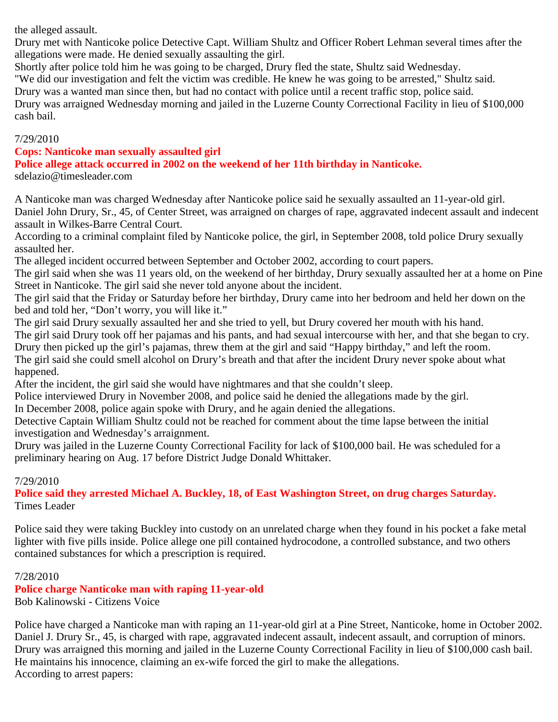the alleged assault.

Drury met with Nanticoke police Detective Capt. William Shultz and Officer Robert Lehman several times after the allegations were made. He denied sexually assaulting the girl.

Shortly after police told him he was going to be charged, Drury fled the state, Shultz said Wednesday.

"We did our investigation and felt the victim was credible. He knew he was going to be arrested," Shultz said.

Drury was a wanted man since then, but had no contact with police until a recent traffic stop, police said.

Drury was arraigned Wednesday morning and jailed in the Luzerne County Correctional Facility in lieu of \$100,000 cash bail.

#### 7/29/2010

#### **Cops: Nanticoke man sexually assaulted girl**

**Police allege attack occurred in 2002 on the weekend of her 11th birthday in Nanticoke.** sdelazio@timesleader.com

A Nanticoke man was charged Wednesday after Nanticoke police said he sexually assaulted an 11-year-old girl. Daniel John Drury, Sr., 45, of Center Street, was arraigned on charges of rape, aggravated indecent assault and indecent assault in Wilkes-Barre Central Court.

According to a criminal complaint filed by Nanticoke police, the girl, in September 2008, told police Drury sexually assaulted her.

The alleged incident occurred between September and October 2002, according to court papers.

The girl said when she was 11 years old, on the weekend of her birthday, Drury sexually assaulted her at a home on Pine Street in Nanticoke. The girl said she never told anyone about the incident.

The girl said that the Friday or Saturday before her birthday, Drury came into her bedroom and held her down on the bed and told her, "Don't worry, you will like it."

The girl said Drury sexually assaulted her and she tried to yell, but Drury covered her mouth with his hand.

The girl said Drury took off her pajamas and his pants, and had sexual intercourse with her, and that she began to cry. Drury then picked up the girl's pajamas, threw them at the girl and said "Happy birthday," and left the room.

The girl said she could smell alcohol on Drury's breath and that after the incident Drury never spoke about what happened.

After the incident, the girl said she would have nightmares and that she couldn't sleep.

Police interviewed Drury in November 2008, and police said he denied the allegations made by the girl.

In December 2008, police again spoke with Drury, and he again denied the allegations.

Detective Captain William Shultz could not be reached for comment about the time lapse between the initial investigation and Wednesday's arraignment.

Drury was jailed in the Luzerne County Correctional Facility for lack of \$100,000 bail. He was scheduled for a preliminary hearing on Aug. 17 before District Judge Donald Whittaker.

#### 7/29/2010

**Police said they arrested Michael A. Buckley, 18, of East Washington Street, on drug charges Saturday.** Times Leader

Police said they were taking Buckley into custody on an unrelated charge when they found in his pocket a fake metal lighter with five pills inside. Police allege one pill contained hydrocodone, a controlled substance, and two others contained substances for which a prescription is required.

#### 7/28/2010

**Police charge Nanticoke man with raping 11-year-old** Bob Kalinowski - Citizens Voice

Police have charged a Nanticoke man with raping an 11-year-old girl at a Pine Street, Nanticoke, home in October 2002. Daniel J. Drury Sr., 45, is charged with rape, aggravated indecent assault, indecent assault, and corruption of minors. Drury was arraigned this morning and jailed in the Luzerne County Correctional Facility in lieu of \$100,000 cash bail. He maintains his innocence, claiming an ex-wife forced the girl to make the allegations. According to arrest papers: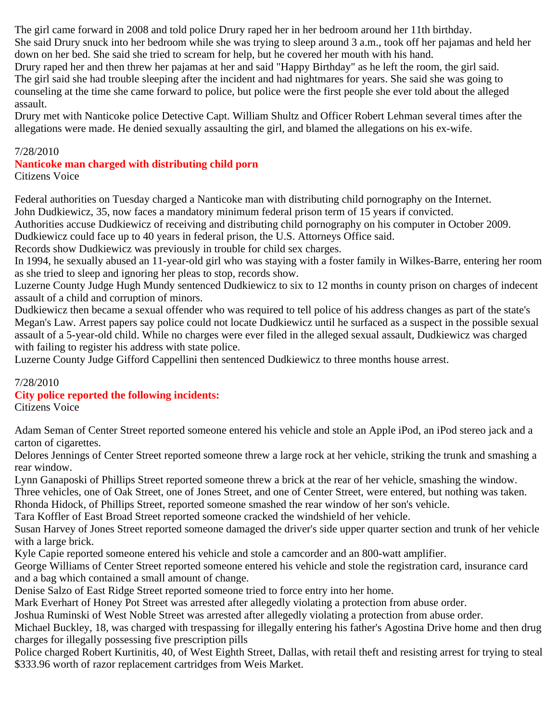The girl came forward in 2008 and told police Drury raped her in her bedroom around her 11th birthday.

She said Drury snuck into her bedroom while she was trying to sleep around 3 a.m., took off her pajamas and held her down on her bed. She said she tried to scream for help, but he covered her mouth with his hand.

Drury raped her and then threw her pajamas at her and said "Happy Birthday" as he left the room, the girl said. The girl said she had trouble sleeping after the incident and had nightmares for years. She said she was going to counseling at the time she came forward to police, but police were the first people she ever told about the alleged assault.

Drury met with Nanticoke police Detective Capt. William Shultz and Officer Robert Lehman several times after the allegations were made. He denied sexually assaulting the girl, and blamed the allegations on his ex-wife.

#### 7/28/2010

#### **Nanticoke man charged with distributing child porn** Citizens Voice

Federal authorities on Tuesday charged a Nanticoke man with distributing child pornography on the Internet. John Dudkiewicz, 35, now faces a mandatory minimum federal prison term of 15 years if convicted.

Authorities accuse Dudkiewicz of receiving and distributing child pornography on his computer in October 2009.

Dudkiewicz could face up to 40 years in federal prison, the U.S. Attorneys Office said.

Records show Dudkiewicz was previously in trouble for child sex charges.

In 1994, he sexually abused an 11-year-old girl who was staying with a foster family in Wilkes-Barre, entering her room as she tried to sleep and ignoring her pleas to stop, records show.

Luzerne County Judge Hugh Mundy sentenced Dudkiewicz to six to 12 months in county prison on charges of indecent assault of a child and corruption of minors.

Dudkiewicz then became a sexual offender who was required to tell police of his address changes as part of the state's Megan's Law. Arrest papers say police could not locate Dudkiewicz until he surfaced as a suspect in the possible sexual assault of a 5-year-old child. While no charges were ever filed in the alleged sexual assault, Dudkiewicz was charged with failing to register his address with state police.

Luzerne County Judge Gifford Cappellini then sentenced Dudkiewicz to three months house arrest.

#### 7/28/2010

#### **City police reported the following incidents:**

Citizens Voice

Adam Seman of Center Street reported someone entered his vehicle and stole an Apple iPod, an iPod stereo jack and a carton of cigarettes.

Delores Jennings of Center Street reported someone threw a large rock at her vehicle, striking the trunk and smashing a rear window.

Lynn Ganaposki of Phillips Street reported someone threw a brick at the rear of her vehicle, smashing the window.

Three vehicles, one of Oak Street, one of Jones Street, and one of Center Street, were entered, but nothing was taken.

Rhonda Hidock, of Phillips Street, reported someone smashed the rear window of her son's vehicle.

Tara Koffler of East Broad Street reported someone cracked the windshield of her vehicle.

Susan Harvey of Jones Street reported someone damaged the driver's side upper quarter section and trunk of her vehicle with a large brick.

Kyle Capie reported someone entered his vehicle and stole a camcorder and an 800-watt amplifier.

George Williams of Center Street reported someone entered his vehicle and stole the registration card, insurance card and a bag which contained a small amount of change.

Denise Salzo of East Ridge Street reported someone tried to force entry into her home.

Mark Everhart of Honey Pot Street was arrested after allegedly violating a protection from abuse order.

Joshua Ruminski of West Noble Street was arrested after allegedly violating a protection from abuse order.

Michael Buckley, 18, was charged with trespassing for illegally entering his father's Agostina Drive home and then drug charges for illegally possessing five prescription pills

Police charged Robert Kurtinitis, 40, of West Eighth Street, Dallas, with retail theft and resisting arrest for trying to steal \$333.96 worth of razor replacement cartridges from Weis Market.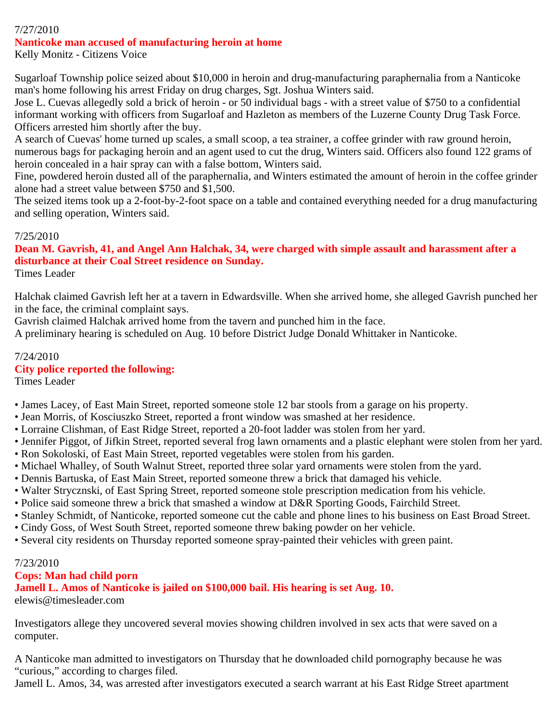#### 7/27/2010 **Nanticoke man accused of manufacturing heroin at home**

Kelly Monitz - Citizens Voice

Sugarloaf Township police seized about \$10,000 in heroin and drug-manufacturing paraphernalia from a Nanticoke man's home following his arrest Friday on drug charges, Sgt. Joshua Winters said.

Jose L. Cuevas allegedly sold a brick of heroin - or 50 individual bags - with a street value of \$750 to a confidential informant working with officers from Sugarloaf and Hazleton as members of the Luzerne County Drug Task Force. Officers arrested him shortly after the buy.

A search of Cuevas' home turned up scales, a small scoop, a tea strainer, a coffee grinder with raw ground heroin, numerous bags for packaging heroin and an agent used to cut the drug, Winters said. Officers also found 122 grams of heroin concealed in a hair spray can with a false bottom, Winters said.

Fine, powdered heroin dusted all of the paraphernalia, and Winters estimated the amount of heroin in the coffee grinder alone had a street value between \$750 and \$1,500.

The seized items took up a 2-foot-by-2-foot space on a table and contained everything needed for a drug manufacturing and selling operation, Winters said.

# 7/25/2010

# **Dean M. Gavrish, 41, and Angel Ann Halchak, 34, were charged with simple assault and harassment after a disturbance at their Coal Street residence on Sunday.**

Times Leader

Halchak claimed Gavrish left her at a tavern in Edwardsville. When she arrived home, she alleged Gavrish punched her in the face, the criminal complaint says.

Gavrish claimed Halchak arrived home from the tavern and punched him in the face.

A preliminary hearing is scheduled on Aug. 10 before District Judge Donald Whittaker in Nanticoke.

# 7/24/2010

# **City police reported the following:**

Times Leader

- James Lacey, of East Main Street, reported someone stole 12 bar stools from a garage on his property.
- Jean Morris, of Kosciuszko Street, reported a front window was smashed at her residence.
- Lorraine Clishman, of East Ridge Street, reported a 20-foot ladder was stolen from her yard.
- Jennifer Piggot, of Jifkin Street, reported several frog lawn ornaments and a plastic elephant were stolen from her yard.
- Ron Sokoloski, of East Main Street, reported vegetables were stolen from his garden.
- Michael Whalley, of South Walnut Street, reported three solar yard ornaments were stolen from the yard.
- Dennis Bartuska, of East Main Street, reported someone threw a brick that damaged his vehicle.
- Walter Strycznski, of East Spring Street, reported someone stole prescription medication from his vehicle.
- Police said someone threw a brick that smashed a window at D&R Sporting Goods, Fairchild Street.
- Stanley Schmidt, of Nanticoke, reported someone cut the cable and phone lines to his business on East Broad Street.
- Cindy Goss, of West South Street, reported someone threw baking powder on her vehicle.
- Several city residents on Thursday reported someone spray-painted their vehicles with green paint.

# 7/23/2010

# **Cops: Man had child porn**

**Jamell L. Amos of Nanticoke is jailed on \$100,000 bail. His hearing is set Aug. 10.**

elewis@timesleader.com

Investigators allege they uncovered several movies showing children involved in sex acts that were saved on a computer.

A Nanticoke man admitted to investigators on Thursday that he downloaded child pornography because he was "curious," according to charges filed.

Jamell L. Amos, 34, was arrested after investigators executed a search warrant at his East Ridge Street apartment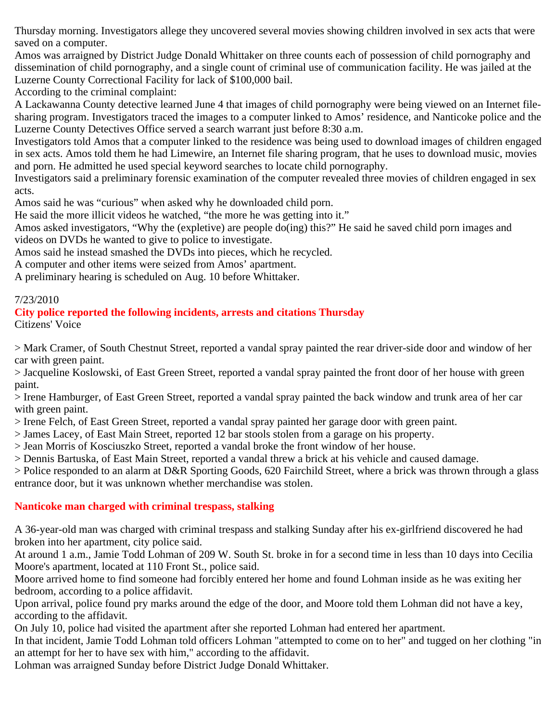Thursday morning. Investigators allege they uncovered several movies showing children involved in sex acts that were saved on a computer.

Amos was arraigned by District Judge Donald Whittaker on three counts each of possession of child pornography and dissemination of child pornography, and a single count of criminal use of communication facility. He was jailed at the Luzerne County Correctional Facility for lack of \$100,000 bail.

According to the criminal complaint:

A Lackawanna County detective learned June 4 that images of child pornography were being viewed on an Internet filesharing program. Investigators traced the images to a computer linked to Amos' residence, and Nanticoke police and the Luzerne County Detectives Office served a search warrant just before 8:30 a.m.

Investigators told Amos that a computer linked to the residence was being used to download images of children engaged in sex acts. Amos told them he had Limewire, an Internet file sharing program, that he uses to download music, movies and porn. He admitted he used special keyword searches to locate child pornography.

Investigators said a preliminary forensic examination of the computer revealed three movies of children engaged in sex acts.

Amos said he was "curious" when asked why he downloaded child porn.

He said the more illicit videos he watched, "the more he was getting into it."

Amos asked investigators, "Why the (expletive) are people do(ing) this?" He said he saved child porn images and videos on DVDs he wanted to give to police to investigate.

Amos said he instead smashed the DVDs into pieces, which he recycled.

A computer and other items were seized from Amos' apartment.

A preliminary hearing is scheduled on Aug. 10 before Whittaker.

# 7/23/2010

### **City police reported the following incidents, arrests and citations Thursday**

Citizens' Voice

> Mark Cramer, of South Chestnut Street, reported a vandal spray painted the rear driver-side door and window of her car with green paint.

> Jacqueline Koslowski, of East Green Street, reported a vandal spray painted the front door of her house with green paint.

> Irene Hamburger, of East Green Street, reported a vandal spray painted the back window and trunk area of her car with green paint.

> Irene Felch, of East Green Street, reported a vandal spray painted her garage door with green paint.

> James Lacey, of East Main Street, reported 12 bar stools stolen from a garage on his property.

> Jean Morris of Kosciuszko Street, reported a vandal broke the front window of her house.

> Dennis Bartuska, of East Main Street, reported a vandal threw a brick at his vehicle and caused damage.

> Police responded to an alarm at D&R Sporting Goods, 620 Fairchild Street, where a brick was thrown through a glass entrance door, but it was unknown whether merchandise was stolen.

# **Nanticoke man charged with criminal trespass, stalking**

A 36-year-old man was charged with criminal trespass and stalking Sunday after his ex-girlfriend discovered he had broken into her apartment, city police said.

At around 1 a.m., Jamie Todd Lohman of 209 W. South St. broke in for a second time in less than 10 days into Cecilia Moore's apartment, located at 110 Front St., police said.

Moore arrived home to find someone had forcibly entered her home and found Lohman inside as he was exiting her bedroom, according to a police affidavit.

Upon arrival, police found pry marks around the edge of the door, and Moore told them Lohman did not have a key, according to the affidavit.

On July 10, police had visited the apartment after she reported Lohman had entered her apartment.

In that incident, Jamie Todd Lohman told officers Lohman "attempted to come on to her" and tugged on her clothing "in an attempt for her to have sex with him," according to the affidavit.

Lohman was arraigned Sunday before District Judge Donald Whittaker.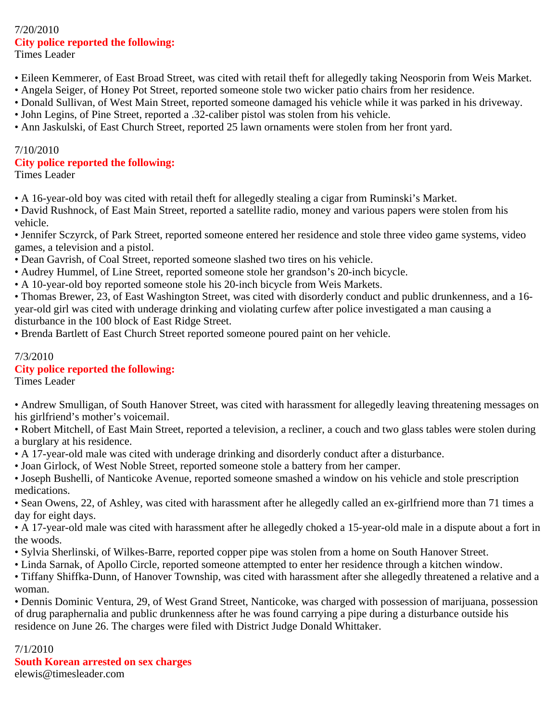#### 7/20/2010 **City police reported the following:** Times Leader

- Eileen Kemmerer, of East Broad Street, was cited with retail theft for allegedly taking Neosporin from Weis Market.
- Angela Seiger, of Honey Pot Street, reported someone stole two wicker patio chairs from her residence.
- Donald Sullivan, of West Main Street, reported someone damaged his vehicle while it was parked in his driveway.
- John Legins, of Pine Street, reported a .32-caliber pistol was stolen from his vehicle.
- Ann Jaskulski, of East Church Street, reported 25 lawn ornaments were stolen from her front yard.

# 7/10/2010

### **City police reported the following:**

Times Leader

- A 16-year-old boy was cited with retail theft for allegedly stealing a cigar from Ruminski's Market.
- David Rushnock, of East Main Street, reported a satellite radio, money and various papers were stolen from his vehicle.
- Jennifer Sczyrck, of Park Street, reported someone entered her residence and stole three video game systems, video games, a television and a pistol.
- Dean Gavrish, of Coal Street, reported someone slashed two tires on his vehicle.
- Audrey Hummel, of Line Street, reported someone stole her grandson's 20-inch bicycle.
- A 10-year-old boy reported someone stole his 20-inch bicycle from Weis Markets.
- Thomas Brewer, 23, of East Washington Street, was cited with disorderly conduct and public drunkenness, and a 16 year-old girl was cited with underage drinking and violating curfew after police investigated a man causing a disturbance in the 100 block of East Ridge Street.

• Brenda Bartlett of East Church Street reported someone poured paint on her vehicle.

### 7/3/2010

# **City police reported the following:**

Times Leader

• Andrew Smulligan, of South Hanover Street, was cited with harassment for allegedly leaving threatening messages on his girlfriend's mother's voicemail.

• Robert Mitchell, of East Main Street, reported a television, a recliner, a couch and two glass tables were stolen during a burglary at his residence.

- A 17-year-old male was cited with underage drinking and disorderly conduct after a disturbance.
- Joan Girlock, of West Noble Street, reported someone stole a battery from her camper.
- Joseph Bushelli, of Nanticoke Avenue, reported someone smashed a window on his vehicle and stole prescription medications.
- Sean Owens, 22, of Ashley, was cited with harassment after he allegedly called an ex-girlfriend more than 71 times a day for eight days.
- A 17-year-old male was cited with harassment after he allegedly choked a 15-year-old male in a dispute about a fort in the woods.
- Sylvia Sherlinski, of Wilkes-Barre, reported copper pipe was stolen from a home on South Hanover Street.
- Linda Sarnak, of Apollo Circle, reported someone attempted to enter her residence through a kitchen window.
- Tiffany Shiffka-Dunn, of Hanover Township, was cited with harassment after she allegedly threatened a relative and a woman.
- Dennis Dominic Ventura, 29, of West Grand Street, Nanticoke, was charged with possession of marijuana, possession of drug paraphernalia and public drunkenness after he was found carrying a pipe during a disturbance outside his residence on June 26. The charges were filed with District Judge Donald Whittaker.

# 7/1/2010

**South Korean arrested on sex charges** elewis@timesleader.com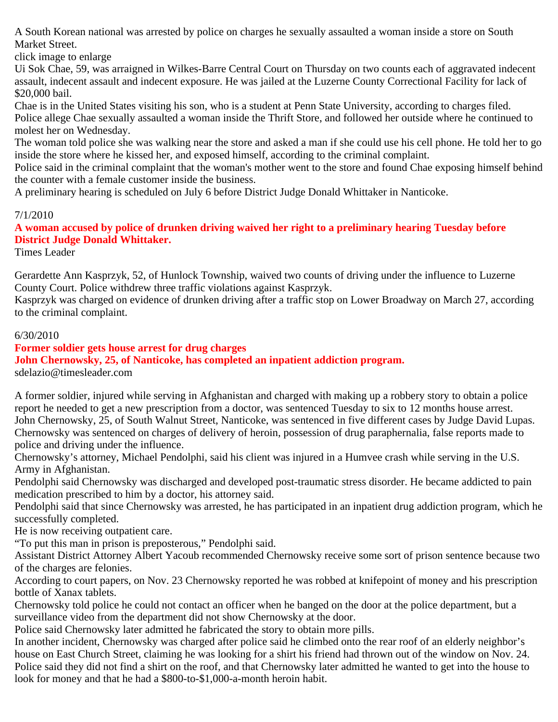A South Korean national was arrested by police on charges he sexually assaulted a woman inside a store on South Market Street.

click image to enlarge

Ui Sok Chae, 59, was arraigned in Wilkes-Barre Central Court on Thursday on two counts each of aggravated indecent assault, indecent assault and indecent exposure. He was jailed at the Luzerne County Correctional Facility for lack of \$20,000 bail.

Chae is in the United States visiting his son, who is a student at Penn State University, according to charges filed. Police allege Chae sexually assaulted a woman inside the Thrift Store, and followed her outside where he continued to molest her on Wednesday.

The woman told police she was walking near the store and asked a man if she could use his cell phone. He told her to go inside the store where he kissed her, and exposed himself, according to the criminal complaint.

Police said in the criminal complaint that the woman's mother went to the store and found Chae exposing himself behind the counter with a female customer inside the business.

A preliminary hearing is scheduled on July 6 before District Judge Donald Whittaker in Nanticoke.

#### 7/1/2010

**A woman accused by police of drunken driving waived her right to a preliminary hearing Tuesday before District Judge Donald Whittaker.**

Times Leader

Gerardette Ann Kasprzyk, 52, of Hunlock Township, waived two counts of driving under the influence to Luzerne County Court. Police withdrew three traffic violations against Kasprzyk.

Kasprzyk was charged on evidence of drunken driving after a traffic stop on Lower Broadway on March 27, according to the criminal complaint.

#### 6/30/2010

#### **Former soldier gets house arrest for drug charges**

**John Chernowsky, 25, of Nanticoke, has completed an inpatient addiction program.** sdelazio@timesleader.com

A former soldier, injured while serving in Afghanistan and charged with making up a robbery story to obtain a police report he needed to get a new prescription from a doctor, was sentenced Tuesday to six to 12 months house arrest. John Chernowsky, 25, of South Walnut Street, Nanticoke, was sentenced in five different cases by Judge David Lupas. Chernowsky was sentenced on charges of delivery of heroin, possession of drug paraphernalia, false reports made to police and driving under the influence.

Chernowsky's attorney, Michael Pendolphi, said his client was injured in a Humvee crash while serving in the U.S. Army in Afghanistan.

Pendolphi said Chernowsky was discharged and developed post-traumatic stress disorder. He became addicted to pain medication prescribed to him by a doctor, his attorney said.

Pendolphi said that since Chernowsky was arrested, he has participated in an inpatient drug addiction program, which he successfully completed.

He is now receiving outpatient care.

"To put this man in prison is preposterous," Pendolphi said.

Assistant District Attorney Albert Yacoub recommended Chernowsky receive some sort of prison sentence because two of the charges are felonies.

According to court papers, on Nov. 23 Chernowsky reported he was robbed at knifepoint of money and his prescription bottle of Xanax tablets.

Chernowsky told police he could not contact an officer when he banged on the door at the police department, but a surveillance video from the department did not show Chernowsky at the door.

Police said Chernowsky later admitted he fabricated the story to obtain more pills.

In another incident, Chernowsky was charged after police said he climbed onto the rear roof of an elderly neighbor's house on East Church Street, claiming he was looking for a shirt his friend had thrown out of the window on Nov. 24. Police said they did not find a shirt on the roof, and that Chernowsky later admitted he wanted to get into the house to look for money and that he had a \$800-to-\$1,000-a-month heroin habit.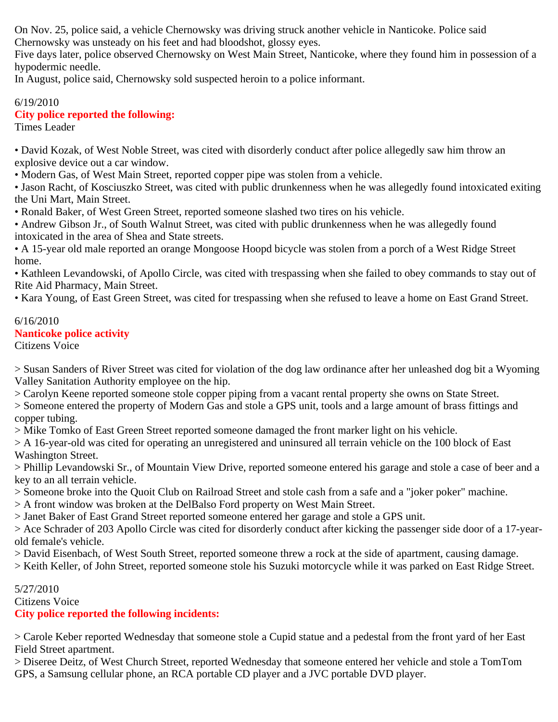On Nov. 25, police said, a vehicle Chernowsky was driving struck another vehicle in Nanticoke. Police said Chernowsky was unsteady on his feet and had bloodshot, glossy eyes.

Five days later, police observed Chernowsky on West Main Street, Nanticoke, where they found him in possession of a hypodermic needle.

In August, police said, Chernowsky sold suspected heroin to a police informant.

#### 6/19/2010 **City police reported the following:** Times Leader

• David Kozak, of West Noble Street, was cited with disorderly conduct after police allegedly saw him throw an explosive device out a car window.

• Modern Gas, of West Main Street, reported copper pipe was stolen from a vehicle.

• Jason Racht, of Kosciuszko Street, was cited with public drunkenness when he was allegedly found intoxicated exiting the Uni Mart, Main Street.

• Ronald Baker, of West Green Street, reported someone slashed two tires on his vehicle.

• Andrew Gibson Jr., of South Walnut Street, was cited with public drunkenness when he was allegedly found intoxicated in the area of Shea and State streets.

• A 15-year old male reported an orange Mongoose Hoopd bicycle was stolen from a porch of a West Ridge Street home.

• Kathleen Levandowski, of Apollo Circle, was cited with trespassing when she failed to obey commands to stay out of Rite Aid Pharmacy, Main Street.

• Kara Young, of East Green Street, was cited for trespassing when she refused to leave a home on East Grand Street.

# 6/16/2010 **Nanticoke police activity**

Citizens Voice

> Susan Sanders of River Street was cited for violation of the dog law ordinance after her unleashed dog bit a Wyoming Valley Sanitation Authority employee on the hip.

> Carolyn Keene reported someone stole copper piping from a vacant rental property she owns on State Street.

> Someone entered the property of Modern Gas and stole a GPS unit, tools and a large amount of brass fittings and copper tubing.

> Mike Tomko of East Green Street reported someone damaged the front marker light on his vehicle.

> A 16-year-old was cited for operating an unregistered and uninsured all terrain vehicle on the 100 block of East Washington Street.

> Phillip Levandowski Sr., of Mountain View Drive, reported someone entered his garage and stole a case of beer and a key to an all terrain vehicle.

> Someone broke into the Quoit Club on Railroad Street and stole cash from a safe and a "joker poker" machine.

> A front window was broken at the DelBalso Ford property on West Main Street.

> Janet Baker of East Grand Street reported someone entered her garage and stole a GPS unit.

> Ace Schrader of 203 Apollo Circle was cited for disorderly conduct after kicking the passenger side door of a 17-yearold female's vehicle.

> David Eisenbach, of West South Street, reported someone threw a rock at the side of apartment, causing damage.

> Keith Keller, of John Street, reported someone stole his Suzuki motorcycle while it was parked on East Ridge Street.

# 5/27/2010

Citizens Voice

# **City police reported the following incidents:**

> Carole Keber reported Wednesday that someone stole a Cupid statue and a pedestal from the front yard of her East Field Street apartment.

> Diseree Deitz, of West Church Street, reported Wednesday that someone entered her vehicle and stole a TomTom GPS, a Samsung cellular phone, an RCA portable CD player and a JVC portable DVD player.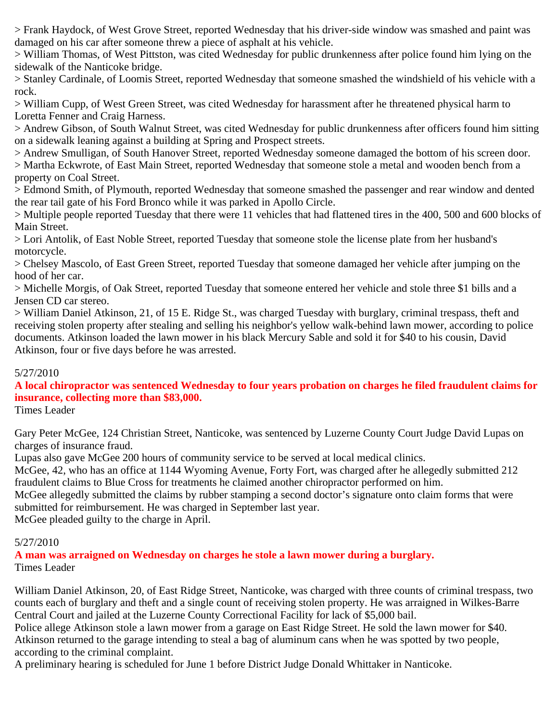> Frank Haydock, of West Grove Street, reported Wednesday that his driver-side window was smashed and paint was damaged on his car after someone threw a piece of asphalt at his vehicle.

> William Thomas, of West Pittston, was cited Wednesday for public drunkenness after police found him lying on the sidewalk of the Nanticoke bridge.

> Stanley Cardinale, of Loomis Street, reported Wednesday that someone smashed the windshield of his vehicle with a rock.

> William Cupp, of West Green Street, was cited Wednesday for harassment after he threatened physical harm to Loretta Fenner and Craig Harness.

> Andrew Gibson, of South Walnut Street, was cited Wednesday for public drunkenness after officers found him sitting on a sidewalk leaning against a building at Spring and Prospect streets.

> Andrew Smulligan, of South Hanover Street, reported Wednesday someone damaged the bottom of his screen door. > Martha Eckwrote, of East Main Street, reported Wednesday that someone stole a metal and wooden bench from a property on Coal Street.

> Edmond Smith, of Plymouth, reported Wednesday that someone smashed the passenger and rear window and dented the rear tail gate of his Ford Bronco while it was parked in Apollo Circle.

> Multiple people reported Tuesday that there were 11 vehicles that had flattened tires in the 400, 500 and 600 blocks of Main Street.

> Lori Antolik, of East Noble Street, reported Tuesday that someone stole the license plate from her husband's motorcycle.

> Chelsey Mascolo, of East Green Street, reported Tuesday that someone damaged her vehicle after jumping on the hood of her car.

> Michelle Morgis, of Oak Street, reported Tuesday that someone entered her vehicle and stole three \$1 bills and a Jensen CD car stereo.

> William Daniel Atkinson, 21, of 15 E. Ridge St., was charged Tuesday with burglary, criminal trespass, theft and receiving stolen property after stealing and selling his neighbor's yellow walk-behind lawn mower, according to police documents. Atkinson loaded the lawn mower in his black Mercury Sable and sold it for \$40 to his cousin, David Atkinson, four or five days before he was arrested.

#### 5/27/2010

**A local chiropractor was sentenced Wednesday to four years probation on charges he filed fraudulent claims for insurance, collecting more than \$83,000.**

Times Leader

Gary Peter McGee, 124 Christian Street, Nanticoke, was sentenced by Luzerne County Court Judge David Lupas on charges of insurance fraud.

Lupas also gave McGee 200 hours of community service to be served at local medical clinics.

McGee, 42, who has an office at 1144 Wyoming Avenue, Forty Fort, was charged after he allegedly submitted 212 fraudulent claims to Blue Cross for treatments he claimed another chiropractor performed on him.

McGee allegedly submitted the claims by rubber stamping a second doctor's signature onto claim forms that were submitted for reimbursement. He was charged in September last year.

McGee pleaded guilty to the charge in April.

#### 5/27/2010

**A man was arraigned on Wednesday on charges he stole a lawn mower during a burglary.** Times Leader

William Daniel Atkinson, 20, of East Ridge Street, Nanticoke, was charged with three counts of criminal trespass, two counts each of burglary and theft and a single count of receiving stolen property. He was arraigned in Wilkes-Barre Central Court and jailed at the Luzerne County Correctional Facility for lack of \$5,000 bail.

Police allege Atkinson stole a lawn mower from a garage on East Ridge Street. He sold the lawn mower for \$40. Atkinson returned to the garage intending to steal a bag of aluminum cans when he was spotted by two people, according to the criminal complaint.

A preliminary hearing is scheduled for June 1 before District Judge Donald Whittaker in Nanticoke.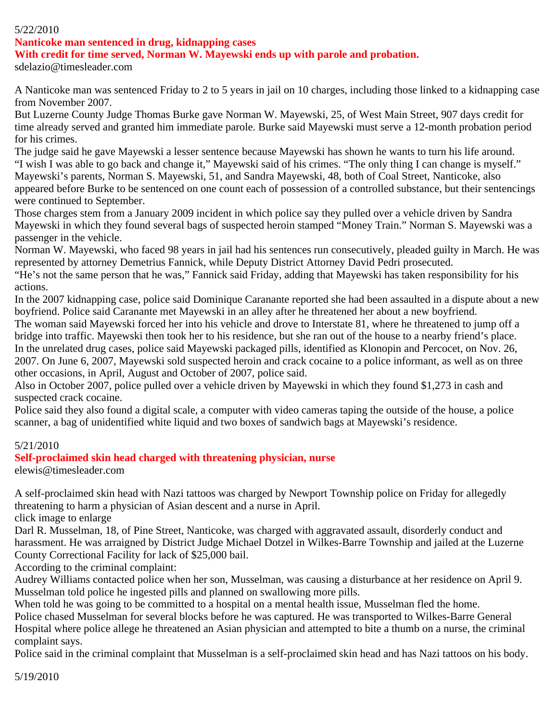#### 5/22/2010

#### **Nanticoke man sentenced in drug, kidnapping cases**

**With credit for time served, Norman W. Mayewski ends up with parole and probation.**

sdelazio@timesleader.com

A Nanticoke man was sentenced Friday to 2 to 5 years in jail on 10 charges, including those linked to a kidnapping case from November 2007.

But Luzerne County Judge Thomas Burke gave Norman W. Mayewski, 25, of West Main Street, 907 days credit for time already served and granted him immediate parole. Burke said Mayewski must serve a 12-month probation period for his crimes.

The judge said he gave Mayewski a lesser sentence because Mayewski has shown he wants to turn his life around. "I wish I was able to go back and change it," Mayewski said of his crimes. "The only thing I can change is myself." Mayewski's parents, Norman S. Mayewski, 51, and Sandra Mayewski, 48, both of Coal Street, Nanticoke, also appeared before Burke to be sentenced on one count each of possession of a controlled substance, but their sentencings were continued to September.

Those charges stem from a January 2009 incident in which police say they pulled over a vehicle driven by Sandra Mayewski in which they found several bags of suspected heroin stamped "Money Train." Norman S. Mayewski was a passenger in the vehicle.

Norman W. Mayewski, who faced 98 years in jail had his sentences run consecutively, pleaded guilty in March. He was represented by attorney Demetrius Fannick, while Deputy District Attorney David Pedri prosecuted.

"He's not the same person that he was," Fannick said Friday, adding that Mayewski has taken responsibility for his actions.

In the 2007 kidnapping case, police said Dominique Caranante reported she had been assaulted in a dispute about a new boyfriend. Police said Caranante met Mayewski in an alley after he threatened her about a new boyfriend.

The woman said Mayewski forced her into his vehicle and drove to Interstate 81, where he threatened to jump off a bridge into traffic. Mayewski then took her to his residence, but she ran out of the house to a nearby friend's place. In the unrelated drug cases, police said Mayewski packaged pills, identified as Klonopin and Percocet, on Nov. 26, 2007. On June 6, 2007, Mayewski sold suspected heroin and crack cocaine to a police informant, as well as on three other occasions, in April, August and October of 2007, police said.

Also in October 2007, police pulled over a vehicle driven by Mayewski in which they found \$1,273 in cash and suspected crack cocaine.

Police said they also found a digital scale, a computer with video cameras taping the outside of the house, a police scanner, a bag of unidentified white liquid and two boxes of sandwich bags at Mayewski's residence.

#### 5/21/2010

#### **Self-proclaimed skin head charged with threatening physician, nurse**

elewis@timesleader.com

A self-proclaimed skin head with Nazi tattoos was charged by Newport Township police on Friday for allegedly threatening to harm a physician of Asian descent and a nurse in April.

click image to enlarge

Darl R. Musselman, 18, of Pine Street, Nanticoke, was charged with aggravated assault, disorderly conduct and harassment. He was arraigned by District Judge Michael Dotzel in Wilkes-Barre Township and jailed at the Luzerne County Correctional Facility for lack of \$25,000 bail.

According to the criminal complaint:

Audrey Williams contacted police when her son, Musselman, was causing a disturbance at her residence on April 9. Musselman told police he ingested pills and planned on swallowing more pills.

When told he was going to be committed to a hospital on a mental health issue, Musselman fled the home.

Police chased Musselman for several blocks before he was captured. He was transported to Wilkes-Barre General

Hospital where police allege he threatened an Asian physician and attempted to bite a thumb on a nurse, the criminal complaint says.

Police said in the criminal complaint that Musselman is a self-proclaimed skin head and has Nazi tattoos on his body.

5/19/2010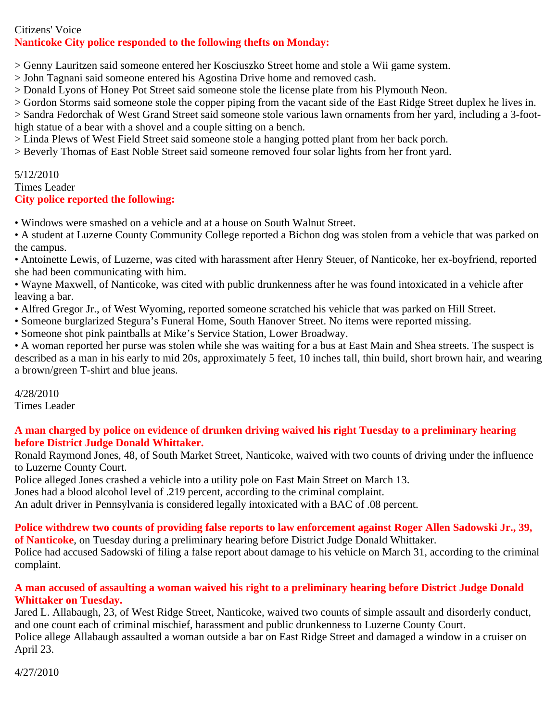### Citizens' Voice **Nanticoke City police responded to the following thefts on Monday:**

> Genny Lauritzen said someone entered her Kosciuszko Street home and stole a Wii game system.

> John Tagnani said someone entered his Agostina Drive home and removed cash.

> Donald Lyons of Honey Pot Street said someone stole the license plate from his Plymouth Neon.

> Gordon Storms said someone stole the copper piping from the vacant side of the East Ridge Street duplex he lives in.

> Sandra Fedorchak of West Grand Street said someone stole various lawn ornaments from her yard, including a 3-foothigh statue of a bear with a shovel and a couple sitting on a bench.

> Linda Plews of West Field Street said someone stole a hanging potted plant from her back porch.

> Beverly Thomas of East Noble Street said someone removed four solar lights from her front yard.

#### 5/12/2010 Times Leader **City police reported the following:**

• Windows were smashed on a vehicle and at a house on South Walnut Street.

• A student at Luzerne County Community College reported a Bichon dog was stolen from a vehicle that was parked on the campus.

• Antoinette Lewis, of Luzerne, was cited with harassment after Henry Steuer, of Nanticoke, her ex-boyfriend, reported she had been communicating with him.

• Wayne Maxwell, of Nanticoke, was cited with public drunkenness after he was found intoxicated in a vehicle after leaving a bar.

• Alfred Gregor Jr., of West Wyoming, reported someone scratched his vehicle that was parked on Hill Street.

• Someone burglarized Stegura's Funeral Home, South Hanover Street. No items were reported missing.

• Someone shot pink paintballs at Mike's Service Station, Lower Broadway.

• A woman reported her purse was stolen while she was waiting for a bus at East Main and Shea streets. The suspect is described as a man in his early to mid 20s, approximately 5 feet, 10 inches tall, thin build, short brown hair, and wearing a brown/green T-shirt and blue jeans.

4/28/2010 Times Leader

### **A man charged by police on evidence of drunken driving waived his right Tuesday to a preliminary hearing before District Judge Donald Whittaker.**

Ronald Raymond Jones, 48, of South Market Street, Nanticoke, waived with two counts of driving under the influence to Luzerne County Court.

Police alleged Jones crashed a vehicle into a utility pole on East Main Street on March 13.

Jones had a blood alcohol level of .219 percent, according to the criminal complaint.

An adult driver in Pennsylvania is considered legally intoxicated with a BAC of .08 percent.

# **Police withdrew two counts of providing false reports to law enforcement against Roger Allen Sadowski Jr., 39,**

**of Nanticoke**, on Tuesday during a preliminary hearing before District Judge Donald Whittaker. Police had accused Sadowski of filing a false report about damage to his vehicle on March 31, according to the criminal complaint.

### **A man accused of assaulting a woman waived his right to a preliminary hearing before District Judge Donald Whittaker on Tuesday.**

Jared L. Allabaugh, 23, of West Ridge Street, Nanticoke, waived two counts of simple assault and disorderly conduct, and one count each of criminal mischief, harassment and public drunkenness to Luzerne County Court. Police allege Allabaugh assaulted a woman outside a bar on East Ridge Street and damaged a window in a cruiser on April 23.

4/27/2010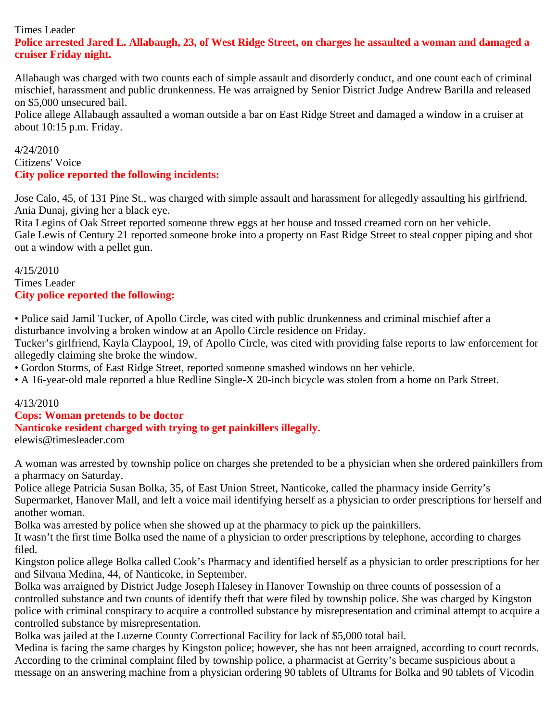# Times Leader

### **Police arrested Jared L. Allabaugh, 23, of West Ridge Street, on charges he assaulted a woman and damaged a cruiser Friday night.**

Allabaugh was charged with two counts each of simple assault and disorderly conduct, and one count each of criminal mischief, harassment and public drunkenness. He was arraigned by Senior District Judge Andrew Barilla and released on \$5,000 unsecured bail.

Police allege Allabaugh assaulted a woman outside a bar on East Ridge Street and damaged a window in a cruiser at about 10:15 p.m. Friday.

#### 4/24/2010 Citizens' Voice **City police reported the following incidents:**

Jose Calo, 45, of 131 Pine St., was charged with simple assault and harassment for allegedly assaulting his girlfriend, Ania Dunaj, giving her a black eye.

Rita Legins of Oak Street reported someone threw eggs at her house and tossed creamed corn on her vehicle. Gale Lewis of Century 21 reported someone broke into a property on East Ridge Street to steal copper piping and shot out a window with a pellet gun.

#### 4/15/2010 Times Leader **City police reported the following:**

• Police said Jamil Tucker, of Apollo Circle, was cited with public drunkenness and criminal mischief after a disturbance involving a broken window at an Apollo Circle residence on Friday.

Tucker's girlfriend, Kayla Claypool, 19, of Apollo Circle, was cited with providing false reports to law enforcement for allegedly claiming she broke the window.

• Gordon Storms, of East Ridge Street, reported someone smashed windows on her vehicle.

• A 16-year-old male reported a blue Redline Single-X 20-inch bicycle was stolen from a home on Park Street.

# 4/13/2010

# **Cops: Woman pretends to be doctor Nanticoke resident charged with trying to get painkillers illegally.**

elewis@timesleader.com

A woman was arrested by township police on charges she pretended to be a physician when she ordered painkillers from a pharmacy on Saturday.

Police allege Patricia Susan Bolka, 35, of East Union Street, Nanticoke, called the pharmacy inside Gerrity's Supermarket, Hanover Mall, and left a voice mail identifying herself as a physician to order prescriptions for herself and another woman.

Bolka was arrested by police when she showed up at the pharmacy to pick up the painkillers.

It wasn't the first time Bolka used the name of a physician to order prescriptions by telephone, according to charges filed.

Kingston police allege Bolka called Cook's Pharmacy and identified herself as a physician to order prescriptions for her and Silvana Medina, 44, of Nanticoke, in September.

Bolka was arraigned by District Judge Joseph Halesey in Hanover Township on three counts of possession of a controlled substance and two counts of identify theft that were filed by township police. She was charged by Kingston police with criminal conspiracy to acquire a controlled substance by misrepresentation and criminal attempt to acquire a controlled substance by misrepresentation.

Bolka was jailed at the Luzerne County Correctional Facility for lack of \$5,000 total bail.

Medina is facing the same charges by Kingston police; however, she has not been arraigned, according to court records. According to the criminal complaint filed by township police, a pharmacist at Gerrity's became suspicious about a message on an answering machine from a physician ordering 90 tablets of Ultrams for Bolka and 90 tablets of Vicodin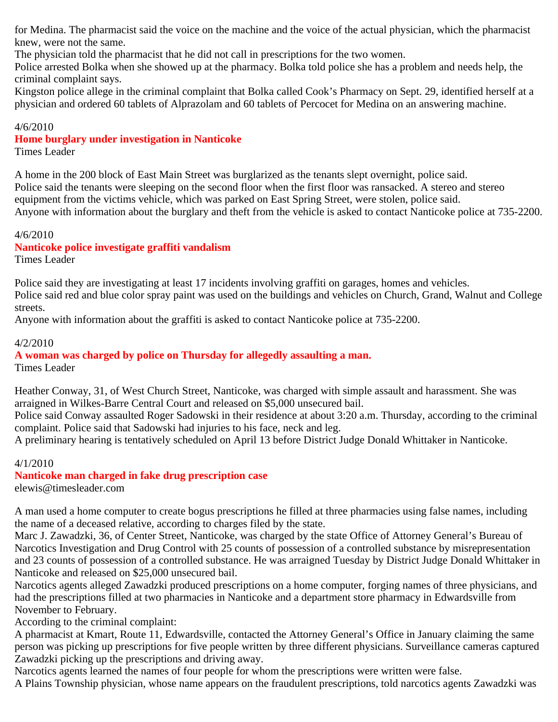for Medina. The pharmacist said the voice on the machine and the voice of the actual physician, which the pharmacist knew, were not the same.

The physician told the pharmacist that he did not call in prescriptions for the two women.

Police arrested Bolka when she showed up at the pharmacy. Bolka told police she has a problem and needs help, the criminal complaint says.

Kingston police allege in the criminal complaint that Bolka called Cook's Pharmacy on Sept. 29, identified herself at a physician and ordered 60 tablets of Alprazolam and 60 tablets of Percocet for Medina on an answering machine.

#### 4/6/2010

#### **Home burglary under investigation in Nanticoke**

Times Leader

A home in the 200 block of East Main Street was burglarized as the tenants slept overnight, police said. Police said the tenants were sleeping on the second floor when the first floor was ransacked. A stereo and stereo equipment from the victims vehicle, which was parked on East Spring Street, were stolen, police said. Anyone with information about the burglary and theft from the vehicle is asked to contact Nanticoke police at 735-2200.

#### 4/6/2010

#### **Nanticoke police investigate graffiti vandalism**

Times Leader

Police said they are investigating at least 17 incidents involving graffiti on garages, homes and vehicles. Police said red and blue color spray paint was used on the buildings and vehicles on Church, Grand, Walnut and College streets.

Anyone with information about the graffiti is asked to contact Nanticoke police at 735-2200.

#### 4/2/2010

**A woman was charged by police on Thursday for allegedly assaulting a man.** Times Leader

Heather Conway, 31, of West Church Street, Nanticoke, was charged with simple assault and harassment. She was arraigned in Wilkes-Barre Central Court and released on \$5,000 unsecured bail.

Police said Conway assaulted Roger Sadowski in their residence at about 3:20 a.m. Thursday, according to the criminal complaint. Police said that Sadowski had injuries to his face, neck and leg.

A preliminary hearing is tentatively scheduled on April 13 before District Judge Donald Whittaker in Nanticoke.

#### 4/1/2010

**Nanticoke man charged in fake drug prescription case** elewis@timesleader.com

A man used a home computer to create bogus prescriptions he filled at three pharmacies using false names, including the name of a deceased relative, according to charges filed by the state.

Marc J. Zawadzki, 36, of Center Street, Nanticoke, was charged by the state Office of Attorney General's Bureau of Narcotics Investigation and Drug Control with 25 counts of possession of a controlled substance by misrepresentation and 23 counts of possession of a controlled substance. He was arraigned Tuesday by District Judge Donald Whittaker in Nanticoke and released on \$25,000 unsecured bail.

Narcotics agents alleged Zawadzki produced prescriptions on a home computer, forging names of three physicians, and had the prescriptions filled at two pharmacies in Nanticoke and a department store pharmacy in Edwardsville from November to February.

According to the criminal complaint:

A pharmacist at Kmart, Route 11, Edwardsville, contacted the Attorney General's Office in January claiming the same person was picking up prescriptions for five people written by three different physicians. Surveillance cameras captured Zawadzki picking up the prescriptions and driving away.

Narcotics agents learned the names of four people for whom the prescriptions were written were false.

A Plains Township physician, whose name appears on the fraudulent prescriptions, told narcotics agents Zawadzki was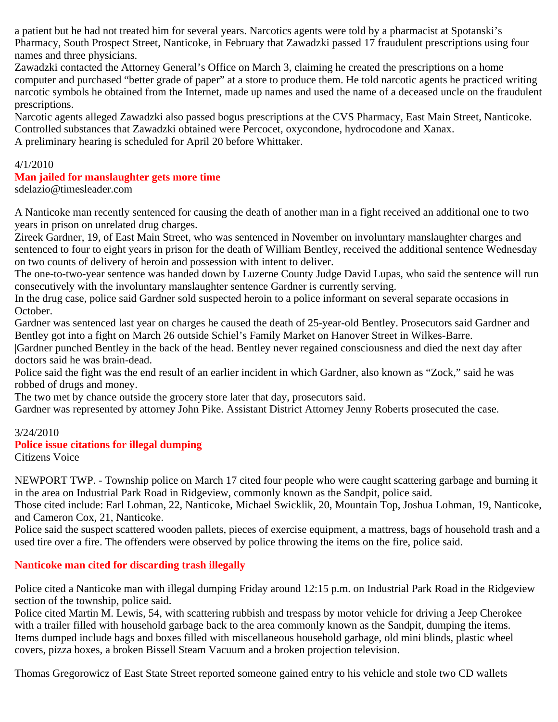a patient but he had not treated him for several years. Narcotics agents were told by a pharmacist at Spotanski's Pharmacy, South Prospect Street, Nanticoke, in February that Zawadzki passed 17 fraudulent prescriptions using four names and three physicians.

Zawadzki contacted the Attorney General's Office on March 3, claiming he created the prescriptions on a home computer and purchased "better grade of paper" at a store to produce them. He told narcotic agents he practiced writing narcotic symbols he obtained from the Internet, made up names and used the name of a deceased uncle on the fraudulent prescriptions.

Narcotic agents alleged Zawadzki also passed bogus prescriptions at the CVS Pharmacy, East Main Street, Nanticoke. Controlled substances that Zawadzki obtained were Percocet, oxycondone, hydrocodone and Xanax. A preliminary hearing is scheduled for April 20 before Whittaker.

#### 4/1/2010

# **Man jailed for manslaughter gets more time**

sdelazio@timesleader.com

A Nanticoke man recently sentenced for causing the death of another man in a fight received an additional one to two years in prison on unrelated drug charges.

Zireek Gardner, 19, of East Main Street, who was sentenced in November on involuntary manslaughter charges and sentenced to four to eight years in prison for the death of William Bentley, received the additional sentence Wednesday on two counts of delivery of heroin and possession with intent to deliver.

The one-to-two-year sentence was handed down by Luzerne County Judge David Lupas, who said the sentence will run consecutively with the involuntary manslaughter sentence Gardner is currently serving.

In the drug case, police said Gardner sold suspected heroin to a police informant on several separate occasions in October.

Gardner was sentenced last year on charges he caused the death of 25-year-old Bentley. Prosecutors said Gardner and Bentley got into a fight on March 26 outside Schiel's Family Market on Hanover Street in Wilkes-Barre.

|Gardner punched Bentley in the back of the head. Bentley never regained consciousness and died the next day after doctors said he was brain-dead.

Police said the fight was the end result of an earlier incident in which Gardner, also known as "Zock," said he was robbed of drugs and money.

The two met by chance outside the grocery store later that day, prosecutors said.

Gardner was represented by attorney John Pike. Assistant District Attorney Jenny Roberts prosecuted the case.

#### 3/24/2010

#### **Police issue citations for illegal dumping**

Citizens Voice

NEWPORT TWP. - Township police on March 17 cited four people who were caught scattering garbage and burning it in the area on Industrial Park Road in Ridgeview, commonly known as the Sandpit, police said.

Those cited include: Earl Lohman, 22, Nanticoke, Michael Swicklik, 20, Mountain Top, Joshua Lohman, 19, Nanticoke, and Cameron Cox, 21, Nanticoke.

Police said the suspect scattered wooden pallets, pieces of exercise equipment, a mattress, bags of household trash and a used tire over a fire. The offenders were observed by police throwing the items on the fire, police said.

# **Nanticoke man cited for discarding trash illegally**

Police cited a Nanticoke man with illegal dumping Friday around 12:15 p.m. on Industrial Park Road in the Ridgeview section of the township, police said.

Police cited Martin M. Lewis, 54, with scattering rubbish and trespass by motor vehicle for driving a Jeep Cherokee with a trailer filled with household garbage back to the area commonly known as the Sandpit, dumping the items. Items dumped include bags and boxes filled with miscellaneous household garbage, old mini blinds, plastic wheel covers, pizza boxes, a broken Bissell Steam Vacuum and a broken projection television.

Thomas Gregorowicz of East State Street reported someone gained entry to his vehicle and stole two CD wallets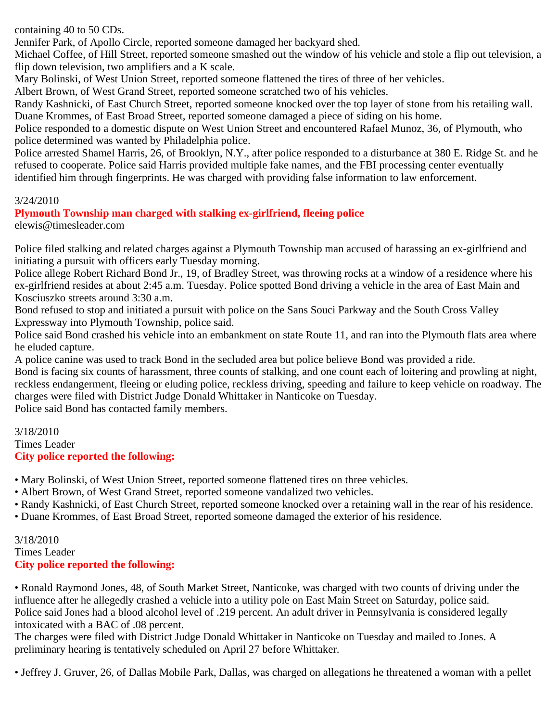containing 40 to 50 CDs.

Jennifer Park, of Apollo Circle, reported someone damaged her backyard shed.

Michael Coffee, of Hill Street, reported someone smashed out the window of his vehicle and stole a flip out television, a flip down television, two amplifiers and a K scale.

Mary Bolinski, of West Union Street, reported someone flattened the tires of three of her vehicles.

Albert Brown, of West Grand Street, reported someone scratched two of his vehicles.

Randy Kashnicki, of East Church Street, reported someone knocked over the top layer of stone from his retailing wall. Duane Krommes, of East Broad Street, reported someone damaged a piece of siding on his home.

Police responded to a domestic dispute on West Union Street and encountered Rafael Munoz, 36, of Plymouth, who police determined was wanted by Philadelphia police.

Police arrested Shamel Harris, 26, of Brooklyn, N.Y., after police responded to a disturbance at 380 E. Ridge St. and he refused to cooperate. Police said Harris provided multiple fake names, and the FBI processing center eventually identified him through fingerprints. He was charged with providing false information to law enforcement.

#### 3/24/2010

# **Plymouth Township man charged with stalking ex-girlfriend, fleeing police**

elewis@timesleader.com

Police filed stalking and related charges against a Plymouth Township man accused of harassing an ex-girlfriend and initiating a pursuit with officers early Tuesday morning.

Police allege Robert Richard Bond Jr., 19, of Bradley Street, was throwing rocks at a window of a residence where his ex-girlfriend resides at about 2:45 a.m. Tuesday. Police spotted Bond driving a vehicle in the area of East Main and Kosciuszko streets around 3:30 a.m.

Bond refused to stop and initiated a pursuit with police on the Sans Souci Parkway and the South Cross Valley Expressway into Plymouth Township, police said.

Police said Bond crashed his vehicle into an embankment on state Route 11, and ran into the Plymouth flats area where he eluded capture.

A police canine was used to track Bond in the secluded area but police believe Bond was provided a ride.

Bond is facing six counts of harassment, three counts of stalking, and one count each of loitering and prowling at night, reckless endangerment, fleeing or eluding police, reckless driving, speeding and failure to keep vehicle on roadway. The charges were filed with District Judge Donald Whittaker in Nanticoke on Tuesday.

Police said Bond has contacted family members.

3/18/2010 Times Leader **City police reported the following:**

• Mary Bolinski, of West Union Street, reported someone flattened tires on three vehicles.

- Albert Brown, of West Grand Street, reported someone vandalized two vehicles.
- Randy Kashnicki, of East Church Street, reported someone knocked over a retaining wall in the rear of his residence.
- Duane Krommes, of East Broad Street, reported someone damaged the exterior of his residence.

3/18/2010 Times Leader **City police reported the following:**

• Ronald Raymond Jones, 48, of South Market Street, Nanticoke, was charged with two counts of driving under the influence after he allegedly crashed a vehicle into a utility pole on East Main Street on Saturday, police said. Police said Jones had a blood alcohol level of .219 percent. An adult driver in Pennsylvania is considered legally intoxicated with a BAC of .08 percent.

The charges were filed with District Judge Donald Whittaker in Nanticoke on Tuesday and mailed to Jones. A preliminary hearing is tentatively scheduled on April 27 before Whittaker.

• Jeffrey J. Gruver, 26, of Dallas Mobile Park, Dallas, was charged on allegations he threatened a woman with a pellet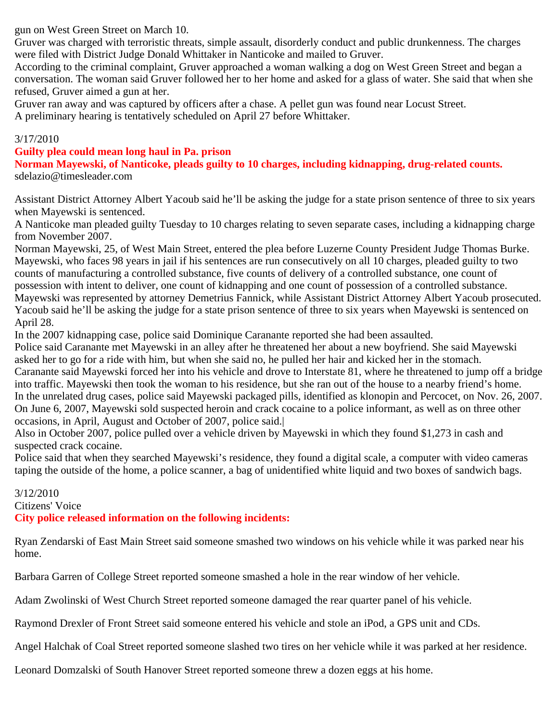gun on West Green Street on March 10.

Gruver was charged with terroristic threats, simple assault, disorderly conduct and public drunkenness. The charges were filed with District Judge Donald Whittaker in Nanticoke and mailed to Gruver.

According to the criminal complaint, Gruver approached a woman walking a dog on West Green Street and began a conversation. The woman said Gruver followed her to her home and asked for a glass of water. She said that when she refused, Gruver aimed a gun at her.

Gruver ran away and was captured by officers after a chase. A pellet gun was found near Locust Street. A preliminary hearing is tentatively scheduled on April 27 before Whittaker.

#### 3/17/2010

#### **Guilty plea could mean long haul in Pa. prison**

**Norman Mayewski, of Nanticoke, pleads guilty to 10 charges, including kidnapping, drug-related counts.** sdelazio@timesleader.com

Assistant District Attorney Albert Yacoub said he'll be asking the judge for a state prison sentence of three to six years when Mayewski is sentenced.

A Nanticoke man pleaded guilty Tuesday to 10 charges relating to seven separate cases, including a kidnapping charge from November 2007.

Norman Mayewski, 25, of West Main Street, entered the plea before Luzerne County President Judge Thomas Burke. Mayewski, who faces 98 years in jail if his sentences are run consecutively on all 10 charges, pleaded guilty to two counts of manufacturing a controlled substance, five counts of delivery of a controlled substance, one count of possession with intent to deliver, one count of kidnapping and one count of possession of a controlled substance. Mayewski was represented by attorney Demetrius Fannick, while Assistant District Attorney Albert Yacoub prosecuted. Yacoub said he'll be asking the judge for a state prison sentence of three to six years when Mayewski is sentenced on April 28.

In the 2007 kidnapping case, police said Dominique Caranante reported she had been assaulted.

Police said Caranante met Mayewski in an alley after he threatened her about a new boyfriend. She said Mayewski asked her to go for a ride with him, but when she said no, he pulled her hair and kicked her in the stomach. Caranante said Mayewski forced her into his vehicle and drove to Interstate 81, where he threatened to jump off a bridge into traffic. Mayewski then took the woman to his residence, but she ran out of the house to a nearby friend's home. In the unrelated drug cases, police said Mayewski packaged pills, identified as klonopin and Percocet, on Nov. 26, 2007. On June 6, 2007, Mayewski sold suspected heroin and crack cocaine to a police informant, as well as on three other occasions, in April, August and October of 2007, police said.|

Also in October 2007, police pulled over a vehicle driven by Mayewski in which they found \$1,273 in cash and suspected crack cocaine.

Police said that when they searched Mayewski's residence, they found a digital scale, a computer with video cameras taping the outside of the home, a police scanner, a bag of unidentified white liquid and two boxes of sandwich bags.

#### 3/12/2010 Citizens' Voice **City police released information on the following incidents:**

Ryan Zendarski of East Main Street said someone smashed two windows on his vehicle while it was parked near his home.

Barbara Garren of College Street reported someone smashed a hole in the rear window of her vehicle.

Adam Zwolinski of West Church Street reported someone damaged the rear quarter panel of his vehicle.

Raymond Drexler of Front Street said someone entered his vehicle and stole an iPod, a GPS unit and CDs.

Angel Halchak of Coal Street reported someone slashed two tires on her vehicle while it was parked at her residence.

Leonard Domzalski of South Hanover Street reported someone threw a dozen eggs at his home.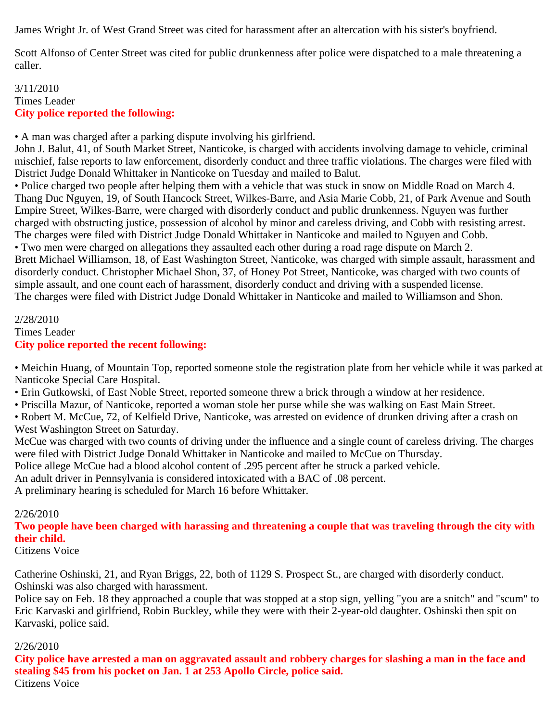James Wright Jr. of West Grand Street was cited for harassment after an altercation with his sister's boyfriend.

Scott Alfonso of Center Street was cited for public drunkenness after police were dispatched to a male threatening a caller.

#### 3/11/2010 Times Leader **City police reported the following:**

• A man was charged after a parking dispute involving his girlfriend.

John J. Balut, 41, of South Market Street, Nanticoke, is charged with accidents involving damage to vehicle, criminal mischief, false reports to law enforcement, disorderly conduct and three traffic violations. The charges were filed with District Judge Donald Whittaker in Nanticoke on Tuesday and mailed to Balut.

• Police charged two people after helping them with a vehicle that was stuck in snow on Middle Road on March 4. Thang Duc Nguyen, 19, of South Hancock Street, Wilkes-Barre, and Asia Marie Cobb, 21, of Park Avenue and South Empire Street, Wilkes-Barre, were charged with disorderly conduct and public drunkenness. Nguyen was further charged with obstructing justice, possession of alcohol by minor and careless driving, and Cobb with resisting arrest. The charges were filed with District Judge Donald Whittaker in Nanticoke and mailed to Nguyen and Cobb.

• Two men were charged on allegations they assaulted each other during a road rage dispute on March 2. Brett Michael Williamson, 18, of East Washington Street, Nanticoke, was charged with simple assault, harassment and disorderly conduct. Christopher Michael Shon, 37, of Honey Pot Street, Nanticoke, was charged with two counts of simple assault, and one count each of harassment, disorderly conduct and driving with a suspended license. The charges were filed with District Judge Donald Whittaker in Nanticoke and mailed to Williamson and Shon.

#### 2/28/2010 Times Leader **City police reported the recent following:**

• Meichin Huang, of Mountain Top, reported someone stole the registration plate from her vehicle while it was parked at Nanticoke Special Care Hospital.

• Erin Gutkowski, of East Noble Street, reported someone threw a brick through a window at her residence.

• Priscilla Mazur, of Nanticoke, reported a woman stole her purse while she was walking on East Main Street.

• Robert M. McCue, 72, of Kelfield Drive, Nanticoke, was arrested on evidence of drunken driving after a crash on West Washington Street on Saturday.

McCue was charged with two counts of driving under the influence and a single count of careless driving. The charges were filed with District Judge Donald Whittaker in Nanticoke and mailed to McCue on Thursday.

Police allege McCue had a blood alcohol content of .295 percent after he struck a parked vehicle.

An adult driver in Pennsylvania is considered intoxicated with a BAC of .08 percent.

A preliminary hearing is scheduled for March 16 before Whittaker.

# 2/26/2010

**Two people have been charged with harassing and threatening a couple that was traveling through the city with their child.**

Citizens Voice

Catherine Oshinski, 21, and Ryan Briggs, 22, both of 1129 S. Prospect St., are charged with disorderly conduct. Oshinski was also charged with harassment.

Police say on Feb. 18 they approached a couple that was stopped at a stop sign, yelling "you are a snitch" and "scum" to Eric Karvaski and girlfriend, Robin Buckley, while they were with their 2-year-old daughter. Oshinski then spit on Karvaski, police said.

# 2/26/2010

**City police have arrested a man on aggravated assault and robbery charges for slashing a man in the face and stealing \$45 from his pocket on Jan. 1 at 253 Apollo Circle, police said.**

Citizens Voice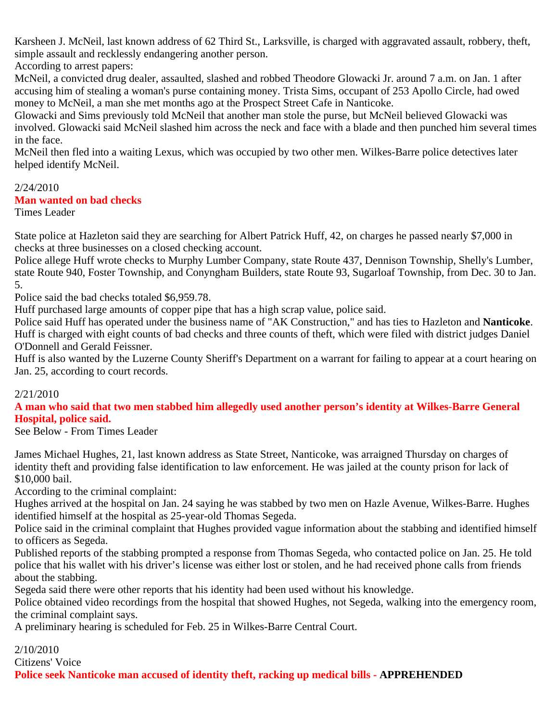Karsheen J. McNeil, last known address of 62 Third St., Larksville, is charged with aggravated assault, robbery, theft, simple assault and recklessly endangering another person.

According to arrest papers:

McNeil, a convicted drug dealer, assaulted, slashed and robbed Theodore Glowacki Jr. around 7 a.m. on Jan. 1 after accusing him of stealing a woman's purse containing money. Trista Sims, occupant of 253 Apollo Circle, had owed money to McNeil, a man she met months ago at the Prospect Street Cafe in Nanticoke.

Glowacki and Sims previously told McNeil that another man stole the purse, but McNeil believed Glowacki was involved. Glowacki said McNeil slashed him across the neck and face with a blade and then punched him several times in the face.

McNeil then fled into a waiting Lexus, which was occupied by two other men. Wilkes-Barre police detectives later helped identify McNeil.

# 2/24/2010

#### **Man wanted on bad checks**

Times Leader

State police at Hazleton said they are searching for Albert Patrick Huff, 42, on charges he passed nearly \$7,000 in checks at three businesses on a closed checking account.

Police allege Huff wrote checks to Murphy Lumber Company, state Route 437, Dennison Township, Shelly's Lumber, state Route 940, Foster Township, and Conyngham Builders, state Route 93, Sugarloaf Township, from Dec. 30 to Jan. 5.

Police said the bad checks totaled \$6,959.78.

Huff purchased large amounts of copper pipe that has a high scrap value, police said.

Police said Huff has operated under the business name of "AK Construction," and has ties to Hazleton and **Nanticoke**. Huff is charged with eight counts of bad checks and three counts of theft, which were filed with district judges Daniel O'Donnell and Gerald Feissner.

Huff is also wanted by the Luzerne County Sheriff's Department on a warrant for failing to appear at a court hearing on Jan. 25, according to court records.

#### 2/21/2010

**A man who said that two men stabbed him allegedly used another person's identity at Wilkes-Barre General Hospital, police said.**

See Below - From Times Leader

James Michael Hughes, 21, last known address as State Street, Nanticoke, was arraigned Thursday on charges of identity theft and providing false identification to law enforcement. He was jailed at the county prison for lack of \$10,000 bail.

According to the criminal complaint:

Hughes arrived at the hospital on Jan. 24 saying he was stabbed by two men on Hazle Avenue, Wilkes-Barre. Hughes identified himself at the hospital as 25-year-old Thomas Segeda.

Police said in the criminal complaint that Hughes provided vague information about the stabbing and identified himself to officers as Segeda.

Published reports of the stabbing prompted a response from Thomas Segeda, who contacted police on Jan. 25. He told police that his wallet with his driver's license was either lost or stolen, and he had received phone calls from friends about the stabbing.

Segeda said there were other reports that his identity had been used without his knowledge.

Police obtained video recordings from the hospital that showed Hughes, not Segeda, walking into the emergency room, the criminal complaint says.

A preliminary hearing is scheduled for Feb. 25 in Wilkes-Barre Central Court.

2/10/2010 Citizens' Voice **Police seek Nanticoke man accused of identity theft, racking up medical bills - APPREHENDED**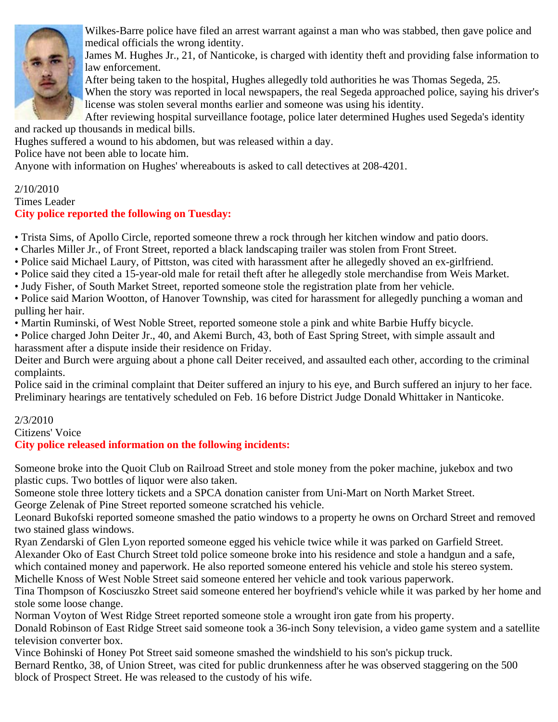

Wilkes-Barre police have filed an arrest warrant against a man who was stabbed, then gave police and medical officials the wrong identity.

James M. Hughes Jr., 21, of Nanticoke, is charged with identity theft and providing false information to law enforcement.

After being taken to the hospital, Hughes allegedly told authorities he was Thomas Segeda, 25.

When the story was reported in local newspapers, the real Segeda approached police, saying his driver's license was stolen several months earlier and someone was using his identity.

After reviewing hospital surveillance footage, police later determined Hughes used Segeda's identity and racked up thousands in medical bills.

Hughes suffered a wound to his abdomen, but was released within a day.

Police have not been able to locate him.

Anyone with information on Hughes' whereabouts is asked to call detectives at 208-4201.

# 2/10/2010

#### Times Leader **City police reported the following on Tuesday:**

• Trista Sims, of Apollo Circle, reported someone threw a rock through her kitchen window and patio doors.

- Charles Miller Jr., of Front Street, reported a black landscaping trailer was stolen from Front Street.
- Police said Michael Laury, of Pittston, was cited with harassment after he allegedly shoved an ex-girlfriend.
- Police said they cited a 15-year-old male for retail theft after he allegedly stole merchandise from Weis Market.
- Judy Fisher, of South Market Street, reported someone stole the registration plate from her vehicle.

• Police said Marion Wootton, of Hanover Township, was cited for harassment for allegedly punching a woman and pulling her hair.

• Martin Ruminski, of West Noble Street, reported someone stole a pink and white Barbie Huffy bicycle.

• Police charged John Deiter Jr., 40, and Akemi Burch, 43, both of East Spring Street, with simple assault and harassment after a dispute inside their residence on Friday.

Deiter and Burch were arguing about a phone call Deiter received, and assaulted each other, according to the criminal complaints.

Police said in the criminal complaint that Deiter suffered an injury to his eye, and Burch suffered an injury to her face. Preliminary hearings are tentatively scheduled on Feb. 16 before District Judge Donald Whittaker in Nanticoke.

2/3/2010

# Citizens' Voice

# **City police released information on the following incidents:**

Someone broke into the Quoit Club on Railroad Street and stole money from the poker machine, jukebox and two plastic cups. Two bottles of liquor were also taken.

Someone stole three lottery tickets and a SPCA donation canister from Uni-Mart on North Market Street.

George Zelenak of Pine Street reported someone scratched his vehicle.

Leonard Bukofski reported someone smashed the patio windows to a property he owns on Orchard Street and removed two stained glass windows.

Ryan Zendarski of Glen Lyon reported someone egged his vehicle twice while it was parked on Garfield Street.

Alexander Oko of East Church Street told police someone broke into his residence and stole a handgun and a safe,

which contained money and paperwork. He also reported someone entered his vehicle and stole his stereo system.

Michelle Knoss of West Noble Street said someone entered her vehicle and took various paperwork.

Tina Thompson of Kosciuszko Street said someone entered her boyfriend's vehicle while it was parked by her home and stole some loose change.

Norman Voyton of West Ridge Street reported someone stole a wrought iron gate from his property.

Donald Robinson of East Ridge Street said someone took a 36-inch Sony television, a video game system and a satellite television converter box.

Vince Bohinski of Honey Pot Street said someone smashed the windshield to his son's pickup truck.

Bernard Rentko, 38, of Union Street, was cited for public drunkenness after he was observed staggering on the 500 block of Prospect Street. He was released to the custody of his wife.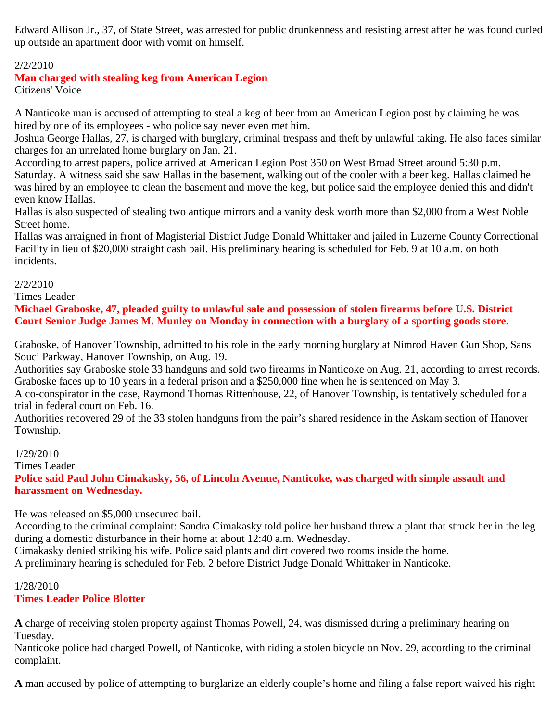Edward Allison Jr., 37, of State Street, was arrested for public drunkenness and resisting arrest after he was found curled up outside an apartment door with vomit on himself.

### 2/2/2010

# **Man charged with stealing keg from American Legion**

Citizens' Voice

A Nanticoke man is accused of attempting to steal a keg of beer from an American Legion post by claiming he was hired by one of its employees - who police say never even met him.

Joshua George Hallas, 27, is charged with burglary, criminal trespass and theft by unlawful taking. He also faces similar charges for an unrelated home burglary on Jan. 21.

According to arrest papers, police arrived at American Legion Post 350 on West Broad Street around 5:30 p.m. Saturday. A witness said she saw Hallas in the basement, walking out of the cooler with a beer keg. Hallas claimed he was hired by an employee to clean the basement and move the keg, but police said the employee denied this and didn't even know Hallas.

Hallas is also suspected of stealing two antique mirrors and a vanity desk worth more than \$2,000 from a West Noble Street home.

Hallas was arraigned in front of Magisterial District Judge Donald Whittaker and jailed in Luzerne County Correctional Facility in lieu of \$20,000 straight cash bail. His preliminary hearing is scheduled for Feb. 9 at 10 a.m. on both incidents.

#### 2/2/2010

Times Leader

**Michael Graboske, 47, pleaded guilty to unlawful sale and possession of stolen firearms before U.S. District Court Senior Judge James M. Munley on Monday in connection with a burglary of a sporting goods store.**

Graboske, of Hanover Township, admitted to his role in the early morning burglary at Nimrod Haven Gun Shop, Sans Souci Parkway, Hanover Township, on Aug. 19.

Authorities say Graboske stole 33 handguns and sold two firearms in Nanticoke on Aug. 21, according to arrest records. Graboske faces up to 10 years in a federal prison and a \$250,000 fine when he is sentenced on May 3.

A co-conspirator in the case, Raymond Thomas Rittenhouse, 22, of Hanover Township, is tentatively scheduled for a trial in federal court on Feb. 16.

Authorities recovered 29 of the 33 stolen handguns from the pair's shared residence in the Askam section of Hanover Township.

#### 1/29/2010

Times Leader

**Police said Paul John Cimakasky, 56, of Lincoln Avenue, Nanticoke, was charged with simple assault and harassment on Wednesday.**

He was released on \$5,000 unsecured bail.

According to the criminal complaint: Sandra Cimakasky told police her husband threw a plant that struck her in the leg during a domestic disturbance in their home at about 12:40 a.m. Wednesday.

Cimakasky denied striking his wife. Police said plants and dirt covered two rooms inside the home.

A preliminary hearing is scheduled for Feb. 2 before District Judge Donald Whittaker in Nanticoke.

#### 1/28/2010 **Times Leader Police Blotter**

**A** charge of receiving stolen property against Thomas Powell, 24, was dismissed during a preliminary hearing on Tuesday.

Nanticoke police had charged Powell, of Nanticoke, with riding a stolen bicycle on Nov. 29, according to the criminal complaint.

**A** man accused by police of attempting to burglarize an elderly couple's home and filing a false report waived his right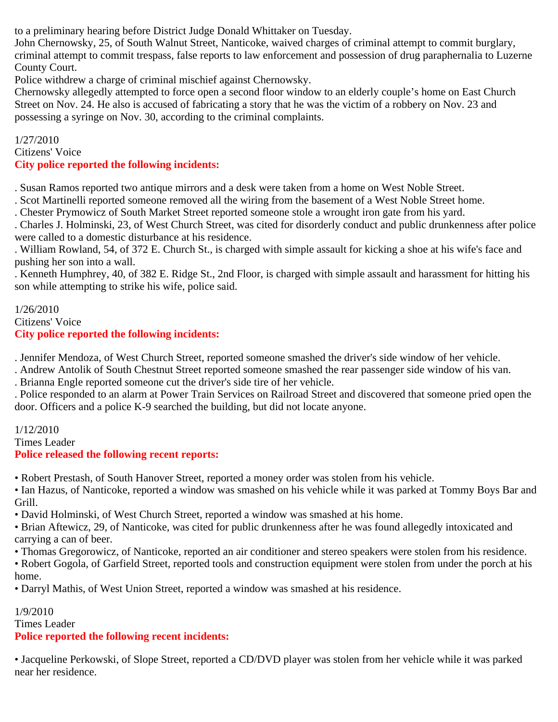to a preliminary hearing before District Judge Donald Whittaker on Tuesday.

John Chernowsky, 25, of South Walnut Street, Nanticoke, waived charges of criminal attempt to commit burglary, criminal attempt to commit trespass, false reports to law enforcement and possession of drug paraphernalia to Luzerne County Court.

Police withdrew a charge of criminal mischief against Chernowsky.

Chernowsky allegedly attempted to force open a second floor window to an elderly couple's home on East Church Street on Nov. 24. He also is accused of fabricating a story that he was the victim of a robbery on Nov. 23 and possessing a syringe on Nov. 30, according to the criminal complaints.

1/27/2010 Citizens' Voice **City police reported the following incidents:**

. Susan Ramos reported two antique mirrors and a desk were taken from a home on West Noble Street.

. Scot Martinelli reported someone removed all the wiring from the basement of a West Noble Street home.

. Chester Prymowicz of South Market Street reported someone stole a wrought iron gate from his yard.

. Charles J. Holminski, 23, of West Church Street, was cited for disorderly conduct and public drunkenness after police were called to a domestic disturbance at his residence.

. William Rowland, 54, of 372 E. Church St., is charged with simple assault for kicking a shoe at his wife's face and pushing her son into a wall.

. Kenneth Humphrey, 40, of 382 E. Ridge St., 2nd Floor, is charged with simple assault and harassment for hitting his son while attempting to strike his wife, police said.

#### 1/26/2010 Citizens' Voice **City police reported the following incidents:**

. Jennifer Mendoza, of West Church Street, reported someone smashed the driver's side window of her vehicle.

. Andrew Antolik of South Chestnut Street reported someone smashed the rear passenger side window of his van.

. Brianna Engle reported someone cut the driver's side tire of her vehicle.

. Police responded to an alarm at Power Train Services on Railroad Street and discovered that someone pried open the door. Officers and a police K-9 searched the building, but did not locate anyone.

# 1/12/2010

Times Leader

# **Police released the following recent reports:**

• Robert Prestash, of South Hanover Street, reported a money order was stolen from his vehicle.

• Ian Hazus, of Nanticoke, reported a window was smashed on his vehicle while it was parked at Tommy Boys Bar and Grill.

• David Holminski, of West Church Street, reported a window was smashed at his home.

• Brian Aftewicz, 29, of Nanticoke, was cited for public drunkenness after he was found allegedly intoxicated and carrying a can of beer.

• Thomas Gregorowicz, of Nanticoke, reported an air conditioner and stereo speakers were stolen from his residence.

• Robert Gogola, of Garfield Street, reported tools and construction equipment were stolen from under the porch at his home.

• Darryl Mathis, of West Union Street, reported a window was smashed at his residence.

# 1/9/2010

Times Leader

# **Police reported the following recent incidents:**

• Jacqueline Perkowski, of Slope Street, reported a CD/DVD player was stolen from her vehicle while it was parked near her residence.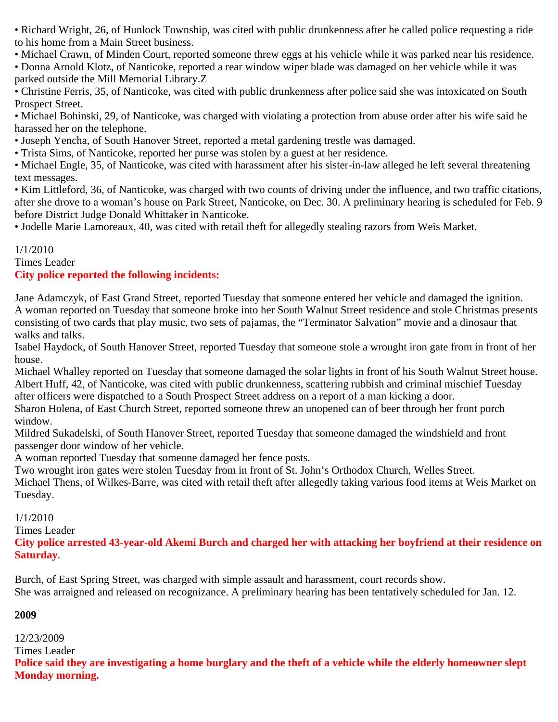• Richard Wright, 26, of Hunlock Township, was cited with public drunkenness after he called police requesting a ride to his home from a Main Street business.

• Michael Crawn, of Minden Court, reported someone threw eggs at his vehicle while it was parked near his residence.

• Donna Arnold Klotz, of Nanticoke, reported a rear window wiper blade was damaged on her vehicle while it was parked outside the Mill Memorial Library.Z

• Christine Ferris, 35, of Nanticoke, was cited with public drunkenness after police said she was intoxicated on South Prospect Street.

• Michael Bohinski, 29, of Nanticoke, was charged with violating a protection from abuse order after his wife said he harassed her on the telephone.

• Joseph Yencha, of South Hanover Street, reported a metal gardening trestle was damaged.

• Trista Sims, of Nanticoke, reported her purse was stolen by a guest at her residence.

• Michael Engle, 35, of Nanticoke, was cited with harassment after his sister-in-law alleged he left several threatening text messages.

• Kim Littleford, 36, of Nanticoke, was charged with two counts of driving under the influence, and two traffic citations, after she drove to a woman's house on Park Street, Nanticoke, on Dec. 30. A preliminary hearing is scheduled for Feb. 9 before District Judge Donald Whittaker in Nanticoke.

• Jodelle Marie Lamoreaux, 40, was cited with retail theft for allegedly stealing razors from Weis Market.

### 1/1/2010

Times Leader

# **City police reported the following incidents:**

Jane Adamczyk, of East Grand Street, reported Tuesday that someone entered her vehicle and damaged the ignition. A woman reported on Tuesday that someone broke into her South Walnut Street residence and stole Christmas presents consisting of two cards that play music, two sets of pajamas, the "Terminator Salvation" movie and a dinosaur that walks and talks.

Isabel Haydock, of South Hanover Street, reported Tuesday that someone stole a wrought iron gate from in front of her house.

Michael Whalley reported on Tuesday that someone damaged the solar lights in front of his South Walnut Street house. Albert Huff, 42, of Nanticoke, was cited with public drunkenness, scattering rubbish and criminal mischief Tuesday after officers were dispatched to a South Prospect Street address on a report of a man kicking a door.

Sharon Holena, of East Church Street, reported someone threw an unopened can of beer through her front porch window.

Mildred Sukadelski, of South Hanover Street, reported Tuesday that someone damaged the windshield and front passenger door window of her vehicle.

A woman reported Tuesday that someone damaged her fence posts.

Two wrought iron gates were stolen Tuesday from in front of St. John's Orthodox Church, Welles Street.

Michael Thens, of Wilkes-Barre, was cited with retail theft after allegedly taking various food items at Weis Market on Tuesday.

1/1/2010

Times Leader

**City police arrested 43-year-old Akemi Burch and charged her with attacking her boyfriend at their residence on Saturday**.

Burch, of East Spring Street, was charged with simple assault and harassment, court records show. She was arraigned and released on recognizance. A preliminary hearing has been tentatively scheduled for Jan. 12.

#### **2009**

12/23/2009

Times Leader

**Police said they are investigating a home burglary and the theft of a vehicle while the elderly homeowner slept Monday morning.**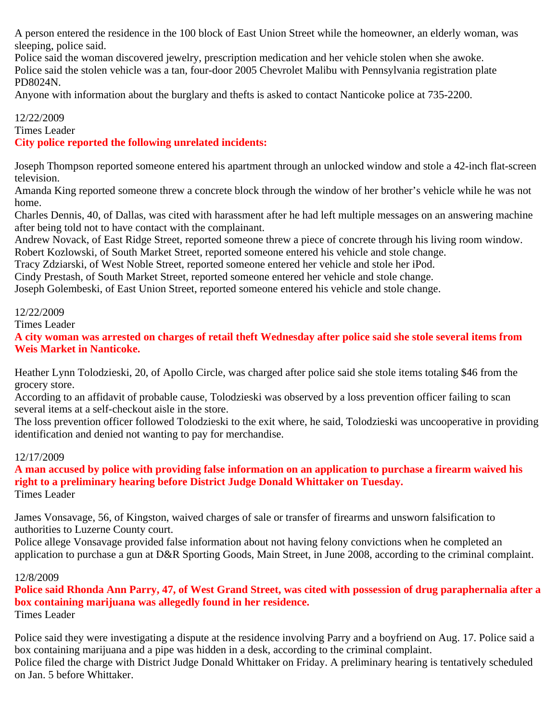A person entered the residence in the 100 block of East Union Street while the homeowner, an elderly woman, was sleeping, police said.

Police said the woman discovered jewelry, prescription medication and her vehicle stolen when she awoke. Police said the stolen vehicle was a tan, four-door 2005 Chevrolet Malibu with Pennsylvania registration plate PD8024N.

Anyone with information about the burglary and thefts is asked to contact Nanticoke police at 735-2200.

### 12/22/2009

Times Leader

**City police reported the following unrelated incidents:**

Joseph Thompson reported someone entered his apartment through an unlocked window and stole a 42-inch flat-screen television.

Amanda King reported someone threw a concrete block through the window of her brother's vehicle while he was not home.

Charles Dennis, 40, of Dallas, was cited with harassment after he had left multiple messages on an answering machine after being told not to have contact with the complainant.

Andrew Novack, of East Ridge Street, reported someone threw a piece of concrete through his living room window. Robert Kozlowski, of South Market Street, reported someone entered his vehicle and stole change.

Tracy Zdziarski, of West Noble Street, reported someone entered her vehicle and stole her iPod.

Cindy Prestash, of South Market Street, reported someone entered her vehicle and stole change.

Joseph Golembeski, of East Union Street, reported someone entered his vehicle and stole change.

#### 12/22/2009

Times Leader

**A city woman was arrested on charges of retail theft Wednesday after police said she stole several items from Weis Market in Nanticoke.**

Heather Lynn Tolodzieski, 20, of Apollo Circle, was charged after police said she stole items totaling \$46 from the grocery store.

According to an affidavit of probable cause, Tolodzieski was observed by a loss prevention officer failing to scan several items at a self-checkout aisle in the store.

The loss prevention officer followed Tolodzieski to the exit where, he said, Tolodzieski was uncooperative in providing identification and denied not wanting to pay for merchandise.

#### 12/17/2009

**A man accused by police with providing false information on an application to purchase a firearm waived his right to a preliminary hearing before District Judge Donald Whittaker on Tuesday.** Times Leader

James Vonsavage, 56, of Kingston, waived charges of sale or transfer of firearms and unsworn falsification to authorities to Luzerne County court.

Police allege Vonsavage provided false information about not having felony convictions when he completed an application to purchase a gun at D&R Sporting Goods, Main Street, in June 2008, according to the criminal complaint.

#### 12/8/2009

**Police said Rhonda Ann Parry, 47, of West Grand Street, was cited with possession of drug paraphernalia after a box containing marijuana was allegedly found in her residence.**  Times Leader

Police said they were investigating a dispute at the residence involving Parry and a boyfriend on Aug. 17. Police said a box containing marijuana and a pipe was hidden in a desk, according to the criminal complaint. Police filed the charge with District Judge Donald Whittaker on Friday. A preliminary hearing is tentatively scheduled on Jan. 5 before Whittaker.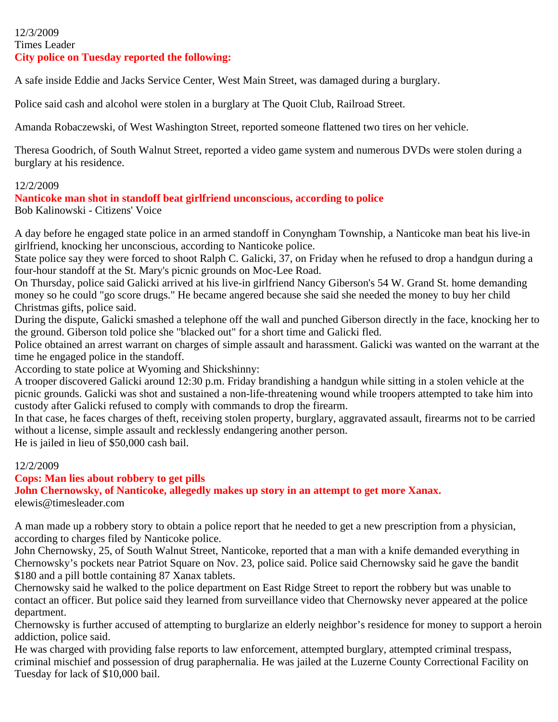#### 12/3/2009 Times Leader **City police on Tuesday reported the following:**

A safe inside Eddie and Jacks Service Center, West Main Street, was damaged during a burglary.

Police said cash and alcohol were stolen in a burglary at The Quoit Club, Railroad Street.

Amanda Robaczewski, of West Washington Street, reported someone flattened two tires on her vehicle.

Theresa Goodrich, of South Walnut Street, reported a video game system and numerous DVDs were stolen during a burglary at his residence.

#### 12/2/2009

**Nanticoke man shot in standoff beat girlfriend unconscious, according to police**

Bob Kalinowski - Citizens' Voice

A day before he engaged state police in an armed standoff in Conyngham Township, a Nanticoke man beat his live-in girlfriend, knocking her unconscious, according to Nanticoke police.

State police say they were forced to shoot Ralph C. Galicki, 37, on Friday when he refused to drop a handgun during a four-hour standoff at the St. Mary's picnic grounds on Moc-Lee Road.

On Thursday, police said Galicki arrived at his live-in girlfriend Nancy Giberson's 54 W. Grand St. home demanding money so he could "go score drugs." He became angered because she said she needed the money to buy her child Christmas gifts, police said.

During the dispute, Galicki smashed a telephone off the wall and punched Giberson directly in the face, knocking her to the ground. Giberson told police she "blacked out" for a short time and Galicki fled.

Police obtained an arrest warrant on charges of simple assault and harassment. Galicki was wanted on the warrant at the time he engaged police in the standoff.

According to state police at Wyoming and Shickshinny:

A trooper discovered Galicki around 12:30 p.m. Friday brandishing a handgun while sitting in a stolen vehicle at the picnic grounds. Galicki was shot and sustained a non-life-threatening wound while troopers attempted to take him into custody after Galicki refused to comply with commands to drop the firearm.

In that case, he faces charges of theft, receiving stolen property, burglary, aggravated assault, firearms not to be carried without a license, simple assault and recklessly endangering another person.

He is jailed in lieu of \$50,000 cash bail.

### 12/2/2009

### **Cops: Man lies about robbery to get pills**

**John Chernowsky, of Nanticoke, allegedly makes up story in an attempt to get more Xanax.**

elewis@timesleader.com

A man made up a robbery story to obtain a police report that he needed to get a new prescription from a physician, according to charges filed by Nanticoke police.

John Chernowsky, 25, of South Walnut Street, Nanticoke, reported that a man with a knife demanded everything in Chernowsky's pockets near Patriot Square on Nov. 23, police said. Police said Chernowsky said he gave the bandit \$180 and a pill bottle containing 87 Xanax tablets.

Chernowsky said he walked to the police department on East Ridge Street to report the robbery but was unable to contact an officer. But police said they learned from surveillance video that Chernowsky never appeared at the police department.

Chernowsky is further accused of attempting to burglarize an elderly neighbor's residence for money to support a heroin addiction, police said.

He was charged with providing false reports to law enforcement, attempted burglary, attempted criminal trespass, criminal mischief and possession of drug paraphernalia. He was jailed at the Luzerne County Correctional Facility on Tuesday for lack of \$10,000 bail.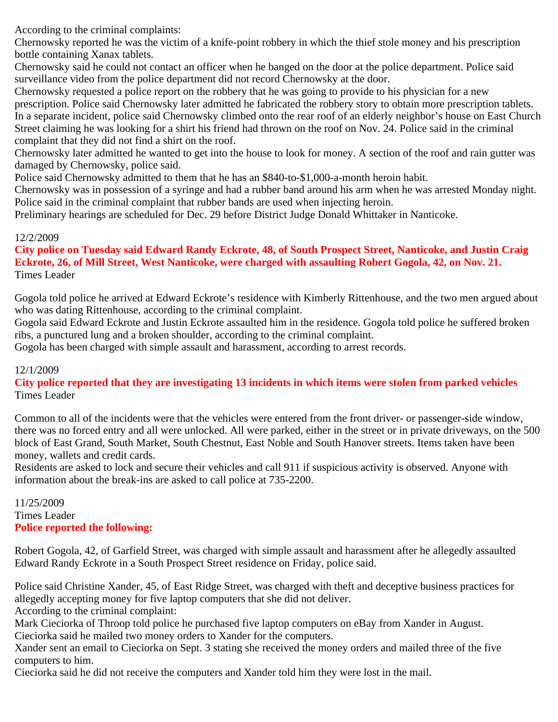According to the criminal complaints:

Chernowsky reported he was the victim of a knife-point robbery in which the thief stole money and his prescription bottle containing Xanax tablets.

Chernowsky said he could not contact an officer when he banged on the door at the police department. Police said surveillance video from the police department did not record Chernowsky at the door.

Chernowsky requested a police report on the robbery that he was going to provide to his physician for a new prescription. Police said Chernowsky later admitted he fabricated the robbery story to obtain more prescription tablets. In a separate incident, police said Chernowsky climbed onto the rear roof of an elderly neighbor's house on East Church Street claiming he was looking for a shirt his friend had thrown on the roof on Nov. 24. Police said in the criminal complaint that they did not find a shirt on the roof.

Chernowsky later admitted he wanted to get into the house to look for money. A section of the roof and rain gutter was damaged by Chernowsky, police said.

Police said Chernowsky admitted to them that he has an \$840-to-\$1,000-a-month heroin habit.

Chernowsky was in possession of a syringe and had a rubber band around his arm when he was arrested Monday night. Police said in the criminal complaint that rubber bands are used when injecting heroin.

Preliminary hearings are scheduled for Dec. 29 before District Judge Donald Whittaker in Nanticoke.

### 12/2/2009

### **City police on Tuesday said Edward Randy Eckrote, 48, of South Prospect Street, Nanticoke, and Justin Craig Eckrote, 26, of Mill Street, West Nanticoke, were charged with assaulting Robert Gogola, 42, on Nov. 21.** Times Leader

Gogola told police he arrived at Edward Eckrote's residence with Kimberly Rittenhouse, and the two men argued about who was dating Rittenhouse, according to the criminal complaint.

Gogola said Edward Eckrote and Justin Eckrote assaulted him in the residence. Gogola told police he suffered broken ribs, a punctured lung and a broken shoulder, according to the criminal complaint.

Gogola has been charged with simple assault and harassment, according to arrest records.

### 12/1/2009

**City police reported that they are investigating 13 incidents in which items were stolen from parked vehicles** Times Leader

Common to all of the incidents were that the vehicles were entered from the front driver- or passenger-side window, there was no forced entry and all were unlocked. All were parked, either in the street or in private driveways, on the 500 block of East Grand, South Market, South Chestnut, East Noble and South Hanover streets. Items taken have been money, wallets and credit cards.

Residents are asked to lock and secure their vehicles and call 911 if suspicious activity is observed. Anyone with information about the break-ins are asked to call police at 735-2200.

11/25/2009 Times Leader **Police reported the following:**

Robert Gogola, 42, of Garfield Street, was charged with simple assault and harassment after he allegedly assaulted Edward Randy Eckrote in a South Prospect Street residence on Friday, police said.

Police said Christine Xander, 45, of East Ridge Street, was charged with theft and deceptive business practices for allegedly accepting money for five laptop computers that she did not deliver. According to the criminal complaint:

Mark Cieciorka of Throop told police he purchased five laptop computers on eBay from Xander in August. Cieciorka said he mailed two money orders to Xander for the computers.

Xander sent an email to Cieciorka on Sept. 3 stating she received the money orders and mailed three of the five computers to him.

Cieciorka said he did not receive the computers and Xander told him they were lost in the mail.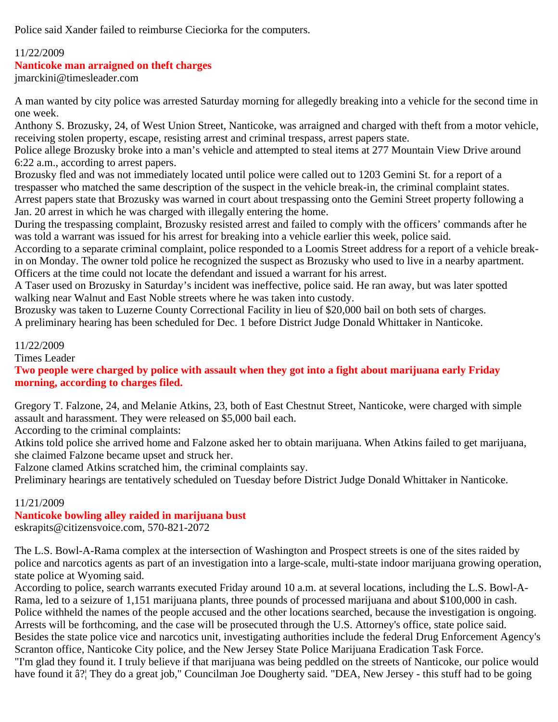Police said Xander failed to reimburse Cieciorka for the computers.

# 11/22/2009

### **Nanticoke man arraigned on theft charges**

jmarckini@timesleader.com

A man wanted by city police was arrested Saturday morning for allegedly breaking into a vehicle for the second time in one week.

Anthony S. Brozusky, 24, of West Union Street, Nanticoke, was arraigned and charged with theft from a motor vehicle, receiving stolen property, escape, resisting arrest and criminal trespass, arrest papers state.

Police allege Brozusky broke into a man's vehicle and attempted to steal items at 277 Mountain View Drive around 6:22 a.m., according to arrest papers.

Brozusky fled and was not immediately located until police were called out to 1203 Gemini St. for a report of a trespasser who matched the same description of the suspect in the vehicle break-in, the criminal complaint states. Arrest papers state that Brozusky was warned in court about trespassing onto the Gemini Street property following a Jan. 20 arrest in which he was charged with illegally entering the home.

During the trespassing complaint, Brozusky resisted arrest and failed to comply with the officers' commands after he was told a warrant was issued for his arrest for breaking into a vehicle earlier this week, police said.

According to a separate criminal complaint, police responded to a Loomis Street address for a report of a vehicle breakin on Monday. The owner told police he recognized the suspect as Brozusky who used to live in a nearby apartment. Officers at the time could not locate the defendant and issued a warrant for his arrest.

A Taser used on Brozusky in Saturday's incident was ineffective, police said. He ran away, but was later spotted walking near Walnut and East Noble streets where he was taken into custody.

Brozusky was taken to Luzerne County Correctional Facility in lieu of \$20,000 bail on both sets of charges. A preliminary hearing has been scheduled for Dec. 1 before District Judge Donald Whittaker in Nanticoke.

11/22/2009

Times Leader

**Two people were charged by police with assault when they got into a fight about marijuana early Friday morning, according to charges filed.**

Gregory T. Falzone, 24, and Melanie Atkins, 23, both of East Chestnut Street, Nanticoke, were charged with simple assault and harassment. They were released on \$5,000 bail each.

According to the criminal complaints:

Atkins told police she arrived home and Falzone asked her to obtain marijuana. When Atkins failed to get marijuana, she claimed Falzone became upset and struck her.

Falzone clamed Atkins scratched him, the criminal complaints say.

Preliminary hearings are tentatively scheduled on Tuesday before District Judge Donald Whittaker in Nanticoke.

# 11/21/2009

# **Nanticoke bowling alley raided in marijuana bust**

eskrapits@citizensvoice.com, 570-821-2072

The L.S. Bowl-A-Rama complex at the intersection of Washington and Prospect streets is one of the sites raided by police and narcotics agents as part of an investigation into a large-scale, multi-state indoor marijuana growing operation, state police at Wyoming said.

According to police, search warrants executed Friday around 10 a.m. at several locations, including the L.S. Bowl-A-Rama, led to a seizure of 1,151 marijuana plants, three pounds of processed marijuana and about \$100,000 in cash. Police withheld the names of the people accused and the other locations searched, because the investigation is ongoing. Arrests will be forthcoming, and the case will be prosecuted through the U.S. Attorney's office, state police said. Besides the state police vice and narcotics unit, investigating authorities include the federal Drug Enforcement Agency's Scranton office, Nanticoke City police, and the New Jersey State Police Marijuana Eradication Task Force. "I'm glad they found it. I truly believe if that marijuana was being peddled on the streets of Nanticoke, our police would have found it â? They do a great job," Councilman Joe Dougherty said. "DEA, New Jersey - this stuff had to be going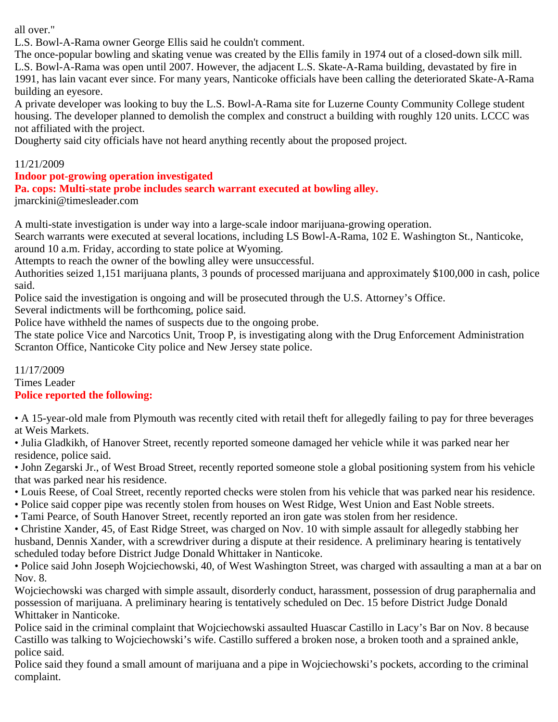all over."

L.S. Bowl-A-Rama owner George Ellis said he couldn't comment.

The once-popular bowling and skating venue was created by the Ellis family in 1974 out of a closed-down silk mill. L.S. Bowl-A-Rama was open until 2007. However, the adjacent L.S. Skate-A-Rama building, devastated by fire in 1991, has lain vacant ever since. For many years, Nanticoke officials have been calling the deteriorated Skate-A-Rama building an eyesore.

A private developer was looking to buy the L.S. Bowl-A-Rama site for Luzerne County Community College student housing. The developer planned to demolish the complex and construct a building with roughly 120 units. LCCC was not affiliated with the project.

Dougherty said city officials have not heard anything recently about the proposed project.

### 11/21/2009

## **Indoor pot-growing operation investigated**

**Pa. cops: Multi-state probe includes search warrant executed at bowling alley.**

jmarckini@timesleader.com

A multi-state investigation is under way into a large-scale indoor marijuana-growing operation.

Search warrants were executed at several locations, including LS Bowl-A-Rama, 102 E. Washington St., Nanticoke,

around 10 a.m. Friday, according to state police at Wyoming.

Attempts to reach the owner of the bowling alley were unsuccessful.

Authorities seized 1,151 marijuana plants, 3 pounds of processed marijuana and approximately \$100,000 in cash, police said.

Police said the investigation is ongoing and will be prosecuted through the U.S. Attorney's Office.

Several indictments will be forthcoming, police said.

Police have withheld the names of suspects due to the ongoing probe.

The state police Vice and Narcotics Unit, Troop P, is investigating along with the Drug Enforcement Administration Scranton Office, Nanticoke City police and New Jersey state police.

#### 11/17/2009 Times Leader **Police reported the following:**

• A 15-year-old male from Plymouth was recently cited with retail theft for allegedly failing to pay for three beverages at Weis Markets.

• Julia Gladkikh, of Hanover Street, recently reported someone damaged her vehicle while it was parked near her residence, police said.

• John Zegarski Jr., of West Broad Street, recently reported someone stole a global positioning system from his vehicle that was parked near his residence.

- Louis Reese, of Coal Street, recently reported checks were stolen from his vehicle that was parked near his residence.
- Police said copper pipe was recently stolen from houses on West Ridge, West Union and East Noble streets.
- Tami Pearce, of South Hanover Street, recently reported an iron gate was stolen from her residence.

• Christine Xander, 45, of East Ridge Street, was charged on Nov. 10 with simple assault for allegedly stabbing her husband, Dennis Xander, with a screwdriver during a dispute at their residence. A preliminary hearing is tentatively scheduled today before District Judge Donald Whittaker in Nanticoke.

• Police said John Joseph Wojciechowski, 40, of West Washington Street, was charged with assaulting a man at a bar on Nov. 8.

Wojciechowski was charged with simple assault, disorderly conduct, harassment, possession of drug paraphernalia and possession of marijuana. A preliminary hearing is tentatively scheduled on Dec. 15 before District Judge Donald Whittaker in Nanticoke.

Police said in the criminal complaint that Wojciechowski assaulted Huascar Castillo in Lacy's Bar on Nov. 8 because Castillo was talking to Wojciechowski's wife. Castillo suffered a broken nose, a broken tooth and a sprained ankle, police said.

Police said they found a small amount of marijuana and a pipe in Wojciechowski's pockets, according to the criminal complaint.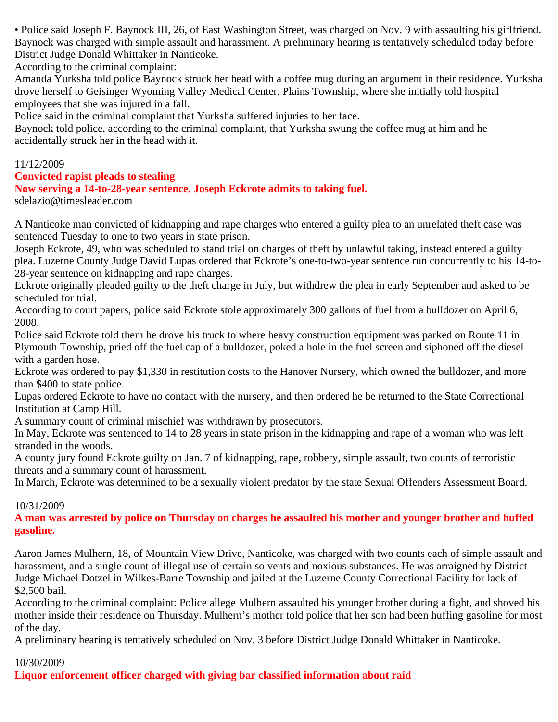• Police said Joseph F. Baynock III, 26, of East Washington Street, was charged on Nov. 9 with assaulting his girlfriend. Baynock was charged with simple assault and harassment. A preliminary hearing is tentatively scheduled today before District Judge Donald Whittaker in Nanticoke.

According to the criminal complaint:

Amanda Yurksha told police Baynock struck her head with a coffee mug during an argument in their residence. Yurksha drove herself to Geisinger Wyoming Valley Medical Center, Plains Township, where she initially told hospital employees that she was injured in a fall.

Police said in the criminal complaint that Yurksha suffered injuries to her face.

Baynock told police, according to the criminal complaint, that Yurksha swung the coffee mug at him and he accidentally struck her in the head with it.

### 11/12/2009

### **Convicted rapist pleads to stealing**

### **Now serving a 14-to-28-year sentence, Joseph Eckrote admits to taking fuel.**

sdelazio@timesleader.com

A Nanticoke man convicted of kidnapping and rape charges who entered a guilty plea to an unrelated theft case was sentenced Tuesday to one to two years in state prison.

Joseph Eckrote, 49, who was scheduled to stand trial on charges of theft by unlawful taking, instead entered a guilty plea. Luzerne County Judge David Lupas ordered that Eckrote's one-to-two-year sentence run concurrently to his 14-to-28-year sentence on kidnapping and rape charges.

Eckrote originally pleaded guilty to the theft charge in July, but withdrew the plea in early September and asked to be scheduled for trial.

According to court papers, police said Eckrote stole approximately 300 gallons of fuel from a bulldozer on April 6, 2008.

Police said Eckrote told them he drove his truck to where heavy construction equipment was parked on Route 11 in Plymouth Township, pried off the fuel cap of a bulldozer, poked a hole in the fuel screen and siphoned off the diesel with a garden hose.

Eckrote was ordered to pay \$1,330 in restitution costs to the Hanover Nursery, which owned the bulldozer, and more than \$400 to state police.

Lupas ordered Eckrote to have no contact with the nursery, and then ordered he be returned to the State Correctional Institution at Camp Hill.

A summary count of criminal mischief was withdrawn by prosecutors.

In May, Eckrote was sentenced to 14 to 28 years in state prison in the kidnapping and rape of a woman who was left stranded in the woods.

A county jury found Eckrote guilty on Jan. 7 of kidnapping, rape, robbery, simple assault, two counts of terroristic threats and a summary count of harassment.

In March, Eckrote was determined to be a sexually violent predator by the state Sexual Offenders Assessment Board.

### 10/31/2009

**A man was arrested by police on Thursday on charges he assaulted his mother and younger brother and huffed gasoline.**

Aaron James Mulhern, 18, of Mountain View Drive, Nanticoke, was charged with two counts each of simple assault and harassment, and a single count of illegal use of certain solvents and noxious substances. He was arraigned by District Judge Michael Dotzel in Wilkes-Barre Township and jailed at the Luzerne County Correctional Facility for lack of \$2,500 bail.

According to the criminal complaint: Police allege Mulhern assaulted his younger brother during a fight, and shoved his mother inside their residence on Thursday. Mulhern's mother told police that her son had been huffing gasoline for most of the day.

A preliminary hearing is tentatively scheduled on Nov. 3 before District Judge Donald Whittaker in Nanticoke.

### 10/30/2009

**Liquor enforcement officer charged with giving bar classified information about raid**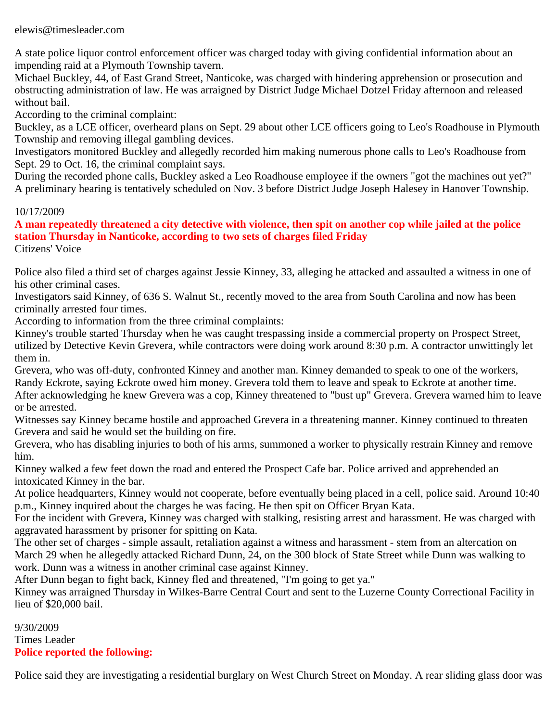elewis@timesleader.com

A state police liquor control enforcement officer was charged today with giving confidential information about an impending raid at a Plymouth Township tavern.

Michael Buckley, 44, of East Grand Street, Nanticoke, was charged with hindering apprehension or prosecution and obstructing administration of law. He was arraigned by District Judge Michael Dotzel Friday afternoon and released without bail.

According to the criminal complaint:

Buckley, as a LCE officer, overheard plans on Sept. 29 about other LCE officers going to Leo's Roadhouse in Plymouth Township and removing illegal gambling devices.

Investigators monitored Buckley and allegedly recorded him making numerous phone calls to Leo's Roadhouse from Sept. 29 to Oct. 16, the criminal complaint says.

During the recorded phone calls, Buckley asked a Leo Roadhouse employee if the owners "got the machines out yet?" A preliminary hearing is tentatively scheduled on Nov. 3 before District Judge Joseph Halesey in Hanover Township.

### 10/17/2009

**A man repeatedly threatened a city detective with violence, then spit on another cop while jailed at the police station Thursday in Nanticoke, according to two sets of charges filed Friday** Citizens' Voice

Police also filed a third set of charges against Jessie Kinney, 33, alleging he attacked and assaulted a witness in one of his other criminal cases.

Investigators said Kinney, of 636 S. Walnut St., recently moved to the area from South Carolina and now has been criminally arrested four times.

According to information from the three criminal complaints:

Kinney's trouble started Thursday when he was caught trespassing inside a commercial property on Prospect Street, utilized by Detective Kevin Grevera, while contractors were doing work around 8:30 p.m. A contractor unwittingly let them in.

Grevera, who was off-duty, confronted Kinney and another man. Kinney demanded to speak to one of the workers, Randy Eckrote, saying Eckrote owed him money. Grevera told them to leave and speak to Eckrote at another time. After acknowledging he knew Grevera was a cop, Kinney threatened to "bust up" Grevera. Grevera warned him to leave or be arrested.

Witnesses say Kinney became hostile and approached Grevera in a threatening manner. Kinney continued to threaten Grevera and said he would set the building on fire.

Grevera, who has disabling injuries to both of his arms, summoned a worker to physically restrain Kinney and remove him.

Kinney walked a few feet down the road and entered the Prospect Cafe bar. Police arrived and apprehended an intoxicated Kinney in the bar.

At police headquarters, Kinney would not cooperate, before eventually being placed in a cell, police said. Around 10:40 p.m., Kinney inquired about the charges he was facing. He then spit on Officer Bryan Kata.

For the incident with Grevera, Kinney was charged with stalking, resisting arrest and harassment. He was charged with aggravated harassment by prisoner for spitting on Kata.

The other set of charges - simple assault, retaliation against a witness and harassment - stem from an altercation on March 29 when he allegedly attacked Richard Dunn, 24, on the 300 block of State Street while Dunn was walking to work. Dunn was a witness in another criminal case against Kinney.

After Dunn began to fight back, Kinney fled and threatened, "I'm going to get ya."

Kinney was arraigned Thursday in Wilkes-Barre Central Court and sent to the Luzerne County Correctional Facility in lieu of \$20,000 bail.

9/30/2009 Times Leader **Police reported the following:**

Police said they are investigating a residential burglary on West Church Street on Monday. A rear sliding glass door was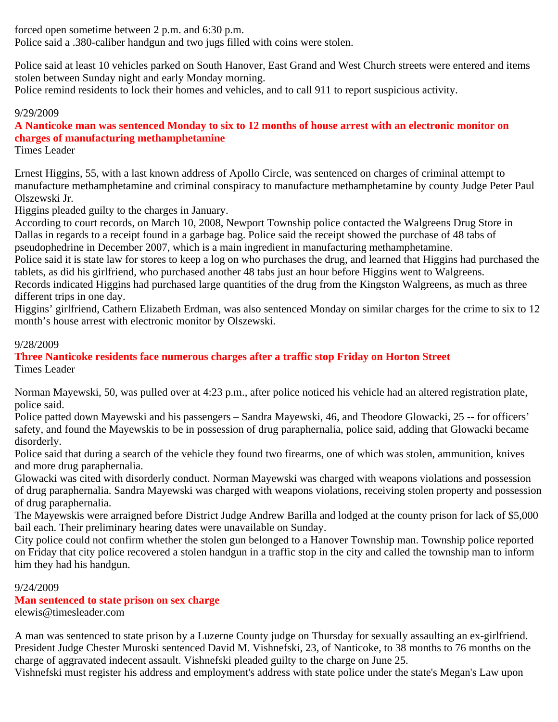forced open sometime between 2 p.m. and 6:30 p.m.

Police said a .380-caliber handgun and two jugs filled with coins were stolen.

Police said at least 10 vehicles parked on South Hanover, East Grand and West Church streets were entered and items stolen between Sunday night and early Monday morning.

Police remind residents to lock their homes and vehicles, and to call 911 to report suspicious activity.

# 9/29/2009

# **A Nanticoke man was sentenced Monday to six to 12 months of house arrest with an electronic monitor on charges of manufacturing methamphetamine**

Times Leader

Ernest Higgins, 55, with a last known address of Apollo Circle, was sentenced on charges of criminal attempt to manufacture methamphetamine and criminal conspiracy to manufacture methamphetamine by county Judge Peter Paul Olszewski Jr.

Higgins pleaded guilty to the charges in January.

According to court records, on March 10, 2008, Newport Township police contacted the Walgreens Drug Store in Dallas in regards to a receipt found in a garbage bag. Police said the receipt showed the purchase of 48 tabs of pseudophedrine in December 2007, which is a main ingredient in manufacturing methamphetamine.

Police said it is state law for stores to keep a log on who purchases the drug, and learned that Higgins had purchased the tablets, as did his girlfriend, who purchased another 48 tabs just an hour before Higgins went to Walgreens.

Records indicated Higgins had purchased large quantities of the drug from the Kingston Walgreens, as much as three different trips in one day.

Higgins' girlfriend, Cathern Elizabeth Erdman, was also sentenced Monday on similar charges for the crime to six to 12 month's house arrest with electronic monitor by Olszewski.

# 9/28/2009

**Three Nanticoke residents face numerous charges after a traffic stop Friday on Horton Street** Times Leader

Norman Mayewski, 50, was pulled over at 4:23 p.m., after police noticed his vehicle had an altered registration plate, police said.

Police patted down Mayewski and his passengers – Sandra Mayewski, 46, and Theodore Glowacki, 25 -- for officers' safety, and found the Mayewskis to be in possession of drug paraphernalia, police said, adding that Glowacki became disorderly.

Police said that during a search of the vehicle they found two firearms, one of which was stolen, ammunition, knives and more drug paraphernalia.

Glowacki was cited with disorderly conduct. Norman Mayewski was charged with weapons violations and possession of drug paraphernalia. Sandra Mayewski was charged with weapons violations, receiving stolen property and possession of drug paraphernalia.

The Mayewskis were arraigned before District Judge Andrew Barilla and lodged at the county prison for lack of \$5,000 bail each. Their preliminary hearing dates were unavailable on Sunday.

City police could not confirm whether the stolen gun belonged to a Hanover Township man. Township police reported on Friday that city police recovered a stolen handgun in a traffic stop in the city and called the township man to inform him they had his handgun.

# 9/24/2009

# **Man sentenced to state prison on sex charge**

elewis@timesleader.com

A man was sentenced to state prison by a Luzerne County judge on Thursday for sexually assaulting an ex-girlfriend. President Judge Chester Muroski sentenced David M. Vishnefski, 23, of Nanticoke, to 38 months to 76 months on the charge of aggravated indecent assault. Vishnefski pleaded guilty to the charge on June 25.

Vishnefski must register his address and employment's address with state police under the state's Megan's Law upon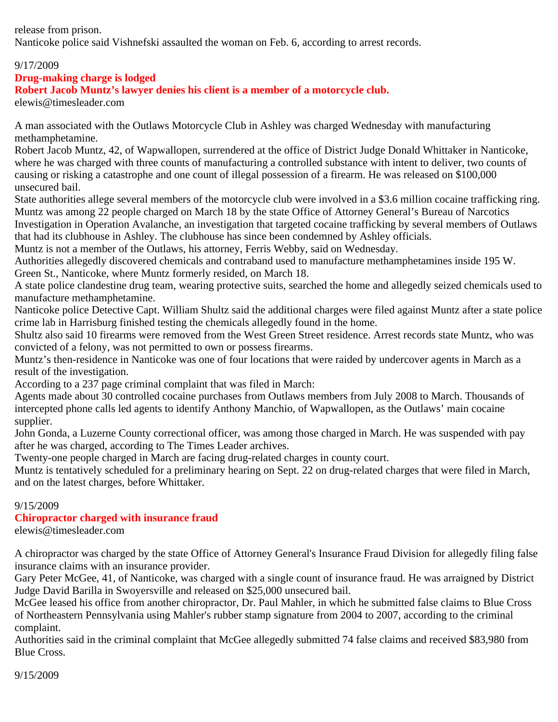release from prison. Nanticoke police said Vishnefski assaulted the woman on Feb. 6, according to arrest records.

# 9/17/2009

# **Drug-making charge is lodged**

# **Robert Jacob Muntz's lawyer denies his client is a member of a motorcycle club.**

elewis@timesleader.com

A man associated with the Outlaws Motorcycle Club in Ashley was charged Wednesday with manufacturing methamphetamine.

Robert Jacob Muntz, 42, of Wapwallopen, surrendered at the office of District Judge Donald Whittaker in Nanticoke, where he was charged with three counts of manufacturing a controlled substance with intent to deliver, two counts of causing or risking a catastrophe and one count of illegal possession of a firearm. He was released on \$100,000 unsecured bail.

State authorities allege several members of the motorcycle club were involved in a \$3.6 million cocaine trafficking ring. Muntz was among 22 people charged on March 18 by the state Office of Attorney General's Bureau of Narcotics Investigation in Operation Avalanche, an investigation that targeted cocaine trafficking by several members of Outlaws that had its clubhouse in Ashley. The clubhouse has since been condemned by Ashley officials.

Muntz is not a member of the Outlaws, his attorney, Ferris Webby, said on Wednesday.

Authorities allegedly discovered chemicals and contraband used to manufacture methamphetamines inside 195 W. Green St., Nanticoke, where Muntz formerly resided, on March 18.

A state police clandestine drug team, wearing protective suits, searched the home and allegedly seized chemicals used to manufacture methamphetamine.

Nanticoke police Detective Capt. William Shultz said the additional charges were filed against Muntz after a state police crime lab in Harrisburg finished testing the chemicals allegedly found in the home.

Shultz also said 10 firearms were removed from the West Green Street residence. Arrest records state Muntz, who was convicted of a felony, was not permitted to own or possess firearms.

Muntz's then-residence in Nanticoke was one of four locations that were raided by undercover agents in March as a result of the investigation.

According to a 237 page criminal complaint that was filed in March:

Agents made about 30 controlled cocaine purchases from Outlaws members from July 2008 to March. Thousands of intercepted phone calls led agents to identify Anthony Manchio, of Wapwallopen, as the Outlaws' main cocaine supplier.

John Gonda, a Luzerne County correctional officer, was among those charged in March. He was suspended with pay after he was charged, according to The Times Leader archives.

Twenty-one people charged in March are facing drug-related charges in county court.

Muntz is tentatively scheduled for a preliminary hearing on Sept. 22 on drug-related charges that were filed in March, and on the latest charges, before Whittaker.

### 9/15/2009

### **Chiropractor charged with insurance fraud**

elewis@timesleader.com

A chiropractor was charged by the state Office of Attorney General's Insurance Fraud Division for allegedly filing false insurance claims with an insurance provider.

Gary Peter McGee, 41, of Nanticoke, was charged with a single count of insurance fraud. He was arraigned by District Judge David Barilla in Swoyersville and released on \$25,000 unsecured bail.

McGee leased his office from another chiropractor, Dr. Paul Mahler, in which he submitted false claims to Blue Cross of Northeastern Pennsylvania using Mahler's rubber stamp signature from 2004 to 2007, according to the criminal complaint.

Authorities said in the criminal complaint that McGee allegedly submitted 74 false claims and received \$83,980 from Blue Cross.

9/15/2009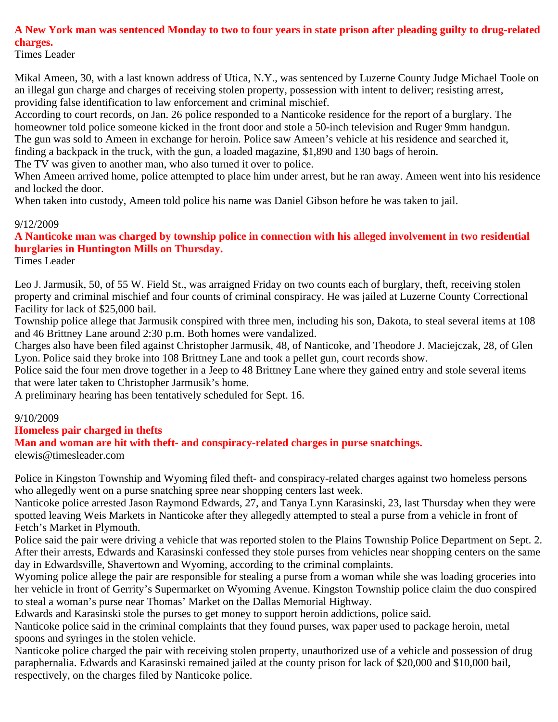# **A New York man was sentenced Monday to two to four years in state prison after pleading guilty to drug-related charges.**

Times Leader

Mikal Ameen, 30, with a last known address of Utica, N.Y., was sentenced by Luzerne County Judge Michael Toole on an illegal gun charge and charges of receiving stolen property, possession with intent to deliver; resisting arrest, providing false identification to law enforcement and criminal mischief.

According to court records, on Jan. 26 police responded to a Nanticoke residence for the report of a burglary. The homeowner told police someone kicked in the front door and stole a 50-inch television and Ruger 9mm handgun. The gun was sold to Ameen in exchange for heroin. Police saw Ameen's vehicle at his residence and searched it, finding a backpack in the truck, with the gun, a loaded magazine, \$1,890 and 130 bags of heroin.

The TV was given to another man, who also turned it over to police.

When Ameen arrived home, police attempted to place him under arrest, but he ran away. Ameen went into his residence and locked the door.

When taken into custody, Ameen told police his name was Daniel Gibson before he was taken to jail.

### 9/12/2009

**A Nanticoke man was charged by township police in connection with his alleged involvement in two residential burglaries in Huntington Mills on Thursday.**

Times Leader

Leo J. Jarmusik, 50, of 55 W. Field St., was arraigned Friday on two counts each of burglary, theft, receiving stolen property and criminal mischief and four counts of criminal conspiracy. He was jailed at Luzerne County Correctional Facility for lack of \$25,000 bail.

Township police allege that Jarmusik conspired with three men, including his son, Dakota, to steal several items at 108 and 46 Brittney Lane around 2:30 p.m. Both homes were vandalized.

Charges also have been filed against Christopher Jarmusik, 48, of Nanticoke, and Theodore J. Maciejczak, 28, of Glen Lyon. Police said they broke into 108 Brittney Lane and took a pellet gun, court records show.

Police said the four men drove together in a Jeep to 48 Brittney Lane where they gained entry and stole several items that were later taken to Christopher Jarmusik's home.

A preliminary hearing has been tentatively scheduled for Sept. 16.

### 9/10/2009

### **Homeless pair charged in thefts**

**Man and woman are hit with theft- and conspiracy-related charges in purse snatchings.**

elewis@timesleader.com

Police in Kingston Township and Wyoming filed theft- and conspiracy-related charges against two homeless persons who allegedly went on a purse snatching spree near shopping centers last week.

Nanticoke police arrested Jason Raymond Edwards, 27, and Tanya Lynn Karasinski, 23, last Thursday when they were spotted leaving Weis Markets in Nanticoke after they allegedly attempted to steal a purse from a vehicle in front of Fetch's Market in Plymouth.

Police said the pair were driving a vehicle that was reported stolen to the Plains Township Police Department on Sept. 2. After their arrests, Edwards and Karasinski confessed they stole purses from vehicles near shopping centers on the same day in Edwardsville, Shavertown and Wyoming, according to the criminal complaints.

Wyoming police allege the pair are responsible for stealing a purse from a woman while she was loading groceries into her vehicle in front of Gerrity's Supermarket on Wyoming Avenue. Kingston Township police claim the duo conspired to steal a woman's purse near Thomas' Market on the Dallas Memorial Highway.

Edwards and Karasinski stole the purses to get money to support heroin addictions, police said.

Nanticoke police said in the criminal complaints that they found purses, wax paper used to package heroin, metal spoons and syringes in the stolen vehicle.

Nanticoke police charged the pair with receiving stolen property, unauthorized use of a vehicle and possession of drug paraphernalia. Edwards and Karasinski remained jailed at the county prison for lack of \$20,000 and \$10,000 bail, respectively, on the charges filed by Nanticoke police.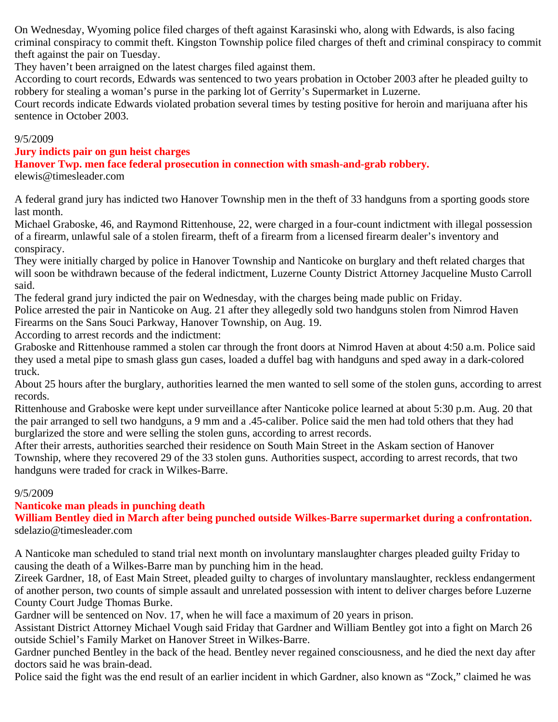On Wednesday, Wyoming police filed charges of theft against Karasinski who, along with Edwards, is also facing criminal conspiracy to commit theft. Kingston Township police filed charges of theft and criminal conspiracy to commit theft against the pair on Tuesday.

They haven't been arraigned on the latest charges filed against them.

According to court records, Edwards was sentenced to two years probation in October 2003 after he pleaded guilty to robbery for stealing a woman's purse in the parking lot of Gerrity's Supermarket in Luzerne.

Court records indicate Edwards violated probation several times by testing positive for heroin and marijuana after his sentence in October 2003.

### 9/5/2009

# **Jury indicts pair on gun heist charges**

**Hanover Twp. men face federal prosecution in connection with smash-and-grab robbery.** elewis@timesleader.com

A federal grand jury has indicted two Hanover Township men in the theft of 33 handguns from a sporting goods store last month.

Michael Graboske, 46, and Raymond Rittenhouse, 22, were charged in a four-count indictment with illegal possession of a firearm, unlawful sale of a stolen firearm, theft of a firearm from a licensed firearm dealer's inventory and conspiracy.

They were initially charged by police in Hanover Township and Nanticoke on burglary and theft related charges that will soon be withdrawn because of the federal indictment, Luzerne County District Attorney Jacqueline Musto Carroll said.

The federal grand jury indicted the pair on Wednesday, with the charges being made public on Friday.

Police arrested the pair in Nanticoke on Aug. 21 after they allegedly sold two handguns stolen from Nimrod Haven Firearms on the Sans Souci Parkway, Hanover Township, on Aug. 19.

According to arrest records and the indictment:

Graboske and Rittenhouse rammed a stolen car through the front doors at Nimrod Haven at about 4:50 a.m. Police said they used a metal pipe to smash glass gun cases, loaded a duffel bag with handguns and sped away in a dark-colored truck.

About 25 hours after the burglary, authorities learned the men wanted to sell some of the stolen guns, according to arrest records.

Rittenhouse and Graboske were kept under surveillance after Nanticoke police learned at about 5:30 p.m. Aug. 20 that the pair arranged to sell two handguns, a 9 mm and a .45-caliber. Police said the men had told others that they had burglarized the store and were selling the stolen guns, according to arrest records.

After their arrests, authorities searched their residence on South Main Street in the Askam section of Hanover Township, where they recovered 29 of the 33 stolen guns. Authorities suspect, according to arrest records, that two handguns were traded for crack in Wilkes-Barre.

# 9/5/2009

**Nanticoke man pleads in punching death**

**William Bentley died in March after being punched outside Wilkes-Barre supermarket during a confrontation.** sdelazio@timesleader.com

A Nanticoke man scheduled to stand trial next month on involuntary manslaughter charges pleaded guilty Friday to causing the death of a Wilkes-Barre man by punching him in the head.

Zireek Gardner, 18, of East Main Street, pleaded guilty to charges of involuntary manslaughter, reckless endangerment of another person, two counts of simple assault and unrelated possession with intent to deliver charges before Luzerne County Court Judge Thomas Burke.

Gardner will be sentenced on Nov. 17, when he will face a maximum of 20 years in prison.

Assistant District Attorney Michael Vough said Friday that Gardner and William Bentley got into a fight on March 26 outside Schiel's Family Market on Hanover Street in Wilkes-Barre.

Gardner punched Bentley in the back of the head. Bentley never regained consciousness, and he died the next day after doctors said he was brain-dead.

Police said the fight was the end result of an earlier incident in which Gardner, also known as "Zock," claimed he was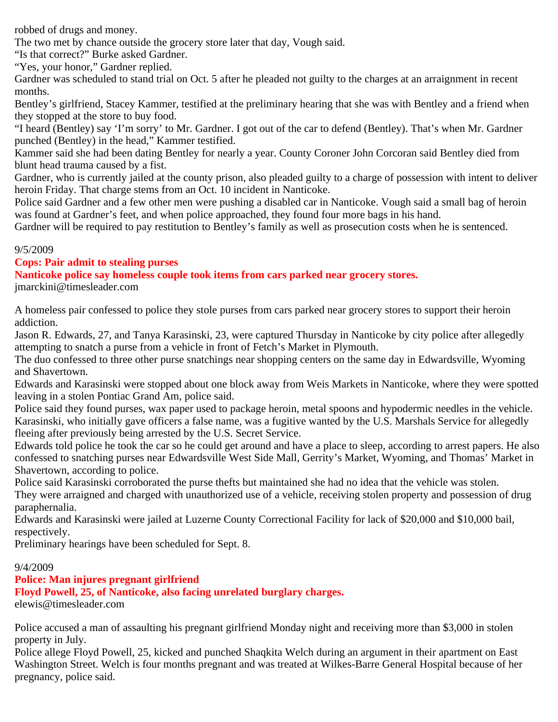robbed of drugs and money.

The two met by chance outside the grocery store later that day, Vough said.

"Is that correct?" Burke asked Gardner.

"Yes, your honor," Gardner replied.

Gardner was scheduled to stand trial on Oct. 5 after he pleaded not guilty to the charges at an arraignment in recent months.

Bentley's girlfriend, Stacey Kammer, testified at the preliminary hearing that she was with Bentley and a friend when they stopped at the store to buy food.

"I heard (Bentley) say 'I'm sorry' to Mr. Gardner. I got out of the car to defend (Bentley). That's when Mr. Gardner punched (Bentley) in the head," Kammer testified.

Kammer said she had been dating Bentley for nearly a year. County Coroner John Corcoran said Bentley died from blunt head trauma caused by a fist.

Gardner, who is currently jailed at the county prison, also pleaded guilty to a charge of possession with intent to deliver heroin Friday. That charge stems from an Oct. 10 incident in Nanticoke.

Police said Gardner and a few other men were pushing a disabled car in Nanticoke. Vough said a small bag of heroin was found at Gardner's feet, and when police approached, they found four more bags in his hand.

Gardner will be required to pay restitution to Bentley's family as well as prosecution costs when he is sentenced.

### 9/5/2009

### **Cops: Pair admit to stealing purses**

**Nanticoke police say homeless couple took items from cars parked near grocery stores.**

jmarckini@timesleader.com

A homeless pair confessed to police they stole purses from cars parked near grocery stores to support their heroin addiction.

Jason R. Edwards, 27, and Tanya Karasinski, 23, were captured Thursday in Nanticoke by city police after allegedly attempting to snatch a purse from a vehicle in front of Fetch's Market in Plymouth.

The duo confessed to three other purse snatchings near shopping centers on the same day in Edwardsville, Wyoming and Shavertown.

Edwards and Karasinski were stopped about one block away from Weis Markets in Nanticoke, where they were spotted leaving in a stolen Pontiac Grand Am, police said.

Police said they found purses, wax paper used to package heroin, metal spoons and hypodermic needles in the vehicle. Karasinski, who initially gave officers a false name, was a fugitive wanted by the U.S. Marshals Service for allegedly fleeing after previously being arrested by the U.S. Secret Service.

Edwards told police he took the car so he could get around and have a place to sleep, according to arrest papers. He also confessed to snatching purses near Edwardsville West Side Mall, Gerrity's Market, Wyoming, and Thomas' Market in Shavertown, according to police.

Police said Karasinski corroborated the purse thefts but maintained she had no idea that the vehicle was stolen.

They were arraigned and charged with unauthorized use of a vehicle, receiving stolen property and possession of drug paraphernalia.

Edwards and Karasinski were jailed at Luzerne County Correctional Facility for lack of \$20,000 and \$10,000 bail, respectively.

Preliminary hearings have been scheduled for Sept. 8.

### 9/4/2009

# **Police: Man injures pregnant girlfriend**

**Floyd Powell, 25, of Nanticoke, also facing unrelated burglary charges.**

elewis@timesleader.com

Police accused a man of assaulting his pregnant girlfriend Monday night and receiving more than \$3,000 in stolen property in July.

Police allege Floyd Powell, 25, kicked and punched Shaqkita Welch during an argument in their apartment on East Washington Street. Welch is four months pregnant and was treated at Wilkes-Barre General Hospital because of her pregnancy, police said.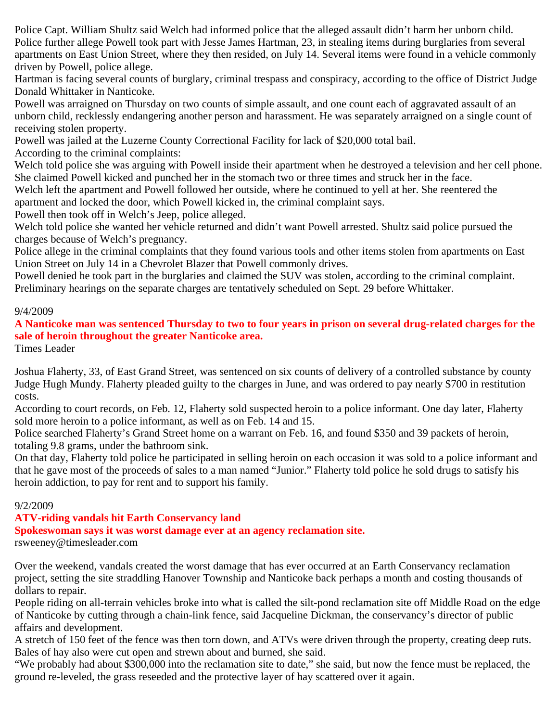Police Capt. William Shultz said Welch had informed police that the alleged assault didn't harm her unborn child. Police further allege Powell took part with Jesse James Hartman, 23, in stealing items during burglaries from several apartments on East Union Street, where they then resided, on July 14. Several items were found in a vehicle commonly driven by Powell, police allege.

Hartman is facing several counts of burglary, criminal trespass and conspiracy, according to the office of District Judge Donald Whittaker in Nanticoke.

Powell was arraigned on Thursday on two counts of simple assault, and one count each of aggravated assault of an unborn child, recklessly endangering another person and harassment. He was separately arraigned on a single count of receiving stolen property.

Powell was jailed at the Luzerne County Correctional Facility for lack of \$20,000 total bail.

According to the criminal complaints:

Welch told police she was arguing with Powell inside their apartment when he destroyed a television and her cell phone. She claimed Powell kicked and punched her in the stomach two or three times and struck her in the face.

Welch left the apartment and Powell followed her outside, where he continued to yell at her. She reentered the apartment and locked the door, which Powell kicked in, the criminal complaint says.

Powell then took off in Welch's Jeep, police alleged.

Welch told police she wanted her vehicle returned and didn't want Powell arrested. Shultz said police pursued the charges because of Welch's pregnancy.

Police allege in the criminal complaints that they found various tools and other items stolen from apartments on East Union Street on July 14 in a Chevrolet Blazer that Powell commonly drives.

Powell denied he took part in the burglaries and claimed the SUV was stolen, according to the criminal complaint. Preliminary hearings on the separate charges are tentatively scheduled on Sept. 29 before Whittaker.

### 9/4/2009

**A Nanticoke man was sentenced Thursday to two to four years in prison on several drug-related charges for the sale of heroin throughout the greater Nanticoke area.**

Times Leader

Joshua Flaherty, 33, of East Grand Street, was sentenced on six counts of delivery of a controlled substance by county Judge Hugh Mundy. Flaherty pleaded guilty to the charges in June, and was ordered to pay nearly \$700 in restitution costs.

According to court records, on Feb. 12, Flaherty sold suspected heroin to a police informant. One day later, Flaherty sold more heroin to a police informant, as well as on Feb. 14 and 15.

Police searched Flaherty's Grand Street home on a warrant on Feb. 16, and found \$350 and 39 packets of heroin, totaling 9.8 grams, under the bathroom sink.

On that day, Flaherty told police he participated in selling heroin on each occasion it was sold to a police informant and that he gave most of the proceeds of sales to a man named "Junior." Flaherty told police he sold drugs to satisfy his heroin addiction, to pay for rent and to support his family.

### 9/2/2009

# **ATV-riding vandals hit Earth Conservancy land**

**Spokeswoman says it was worst damage ever at an agency reclamation site.**

rsweeney@timesleader.com

Over the weekend, vandals created the worst damage that has ever occurred at an Earth Conservancy reclamation project, setting the site straddling Hanover Township and Nanticoke back perhaps a month and costing thousands of dollars to repair.

People riding on all-terrain vehicles broke into what is called the silt-pond reclamation site off Middle Road on the edge of Nanticoke by cutting through a chain-link fence, said Jacqueline Dickman, the conservancy's director of public affairs and development.

A stretch of 150 feet of the fence was then torn down, and ATVs were driven through the property, creating deep ruts. Bales of hay also were cut open and strewn about and burned, she said.

"We probably had about \$300,000 into the reclamation site to date," she said, but now the fence must be replaced, the ground re-leveled, the grass reseeded and the protective layer of hay scattered over it again.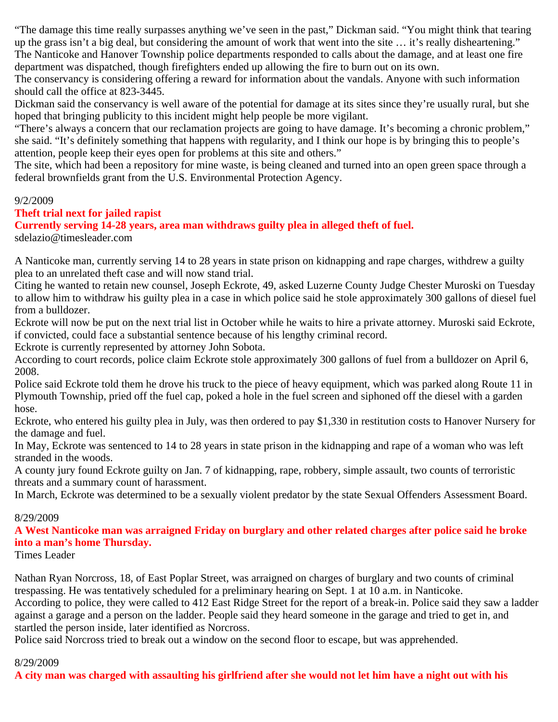"The damage this time really surpasses anything we've seen in the past," Dickman said. "You might think that tearing up the grass isn't a big deal, but considering the amount of work that went into the site … it's really disheartening." The Nanticoke and Hanover Township police departments responded to calls about the damage, and at least one fire department was dispatched, though firefighters ended up allowing the fire to burn out on its own.

The conservancy is considering offering a reward for information about the vandals. Anyone with such information should call the office at 823-3445.

Dickman said the conservancy is well aware of the potential for damage at its sites since they're usually rural, but she hoped that bringing publicity to this incident might help people be more vigilant.

"There's always a concern that our reclamation projects are going to have damage. It's becoming a chronic problem," she said. "It's definitely something that happens with regularity, and I think our hope is by bringing this to people's attention, people keep their eyes open for problems at this site and others."

The site, which had been a repository for mine waste, is being cleaned and turned into an open green space through a federal brownfields grant from the U.S. Environmental Protection Agency.

#### 9/2/2009

### **Theft trial next for jailed rapist**

**Currently serving 14-28 years, area man withdraws guilty plea in alleged theft of fuel.** sdelazio@timesleader.com

A Nanticoke man, currently serving 14 to 28 years in state prison on kidnapping and rape charges, withdrew a guilty plea to an unrelated theft case and will now stand trial.

Citing he wanted to retain new counsel, Joseph Eckrote, 49, asked Luzerne County Judge Chester Muroski on Tuesday to allow him to withdraw his guilty plea in a case in which police said he stole approximately 300 gallons of diesel fuel from a bulldozer.

Eckrote will now be put on the next trial list in October while he waits to hire a private attorney. Muroski said Eckrote, if convicted, could face a substantial sentence because of his lengthy criminal record.

Eckrote is currently represented by attorney John Sobota.

According to court records, police claim Eckrote stole approximately 300 gallons of fuel from a bulldozer on April 6, 2008.

Police said Eckrote told them he drove his truck to the piece of heavy equipment, which was parked along Route 11 in Plymouth Township, pried off the fuel cap, poked a hole in the fuel screen and siphoned off the diesel with a garden hose.

Eckrote, who entered his guilty plea in July, was then ordered to pay \$1,330 in restitution costs to Hanover Nursery for the damage and fuel.

In May, Eckrote was sentenced to 14 to 28 years in state prison in the kidnapping and rape of a woman who was left stranded in the woods.

A county jury found Eckrote guilty on Jan. 7 of kidnapping, rape, robbery, simple assault, two counts of terroristic threats and a summary count of harassment.

In March, Eckrote was determined to be a sexually violent predator by the state Sexual Offenders Assessment Board.

#### 8/29/2009

**A West Nanticoke man was arraigned Friday on burglary and other related charges after police said he broke into a man's home Thursday.**

Times Leader

Nathan Ryan Norcross, 18, of East Poplar Street, was arraigned on charges of burglary and two counts of criminal trespassing. He was tentatively scheduled for a preliminary hearing on Sept. 1 at 10 a.m. in Nanticoke.

According to police, they were called to 412 East Ridge Street for the report of a break-in. Police said they saw a ladder against a garage and a person on the ladder. People said they heard someone in the garage and tried to get in, and startled the person inside, later identified as Norcross.

Police said Norcross tried to break out a window on the second floor to escape, but was apprehended.

#### 8/29/2009

**A city man was charged with assaulting his girlfriend after she would not let him have a night out with his**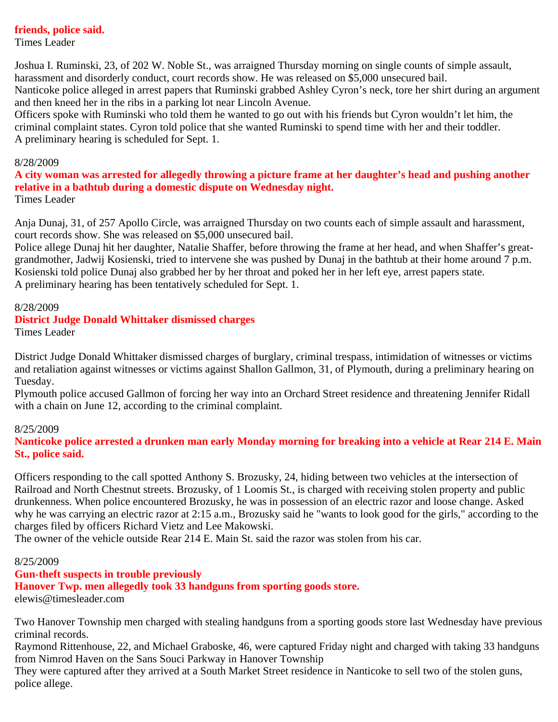#### **friends, police said.**

Times Leader

Joshua I. Ruminski, 23, of 202 W. Noble St., was arraigned Thursday morning on single counts of simple assault, harassment and disorderly conduct, court records show. He was released on \$5,000 unsecured bail. Nanticoke police alleged in arrest papers that Ruminski grabbed Ashley Cyron's neck, tore her shirt during an argument and then kneed her in the ribs in a parking lot near Lincoln Avenue.

Officers spoke with Ruminski who told them he wanted to go out with his friends but Cyron wouldn't let him, the criminal complaint states. Cyron told police that she wanted Ruminski to spend time with her and their toddler. A preliminary hearing is scheduled for Sept. 1.

#### 8/28/2009

**A city woman was arrested for allegedly throwing a picture frame at her daughter's head and pushing another relative in a bathtub during a domestic dispute on Wednesday night.** Times Leader

Anja Dunaj, 31, of 257 Apollo Circle, was arraigned Thursday on two counts each of simple assault and harassment, court records show. She was released on \$5,000 unsecured bail.

Police allege Dunaj hit her daughter, Natalie Shaffer, before throwing the frame at her head, and when Shaffer's greatgrandmother, Jadwij Kosienski, tried to intervene she was pushed by Dunaj in the bathtub at their home around 7 p.m. Kosienski told police Dunaj also grabbed her by her throat and poked her in her left eye, arrest papers state. A preliminary hearing has been tentatively scheduled for Sept. 1.

#### 8/28/2009

#### **District Judge Donald Whittaker dismissed charges**

Times Leader

District Judge Donald Whittaker dismissed charges of burglary, criminal trespass, intimidation of witnesses or victims and retaliation against witnesses or victims against Shallon Gallmon, 31, of Plymouth, during a preliminary hearing on Tuesday.

Plymouth police accused Gallmon of forcing her way into an Orchard Street residence and threatening Jennifer Ridall with a chain on June 12, according to the criminal complaint.

#### 8/25/2009

**Nanticoke police arrested a drunken man early Monday morning for breaking into a vehicle at Rear 214 E. Main St., police said.**

Officers responding to the call spotted Anthony S. Brozusky, 24, hiding between two vehicles at the intersection of Railroad and North Chestnut streets. Brozusky, of 1 Loomis St., is charged with receiving stolen property and public drunkenness. When police encountered Brozusky, he was in possession of an electric razor and loose change. Asked why he was carrying an electric razor at 2:15 a.m., Brozusky said he "wants to look good for the girls," according to the charges filed by officers Richard Vietz and Lee Makowski.

The owner of the vehicle outside Rear 214 E. Main St. said the razor was stolen from his car.

#### 8/25/2009

### **Gun-theft suspects in trouble previously**

**Hanover Twp. men allegedly took 33 handguns from sporting goods store.** elewis@timesleader.com

Two Hanover Township men charged with stealing handguns from a sporting goods store last Wednesday have previous criminal records.

Raymond Rittenhouse, 22, and Michael Graboske, 46, were captured Friday night and charged with taking 33 handguns from Nimrod Haven on the Sans Souci Parkway in Hanover Township

They were captured after they arrived at a South Market Street residence in Nanticoke to sell two of the stolen guns, police allege.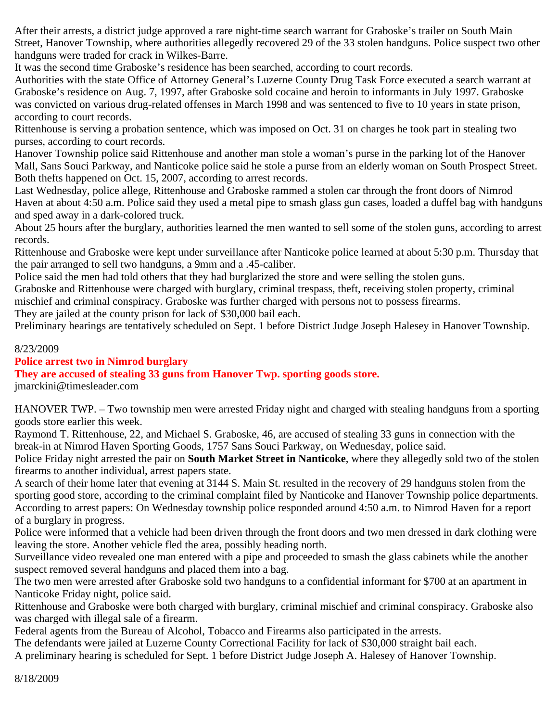After their arrests, a district judge approved a rare night-time search warrant for Graboske's trailer on South Main Street, Hanover Township, where authorities allegedly recovered 29 of the 33 stolen handguns. Police suspect two other handguns were traded for crack in Wilkes-Barre.

It was the second time Graboske's residence has been searched, according to court records.

Authorities with the state Office of Attorney General's Luzerne County Drug Task Force executed a search warrant at Graboske's residence on Aug. 7, 1997, after Graboske sold cocaine and heroin to informants in July 1997. Graboske was convicted on various drug-related offenses in March 1998 and was sentenced to five to 10 years in state prison, according to court records.

Rittenhouse is serving a probation sentence, which was imposed on Oct. 31 on charges he took part in stealing two purses, according to court records.

Hanover Township police said Rittenhouse and another man stole a woman's purse in the parking lot of the Hanover Mall, Sans Souci Parkway, and Nanticoke police said he stole a purse from an elderly woman on South Prospect Street. Both thefts happened on Oct. 15, 2007, according to arrest records.

Last Wednesday, police allege, Rittenhouse and Graboske rammed a stolen car through the front doors of Nimrod Haven at about 4:50 a.m. Police said they used a metal pipe to smash glass gun cases, loaded a duffel bag with handguns and sped away in a dark-colored truck.

About 25 hours after the burglary, authorities learned the men wanted to sell some of the stolen guns, according to arrest records.

Rittenhouse and Graboske were kept under surveillance after Nanticoke police learned at about 5:30 p.m. Thursday that the pair arranged to sell two handguns, a 9mm and a .45-caliber.

Police said the men had told others that they had burglarized the store and were selling the stolen guns.

Graboske and Rittenhouse were charged with burglary, criminal trespass, theft, receiving stolen property, criminal mischief and criminal conspiracy. Graboske was further charged with persons not to possess firearms.

They are jailed at the county prison for lack of \$30,000 bail each.

Preliminary hearings are tentatively scheduled on Sept. 1 before District Judge Joseph Halesey in Hanover Township.

8/23/2009

### **Police arrest two in Nimrod burglary**

**They are accused of stealing 33 guns from Hanover Twp. sporting goods store.**

jmarckini@timesleader.com

HANOVER TWP. – Two township men were arrested Friday night and charged with stealing handguns from a sporting goods store earlier this week.

Raymond T. Rittenhouse, 22, and Michael S. Graboske, 46, are accused of stealing 33 guns in connection with the break-in at Nimrod Haven Sporting Goods, 1757 Sans Souci Parkway, on Wednesday, police said.

Police Friday night arrested the pair on **South Market Street in Nanticoke**, where they allegedly sold two of the stolen firearms to another individual, arrest papers state.

A search of their home later that evening at 3144 S. Main St. resulted in the recovery of 29 handguns stolen from the sporting good store, according to the criminal complaint filed by Nanticoke and Hanover Township police departments. According to arrest papers: On Wednesday township police responded around 4:50 a.m. to Nimrod Haven for a report of a burglary in progress.

Police were informed that a vehicle had been driven through the front doors and two men dressed in dark clothing were leaving the store. Another vehicle fled the area, possibly heading north.

Surveillance video revealed one man entered with a pipe and proceeded to smash the glass cabinets while the another suspect removed several handguns and placed them into a bag.

The two men were arrested after Graboske sold two handguns to a confidential informant for \$700 at an apartment in Nanticoke Friday night, police said.

Rittenhouse and Graboske were both charged with burglary, criminal mischief and criminal conspiracy. Graboske also was charged with illegal sale of a firearm.

Federal agents from the Bureau of Alcohol, Tobacco and Firearms also participated in the arrests.

The defendants were jailed at Luzerne County Correctional Facility for lack of \$30,000 straight bail each.

A preliminary hearing is scheduled for Sept. 1 before District Judge Joseph A. Halesey of Hanover Township.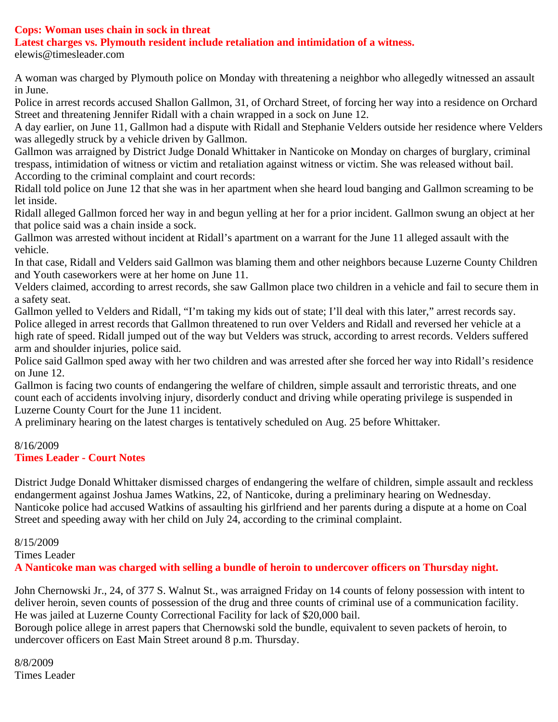# **Cops: Woman uses chain in sock in threat**

**Latest charges vs. Plymouth resident include retaliation and intimidation of a witness.**

elewis@timesleader.com

A woman was charged by Plymouth police on Monday with threatening a neighbor who allegedly witnessed an assault in June.

Police in arrest records accused Shallon Gallmon, 31, of Orchard Street, of forcing her way into a residence on Orchard Street and threatening Jennifer Ridall with a chain wrapped in a sock on June 12.

A day earlier, on June 11, Gallmon had a dispute with Ridall and Stephanie Velders outside her residence where Velders was allegedly struck by a vehicle driven by Gallmon.

Gallmon was arraigned by District Judge Donald Whittaker in Nanticoke on Monday on charges of burglary, criminal trespass, intimidation of witness or victim and retaliation against witness or victim. She was released without bail. According to the criminal complaint and court records:

Ridall told police on June 12 that she was in her apartment when she heard loud banging and Gallmon screaming to be let inside.

Ridall alleged Gallmon forced her way in and begun yelling at her for a prior incident. Gallmon swung an object at her that police said was a chain inside a sock.

Gallmon was arrested without incident at Ridall's apartment on a warrant for the June 11 alleged assault with the vehicle.

In that case, Ridall and Velders said Gallmon was blaming them and other neighbors because Luzerne County Children and Youth caseworkers were at her home on June 11.

Velders claimed, according to arrest records, she saw Gallmon place two children in a vehicle and fail to secure them in a safety seat.

Gallmon yelled to Velders and Ridall, "I'm taking my kids out of state; I'll deal with this later," arrest records say. Police alleged in arrest records that Gallmon threatened to run over Velders and Ridall and reversed her vehicle at a high rate of speed. Ridall jumped out of the way but Velders was struck, according to arrest records. Velders suffered arm and shoulder injuries, police said.

Police said Gallmon sped away with her two children and was arrested after she forced her way into Ridall's residence on June 12.

Gallmon is facing two counts of endangering the welfare of children, simple assault and terroristic threats, and one count each of accidents involving injury, disorderly conduct and driving while operating privilege is suspended in Luzerne County Court for the June 11 incident.

A preliminary hearing on the latest charges is tentatively scheduled on Aug. 25 before Whittaker.

# 8/16/2009

# **Times Leader - Court Notes**

District Judge Donald Whittaker dismissed charges of endangering the welfare of children, simple assault and reckless endangerment against Joshua James Watkins, 22, of Nanticoke, during a preliminary hearing on Wednesday. Nanticoke police had accused Watkins of assaulting his girlfriend and her parents during a dispute at a home on Coal Street and speeding away with her child on July 24, according to the criminal complaint.

8/15/2009

Times Leader

**A Nanticoke man was charged with selling a bundle of heroin to undercover officers on Thursday night.**

John Chernowski Jr., 24, of 377 S. Walnut St., was arraigned Friday on 14 counts of felony possession with intent to deliver heroin, seven counts of possession of the drug and three counts of criminal use of a communication facility. He was jailed at Luzerne County Correctional Facility for lack of \$20,000 bail.

Borough police allege in arrest papers that Chernowski sold the bundle, equivalent to seven packets of heroin, to undercover officers on East Main Street around 8 p.m. Thursday.

8/8/2009 Times Leader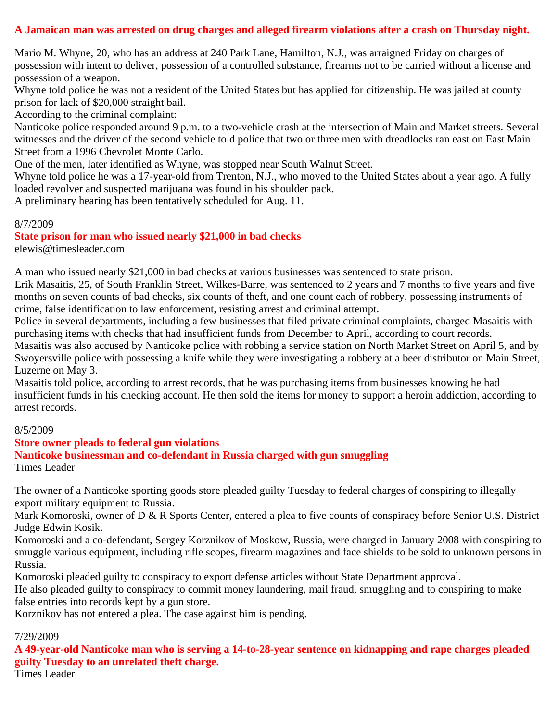# **A Jamaican man was arrested on drug charges and alleged firearm violations after a crash on Thursday night.**

Mario M. Whyne, 20, who has an address at 240 Park Lane, Hamilton, N.J., was arraigned Friday on charges of possession with intent to deliver, possession of a controlled substance, firearms not to be carried without a license and possession of a weapon.

Whyne told police he was not a resident of the United States but has applied for citizenship. He was jailed at county prison for lack of \$20,000 straight bail.

According to the criminal complaint:

Nanticoke police responded around 9 p.m. to a two-vehicle crash at the intersection of Main and Market streets. Several witnesses and the driver of the second vehicle told police that two or three men with dreadlocks ran east on East Main Street from a 1996 Chevrolet Monte Carlo.

One of the men, later identified as Whyne, was stopped near South Walnut Street.

Whyne told police he was a 17-year-old from Trenton, N.J., who moved to the United States about a year ago. A fully loaded revolver and suspected marijuana was found in his shoulder pack.

A preliminary hearing has been tentatively scheduled for Aug. 11.

#### 8/7/2009

**State prison for man who issued nearly \$21,000 in bad checks**

elewis@timesleader.com

A man who issued nearly \$21,000 in bad checks at various businesses was sentenced to state prison.

Erik Masaitis, 25, of South Franklin Street, Wilkes-Barre, was sentenced to 2 years and 7 months to five years and five months on seven counts of bad checks, six counts of theft, and one count each of robbery, possessing instruments of crime, false identification to law enforcement, resisting arrest and criminal attempt.

Police in several departments, including a few businesses that filed private criminal complaints, charged Masaitis with purchasing items with checks that had insufficient funds from December to April, according to court records.

Masaitis was also accused by Nanticoke police with robbing a service station on North Market Street on April 5, and by Swoyersville police with possessing a knife while they were investigating a robbery at a beer distributor on Main Street, Luzerne on May 3.

Masaitis told police, according to arrest records, that he was purchasing items from businesses knowing he had insufficient funds in his checking account. He then sold the items for money to support a heroin addiction, according to arrest records.

#### 8/5/2009

#### **Store owner pleads to federal gun violations**

**Nanticoke businessman and co-defendant in Russia charged with gun smuggling**

Times Leader

The owner of a Nanticoke sporting goods store pleaded guilty Tuesday to federal charges of conspiring to illegally export military equipment to Russia.

Mark Komoroski, owner of D & R Sports Center, entered a plea to five counts of conspiracy before Senior U.S. District Judge Edwin Kosik.

Komoroski and a co-defendant, Sergey Korznikov of Moskow, Russia, were charged in January 2008 with conspiring to smuggle various equipment, including rifle scopes, firearm magazines and face shields to be sold to unknown persons in Russia.

Komoroski pleaded guilty to conspiracy to export defense articles without State Department approval.

He also pleaded guilty to conspiracy to commit money laundering, mail fraud, smuggling and to conspiring to make false entries into records kept by a gun store.

Korznikov has not entered a plea. The case against him is pending.

#### 7/29/2009

**A 49-year-old Nanticoke man who is serving a 14-to-28-year sentence on kidnapping and rape charges pleaded guilty Tuesday to an unrelated theft charge.**

Times Leader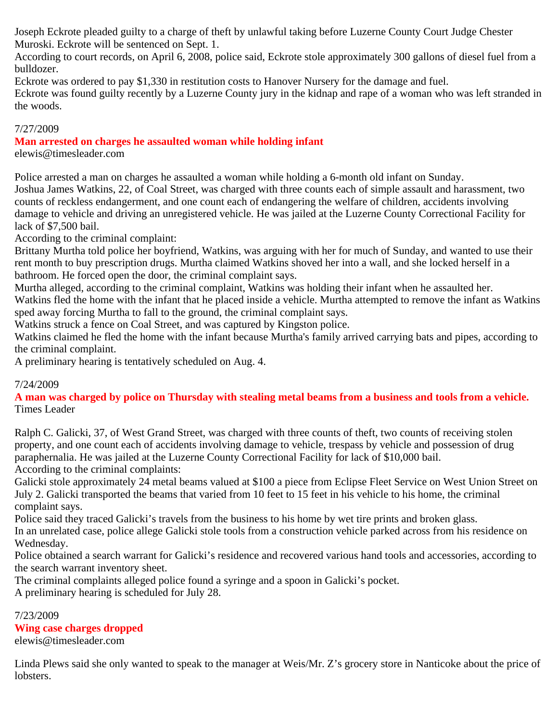Joseph Eckrote pleaded guilty to a charge of theft by unlawful taking before Luzerne County Court Judge Chester Muroski. Eckrote will be sentenced on Sept. 1.

According to court records, on April 6, 2008, police said, Eckrote stole approximately 300 gallons of diesel fuel from a bulldozer.

Eckrote was ordered to pay \$1,330 in restitution costs to Hanover Nursery for the damage and fuel.

Eckrote was found guilty recently by a Luzerne County jury in the kidnap and rape of a woman who was left stranded in the woods.

# 7/27/2009

**Man arrested on charges he assaulted woman while holding infant**

elewis@timesleader.com

Police arrested a man on charges he assaulted a woman while holding a 6-month old infant on Sunday. Joshua James Watkins, 22, of Coal Street, was charged with three counts each of simple assault and harassment, two counts of reckless endangerment, and one count each of endangering the welfare of children, accidents involving damage to vehicle and driving an unregistered vehicle. He was jailed at the Luzerne County Correctional Facility for lack of \$7,500 bail.

According to the criminal complaint:

Brittany Murtha told police her boyfriend, Watkins, was arguing with her for much of Sunday, and wanted to use their rent month to buy prescription drugs. Murtha claimed Watkins shoved her into a wall, and she locked herself in a bathroom. He forced open the door, the criminal complaint says.

Murtha alleged, according to the criminal complaint, Watkins was holding their infant when he assaulted her.

Watkins fled the home with the infant that he placed inside a vehicle. Murtha attempted to remove the infant as Watkins sped away forcing Murtha to fall to the ground, the criminal complaint says.

Watkins struck a fence on Coal Street, and was captured by Kingston police.

Watkins claimed he fled the home with the infant because Murtha's family arrived carrying bats and pipes, according to the criminal complaint.

A preliminary hearing is tentatively scheduled on Aug. 4.

# 7/24/2009

**A man was charged by police on Thursday with stealing metal beams from a business and tools from a vehicle.** Times Leader

Ralph C. Galicki, 37, of West Grand Street, was charged with three counts of theft, two counts of receiving stolen property, and one count each of accidents involving damage to vehicle, trespass by vehicle and possession of drug paraphernalia. He was jailed at the Luzerne County Correctional Facility for lack of \$10,000 bail. According to the criminal complaints:

Galicki stole approximately 24 metal beams valued at \$100 a piece from Eclipse Fleet Service on West Union Street on July 2. Galicki transported the beams that varied from 10 feet to 15 feet in his vehicle to his home, the criminal complaint says.

Police said they traced Galicki's travels from the business to his home by wet tire prints and broken glass. In an unrelated case, police allege Galicki stole tools from a construction vehicle parked across from his residence on Wednesday.

Police obtained a search warrant for Galicki's residence and recovered various hand tools and accessories, according to the search warrant inventory sheet.

The criminal complaints alleged police found a syringe and a spoon in Galicki's pocket.

A preliminary hearing is scheduled for July 28.

#### 7/23/2009 **Wing case charges dropped** elewis@timesleader.com

Linda Plews said she only wanted to speak to the manager at Weis/Mr. Z's grocery store in Nanticoke about the price of lobsters.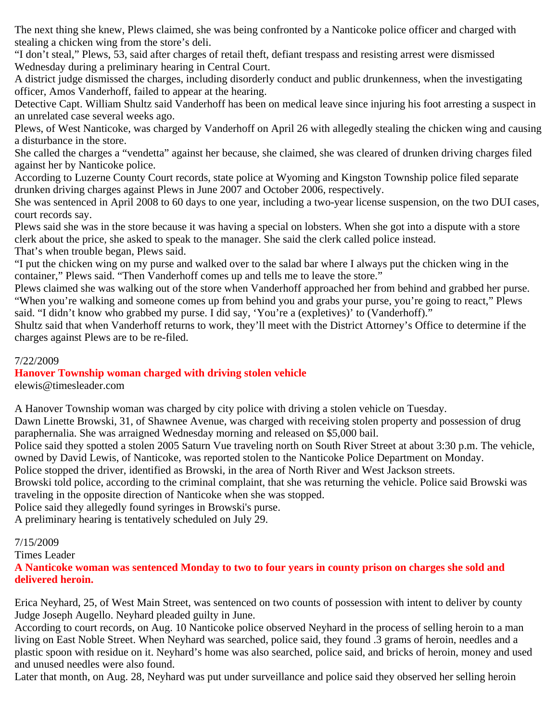The next thing she knew, Plews claimed, she was being confronted by a Nanticoke police officer and charged with stealing a chicken wing from the store's deli.

"I don't steal," Plews, 53, said after charges of retail theft, defiant trespass and resisting arrest were dismissed Wednesday during a preliminary hearing in Central Court.

A district judge dismissed the charges, including disorderly conduct and public drunkenness, when the investigating officer, Amos Vanderhoff, failed to appear at the hearing.

Detective Capt. William Shultz said Vanderhoff has been on medical leave since injuring his foot arresting a suspect in an unrelated case several weeks ago.

Plews, of West Nanticoke, was charged by Vanderhoff on April 26 with allegedly stealing the chicken wing and causing a disturbance in the store.

She called the charges a "vendetta" against her because, she claimed, she was cleared of drunken driving charges filed against her by Nanticoke police.

According to Luzerne County Court records, state police at Wyoming and Kingston Township police filed separate drunken driving charges against Plews in June 2007 and October 2006, respectively.

She was sentenced in April 2008 to 60 days to one year, including a two-year license suspension, on the two DUI cases, court records say.

Plews said she was in the store because it was having a special on lobsters. When she got into a dispute with a store clerk about the price, she asked to speak to the manager. She said the clerk called police instead. That's when trouble began, Plews said.

"I put the chicken wing on my purse and walked over to the salad bar where I always put the chicken wing in the container," Plews said. "Then Vanderhoff comes up and tells me to leave the store."

Plews claimed she was walking out of the store when Vanderhoff approached her from behind and grabbed her purse. "When you're walking and someone comes up from behind you and grabs your purse, you're going to react," Plews said. "I didn't know who grabbed my purse. I did say, 'You're a (expletives)' to (Vanderhoff)."

Shultz said that when Vanderhoff returns to work, they'll meet with the District Attorney's Office to determine if the charges against Plews are to be re-filed.

7/22/2009

# **Hanover Township woman charged with driving stolen vehicle**

elewis@timesleader.com

A Hanover Township woman was charged by city police with driving a stolen vehicle on Tuesday.

Dawn Linette Browski, 31, of Shawnee Avenue, was charged with receiving stolen property and possession of drug paraphernalia. She was arraigned Wednesday morning and released on \$5,000 bail.

Police said they spotted a stolen 2005 Saturn Vue traveling north on South River Street at about 3:30 p.m. The vehicle, owned by David Lewis, of Nanticoke, was reported stolen to the Nanticoke Police Department on Monday.

Police stopped the driver, identified as Browski, in the area of North River and West Jackson streets.

Browski told police, according to the criminal complaint, that she was returning the vehicle. Police said Browski was traveling in the opposite direction of Nanticoke when she was stopped.

Police said they allegedly found syringes in Browski's purse.

A preliminary hearing is tentatively scheduled on July 29.

### 7/15/2009

Times Leader

**A Nanticoke woman was sentenced Monday to two to four years in county prison on charges she sold and delivered heroin.**

Erica Neyhard, 25, of West Main Street, was sentenced on two counts of possession with intent to deliver by county Judge Joseph Augello. Neyhard pleaded guilty in June.

According to court records, on Aug. 10 Nanticoke police observed Neyhard in the process of selling heroin to a man living on East Noble Street. When Neyhard was searched, police said, they found .3 grams of heroin, needles and a plastic spoon with residue on it. Neyhard's home was also searched, police said, and bricks of heroin, money and used and unused needles were also found.

Later that month, on Aug. 28, Neyhard was put under surveillance and police said they observed her selling heroin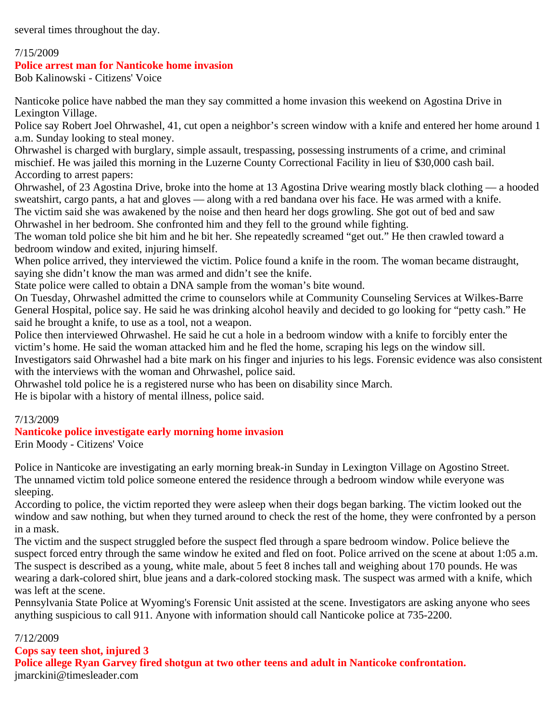several times throughout the day.

#### 7/15/2009

#### **Police arrest man for Nanticoke home invasion**

Bob Kalinowski - Citizens' Voice

Nanticoke police have nabbed the man they say committed a home invasion this weekend on Agostina Drive in Lexington Village.

Police say Robert Joel Ohrwashel, 41, cut open a neighbor's screen window with a knife and entered her home around 1 a.m. Sunday looking to steal money.

Ohrwashel is charged with burglary, simple assault, trespassing, possessing instruments of a crime, and criminal mischief. He was jailed this morning in the Luzerne County Correctional Facility in lieu of \$30,000 cash bail. According to arrest papers:

Ohrwashel, of 23 Agostina Drive, broke into the home at 13 Agostina Drive wearing mostly black clothing — a hooded sweatshirt, cargo pants, a hat and gloves — along with a red bandana over his face. He was armed with a knife. The victim said she was awakened by the noise and then heard her dogs growling. She got out of bed and saw Ohrwashel in her bedroom. She confronted him and they fell to the ground while fighting.

The woman told police she bit him and he bit her. She repeatedly screamed "get out." He then crawled toward a bedroom window and exited, injuring himself.

When police arrived, they interviewed the victim. Police found a knife in the room. The woman became distraught, saying she didn't know the man was armed and didn't see the knife.

State police were called to obtain a DNA sample from the woman's bite wound.

On Tuesday, Ohrwashel admitted the crime to counselors while at Community Counseling Services at Wilkes-Barre General Hospital, police say. He said he was drinking alcohol heavily and decided to go looking for "petty cash." He said he brought a knife, to use as a tool, not a weapon.

Police then interviewed Ohrwashel. He said he cut a hole in a bedroom window with a knife to forcibly enter the victim's home. He said the woman attacked him and he fled the home, scraping his legs on the window sill.

Investigators said Ohrwashel had a bite mark on his finger and injuries to his legs. Forensic evidence was also consistent with the interviews with the woman and Ohrwashel, police said.

Ohrwashel told police he is a registered nurse who has been on disability since March.

He is bipolar with a history of mental illness, police said.

### 7/13/2009

#### **Nanticoke police investigate early morning home invasion**

Erin Moody - Citizens' Voice

Police in Nanticoke are investigating an early morning break-in Sunday in Lexington Village on Agostino Street. The unnamed victim told police someone entered the residence through a bedroom window while everyone was sleeping.

According to police, the victim reported they were asleep when their dogs began barking. The victim looked out the window and saw nothing, but when they turned around to check the rest of the home, they were confronted by a person in a mask.

The victim and the suspect struggled before the suspect fled through a spare bedroom window. Police believe the suspect forced entry through the same window he exited and fled on foot. Police arrived on the scene at about 1:05 a.m. The suspect is described as a young, white male, about 5 feet 8 inches tall and weighing about 170 pounds. He was wearing a dark-colored shirt, blue jeans and a dark-colored stocking mask. The suspect was armed with a knife, which was left at the scene.

Pennsylvania State Police at Wyoming's Forensic Unit assisted at the scene. Investigators are asking anyone who sees anything suspicious to call 911. Anyone with information should call Nanticoke police at 735-2200.

#### 7/12/2009

**Cops say teen shot, injured 3**

**Police allege Ryan Garvey fired shotgun at two other teens and adult in Nanticoke confrontation.** jmarckini@timesleader.com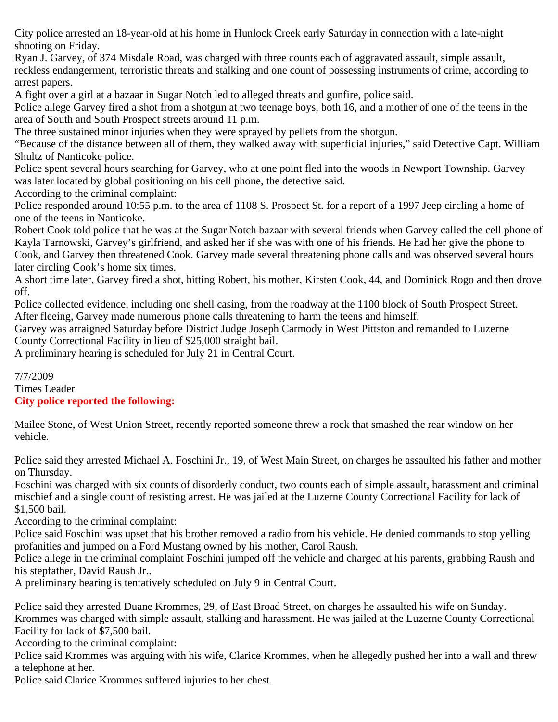City police arrested an 18-year-old at his home in Hunlock Creek early Saturday in connection with a late-night shooting on Friday.

Ryan J. Garvey, of 374 Misdale Road, was charged with three counts each of aggravated assault, simple assault, reckless endangerment, terroristic threats and stalking and one count of possessing instruments of crime, according to arrest papers.

A fight over a girl at a bazaar in Sugar Notch led to alleged threats and gunfire, police said.

Police allege Garvey fired a shot from a shotgun at two teenage boys, both 16, and a mother of one of the teens in the area of South and South Prospect streets around 11 p.m.

The three sustained minor injuries when they were sprayed by pellets from the shotgun.

"Because of the distance between all of them, they walked away with superficial injuries," said Detective Capt. William Shultz of Nanticoke police.

Police spent several hours searching for Garvey, who at one point fled into the woods in Newport Township. Garvey was later located by global positioning on his cell phone, the detective said.

According to the criminal complaint:

Police responded around 10:55 p.m. to the area of 1108 S. Prospect St. for a report of a 1997 Jeep circling a home of one of the teens in Nanticoke.

Robert Cook told police that he was at the Sugar Notch bazaar with several friends when Garvey called the cell phone of Kayla Tarnowski, Garvey's girlfriend, and asked her if she was with one of his friends. He had her give the phone to Cook, and Garvey then threatened Cook. Garvey made several threatening phone calls and was observed several hours later circling Cook's home six times.

A short time later, Garvey fired a shot, hitting Robert, his mother, Kirsten Cook, 44, and Dominick Rogo and then drove off.

Police collected evidence, including one shell casing, from the roadway at the 1100 block of South Prospect Street. After fleeing, Garvey made numerous phone calls threatening to harm the teens and himself.

Garvey was arraigned Saturday before District Judge Joseph Carmody in West Pittston and remanded to Luzerne County Correctional Facility in lieu of \$25,000 straight bail.

A preliminary hearing is scheduled for July 21 in Central Court.

## 7/7/2009 Times Leader **City police reported the following:**

Mailee Stone, of West Union Street, recently reported someone threw a rock that smashed the rear window on her vehicle.

Police said they arrested Michael A. Foschini Jr., 19, of West Main Street, on charges he assaulted his father and mother on Thursday.

Foschini was charged with six counts of disorderly conduct, two counts each of simple assault, harassment and criminal mischief and a single count of resisting arrest. He was jailed at the Luzerne County Correctional Facility for lack of \$1,500 bail.

According to the criminal complaint:

Police said Foschini was upset that his brother removed a radio from his vehicle. He denied commands to stop yelling profanities and jumped on a Ford Mustang owned by his mother, Carol Raush.

Police allege in the criminal complaint Foschini jumped off the vehicle and charged at his parents, grabbing Raush and his stepfather, David Raush Jr..

A preliminary hearing is tentatively scheduled on July 9 in Central Court.

Police said they arrested Duane Krommes, 29, of East Broad Street, on charges he assaulted his wife on Sunday. Krommes was charged with simple assault, stalking and harassment. He was jailed at the Luzerne County Correctional Facility for lack of \$7,500 bail.

According to the criminal complaint:

Police said Krommes was arguing with his wife, Clarice Krommes, when he allegedly pushed her into a wall and threw a telephone at her.

Police said Clarice Krommes suffered injuries to her chest.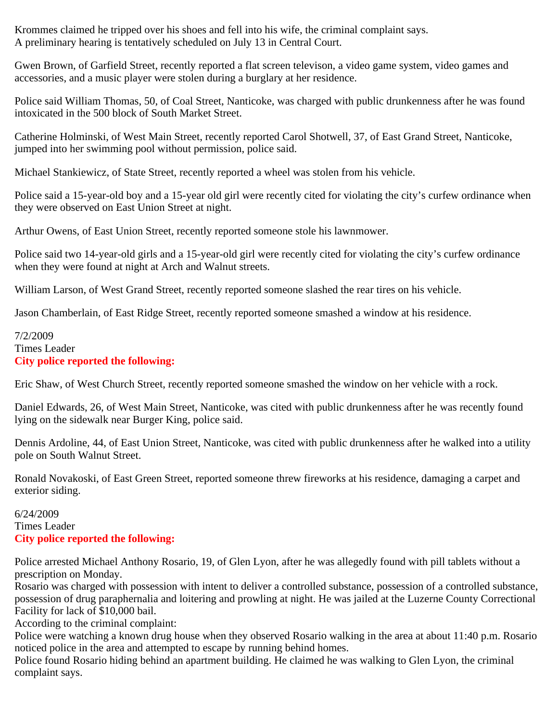Krommes claimed he tripped over his shoes and fell into his wife, the criminal complaint says. A preliminary hearing is tentatively scheduled on July 13 in Central Court.

Gwen Brown, of Garfield Street, recently reported a flat screen televison, a video game system, video games and accessories, and a music player were stolen during a burglary at her residence.

Police said William Thomas, 50, of Coal Street, Nanticoke, was charged with public drunkenness after he was found intoxicated in the 500 block of South Market Street.

Catherine Holminski, of West Main Street, recently reported Carol Shotwell, 37, of East Grand Street, Nanticoke, jumped into her swimming pool without permission, police said.

Michael Stankiewicz, of State Street, recently reported a wheel was stolen from his vehicle.

Police said a 15-year-old boy and a 15-year old girl were recently cited for violating the city's curfew ordinance when they were observed on East Union Street at night.

Arthur Owens, of East Union Street, recently reported someone stole his lawnmower.

Police said two 14-year-old girls and a 15-year-old girl were recently cited for violating the city's curfew ordinance when they were found at night at Arch and Walnut streets.

William Larson, of West Grand Street, recently reported someone slashed the rear tires on his vehicle.

Jason Chamberlain, of East Ridge Street, recently reported someone smashed a window at his residence.

7/2/2009 Times Leader **City police reported the following:**

Eric Shaw, of West Church Street, recently reported someone smashed the window on her vehicle with a rock.

Daniel Edwards, 26, of West Main Street, Nanticoke, was cited with public drunkenness after he was recently found lying on the sidewalk near Burger King, police said.

Dennis Ardoline, 44, of East Union Street, Nanticoke, was cited with public drunkenness after he walked into a utility pole on South Walnut Street.

Ronald Novakoski, of East Green Street, reported someone threw fireworks at his residence, damaging a carpet and exterior siding.

### 6/24/2009 Times Leader **City police reported the following:**

Police arrested Michael Anthony Rosario, 19, of Glen Lyon, after he was allegedly found with pill tablets without a prescription on Monday.

Rosario was charged with possession with intent to deliver a controlled substance, possession of a controlled substance, possession of drug paraphernalia and loitering and prowling at night. He was jailed at the Luzerne County Correctional Facility for lack of \$10,000 bail.

According to the criminal complaint:

Police were watching a known drug house when they observed Rosario walking in the area at about 11:40 p.m. Rosario noticed police in the area and attempted to escape by running behind homes.

Police found Rosario hiding behind an apartment building. He claimed he was walking to Glen Lyon, the criminal complaint says.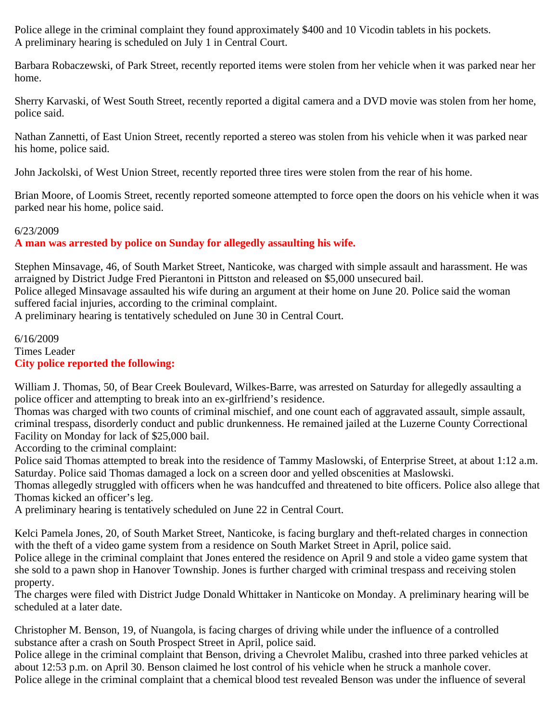Police allege in the criminal complaint they found approximately \$400 and 10 Vicodin tablets in his pockets. A preliminary hearing is scheduled on July 1 in Central Court.

Barbara Robaczewski, of Park Street, recently reported items were stolen from her vehicle when it was parked near her home.

Sherry Karvaski, of West South Street, recently reported a digital camera and a DVD movie was stolen from her home, police said.

Nathan Zannetti, of East Union Street, recently reported a stereo was stolen from his vehicle when it was parked near his home, police said.

John Jackolski, of West Union Street, recently reported three tires were stolen from the rear of his home.

Brian Moore, of Loomis Street, recently reported someone attempted to force open the doors on his vehicle when it was parked near his home, police said.

#### 6/23/2009

### **A man was arrested by police on Sunday for allegedly assaulting his wife.**

Stephen Minsavage, 46, of South Market Street, Nanticoke, was charged with simple assault and harassment. He was arraigned by District Judge Fred Pierantoni in Pittston and released on \$5,000 unsecured bail.

Police alleged Minsavage assaulted his wife during an argument at their home on June 20. Police said the woman suffered facial injuries, according to the criminal complaint.

A preliminary hearing is tentatively scheduled on June 30 in Central Court.

6/16/2009 Times Leader **City police reported the following:**

William J. Thomas, 50, of Bear Creek Boulevard, Wilkes-Barre, was arrested on Saturday for allegedly assaulting a police officer and attempting to break into an ex-girlfriend's residence.

Thomas was charged with two counts of criminal mischief, and one count each of aggravated assault, simple assault, criminal trespass, disorderly conduct and public drunkenness. He remained jailed at the Luzerne County Correctional Facility on Monday for lack of \$25,000 bail.

According to the criminal complaint:

Police said Thomas attempted to break into the residence of Tammy Maslowski, of Enterprise Street, at about 1:12 a.m. Saturday. Police said Thomas damaged a lock on a screen door and yelled obscenities at Maslowski.

Thomas allegedly struggled with officers when he was handcuffed and threatened to bite officers. Police also allege that Thomas kicked an officer's leg.

A preliminary hearing is tentatively scheduled on June 22 in Central Court.

Kelci Pamela Jones, 20, of South Market Street, Nanticoke, is facing burglary and theft-related charges in connection with the theft of a video game system from a residence on South Market Street in April, police said.

Police allege in the criminal complaint that Jones entered the residence on April 9 and stole a video game system that she sold to a pawn shop in Hanover Township. Jones is further charged with criminal trespass and receiving stolen property.

The charges were filed with District Judge Donald Whittaker in Nanticoke on Monday. A preliminary hearing will be scheduled at a later date.

Christopher M. Benson, 19, of Nuangola, is facing charges of driving while under the influence of a controlled substance after a crash on South Prospect Street in April, police said.

Police allege in the criminal complaint that Benson, driving a Chevrolet Malibu, crashed into three parked vehicles at about 12:53 p.m. on April 30. Benson claimed he lost control of his vehicle when he struck a manhole cover.

Police allege in the criminal complaint that a chemical blood test revealed Benson was under the influence of several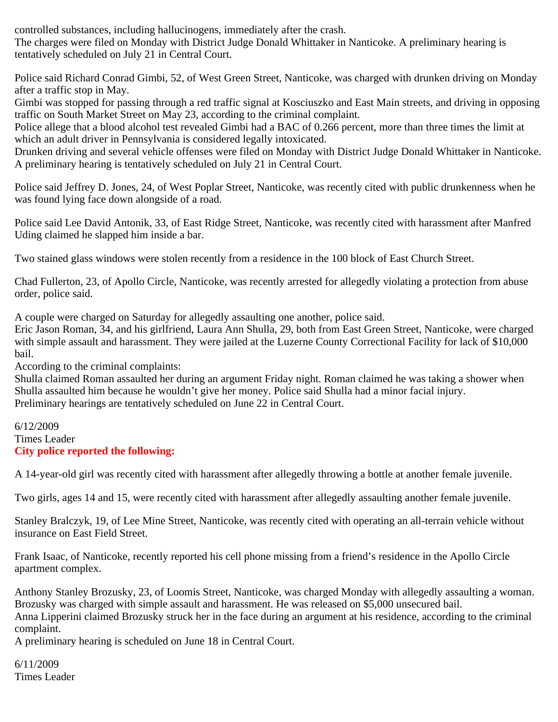controlled substances, including hallucinogens, immediately after the crash.

The charges were filed on Monday with District Judge Donald Whittaker in Nanticoke. A preliminary hearing is tentatively scheduled on July 21 in Central Court.

Police said Richard Conrad Gimbi, 52, of West Green Street, Nanticoke, was charged with drunken driving on Monday after a traffic stop in May.

Gimbi was stopped for passing through a red traffic signal at Kosciuszko and East Main streets, and driving in opposing traffic on South Market Street on May 23, according to the criminal complaint.

Police allege that a blood alcohol test revealed Gimbi had a BAC of 0.266 percent, more than three times the limit at which an adult driver in Pennsylvania is considered legally intoxicated.

Drunken driving and several vehicle offenses were filed on Monday with District Judge Donald Whittaker in Nanticoke. A preliminary hearing is tentatively scheduled on July 21 in Central Court.

Police said Jeffrey D. Jones, 24, of West Poplar Street, Nanticoke, was recently cited with public drunkenness when he was found lying face down alongside of a road.

Police said Lee David Antonik, 33, of East Ridge Street, Nanticoke, was recently cited with harassment after Manfred Uding claimed he slapped him inside a bar.

Two stained glass windows were stolen recently from a residence in the 100 block of East Church Street.

Chad Fullerton, 23, of Apollo Circle, Nanticoke, was recently arrested for allegedly violating a protection from abuse order, police said.

A couple were charged on Saturday for allegedly assaulting one another, police said.

Eric Jason Roman, 34, and his girlfriend, Laura Ann Shulla, 29, both from East Green Street, Nanticoke, were charged with simple assault and harassment. They were jailed at the Luzerne County Correctional Facility for lack of \$10,000 bail.

According to the criminal complaints:

Shulla claimed Roman assaulted her during an argument Friday night. Roman claimed he was taking a shower when Shulla assaulted him because he wouldn't give her money. Police said Shulla had a minor facial injury. Preliminary hearings are tentatively scheduled on June 22 in Central Court.

### 6/12/2009 Times Leader **City police reported the following:**

A 14-year-old girl was recently cited with harassment after allegedly throwing a bottle at another female juvenile.

Two girls, ages 14 and 15, were recently cited with harassment after allegedly assaulting another female juvenile.

Stanley Bralczyk, 19, of Lee Mine Street, Nanticoke, was recently cited with operating an all-terrain vehicle without insurance on East Field Street.

Frank Isaac, of Nanticoke, recently reported his cell phone missing from a friend's residence in the Apollo Circle apartment complex.

Anthony Stanley Brozusky, 23, of Loomis Street, Nanticoke, was charged Monday with allegedly assaulting a woman. Brozusky was charged with simple assault and harassment. He was released on \$5,000 unsecured bail. Anna Lipperini claimed Brozusky struck her in the face during an argument at his residence, according to the criminal complaint.

A preliminary hearing is scheduled on June 18 in Central Court.

6/11/2009 Times Leader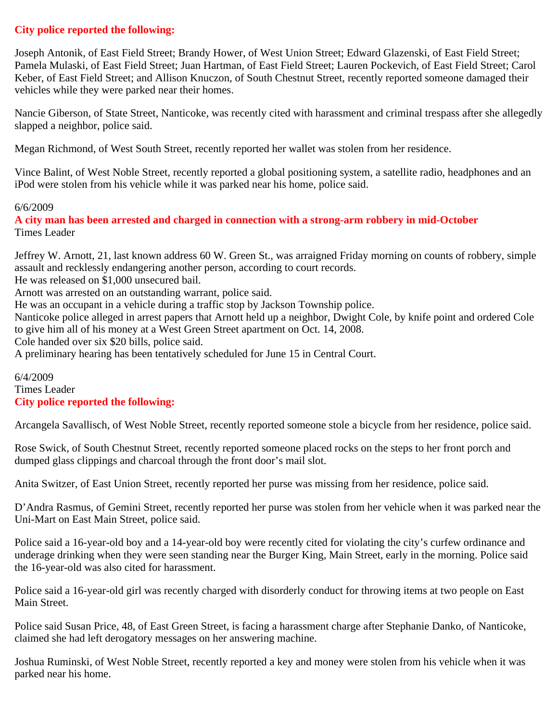# **City police reported the following:**

Joseph Antonik, of East Field Street; Brandy Hower, of West Union Street; Edward Glazenski, of East Field Street; Pamela Mulaski, of East Field Street; Juan Hartman, of East Field Street; Lauren Pockevich, of East Field Street; Carol Keber, of East Field Street; and Allison Knuczon, of South Chestnut Street, recently reported someone damaged their vehicles while they were parked near their homes.

Nancie Giberson, of State Street, Nanticoke, was recently cited with harassment and criminal trespass after she allegedly slapped a neighbor, police said.

Megan Richmond, of West South Street, recently reported her wallet was stolen from her residence.

Vince Balint, of West Noble Street, recently reported a global positioning system, a satellite radio, headphones and an iPod were stolen from his vehicle while it was parked near his home, police said.

#### 6/6/2009

**A city man has been arrested and charged in connection with a strong-arm robbery in mid-October** Times Leader

Jeffrey W. Arnott, 21, last known address 60 W. Green St., was arraigned Friday morning on counts of robbery, simple assault and recklessly endangering another person, according to court records.

He was released on \$1,000 unsecured bail.

Arnott was arrested on an outstanding warrant, police said.

He was an occupant in a vehicle during a traffic stop by Jackson Township police.

Nanticoke police alleged in arrest papers that Arnott held up a neighbor, Dwight Cole, by knife point and ordered Cole to give him all of his money at a West Green Street apartment on Oct. 14, 2008.

Cole handed over six \$20 bills, police said.

A preliminary hearing has been tentatively scheduled for June 15 in Central Court.

6/4/2009 Times Leader **City police reported the following:**

Arcangela Savallisch, of West Noble Street, recently reported someone stole a bicycle from her residence, police said.

Rose Swick, of South Chestnut Street, recently reported someone placed rocks on the steps to her front porch and dumped glass clippings and charcoal through the front door's mail slot.

Anita Switzer, of East Union Street, recently reported her purse was missing from her residence, police said.

D'Andra Rasmus, of Gemini Street, recently reported her purse was stolen from her vehicle when it was parked near the Uni-Mart on East Main Street, police said.

Police said a 16-year-old boy and a 14-year-old boy were recently cited for violating the city's curfew ordinance and underage drinking when they were seen standing near the Burger King, Main Street, early in the morning. Police said the 16-year-old was also cited for harassment.

Police said a 16-year-old girl was recently charged with disorderly conduct for throwing items at two people on East Main Street.

Police said Susan Price, 48, of East Green Street, is facing a harassment charge after Stephanie Danko, of Nanticoke, claimed she had left derogatory messages on her answering machine.

Joshua Ruminski, of West Noble Street, recently reported a key and money were stolen from his vehicle when it was parked near his home.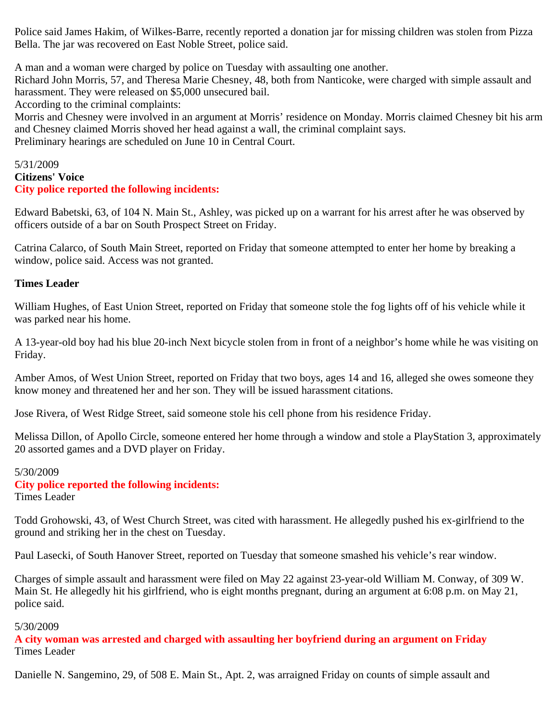Police said James Hakim, of Wilkes-Barre, recently reported a donation jar for missing children was stolen from Pizza Bella. The jar was recovered on East Noble Street, police said.

A man and a woman were charged by police on Tuesday with assaulting one another.

Richard John Morris, 57, and Theresa Marie Chesney, 48, both from Nanticoke, were charged with simple assault and harassment. They were released on \$5,000 unsecured bail.

According to the criminal complaints:

Morris and Chesney were involved in an argument at Morris' residence on Monday. Morris claimed Chesney bit his arm and Chesney claimed Morris shoved her head against a wall, the criminal complaint says. Preliminary hearings are scheduled on June 10 in Central Court.

### 5/31/2009 **Citizens' Voice City police reported the following incidents:**

Edward Babetski, 63, of 104 N. Main St., Ashley, was picked up on a warrant for his arrest after he was observed by officers outside of a bar on South Prospect Street on Friday.

Catrina Calarco, of South Main Street, reported on Friday that someone attempted to enter her home by breaking a window, police said. Access was not granted.

### **Times Leader**

William Hughes, of East Union Street, reported on Friday that someone stole the fog lights off of his vehicle while it was parked near his home.

A 13-year-old boy had his blue 20-inch Next bicycle stolen from in front of a neighbor's home while he was visiting on Friday.

Amber Amos, of West Union Street, reported on Friday that two boys, ages 14 and 16, alleged she owes someone they know money and threatened her and her son. They will be issued harassment citations.

Jose Rivera, of West Ridge Street, said someone stole his cell phone from his residence Friday.

Melissa Dillon, of Apollo Circle, someone entered her home through a window and stole a PlayStation 3, approximately 20 assorted games and a DVD player on Friday.

#### 5/30/2009

# **City police reported the following incidents:**

Times Leader

Todd Grohowski, 43, of West Church Street, was cited with harassment. He allegedly pushed his ex-girlfriend to the ground and striking her in the chest on Tuesday.

Paul Lasecki, of South Hanover Street, reported on Tuesday that someone smashed his vehicle's rear window.

Charges of simple assault and harassment were filed on May 22 against 23-year-old William M. Conway, of 309 W. Main St. He allegedly hit his girlfriend, who is eight months pregnant, during an argument at 6:08 p.m. on May 21, police said.

### 5/30/2009

**A city woman was arrested and charged with assaulting her boyfriend during an argument on Friday** Times Leader

Danielle N. Sangemino, 29, of 508 E. Main St., Apt. 2, was arraigned Friday on counts of simple assault and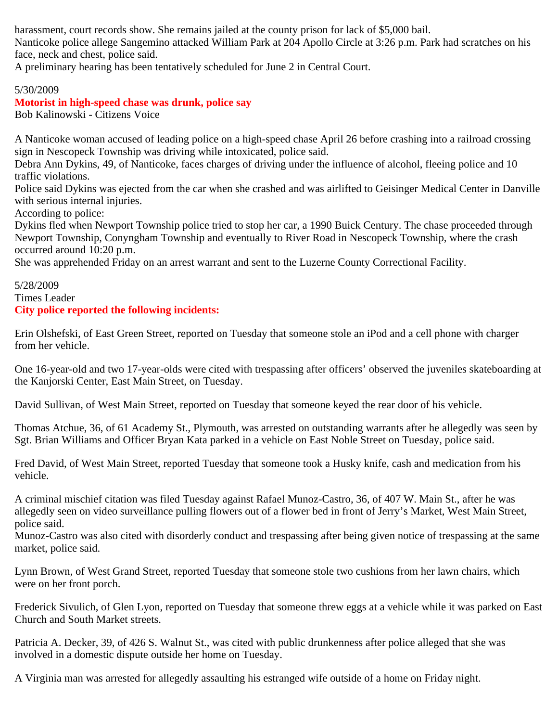harassment, court records show. She remains jailed at the county prison for lack of \$5,000 bail.

Nanticoke police allege Sangemino attacked William Park at 204 Apollo Circle at 3:26 p.m. Park had scratches on his face, neck and chest, police said.

A preliminary hearing has been tentatively scheduled for June 2 in Central Court.

### 5/30/2009

#### **Motorist in high-speed chase was drunk, police say** Bob Kalinowski - Citizens Voice

A Nanticoke woman accused of leading police on a high-speed chase April 26 before crashing into a railroad crossing sign in Nescopeck Township was driving while intoxicated, police said.

Debra Ann Dykins, 49, of Nanticoke, faces charges of driving under the influence of alcohol, fleeing police and 10 traffic violations.

Police said Dykins was ejected from the car when she crashed and was airlifted to Geisinger Medical Center in Danville with serious internal injuries.

According to police:

Dykins fled when Newport Township police tried to stop her car, a 1990 Buick Century. The chase proceeded through Newport Township, Conyngham Township and eventually to River Road in Nescopeck Township, where the crash occurred around 10:20 p.m.

She was apprehended Friday on an arrest warrant and sent to the Luzerne County Correctional Facility.

### 5/28/2009 Times Leader **City police reported the following incidents:**

Erin Olshefski, of East Green Street, reported on Tuesday that someone stole an iPod and a cell phone with charger from her vehicle.

One 16-year-old and two 17-year-olds were cited with trespassing after officers' observed the juveniles skateboarding at the Kanjorski Center, East Main Street, on Tuesday.

David Sullivan, of West Main Street, reported on Tuesday that someone keyed the rear door of his vehicle.

Thomas Atchue, 36, of 61 Academy St., Plymouth, was arrested on outstanding warrants after he allegedly was seen by Sgt. Brian Williams and Officer Bryan Kata parked in a vehicle on East Noble Street on Tuesday, police said.

Fred David, of West Main Street, reported Tuesday that someone took a Husky knife, cash and medication from his vehicle.

A criminal mischief citation was filed Tuesday against Rafael Munoz-Castro, 36, of 407 W. Main St., after he was allegedly seen on video surveillance pulling flowers out of a flower bed in front of Jerry's Market, West Main Street, police said.

Munoz-Castro was also cited with disorderly conduct and trespassing after being given notice of trespassing at the same market, police said.

Lynn Brown, of West Grand Street, reported Tuesday that someone stole two cushions from her lawn chairs, which were on her front porch.

Frederick Sivulich, of Glen Lyon, reported on Tuesday that someone threw eggs at a vehicle while it was parked on East Church and South Market streets.

Patricia A. Decker, 39, of 426 S. Walnut St., was cited with public drunkenness after police alleged that she was involved in a domestic dispute outside her home on Tuesday.

A Virginia man was arrested for allegedly assaulting his estranged wife outside of a home on Friday night.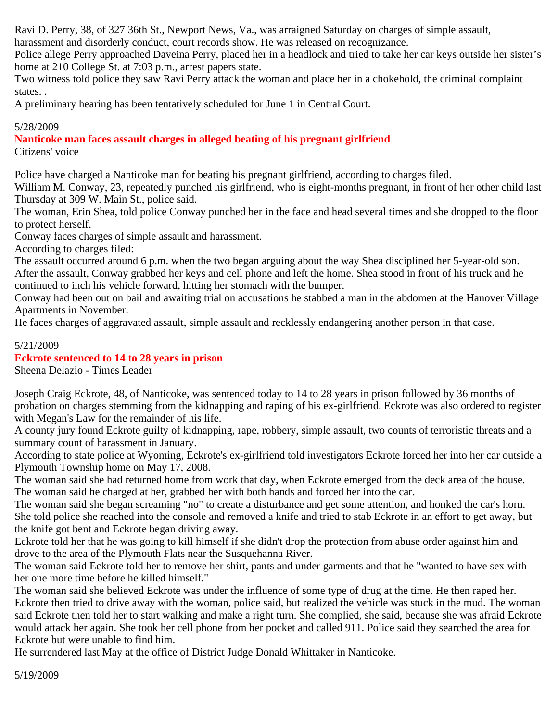Ravi D. Perry, 38, of 327 36th St., Newport News, Va., was arraigned Saturday on charges of simple assault,

harassment and disorderly conduct, court records show. He was released on recognizance.

Police allege Perry approached Daveina Perry, placed her in a headlock and tried to take her car keys outside her sister's home at 210 College St. at 7:03 p.m., arrest papers state.

Two witness told police they saw Ravi Perry attack the woman and place her in a chokehold, the criminal complaint states. .

A preliminary hearing has been tentatively scheduled for June 1 in Central Court.

### 5/28/2009

**Nanticoke man faces assault charges in alleged beating of his pregnant girlfriend** Citizens' voice

Police have charged a Nanticoke man for beating his pregnant girlfriend, according to charges filed.

William M. Conway, 23, repeatedly punched his girlfriend, who is eight-months pregnant, in front of her other child last Thursday at 309 W. Main St., police said.

The woman, Erin Shea, told police Conway punched her in the face and head several times and she dropped to the floor to protect herself.

Conway faces charges of simple assault and harassment.

According to charges filed:

The assault occurred around 6 p.m. when the two began arguing about the way Shea disciplined her 5-year-old son. After the assault, Conway grabbed her keys and cell phone and left the home. Shea stood in front of his truck and he continued to inch his vehicle forward, hitting her stomach with the bumper.

Conway had been out on bail and awaiting trial on accusations he stabbed a man in the abdomen at the Hanover Village Apartments in November.

He faces charges of aggravated assault, simple assault and recklessly endangering another person in that case.

# 5/21/2009

### **Eckrote sentenced to 14 to 28 years in prison**

Sheena Delazio - Times Leader

Joseph Craig Eckrote, 48, of Nanticoke, was sentenced today to 14 to 28 years in prison followed by 36 months of probation on charges stemming from the kidnapping and raping of his ex-girlfriend. Eckrote was also ordered to register with Megan's Law for the remainder of his life.

A county jury found Eckrote guilty of kidnapping, rape, robbery, simple assault, two counts of terroristic threats and a summary count of harassment in January.

According to state police at Wyoming, Eckrote's ex-girlfriend told investigators Eckrote forced her into her car outside a Plymouth Township home on May 17, 2008.

The woman said she had returned home from work that day, when Eckrote emerged from the deck area of the house. The woman said he charged at her, grabbed her with both hands and forced her into the car.

The woman said she began screaming "no" to create a disturbance and get some attention, and honked the car's horn. She told police she reached into the console and removed a knife and tried to stab Eckrote in an effort to get away, but the knife got bent and Eckrote began driving away.

Eckrote told her that he was going to kill himself if she didn't drop the protection from abuse order against him and drove to the area of the Plymouth Flats near the Susquehanna River.

The woman said Eckrote told her to remove her shirt, pants and under garments and that he "wanted to have sex with her one more time before he killed himself."

The woman said she believed Eckrote was under the influence of some type of drug at the time. He then raped her. Eckrote then tried to drive away with the woman, police said, but realized the vehicle was stuck in the mud. The woman said Eckrote then told her to start walking and make a right turn. She complied, she said, because she was afraid Eckrote would attack her again. She took her cell phone from her pocket and called 911. Police said they searched the area for Eckrote but were unable to find him.

He surrendered last May at the office of District Judge Donald Whittaker in Nanticoke.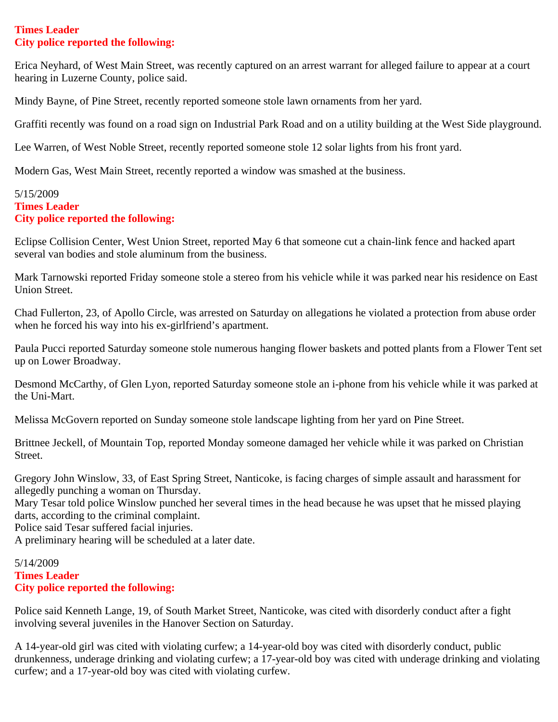### **Times Leader City police reported the following:**

Erica Neyhard, of West Main Street, was recently captured on an arrest warrant for alleged failure to appear at a court hearing in Luzerne County, police said.

Mindy Bayne, of Pine Street, recently reported someone stole lawn ornaments from her yard.

Graffiti recently was found on a road sign on Industrial Park Road and on a utility building at the West Side playground.

Lee Warren, of West Noble Street, recently reported someone stole 12 solar lights from his front yard.

Modern Gas, West Main Street, recently reported a window was smashed at the business.

### 5/15/2009 **Times Leader City police reported the following:**

Eclipse Collision Center, West Union Street, reported May 6 that someone cut a chain-link fence and hacked apart several van bodies and stole aluminum from the business.

Mark Tarnowski reported Friday someone stole a stereo from his vehicle while it was parked near his residence on East Union Street.

Chad Fullerton, 23, of Apollo Circle, was arrested on Saturday on allegations he violated a protection from abuse order when he forced his way into his ex-girlfriend's apartment.

Paula Pucci reported Saturday someone stole numerous hanging flower baskets and potted plants from a Flower Tent set up on Lower Broadway.

Desmond McCarthy, of Glen Lyon, reported Saturday someone stole an i-phone from his vehicle while it was parked at the Uni-Mart.

Melissa McGovern reported on Sunday someone stole landscape lighting from her yard on Pine Street.

Brittnee Jeckell, of Mountain Top, reported Monday someone damaged her vehicle while it was parked on Christian Street.

Gregory John Winslow, 33, of East Spring Street, Nanticoke, is facing charges of simple assault and harassment for allegedly punching a woman on Thursday.

Mary Tesar told police Winslow punched her several times in the head because he was upset that he missed playing darts, according to the criminal complaint.

Police said Tesar suffered facial injuries.

A preliminary hearing will be scheduled at a later date.

### 5/14/2009 **Times Leader City police reported the following:**

Police said Kenneth Lange, 19, of South Market Street, Nanticoke, was cited with disorderly conduct after a fight involving several juveniles in the Hanover Section on Saturday.

A 14-year-old girl was cited with violating curfew; a 14-year-old boy was cited with disorderly conduct, public drunkenness, underage drinking and violating curfew; a 17-year-old boy was cited with underage drinking and violating curfew; and a 17-year-old boy was cited with violating curfew.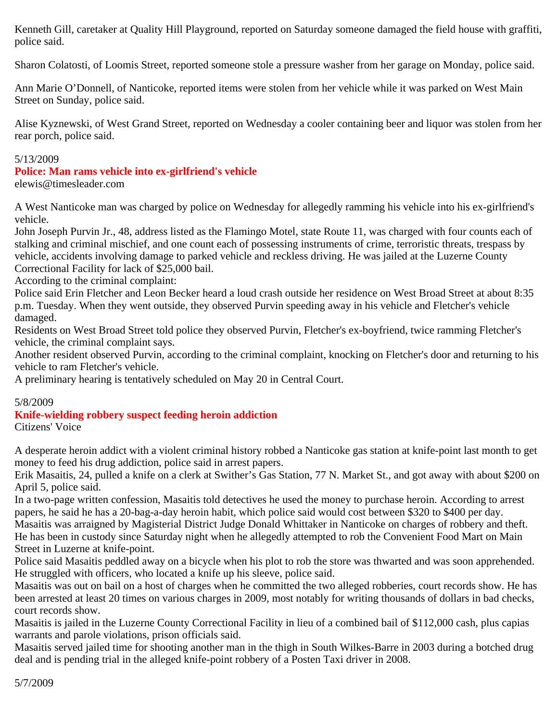Kenneth Gill, caretaker at Quality Hill Playground, reported on Saturday someone damaged the field house with graffiti, police said.

Sharon Colatosti, of Loomis Street, reported someone stole a pressure washer from her garage on Monday, police said.

Ann Marie O'Donnell, of Nanticoke, reported items were stolen from her vehicle while it was parked on West Main Street on Sunday, police said.

Alise Kyznewski, of West Grand Street, reported on Wednesday a cooler containing beer and liquor was stolen from her rear porch, police said.

### 5/13/2009

# **Police: Man rams vehicle into ex-girlfriend's vehicle**

elewis@timesleader.com

A West Nanticoke man was charged by police on Wednesday for allegedly ramming his vehicle into his ex-girlfriend's vehicle.

John Joseph Purvin Jr., 48, address listed as the Flamingo Motel, state Route 11, was charged with four counts each of stalking and criminal mischief, and one count each of possessing instruments of crime, terroristic threats, trespass by vehicle, accidents involving damage to parked vehicle and reckless driving. He was jailed at the Luzerne County Correctional Facility for lack of \$25,000 bail.

According to the criminal complaint:

Police said Erin Fletcher and Leon Becker heard a loud crash outside her residence on West Broad Street at about 8:35 p.m. Tuesday. When they went outside, they observed Purvin speeding away in his vehicle and Fletcher's vehicle damaged.

Residents on West Broad Street told police they observed Purvin, Fletcher's ex-boyfriend, twice ramming Fletcher's vehicle, the criminal complaint says.

Another resident observed Purvin, according to the criminal complaint, knocking on Fletcher's door and returning to his vehicle to ram Fletcher's vehicle.

A preliminary hearing is tentatively scheduled on May 20 in Central Court.

### 5/8/2009

# **Knife-wielding robbery suspect feeding heroin addiction**

Citizens' Voice

A desperate heroin addict with a violent criminal history robbed a Nanticoke gas station at knife-point last month to get money to feed his drug addiction, police said in arrest papers.

Erik Masaitis, 24, pulled a knife on a clerk at Swither's Gas Station, 77 N. Market St., and got away with about \$200 on April 5, police said.

In a two-page written confession, Masaitis told detectives he used the money to purchase heroin. According to arrest papers, he said he has a 20-bag-a-day heroin habit, which police said would cost between \$320 to \$400 per day.

Masaitis was arraigned by Magisterial District Judge Donald Whittaker in Nanticoke on charges of robbery and theft. He has been in custody since Saturday night when he allegedly attempted to rob the Convenient Food Mart on Main Street in Luzerne at knife-point.

Police said Masaitis peddled away on a bicycle when his plot to rob the store was thwarted and was soon apprehended. He struggled with officers, who located a knife up his sleeve, police said.

Masaitis was out on bail on a host of charges when he committed the two alleged robberies, court records show. He has been arrested at least 20 times on various charges in 2009, most notably for writing thousands of dollars in bad checks, court records show.

Masaitis is jailed in the Luzerne County Correctional Facility in lieu of a combined bail of \$112,000 cash, plus capias warrants and parole violations, prison officials said.

Masaitis served jailed time for shooting another man in the thigh in South Wilkes-Barre in 2003 during a botched drug deal and is pending trial in the alleged knife-point robbery of a Posten Taxi driver in 2008.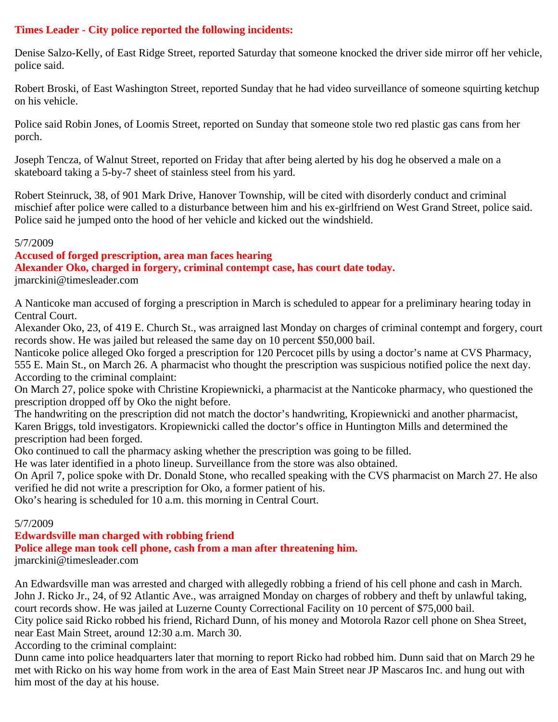# **Times Leader - City police reported the following incidents:**

Denise Salzo-Kelly, of East Ridge Street, reported Saturday that someone knocked the driver side mirror off her vehicle, police said.

Robert Broski, of East Washington Street, reported Sunday that he had video surveillance of someone squirting ketchup on his vehicle.

Police said Robin Jones, of Loomis Street, reported on Sunday that someone stole two red plastic gas cans from her porch.

Joseph Tencza, of Walnut Street, reported on Friday that after being alerted by his dog he observed a male on a skateboard taking a 5-by-7 sheet of stainless steel from his yard.

Robert Steinruck, 38, of 901 Mark Drive, Hanover Township, will be cited with disorderly conduct and criminal mischief after police were called to a disturbance between him and his ex-girlfriend on West Grand Street, police said. Police said he jumped onto the hood of her vehicle and kicked out the windshield.

#### 5/7/2009

### **Accused of forged prescription, area man faces hearing**

**Alexander Oko, charged in forgery, criminal contempt case, has court date today.**

jmarckini@timesleader.com

A Nanticoke man accused of forging a prescription in March is scheduled to appear for a preliminary hearing today in Central Court.

Alexander Oko, 23, of 419 E. Church St., was arraigned last Monday on charges of criminal contempt and forgery, court records show. He was jailed but released the same day on 10 percent \$50,000 bail.

Nanticoke police alleged Oko forged a prescription for 120 Percocet pills by using a doctor's name at CVS Pharmacy, 555 E. Main St., on March 26. A pharmacist who thought the prescription was suspicious notified police the next day. According to the criminal complaint:

On March 27, police spoke with Christine Kropiewnicki, a pharmacist at the Nanticoke pharmacy, who questioned the prescription dropped off by Oko the night before.

The handwriting on the prescription did not match the doctor's handwriting, Kropiewnicki and another pharmacist, Karen Briggs, told investigators. Kropiewnicki called the doctor's office in Huntington Mills and determined the prescription had been forged.

Oko continued to call the pharmacy asking whether the prescription was going to be filled.

He was later identified in a photo lineup. Surveillance from the store was also obtained.

On April 7, police spoke with Dr. Donald Stone, who recalled speaking with the CVS pharmacist on March 27. He also verified he did not write a prescription for Oko, a former patient of his.

Oko's hearing is scheduled for 10 a.m. this morning in Central Court.

### 5/7/2009

**Edwardsville man charged with robbing friend Police allege man took cell phone, cash from a man after threatening him.**

jmarckini@timesleader.com

An Edwardsville man was arrested and charged with allegedly robbing a friend of his cell phone and cash in March. John J. Ricko Jr., 24, of 92 Atlantic Ave., was arraigned Monday on charges of robbery and theft by unlawful taking, court records show. He was jailed at Luzerne County Correctional Facility on 10 percent of \$75,000 bail.

City police said Ricko robbed his friend, Richard Dunn, of his money and Motorola Razor cell phone on Shea Street, near East Main Street, around 12:30 a.m. March 30.

According to the criminal complaint:

Dunn came into police headquarters later that morning to report Ricko had robbed him. Dunn said that on March 29 he met with Ricko on his way home from work in the area of East Main Street near JP Mascaros Inc. and hung out with him most of the day at his house.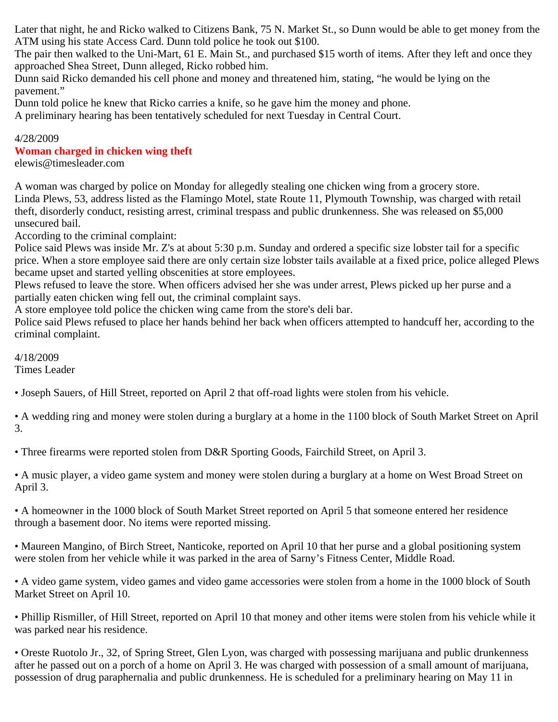Later that night, he and Ricko walked to Citizens Bank, 75 N. Market St., so Dunn would be able to get money from the ATM using his state Access Card. Dunn told police he took out \$100.

The pair then walked to the Uni-Mart, 61 E. Main St., and purchased \$15 worth of items. After they left and once they approached Shea Street, Dunn alleged, Ricko robbed him.

Dunn said Ricko demanded his cell phone and money and threatened him, stating, "he would be lying on the pavement."

Dunn told police he knew that Ricko carries a knife, so he gave him the money and phone.

A preliminary hearing has been tentatively scheduled for next Tuesday in Central Court.

### 4/28/2009

### **Woman charged in chicken wing theft**

elewis@timesleader.com

A woman was charged by police on Monday for allegedly stealing one chicken wing from a grocery store. Linda Plews, 53, address listed as the Flamingo Motel, state Route 11, Plymouth Township, was charged with retail theft, disorderly conduct, resisting arrest, criminal trespass and public drunkenness. She was released on \$5,000 unsecured bail.

According to the criminal complaint:

Police said Plews was inside Mr. Z's at about 5:30 p.m. Sunday and ordered a specific size lobster tail for a specific price. When a store employee said there are only certain size lobster tails available at a fixed price, police alleged Plews became upset and started yelling obscenities at store employees.

Plews refused to leave the store. When officers advised her she was under arrest, Plews picked up her purse and a partially eaten chicken wing fell out, the criminal complaint says.

A store employee told police the chicken wing came from the store's deli bar.

Police said Plews refused to place her hands behind her back when officers attempted to handcuff her, according to the criminal complaint.

4/18/2009

Times Leader

• Joseph Sauers, of Hill Street, reported on April 2 that off-road lights were stolen from his vehicle.

• A wedding ring and money were stolen during a burglary at a home in the 1100 block of South Market Street on April 3.

• Three firearms were reported stolen from D&R Sporting Goods, Fairchild Street, on April 3.

• A music player, a video game system and money were stolen during a burglary at a home on West Broad Street on April 3.

• A homeowner in the 1000 block of South Market Street reported on April 5 that someone entered her residence through a basement door. No items were reported missing.

• Maureen Mangino, of Birch Street, Nanticoke, reported on April 10 that her purse and a global positioning system were stolen from her vehicle while it was parked in the area of Sarny's Fitness Center, Middle Road.

• A video game system, video games and video game accessories were stolen from a home in the 1000 block of South Market Street on April 10.

• Phillip Rismiller, of Hill Street, reported on April 10 that money and other items were stolen from his vehicle while it was parked near his residence.

• Oreste Ruotolo Jr., 32, of Spring Street, Glen Lyon, was charged with possessing marijuana and public drunkenness after he passed out on a porch of a home on April 3. He was charged with possession of a small amount of marijuana, possession of drug paraphernalia and public drunkenness. He is scheduled for a preliminary hearing on May 11 in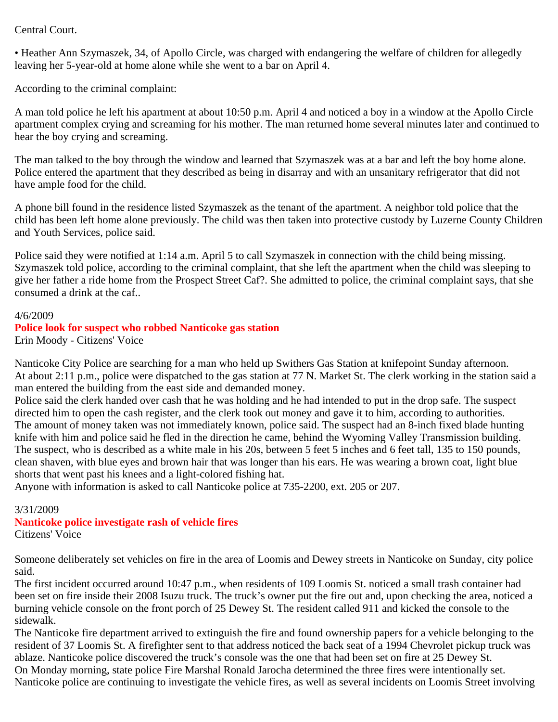### Central Court.

• Heather Ann Szymaszek, 34, of Apollo Circle, was charged with endangering the welfare of children for allegedly leaving her 5-year-old at home alone while she went to a bar on April 4.

According to the criminal complaint:

A man told police he left his apartment at about 10:50 p.m. April 4 and noticed a boy in a window at the Apollo Circle apartment complex crying and screaming for his mother. The man returned home several minutes later and continued to hear the boy crying and screaming.

The man talked to the boy through the window and learned that Szymaszek was at a bar and left the boy home alone. Police entered the apartment that they described as being in disarray and with an unsanitary refrigerator that did not have ample food for the child.

A phone bill found in the residence listed Szymaszek as the tenant of the apartment. A neighbor told police that the child has been left home alone previously. The child was then taken into protective custody by Luzerne County Children and Youth Services, police said.

Police said they were notified at 1:14 a.m. April 5 to call Szymaszek in connection with the child being missing. Szymaszek told police, according to the criminal complaint, that she left the apartment when the child was sleeping to give her father a ride home from the Prospect Street Caf?. She admitted to police, the criminal complaint says, that she consumed a drink at the caf..

#### 4/6/2009

#### **Police look for suspect who robbed Nanticoke gas station** Erin Moody - Citizens' Voice

Nanticoke City Police are searching for a man who held up Swithers Gas Station at knifepoint Sunday afternoon. At about 2:11 p.m., police were dispatched to the gas station at 77 N. Market St. The clerk working in the station said a man entered the building from the east side and demanded money.

Police said the clerk handed over cash that he was holding and he had intended to put in the drop safe. The suspect directed him to open the cash register, and the clerk took out money and gave it to him, according to authorities. The amount of money taken was not immediately known, police said. The suspect had an 8-inch fixed blade hunting knife with him and police said he fled in the direction he came, behind the Wyoming Valley Transmission building. The suspect, who is described as a white male in his 20s, between 5 feet 5 inches and 6 feet tall, 135 to 150 pounds, clean shaven, with blue eyes and brown hair that was longer than his ears. He was wearing a brown coat, light blue shorts that went past his knees and a light-colored fishing hat.

Anyone with information is asked to call Nanticoke police at 735-2200, ext. 205 or 207.

#### 3/31/2009

# **Nanticoke police investigate rash of vehicle fires**

Citizens' Voice

Someone deliberately set vehicles on fire in the area of Loomis and Dewey streets in Nanticoke on Sunday, city police said.

The first incident occurred around 10:47 p.m., when residents of 109 Loomis St. noticed a small trash container had been set on fire inside their 2008 Isuzu truck. The truck's owner put the fire out and, upon checking the area, noticed a burning vehicle console on the front porch of 25 Dewey St. The resident called 911 and kicked the console to the sidewalk.

The Nanticoke fire department arrived to extinguish the fire and found ownership papers for a vehicle belonging to the resident of 37 Loomis St. A firefighter sent to that address noticed the back seat of a 1994 Chevrolet pickup truck was ablaze. Nanticoke police discovered the truck's console was the one that had been set on fire at 25 Dewey St. On Monday morning, state police Fire Marshal Ronald Jarocha determined the three fires were intentionally set. Nanticoke police are continuing to investigate the vehicle fires, as well as several incidents on Loomis Street involving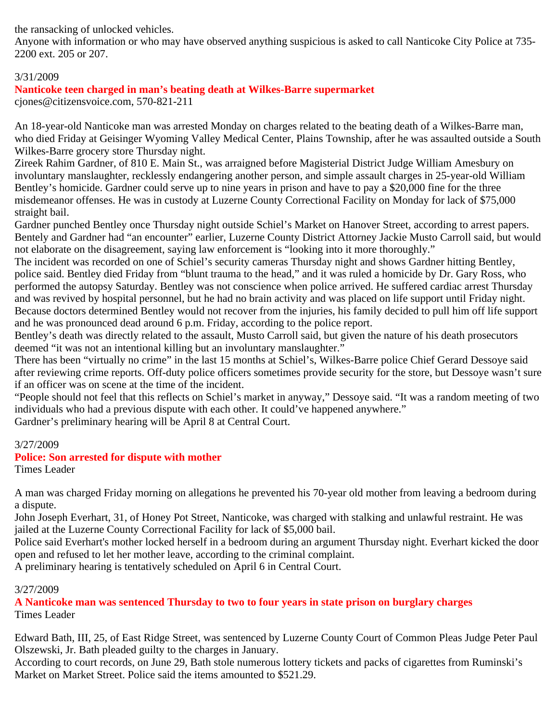the ransacking of unlocked vehicles.

Anyone with information or who may have observed anything suspicious is asked to call Nanticoke City Police at 735- 2200 ext. 205 or 207.

### 3/31/2009

# **Nanticoke teen charged in man's beating death at Wilkes-Barre supermarket**

cjones@citizensvoice.com, 570-821-211

An 18-year-old Nanticoke man was arrested Monday on charges related to the beating death of a Wilkes-Barre man, who died Friday at Geisinger Wyoming Valley Medical Center, Plains Township, after he was assaulted outside a South Wilkes-Barre grocery store Thursday night.

Zireek Rahim Gardner, of 810 E. Main St., was arraigned before Magisterial District Judge William Amesbury on involuntary manslaughter, recklessly endangering another person, and simple assault charges in 25-year-old William Bentley's homicide. Gardner could serve up to nine years in prison and have to pay a \$20,000 fine for the three misdemeanor offenses. He was in custody at Luzerne County Correctional Facility on Monday for lack of \$75,000 straight bail.

Gardner punched Bentley once Thursday night outside Schiel's Market on Hanover Street, according to arrest papers. Bentely and Gardner had "an encounter" earlier, Luzerne County District Attorney Jackie Musto Carroll said, but would not elaborate on the disagreement, saying law enforcement is "looking into it more thoroughly."

The incident was recorded on one of Schiel's security cameras Thursday night and shows Gardner hitting Bentley, police said. Bentley died Friday from "blunt trauma to the head," and it was ruled a homicide by Dr. Gary Ross, who performed the autopsy Saturday. Bentley was not conscience when police arrived. He suffered cardiac arrest Thursday and was revived by hospital personnel, but he had no brain activity and was placed on life support until Friday night. Because doctors determined Bentley would not recover from the injuries, his family decided to pull him off life support and he was pronounced dead around 6 p.m. Friday, according to the police report.

Bentley's death was directly related to the assault, Musto Carroll said, but given the nature of his death prosecutors deemed "it was not an intentional killing but an involuntary manslaughter."

There has been "virtually no crime" in the last 15 months at Schiel's, Wilkes-Barre police Chief Gerard Dessoye said after reviewing crime reports. Off-duty police officers sometimes provide security for the store, but Dessoye wasn't sure if an officer was on scene at the time of the incident.

"People should not feel that this reflects on Schiel's market in anyway," Dessoye said. "It was a random meeting of two individuals who had a previous dispute with each other. It could've happened anywhere."

Gardner's preliminary hearing will be April 8 at Central Court.

# 3/27/2009

# **Police: Son arrested for dispute with mother**

Times Leader

A man was charged Friday morning on allegations he prevented his 70-year old mother from leaving a bedroom during a dispute.

John Joseph Everhart, 31, of Honey Pot Street, Nanticoke, was charged with stalking and unlawful restraint. He was jailed at the Luzerne County Correctional Facility for lack of \$5,000 bail.

Police said Everhart's mother locked herself in a bedroom during an argument Thursday night. Everhart kicked the door open and refused to let her mother leave, according to the criminal complaint.

A preliminary hearing is tentatively scheduled on April 6 in Central Court.

# 3/27/2009

**A Nanticoke man was sentenced Thursday to two to four years in state prison on burglary charges** Times Leader

Edward Bath, III, 25, of East Ridge Street, was sentenced by Luzerne County Court of Common Pleas Judge Peter Paul Olszewski, Jr. Bath pleaded guilty to the charges in January.

According to court records, on June 29, Bath stole numerous lottery tickets and packs of cigarettes from Ruminski's Market on Market Street. Police said the items amounted to \$521.29.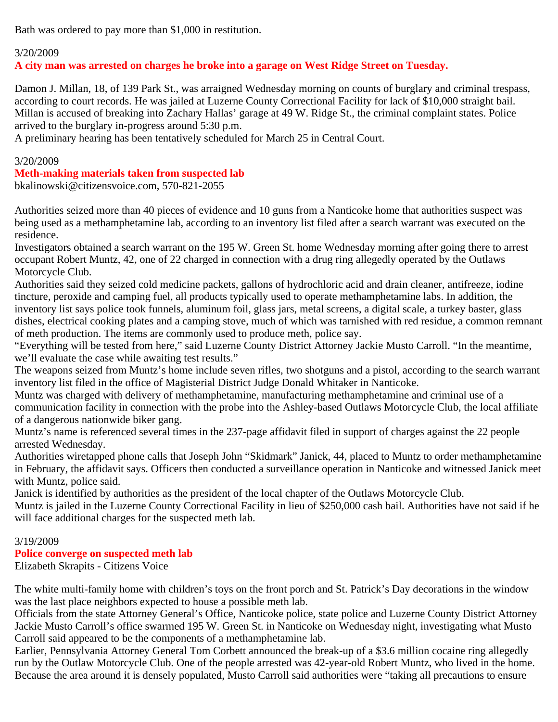Bath was ordered to pay more than \$1,000 in restitution.

#### 3/20/2009

**A city man was arrested on charges he broke into a garage on West Ridge Street on Tuesday.**

Damon J. Millan, 18, of 139 Park St., was arraigned Wednesday morning on counts of burglary and criminal trespass, according to court records. He was jailed at Luzerne County Correctional Facility for lack of \$10,000 straight bail. Millan is accused of breaking into Zachary Hallas' garage at 49 W. Ridge St., the criminal complaint states. Police arrived to the burglary in-progress around 5:30 p.m.

A preliminary hearing has been tentatively scheduled for March 25 in Central Court.

#### 3/20/2009

#### **Meth-making materials taken from suspected lab**

bkalinowski@citizensvoice.com, 570-821-2055

Authorities seized more than 40 pieces of evidence and 10 guns from a Nanticoke home that authorities suspect was being used as a methamphetamine lab, according to an inventory list filed after a search warrant was executed on the residence.

Investigators obtained a search warrant on the 195 W. Green St. home Wednesday morning after going there to arrest occupant Robert Muntz, 42, one of 22 charged in connection with a drug ring allegedly operated by the Outlaws Motorcycle Club.

Authorities said they seized cold medicine packets, gallons of hydrochloric acid and drain cleaner, antifreeze, iodine tincture, peroxide and camping fuel, all products typically used to operate methamphetamine labs. In addition, the inventory list says police took funnels, aluminum foil, glass jars, metal screens, a digital scale, a turkey baster, glass dishes, electrical cooking plates and a camping stove, much of which was tarnished with red residue, a common remnant of meth production. The items are commonly used to produce meth, police say.

"Everything will be tested from here," said Luzerne County District Attorney Jackie Musto Carroll. "In the meantime, we'll evaluate the case while awaiting test results."

The weapons seized from Muntz's home include seven rifles, two shotguns and a pistol, according to the search warrant inventory list filed in the office of Magisterial District Judge Donald Whitaker in Nanticoke.

Muntz was charged with delivery of methamphetamine, manufacturing methamphetamine and criminal use of a communication facility in connection with the probe into the Ashley-based Outlaws Motorcycle Club, the local affiliate of a dangerous nationwide biker gang.

Muntz's name is referenced several times in the 237-page affidavit filed in support of charges against the 22 people arrested Wednesday.

Authorities wiretapped phone calls that Joseph John "Skidmark" Janick, 44, placed to Muntz to order methamphetamine in February, the affidavit says. Officers then conducted a surveillance operation in Nanticoke and witnessed Janick meet with Muntz, police said.

Janick is identified by authorities as the president of the local chapter of the Outlaws Motorcycle Club.

Muntz is jailed in the Luzerne County Correctional Facility in lieu of \$250,000 cash bail. Authorities have not said if he will face additional charges for the suspected meth lab.

### 3/19/2009

### **Police converge on suspected meth lab**

Elizabeth Skrapits - Citizens Voice

The white multi-family home with children's toys on the front porch and St. Patrick's Day decorations in the window was the last place neighbors expected to house a possible meth lab.

Officials from the state Attorney General's Office, Nanticoke police, state police and Luzerne County District Attorney Jackie Musto Carroll's office swarmed 195 W. Green St. in Nanticoke on Wednesday night, investigating what Musto Carroll said appeared to be the components of a methamphetamine lab.

Earlier, Pennsylvania Attorney General Tom Corbett announced the break-up of a \$3.6 million cocaine ring allegedly run by the Outlaw Motorcycle Club. One of the people arrested was 42-year-old Robert Muntz, who lived in the home. Because the area around it is densely populated, Musto Carroll said authorities were "taking all precautions to ensure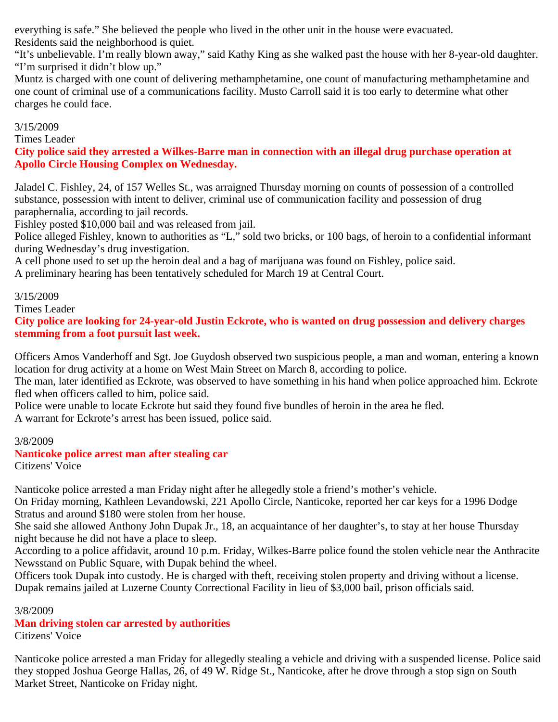everything is safe." She believed the people who lived in the other unit in the house were evacuated. Residents said the neighborhood is quiet.

"It's unbelievable. I'm really blown away," said Kathy King as she walked past the house with her 8-year-old daughter. "I'm surprised it didn't blow up."

Muntz is charged with one count of delivering methamphetamine, one count of manufacturing methamphetamine and one count of criminal use of a communications facility. Musto Carroll said it is too early to determine what other charges he could face.

### 3/15/2009

Times Leader

**City police said they arrested a Wilkes-Barre man in connection with an illegal drug purchase operation at Apollo Circle Housing Complex on Wednesday.**

Jaladel C. Fishley, 24, of 157 Welles St., was arraigned Thursday morning on counts of possession of a controlled substance, possession with intent to deliver, criminal use of communication facility and possession of drug paraphernalia, according to jail records.

Fishley posted \$10,000 bail and was released from jail.

Police alleged Fishley, known to authorities as "L," sold two bricks, or 100 bags, of heroin to a confidential informant during Wednesday's drug investigation.

A cell phone used to set up the heroin deal and a bag of marijuana was found on Fishley, police said.

A preliminary hearing has been tentatively scheduled for March 19 at Central Court.

#### 3/15/2009

Times Leader

**City police are looking for 24-year-old Justin Eckrote, who is wanted on drug possession and delivery charges stemming from a foot pursuit last week.**

Officers Amos Vanderhoff and Sgt. Joe Guydosh observed two suspicious people, a man and woman, entering a known location for drug activity at a home on West Main Street on March 8, according to police.

The man, later identified as Eckrote, was observed to have something in his hand when police approached him. Eckrote fled when officers called to him, police said.

Police were unable to locate Eckrote but said they found five bundles of heroin in the area he fled.

A warrant for Eckrote's arrest has been issued, police said.

#### 3/8/2009

# **Nanticoke police arrest man after stealing car**

Citizens' Voice

Nanticoke police arrested a man Friday night after he allegedly stole a friend's mother's vehicle.

On Friday morning, Kathleen Levandowski, 221 Apollo Circle, Nanticoke, reported her car keys for a 1996 Dodge Stratus and around \$180 were stolen from her house.

She said she allowed Anthony John Dupak Jr., 18, an acquaintance of her daughter's, to stay at her house Thursday night because he did not have a place to sleep.

According to a police affidavit, around 10 p.m. Friday, Wilkes-Barre police found the stolen vehicle near the Anthracite Newsstand on Public Square, with Dupak behind the wheel.

Officers took Dupak into custody. He is charged with theft, receiving stolen property and driving without a license. Dupak remains jailed at Luzerne County Correctional Facility in lieu of \$3,000 bail, prison officials said.

3/8/2009

# **Man driving stolen car arrested by authorities**

Citizens' Voice

Nanticoke police arrested a man Friday for allegedly stealing a vehicle and driving with a suspended license. Police said they stopped Joshua George Hallas, 26, of 49 W. Ridge St., Nanticoke, after he drove through a stop sign on South Market Street, Nanticoke on Friday night.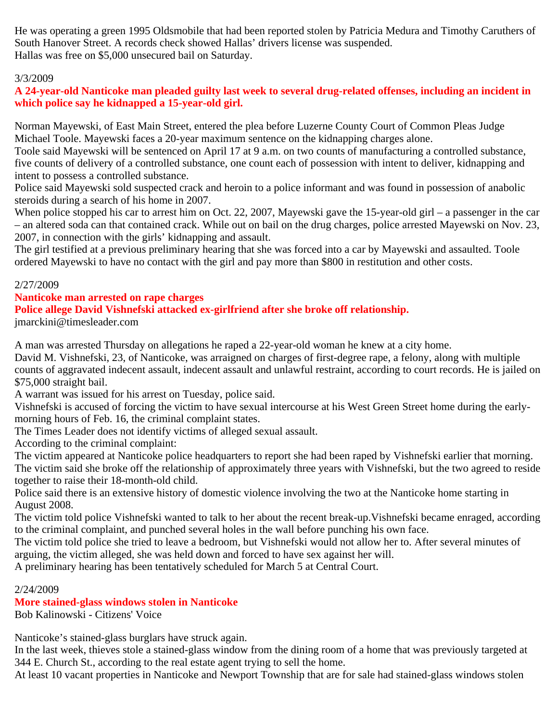He was operating a green 1995 Oldsmobile that had been reported stolen by Patricia Medura and Timothy Caruthers of South Hanover Street. A records check showed Hallas' drivers license was suspended. Hallas was free on \$5,000 unsecured bail on Saturday.

# 3/3/2009

# **A 24-year-old Nanticoke man pleaded guilty last week to several drug-related offenses, including an incident in which police say he kidnapped a 15-year-old girl.**

Norman Mayewski, of East Main Street, entered the plea before Luzerne County Court of Common Pleas Judge Michael Toole. Mayewski faces a 20-year maximum sentence on the kidnapping charges alone.

Toole said Mayewski will be sentenced on April 17 at 9 a.m. on two counts of manufacturing a controlled substance, five counts of delivery of a controlled substance, one count each of possession with intent to deliver, kidnapping and intent to possess a controlled substance.

Police said Mayewski sold suspected crack and heroin to a police informant and was found in possession of anabolic steroids during a search of his home in 2007.

When police stopped his car to arrest him on Oct. 22, 2007, Mayewski gave the 15-year-old girl – a passenger in the car – an altered soda can that contained crack. While out on bail on the drug charges, police arrested Mayewski on Nov. 23, 2007, in connection with the girls' kidnapping and assault.

The girl testified at a previous preliminary hearing that she was forced into a car by Mayewski and assaulted. Toole ordered Mayewski to have no contact with the girl and pay more than \$800 in restitution and other costs.

# 2/27/2009

#### **Nanticoke man arrested on rape charges**

# **Police allege David Vishnefski attacked ex-girlfriend after she broke off relationship.**

jmarckini@timesleader.com

A man was arrested Thursday on allegations he raped a 22-year-old woman he knew at a city home.

David M. Vishnefski, 23, of Nanticoke, was arraigned on charges of first-degree rape, a felony, along with multiple counts of aggravated indecent assault, indecent assault and unlawful restraint, according to court records. He is jailed on \$75,000 straight bail.

A warrant was issued for his arrest on Tuesday, police said.

Vishnefski is accused of forcing the victim to have sexual intercourse at his West Green Street home during the earlymorning hours of Feb. 16, the criminal complaint states.

The Times Leader does not identify victims of alleged sexual assault.

According to the criminal complaint:

The victim appeared at Nanticoke police headquarters to report she had been raped by Vishnefski earlier that morning. The victim said she broke off the relationship of approximately three years with Vishnefski, but the two agreed to reside together to raise their 18-month-old child.

Police said there is an extensive history of domestic violence involving the two at the Nanticoke home starting in August 2008.

The victim told police Vishnefski wanted to talk to her about the recent break-up.Vishnefski became enraged, according to the criminal complaint, and punched several holes in the wall before punching his own face.

The victim told police she tried to leave a bedroom, but Vishnefski would not allow her to. After several minutes of arguing, the victim alleged, she was held down and forced to have sex against her will.

A preliminary hearing has been tentatively scheduled for March 5 at Central Court.

# 2/24/2009

# **More stained-glass windows stolen in Nanticoke**

Bob Kalinowski - Citizens' Voice

Nanticoke's stained-glass burglars have struck again.

In the last week, thieves stole a stained-glass window from the dining room of a home that was previously targeted at 344 E. Church St., according to the real estate agent trying to sell the home.

At least 10 vacant properties in Nanticoke and Newport Township that are for sale had stained-glass windows stolen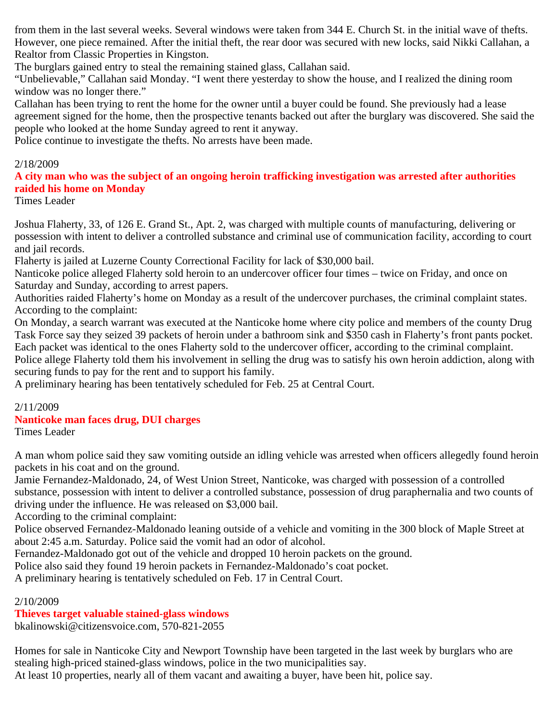from them in the last several weeks. Several windows were taken from 344 E. Church St. in the initial wave of thefts. However, one piece remained. After the initial theft, the rear door was secured with new locks, said Nikki Callahan, a Realtor from Classic Properties in Kingston.

The burglars gained entry to steal the remaining stained glass, Callahan said.

"Unbelievable," Callahan said Monday. "I went there yesterday to show the house, and I realized the dining room window was no longer there."

Callahan has been trying to rent the home for the owner until a buyer could be found. She previously had a lease agreement signed for the home, then the prospective tenants backed out after the burglary was discovered. She said the people who looked at the home Sunday agreed to rent it anyway.

Police continue to investigate the thefts. No arrests have been made.

# 2/18/2009

**A city man who was the subject of an ongoing heroin trafficking investigation was arrested after authorities raided his home on Monday**

Times Leader

Joshua Flaherty, 33, of 126 E. Grand St., Apt. 2, was charged with multiple counts of manufacturing, delivering or possession with intent to deliver a controlled substance and criminal use of communication facility, according to court and jail records.

Flaherty is jailed at Luzerne County Correctional Facility for lack of \$30,000 bail.

Nanticoke police alleged Flaherty sold heroin to an undercover officer four times – twice on Friday, and once on Saturday and Sunday, according to arrest papers.

Authorities raided Flaherty's home on Monday as a result of the undercover purchases, the criminal complaint states. According to the complaint:

On Monday, a search warrant was executed at the Nanticoke home where city police and members of the county Drug Task Force say they seized 39 packets of heroin under a bathroom sink and \$350 cash in Flaherty's front pants pocket. Each packet was identical to the ones Flaherty sold to the undercover officer, according to the criminal complaint.

Police allege Flaherty told them his involvement in selling the drug was to satisfy his own heroin addiction, along with securing funds to pay for the rent and to support his family.

A preliminary hearing has been tentatively scheduled for Feb. 25 at Central Court.

# 2/11/2009 **Nanticoke man faces drug, DUI charges**

Times Leader

A man whom police said they saw vomiting outside an idling vehicle was arrested when officers allegedly found heroin packets in his coat and on the ground.

Jamie Fernandez-Maldonado, 24, of West Union Street, Nanticoke, was charged with possession of a controlled substance, possession with intent to deliver a controlled substance, possession of drug paraphernalia and two counts of driving under the influence. He was released on \$3,000 bail.

According to the criminal complaint:

Police observed Fernandez-Maldonado leaning outside of a vehicle and vomiting in the 300 block of Maple Street at about 2:45 a.m. Saturday. Police said the vomit had an odor of alcohol.

Fernandez-Maldonado got out of the vehicle and dropped 10 heroin packets on the ground.

Police also said they found 19 heroin packets in Fernandez-Maldonado's coat pocket.

A preliminary hearing is tentatively scheduled on Feb. 17 in Central Court.

# 2/10/2009

# **Thieves target valuable stained-glass windows**

bkalinowski@citizensvoice.com, 570-821-2055

Homes for sale in Nanticoke City and Newport Township have been targeted in the last week by burglars who are stealing high-priced stained-glass windows, police in the two municipalities say.

At least 10 properties, nearly all of them vacant and awaiting a buyer, have been hit, police say.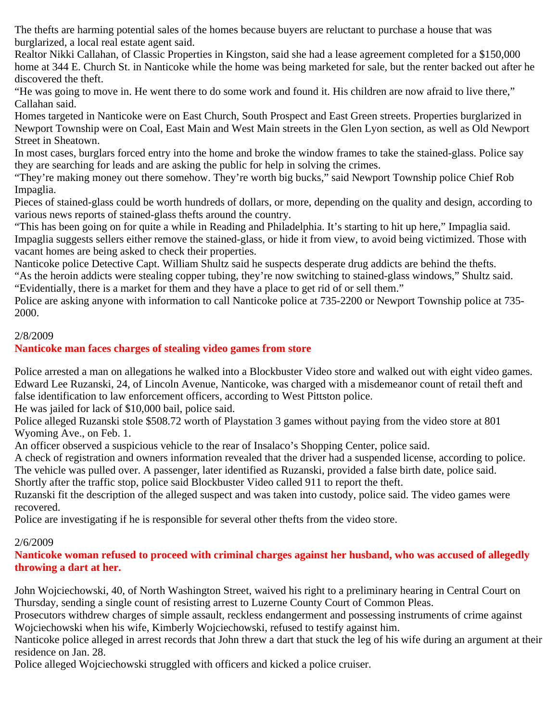The thefts are harming potential sales of the homes because buyers are reluctant to purchase a house that was burglarized, a local real estate agent said.

Realtor Nikki Callahan, of Classic Properties in Kingston, said she had a lease agreement completed for a \$150,000 home at 344 E. Church St. in Nanticoke while the home was being marketed for sale, but the renter backed out after he discovered the theft.

"He was going to move in. He went there to do some work and found it. His children are now afraid to live there," Callahan said.

Homes targeted in Nanticoke were on East Church, South Prospect and East Green streets. Properties burglarized in Newport Township were on Coal, East Main and West Main streets in the Glen Lyon section, as well as Old Newport Street in Sheatown.

In most cases, burglars forced entry into the home and broke the window frames to take the stained-glass. Police say they are searching for leads and are asking the public for help in solving the crimes.

"They're making money out there somehow. They're worth big bucks," said Newport Township police Chief Rob Impaglia.

Pieces of stained-glass could be worth hundreds of dollars, or more, depending on the quality and design, according to various news reports of stained-glass thefts around the country.

"This has been going on for quite a while in Reading and Philadelphia. It's starting to hit up here," Impaglia said. Impaglia suggests sellers either remove the stained-glass, or hide it from view, to avoid being victimized. Those with vacant homes are being asked to check their properties.

Nanticoke police Detective Capt. William Shultz said he suspects desperate drug addicts are behind the thefts.

"As the heroin addicts were stealing copper tubing, they're now switching to stained-glass windows," Shultz said. "Evidentially, there is a market for them and they have a place to get rid of or sell them."

Police are asking anyone with information to call Nanticoke police at 735-2200 or Newport Township police at 735- 2000.

# 2/8/2009

# **Nanticoke man faces charges of stealing video games from store**

Police arrested a man on allegations he walked into a Blockbuster Video store and walked out with eight video games. Edward Lee Ruzanski, 24, of Lincoln Avenue, Nanticoke, was charged with a misdemeanor count of retail theft and false identification to law enforcement officers, according to West Pittston police.

He was jailed for lack of \$10,000 bail, police said.

Police alleged Ruzanski stole \$508.72 worth of Playstation 3 games without paying from the video store at 801 Wyoming Ave., on Feb. 1.

An officer observed a suspicious vehicle to the rear of Insalaco's Shopping Center, police said.

A check of registration and owners information revealed that the driver had a suspended license, according to police. The vehicle was pulled over. A passenger, later identified as Ruzanski, provided a false birth date, police said.

Shortly after the traffic stop, police said Blockbuster Video called 911 to report the theft.

Ruzanski fit the description of the alleged suspect and was taken into custody, police said. The video games were recovered.

Police are investigating if he is responsible for several other thefts from the video store.

# 2/6/2009

**Nanticoke woman refused to proceed with criminal charges against her husband, who was accused of allegedly throwing a dart at her.**

John Wojciechowski, 40, of North Washington Street, waived his right to a preliminary hearing in Central Court on Thursday, sending a single count of resisting arrest to Luzerne County Court of Common Pleas.

Prosecutors withdrew charges of simple assault, reckless endangerment and possessing instruments of crime against Wojciechowski when his wife, Kimberly Wojciechowski, refused to testify against him.

Nanticoke police alleged in arrest records that John threw a dart that stuck the leg of his wife during an argument at their residence on Jan. 28.

Police alleged Wojciechowski struggled with officers and kicked a police cruiser.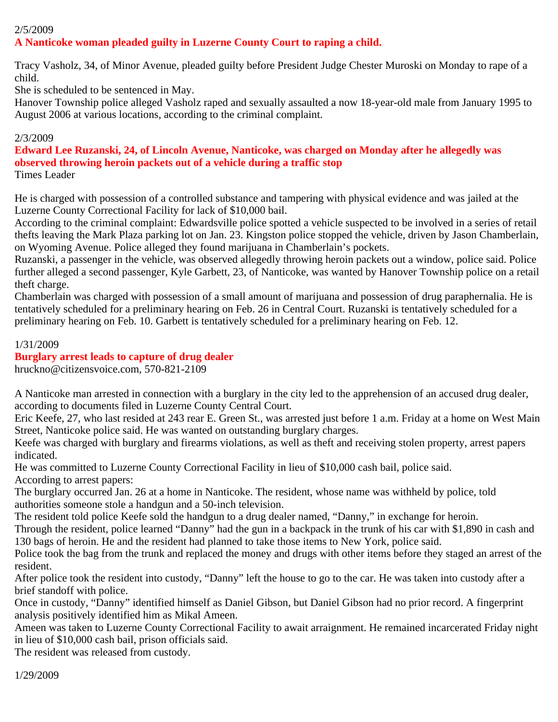# 2/5/2009 **A Nanticoke woman pleaded guilty in Luzerne County Court to raping a child.**

Tracy Vasholz, 34, of Minor Avenue, pleaded guilty before President Judge Chester Muroski on Monday to rape of a child.

She is scheduled to be sentenced in May.

Hanover Township police alleged Vasholz raped and sexually assaulted a now 18-year-old male from January 1995 to August 2006 at various locations, according to the criminal complaint.

# 2/3/2009

**Edward Lee Ruzanski, 24, of Lincoln Avenue, Nanticoke, was charged on Monday after he allegedly was observed throwing heroin packets out of a vehicle during a traffic stop** Times Leader

He is charged with possession of a controlled substance and tampering with physical evidence and was jailed at the Luzerne County Correctional Facility for lack of \$10,000 bail.

According to the criminal complaint: Edwardsville police spotted a vehicle suspected to be involved in a series of retail thefts leaving the Mark Plaza parking lot on Jan. 23. Kingston police stopped the vehicle, driven by Jason Chamberlain, on Wyoming Avenue. Police alleged they found marijuana in Chamberlain's pockets.

Ruzanski, a passenger in the vehicle, was observed allegedly throwing heroin packets out a window, police said. Police further alleged a second passenger, Kyle Garbett, 23, of Nanticoke, was wanted by Hanover Township police on a retail theft charge.

Chamberlain was charged with possession of a small amount of marijuana and possession of drug paraphernalia. He is tentatively scheduled for a preliminary hearing on Feb. 26 in Central Court. Ruzanski is tentatively scheduled for a preliminary hearing on Feb. 10. Garbett is tentatively scheduled for a preliminary hearing on Feb. 12.

1/31/2009

# **Burglary arrest leads to capture of drug dealer**

hruckno@citizensvoice.com, 570-821-2109

A Nanticoke man arrested in connection with a burglary in the city led to the apprehension of an accused drug dealer, according to documents filed in Luzerne County Central Court.

Eric Keefe, 27, who last resided at 243 rear E. Green St., was arrested just before 1 a.m. Friday at a home on West Main Street, Nanticoke police said. He was wanted on outstanding burglary charges.

Keefe was charged with burglary and firearms violations, as well as theft and receiving stolen property, arrest papers indicated.

He was committed to Luzerne County Correctional Facility in lieu of \$10,000 cash bail, police said. According to arrest papers:

The burglary occurred Jan. 26 at a home in Nanticoke. The resident, whose name was withheld by police, told authorities someone stole a handgun and a 50-inch television.

The resident told police Keefe sold the handgun to a drug dealer named, "Danny," in exchange for heroin.

Through the resident, police learned "Danny" had the gun in a backpack in the trunk of his car with \$1,890 in cash and 130 bags of heroin. He and the resident had planned to take those items to New York, police said.

Police took the bag from the trunk and replaced the money and drugs with other items before they staged an arrest of the resident.

After police took the resident into custody, "Danny" left the house to go to the car. He was taken into custody after a brief standoff with police.

Once in custody, "Danny" identified himself as Daniel Gibson, but Daniel Gibson had no prior record. A fingerprint analysis positively identified him as Mikal Ameen.

Ameen was taken to Luzerne County Correctional Facility to await arraignment. He remained incarcerated Friday night in lieu of \$10,000 cash bail, prison officials said.

The resident was released from custody.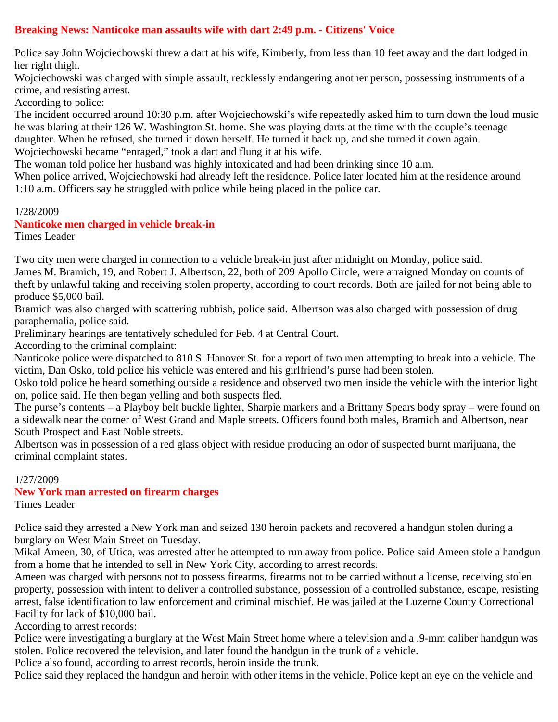# **Breaking News: Nanticoke man assaults wife with dart 2:49 p.m. - Citizens' Voice**

Police say John Wojciechowski threw a dart at his wife, Kimberly, from less than 10 feet away and the dart lodged in her right thigh.

Wojciechowski was charged with simple assault, recklessly endangering another person, possessing instruments of a crime, and resisting arrest.

According to police:

The incident occurred around 10:30 p.m. after Wojciechowski's wife repeatedly asked him to turn down the loud music he was blaring at their 126 W. Washington St. home. She was playing darts at the time with the couple's teenage daughter. When he refused, she turned it down herself. He turned it back up, and she turned it down again. Wojciechowski became "enraged," took a dart and flung it at his wife.

The woman told police her husband was highly intoxicated and had been drinking since 10 a.m.

When police arrived, Wojciechowski had already left the residence. Police later located him at the residence around 1:10 a.m. Officers say he struggled with police while being placed in the police car.

1/28/2009

#### **Nanticoke men charged in vehicle break-in**

Times Leader

Two city men were charged in connection to a vehicle break-in just after midnight on Monday, police said. James M. Bramich, 19, and Robert J. Albertson, 22, both of 209 Apollo Circle, were arraigned Monday on counts of theft by unlawful taking and receiving stolen property, according to court records. Both are jailed for not being able to produce \$5,000 bail.

Bramich was also charged with scattering rubbish, police said. Albertson was also charged with possession of drug paraphernalia, police said.

Preliminary hearings are tentatively scheduled for Feb. 4 at Central Court.

According to the criminal complaint:

Nanticoke police were dispatched to 810 S. Hanover St. for a report of two men attempting to break into a vehicle. The victim, Dan Osko, told police his vehicle was entered and his girlfriend's purse had been stolen.

Osko told police he heard something outside a residence and observed two men inside the vehicle with the interior light on, police said. He then began yelling and both suspects fled.

The purse's contents – a Playboy belt buckle lighter, Sharpie markers and a Brittany Spears body spray – were found on a sidewalk near the corner of West Grand and Maple streets. Officers found both males, Bramich and Albertson, near South Prospect and East Noble streets.

Albertson was in possession of a red glass object with residue producing an odor of suspected burnt marijuana, the criminal complaint states.

1/27/2009

# **New York man arrested on firearm charges**

Times Leader

Police said they arrested a New York man and seized 130 heroin packets and recovered a handgun stolen during a burglary on West Main Street on Tuesday.

Mikal Ameen, 30, of Utica, was arrested after he attempted to run away from police. Police said Ameen stole a handgun from a home that he intended to sell in New York City, according to arrest records.

Ameen was charged with persons not to possess firearms, firearms not to be carried without a license, receiving stolen property, possession with intent to deliver a controlled substance, possession of a controlled substance, escape, resisting arrest, false identification to law enforcement and criminal mischief. He was jailed at the Luzerne County Correctional Facility for lack of \$10,000 bail.

According to arrest records:

Police were investigating a burglary at the West Main Street home where a television and a .9-mm caliber handgun was stolen. Police recovered the television, and later found the handgun in the trunk of a vehicle.

Police also found, according to arrest records, heroin inside the trunk.

Police said they replaced the handgun and heroin with other items in the vehicle. Police kept an eye on the vehicle and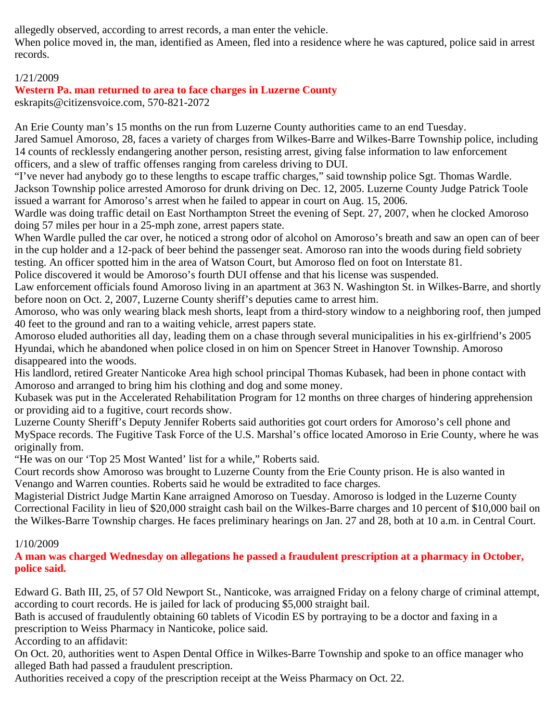allegedly observed, according to arrest records, a man enter the vehicle.

When police moved in, the man, identified as Ameen, fled into a residence where he was captured, police said in arrest records.

# 1/21/2009

# **Western Pa. man returned to area to face charges in Luzerne County**

eskrapits@citizensvoice.com, 570-821-2072

An Erie County man's 15 months on the run from Luzerne County authorities came to an end Tuesday. Jared Samuel Amoroso, 28, faces a variety of charges from Wilkes-Barre and Wilkes-Barre Township police, including 14 counts of recklessly endangering another person, resisting arrest, giving false information to law enforcement officers, and a slew of traffic offenses ranging from careless driving to DUI.

"I've never had anybody go to these lengths to escape traffic charges," said township police Sgt. Thomas Wardle. Jackson Township police arrested Amoroso for drunk driving on Dec. 12, 2005. Luzerne County Judge Patrick Toole issued a warrant for Amoroso's arrest when he failed to appear in court on Aug. 15, 2006.

Wardle was doing traffic detail on East Northampton Street the evening of Sept. 27, 2007, when he clocked Amoroso doing 57 miles per hour in a 25-mph zone, arrest papers state.

When Wardle pulled the car over, he noticed a strong odor of alcohol on Amoroso's breath and saw an open can of beer in the cup holder and a 12-pack of beer behind the passenger seat. Amoroso ran into the woods during field sobriety testing. An officer spotted him in the area of Watson Court, but Amoroso fled on foot on Interstate 81.

Police discovered it would be Amoroso's fourth DUI offense and that his license was suspended.

Law enforcement officials found Amoroso living in an apartment at 363 N. Washington St. in Wilkes-Barre, and shortly before noon on Oct. 2, 2007, Luzerne County sheriff's deputies came to arrest him.

Amoroso, who was only wearing black mesh shorts, leapt from a third-story window to a neighboring roof, then jumped 40 feet to the ground and ran to a waiting vehicle, arrest papers state.

Amoroso eluded authorities all day, leading them on a chase through several municipalities in his ex-girlfriend's 2005 Hyundai, which he abandoned when police closed in on him on Spencer Street in Hanover Township. Amoroso disappeared into the woods.

His landlord, retired Greater Nanticoke Area high school principal Thomas Kubasek, had been in phone contact with Amoroso and arranged to bring him his clothing and dog and some money.

Kubasek was put in the Accelerated Rehabilitation Program for 12 months on three charges of hindering apprehension or providing aid to a fugitive, court records show.

Luzerne County Sheriff's Deputy Jennifer Roberts said authorities got court orders for Amoroso's cell phone and MySpace records. The Fugitive Task Force of the U.S. Marshal's office located Amoroso in Erie County, where he was originally from.

"He was on our 'Top 25 Most Wanted' list for a while," Roberts said.

Court records show Amoroso was brought to Luzerne County from the Erie County prison. He is also wanted in Venango and Warren counties. Roberts said he would be extradited to face charges.

Magisterial District Judge Martin Kane arraigned Amoroso on Tuesday. Amoroso is lodged in the Luzerne County Correctional Facility in lieu of \$20,000 straight cash bail on the Wilkes-Barre charges and 10 percent of \$10,000 bail on the Wilkes-Barre Township charges. He faces preliminary hearings on Jan. 27 and 28, both at 10 a.m. in Central Court.

# 1/10/2009

**A man was charged Wednesday on allegations he passed a fraudulent prescription at a pharmacy in October, police said.**

Edward G. Bath III, 25, of 57 Old Newport St., Nanticoke, was arraigned Friday on a felony charge of criminal attempt, according to court records. He is jailed for lack of producing \$5,000 straight bail.

Bath is accused of fraudulently obtaining 60 tablets of Vicodin ES by portraying to be a doctor and faxing in a prescription to Weiss Pharmacy in Nanticoke, police said.

According to an affidavit:

On Oct. 20, authorities went to Aspen Dental Office in Wilkes-Barre Township and spoke to an office manager who alleged Bath had passed a fraudulent prescription.

Authorities received a copy of the prescription receipt at the Weiss Pharmacy on Oct. 22.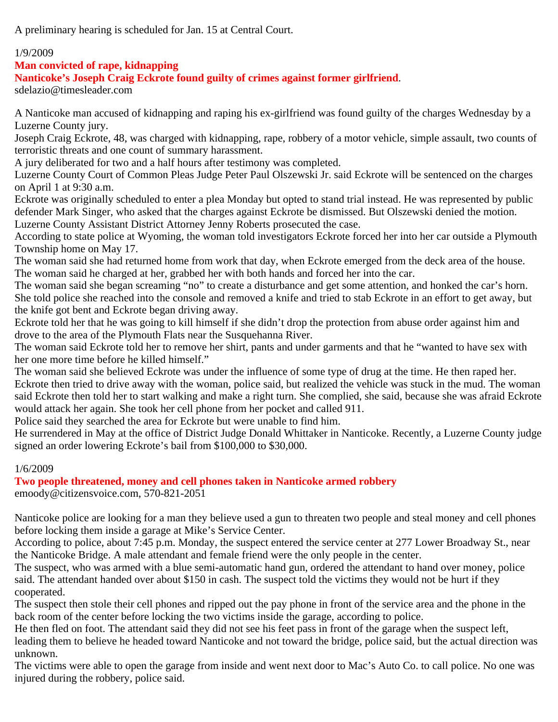A preliminary hearing is scheduled for Jan. 15 at Central Court.

# 1/9/2009

**Man convicted of rape, kidnapping**

**Nanticoke's Joseph Craig Eckrote found guilty of crimes against former girlfriend**.

sdelazio@timesleader.com

A Nanticoke man accused of kidnapping and raping his ex-girlfriend was found guilty of the charges Wednesday by a Luzerne County jury.

Joseph Craig Eckrote, 48, was charged with kidnapping, rape, robbery of a motor vehicle, simple assault, two counts of terroristic threats and one count of summary harassment.

A jury deliberated for two and a half hours after testimony was completed.

Luzerne County Court of Common Pleas Judge Peter Paul Olszewski Jr. said Eckrote will be sentenced on the charges on April 1 at 9:30 a.m.

Eckrote was originally scheduled to enter a plea Monday but opted to stand trial instead. He was represented by public defender Mark Singer, who asked that the charges against Eckrote be dismissed. But Olszewski denied the motion. Luzerne County Assistant District Attorney Jenny Roberts prosecuted the case.

According to state police at Wyoming, the woman told investigators Eckrote forced her into her car outside a Plymouth Township home on May 17.

The woman said she had returned home from work that day, when Eckrote emerged from the deck area of the house. The woman said he charged at her, grabbed her with both hands and forced her into the car.

The woman said she began screaming "no" to create a disturbance and get some attention, and honked the car's horn. She told police she reached into the console and removed a knife and tried to stab Eckrote in an effort to get away, but the knife got bent and Eckrote began driving away.

Eckrote told her that he was going to kill himself if she didn't drop the protection from abuse order against him and drove to the area of the Plymouth Flats near the Susquehanna River.

The woman said Eckrote told her to remove her shirt, pants and under garments and that he "wanted to have sex with her one more time before he killed himself."

The woman said she believed Eckrote was under the influence of some type of drug at the time. He then raped her. Eckrote then tried to drive away with the woman, police said, but realized the vehicle was stuck in the mud. The woman said Eckrote then told her to start walking and make a right turn. She complied, she said, because she was afraid Eckrote would attack her again. She took her cell phone from her pocket and called 911.

Police said they searched the area for Eckrote but were unable to find him.

He surrendered in May at the office of District Judge Donald Whittaker in Nanticoke. Recently, a Luzerne County judge signed an order lowering Eckrote's bail from \$100,000 to \$30,000.

# 1/6/2009

**Two people threatened, money and cell phones taken in Nanticoke armed robbery** emoody@citizensvoice.com, 570-821-2051

Nanticoke police are looking for a man they believe used a gun to threaten two people and steal money and cell phones before locking them inside a garage at Mike's Service Center.

According to police, about 7:45 p.m. Monday, the suspect entered the service center at 277 Lower Broadway St., near the Nanticoke Bridge. A male attendant and female friend were the only people in the center.

The suspect, who was armed with a blue semi-automatic hand gun, ordered the attendant to hand over money, police said. The attendant handed over about \$150 in cash. The suspect told the victims they would not be hurt if they cooperated.

The suspect then stole their cell phones and ripped out the pay phone in front of the service area and the phone in the back room of the center before locking the two victims inside the garage, according to police.

He then fled on foot. The attendant said they did not see his feet pass in front of the garage when the suspect left, leading them to believe he headed toward Nanticoke and not toward the bridge, police said, but the actual direction was unknown.

The victims were able to open the garage from inside and went next door to Mac's Auto Co. to call police. No one was injured during the robbery, police said.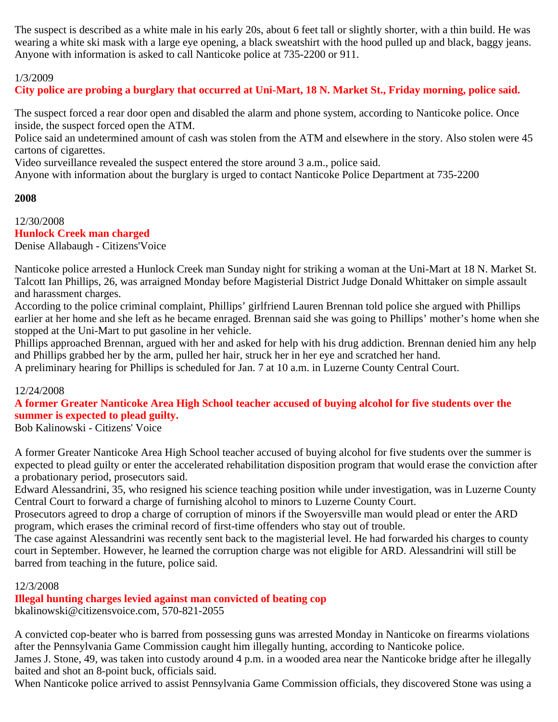The suspect is described as a white male in his early 20s, about 6 feet tall or slightly shorter, with a thin build. He was wearing a white ski mask with a large eye opening, a black sweatshirt with the hood pulled up and black, baggy jeans. Anyone with information is asked to call Nanticoke police at 735-2200 or 911.

# 1/3/2009

**City police are probing a burglary that occurred at Uni-Mart, 18 N. Market St., Friday morning, police said.**

The suspect forced a rear door open and disabled the alarm and phone system, according to Nanticoke police. Once inside, the suspect forced open the ATM.

Police said an undetermined amount of cash was stolen from the ATM and elsewhere in the story. Also stolen were 45 cartons of cigarettes.

Video surveillance revealed the suspect entered the store around 3 a.m., police said.

Anyone with information about the burglary is urged to contact Nanticoke Police Department at 735-2200

# **2008**

12/30/2008 **Hunlock Creek man charged** Denise Allabaugh - Citizens'Voice

Nanticoke police arrested a Hunlock Creek man Sunday night for striking a woman at the Uni-Mart at 18 N. Market St. Talcott Ian Phillips, 26, was arraigned Monday before Magisterial District Judge Donald Whittaker on simple assault and harassment charges.

According to the police criminal complaint, Phillips' girlfriend Lauren Brennan told police she argued with Phillips earlier at her home and she left as he became enraged. Brennan said she was going to Phillips' mother's home when she stopped at the Uni-Mart to put gasoline in her vehicle.

Phillips approached Brennan, argued with her and asked for help with his drug addiction. Brennan denied him any help and Phillips grabbed her by the arm, pulled her hair, struck her in her eye and scratched her hand.

A preliminary hearing for Phillips is scheduled for Jan. 7 at 10 a.m. in Luzerne County Central Court.

# 12/24/2008

**A former Greater Nanticoke Area High School teacher accused of buying alcohol for five students over the summer is expected to plead guilty.**

Bob Kalinowski - Citizens' Voice

A former Greater Nanticoke Area High School teacher accused of buying alcohol for five students over the summer is expected to plead guilty or enter the accelerated rehabilitation disposition program that would erase the conviction after a probationary period, prosecutors said.

Edward Alessandrini, 35, who resigned his science teaching position while under investigation, was in Luzerne County Central Court to forward a charge of furnishing alcohol to minors to Luzerne County Court.

Prosecutors agreed to drop a charge of corruption of minors if the Swoyersville man would plead or enter the ARD program, which erases the criminal record of first-time offenders who stay out of trouble.

The case against Alessandrini was recently sent back to the magisterial level. He had forwarded his charges to county court in September. However, he learned the corruption charge was not eligible for ARD. Alessandrini will still be barred from teaching in the future, police said.

# 12/3/2008

**Illegal hunting charges levied against man convicted of beating cop**

bkalinowski@citizensvoice.com, 570-821-2055

A convicted cop-beater who is barred from possessing guns was arrested Monday in Nanticoke on firearms violations after the Pennsylvania Game Commission caught him illegally hunting, according to Nanticoke police.

James J. Stone, 49, was taken into custody around 4 p.m. in a wooded area near the Nanticoke bridge after he illegally baited and shot an 8-point buck, officials said.

When Nanticoke police arrived to assist Pennsylvania Game Commission officials, they discovered Stone was using a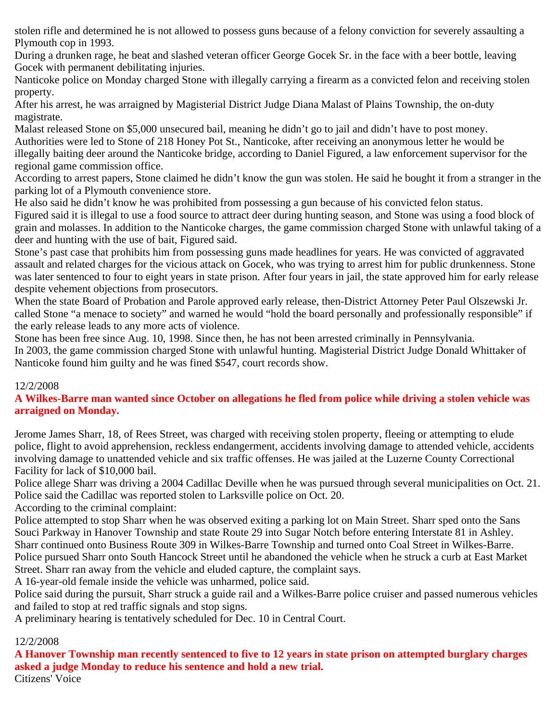stolen rifle and determined he is not allowed to possess guns because of a felony conviction for severely assaulting a Plymouth cop in 1993.

During a drunken rage, he beat and slashed veteran officer George Gocek Sr. in the face with a beer bottle, leaving Gocek with permanent debilitating injuries.

Nanticoke police on Monday charged Stone with illegally carrying a firearm as a convicted felon and receiving stolen property.

After his arrest, he was arraigned by Magisterial District Judge Diana Malast of Plains Township, the on-duty magistrate.

Malast released Stone on \$5,000 unsecured bail, meaning he didn't go to jail and didn't have to post money. Authorities were led to Stone of 218 Honey Pot St., Nanticoke, after receiving an anonymous letter he would be illegally baiting deer around the Nanticoke bridge, according to Daniel Figured, a law enforcement supervisor for the regional game commission office.

According to arrest papers, Stone claimed he didn't know the gun was stolen. He said he bought it from a stranger in the parking lot of a Plymouth convenience store.

He also said he didn't know he was prohibited from possessing a gun because of his convicted felon status.

Figured said it is illegal to use a food source to attract deer during hunting season, and Stone was using a food block of grain and molasses. In addition to the Nanticoke charges, the game commission charged Stone with unlawful taking of a deer and hunting with the use of bait, Figured said.

Stone's past case that prohibits him from possessing guns made headlines for years. He was convicted of aggravated assault and related charges for the vicious attack on Gocek, who was trying to arrest him for public drunkenness. Stone was later sentenced to four to eight years in state prison. After four years in jail, the state approved him for early release despite vehement objections from prosecutors.

When the state Board of Probation and Parole approved early release, then-District Attorney Peter Paul Olszewski Jr. called Stone "a menace to society" and warned he would "hold the board personally and professionally responsible" if the early release leads to any more acts of violence.

Stone has been free since Aug. 10, 1998. Since then, he has not been arrested criminally in Pennsylvania. In 2003, the game commission charged Stone with unlawful hunting. Magisterial District Judge Donald Whittaker of Nanticoke found him guilty and he was fined \$547, court records show.

# 12/2/2008

# **A Wilkes-Barre man wanted since October on allegations he fled from police while driving a stolen vehicle was arraigned on Monday.**

Jerome James Sharr, 18, of Rees Street, was charged with receiving stolen property, fleeing or attempting to elude police, flight to avoid apprehension, reckless endangerment, accidents involving damage to attended vehicle, accidents involving damage to unattended vehicle and six traffic offenses. He was jailed at the Luzerne County Correctional Facility for lack of \$10,000 bail.

Police allege Sharr was driving a 2004 Cadillac Deville when he was pursued through several municipalities on Oct. 21. Police said the Cadillac was reported stolen to Larksville police on Oct. 20.

According to the criminal complaint:

Police attempted to stop Sharr when he was observed exiting a parking lot on Main Street. Sharr sped onto the Sans Souci Parkway in Hanover Township and state Route 29 into Sugar Notch before entering Interstate 81 in Ashley. Sharr continued onto Business Route 309 in Wilkes-Barre Township and turned onto Coal Street in Wilkes-Barre. Police pursued Sharr onto South Hancock Street until he abandoned the vehicle when he struck a curb at East Market Street. Sharr ran away from the vehicle and eluded capture, the complaint says.

A 16-year-old female inside the vehicle was unharmed, police said.

Police said during the pursuit, Sharr struck a guide rail and a Wilkes-Barre police cruiser and passed numerous vehicles and failed to stop at red traffic signals and stop signs.

A preliminary hearing is tentatively scheduled for Dec. 10 in Central Court.

# 12/2/2008

**A Hanover Township man recently sentenced to five to 12 years in state prison on attempted burglary charges asked a judge Monday to reduce his sentence and hold a new trial.**

Citizens' Voice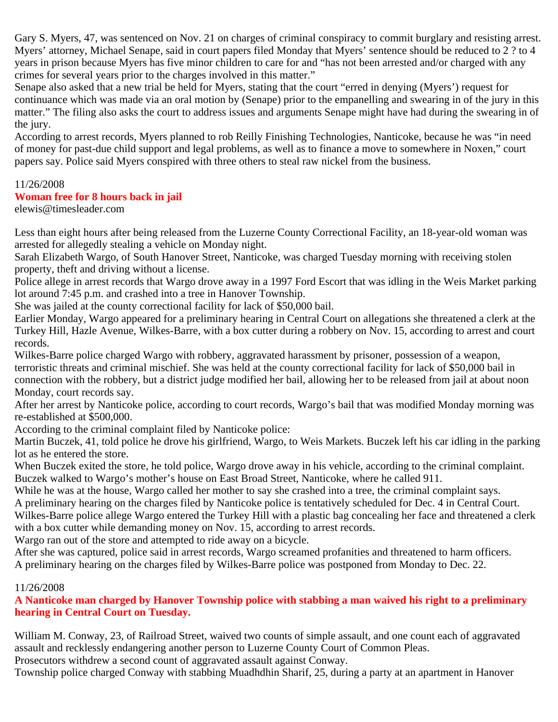Gary S. Myers, 47, was sentenced on Nov. 21 on charges of criminal conspiracy to commit burglary and resisting arrest. Myers' attorney, Michael Senape, said in court papers filed Monday that Myers' sentence should be reduced to 2 ? to 4 years in prison because Myers has five minor children to care for and "has not been arrested and/or charged with any crimes for several years prior to the charges involved in this matter."

Senape also asked that a new trial be held for Myers, stating that the court "erred in denying (Myers') request for continuance which was made via an oral motion by (Senape) prior to the empanelling and swearing in of the jury in this matter." The filing also asks the court to address issues and arguments Senape might have had during the swearing in of the jury.

According to arrest records, Myers planned to rob Reilly Finishing Technologies, Nanticoke, because he was "in need of money for past-due child support and legal problems, as well as to finance a move to somewhere in Noxen," court papers say. Police said Myers conspired with three others to steal raw nickel from the business.

#### 11/26/2008

#### **Woman free for 8 hours back in jail**

elewis@timesleader.com

Less than eight hours after being released from the Luzerne County Correctional Facility, an 18-year-old woman was arrested for allegedly stealing a vehicle on Monday night.

Sarah Elizabeth Wargo, of South Hanover Street, Nanticoke, was charged Tuesday morning with receiving stolen property, theft and driving without a license.

Police allege in arrest records that Wargo drove away in a 1997 Ford Escort that was idling in the Weis Market parking lot around 7:45 p.m. and crashed into a tree in Hanover Township.

She was jailed at the county correctional facility for lack of \$50,000 bail.

Earlier Monday, Wargo appeared for a preliminary hearing in Central Court on allegations she threatened a clerk at the Turkey Hill, Hazle Avenue, Wilkes-Barre, with a box cutter during a robbery on Nov. 15, according to arrest and court records.

Wilkes-Barre police charged Wargo with robbery, aggravated harassment by prisoner, possession of a weapon, terroristic threats and criminal mischief. She was held at the county correctional facility for lack of \$50,000 bail in connection with the robbery, but a district judge modified her bail, allowing her to be released from jail at about noon Monday, court records say.

After her arrest by Nanticoke police, according to court records, Wargo's bail that was modified Monday morning was re-established at \$500,000.

According to the criminal complaint filed by Nanticoke police:

Martin Buczek, 41, told police he drove his girlfriend, Wargo, to Weis Markets. Buczek left his car idling in the parking lot as he entered the store.

When Buczek exited the store, he told police, Wargo drove away in his vehicle, according to the criminal complaint. Buczek walked to Wargo's mother's house on East Broad Street, Nanticoke, where he called 911.

While he was at the house, Wargo called her mother to say she crashed into a tree, the criminal complaint says.

A preliminary hearing on the charges filed by Nanticoke police is tentatively scheduled for Dec. 4 in Central Court. Wilkes-Barre police allege Wargo entered the Turkey Hill with a plastic bag concealing her face and threatened a clerk

with a box cutter while demanding money on Nov. 15, according to arrest records.

Wargo ran out of the store and attempted to ride away on a bicycle.

After she was captured, police said in arrest records, Wargo screamed profanities and threatened to harm officers.

A preliminary hearing on the charges filed by Wilkes-Barre police was postponed from Monday to Dec. 22.

# 11/26/2008

**A Nanticoke man charged by Hanover Township police with stabbing a man waived his right to a preliminary hearing in Central Court on Tuesday.**

William M. Conway, 23, of Railroad Street, waived two counts of simple assault, and one count each of aggravated assault and recklessly endangering another person to Luzerne County Court of Common Pleas.

Prosecutors withdrew a second count of aggravated assault against Conway.

Township police charged Conway with stabbing Muadhdhin Sharif, 25, during a party at an apartment in Hanover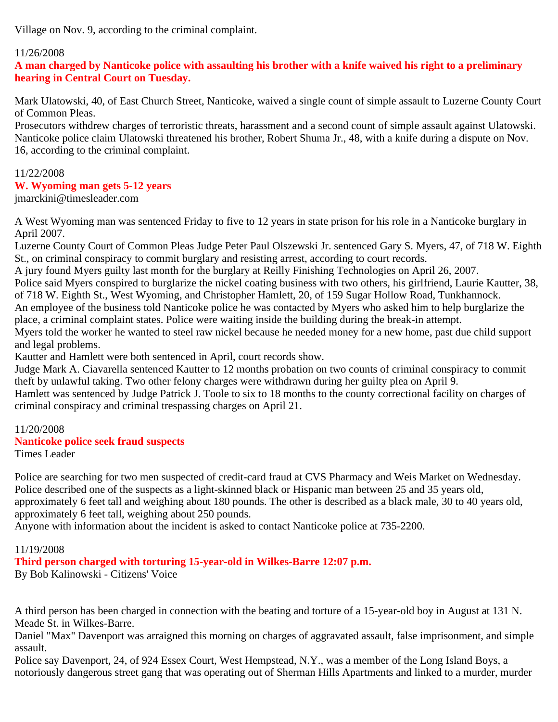Village on Nov. 9, according to the criminal complaint.

# 11/26/2008

**A man charged by Nanticoke police with assaulting his brother with a knife waived his right to a preliminary hearing in Central Court on Tuesday.**

Mark Ulatowski, 40, of East Church Street, Nanticoke, waived a single count of simple assault to Luzerne County Court of Common Pleas.

Prosecutors withdrew charges of terroristic threats, harassment and a second count of simple assault against Ulatowski. Nanticoke police claim Ulatowski threatened his brother, Robert Shuma Jr., 48, with a knife during a dispute on Nov. 16, according to the criminal complaint.

# 11/22/2008

# **W. Wyoming man gets 5-12 years**

jmarckini@timesleader.com

A West Wyoming man was sentenced Friday to five to 12 years in state prison for his role in a Nanticoke burglary in April 2007.

Luzerne County Court of Common Pleas Judge Peter Paul Olszewski Jr. sentenced Gary S. Myers, 47, of 718 W. Eighth St., on criminal conspiracy to commit burglary and resisting arrest, according to court records.

A jury found Myers guilty last month for the burglary at Reilly Finishing Technologies on April 26, 2007.

Police said Myers conspired to burglarize the nickel coating business with two others, his girlfriend, Laurie Kautter, 38, of 718 W. Eighth St., West Wyoming, and Christopher Hamlett, 20, of 159 Sugar Hollow Road, Tunkhannock.

An employee of the business told Nanticoke police he was contacted by Myers who asked him to help burglarize the place, a criminal complaint states. Police were waiting inside the building during the break-in attempt.

Myers told the worker he wanted to steel raw nickel because he needed money for a new home, past due child support and legal problems.

Kautter and Hamlett were both sentenced in April, court records show.

Judge Mark A. Ciavarella sentenced Kautter to 12 months probation on two counts of criminal conspiracy to commit theft by unlawful taking. Two other felony charges were withdrawn during her guilty plea on April 9.

Hamlett was sentenced by Judge Patrick J. Toole to six to 18 months to the county correctional facility on charges of criminal conspiracy and criminal trespassing charges on April 21.

# 11/20/2008

# **Nanticoke police seek fraud suspects**

Times Leader

Police are searching for two men suspected of credit-card fraud at CVS Pharmacy and Weis Market on Wednesday. Police described one of the suspects as a light-skinned black or Hispanic man between 25 and 35 years old, approximately 6 feet tall and weighing about 180 pounds. The other is described as a black male, 30 to 40 years old, approximately 6 feet tall, weighing about 250 pounds.

Anyone with information about the incident is asked to contact Nanticoke police at 735-2200.

# 11/19/2008

# **Third person charged with torturing 15-year-old in Wilkes-Barre 12:07 p.m.**

By Bob Kalinowski - Citizens' Voice

A third person has been charged in connection with the beating and torture of a 15-year-old boy in August at 131 N. Meade St. in Wilkes-Barre.

Daniel "Max" Davenport was arraigned this morning on charges of aggravated assault, false imprisonment, and simple assault.

Police say Davenport, 24, of 924 Essex Court, West Hempstead, N.Y., was a member of the Long Island Boys, a notoriously dangerous street gang that was operating out of Sherman Hills Apartments and linked to a murder, murder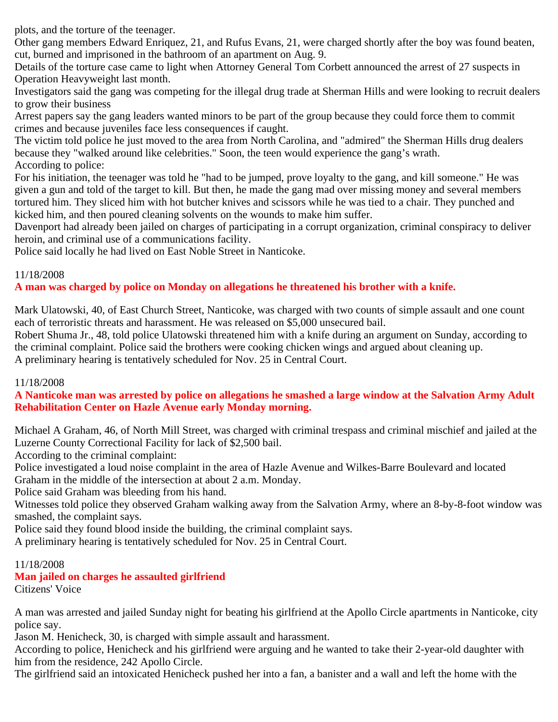plots, and the torture of the teenager.

Other gang members Edward Enriquez, 21, and Rufus Evans, 21, were charged shortly after the boy was found beaten, cut, burned and imprisoned in the bathroom of an apartment on Aug. 9.

Details of the torture case came to light when Attorney General Tom Corbett announced the arrest of 27 suspects in Operation Heavyweight last month.

Investigators said the gang was competing for the illegal drug trade at Sherman Hills and were looking to recruit dealers to grow their business

Arrest papers say the gang leaders wanted minors to be part of the group because they could force them to commit crimes and because juveniles face less consequences if caught.

The victim told police he just moved to the area from North Carolina, and "admired" the Sherman Hills drug dealers because they "walked around like celebrities." Soon, the teen would experience the gang's wrath. According to police:

For his initiation, the teenager was told he "had to be jumped, prove loyalty to the gang, and kill someone." He was given a gun and told of the target to kill. But then, he made the gang mad over missing money and several members tortured him. They sliced him with hot butcher knives and scissors while he was tied to a chair. They punched and kicked him, and then poured cleaning solvents on the wounds to make him suffer.

Davenport had already been jailed on charges of participating in a corrupt organization, criminal conspiracy to deliver heroin, and criminal use of a communications facility.

Police said locally he had lived on East Noble Street in Nanticoke.

# 11/18/2008

# **A man was charged by police on Monday on allegations he threatened his brother with a knife.**

Mark Ulatowski, 40, of East Church Street, Nanticoke, was charged with two counts of simple assault and one count each of terroristic threats and harassment. He was released on \$5,000 unsecured bail.

Robert Shuma Jr., 48, told police Ulatowski threatened him with a knife during an argument on Sunday, according to the criminal complaint. Police said the brothers were cooking chicken wings and argued about cleaning up. A preliminary hearing is tentatively scheduled for Nov. 25 in Central Court.

# 11/18/2008

# **A Nanticoke man was arrested by police on allegations he smashed a large window at the Salvation Army Adult Rehabilitation Center on Hazle Avenue early Monday morning.**

Michael A Graham, 46, of North Mill Street, was charged with criminal trespass and criminal mischief and jailed at the Luzerne County Correctional Facility for lack of \$2,500 bail.

According to the criminal complaint:

Police investigated a loud noise complaint in the area of Hazle Avenue and Wilkes-Barre Boulevard and located

Graham in the middle of the intersection at about 2 a.m. Monday.

Police said Graham was bleeding from his hand.

Witnesses told police they observed Graham walking away from the Salvation Army, where an 8-by-8-foot window was smashed, the complaint says.

Police said they found blood inside the building, the criminal complaint says.

A preliminary hearing is tentatively scheduled for Nov. 25 in Central Court.

#### 11/18/2008

# **Man jailed on charges he assaulted girlfriend**

Citizens' Voice

A man was arrested and jailed Sunday night for beating his girlfriend at the Apollo Circle apartments in Nanticoke, city police say.

Jason M. Henicheck, 30, is charged with simple assault and harassment.

According to police, Henicheck and his girlfriend were arguing and he wanted to take their 2-year-old daughter with him from the residence, 242 Apollo Circle.

The girlfriend said an intoxicated Henicheck pushed her into a fan, a banister and a wall and left the home with the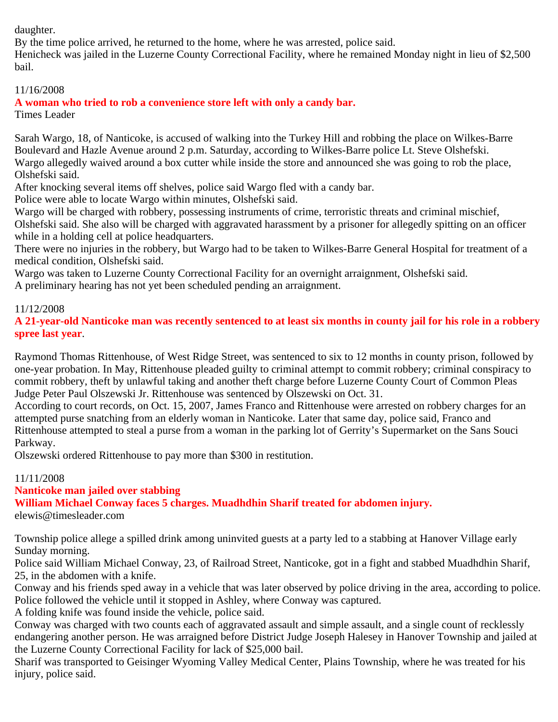daughter.

By the time police arrived, he returned to the home, where he was arrested, police said.

Henicheck was jailed in the Luzerne County Correctional Facility, where he remained Monday night in lieu of \$2,500 bail.

11/16/2008

**A woman who tried to rob a convenience store left with only a candy bar.**

Times Leader

Sarah Wargo, 18, of Nanticoke, is accused of walking into the Turkey Hill and robbing the place on Wilkes-Barre Boulevard and Hazle Avenue around 2 p.m. Saturday, according to Wilkes-Barre police Lt. Steve Olshefski. Wargo allegedly waived around a box cutter while inside the store and announced she was going to rob the place, Olshefski said.

After knocking several items off shelves, police said Wargo fled with a candy bar.

Police were able to locate Wargo within minutes, Olshefski said.

Wargo will be charged with robbery, possessing instruments of crime, terroristic threats and criminal mischief,

Olshefski said. She also will be charged with aggravated harassment by a prisoner for allegedly spitting on an officer while in a holding cell at police headquarters.

There were no injuries in the robbery, but Wargo had to be taken to Wilkes-Barre General Hospital for treatment of a medical condition, Olshefski said.

Wargo was taken to Luzerne County Correctional Facility for an overnight arraignment, Olshefski said.

A preliminary hearing has not yet been scheduled pending an arraignment.

# 11/12/2008

**A 21-year-old Nanticoke man was recently sentenced to at least six months in county jail for his role in a robbery spree last year**.

Raymond Thomas Rittenhouse, of West Ridge Street, was sentenced to six to 12 months in county prison, followed by one-year probation. In May, Rittenhouse pleaded guilty to criminal attempt to commit robbery; criminal conspiracy to commit robbery, theft by unlawful taking and another theft charge before Luzerne County Court of Common Pleas Judge Peter Paul Olszewski Jr. Rittenhouse was sentenced by Olszewski on Oct. 31.

According to court records, on Oct. 15, 2007, James Franco and Rittenhouse were arrested on robbery charges for an attempted purse snatching from an elderly woman in Nanticoke. Later that same day, police said, Franco and Rittenhouse attempted to steal a purse from a woman in the parking lot of Gerrity's Supermarket on the Sans Souci Parkway.

Olszewski ordered Rittenhouse to pay more than \$300 in restitution.

# 11/11/2008

# **Nanticoke man jailed over stabbing**

**William Michael Conway faces 5 charges. Muadhdhin Sharif treated for abdomen injury.**

elewis@timesleader.com

Township police allege a spilled drink among uninvited guests at a party led to a stabbing at Hanover Village early Sunday morning.

Police said William Michael Conway, 23, of Railroad Street, Nanticoke, got in a fight and stabbed Muadhdhin Sharif, 25, in the abdomen with a knife.

Conway and his friends sped away in a vehicle that was later observed by police driving in the area, according to police. Police followed the vehicle until it stopped in Ashley, where Conway was captured.

A folding knife was found inside the vehicle, police said.

Conway was charged with two counts each of aggravated assault and simple assault, and a single count of recklessly endangering another person. He was arraigned before District Judge Joseph Halesey in Hanover Township and jailed at the Luzerne County Correctional Facility for lack of \$25,000 bail.

Sharif was transported to Geisinger Wyoming Valley Medical Center, Plains Township, where he was treated for his injury, police said.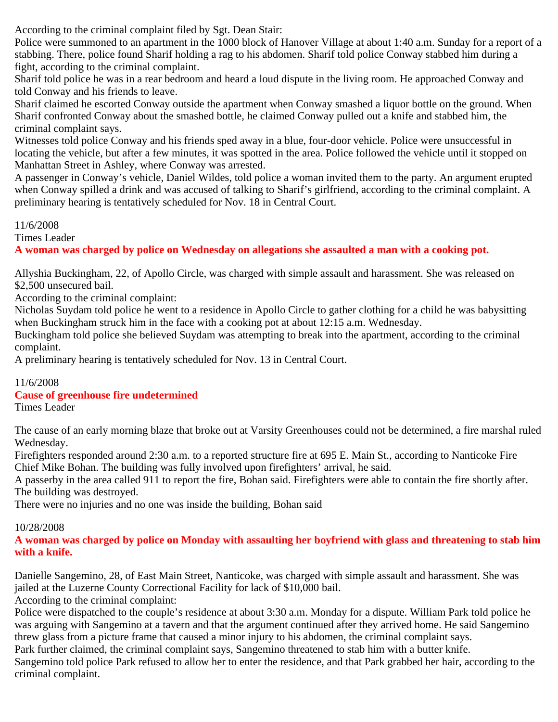According to the criminal complaint filed by Sgt. Dean Stair:

Police were summoned to an apartment in the 1000 block of Hanover Village at about 1:40 a.m. Sunday for a report of a stabbing. There, police found Sharif holding a rag to his abdomen. Sharif told police Conway stabbed him during a fight, according to the criminal complaint.

Sharif told police he was in a rear bedroom and heard a loud dispute in the living room. He approached Conway and told Conway and his friends to leave.

Sharif claimed he escorted Conway outside the apartment when Conway smashed a liquor bottle on the ground. When Sharif confronted Conway about the smashed bottle, he claimed Conway pulled out a knife and stabbed him, the criminal complaint says.

Witnesses told police Conway and his friends sped away in a blue, four-door vehicle. Police were unsuccessful in locating the vehicle, but after a few minutes, it was spotted in the area. Police followed the vehicle until it stopped on Manhattan Street in Ashley, where Conway was arrested.

A passenger in Conway's vehicle, Daniel Wildes, told police a woman invited them to the party. An argument erupted when Conway spilled a drink and was accused of talking to Sharif's girlfriend, according to the criminal complaint. A preliminary hearing is tentatively scheduled for Nov. 18 in Central Court.

# 11/6/2008

Times Leader

# **A woman was charged by police on Wednesday on allegations she assaulted a man with a cooking pot.**

Allyshia Buckingham, 22, of Apollo Circle, was charged with simple assault and harassment. She was released on \$2,500 unsecured bail.

According to the criminal complaint:

Nicholas Suydam told police he went to a residence in Apollo Circle to gather clothing for a child he was babysitting when Buckingham struck him in the face with a cooking pot at about 12:15 a.m. Wednesday.

Buckingham told police she believed Suydam was attempting to break into the apartment, according to the criminal complaint.

A preliminary hearing is tentatively scheduled for Nov. 13 in Central Court.

# 11/6/2008

# **Cause of greenhouse fire undetermined**

Times Leader

The cause of an early morning blaze that broke out at Varsity Greenhouses could not be determined, a fire marshal ruled Wednesday.

Firefighters responded around 2:30 a.m. to a reported structure fire at 695 E. Main St., according to Nanticoke Fire Chief Mike Bohan. The building was fully involved upon firefighters' arrival, he said.

A passerby in the area called 911 to report the fire, Bohan said. Firefighters were able to contain the fire shortly after. The building was destroyed.

There were no injuries and no one was inside the building, Bohan said

# 10/28/2008

# **A woman was charged by police on Monday with assaulting her boyfriend with glass and threatening to stab him with a knife.**

Danielle Sangemino, 28, of East Main Street, Nanticoke, was charged with simple assault and harassment. She was jailed at the Luzerne County Correctional Facility for lack of \$10,000 bail.

According to the criminal complaint:

Police were dispatched to the couple's residence at about 3:30 a.m. Monday for a dispute. William Park told police he was arguing with Sangemino at a tavern and that the argument continued after they arrived home. He said Sangemino threw glass from a picture frame that caused a minor injury to his abdomen, the criminal complaint says.

Park further claimed, the criminal complaint says, Sangemino threatened to stab him with a butter knife.

Sangemino told police Park refused to allow her to enter the residence, and that Park grabbed her hair, according to the criminal complaint.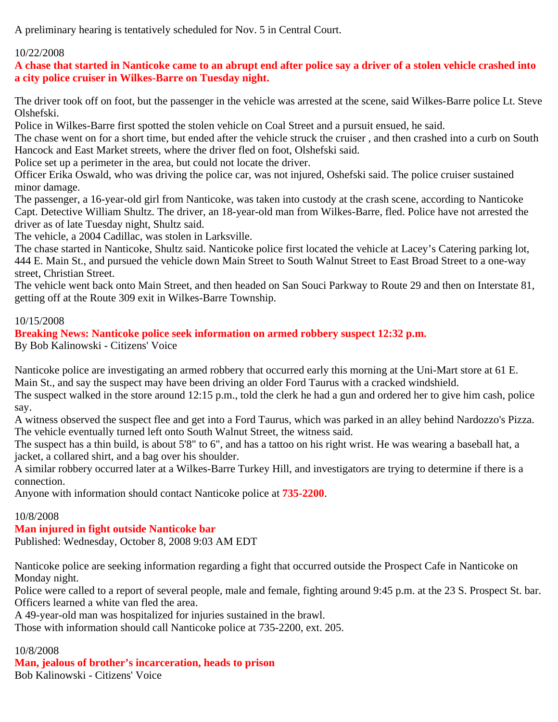A preliminary hearing is tentatively scheduled for Nov. 5 in Central Court.

# 10/22/2008

**A chase that started in Nanticoke came to an abrupt end after police say a driver of a stolen vehicle crashed into a city police cruiser in Wilkes-Barre on Tuesday night.**

The driver took off on foot, but the passenger in the vehicle was arrested at the scene, said Wilkes-Barre police Lt. Steve Olshefski.

Police in Wilkes-Barre first spotted the stolen vehicle on Coal Street and a pursuit ensued, he said.

The chase went on for a short time, but ended after the vehicle struck the cruiser , and then crashed into a curb on South Hancock and East Market streets, where the driver fled on foot, Olshefski said.

Police set up a perimeter in the area, but could not locate the driver.

Officer Erika Oswald, who was driving the police car, was not injured, Oshefski said. The police cruiser sustained minor damage.

The passenger, a 16-year-old girl from Nanticoke, was taken into custody at the crash scene, according to Nanticoke Capt. Detective William Shultz. The driver, an 18-year-old man from Wilkes-Barre, fled. Police have not arrested the driver as of late Tuesday night, Shultz said.

The vehicle, a 2004 Cadillac, was stolen in Larksville.

The chase started in Nanticoke, Shultz said. Nanticoke police first located the vehicle at Lacey's Catering parking lot, 444 E. Main St., and pursued the vehicle down Main Street to South Walnut Street to East Broad Street to a one-way street, Christian Street.

The vehicle went back onto Main Street, and then headed on San Souci Parkway to Route 29 and then on Interstate 81, getting off at the Route 309 exit in Wilkes-Barre Township.

# 10/15/2008

**Breaking News: Nanticoke police seek information on armed robbery suspect 12:32 p.m.**

By Bob Kalinowski - Citizens' Voice

Nanticoke police are investigating an armed robbery that occurred early this morning at the Uni-Mart store at 61 E. Main St., and say the suspect may have been driving an older Ford Taurus with a cracked windshield.

The suspect walked in the store around 12:15 p.m., told the clerk he had a gun and ordered her to give him cash, police say.

A witness observed the suspect flee and get into a Ford Taurus, which was parked in an alley behind Nardozzo's Pizza. The vehicle eventually turned left onto South Walnut Street, the witness said.

The suspect has a thin build, is about 5'8" to 6", and has a tattoo on his right wrist. He was wearing a baseball hat, a jacket, a collared shirt, and a bag over his shoulder.

A similar robbery occurred later at a Wilkes-Barre Turkey Hill, and investigators are trying to determine if there is a connection.

Anyone with information should contact Nanticoke police at **735-2200**.

# 10/8/2008

# **Man injured in fight outside Nanticoke bar**

Published: Wednesday, October 8, 2008 9:03 AM EDT

Nanticoke police are seeking information regarding a fight that occurred outside the Prospect Cafe in Nanticoke on Monday night.

Police were called to a report of several people, male and female, fighting around 9:45 p.m. at the 23 S. Prospect St. bar. Officers learned a white van fled the area.

A 49-year-old man was hospitalized for injuries sustained in the brawl.

Those with information should call Nanticoke police at 735-2200, ext. 205.

# 10/8/2008

**Man, jealous of brother's incarceration, heads to prison**

Bob Kalinowski - Citizens' Voice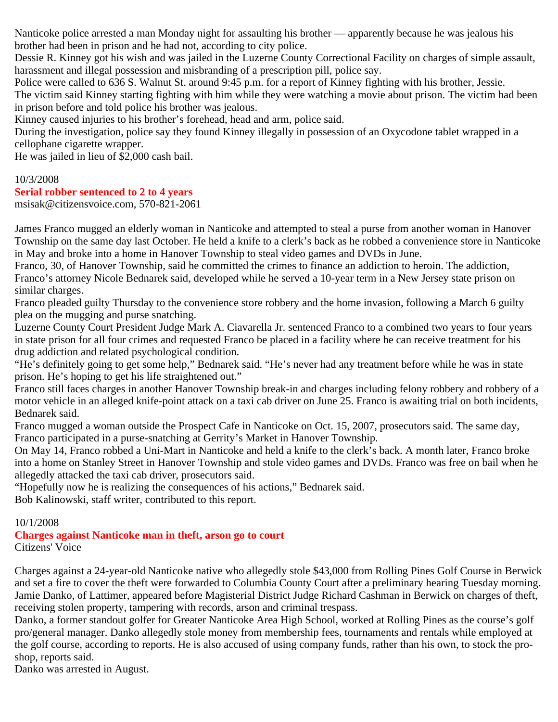Nanticoke police arrested a man Monday night for assaulting his brother — apparently because he was jealous his brother had been in prison and he had not, according to city police.

Dessie R. Kinney got his wish and was jailed in the Luzerne County Correctional Facility on charges of simple assault, harassment and illegal possession and misbranding of a prescription pill, police say.

Police were called to 636 S. Walnut St. around 9:45 p.m. for a report of Kinney fighting with his brother, Jessie. The victim said Kinney starting fighting with him while they were watching a movie about prison. The victim had been in prison before and told police his brother was jealous.

Kinney caused injuries to his brother's forehead, head and arm, police said.

During the investigation, police say they found Kinney illegally in possession of an Oxycodone tablet wrapped in a cellophane cigarette wrapper.

He was jailed in lieu of \$2,000 cash bail.

# 10/3/2008

#### **Serial robber sentenced to 2 to 4 years**

msisak@citizensvoice.com, 570-821-2061

James Franco mugged an elderly woman in Nanticoke and attempted to steal a purse from another woman in Hanover Township on the same day last October. He held a knife to a clerk's back as he robbed a convenience store in Nanticoke in May and broke into a home in Hanover Township to steal video games and DVDs in June.

Franco, 30, of Hanover Township, said he committed the crimes to finance an addiction to heroin. The addiction, Franco's attorney Nicole Bednarek said, developed while he served a 10-year term in a New Jersey state prison on similar charges.

Franco pleaded guilty Thursday to the convenience store robbery and the home invasion, following a March 6 guilty plea on the mugging and purse snatching.

Luzerne County Court President Judge Mark A. Ciavarella Jr. sentenced Franco to a combined two years to four years in state prison for all four crimes and requested Franco be placed in a facility where he can receive treatment for his drug addiction and related psychological condition.

"He's definitely going to get some help," Bednarek said. "He's never had any treatment before while he was in state prison. He's hoping to get his life straightened out."

Franco still faces charges in another Hanover Township break-in and charges including felony robbery and robbery of a motor vehicle in an alleged knife-point attack on a taxi cab driver on June 25. Franco is awaiting trial on both incidents, Bednarek said.

Franco mugged a woman outside the Prospect Cafe in Nanticoke on Oct. 15, 2007, prosecutors said. The same day, Franco participated in a purse-snatching at Gerrity's Market in Hanover Township.

On May 14, Franco robbed a Uni-Mart in Nanticoke and held a knife to the clerk's back. A month later, Franco broke into a home on Stanley Street in Hanover Township and stole video games and DVDs. Franco was free on bail when he allegedly attacked the taxi cab driver, prosecutors said.

"Hopefully now he is realizing the consequences of his actions," Bednarek said.

Bob Kalinowski, staff writer, contributed to this report.

# 10/1/2008

**Charges against Nanticoke man in theft, arson go to court** Citizens' Voice

Charges against a 24-year-old Nanticoke native who allegedly stole \$43,000 from Rolling Pines Golf Course in Berwick and set a fire to cover the theft were forwarded to Columbia County Court after a preliminary hearing Tuesday morning. Jamie Danko, of Lattimer, appeared before Magisterial District Judge Richard Cashman in Berwick on charges of theft, receiving stolen property, tampering with records, arson and criminal trespass.

Danko, a former standout golfer for Greater Nanticoke Area High School, worked at Rolling Pines as the course's golf pro/general manager. Danko allegedly stole money from membership fees, tournaments and rentals while employed at the golf course, according to reports. He is also accused of using company funds, rather than his own, to stock the proshop, reports said.

Danko was arrested in August.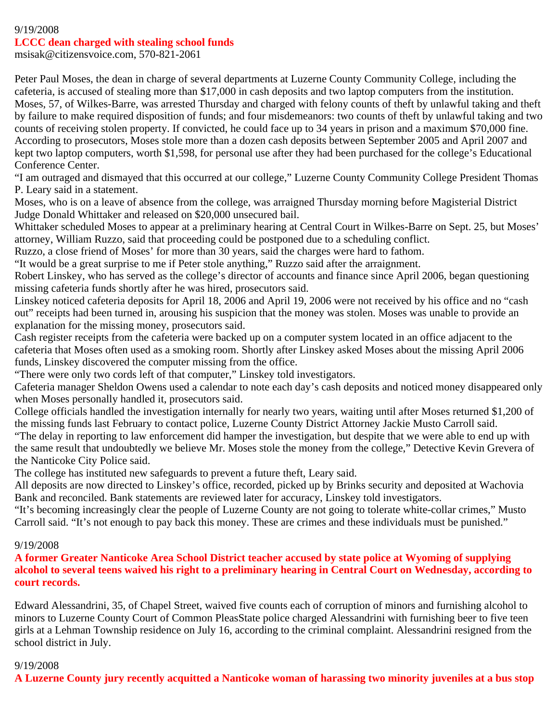#### 9/19/2008 **LCCC dean charged with stealing school funds**

msisak@citizensvoice.com, 570-821-2061

Peter Paul Moses, the dean in charge of several departments at Luzerne County Community College, including the cafeteria, is accused of stealing more than \$17,000 in cash deposits and two laptop computers from the institution. Moses, 57, of Wilkes-Barre, was arrested Thursday and charged with felony counts of theft by unlawful taking and theft by failure to make required disposition of funds; and four misdemeanors: two counts of theft by unlawful taking and two counts of receiving stolen property. If convicted, he could face up to 34 years in prison and a maximum \$70,000 fine. According to prosecutors, Moses stole more than a dozen cash deposits between September 2005 and April 2007 and kept two laptop computers, worth \$1,598, for personal use after they had been purchased for the college's Educational Conference Center.

"I am outraged and dismayed that this occurred at our college," Luzerne County Community College President Thomas P. Leary said in a statement.

Moses, who is on a leave of absence from the college, was arraigned Thursday morning before Magisterial District Judge Donald Whittaker and released on \$20,000 unsecured bail.

Whittaker scheduled Moses to appear at a preliminary hearing at Central Court in Wilkes-Barre on Sept. 25, but Moses' attorney, William Ruzzo, said that proceeding could be postponed due to a scheduling conflict.

Ruzzo, a close friend of Moses' for more than 30 years, said the charges were hard to fathom.

"It would be a great surprise to me if Peter stole anything," Ruzzo said after the arraignment.

Robert Linskey, who has served as the college's director of accounts and finance since April 2006, began questioning missing cafeteria funds shortly after he was hired, prosecutors said.

Linskey noticed cafeteria deposits for April 18, 2006 and April 19, 2006 were not received by his office and no "cash out" receipts had been turned in, arousing his suspicion that the money was stolen. Moses was unable to provide an explanation for the missing money, prosecutors said.

Cash register receipts from the cafeteria were backed up on a computer system located in an office adjacent to the cafeteria that Moses often used as a smoking room. Shortly after Linskey asked Moses about the missing April 2006 funds, Linskey discovered the computer missing from the office.

"There were only two cords left of that computer," Linskey told investigators.

Cafeteria manager Sheldon Owens used a calendar to note each day's cash deposits and noticed money disappeared only when Moses personally handled it, prosecutors said.

College officials handled the investigation internally for nearly two years, waiting until after Moses returned \$1,200 of the missing funds last February to contact police, Luzerne County District Attorney Jackie Musto Carroll said.

"The delay in reporting to law enforcement did hamper the investigation, but despite that we were able to end up with the same result that undoubtedly we believe Mr. Moses stole the money from the college," Detective Kevin Grevera of the Nanticoke City Police said.

The college has instituted new safeguards to prevent a future theft, Leary said.

All deposits are now directed to Linskey's office, recorded, picked up by Brinks security and deposited at Wachovia Bank and reconciled. Bank statements are reviewed later for accuracy, Linskey told investigators.

"It's becoming increasingly clear the people of Luzerne County are not going to tolerate white-collar crimes," Musto Carroll said. "It's not enough to pay back this money. These are crimes and these individuals must be punished."

# 9/19/2008

**A former Greater Nanticoke Area School District teacher accused by state police at Wyoming of supplying alcohol to several teens waived his right to a preliminary hearing in Central Court on Wednesday, according to court records.**

Edward Alessandrini, 35, of Chapel Street, waived five counts each of corruption of minors and furnishing alcohol to minors to Luzerne County Court of Common PleasState police charged Alessandrini with furnishing beer to five teen girls at a Lehman Township residence on July 16, according to the criminal complaint. Alessandrini resigned from the school district in July.

# 9/19/2008

**A Luzerne County jury recently acquitted a Nanticoke woman of harassing two minority juveniles at a bus stop**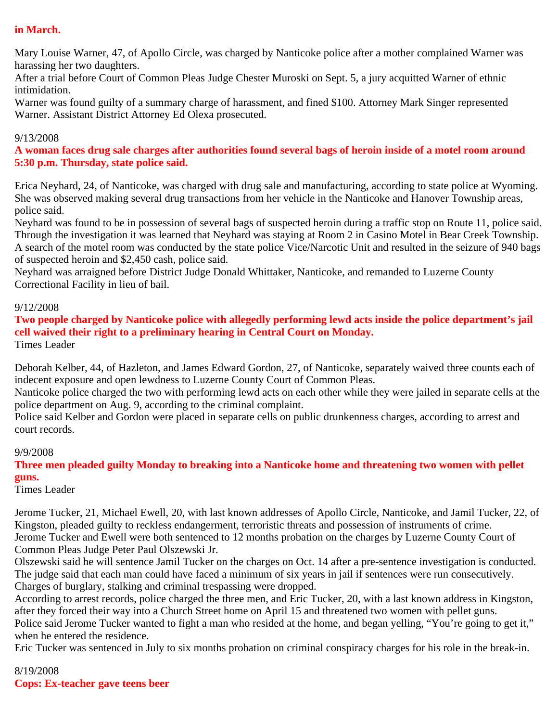# **in March.**

Mary Louise Warner, 47, of Apollo Circle, was charged by Nanticoke police after a mother complained Warner was harassing her two daughters.

After a trial before Court of Common Pleas Judge Chester Muroski on Sept. 5, a jury acquitted Warner of ethnic intimidation.

Warner was found guilty of a summary charge of harassment, and fined \$100. Attorney Mark Singer represented Warner. Assistant District Attorney Ed Olexa prosecuted.

#### 9/13/2008

**A woman faces drug sale charges after authorities found several bags of heroin inside of a motel room around 5:30 p.m. Thursday, state police said.**

Erica Neyhard, 24, of Nanticoke, was charged with drug sale and manufacturing, according to state police at Wyoming. She was observed making several drug transactions from her vehicle in the Nanticoke and Hanover Township areas, police said.

Neyhard was found to be in possession of several bags of suspected heroin during a traffic stop on Route 11, police said. Through the investigation it was learned that Neyhard was staying at Room 2 in Casino Motel in Bear Creek Township. A search of the motel room was conducted by the state police Vice/Narcotic Unit and resulted in the seizure of 940 bags of suspected heroin and \$2,450 cash, police said.

Neyhard was arraigned before District Judge Donald Whittaker, Nanticoke, and remanded to Luzerne County Correctional Facility in lieu of bail.

#### 9/12/2008

**Two people charged by Nanticoke police with allegedly performing lewd acts inside the police department's jail cell waived their right to a preliminary hearing in Central Court on Monday.** Times Leader

Deborah Kelber, 44, of Hazleton, and James Edward Gordon, 27, of Nanticoke, separately waived three counts each of indecent exposure and open lewdness to Luzerne County Court of Common Pleas.

Nanticoke police charged the two with performing lewd acts on each other while they were jailed in separate cells at the police department on Aug. 9, according to the criminal complaint.

Police said Kelber and Gordon were placed in separate cells on public drunkenness charges, according to arrest and court records.

#### 9/9/2008

**Three men pleaded guilty Monday to breaking into a Nanticoke home and threatening two women with pellet guns.**

Times Leader

Jerome Tucker, 21, Michael Ewell, 20, with last known addresses of Apollo Circle, Nanticoke, and Jamil Tucker, 22, of Kingston, pleaded guilty to reckless endangerment, terroristic threats and possession of instruments of crime. Jerome Tucker and Ewell were both sentenced to 12 months probation on the charges by Luzerne County Court of Common Pleas Judge Peter Paul Olszewski Jr.

Olszewski said he will sentence Jamil Tucker on the charges on Oct. 14 after a pre-sentence investigation is conducted. The judge said that each man could have faced a minimum of six years in jail if sentences were run consecutively. Charges of burglary, stalking and criminal trespassing were dropped.

According to arrest records, police charged the three men, and Eric Tucker, 20, with a last known address in Kingston, after they forced their way into a Church Street home on April 15 and threatened two women with pellet guns.

Police said Jerome Tucker wanted to fight a man who resided at the home, and began yelling, "You're going to get it," when he entered the residence.

Eric Tucker was sentenced in July to six months probation on criminal conspiracy charges for his role in the break-in.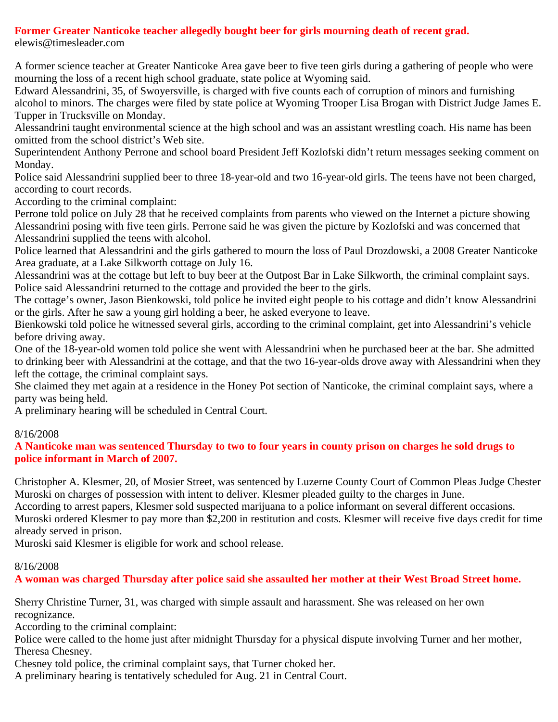# **Former Greater Nanticoke teacher allegedly bought beer for girls mourning death of recent grad.**

elewis@timesleader.com

A former science teacher at Greater Nanticoke Area gave beer to five teen girls during a gathering of people who were mourning the loss of a recent high school graduate, state police at Wyoming said.

Edward Alessandrini, 35, of Swoyersville, is charged with five counts each of corruption of minors and furnishing alcohol to minors. The charges were filed by state police at Wyoming Trooper Lisa Brogan with District Judge James E. Tupper in Trucksville on Monday.

Alessandrini taught environmental science at the high school and was an assistant wrestling coach. His name has been omitted from the school district's Web site.

Superintendent Anthony Perrone and school board President Jeff Kozlofski didn't return messages seeking comment on Monday.

Police said Alessandrini supplied beer to three 18-year-old and two 16-year-old girls. The teens have not been charged, according to court records.

According to the criminal complaint:

Perrone told police on July 28 that he received complaints from parents who viewed on the Internet a picture showing Alessandrini posing with five teen girls. Perrone said he was given the picture by Kozlofski and was concerned that Alessandrini supplied the teens with alcohol.

Police learned that Alessandrini and the girls gathered to mourn the loss of Paul Drozdowski, a 2008 Greater Nanticoke Area graduate, at a Lake Silkworth cottage on July 16.

Alessandrini was at the cottage but left to buy beer at the Outpost Bar in Lake Silkworth, the criminal complaint says. Police said Alessandrini returned to the cottage and provided the beer to the girls.

The cottage's owner, Jason Bienkowski, told police he invited eight people to his cottage and didn't know Alessandrini or the girls. After he saw a young girl holding a beer, he asked everyone to leave.

Bienkowski told police he witnessed several girls, according to the criminal complaint, get into Alessandrini's vehicle before driving away.

One of the 18-year-old women told police she went with Alessandrini when he purchased beer at the bar. She admitted to drinking beer with Alessandrini at the cottage, and that the two 16-year-olds drove away with Alessandrini when they left the cottage, the criminal complaint says.

She claimed they met again at a residence in the Honey Pot section of Nanticoke, the criminal complaint says, where a party was being held.

A preliminary hearing will be scheduled in Central Court.

# 8/16/2008

**A Nanticoke man was sentenced Thursday to two to four years in county prison on charges he sold drugs to police informant in March of 2007.**

Christopher A. Klesmer, 20, of Mosier Street, was sentenced by Luzerne County Court of Common Pleas Judge Chester Muroski on charges of possession with intent to deliver. Klesmer pleaded guilty to the charges in June. According to arrest papers, Klesmer sold suspected marijuana to a police informant on several different occasions. Muroski ordered Klesmer to pay more than \$2,200 in restitution and costs. Klesmer will receive five days credit for time already served in prison.

Muroski said Klesmer is eligible for work and school release.

# 8/16/2008

**A woman was charged Thursday after police said she assaulted her mother at their West Broad Street home.**

Sherry Christine Turner, 31, was charged with simple assault and harassment. She was released on her own recognizance.

According to the criminal complaint:

Police were called to the home just after midnight Thursday for a physical dispute involving Turner and her mother, Theresa Chesney.

Chesney told police, the criminal complaint says, that Turner choked her.

A preliminary hearing is tentatively scheduled for Aug. 21 in Central Court.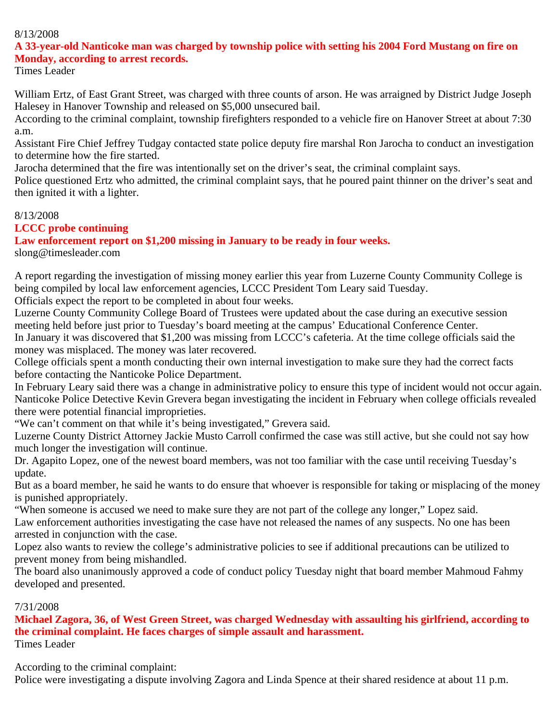#### 8/13/2008

### **A 33-year-old Nanticoke man was charged by township police with setting his 2004 Ford Mustang on fire on Monday, according to arrest records.**

Times Leader

William Ertz, of East Grant Street, was charged with three counts of arson. He was arraigned by District Judge Joseph Halesey in Hanover Township and released on \$5,000 unsecured bail.

According to the criminal complaint, township firefighters responded to a vehicle fire on Hanover Street at about 7:30 a.m.

Assistant Fire Chief Jeffrey Tudgay contacted state police deputy fire marshal Ron Jarocha to conduct an investigation to determine how the fire started.

Jarocha determined that the fire was intentionally set on the driver's seat, the criminal complaint says.

Police questioned Ertz who admitted, the criminal complaint says, that he poured paint thinner on the driver's seat and then ignited it with a lighter.

#### 8/13/2008

# **LCCC probe continuing**

**Law enforcement report on \$1,200 missing in January to be ready in four weeks.** slong@timesleader.com

A report regarding the investigation of missing money earlier this year from Luzerne County Community College is being compiled by local law enforcement agencies, LCCC President Tom Leary said Tuesday.

Officials expect the report to be completed in about four weeks.

Luzerne County Community College Board of Trustees were updated about the case during an executive session meeting held before just prior to Tuesday's board meeting at the campus' Educational Conference Center. In January it was discovered that \$1,200 was missing from LCCC's cafeteria. At the time college officials said the money was misplaced. The money was later recovered.

College officials spent a month conducting their own internal investigation to make sure they had the correct facts before contacting the Nanticoke Police Department.

In February Leary said there was a change in administrative policy to ensure this type of incident would not occur again. Nanticoke Police Detective Kevin Grevera began investigating the incident in February when college officials revealed there were potential financial improprieties.

"We can't comment on that while it's being investigated," Grevera said.

Luzerne County District Attorney Jackie Musto Carroll confirmed the case was still active, but she could not say how much longer the investigation will continue.

Dr. Agapito Lopez, one of the newest board members, was not too familiar with the case until receiving Tuesday's update.

But as a board member, he said he wants to do ensure that whoever is responsible for taking or misplacing of the money is punished appropriately.

"When someone is accused we need to make sure they are not part of the college any longer," Lopez said. Law enforcement authorities investigating the case have not released the names of any suspects. No one has been arrested in conjunction with the case.

Lopez also wants to review the college's administrative policies to see if additional precautions can be utilized to prevent money from being mishandled.

The board also unanimously approved a code of conduct policy Tuesday night that board member Mahmoud Fahmy developed and presented.

# 7/31/2008

**Michael Zagora, 36, of West Green Street, was charged Wednesday with assaulting his girlfriend, according to the criminal complaint. He faces charges of simple assault and harassment.** Times Leader

According to the criminal complaint:

Police were investigating a dispute involving Zagora and Linda Spence at their shared residence at about 11 p.m.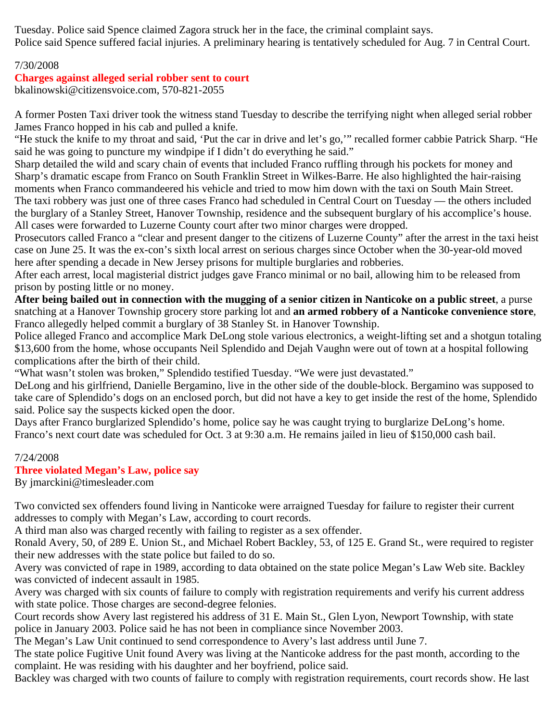Tuesday. Police said Spence claimed Zagora struck her in the face, the criminal complaint says. Police said Spence suffered facial injuries. A preliminary hearing is tentatively scheduled for Aug. 7 in Central Court.

# 7/30/2008

# **Charges against alleged serial robber sent to court**

bkalinowski@citizensvoice.com, 570-821-2055

A former Posten Taxi driver took the witness stand Tuesday to describe the terrifying night when alleged serial robber James Franco hopped in his cab and pulled a knife.

"He stuck the knife to my throat and said, 'Put the car in drive and let's go,'" recalled former cabbie Patrick Sharp. "He said he was going to puncture my windpipe if I didn't do everything he said."

Sharp detailed the wild and scary chain of events that included Franco ruffling through his pockets for money and Sharp's dramatic escape from Franco on South Franklin Street in Wilkes-Barre. He also highlighted the hair-raising moments when Franco commandeered his vehicle and tried to mow him down with the taxi on South Main Street. The taxi robbery was just one of three cases Franco had scheduled in Central Court on Tuesday — the others included the burglary of a Stanley Street, Hanover Township, residence and the subsequent burglary of his accomplice's house. All cases were forwarded to Luzerne County court after two minor charges were dropped.

Prosecutors called Franco a "clear and present danger to the citizens of Luzerne County" after the arrest in the taxi heist case on June 25. It was the ex-con's sixth local arrest on serious charges since October when the 30-year-old moved here after spending a decade in New Jersey prisons for multiple burglaries and robberies.

After each arrest, local magisterial district judges gave Franco minimal or no bail, allowing him to be released from prison by posting little or no money.

**After being bailed out in connection with the mugging of a senior citizen in Nanticoke on a public street**, a purse snatching at a Hanover Township grocery store parking lot and **an armed robbery of a Nanticoke convenience store**, Franco allegedly helped commit a burglary of 38 Stanley St. in Hanover Township.

Police alleged Franco and accomplice Mark DeLong stole various electronics, a weight-lifting set and a shotgun totaling \$13,600 from the home, whose occupants Neil Splendido and Dejah Vaughn were out of town at a hospital following complications after the birth of their child.

"What wasn't stolen was broken," Splendido testified Tuesday. "We were just devastated."

DeLong and his girlfriend, Danielle Bergamino, live in the other side of the double-block. Bergamino was supposed to take care of Splendido's dogs on an enclosed porch, but did not have a key to get inside the rest of the home, Splendido said. Police say the suspects kicked open the door.

Days after Franco burglarized Splendido's home, police say he was caught trying to burglarize DeLong's home. Franco's next court date was scheduled for Oct. 3 at 9:30 a.m. He remains jailed in lieu of \$150,000 cash bail.

# 7/24/2008

# **Three violated Megan's Law, police say**

By jmarckini@timesleader.com

Two convicted sex offenders found living in Nanticoke were arraigned Tuesday for failure to register their current addresses to comply with Megan's Law, according to court records.

A third man also was charged recently with failing to register as a sex offender.

Ronald Avery, 50, of 289 E. Union St., and Michael Robert Backley, 53, of 125 E. Grand St., were required to register their new addresses with the state police but failed to do so.

Avery was convicted of rape in 1989, according to data obtained on the state police Megan's Law Web site. Backley was convicted of indecent assault in 1985.

Avery was charged with six counts of failure to comply with registration requirements and verify his current address with state police. Those charges are second-degree felonies.

Court records show Avery last registered his address of 31 E. Main St., Glen Lyon, Newport Township, with state police in January 2003. Police said he has not been in compliance since November 2003.

The Megan's Law Unit continued to send correspondence to Avery's last address until June 7.

The state police Fugitive Unit found Avery was living at the Nanticoke address for the past month, according to the complaint. He was residing with his daughter and her boyfriend, police said.

Backley was charged with two counts of failure to comply with registration requirements, court records show. He last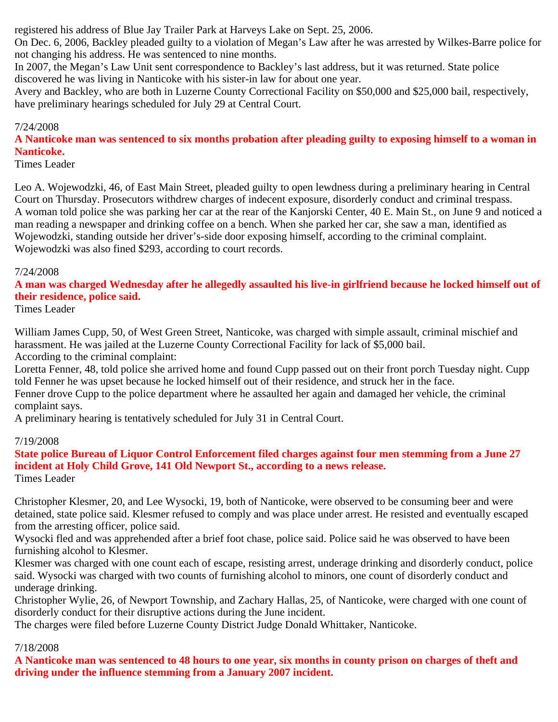registered his address of Blue Jay Trailer Park at Harveys Lake on Sept. 25, 2006.

On Dec. 6, 2006, Backley pleaded guilty to a violation of Megan's Law after he was arrested by Wilkes-Barre police for not changing his address. He was sentenced to nine months.

In 2007, the Megan's Law Unit sent correspondence to Backley's last address, but it was returned. State police discovered he was living in Nanticoke with his sister-in law for about one year.

Avery and Backley, who are both in Luzerne County Correctional Facility on \$50,000 and \$25,000 bail, respectively, have preliminary hearings scheduled for July 29 at Central Court.

### 7/24/2008

**A Nanticoke man was sentenced to six months probation after pleading guilty to exposing himself to a woman in Nanticoke.**

Times Leader

Leo A. Wojewodzki, 46, of East Main Street, pleaded guilty to open lewdness during a preliminary hearing in Central Court on Thursday. Prosecutors withdrew charges of indecent exposure, disorderly conduct and criminal trespass. A woman told police she was parking her car at the rear of the Kanjorski Center, 40 E. Main St., on June 9 and noticed a man reading a newspaper and drinking coffee on a bench. When she parked her car, she saw a man, identified as Wojewodzki, standing outside her driver's-side door exposing himself, according to the criminal complaint. Wojewodzki was also fined \$293, according to court records.

#### 7/24/2008

**A man was charged Wednesday after he allegedly assaulted his live-in girlfriend because he locked himself out of their residence, police said.**

Times Leader

William James Cupp, 50, of West Green Street, Nanticoke, was charged with simple assault, criminal mischief and harassment. He was jailed at the Luzerne County Correctional Facility for lack of \$5,000 bail. According to the criminal complaint:

Loretta Fenner, 48, told police she arrived home and found Cupp passed out on their front porch Tuesday night. Cupp told Fenner he was upset because he locked himself out of their residence, and struck her in the face. Fenner drove Cupp to the police department where he assaulted her again and damaged her vehicle, the criminal complaint says.

A preliminary hearing is tentatively scheduled for July 31 in Central Court.

# 7/19/2008

**State police Bureau of Liquor Control Enforcement filed charges against four men stemming from a June 27 incident at Holy Child Grove, 141 Old Newport St., according to a news release.** Times Leader

Christopher Klesmer, 20, and Lee Wysocki, 19, both of Nanticoke, were observed to be consuming beer and were detained, state police said. Klesmer refused to comply and was place under arrest. He resisted and eventually escaped from the arresting officer, police said.

Wysocki fled and was apprehended after a brief foot chase, police said. Police said he was observed to have been furnishing alcohol to Klesmer.

Klesmer was charged with one count each of escape, resisting arrest, underage drinking and disorderly conduct, police said. Wysocki was charged with two counts of furnishing alcohol to minors, one count of disorderly conduct and underage drinking.

Christopher Wylie, 26, of Newport Township, and Zachary Hallas, 25, of Nanticoke, were charged with one count of disorderly conduct for their disruptive actions during the June incident.

The charges were filed before Luzerne County District Judge Donald Whittaker, Nanticoke.

# 7/18/2008

**A Nanticoke man was sentenced to 48 hours to one year, six months in county prison on charges of theft and driving under the influence stemming from a January 2007 incident.**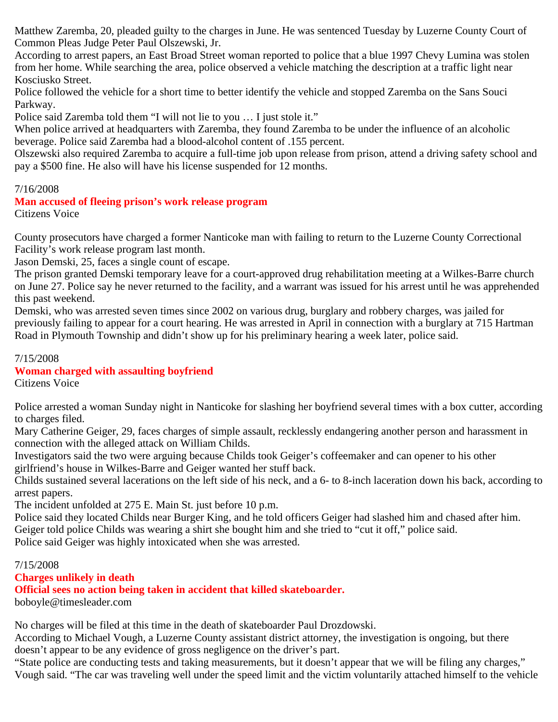Matthew Zaremba, 20, pleaded guilty to the charges in June. He was sentenced Tuesday by Luzerne County Court of Common Pleas Judge Peter Paul Olszewski, Jr.

According to arrest papers, an East Broad Street woman reported to police that a blue 1997 Chevy Lumina was stolen from her home. While searching the area, police observed a vehicle matching the description at a traffic light near Kosciusko Street.

Police followed the vehicle for a short time to better identify the vehicle and stopped Zaremba on the Sans Souci Parkway.

Police said Zaremba told them "I will not lie to you … I just stole it."

When police arrived at headquarters with Zaremba, they found Zaremba to be under the influence of an alcoholic beverage. Police said Zaremba had a blood-alcohol content of .155 percent.

Olszewski also required Zaremba to acquire a full-time job upon release from prison, attend a driving safety school and pay a \$500 fine. He also will have his license suspended for 12 months.

# 7/16/2008

# **Man accused of fleeing prison's work release program**

Citizens Voice

County prosecutors have charged a former Nanticoke man with failing to return to the Luzerne County Correctional Facility's work release program last month.

Jason Demski, 25, faces a single count of escape.

The prison granted Demski temporary leave for a court-approved drug rehabilitation meeting at a Wilkes-Barre church on June 27. Police say he never returned to the facility, and a warrant was issued for his arrest until he was apprehended this past weekend.

Demski, who was arrested seven times since 2002 on various drug, burglary and robbery charges, was jailed for previously failing to appear for a court hearing. He was arrested in April in connection with a burglary at 715 Hartman Road in Plymouth Township and didn't show up for his preliminary hearing a week later, police said.

#### 7/15/2008

# **Woman charged with assaulting boyfriend**

Citizens Voice

Police arrested a woman Sunday night in Nanticoke for slashing her boyfriend several times with a box cutter, according to charges filed.

Mary Catherine Geiger, 29, faces charges of simple assault, recklessly endangering another person and harassment in connection with the alleged attack on William Childs.

Investigators said the two were arguing because Childs took Geiger's coffeemaker and can opener to his other girlfriend's house in Wilkes-Barre and Geiger wanted her stuff back.

Childs sustained several lacerations on the left side of his neck, and a 6- to 8-inch laceration down his back, according to arrest papers.

The incident unfolded at 275 E. Main St. just before 10 p.m.

Police said they located Childs near Burger King, and he told officers Geiger had slashed him and chased after him. Geiger told police Childs was wearing a shirt she bought him and she tried to "cut it off," police said.

Police said Geiger was highly intoxicated when she was arrested.

# 7/15/2008

# **Charges unlikely in death**

**Official sees no action being taken in accident that killed skateboarder.**

boboyle@timesleader.com

No charges will be filed at this time in the death of skateboarder Paul Drozdowski.

According to Michael Vough, a Luzerne County assistant district attorney, the investigation is ongoing, but there doesn't appear to be any evidence of gross negligence on the driver's part.

"State police are conducting tests and taking measurements, but it doesn't appear that we will be filing any charges," Vough said. "The car was traveling well under the speed limit and the victim voluntarily attached himself to the vehicle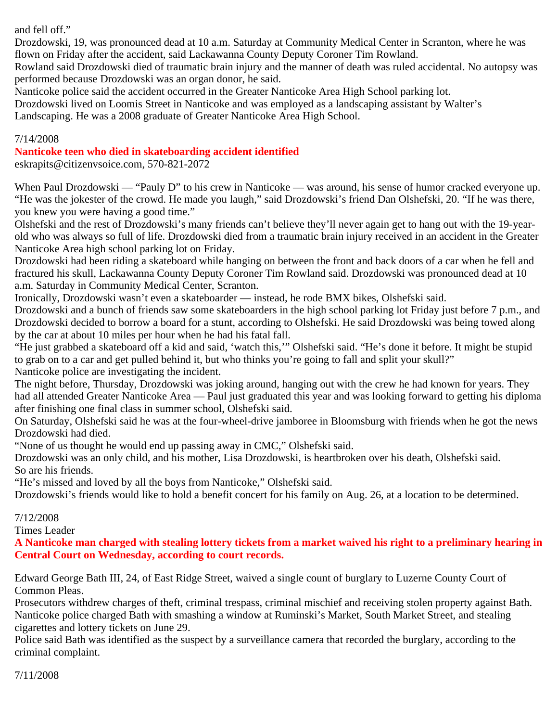and fell off."

Drozdowski, 19, was pronounced dead at 10 a.m. Saturday at Community Medical Center in Scranton, where he was flown on Friday after the accident, said Lackawanna County Deputy Coroner Tim Rowland.

Rowland said Drozdowski died of traumatic brain injury and the manner of death was ruled accidental. No autopsy was performed because Drozdowski was an organ donor, he said.

Nanticoke police said the accident occurred in the Greater Nanticoke Area High School parking lot.

Drozdowski lived on Loomis Street in Nanticoke and was employed as a landscaping assistant by Walter's

Landscaping. He was a 2008 graduate of Greater Nanticoke Area High School.

#### 7/14/2008

# **Nanticoke teen who died in skateboarding accident identified**

eskrapits@citizenvsoice.com, 570-821-2072

When Paul Drozdowski — "Pauly D" to his crew in Nanticoke — was around, his sense of humor cracked everyone up. "He was the jokester of the crowd. He made you laugh," said Drozdowski's friend Dan Olshefski, 20. "If he was there, you knew you were having a good time."

Olshefski and the rest of Drozdowski's many friends can't believe they'll never again get to hang out with the 19-yearold who was always so full of life. Drozdowski died from a traumatic brain injury received in an accident in the Greater Nanticoke Area high school parking lot on Friday.

Drozdowski had been riding a skateboard while hanging on between the front and back doors of a car when he fell and fractured his skull, Lackawanna County Deputy Coroner Tim Rowland said. Drozdowski was pronounced dead at 10 a.m. Saturday in Community Medical Center, Scranton.

Ironically, Drozdowski wasn't even a skateboarder — instead, he rode BMX bikes, Olshefski said.

Drozdowski and a bunch of friends saw some skateboarders in the high school parking lot Friday just before 7 p.m., and Drozdowski decided to borrow a board for a stunt, according to Olshefski. He said Drozdowski was being towed along by the car at about 10 miles per hour when he had his fatal fall.

"He just grabbed a skateboard off a kid and said, 'watch this,'" Olshefski said. "He's done it before. It might be stupid to grab on to a car and get pulled behind it, but who thinks you're going to fall and split your skull?" Nanticoke police are investigating the incident.

The night before, Thursday, Drozdowski was joking around, hanging out with the crew he had known for years. They had all attended Greater Nanticoke Area — Paul just graduated this year and was looking forward to getting his diploma after finishing one final class in summer school, Olshefski said.

On Saturday, Olshefski said he was at the four-wheel-drive jamboree in Bloomsburg with friends when he got the news Drozdowski had died.

"None of us thought he would end up passing away in CMC," Olshefski said.

Drozdowski was an only child, and his mother, Lisa Drozdowski, is heartbroken over his death, Olshefski said. So are his friends.

"He's missed and loved by all the boys from Nanticoke," Olshefski said.

Drozdowski's friends would like to hold a benefit concert for his family on Aug. 26, at a location to be determined.

# 7/12/2008

Times Leader

**A Nanticoke man charged with stealing lottery tickets from a market waived his right to a preliminary hearing in Central Court on Wednesday, according to court records.**

Edward George Bath III, 24, of East Ridge Street, waived a single count of burglary to Luzerne County Court of Common Pleas.

Prosecutors withdrew charges of theft, criminal trespass, criminal mischief and receiving stolen property against Bath. Nanticoke police charged Bath with smashing a window at Ruminski's Market, South Market Street, and stealing cigarettes and lottery tickets on June 29.

Police said Bath was identified as the suspect by a surveillance camera that recorded the burglary, according to the criminal complaint.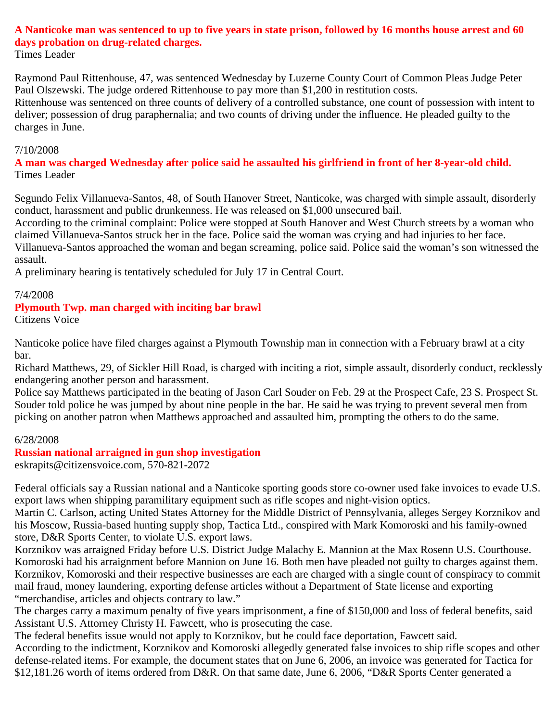# **A Nanticoke man was sentenced to up to five years in state prison, followed by 16 months house arrest and 60 days probation on drug-related charges.**

Times Leader

Raymond Paul Rittenhouse, 47, was sentenced Wednesday by Luzerne County Court of Common Pleas Judge Peter Paul Olszewski. The judge ordered Rittenhouse to pay more than \$1,200 in restitution costs.

Rittenhouse was sentenced on three counts of delivery of a controlled substance, one count of possession with intent to deliver; possession of drug paraphernalia; and two counts of driving under the influence. He pleaded guilty to the charges in June.

#### 7/10/2008

**A man was charged Wednesday after police said he assaulted his girlfriend in front of her 8-year-old child.** Times Leader

Segundo Felix Villanueva-Santos, 48, of South Hanover Street, Nanticoke, was charged with simple assault, disorderly conduct, harassment and public drunkenness. He was released on \$1,000 unsecured bail.

According to the criminal complaint: Police were stopped at South Hanover and West Church streets by a woman who claimed Villanueva-Santos struck her in the face. Police said the woman was crying and had injuries to her face.

Villanueva-Santos approached the woman and began screaming, police said. Police said the woman's son witnessed the assault.

A preliminary hearing is tentatively scheduled for July 17 in Central Court.

#### 7/4/2008

#### **Plymouth Twp. man charged with inciting bar brawl**

Citizens Voice

Nanticoke police have filed charges against a Plymouth Township man in connection with a February brawl at a city bar.

Richard Matthews, 29, of Sickler Hill Road, is charged with inciting a riot, simple assault, disorderly conduct, recklessly endangering another person and harassment.

Police say Matthews participated in the beating of Jason Carl Souder on Feb. 29 at the Prospect Cafe, 23 S. Prospect St. Souder told police he was jumped by about nine people in the bar. He said he was trying to prevent several men from picking on another patron when Matthews approached and assaulted him, prompting the others to do the same.

#### 6/28/2008

# **Russian national arraigned in gun shop investigation**

eskrapits@citizensvoice.com, 570-821-2072

Federal officials say a Russian national and a Nanticoke sporting goods store co-owner used fake invoices to evade U.S. export laws when shipping paramilitary equipment such as rifle scopes and night-vision optics.

Martin C. Carlson, acting United States Attorney for the Middle District of Pennsylvania, alleges Sergey Korznikov and his Moscow, Russia-based hunting supply shop, Tactica Ltd., conspired with Mark Komoroski and his family-owned store, D&R Sports Center, to violate U.S. export laws.

Korznikov was arraigned Friday before U.S. District Judge Malachy E. Mannion at the Max Rosenn U.S. Courthouse. Komoroski had his arraignment before Mannion on June 16. Both men have pleaded not guilty to charges against them. Korznikov, Komoroski and their respective businesses are each are charged with a single count of conspiracy to commit mail fraud, money laundering, exporting defense articles without a Department of State license and exporting "merchandise, articles and objects contrary to law."

The charges carry a maximum penalty of five years imprisonment, a fine of \$150,000 and loss of federal benefits, said Assistant U.S. Attorney Christy H. Fawcett, who is prosecuting the case.

The federal benefits issue would not apply to Korznikov, but he could face deportation, Fawcett said.

According to the indictment, Korznikov and Komoroski allegedly generated false invoices to ship rifle scopes and other defense-related items. For example, the document states that on June 6, 2006, an invoice was generated for Tactica for \$12,181.26 worth of items ordered from D&R. On that same date, June 6, 2006, "D&R Sports Center generated a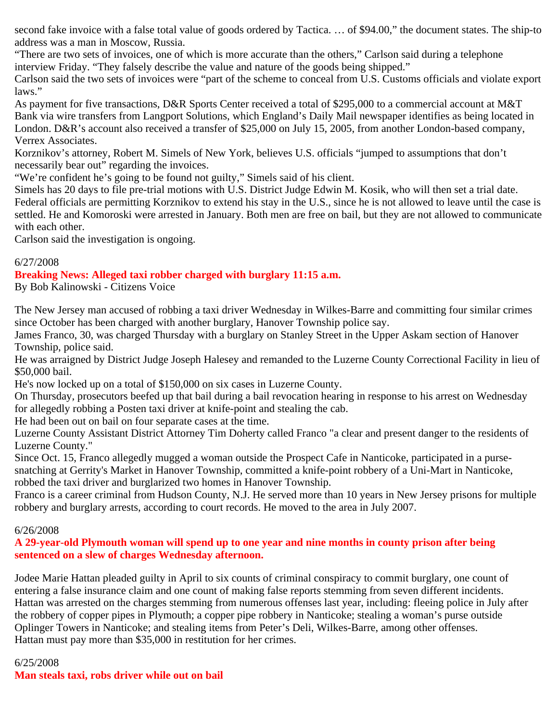second fake invoice with a false total value of goods ordered by Tactica. … of \$94.00," the document states. The ship-to address was a man in Moscow, Russia.

"There are two sets of invoices, one of which is more accurate than the others," Carlson said during a telephone interview Friday. "They falsely describe the value and nature of the goods being shipped."

Carlson said the two sets of invoices were "part of the scheme to conceal from U.S. Customs officials and violate export laws."

As payment for five transactions, D&R Sports Center received a total of \$295,000 to a commercial account at M&T Bank via wire transfers from Langport Solutions, which England's Daily Mail newspaper identifies as being located in London. D&R's account also received a transfer of \$25,000 on July 15, 2005, from another London-based company, Verrex Associates.

Korznikov's attorney, Robert M. Simels of New York, believes U.S. officials "jumped to assumptions that don't necessarily bear out" regarding the invoices.

"We're confident he's going to be found not guilty," Simels said of his client.

Simels has 20 days to file pre-trial motions with U.S. District Judge Edwin M. Kosik, who will then set a trial date. Federal officials are permitting Korznikov to extend his stay in the U.S., since he is not allowed to leave until the case is settled. He and Komoroski were arrested in January. Both men are free on bail, but they are not allowed to communicate with each other.

Carlson said the investigation is ongoing.

# 6/27/2008

# **Breaking News: Alleged taxi robber charged with burglary 11:15 a.m.**

By Bob Kalinowski - Citizens Voice

The New Jersey man accused of robbing a taxi driver Wednesday in Wilkes-Barre and committing four similar crimes since October has been charged with another burglary, Hanover Township police say.

James Franco, 30, was charged Thursday with a burglary on Stanley Street in the Upper Askam section of Hanover Township, police said.

He was arraigned by District Judge Joseph Halesey and remanded to the Luzerne County Correctional Facility in lieu of \$50,000 bail.

He's now locked up on a total of \$150,000 on six cases in Luzerne County.

On Thursday, prosecutors beefed up that bail during a bail revocation hearing in response to his arrest on Wednesday for allegedly robbing a Posten taxi driver at knife-point and stealing the cab.

He had been out on bail on four separate cases at the time.

Luzerne County Assistant District Attorney Tim Doherty called Franco "a clear and present danger to the residents of Luzerne County."

Since Oct. 15, Franco allegedly mugged a woman outside the Prospect Cafe in Nanticoke, participated in a pursesnatching at Gerrity's Market in Hanover Township, committed a knife-point robbery of a Uni-Mart in Nanticoke, robbed the taxi driver and burglarized two homes in Hanover Township.

Franco is a career criminal from Hudson County, N.J. He served more than 10 years in New Jersey prisons for multiple robbery and burglary arrests, according to court records. He moved to the area in July 2007.

# 6/26/2008

# **A 29-year-old Plymouth woman will spend up to one year and nine months in county prison after being sentenced on a slew of charges Wednesday afternoon.**

Jodee Marie Hattan pleaded guilty in April to six counts of criminal conspiracy to commit burglary, one count of entering a false insurance claim and one count of making false reports stemming from seven different incidents. Hattan was arrested on the charges stemming from numerous offenses last year, including: fleeing police in July after the robbery of copper pipes in Plymouth; a copper pipe robbery in Nanticoke; stealing a woman's purse outside Oplinger Towers in Nanticoke; and stealing items from Peter's Deli, Wilkes-Barre, among other offenses. Hattan must pay more than \$35,000 in restitution for her crimes.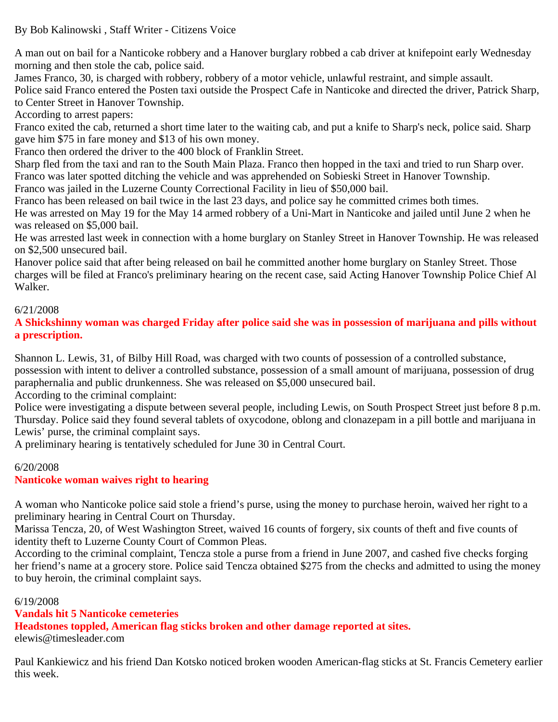A man out on bail for a Nanticoke robbery and a Hanover burglary robbed a cab driver at knifepoint early Wednesday morning and then stole the cab, police said.

James Franco, 30, is charged with robbery, robbery of a motor vehicle, unlawful restraint, and simple assault.

Police said Franco entered the Posten taxi outside the Prospect Cafe in Nanticoke and directed the driver, Patrick Sharp, to Center Street in Hanover Township.

According to arrest papers:

Franco exited the cab, returned a short time later to the waiting cab, and put a knife to Sharp's neck, police said. Sharp gave him \$75 in fare money and \$13 of his own money.

Franco then ordered the driver to the 400 block of Franklin Street.

Sharp fled from the taxi and ran to the South Main Plaza. Franco then hopped in the taxi and tried to run Sharp over. Franco was later spotted ditching the vehicle and was apprehended on Sobieski Street in Hanover Township.

Franco was jailed in the Luzerne County Correctional Facility in lieu of \$50,000 bail.

Franco has been released on bail twice in the last 23 days, and police say he committed crimes both times.

He was arrested on May 19 for the May 14 armed robbery of a Uni-Mart in Nanticoke and jailed until June 2 when he was released on \$5,000 bail.

He was arrested last week in connection with a home burglary on Stanley Street in Hanover Township. He was released on \$2,500 unsecured bail.

Hanover police said that after being released on bail he committed another home burglary on Stanley Street. Those charges will be filed at Franco's preliminary hearing on the recent case, said Acting Hanover Township Police Chief Al Walker.

# 6/21/2008

**A Shickshinny woman was charged Friday after police said she was in possession of marijuana and pills without a prescription.**

Shannon L. Lewis, 31, of Bilby Hill Road, was charged with two counts of possession of a controlled substance, possession with intent to deliver a controlled substance, possession of a small amount of marijuana, possession of drug paraphernalia and public drunkenness. She was released on \$5,000 unsecured bail.

According to the criminal complaint:

Police were investigating a dispute between several people, including Lewis, on South Prospect Street just before 8 p.m. Thursday. Police said they found several tablets of oxycodone, oblong and clonazepam in a pill bottle and marijuana in Lewis' purse, the criminal complaint says.

A preliminary hearing is tentatively scheduled for June 30 in Central Court.

# 6/20/2008

# **Nanticoke woman waives right to hearing**

A woman who Nanticoke police said stole a friend's purse, using the money to purchase heroin, waived her right to a preliminary hearing in Central Court on Thursday.

Marissa Tencza, 20, of West Washington Street, waived 16 counts of forgery, six counts of theft and five counts of identity theft to Luzerne County Court of Common Pleas.

According to the criminal complaint, Tencza stole a purse from a friend in June 2007, and cashed five checks forging her friend's name at a grocery store. Police said Tencza obtained \$275 from the checks and admitted to using the money to buy heroin, the criminal complaint says.

# 6/19/2008

# **Vandals hit 5 Nanticoke cemeteries**

**Headstones toppled, American flag sticks broken and other damage reported at sites.**

elewis@timesleader.com

Paul Kankiewicz and his friend Dan Kotsko noticed broken wooden American-flag sticks at St. Francis Cemetery earlier this week.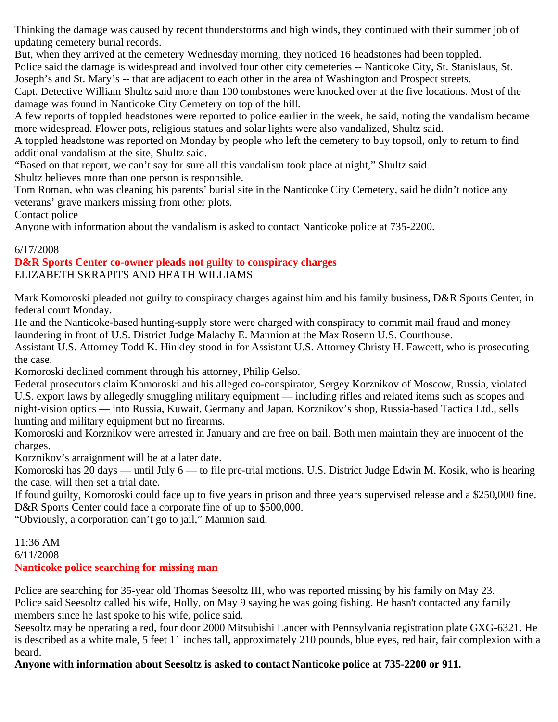Thinking the damage was caused by recent thunderstorms and high winds, they continued with their summer job of updating cemetery burial records.

But, when they arrived at the cemetery Wednesday morning, they noticed 16 headstones had been toppled.

Police said the damage is widespread and involved four other city cemeteries -- Nanticoke City, St. Stanislaus, St. Joseph's and St. Mary's -- that are adjacent to each other in the area of Washington and Prospect streets.

Capt. Detective William Shultz said more than 100 tombstones were knocked over at the five locations. Most of the damage was found in Nanticoke City Cemetery on top of the hill.

A few reports of toppled headstones were reported to police earlier in the week, he said, noting the vandalism became more widespread. Flower pots, religious statues and solar lights were also vandalized, Shultz said.

A toppled headstone was reported on Monday by people who left the cemetery to buy topsoil, only to return to find additional vandalism at the site, Shultz said.

"Based on that report, we can't say for sure all this vandalism took place at night," Shultz said.

Shultz believes more than one person is responsible.

Tom Roman, who was cleaning his parents' burial site in the Nanticoke City Cemetery, said he didn't notice any veterans' grave markers missing from other plots.

Contact police

Anyone with information about the vandalism is asked to contact Nanticoke police at 735-2200.

# 6/17/2008

#### **D&R Sports Center co-owner pleads not guilty to conspiracy charges** ELIZABETH SKRAPITS AND HEATH WILLIAMS

Mark Komoroski pleaded not guilty to conspiracy charges against him and his family business, D&R Sports Center, in federal court Monday.

He and the Nanticoke-based hunting-supply store were charged with conspiracy to commit mail fraud and money laundering in front of U.S. District Judge Malachy E. Mannion at the Max Rosenn U.S. Courthouse.

Assistant U.S. Attorney Todd K. Hinkley stood in for Assistant U.S. Attorney Christy H. Fawcett, who is prosecuting the case.

Komoroski declined comment through his attorney, Philip Gelso.

Federal prosecutors claim Komoroski and his alleged co-conspirator, Sergey Korznikov of Moscow, Russia, violated U.S. export laws by allegedly smuggling military equipment — including rifles and related items such as scopes and night-vision optics — into Russia, Kuwait, Germany and Japan. Korznikov's shop, Russia-based Tactica Ltd., sells hunting and military equipment but no firearms.

Komoroski and Korznikov were arrested in January and are free on bail. Both men maintain they are innocent of the charges.

Korznikov's arraignment will be at a later date.

Komoroski has 20 days — until July 6 — to file pre-trial motions. U.S. District Judge Edwin M. Kosik, who is hearing the case, will then set a trial date.

If found guilty, Komoroski could face up to five years in prison and three years supervised release and a \$250,000 fine. D&R Sports Center could face a corporate fine of up to \$500,000.

"Obviously, a corporation can't go to jail," Mannion said.

11:36 AM 6/11/2008 **Nanticoke police searching for missing man**

Police are searching for 35-year old Thomas Seesoltz III, who was reported missing by his family on May 23. Police said Seesoltz called his wife, Holly, on May 9 saying he was going fishing. He hasn't contacted any family members since he last spoke to his wife, police said.

Seesoltz may be operating a red, four door 2000 Mitsubishi Lancer with Pennsylvania registration plate GXG-6321. He is described as a white male, 5 feet 11 inches tall, approximately 210 pounds, blue eyes, red hair, fair complexion with a beard.

**Anyone with information about Seesoltz is asked to contact Nanticoke police at 735-2200 or 911.**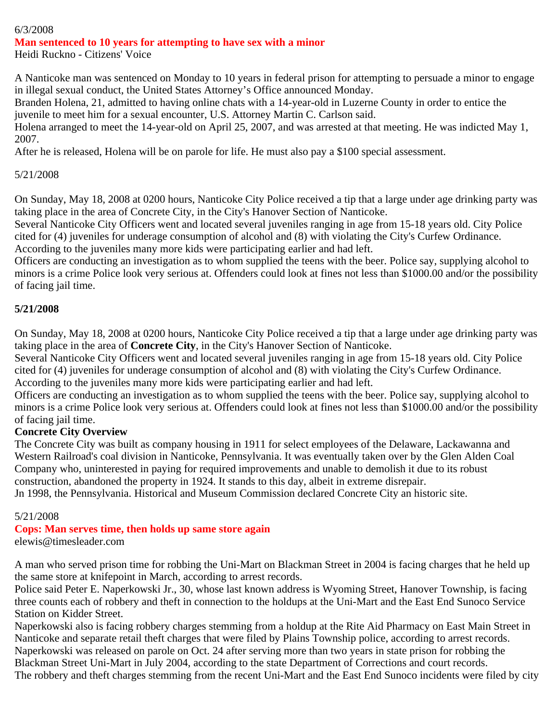# 6/3/2008

# **Man sentenced to 10 years for attempting to have sex with a minor**

Heidi Ruckno - Citizens' Voice

A Nanticoke man was sentenced on Monday to 10 years in federal prison for attempting to persuade a minor to engage in illegal sexual conduct, the United States Attorney's Office announced Monday.

Branden Holena, 21, admitted to having online chats with a 14-year-old in Luzerne County in order to entice the juvenile to meet him for a sexual encounter, U.S. Attorney Martin C. Carlson said.

Holena arranged to meet the 14-year-old on April 25, 2007, and was arrested at that meeting. He was indicted May 1, 2007.

After he is released, Holena will be on parole for life. He must also pay a \$100 special assessment.

# 5/21/2008

On Sunday, May 18, 2008 at 0200 hours, Nanticoke City Police received a tip that a large under age drinking party was taking place in the area of Concrete City, in the City's Hanover Section of Nanticoke.

Several Nanticoke City Officers went and located several juveniles ranging in age from 15-18 years old. City Police cited for (4) juveniles for underage consumption of alcohol and (8) with violating the City's Curfew Ordinance. According to the juveniles many more kids were participating earlier and had left.

Officers are conducting an investigation as to whom supplied the teens with the beer. Police say, supplying alcohol to minors is a crime Police look very serious at. Offenders could look at fines not less than \$1000.00 and/or the possibility of facing jail time.

# **5/21/2008**

On Sunday, May 18, 2008 at 0200 hours, Nanticoke City Police received a tip that a large under age drinking party was taking place in the area of **Concrete City**, in the City's Hanover Section of Nanticoke.

Several Nanticoke City Officers went and located several juveniles ranging in age from 15-18 years old. City Police cited for (4) juveniles for underage consumption of alcohol and (8) with violating the City's Curfew Ordinance. According to the juveniles many more kids were participating earlier and had left.

Officers are conducting an investigation as to whom supplied the teens with the beer. Police say, supplying alcohol to minors is a crime Police look very serious at. Offenders could look at fines not less than \$1000.00 and/or the possibility of facing jail time.

# **Concrete City Overview**

The Concrete City was built as company housing in 1911 for select employees of the Delaware, Lackawanna and Western Railroad's coal division in Nanticoke, Pennsylvania. It was eventually taken over by the Glen Alden Coal Company who, uninterested in paying for required improvements and unable to demolish it due to its robust construction, abandoned the property in 1924. It stands to this day, albeit in extreme disrepair. Jn 1998, the Pennsylvania. Historical and Museum Commission declared Concrete City an historic site.

# 5/21/2008

#### **Cops: Man serves time, then holds up same store again** elewis@timesleader.com

A man who served prison time for robbing the Uni-Mart on Blackman Street in 2004 is facing charges that he held up the same store at knifepoint in March, according to arrest records.

Police said Peter E. Naperkowski Jr., 30, whose last known address is Wyoming Street, Hanover Township, is facing three counts each of robbery and theft in connection to the holdups at the Uni-Mart and the East End Sunoco Service Station on Kidder Street.

Naperkowski also is facing robbery charges stemming from a holdup at the Rite Aid Pharmacy on East Main Street in Nanticoke and separate retail theft charges that were filed by Plains Township police, according to arrest records. Naperkowski was released on parole on Oct. 24 after serving more than two years in state prison for robbing the Blackman Street Uni-Mart in July 2004, according to the state Department of Corrections and court records. The robbery and theft charges stemming from the recent Uni-Mart and the East End Sunoco incidents were filed by city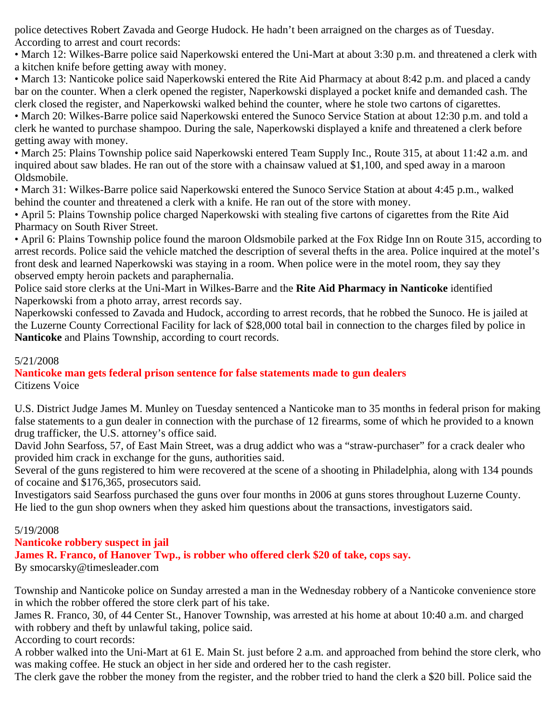police detectives Robert Zavada and George Hudock. He hadn't been arraigned on the charges as of Tuesday. According to arrest and court records:

• March 12: Wilkes-Barre police said Naperkowski entered the Uni-Mart at about 3:30 p.m. and threatened a clerk with a kitchen knife before getting away with money.

• March 13: Nanticoke police said Naperkowski entered the Rite Aid Pharmacy at about 8:42 p.m. and placed a candy bar on the counter. When a clerk opened the register, Naperkowski displayed a pocket knife and demanded cash. The clerk closed the register, and Naperkowski walked behind the counter, where he stole two cartons of cigarettes.

• March 20: Wilkes-Barre police said Naperkowski entered the Sunoco Service Station at about 12:30 p.m. and told a clerk he wanted to purchase shampoo. During the sale, Naperkowski displayed a knife and threatened a clerk before getting away with money.

• March 25: Plains Township police said Naperkowski entered Team Supply Inc., Route 315, at about 11:42 a.m. and inquired about saw blades. He ran out of the store with a chainsaw valued at \$1,100, and sped away in a maroon Oldsmobile.

• March 31: Wilkes-Barre police said Naperkowski entered the Sunoco Service Station at about 4:45 p.m., walked behind the counter and threatened a clerk with a knife. He ran out of the store with money.

• April 5: Plains Township police charged Naperkowski with stealing five cartons of cigarettes from the Rite Aid Pharmacy on South River Street.

• April 6: Plains Township police found the maroon Oldsmobile parked at the Fox Ridge Inn on Route 315, according to arrest records. Police said the vehicle matched the description of several thefts in the area. Police inquired at the motel's front desk and learned Naperkowski was staying in a room. When police were in the motel room, they say they observed empty heroin packets and paraphernalia.

Police said store clerks at the Uni-Mart in Wilkes-Barre and the **Rite Aid Pharmacy in Nanticoke** identified Naperkowski from a photo array, arrest records say.

Naperkowski confessed to Zavada and Hudock, according to arrest records, that he robbed the Sunoco. He is jailed at the Luzerne County Correctional Facility for lack of \$28,000 total bail in connection to the charges filed by police in **Nanticoke** and Plains Township, according to court records.

# 5/21/2008

**Nanticoke man gets federal prison sentence for false statements made to gun dealers** Citizens Voice

U.S. District Judge James M. Munley on Tuesday sentenced a Nanticoke man to 35 months in federal prison for making false statements to a gun dealer in connection with the purchase of 12 firearms, some of which he provided to a known drug trafficker, the U.S. attorney's office said.

David John Searfoss, 57, of East Main Street, was a drug addict who was a "straw-purchaser" for a crack dealer who provided him crack in exchange for the guns, authorities said.

Several of the guns registered to him were recovered at the scene of a shooting in Philadelphia, along with 134 pounds of cocaine and \$176,365, prosecutors said.

Investigators said Searfoss purchased the guns over four months in 2006 at guns stores throughout Luzerne County. He lied to the gun shop owners when they asked him questions about the transactions, investigators said.

# 5/19/2008

# **Nanticoke robbery suspect in jail**

**James R. Franco, of Hanover Twp., is robber who offered clerk \$20 of take, cops say.**

By smocarsky@timesleader.com

Township and Nanticoke police on Sunday arrested a man in the Wednesday robbery of a Nanticoke convenience store in which the robber offered the store clerk part of his take.

James R. Franco, 30, of 44 Center St., Hanover Township, was arrested at his home at about 10:40 a.m. and charged with robbery and theft by unlawful taking, police said.

According to court records:

A robber walked into the Uni-Mart at 61 E. Main St. just before 2 a.m. and approached from behind the store clerk, who was making coffee. He stuck an object in her side and ordered her to the cash register.

The clerk gave the robber the money from the register, and the robber tried to hand the clerk a \$20 bill. Police said the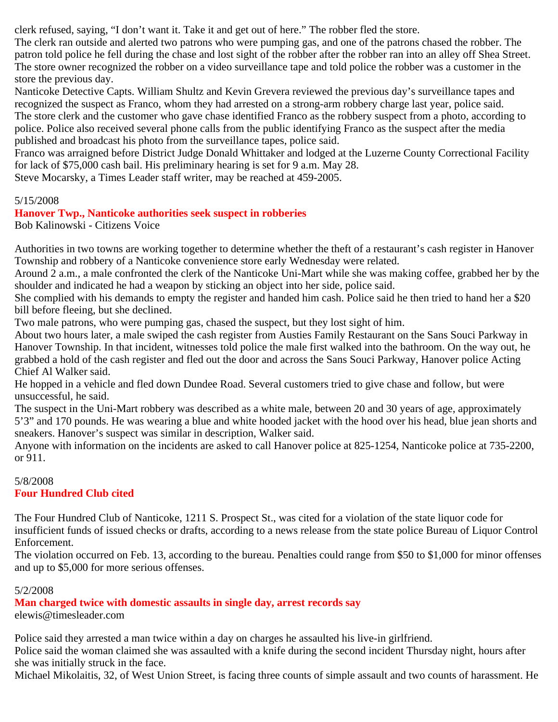clerk refused, saying, "I don't want it. Take it and get out of here." The robber fled the store.

The clerk ran outside and alerted two patrons who were pumping gas, and one of the patrons chased the robber. The patron told police he fell during the chase and lost sight of the robber after the robber ran into an alley off Shea Street. The store owner recognized the robber on a video surveillance tape and told police the robber was a customer in the store the previous day.

Nanticoke Detective Capts. William Shultz and Kevin Grevera reviewed the previous day's surveillance tapes and recognized the suspect as Franco, whom they had arrested on a strong-arm robbery charge last year, police said. The store clerk and the customer who gave chase identified Franco as the robbery suspect from a photo, according to police. Police also received several phone calls from the public identifying Franco as the suspect after the media published and broadcast his photo from the surveillance tapes, police said.

Franco was arraigned before District Judge Donald Whittaker and lodged at the Luzerne County Correctional Facility for lack of \$75,000 cash bail. His preliminary hearing is set for 9 a.m. May 28.

Steve Mocarsky, a Times Leader staff writer, may be reached at 459-2005.

#### 5/15/2008

# **Hanover Twp., Nanticoke authorities seek suspect in robberies**

Bob Kalinowski - Citizens Voice

Authorities in two towns are working together to determine whether the theft of a restaurant's cash register in Hanover Township and robbery of a Nanticoke convenience store early Wednesday were related.

Around 2 a.m., a male confronted the clerk of the Nanticoke Uni-Mart while she was making coffee, grabbed her by the shoulder and indicated he had a weapon by sticking an object into her side, police said.

She complied with his demands to empty the register and handed him cash. Police said he then tried to hand her a \$20 bill before fleeing, but she declined.

Two male patrons, who were pumping gas, chased the suspect, but they lost sight of him.

About two hours later, a male swiped the cash register from Austies Family Restaurant on the Sans Souci Parkway in Hanover Township. In that incident, witnesses told police the male first walked into the bathroom. On the way out, he grabbed a hold of the cash register and fled out the door and across the Sans Souci Parkway, Hanover police Acting Chief Al Walker said.

He hopped in a vehicle and fled down Dundee Road. Several customers tried to give chase and follow, but were unsuccessful, he said.

The suspect in the Uni-Mart robbery was described as a white male, between 20 and 30 years of age, approximately 5'3" and 170 pounds. He was wearing a blue and white hooded jacket with the hood over his head, blue jean shorts and sneakers. Hanover's suspect was similar in description, Walker said.

Anyone with information on the incidents are asked to call Hanover police at 825-1254, Nanticoke police at 735-2200, or 911.

# 5/8/2008 **Four Hundred Club cited**

The Four Hundred Club of Nanticoke, 1211 S. Prospect St., was cited for a violation of the state liquor code for insufficient funds of issued checks or drafts, according to a news release from the state police Bureau of Liquor Control Enforcement.

The violation occurred on Feb. 13, according to the bureau. Penalties could range from \$50 to \$1,000 for minor offenses and up to \$5,000 for more serious offenses.

# 5/2/2008

**Man charged twice with domestic assaults in single day, arrest records say**  elewis@timesleader.com

Police said they arrested a man twice within a day on charges he assaulted his live-in girlfriend.

Police said the woman claimed she was assaulted with a knife during the second incident Thursday night, hours after she was initially struck in the face.

Michael Mikolaitis, 32, of West Union Street, is facing three counts of simple assault and two counts of harassment. He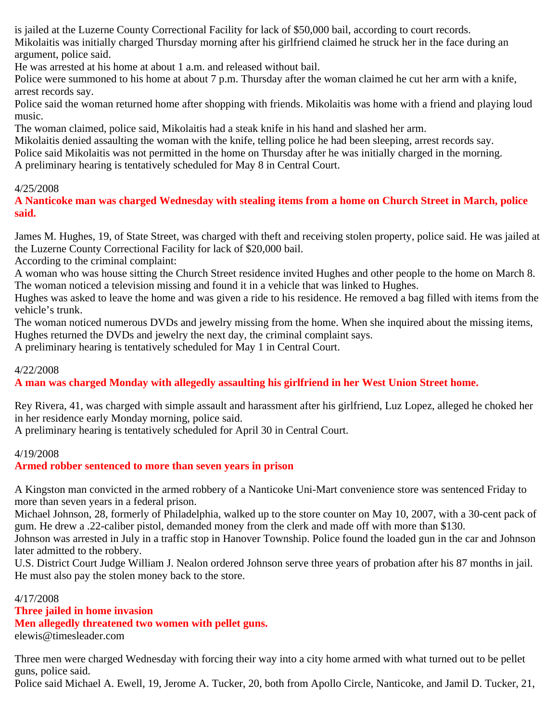is jailed at the Luzerne County Correctional Facility for lack of \$50,000 bail, according to court records. Mikolaitis was initially charged Thursday morning after his girlfriend claimed he struck her in the face during an argument, police said.

He was arrested at his home at about 1 a.m. and released without bail.

Police were summoned to his home at about 7 p.m. Thursday after the woman claimed he cut her arm with a knife, arrest records say.

Police said the woman returned home after shopping with friends. Mikolaitis was home with a friend and playing loud music.

The woman claimed, police said, Mikolaitis had a steak knife in his hand and slashed her arm.

Mikolaitis denied assaulting the woman with the knife, telling police he had been sleeping, arrest records say.

Police said Mikolaitis was not permitted in the home on Thursday after he was initially charged in the morning.

A preliminary hearing is tentatively scheduled for May 8 in Central Court.

# 4/25/2008

**A Nanticoke man was charged Wednesday with stealing items from a home on Church Street in March, police said.**

James M. Hughes, 19, of State Street, was charged with theft and receiving stolen property, police said. He was jailed at the Luzerne County Correctional Facility for lack of \$20,000 bail.

According to the criminal complaint:

A woman who was house sitting the Church Street residence invited Hughes and other people to the home on March 8. The woman noticed a television missing and found it in a vehicle that was linked to Hughes.

Hughes was asked to leave the home and was given a ride to his residence. He removed a bag filled with items from the vehicle's trunk.

The woman noticed numerous DVDs and jewelry missing from the home. When she inquired about the missing items, Hughes returned the DVDs and jewelry the next day, the criminal complaint says.

A preliminary hearing is tentatively scheduled for May 1 in Central Court.

# 4/22/2008

**A man was charged Monday with allegedly assaulting his girlfriend in her West Union Street home.**

Rey Rivera, 41, was charged with simple assault and harassment after his girlfriend, Luz Lopez, alleged he choked her in her residence early Monday morning, police said.

A preliminary hearing is tentatively scheduled for April 30 in Central Court.

# 4/19/2008

# **Armed robber sentenced to more than seven years in prison**

A Kingston man convicted in the armed robbery of a Nanticoke Uni-Mart convenience store was sentenced Friday to more than seven years in a federal prison.

Michael Johnson, 28, formerly of Philadelphia, walked up to the store counter on May 10, 2007, with a 30-cent pack of gum. He drew a .22-caliber pistol, demanded money from the clerk and made off with more than \$130.

Johnson was arrested in July in a traffic stop in Hanover Township. Police found the loaded gun in the car and Johnson later admitted to the robbery.

U.S. District Court Judge William J. Nealon ordered Johnson serve three years of probation after his 87 months in jail. He must also pay the stolen money back to the store.

# 4/17/2008

# **Three jailed in home invasion**

**Men allegedly threatened two women with pellet guns.**

elewis@timesleader.com

Three men were charged Wednesday with forcing their way into a city home armed with what turned out to be pellet guns, police said.

Police said Michael A. Ewell, 19, Jerome A. Tucker, 20, both from Apollo Circle, Nanticoke, and Jamil D. Tucker, 21,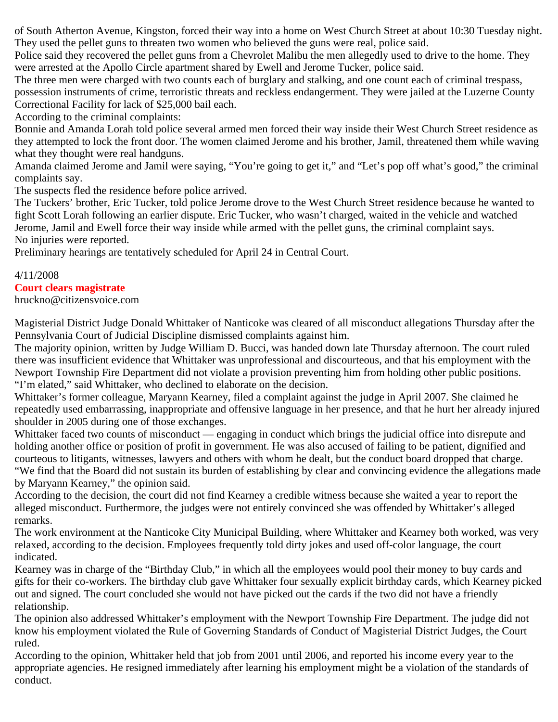of South Atherton Avenue, Kingston, forced their way into a home on West Church Street at about 10:30 Tuesday night. They used the pellet guns to threaten two women who believed the guns were real, police said.

Police said they recovered the pellet guns from a Chevrolet Malibu the men allegedly used to drive to the home. They were arrested at the Apollo Circle apartment shared by Ewell and Jerome Tucker, police said.

The three men were charged with two counts each of burglary and stalking, and one count each of criminal trespass, possession instruments of crime, terroristic threats and reckless endangerment. They were jailed at the Luzerne County Correctional Facility for lack of \$25,000 bail each.

According to the criminal complaints:

Bonnie and Amanda Lorah told police several armed men forced their way inside their West Church Street residence as they attempted to lock the front door. The women claimed Jerome and his brother, Jamil, threatened them while waving what they thought were real handguns.

Amanda claimed Jerome and Jamil were saying, "You're going to get it," and "Let's pop off what's good," the criminal complaints say.

The suspects fled the residence before police arrived.

The Tuckers' brother, Eric Tucker, told police Jerome drove to the West Church Street residence because he wanted to fight Scott Lorah following an earlier dispute. Eric Tucker, who wasn't charged, waited in the vehicle and watched Jerome, Jamil and Ewell force their way inside while armed with the pellet guns, the criminal complaint says. No injuries were reported.

Preliminary hearings are tentatively scheduled for April 24 in Central Court.

#### 4/11/2008

# **Court clears magistrate**

hruckno@citizensvoice.com

Magisterial District Judge Donald Whittaker of Nanticoke was cleared of all misconduct allegations Thursday after the Pennsylvania Court of Judicial Discipline dismissed complaints against him.

The majority opinion, written by Judge William D. Bucci, was handed down late Thursday afternoon. The court ruled there was insufficient evidence that Whittaker was unprofessional and discourteous, and that his employment with the Newport Township Fire Department did not violate a provision preventing him from holding other public positions. "I'm elated," said Whittaker, who declined to elaborate on the decision.

Whittaker's former colleague, Maryann Kearney, filed a complaint against the judge in April 2007. She claimed he repeatedly used embarrassing, inappropriate and offensive language in her presence, and that he hurt her already injured shoulder in 2005 during one of those exchanges.

Whittaker faced two counts of misconduct — engaging in conduct which brings the judicial office into disrepute and holding another office or position of profit in government. He was also accused of failing to be patient, dignified and courteous to litigants, witnesses, lawyers and others with whom he dealt, but the conduct board dropped that charge. "We find that the Board did not sustain its burden of establishing by clear and convincing evidence the allegations made by Maryann Kearney," the opinion said.

According to the decision, the court did not find Kearney a credible witness because she waited a year to report the alleged misconduct. Furthermore, the judges were not entirely convinced she was offended by Whittaker's alleged remarks.

The work environment at the Nanticoke City Municipal Building, where Whittaker and Kearney both worked, was very relaxed, according to the decision. Employees frequently told dirty jokes and used off-color language, the court indicated.

Kearney was in charge of the "Birthday Club," in which all the employees would pool their money to buy cards and gifts for their co-workers. The birthday club gave Whittaker four sexually explicit birthday cards, which Kearney picked out and signed. The court concluded she would not have picked out the cards if the two did not have a friendly relationship.

The opinion also addressed Whittaker's employment with the Newport Township Fire Department. The judge did not know his employment violated the Rule of Governing Standards of Conduct of Magisterial District Judges, the Court ruled.

According to the opinion, Whittaker held that job from 2001 until 2006, and reported his income every year to the appropriate agencies. He resigned immediately after learning his employment might be a violation of the standards of conduct.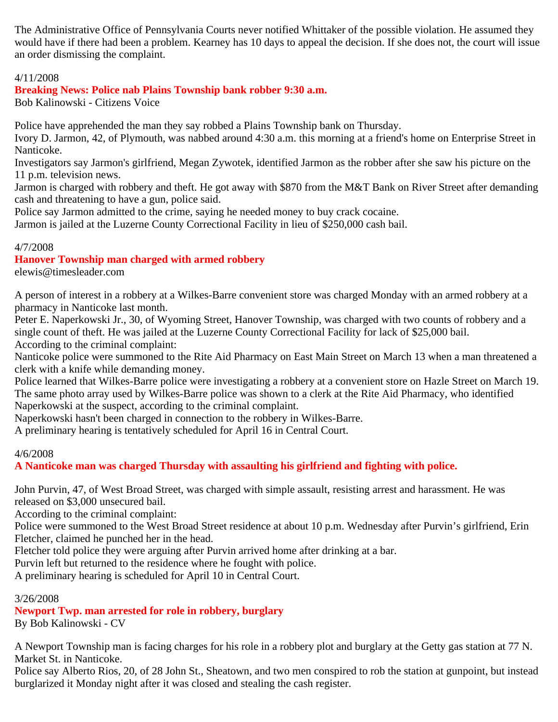The Administrative Office of Pennsylvania Courts never notified Whittaker of the possible violation. He assumed they would have if there had been a problem. Kearney has 10 days to appeal the decision. If she does not, the court will issue an order dismissing the complaint.

# 4/11/2008

# **Breaking News: Police nab Plains Township bank robber 9:30 a.m.**

Bob Kalinowski - Citizens Voice

Police have apprehended the man they say robbed a Plains Township bank on Thursday.

Ivory D. Jarmon, 42, of Plymouth, was nabbed around 4:30 a.m. this morning at a friend's home on Enterprise Street in Nanticoke.

Investigators say Jarmon's girlfriend, Megan Zywotek, identified Jarmon as the robber after she saw his picture on the 11 p.m. television news.

Jarmon is charged with robbery and theft. He got away with \$870 from the M&T Bank on River Street after demanding cash and threatening to have a gun, police said.

Police say Jarmon admitted to the crime, saying he needed money to buy crack cocaine.

Jarmon is jailed at the Luzerne County Correctional Facility in lieu of \$250,000 cash bail.

# 4/7/2008

**Hanover Township man charged with armed robbery**

elewis@timesleader.com

A person of interest in a robbery at a Wilkes-Barre convenient store was charged Monday with an armed robbery at a pharmacy in Nanticoke last month.

Peter E. Naperkowski Jr., 30, of Wyoming Street, Hanover Township, was charged with two counts of robbery and a single count of theft. He was jailed at the Luzerne County Correctional Facility for lack of \$25,000 bail. According to the criminal complaint:

Nanticoke police were summoned to the Rite Aid Pharmacy on East Main Street on March 13 when a man threatened a clerk with a knife while demanding money.

Police learned that Wilkes-Barre police were investigating a robbery at a convenient store on Hazle Street on March 19. The same photo array used by Wilkes-Barre police was shown to a clerk at the Rite Aid Pharmacy, who identified Naperkowski at the suspect, according to the criminal complaint.

Naperkowski hasn't been charged in connection to the robbery in Wilkes-Barre.

A preliminary hearing is tentatively scheduled for April 16 in Central Court.

# 4/6/2008

**A Nanticoke man was charged Thursday with assaulting his girlfriend and fighting with police.**

John Purvin, 47, of West Broad Street, was charged with simple assault, resisting arrest and harassment. He was released on \$3,000 unsecured bail.

According to the criminal complaint:

Police were summoned to the West Broad Street residence at about 10 p.m. Wednesday after Purvin's girlfriend, Erin Fletcher, claimed he punched her in the head.

Fletcher told police they were arguing after Purvin arrived home after drinking at a bar.

Purvin left but returned to the residence where he fought with police.

A preliminary hearing is scheduled for April 10 in Central Court.

# 3/26/2008

**Newport Twp. man arrested for role in robbery, burglary** By Bob Kalinowski - CV

A Newport Township man is facing charges for his role in a robbery plot and burglary at the Getty gas station at 77 N. Market St. in Nanticoke.

Police say Alberto Rios, 20, of 28 John St., Sheatown, and two men conspired to rob the station at gunpoint, but instead burglarized it Monday night after it was closed and stealing the cash register.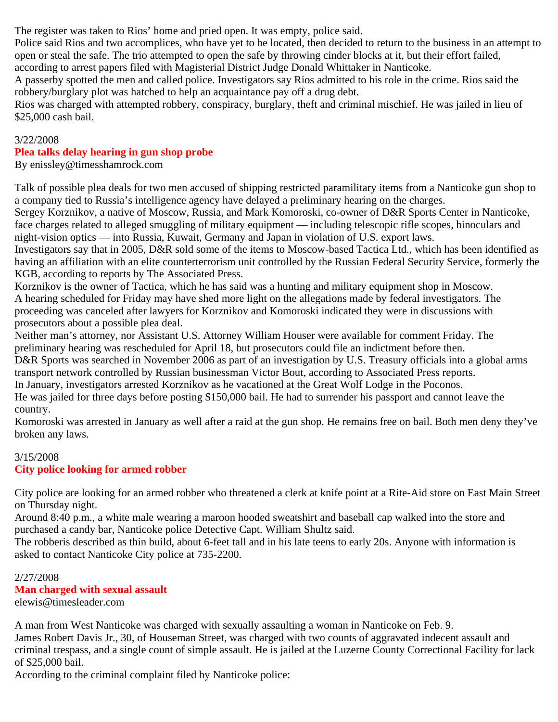The register was taken to Rios' home and pried open. It was empty, police said.

Police said Rios and two accomplices, who have yet to be located, then decided to return to the business in an attempt to open or steal the safe. The trio attempted to open the safe by throwing cinder blocks at it, but their effort failed,

according to arrest papers filed with Magisterial District Judge Donald Whittaker in Nanticoke.

A passerby spotted the men and called police. Investigators say Rios admitted to his role in the crime. Rios said the robbery/burglary plot was hatched to help an acquaintance pay off a drug debt.

Rios was charged with attempted robbery, conspiracy, burglary, theft and criminal mischief. He was jailed in lieu of \$25,000 cash bail.

#### 3/22/2008

# **Plea talks delay hearing in gun shop probe**

By enissley@timesshamrock.com

Talk of possible plea deals for two men accused of shipping restricted paramilitary items from a Nanticoke gun shop to a company tied to Russia's intelligence agency have delayed a preliminary hearing on the charges.

Sergey Korznikov, a native of Moscow, Russia, and Mark Komoroski, co-owner of D&R Sports Center in Nanticoke, face charges related to alleged smuggling of military equipment — including telescopic rifle scopes, binoculars and night-vision optics — into Russia, Kuwait, Germany and Japan in violation of U.S. export laws.

Investigators say that in 2005, D&R sold some of the items to Moscow-based Tactica Ltd., which has been identified as having an affiliation with an elite counterterrorism unit controlled by the Russian Federal Security Service, formerly the KGB, according to reports by The Associated Press.

Korznikov is the owner of Tactica, which he has said was a hunting and military equipment shop in Moscow. A hearing scheduled for Friday may have shed more light on the allegations made by federal investigators. The proceeding was canceled after lawyers for Korznikov and Komoroski indicated they were in discussions with prosecutors about a possible plea deal.

Neither man's attorney, nor Assistant U.S. Attorney William Houser were available for comment Friday. The preliminary hearing was rescheduled for April 18, but prosecutors could file an indictment before then. D&R Sports was searched in November 2006 as part of an investigation by U.S. Treasury officials into a global arms transport network controlled by Russian businessman Victor Bout, according to Associated Press reports.

In January, investigators arrested Korznikov as he vacationed at the Great Wolf Lodge in the Poconos.

He was jailed for three days before posting \$150,000 bail. He had to surrender his passport and cannot leave the country.

Komoroski was arrested in January as well after a raid at the gun shop. He remains free on bail. Both men deny they've broken any laws.

# 3/15/2008

# **City police looking for armed robber**

City police are looking for an armed robber who threatened a clerk at knife point at a Rite-Aid store on East Main Street on Thursday night.

Around 8:40 p.m., a white male wearing a maroon hooded sweatshirt and baseball cap walked into the store and purchased a candy bar, Nanticoke police Detective Capt. William Shultz said.

The robberis described as thin build, about 6-feet tall and in his late teens to early 20s. Anyone with information is asked to contact Nanticoke City police at 735-2200.

# 2/27/2008

**Man charged with sexual assault** elewis@timesleader.com

A man from West Nanticoke was charged with sexually assaulting a woman in Nanticoke on Feb. 9.

James Robert Davis Jr., 30, of Houseman Street, was charged with two counts of aggravated indecent assault and criminal trespass, and a single count of simple assault. He is jailed at the Luzerne County Correctional Facility for lack of \$25,000 bail.

According to the criminal complaint filed by Nanticoke police: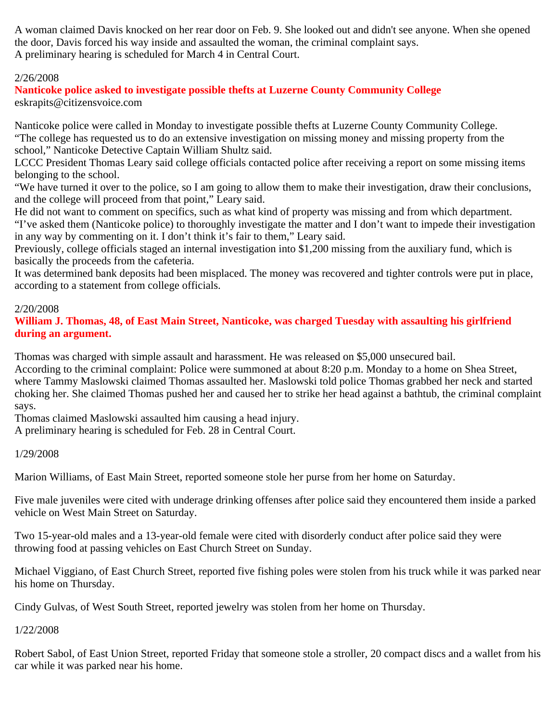A woman claimed Davis knocked on her rear door on Feb. 9. She looked out and didn't see anyone. When she opened the door, Davis forced his way inside and assaulted the woman, the criminal complaint says. A preliminary hearing is scheduled for March 4 in Central Court.

#### 2/26/2008

**Nanticoke police asked to investigate possible thefts at Luzerne County Community College** eskrapits@citizensvoice.com

Nanticoke police were called in Monday to investigate possible thefts at Luzerne County Community College. "The college has requested us to do an extensive investigation on missing money and missing property from the school," Nanticoke Detective Captain William Shultz said.

LCCC President Thomas Leary said college officials contacted police after receiving a report on some missing items belonging to the school.

"We have turned it over to the police, so I am going to allow them to make their investigation, draw their conclusions, and the college will proceed from that point," Leary said.

He did not want to comment on specifics, such as what kind of property was missing and from which department. "I've asked them (Nanticoke police) to thoroughly investigate the matter and I don't want to impede their investigation in any way by commenting on it. I don't think it's fair to them," Leary said.

Previously, college officials staged an internal investigation into \$1,200 missing from the auxiliary fund, which is basically the proceeds from the cafeteria.

It was determined bank deposits had been misplaced. The money was recovered and tighter controls were put in place, according to a statement from college officials.

#### 2/20/2008

**William J. Thomas, 48, of East Main Street, Nanticoke, was charged Tuesday with assaulting his girlfriend during an argument.**

Thomas was charged with simple assault and harassment. He was released on \$5,000 unsecured bail.

According to the criminal complaint: Police were summoned at about 8:20 p.m. Monday to a home on Shea Street, where Tammy Maslowski claimed Thomas assaulted her. Maslowski told police Thomas grabbed her neck and started choking her. She claimed Thomas pushed her and caused her to strike her head against a bathtub, the criminal complaint says.

Thomas claimed Maslowski assaulted him causing a head injury.

A preliminary hearing is scheduled for Feb. 28 in Central Court.

1/29/2008

Marion Williams, of East Main Street, reported someone stole her purse from her home on Saturday.

Five male juveniles were cited with underage drinking offenses after police said they encountered them inside a parked vehicle on West Main Street on Saturday.

Two 15-year-old males and a 13-year-old female were cited with disorderly conduct after police said they were throwing food at passing vehicles on East Church Street on Sunday.

Michael Viggiano, of East Church Street, reported five fishing poles were stolen from his truck while it was parked near his home on Thursday.

Cindy Gulvas, of West South Street, reported jewelry was stolen from her home on Thursday.

1/22/2008

Robert Sabol, of East Union Street, reported Friday that someone stole a stroller, 20 compact discs and a wallet from his car while it was parked near his home.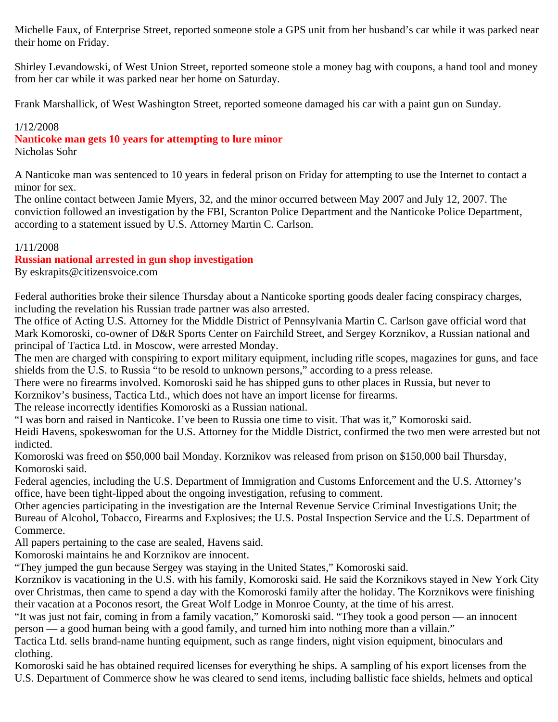Michelle Faux, of Enterprise Street, reported someone stole a GPS unit from her husband's car while it was parked near their home on Friday.

Shirley Levandowski, of West Union Street, reported someone stole a money bag with coupons, a hand tool and money from her car while it was parked near her home on Saturday.

Frank Marshallick, of West Washington Street, reported someone damaged his car with a paint gun on Sunday.

### 1/12/2008

**Nanticoke man gets 10 years for attempting to lure minor**

Nicholas Sohr

A Nanticoke man was sentenced to 10 years in federal prison on Friday for attempting to use the Internet to contact a minor for sex.

The online contact between Jamie Myers, 32, and the minor occurred between May 2007 and July 12, 2007. The conviction followed an investigation by the FBI, Scranton Police Department and the Nanticoke Police Department, according to a statement issued by U.S. Attorney Martin C. Carlson.

### 1/11/2008

## **Russian national arrested in gun shop investigation**

By eskrapits@citizensvoice.com

Federal authorities broke their silence Thursday about a Nanticoke sporting goods dealer facing conspiracy charges, including the revelation his Russian trade partner was also arrested.

The office of Acting U.S. Attorney for the Middle District of Pennsylvania Martin C. Carlson gave official word that Mark Komoroski, co-owner of D&R Sports Center on Fairchild Street, and Sergey Korznikov, a Russian national and principal of Tactica Ltd. in Moscow, were arrested Monday.

The men are charged with conspiring to export military equipment, including rifle scopes, magazines for guns, and face shields from the U.S. to Russia "to be resold to unknown persons," according to a press release.

There were no firearms involved. Komoroski said he has shipped guns to other places in Russia, but never to Korznikov's business, Tactica Ltd., which does not have an import license for firearms.

The release incorrectly identifies Komoroski as a Russian national.

"I was born and raised in Nanticoke. I've been to Russia one time to visit. That was it," Komoroski said.

Heidi Havens, spokeswoman for the U.S. Attorney for the Middle District, confirmed the two men were arrested but not indicted.

Komoroski was freed on \$50,000 bail Monday. Korznikov was released from prison on \$150,000 bail Thursday, Komoroski said.

Federal agencies, including the U.S. Department of Immigration and Customs Enforcement and the U.S. Attorney's office, have been tight-lipped about the ongoing investigation, refusing to comment.

Other agencies participating in the investigation are the Internal Revenue Service Criminal Investigations Unit; the Bureau of Alcohol, Tobacco, Firearms and Explosives; the U.S. Postal Inspection Service and the U.S. Department of Commerce.

All papers pertaining to the case are sealed, Havens said.

Komoroski maintains he and Korznikov are innocent.

"They jumped the gun because Sergey was staying in the United States," Komoroski said.

Korznikov is vacationing in the U.S. with his family, Komoroski said. He said the Korznikovs stayed in New York City over Christmas, then came to spend a day with the Komoroski family after the holiday. The Korznikovs were finishing their vacation at a Poconos resort, the Great Wolf Lodge in Monroe County, at the time of his arrest.

"It was just not fair, coming in from a family vacation," Komoroski said. "They took a good person — an innocent person — a good human being with a good family, and turned him into nothing more than a villain."

Tactica Ltd. sells brand-name hunting equipment, such as range finders, night vision equipment, binoculars and clothing.

Komoroski said he has obtained required licenses for everything he ships. A sampling of his export licenses from the U.S. Department of Commerce show he was cleared to send items, including ballistic face shields, helmets and optical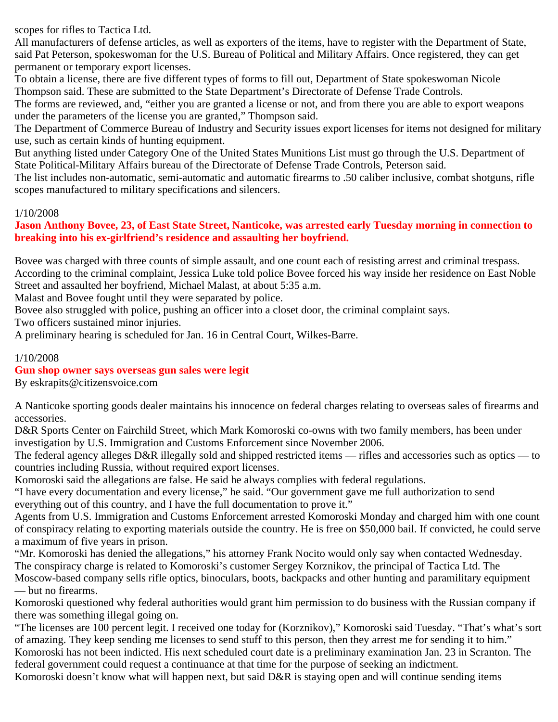scopes for rifles to Tactica Ltd.

All manufacturers of defense articles, as well as exporters of the items, have to register with the Department of State, said Pat Peterson, spokeswoman for the U.S. Bureau of Political and Military Affairs. Once registered, they can get permanent or temporary export licenses.

To obtain a license, there are five different types of forms to fill out, Department of State spokeswoman Nicole Thompson said. These are submitted to the State Department's Directorate of Defense Trade Controls.

The forms are reviewed, and, "either you are granted a license or not, and from there you are able to export weapons under the parameters of the license you are granted," Thompson said.

The Department of Commerce Bureau of Industry and Security issues export licenses for items not designed for military use, such as certain kinds of hunting equipment.

But anything listed under Category One of the United States Munitions List must go through the U.S. Department of State Political-Military Affairs bureau of the Directorate of Defense Trade Controls, Peterson said.

The list includes non-automatic, semi-automatic and automatic firearms to .50 caliber inclusive, combat shotguns, rifle scopes manufactured to military specifications and silencers.

### 1/10/2008

### **Jason Anthony Bovee, 23, of East State Street, Nanticoke, was arrested early Tuesday morning in connection to breaking into his ex-girlfriend's residence and assaulting her boyfriend.**

Bovee was charged with three counts of simple assault, and one count each of resisting arrest and criminal trespass. According to the criminal complaint, Jessica Luke told police Bovee forced his way inside her residence on East Noble Street and assaulted her boyfriend, Michael Malast, at about 5:35 a.m.

Malast and Bovee fought until they were separated by police.

Bovee also struggled with police, pushing an officer into a closet door, the criminal complaint says.

Two officers sustained minor injuries.

A preliminary hearing is scheduled for Jan. 16 in Central Court, Wilkes-Barre.

### 1/10/2008

## **Gun shop owner says overseas gun sales were legit**

By eskrapits@citizensvoice.com

A Nanticoke sporting goods dealer maintains his innocence on federal charges relating to overseas sales of firearms and accessories.

D&R Sports Center on Fairchild Street, which Mark Komoroski co-owns with two family members, has been under investigation by U.S. Immigration and Customs Enforcement since November 2006.

The federal agency alleges D&R illegally sold and shipped restricted items — rifles and accessories such as optics — to countries including Russia, without required export licenses.

Komoroski said the allegations are false. He said he always complies with federal regulations.

"I have every documentation and every license," he said. "Our government gave me full authorization to send everything out of this country, and I have the full documentation to prove it."

Agents from U.S. Immigration and Customs Enforcement arrested Komoroski Monday and charged him with one count of conspiracy relating to exporting materials outside the country. He is free on \$50,000 bail. If convicted, he could serve a maximum of five years in prison.

"Mr. Komoroski has denied the allegations," his attorney Frank Nocito would only say when contacted Wednesday. The conspiracy charge is related to Komoroski's customer Sergey Korznikov, the principal of Tactica Ltd. The Moscow-based company sells rifle optics, binoculars, boots, backpacks and other hunting and paramilitary equipment — but no firearms.

Komoroski questioned why federal authorities would grant him permission to do business with the Russian company if there was something illegal going on.

"The licenses are 100 percent legit. I received one today for (Korznikov)," Komoroski said Tuesday. "That's what's sort of amazing. They keep sending me licenses to send stuff to this person, then they arrest me for sending it to him." Komoroski has not been indicted. His next scheduled court date is a preliminary examination Jan. 23 in Scranton. The

federal government could request a continuance at that time for the purpose of seeking an indictment.

Komoroski doesn't know what will happen next, but said D&R is staying open and will continue sending items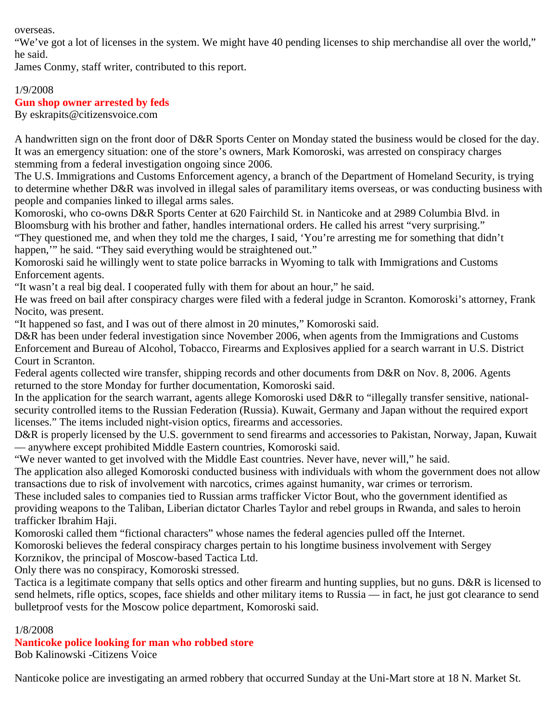overseas.

"We've got a lot of licenses in the system. We might have 40 pending licenses to ship merchandise all over the world," he said.

James Conmy, staff writer, contributed to this report.

#### 1/9/2008 **Gun shop owner arrested by feds** By eskrapits@citizensvoice.com

A handwritten sign on the front door of D&R Sports Center on Monday stated the business would be closed for the day. It was an emergency situation: one of the store's owners, Mark Komoroski, was arrested on conspiracy charges stemming from a federal investigation ongoing since 2006.

The U.S. Immigrations and Customs Enforcement agency, a branch of the Department of Homeland Security, is trying to determine whether D&R was involved in illegal sales of paramilitary items overseas, or was conducting business with people and companies linked to illegal arms sales.

Komoroski, who co-owns D&R Sports Center at 620 Fairchild St. in Nanticoke and at 2989 Columbia Blvd. in Bloomsburg with his brother and father, handles international orders. He called his arrest "very surprising."

"They questioned me, and when they told me the charges, I said, 'You're arresting me for something that didn't happen," he said. "They said everything would be straightened out."

Komoroski said he willingly went to state police barracks in Wyoming to talk with Immigrations and Customs Enforcement agents.

"It wasn't a real big deal. I cooperated fully with them for about an hour," he said.

He was freed on bail after conspiracy charges were filed with a federal judge in Scranton. Komoroski's attorney, Frank Nocito, was present.

"It happened so fast, and I was out of there almost in 20 minutes," Komoroski said.

D&R has been under federal investigation since November 2006, when agents from the Immigrations and Customs Enforcement and Bureau of Alcohol, Tobacco, Firearms and Explosives applied for a search warrant in U.S. District Court in Scranton.

Federal agents collected wire transfer, shipping records and other documents from D&R on Nov. 8, 2006. Agents returned to the store Monday for further documentation, Komoroski said.

In the application for the search warrant, agents allege Komoroski used D&R to "illegally transfer sensitive, nationalsecurity controlled items to the Russian Federation (Russia). Kuwait, Germany and Japan without the required export licenses." The items included night-vision optics, firearms and accessories.

D&R is properly licensed by the U.S. government to send firearms and accessories to Pakistan, Norway, Japan, Kuwait — anywhere except prohibited Middle Eastern countries, Komoroski said.

"We never wanted to get involved with the Middle East countries. Never have, never will," he said.

The application also alleged Komoroski conducted business with individuals with whom the government does not allow transactions due to risk of involvement with narcotics, crimes against humanity, war crimes or terrorism.

These included sales to companies tied to Russian arms trafficker Victor Bout, who the government identified as providing weapons to the Taliban, Liberian dictator Charles Taylor and rebel groups in Rwanda, and sales to heroin trafficker Ibrahim Haji.

Komoroski called them "fictional characters" whose names the federal agencies pulled off the Internet.

Komoroski believes the federal conspiracy charges pertain to his longtime business involvement with Sergey

Korznikov, the principal of Moscow-based Tactica Ltd.

Only there was no conspiracy, Komoroski stressed.

Tactica is a legitimate company that sells optics and other firearm and hunting supplies, but no guns. D&R is licensed to send helmets, rifle optics, scopes, face shields and other military items to Russia — in fact, he just got clearance to send bulletproof vests for the Moscow police department, Komoroski said.

## 1/8/2008

# **Nanticoke police looking for man who robbed store**

Bob Kalinowski -Citizens Voice

Nanticoke police are investigating an armed robbery that occurred Sunday at the Uni-Mart store at 18 N. Market St.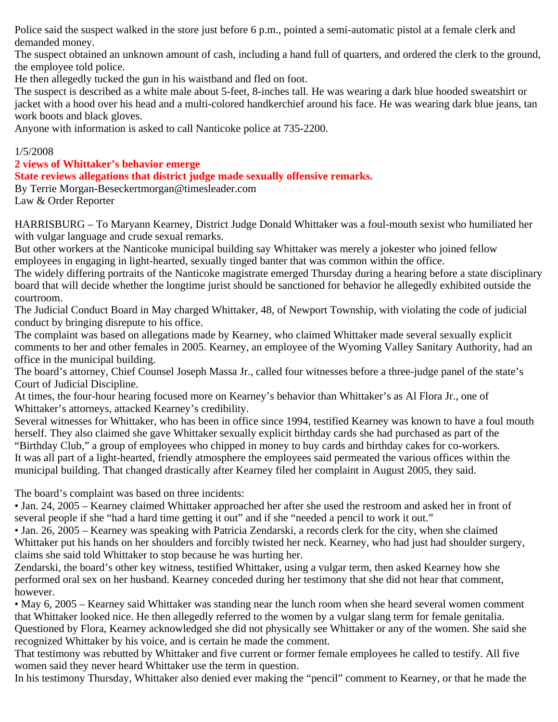Police said the suspect walked in the store just before 6 p.m., pointed a semi-automatic pistol at a female clerk and demanded money.

The suspect obtained an unknown amount of cash, including a hand full of quarters, and ordered the clerk to the ground, the employee told police.

He then allegedly tucked the gun in his waistband and fled on foot.

The suspect is described as a white male about 5-feet, 8-inches tall. He was wearing a dark blue hooded sweatshirt or jacket with a hood over his head and a multi-colored handkerchief around his face. He was wearing dark blue jeans, tan work boots and black gloves.

Anyone with information is asked to call Nanticoke police at 735-2200.

## 1/5/2008

**2 views of Whittaker's behavior emerge**

**State reviews allegations that district judge made sexually offensive remarks.**

By Terrie Morgan-Beseckertmorgan@timesleader.com Law & Order Reporter

HARRISBURG – To Maryann Kearney, District Judge Donald Whittaker was a foul-mouth sexist who humiliated her with vulgar language and crude sexual remarks.

But other workers at the Nanticoke municipal building say Whittaker was merely a jokester who joined fellow employees in engaging in light-hearted, sexually tinged banter that was common within the office.

The widely differing portraits of the Nanticoke magistrate emerged Thursday during a hearing before a state disciplinary board that will decide whether the longtime jurist should be sanctioned for behavior he allegedly exhibited outside the courtroom.

The Judicial Conduct Board in May charged Whittaker, 48, of Newport Township, with violating the code of judicial conduct by bringing disrepute to his office.

The complaint was based on allegations made by Kearney, who claimed Whittaker made several sexually explicit comments to her and other females in 2005. Kearney, an employee of the Wyoming Valley Sanitary Authority, had an office in the municipal building.

The board's attorney, Chief Counsel Joseph Massa Jr., called four witnesses before a three-judge panel of the state's Court of Judicial Discipline.

At times, the four-hour hearing focused more on Kearney's behavior than Whittaker's as Al Flora Jr., one of Whittaker's attorneys, attacked Kearney's credibility.

Several witnesses for Whittaker, who has been in office since 1994, testified Kearney was known to have a foul mouth herself. They also claimed she gave Whittaker sexually explicit birthday cards she had purchased as part of the "Birthday Club," a group of employees who chipped in money to buy cards and birthday cakes for co-workers. It was all part of a light-hearted, friendly atmosphere the employees said permeated the various offices within the municipal building. That changed drastically after Kearney filed her complaint in August 2005, they said.

The board's complaint was based on three incidents:

• Jan. 24, 2005 – Kearney claimed Whittaker approached her after she used the restroom and asked her in front of several people if she "had a hard time getting it out" and if she "needed a pencil to work it out."

• Jan. 26, 2005 – Kearney was speaking with Patricia Zendarski, a records clerk for the city, when she claimed Whittaker put his hands on her shoulders and forcibly twisted her neck. Kearney, who had just had shoulder surgery, claims she said told Whittaker to stop because he was hurting her.

Zendarski, the board's other key witness, testified Whittaker, using a vulgar term, then asked Kearney how she performed oral sex on her husband. Kearney conceded during her testimony that she did not hear that comment, however.

• May 6, 2005 – Kearney said Whittaker was standing near the lunch room when she heard several women comment that Whittaker looked nice. He then allegedly referred to the women by a vulgar slang term for female genitalia. Questioned by Flora, Kearney acknowledged she did not physically see Whittaker or any of the women. She said she recognized Whittaker by his voice, and is certain he made the comment.

That testimony was rebutted by Whittaker and five current or former female employees he called to testify. All five women said they never heard Whittaker use the term in question.

In his testimony Thursday, Whittaker also denied ever making the "pencil" comment to Kearney, or that he made the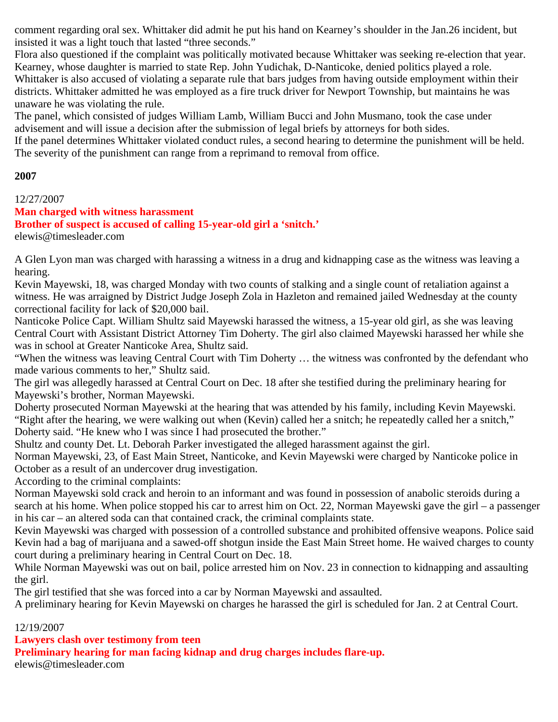comment regarding oral sex. Whittaker did admit he put his hand on Kearney's shoulder in the Jan.26 incident, but insisted it was a light touch that lasted "three seconds."

Flora also questioned if the complaint was politically motivated because Whittaker was seeking re-election that year. Kearney, whose daughter is married to state Rep. John Yudichak, D-Nanticoke, denied politics played a role. Whittaker is also accused of violating a separate rule that bars judges from having outside employment within their districts. Whittaker admitted he was employed as a fire truck driver for Newport Township, but maintains he was unaware he was violating the rule.

The panel, which consisted of judges William Lamb, William Bucci and John Musmano, took the case under advisement and will issue a decision after the submission of legal briefs by attorneys for both sides.

If the panel determines Whittaker violated conduct rules, a second hearing to determine the punishment will be held. The severity of the punishment can range from a reprimand to removal from office.

#### **2007**

#### 12/27/2007

#### **Man charged with witness harassment**

**Brother of suspect is accused of calling 15-year-old girl a 'snitch.'**

elewis@timesleader.com

A Glen Lyon man was charged with harassing a witness in a drug and kidnapping case as the witness was leaving a hearing.

Kevin Mayewski, 18, was charged Monday with two counts of stalking and a single count of retaliation against a witness. He was arraigned by District Judge Joseph Zola in Hazleton and remained jailed Wednesday at the county correctional facility for lack of \$20,000 bail.

Nanticoke Police Capt. William Shultz said Mayewski harassed the witness, a 15-year old girl, as she was leaving Central Court with Assistant District Attorney Tim Doherty. The girl also claimed Mayewski harassed her while she was in school at Greater Nanticoke Area, Shultz said.

"When the witness was leaving Central Court with Tim Doherty … the witness was confronted by the defendant who made various comments to her," Shultz said.

The girl was allegedly harassed at Central Court on Dec. 18 after she testified during the preliminary hearing for Mayewski's brother, Norman Mayewski.

Doherty prosecuted Norman Mayewski at the hearing that was attended by his family, including Kevin Mayewski. "Right after the hearing, we were walking out when (Kevin) called her a snitch; he repeatedly called her a snitch," Doherty said. "He knew who I was since I had prosecuted the brother."

Shultz and county Det. Lt. Deborah Parker investigated the alleged harassment against the girl.

Norman Mayewski, 23, of East Main Street, Nanticoke, and Kevin Mayewski were charged by Nanticoke police in October as a result of an undercover drug investigation.

According to the criminal complaints:

Norman Mayewski sold crack and heroin to an informant and was found in possession of anabolic steroids during a search at his home. When police stopped his car to arrest him on Oct. 22, Norman Mayewski gave the girl – a passenger in his car – an altered soda can that contained crack, the criminal complaints state.

Kevin Mayewski was charged with possession of a controlled substance and prohibited offensive weapons. Police said Kevin had a bag of marijuana and a sawed-off shotgun inside the East Main Street home. He waived charges to county court during a preliminary hearing in Central Court on Dec. 18.

While Norman Mayewski was out on bail, police arrested him on Nov. 23 in connection to kidnapping and assaulting the girl.

The girl testified that she was forced into a car by Norman Mayewski and assaulted.

A preliminary hearing for Kevin Mayewski on charges he harassed the girl is scheduled for Jan. 2 at Central Court.

### 12/19/2007

**Lawyers clash over testimony from teen**

**Preliminary hearing for man facing kidnap and drug charges includes flare-up.**

elewis@timesleader.com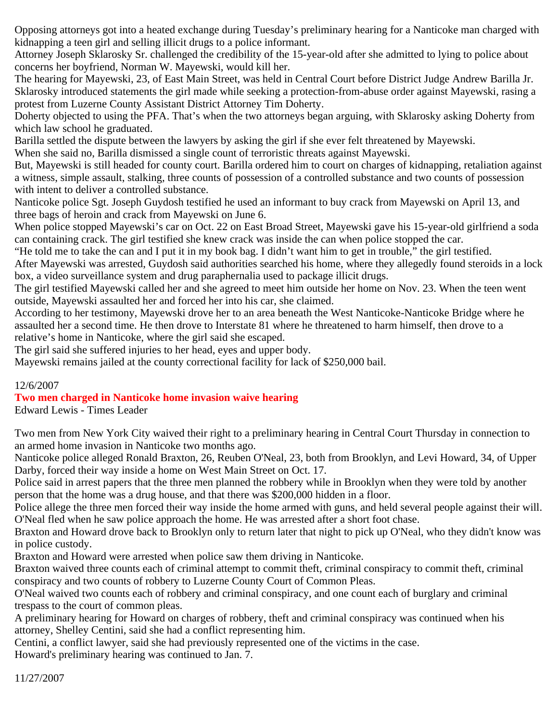Opposing attorneys got into a heated exchange during Tuesday's preliminary hearing for a Nanticoke man charged with kidnapping a teen girl and selling illicit drugs to a police informant.

Attorney Joseph Sklarosky Sr. challenged the credibility of the 15-year-old after she admitted to lying to police about concerns her boyfriend, Norman W. Mayewski, would kill her.

The hearing for Mayewski, 23, of East Main Street, was held in Central Court before District Judge Andrew Barilla Jr. Sklarosky introduced statements the girl made while seeking a protection-from-abuse order against Mayewski, rasing a protest from Luzerne County Assistant District Attorney Tim Doherty.

Doherty objected to using the PFA. That's when the two attorneys began arguing, with Sklarosky asking Doherty from which law school he graduated.

Barilla settled the dispute between the lawyers by asking the girl if she ever felt threatened by Mayewski.

When she said no, Barilla dismissed a single count of terroristic threats against Mayewski.

But, Mayewski is still headed for county court. Barilla ordered him to court on charges of kidnapping, retaliation against a witness, simple assault, stalking, three counts of possession of a controlled substance and two counts of possession with intent to deliver a controlled substance.

Nanticoke police Sgt. Joseph Guydosh testified he used an informant to buy crack from Mayewski on April 13, and three bags of heroin and crack from Mayewski on June 6.

When police stopped Mayewski's car on Oct. 22 on East Broad Street, Mayewski gave his 15-year-old girlfriend a soda can containing crack. The girl testified she knew crack was inside the can when police stopped the car.

"He told me to take the can and I put it in my book bag. I didn't want him to get in trouble," the girl testified. After Mayewski was arrested, Guydosh said authorities searched his home, where they allegedly found steroids in a lock box, a video surveillance system and drug paraphernalia used to package illicit drugs.

The girl testified Mayewski called her and she agreed to meet him outside her home on Nov. 23. When the teen went outside, Mayewski assaulted her and forced her into his car, she claimed.

According to her testimony, Mayewski drove her to an area beneath the West Nanticoke-Nanticoke Bridge where he assaulted her a second time. He then drove to Interstate 81 where he threatened to harm himself, then drove to a relative's home in Nanticoke, where the girl said she escaped.

The girl said she suffered injuries to her head, eyes and upper body.

Mayewski remains jailed at the county correctional facility for lack of \$250,000 bail.

### 12/6/2007

## **Two men charged in Nanticoke home invasion waive hearing**

Edward Lewis - Times Leader

Two men from New York City waived their right to a preliminary hearing in Central Court Thursday in connection to an armed home invasion in Nanticoke two months ago.

Nanticoke police alleged Ronald Braxton, 26, Reuben O'Neal, 23, both from Brooklyn, and Levi Howard, 34, of Upper Darby, forced their way inside a home on West Main Street on Oct. 17.

Police said in arrest papers that the three men planned the robbery while in Brooklyn when they were told by another person that the home was a drug house, and that there was \$200,000 hidden in a floor.

Police allege the three men forced their way inside the home armed with guns, and held several people against their will. O'Neal fled when he saw police approach the home. He was arrested after a short foot chase.

Braxton and Howard drove back to Brooklyn only to return later that night to pick up O'Neal, who they didn't know was in police custody.

Braxton and Howard were arrested when police saw them driving in Nanticoke.

Braxton waived three counts each of criminal attempt to commit theft, criminal conspiracy to commit theft, criminal conspiracy and two counts of robbery to Luzerne County Court of Common Pleas.

O'Neal waived two counts each of robbery and criminal conspiracy, and one count each of burglary and criminal trespass to the court of common pleas.

A preliminary hearing for Howard on charges of robbery, theft and criminal conspiracy was continued when his attorney, Shelley Centini, said she had a conflict representing him.

Centini, a conflict lawyer, said she had previously represented one of the victims in the case.

Howard's preliminary hearing was continued to Jan. 7.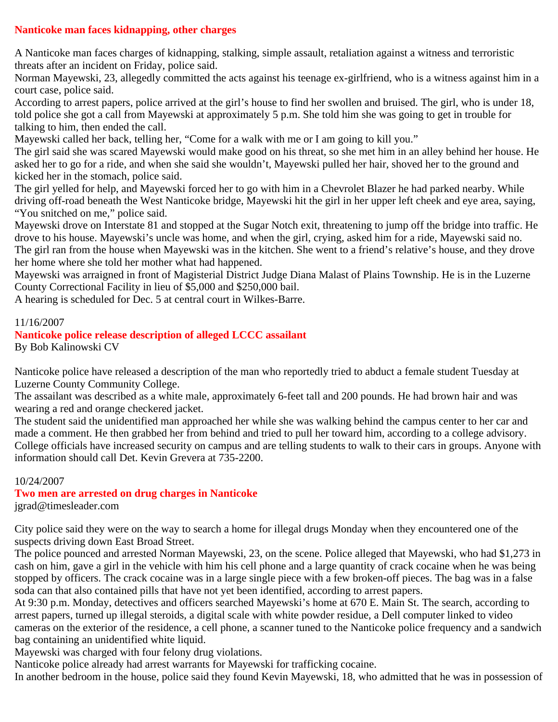### **Nanticoke man faces kidnapping, other charges**

A Nanticoke man faces charges of kidnapping, stalking, simple assault, retaliation against a witness and terroristic threats after an incident on Friday, police said.

Norman Mayewski, 23, allegedly committed the acts against his teenage ex-girlfriend, who is a witness against him in a court case, police said.

According to arrest papers, police arrived at the girl's house to find her swollen and bruised. The girl, who is under 18, told police she got a call from Mayewski at approximately 5 p.m. She told him she was going to get in trouble for talking to him, then ended the call.

Mayewski called her back, telling her, "Come for a walk with me or I am going to kill you."

The girl said she was scared Mayewski would make good on his threat, so she met him in an alley behind her house. He asked her to go for a ride, and when she said she wouldn't, Mayewski pulled her hair, shoved her to the ground and kicked her in the stomach, police said.

The girl yelled for help, and Mayewski forced her to go with him in a Chevrolet Blazer he had parked nearby. While driving off-road beneath the West Nanticoke bridge, Mayewski hit the girl in her upper left cheek and eye area, saying, "You snitched on me," police said.

Mayewski drove on Interstate 81 and stopped at the Sugar Notch exit, threatening to jump off the bridge into traffic. He drove to his house. Mayewski's uncle was home, and when the girl, crying, asked him for a ride, Mayewski said no. The girl ran from the house when Mayewski was in the kitchen. She went to a friend's relative's house, and they drove her home where she told her mother what had happened.

Mayewski was arraigned in front of Magisterial District Judge Diana Malast of Plains Township. He is in the Luzerne County Correctional Facility in lieu of \$5,000 and \$250,000 bail.

A hearing is scheduled for Dec. 5 at central court in Wilkes-Barre.

#### 11/16/2007

#### **Nanticoke police release description of alleged LCCC assailant** By Bob Kalinowski CV

Nanticoke police have released a description of the man who reportedly tried to abduct a female student Tuesday at Luzerne County Community College.

The assailant was described as a white male, approximately 6-feet tall and 200 pounds. He had brown hair and was wearing a red and orange checkered jacket.

The student said the unidentified man approached her while she was walking behind the campus center to her car and made a comment. He then grabbed her from behind and tried to pull her toward him, according to a college advisory. College officials have increased security on campus and are telling students to walk to their cars in groups. Anyone with information should call Det. Kevin Grevera at 735-2200.

#### 10/24/2007

### **Two men are arrested on drug charges in Nanticoke**

jgrad@timesleader.com

City police said they were on the way to search a home for illegal drugs Monday when they encountered one of the suspects driving down East Broad Street.

The police pounced and arrested Norman Mayewski, 23, on the scene. Police alleged that Mayewski, who had \$1,273 in cash on him, gave a girl in the vehicle with him his cell phone and a large quantity of crack cocaine when he was being stopped by officers. The crack cocaine was in a large single piece with a few broken-off pieces. The bag was in a false soda can that also contained pills that have not yet been identified, according to arrest papers.

At 9:30 p.m. Monday, detectives and officers searched Mayewski's home at 670 E. Main St. The search, according to arrest papers, turned up illegal steroids, a digital scale with white powder residue, a Dell computer linked to video cameras on the exterior of the residence, a cell phone, a scanner tuned to the Nanticoke police frequency and a sandwich bag containing an unidentified white liquid.

Mayewski was charged with four felony drug violations.

Nanticoke police already had arrest warrants for Mayewski for trafficking cocaine.

In another bedroom in the house, police said they found Kevin Mayewski, 18, who admitted that he was in possession of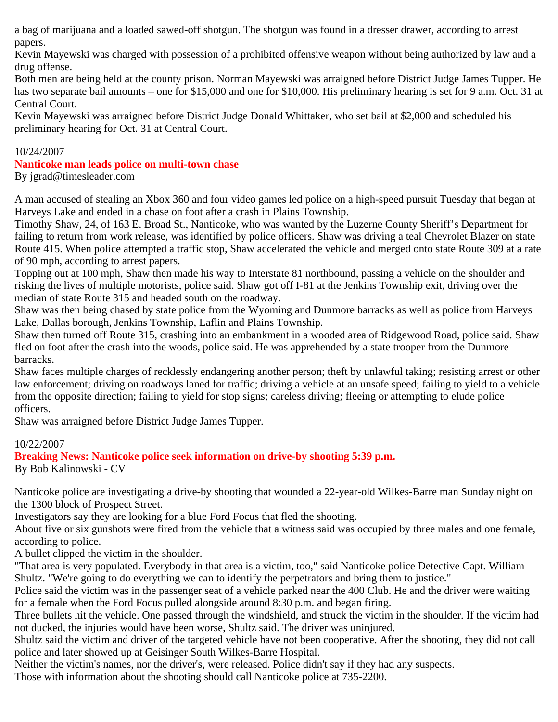a bag of marijuana and a loaded sawed-off shotgun. The shotgun was found in a dresser drawer, according to arrest papers.

Kevin Mayewski was charged with possession of a prohibited offensive weapon without being authorized by law and a drug offense.

Both men are being held at the county prison. Norman Mayewski was arraigned before District Judge James Tupper. He has two separate bail amounts – one for \$15,000 and one for \$10,000. His preliminary hearing is set for 9 a.m. Oct. 31 at Central Court.

Kevin Mayewski was arraigned before District Judge Donald Whittaker, who set bail at \$2,000 and scheduled his preliminary hearing for Oct. 31 at Central Court.

### 10/24/2007

### **Nanticoke man leads police on multi-town chase**

By jgrad@timesleader.com

A man accused of stealing an Xbox 360 and four video games led police on a high-speed pursuit Tuesday that began at Harveys Lake and ended in a chase on foot after a crash in Plains Township.

Timothy Shaw, 24, of 163 E. Broad St., Nanticoke, who was wanted by the Luzerne County Sheriff's Department for failing to return from work release, was identified by police officers. Shaw was driving a teal Chevrolet Blazer on state Route 415. When police attempted a traffic stop, Shaw accelerated the vehicle and merged onto state Route 309 at a rate of 90 mph, according to arrest papers.

Topping out at 100 mph, Shaw then made his way to Interstate 81 northbound, passing a vehicle on the shoulder and risking the lives of multiple motorists, police said. Shaw got off I-81 at the Jenkins Township exit, driving over the median of state Route 315 and headed south on the roadway.

Shaw was then being chased by state police from the Wyoming and Dunmore barracks as well as police from Harveys Lake, Dallas borough, Jenkins Township, Laflin and Plains Township.

Shaw then turned off Route 315, crashing into an embankment in a wooded area of Ridgewood Road, police said. Shaw fled on foot after the crash into the woods, police said. He was apprehended by a state trooper from the Dunmore barracks.

Shaw faces multiple charges of recklessly endangering another person; theft by unlawful taking; resisting arrest or other law enforcement; driving on roadways laned for traffic; driving a vehicle at an unsafe speed; failing to yield to a vehicle from the opposite direction; failing to yield for stop signs; careless driving; fleeing or attempting to elude police officers.

Shaw was arraigned before District Judge James Tupper.

### 10/22/2007

**Breaking News: Nanticoke police seek information on drive-by shooting 5:39 p.m.** By Bob Kalinowski - CV

Nanticoke police are investigating a drive-by shooting that wounded a 22-year-old Wilkes-Barre man Sunday night on the 1300 block of Prospect Street.

Investigators say they are looking for a blue Ford Focus that fled the shooting.

About five or six gunshots were fired from the vehicle that a witness said was occupied by three males and one female, according to police.

A bullet clipped the victim in the shoulder.

"That area is very populated. Everybody in that area is a victim, too," said Nanticoke police Detective Capt. William Shultz. "We're going to do everything we can to identify the perpetrators and bring them to justice."

Police said the victim was in the passenger seat of a vehicle parked near the 400 Club. He and the driver were waiting for a female when the Ford Focus pulled alongside around 8:30 p.m. and began firing.

Three bullets hit the vehicle. One passed through the windshield, and struck the victim in the shoulder. If the victim had not ducked, the injuries would have been worse, Shultz said. The driver was uninjured.

Shultz said the victim and driver of the targeted vehicle have not been cooperative. After the shooting, they did not call police and later showed up at Geisinger South Wilkes-Barre Hospital.

Neither the victim's names, nor the driver's, were released. Police didn't say if they had any suspects.

Those with information about the shooting should call Nanticoke police at 735-2200.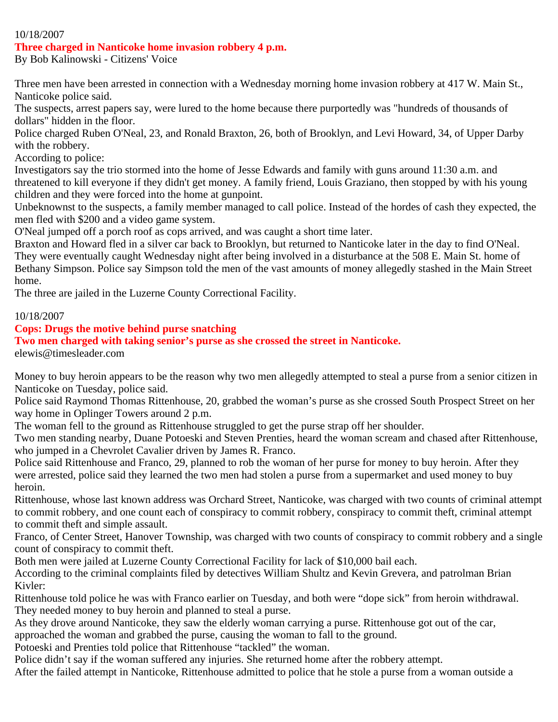#### 10/18/2007

#### **Three charged in Nanticoke home invasion robbery 4 p.m.**

By Bob Kalinowski - Citizens' Voice

Three men have been arrested in connection with a Wednesday morning home invasion robbery at 417 W. Main St., Nanticoke police said.

The suspects, arrest papers say, were lured to the home because there purportedly was "hundreds of thousands of dollars" hidden in the floor.

Police charged Ruben O'Neal, 23, and Ronald Braxton, 26, both of Brooklyn, and Levi Howard, 34, of Upper Darby with the robbery.

According to police:

Investigators say the trio stormed into the home of Jesse Edwards and family with guns around 11:30 a.m. and threatened to kill everyone if they didn't get money. A family friend, Louis Graziano, then stopped by with his young children and they were forced into the home at gunpoint.

Unbeknownst to the suspects, a family member managed to call police. Instead of the hordes of cash they expected, the men fled with \$200 and a video game system.

O'Neal jumped off a porch roof as cops arrived, and was caught a short time later.

Braxton and Howard fled in a silver car back to Brooklyn, but returned to Nanticoke later in the day to find O'Neal. They were eventually caught Wednesday night after being involved in a disturbance at the 508 E. Main St. home of Bethany Simpson. Police say Simpson told the men of the vast amounts of money allegedly stashed in the Main Street home.

The three are jailed in the Luzerne County Correctional Facility.

10/18/2007

#### **Cops: Drugs the motive behind purse snatching**

#### **Two men charged with taking senior's purse as she crossed the street in Nanticoke.**

elewis@timesleader.com

Money to buy heroin appears to be the reason why two men allegedly attempted to steal a purse from a senior citizen in Nanticoke on Tuesday, police said.

Police said Raymond Thomas Rittenhouse, 20, grabbed the woman's purse as she crossed South Prospect Street on her way home in Oplinger Towers around 2 p.m.

The woman fell to the ground as Rittenhouse struggled to get the purse strap off her shoulder.

Two men standing nearby, Duane Potoeski and Steven Prenties, heard the woman scream and chased after Rittenhouse, who jumped in a Chevrolet Cavalier driven by James R. Franco.

Police said Rittenhouse and Franco, 29, planned to rob the woman of her purse for money to buy heroin. After they were arrested, police said they learned the two men had stolen a purse from a supermarket and used money to buy heroin.

Rittenhouse, whose last known address was Orchard Street, Nanticoke, was charged with two counts of criminal attempt to commit robbery, and one count each of conspiracy to commit robbery, conspiracy to commit theft, criminal attempt to commit theft and simple assault.

Franco, of Center Street, Hanover Township, was charged with two counts of conspiracy to commit robbery and a single count of conspiracy to commit theft.

Both men were jailed at Luzerne County Correctional Facility for lack of \$10,000 bail each.

According to the criminal complaints filed by detectives William Shultz and Kevin Grevera, and patrolman Brian Kivler:

Rittenhouse told police he was with Franco earlier on Tuesday, and both were "dope sick" from heroin withdrawal. They needed money to buy heroin and planned to steal a purse.

As they drove around Nanticoke, they saw the elderly woman carrying a purse. Rittenhouse got out of the car,

approached the woman and grabbed the purse, causing the woman to fall to the ground.

Potoeski and Prenties told police that Rittenhouse "tackled" the woman.

Police didn't say if the woman suffered any injuries. She returned home after the robbery attempt.

After the failed attempt in Nanticoke, Rittenhouse admitted to police that he stole a purse from a woman outside a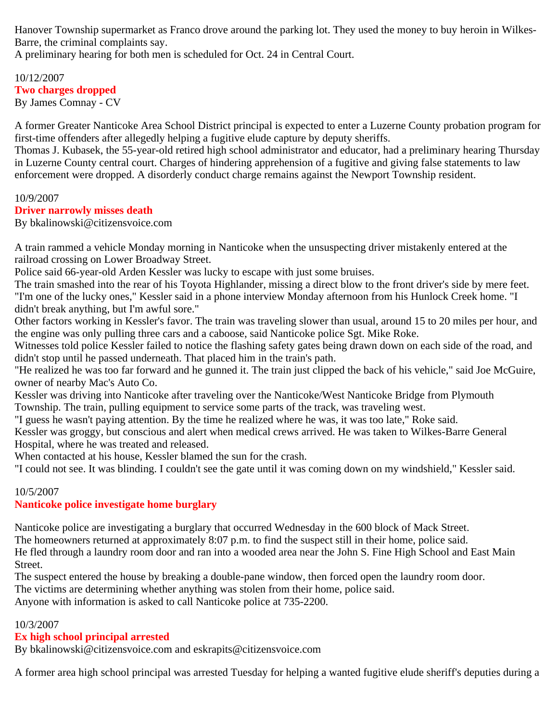Hanover Township supermarket as Franco drove around the parking lot. They used the money to buy heroin in Wilkes-Barre, the criminal complaints say.

A preliminary hearing for both men is scheduled for Oct. 24 in Central Court.

#### 10/12/2007 **Two charges dropped** By James Comnay - CV

A former Greater Nanticoke Area School District principal is expected to enter a Luzerne County probation program for first-time offenders after allegedly helping a fugitive elude capture by deputy sheriffs.

Thomas J. Kubasek, the 55-year-old retired high school administrator and educator, had a preliminary hearing Thursday in Luzerne County central court. Charges of hindering apprehension of a fugitive and giving false statements to law enforcement were dropped. A disorderly conduct charge remains against the Newport Township resident.

#### 10/9/2007

### **Driver narrowly misses death**

By bkalinowski@citizensvoice.com

A train rammed a vehicle Monday morning in Nanticoke when the unsuspecting driver mistakenly entered at the railroad crossing on Lower Broadway Street.

Police said 66-year-old Arden Kessler was lucky to escape with just some bruises.

The train smashed into the rear of his Toyota Highlander, missing a direct blow to the front driver's side by mere feet. "I'm one of the lucky ones," Kessler said in a phone interview Monday afternoon from his Hunlock Creek home. "I didn't break anything, but I'm awful sore."

Other factors working in Kessler's favor. The train was traveling slower than usual, around 15 to 20 miles per hour, and the engine was only pulling three cars and a caboose, said Nanticoke police Sgt. Mike Roke.

Witnesses told police Kessler failed to notice the flashing safety gates being drawn down on each side of the road, and didn't stop until he passed underneath. That placed him in the train's path.

"He realized he was too far forward and he gunned it. The train just clipped the back of his vehicle," said Joe McGuire, owner of nearby Mac's Auto Co.

Kessler was driving into Nanticoke after traveling over the Nanticoke/West Nanticoke Bridge from Plymouth Township. The train, pulling equipment to service some parts of the track, was traveling west.

"I guess he wasn't paying attention. By the time he realized where he was, it was too late," Roke said.

Kessler was groggy, but conscious and alert when medical crews arrived. He was taken to Wilkes-Barre General Hospital, where he was treated and released.

When contacted at his house, Kessler blamed the sun for the crash.

"I could not see. It was blinding. I couldn't see the gate until it was coming down on my windshield," Kessler said.

### 10/5/2007

### **Nanticoke police investigate home burglary**

Nanticoke police are investigating a burglary that occurred Wednesday in the 600 block of Mack Street. The homeowners returned at approximately 8:07 p.m. to find the suspect still in their home, police said. He fled through a laundry room door and ran into a wooded area near the John S. Fine High School and East Main Street.

The suspect entered the house by breaking a double-pane window, then forced open the laundry room door. The victims are determining whether anything was stolen from their home, police said.

Anyone with information is asked to call Nanticoke police at 735-2200.

### 10/3/2007

## **Ex high school principal arrested**

By bkalinowski@citizensvoice.com and eskrapits@citizensvoice.com

A former area high school principal was arrested Tuesday for helping a wanted fugitive elude sheriff's deputies during a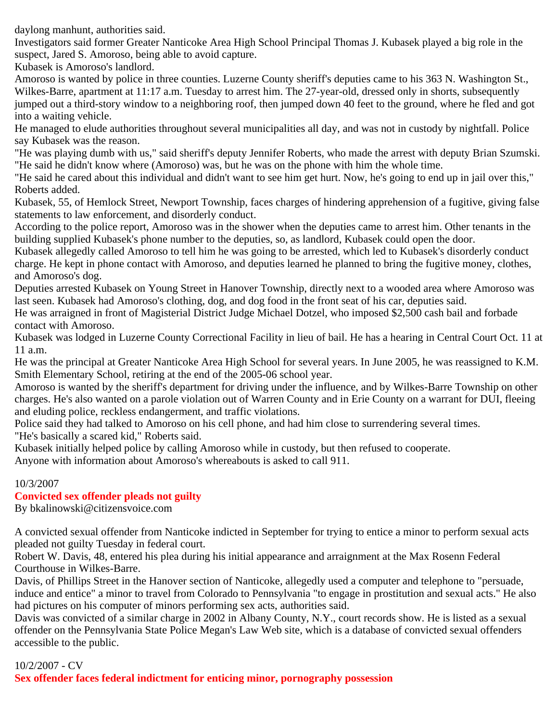daylong manhunt, authorities said.

Investigators said former Greater Nanticoke Area High School Principal Thomas J. Kubasek played a big role in the suspect, Jared S. Amoroso, being able to avoid capture.

Kubasek is Amoroso's landlord.

Amoroso is wanted by police in three counties. Luzerne County sheriff's deputies came to his 363 N. Washington St., Wilkes-Barre, apartment at 11:17 a.m. Tuesday to arrest him. The 27-year-old, dressed only in shorts, subsequently jumped out a third-story window to a neighboring roof, then jumped down 40 feet to the ground, where he fled and got into a waiting vehicle.

He managed to elude authorities throughout several municipalities all day, and was not in custody by nightfall. Police say Kubasek was the reason.

"He was playing dumb with us," said sheriff's deputy Jennifer Roberts, who made the arrest with deputy Brian Szumski. "He said he didn't know where (Amoroso) was, but he was on the phone with him the whole time.

"He said he cared about this individual and didn't want to see him get hurt. Now, he's going to end up in jail over this," Roberts added.

Kubasek, 55, of Hemlock Street, Newport Township, faces charges of hindering apprehension of a fugitive, giving false statements to law enforcement, and disorderly conduct.

According to the police report, Amoroso was in the shower when the deputies came to arrest him. Other tenants in the building supplied Kubasek's phone number to the deputies, so, as landlord, Kubasek could open the door.

Kubasek allegedly called Amoroso to tell him he was going to be arrested, which led to Kubasek's disorderly conduct charge. He kept in phone contact with Amoroso, and deputies learned he planned to bring the fugitive money, clothes, and Amoroso's dog.

Deputies arrested Kubasek on Young Street in Hanover Township, directly next to a wooded area where Amoroso was last seen. Kubasek had Amoroso's clothing, dog, and dog food in the front seat of his car, deputies said.

He was arraigned in front of Magisterial District Judge Michael Dotzel, who imposed \$2,500 cash bail and forbade contact with Amoroso.

Kubasek was lodged in Luzerne County Correctional Facility in lieu of bail. He has a hearing in Central Court Oct. 11 at 11 a.m.

He was the principal at Greater Nanticoke Area High School for several years. In June 2005, he was reassigned to K.M. Smith Elementary School, retiring at the end of the 2005-06 school year.

Amoroso is wanted by the sheriff's department for driving under the influence, and by Wilkes-Barre Township on other charges. He's also wanted on a parole violation out of Warren County and in Erie County on a warrant for DUI, fleeing and eluding police, reckless endangerment, and traffic violations.

Police said they had talked to Amoroso on his cell phone, and had him close to surrendering several times. "He's basically a scared kid," Roberts said.

Kubasek initially helped police by calling Amoroso while in custody, but then refused to cooperate.

Anyone with information about Amoroso's whereabouts is asked to call 911.

### 10/3/2007

## **Convicted sex offender pleads not guilty**

By bkalinowski@citizensvoice.com

A convicted sexual offender from Nanticoke indicted in September for trying to entice a minor to perform sexual acts pleaded not guilty Tuesday in federal court.

Robert W. Davis, 48, entered his plea during his initial appearance and arraignment at the Max Rosenn Federal Courthouse in Wilkes-Barre.

Davis, of Phillips Street in the Hanover section of Nanticoke, allegedly used a computer and telephone to "persuade, induce and entice" a minor to travel from Colorado to Pennsylvania "to engage in prostitution and sexual acts." He also had pictures on his computer of minors performing sex acts, authorities said.

Davis was convicted of a similar charge in 2002 in Albany County, N.Y., court records show. He is listed as a sexual offender on the Pennsylvania State Police Megan's Law Web site, which is a database of convicted sexual offenders accessible to the public.

10/2/2007 - CV

**Sex offender faces federal indictment for enticing minor, pornography possession**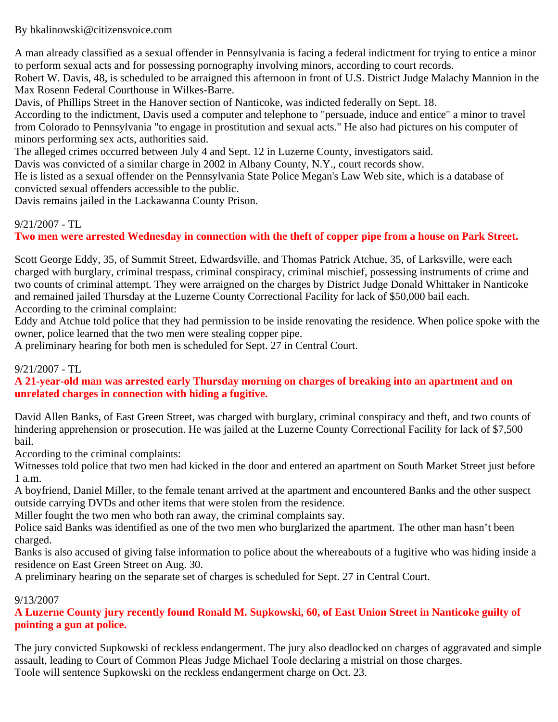By bkalinowski@citizensvoice.com

A man already classified as a sexual offender in Pennsylvania is facing a federal indictment for trying to entice a minor to perform sexual acts and for possessing pornography involving minors, according to court records.

Robert W. Davis, 48, is scheduled to be arraigned this afternoon in front of U.S. District Judge Malachy Mannion in the Max Rosenn Federal Courthouse in Wilkes-Barre.

Davis, of Phillips Street in the Hanover section of Nanticoke, was indicted federally on Sept. 18.

According to the indictment, Davis used a computer and telephone to "persuade, induce and entice" a minor to travel from Colorado to Pennsylvania "to engage in prostitution and sexual acts." He also had pictures on his computer of minors performing sex acts, authorities said.

The alleged crimes occurred between July 4 and Sept. 12 in Luzerne County, investigators said.

Davis was convicted of a similar charge in 2002 in Albany County, N.Y., court records show.

He is listed as a sexual offender on the Pennsylvania State Police Megan's Law Web site, which is a database of convicted sexual offenders accessible to the public.

Davis remains jailed in the Lackawanna County Prison.

## 9/21/2007 - TL

## **Two men were arrested Wednesday in connection with the theft of copper pipe from a house on Park Street.**

Scott George Eddy, 35, of Summit Street, Edwardsville, and Thomas Patrick Atchue, 35, of Larksville, were each charged with burglary, criminal trespass, criminal conspiracy, criminal mischief, possessing instruments of crime and two counts of criminal attempt. They were arraigned on the charges by District Judge Donald Whittaker in Nanticoke and remained jailed Thursday at the Luzerne County Correctional Facility for lack of \$50,000 bail each. According to the criminal complaint:

Eddy and Atchue told police that they had permission to be inside renovating the residence. When police spoke with the owner, police learned that the two men were stealing copper pipe.

A preliminary hearing for both men is scheduled for Sept. 27 in Central Court.

## 9/21/2007 - TL

**A 21-year-old man was arrested early Thursday morning on charges of breaking into an apartment and on unrelated charges in connection with hiding a fugitive.**

David Allen Banks, of East Green Street, was charged with burglary, criminal conspiracy and theft, and two counts of hindering apprehension or prosecution. He was jailed at the Luzerne County Correctional Facility for lack of \$7,500 bail.

According to the criminal complaints:

Witnesses told police that two men had kicked in the door and entered an apartment on South Market Street just before 1 a.m.

A boyfriend, Daniel Miller, to the female tenant arrived at the apartment and encountered Banks and the other suspect outside carrying DVDs and other items that were stolen from the residence.

Miller fought the two men who both ran away, the criminal complaints say.

Police said Banks was identified as one of the two men who burglarized the apartment. The other man hasn't been charged.

Banks is also accused of giving false information to police about the whereabouts of a fugitive who was hiding inside a residence on East Green Street on Aug. 30.

A preliminary hearing on the separate set of charges is scheduled for Sept. 27 in Central Court.

### 9/13/2007

## **A Luzerne County jury recently found Ronald M. Supkowski, 60, of East Union Street in Nanticoke guilty of pointing a gun at police.**

The jury convicted Supkowski of reckless endangerment. The jury also deadlocked on charges of aggravated and simple assault, leading to Court of Common Pleas Judge Michael Toole declaring a mistrial on those charges. Toole will sentence Supkowski on the reckless endangerment charge on Oct. 23.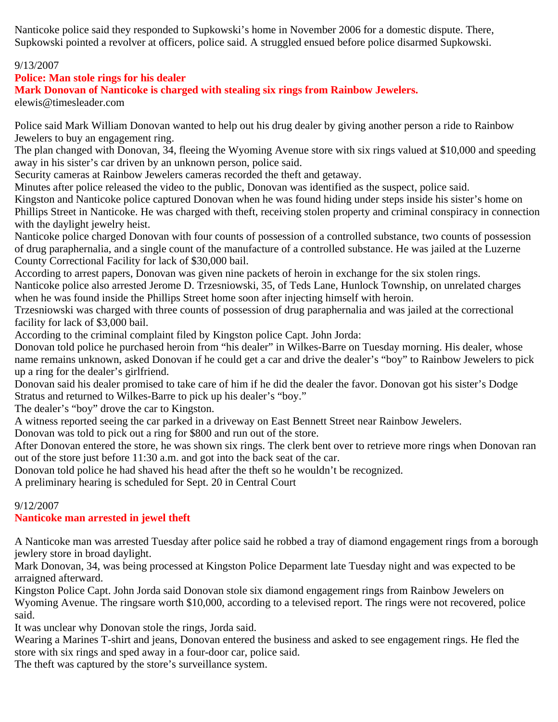Nanticoke police said they responded to Supkowski's home in November 2006 for a domestic dispute. There, Supkowski pointed a revolver at officers, police said. A struggled ensued before police disarmed Supkowski.

### 9/13/2007

### **Police: Man stole rings for his dealer**

**Mark Donovan of Nanticoke is charged with stealing six rings from Rainbow Jewelers.**

elewis@timesleader.com

Police said Mark William Donovan wanted to help out his drug dealer by giving another person a ride to Rainbow Jewelers to buy an engagement ring.

The plan changed with Donovan, 34, fleeing the Wyoming Avenue store with six rings valued at \$10,000 and speeding away in his sister's car driven by an unknown person, police said.

Security cameras at Rainbow Jewelers cameras recorded the theft and getaway.

Minutes after police released the video to the public, Donovan was identified as the suspect, police said.

Kingston and Nanticoke police captured Donovan when he was found hiding under steps inside his sister's home on Phillips Street in Nanticoke. He was charged with theft, receiving stolen property and criminal conspiracy in connection with the daylight jewelry heist.

Nanticoke police charged Donovan with four counts of possession of a controlled substance, two counts of possession of drug paraphernalia, and a single count of the manufacture of a controlled substance. He was jailed at the Luzerne County Correctional Facility for lack of \$30,000 bail.

According to arrest papers, Donovan was given nine packets of heroin in exchange for the six stolen rings.

Nanticoke police also arrested Jerome D. Trzesniowski, 35, of Teds Lane, Hunlock Township, on unrelated charges when he was found inside the Phillips Street home soon after injecting himself with heroin.

Trzesniowski was charged with three counts of possession of drug paraphernalia and was jailed at the correctional facility for lack of \$3,000 bail.

According to the criminal complaint filed by Kingston police Capt. John Jorda:

Donovan told police he purchased heroin from "his dealer" in Wilkes-Barre on Tuesday morning. His dealer, whose name remains unknown, asked Donovan if he could get a car and drive the dealer's "boy" to Rainbow Jewelers to pick up a ring for the dealer's girlfriend.

Donovan said his dealer promised to take care of him if he did the dealer the favor. Donovan got his sister's Dodge Stratus and returned to Wilkes-Barre to pick up his dealer's "boy."

The dealer's "boy" drove the car to Kingston.

A witness reported seeing the car parked in a driveway on East Bennett Street near Rainbow Jewelers.

Donovan was told to pick out a ring for \$800 and run out of the store.

After Donovan entered the store, he was shown six rings. The clerk bent over to retrieve more rings when Donovan ran out of the store just before 11:30 a.m. and got into the back seat of the car.

Donovan told police he had shaved his head after the theft so he wouldn't be recognized.

A preliminary hearing is scheduled for Sept. 20 in Central Court

## 9/12/2007

## **Nanticoke man arrested in jewel theft**

A Nanticoke man was arrested Tuesday after police said he robbed a tray of diamond engagement rings from a borough jewlery store in broad daylight.

Mark Donovan, 34, was being processed at Kingston Police Deparment late Tuesday night and was expected to be arraigned afterward.

Kingston Police Capt. John Jorda said Donovan stole six diamond engagement rings from Rainbow Jewelers on Wyoming Avenue. The ringsare worth \$10,000, according to a televised report. The rings were not recovered, police said.

It was unclear why Donovan stole the rings, Jorda said.

Wearing a Marines T-shirt and jeans, Donovan entered the business and asked to see engagement rings. He fled the store with six rings and sped away in a four-door car, police said.

The theft was captured by the store's surveillance system.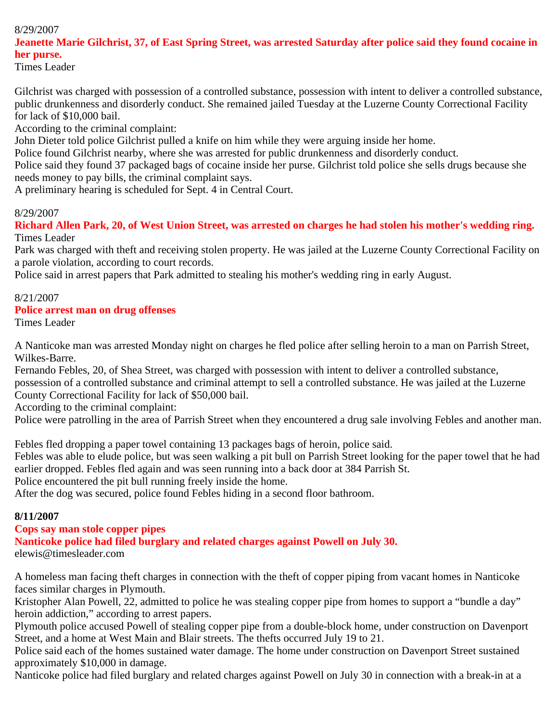## 8/29/2007

## **Jeanette Marie Gilchrist, 37, of East Spring Street, was arrested Saturday after police said they found cocaine in her purse.**

Times Leader

Gilchrist was charged with possession of a controlled substance, possession with intent to deliver a controlled substance, public drunkenness and disorderly conduct. She remained jailed Tuesday at the Luzerne County Correctional Facility for lack of \$10,000 bail.

According to the criminal complaint:

John Dieter told police Gilchrist pulled a knife on him while they were arguing inside her home.

Police found Gilchrist nearby, where she was arrested for public drunkenness and disorderly conduct.

Police said they found 37 packaged bags of cocaine inside her purse. Gilchrist told police she sells drugs because she needs money to pay bills, the criminal complaint says.

A preliminary hearing is scheduled for Sept. 4 in Central Court.

### 8/29/2007

**Richard Allen Park, 20, of West Union Street, was arrested on charges he had stolen his mother's wedding ring.** Times Leader

Park was charged with theft and receiving stolen property. He was jailed at the Luzerne County Correctional Facility on a parole violation, according to court records.

Police said in arrest papers that Park admitted to stealing his mother's wedding ring in early August.

#### 8/21/2007

#### **Police arrest man on drug offenses**

Times Leader

A Nanticoke man was arrested Monday night on charges he fled police after selling heroin to a man on Parrish Street, Wilkes-Barre.

Fernando Febles, 20, of Shea Street, was charged with possession with intent to deliver a controlled substance, possession of a controlled substance and criminal attempt to sell a controlled substance. He was jailed at the Luzerne County Correctional Facility for lack of \$50,000 bail.

According to the criminal complaint:

Police were patrolling in the area of Parrish Street when they encountered a drug sale involving Febles and another man.

Febles fled dropping a paper towel containing 13 packages bags of heroin, police said.

Febles was able to elude police, but was seen walking a pit bull on Parrish Street looking for the paper towel that he had earlier dropped. Febles fled again and was seen running into a back door at 384 Parrish St.

Police encountered the pit bull running freely inside the home.

After the dog was secured, police found Febles hiding in a second floor bathroom.

### **8/11/2007**

### **Cops say man stole copper pipes**

**Nanticoke police had filed burglary and related charges against Powell on July 30.**

elewis@timesleader.com

A homeless man facing theft charges in connection with the theft of copper piping from vacant homes in Nanticoke faces similar charges in Plymouth.

Kristopher Alan Powell, 22, admitted to police he was stealing copper pipe from homes to support a "bundle a day" heroin addiction," according to arrest papers.

Plymouth police accused Powell of stealing copper pipe from a double-block home, under construction on Davenport Street, and a home at West Main and Blair streets. The thefts occurred July 19 to 21.

Police said each of the homes sustained water damage. The home under construction on Davenport Street sustained approximately \$10,000 in damage.

Nanticoke police had filed burglary and related charges against Powell on July 30 in connection with a break-in at a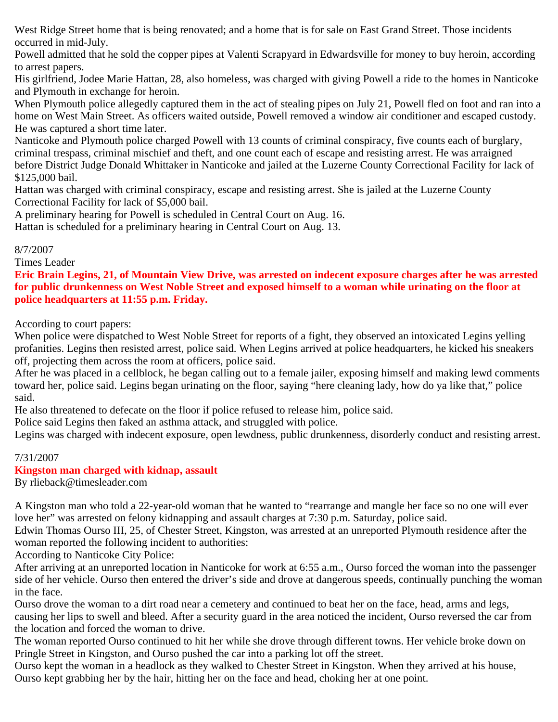West Ridge Street home that is being renovated; and a home that is for sale on East Grand Street. Those incidents occurred in mid-July.

Powell admitted that he sold the copper pipes at Valenti Scrapyard in Edwardsville for money to buy heroin, according to arrest papers.

His girlfriend, Jodee Marie Hattan, 28, also homeless, was charged with giving Powell a ride to the homes in Nanticoke and Plymouth in exchange for heroin.

When Plymouth police allegedly captured them in the act of stealing pipes on July 21, Powell fled on foot and ran into a home on West Main Street. As officers waited outside, Powell removed a window air conditioner and escaped custody. He was captured a short time later.

Nanticoke and Plymouth police charged Powell with 13 counts of criminal conspiracy, five counts each of burglary, criminal trespass, criminal mischief and theft, and one count each of escape and resisting arrest. He was arraigned before District Judge Donald Whittaker in Nanticoke and jailed at the Luzerne County Correctional Facility for lack of \$125,000 bail.

Hattan was charged with criminal conspiracy, escape and resisting arrest. She is jailed at the Luzerne County Correctional Facility for lack of \$5,000 bail.

A preliminary hearing for Powell is scheduled in Central Court on Aug. 16.

Hattan is scheduled for a preliminary hearing in Central Court on Aug. 13.

### 8/7/2007

Times Leader

**Eric Brain Legins, 21, of Mountain View Drive, was arrested on indecent exposure charges after he was arrested for public drunkenness on West Noble Street and exposed himself to a woman while urinating on the floor at police headquarters at 11:55 p.m. Friday.**

According to court papers:

When police were dispatched to West Noble Street for reports of a fight, they observed an intoxicated Legins yelling profanities. Legins then resisted arrest, police said. When Legins arrived at police headquarters, he kicked his sneakers off, projecting them across the room at officers, police said.

After he was placed in a cellblock, he began calling out to a female jailer, exposing himself and making lewd comments toward her, police said. Legins began urinating on the floor, saying "here cleaning lady, how do ya like that," police said.

He also threatened to defecate on the floor if police refused to release him, police said.

Police said Legins then faked an asthma attack, and struggled with police.

Legins was charged with indecent exposure, open lewdness, public drunkenness, disorderly conduct and resisting arrest.

## 7/31/2007

## **Kingston man charged with kidnap, assault**

By rlieback@timesleader.com

A Kingston man who told a 22-year-old woman that he wanted to "rearrange and mangle her face so no one will ever love her" was arrested on felony kidnapping and assault charges at 7:30 p.m. Saturday, police said.

Edwin Thomas Ourso III, 25, of Chester Street, Kingston, was arrested at an unreported Plymouth residence after the woman reported the following incident to authorities:

According to Nanticoke City Police:

After arriving at an unreported location in Nanticoke for work at 6:55 a.m., Ourso forced the woman into the passenger side of her vehicle. Ourso then entered the driver's side and drove at dangerous speeds, continually punching the woman in the face.

Ourso drove the woman to a dirt road near a cemetery and continued to beat her on the face, head, arms and legs, causing her lips to swell and bleed. After a security guard in the area noticed the incident, Ourso reversed the car from the location and forced the woman to drive.

The woman reported Ourso continued to hit her while she drove through different towns. Her vehicle broke down on Pringle Street in Kingston, and Ourso pushed the car into a parking lot off the street.

Ourso kept the woman in a headlock as they walked to Chester Street in Kingston. When they arrived at his house, Ourso kept grabbing her by the hair, hitting her on the face and head, choking her at one point.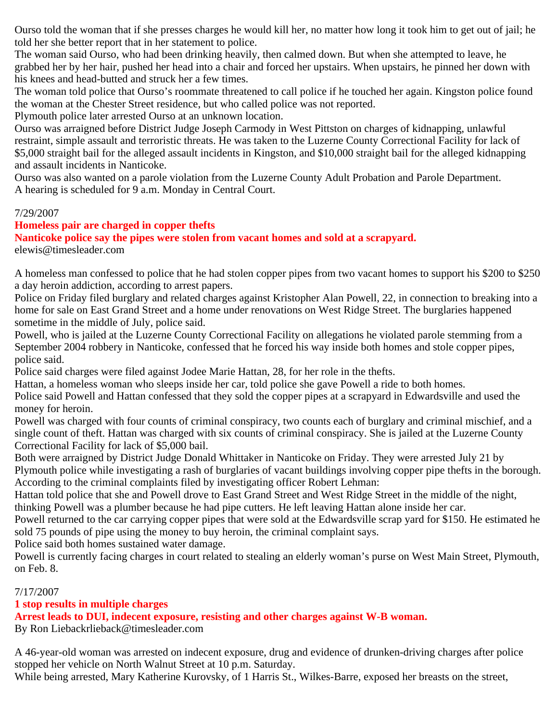Ourso told the woman that if she presses charges he would kill her, no matter how long it took him to get out of jail; he told her she better report that in her statement to police.

The woman said Ourso, who had been drinking heavily, then calmed down. But when she attempted to leave, he grabbed her by her hair, pushed her head into a chair and forced her upstairs. When upstairs, he pinned her down with his knees and head-butted and struck her a few times.

The woman told police that Ourso's roommate threatened to call police if he touched her again. Kingston police found the woman at the Chester Street residence, but who called police was not reported.

Plymouth police later arrested Ourso at an unknown location.

Ourso was arraigned before District Judge Joseph Carmody in West Pittston on charges of kidnapping, unlawful restraint, simple assault and terroristic threats. He was taken to the Luzerne County Correctional Facility for lack of \$5,000 straight bail for the alleged assault incidents in Kingston, and \$10,000 straight bail for the alleged kidnapping and assault incidents in Nanticoke.

Ourso was also wanted on a parole violation from the Luzerne County Adult Probation and Parole Department. A hearing is scheduled for 9 a.m. Monday in Central Court.

#### 7/29/2007

### **Homeless pair are charged in copper thefts**

**Nanticoke police say the pipes were stolen from vacant homes and sold at a scrapyard.** elewis@timesleader.com

A homeless man confessed to police that he had stolen copper pipes from two vacant homes to support his \$200 to \$250 a day heroin addiction, according to arrest papers.

Police on Friday filed burglary and related charges against Kristopher Alan Powell, 22, in connection to breaking into a home for sale on East Grand Street and a home under renovations on West Ridge Street. The burglaries happened sometime in the middle of July, police said.

Powell, who is jailed at the Luzerne County Correctional Facility on allegations he violated parole stemming from a September 2004 robbery in Nanticoke, confessed that he forced his way inside both homes and stole copper pipes, police said.

Police said charges were filed against Jodee Marie Hattan, 28, for her role in the thefts.

Hattan, a homeless woman who sleeps inside her car, told police she gave Powell a ride to both homes.

Police said Powell and Hattan confessed that they sold the copper pipes at a scrapyard in Edwardsville and used the money for heroin.

Powell was charged with four counts of criminal conspiracy, two counts each of burglary and criminal mischief, and a single count of theft. Hattan was charged with six counts of criminal conspiracy. She is jailed at the Luzerne County Correctional Facility for lack of \$5,000 bail.

Both were arraigned by District Judge Donald Whittaker in Nanticoke on Friday. They were arrested July 21 by Plymouth police while investigating a rash of burglaries of vacant buildings involving copper pipe thefts in the borough. According to the criminal complaints filed by investigating officer Robert Lehman:

Hattan told police that she and Powell drove to East Grand Street and West Ridge Street in the middle of the night, thinking Powell was a plumber because he had pipe cutters. He left leaving Hattan alone inside her car.

Powell returned to the car carrying copper pipes that were sold at the Edwardsville scrap yard for \$150. He estimated he sold 75 pounds of pipe using the money to buy heroin, the criminal complaint says.

Police said both homes sustained water damage.

Powell is currently facing charges in court related to stealing an elderly woman's purse on West Main Street, Plymouth, on Feb. 8.

7/17/2007

### **1 stop results in multiple charges**

**Arrest leads to DUI, indecent exposure, resisting and other charges against W-B woman.**

By Ron Liebackrlieback@timesleader.com

A 46-year-old woman was arrested on indecent exposure, drug and evidence of drunken-driving charges after police stopped her vehicle on North Walnut Street at 10 p.m. Saturday.

While being arrested, Mary Katherine Kurovsky, of 1 Harris St., Wilkes-Barre, exposed her breasts on the street,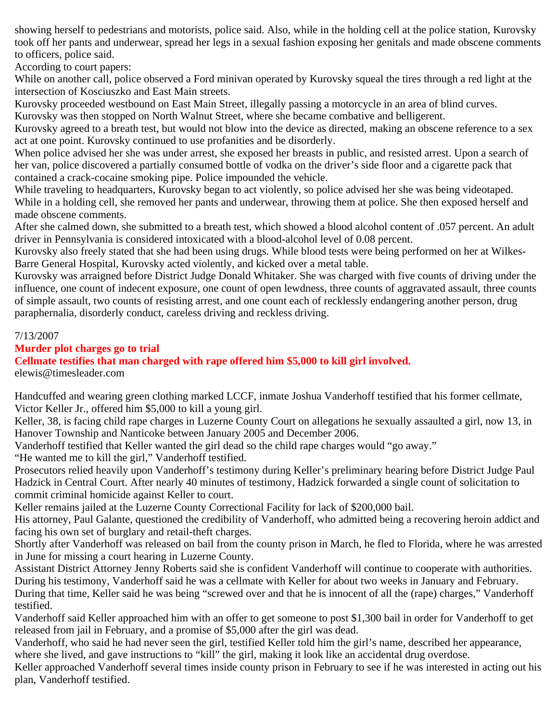showing herself to pedestrians and motorists, police said. Also, while in the holding cell at the police station, Kurovsky took off her pants and underwear, spread her legs in a sexual fashion exposing her genitals and made obscene comments to officers, police said.

According to court papers:

While on another call, police observed a Ford minivan operated by Kurovsky squeal the tires through a red light at the intersection of Kosciuszko and East Main streets.

Kurovsky proceeded westbound on East Main Street, illegally passing a motorcycle in an area of blind curves. Kurovsky was then stopped on North Walnut Street, where she became combative and belligerent.

Kurovsky agreed to a breath test, but would not blow into the device as directed, making an obscene reference to a sex act at one point. Kurovsky continued to use profanities and be disorderly.

When police advised her she was under arrest, she exposed her breasts in public, and resisted arrest. Upon a search of her van, police discovered a partially consumed bottle of vodka on the driver's side floor and a cigarette pack that contained a crack-cocaine smoking pipe. Police impounded the vehicle.

While traveling to headquarters, Kurovsky began to act violently, so police advised her she was being videotaped. While in a holding cell, she removed her pants and underwear, throwing them at police. She then exposed herself and made obscene comments.

After she calmed down, she submitted to a breath test, which showed a blood alcohol content of .057 percent. An adult driver in Pennsylvania is considered intoxicated with a blood-alcohol level of 0.08 percent.

Kurovsky also freely stated that she had been using drugs. While blood tests were being performed on her at Wilkes-Barre General Hospital, Kurovsky acted violently, and kicked over a metal table.

Kurovsky was arraigned before District Judge Donald Whitaker. She was charged with five counts of driving under the influence, one count of indecent exposure, one count of open lewdness, three counts of aggravated assault, three counts of simple assault, two counts of resisting arrest, and one count each of recklessly endangering another person, drug paraphernalia, disorderly conduct, careless driving and reckless driving.

### 7/13/2007

### **Murder plot charges go to trial**

**Cellmate testifies that man charged with rape offered him \$5,000 to kill girl involved.** elewis@timesleader.com

Handcuffed and wearing green clothing marked LCCF, inmate Joshua Vanderhoff testified that his former cellmate, Victor Keller Jr., offered him \$5,000 to kill a young girl.

Keller, 38, is facing child rape charges in Luzerne County Court on allegations he sexually assaulted a girl, now 13, in Hanover Township and Nanticoke between January 2005 and December 2006.

Vanderhoff testified that Keller wanted the girl dead so the child rape charges would "go away."

"He wanted me to kill the girl," Vanderhoff testified.

Prosecutors relied heavily upon Vanderhoff's testimony during Keller's preliminary hearing before District Judge Paul Hadzick in Central Court. After nearly 40 minutes of testimony, Hadzick forwarded a single count of solicitation to commit criminal homicide against Keller to court.

Keller remains jailed at the Luzerne County Correctional Facility for lack of \$200,000 bail.

His attorney, Paul Galante, questioned the credibility of Vanderhoff, who admitted being a recovering heroin addict and facing his own set of burglary and retail-theft charges.

Shortly after Vanderhoff was released on bail from the county prison in March, he fled to Florida, where he was arrested in June for missing a court hearing in Luzerne County.

Assistant District Attorney Jenny Roberts said she is confident Vanderhoff will continue to cooperate with authorities. During his testimony, Vanderhoff said he was a cellmate with Keller for about two weeks in January and February. During that time, Keller said he was being "screwed over and that he is innocent of all the (rape) charges," Vanderhoff testified.

Vanderhoff said Keller approached him with an offer to get someone to post \$1,300 bail in order for Vanderhoff to get released from jail in February, and a promise of \$5,000 after the girl was dead.

Vanderhoff, who said he had never seen the girl, testified Keller told him the girl's name, described her appearance, where she lived, and gave instructions to "kill" the girl, making it look like an accidental drug overdose.

Keller approached Vanderhoff several times inside county prison in February to see if he was interested in acting out his plan, Vanderhoff testified.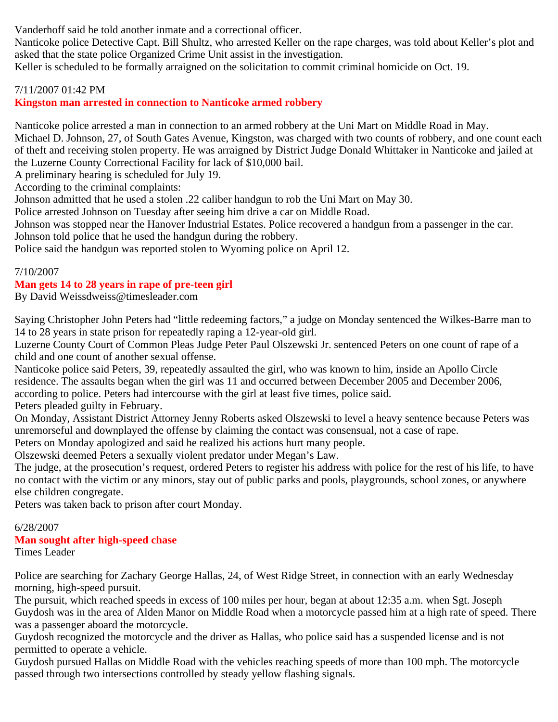Vanderhoff said he told another inmate and a correctional officer.

Nanticoke police Detective Capt. Bill Shultz, who arrested Keller on the rape charges, was told about Keller's plot and asked that the state police Organized Crime Unit assist in the investigation.

Keller is scheduled to be formally arraigned on the solicitation to commit criminal homicide on Oct. 19.

### 7/11/2007 01:42 PM

### **Kingston man arrested in connection to Nanticoke armed robbery**

Nanticoke police arrested a man in connection to an armed robbery at the Uni Mart on Middle Road in May. Michael D. Johnson, 27, of South Gates Avenue, Kingston, was charged with two counts of robbery, and one count each of theft and receiving stolen property. He was arraigned by District Judge Donald Whittaker in Nanticoke and jailed at the Luzerne County Correctional Facility for lack of \$10,000 bail.

A preliminary hearing is scheduled for July 19.

According to the criminal complaints:

Johnson admitted that he used a stolen .22 caliber handgun to rob the Uni Mart on May 30.

Police arrested Johnson on Tuesday after seeing him drive a car on Middle Road.

Johnson was stopped near the Hanover Industrial Estates. Police recovered a handgun from a passenger in the car. Johnson told police that he used the handgun during the robbery.

Police said the handgun was reported stolen to Wyoming police on April 12.

### 7/10/2007

## **Man gets 14 to 28 years in rape of pre-teen girl**

By David Weissdweiss@timesleader.com

Saying Christopher John Peters had "little redeeming factors," a judge on Monday sentenced the Wilkes-Barre man to 14 to 28 years in state prison for repeatedly raping a 12-year-old girl.

Luzerne County Court of Common Pleas Judge Peter Paul Olszewski Jr. sentenced Peters on one count of rape of a child and one count of another sexual offense.

Nanticoke police said Peters, 39, repeatedly assaulted the girl, who was known to him, inside an Apollo Circle residence. The assaults began when the girl was 11 and occurred between December 2005 and December 2006, according to police. Peters had intercourse with the girl at least five times, police said. Peters pleaded guilty in February.

On Monday, Assistant District Attorney Jenny Roberts asked Olszewski to level a heavy sentence because Peters was unremorseful and downplayed the offense by claiming the contact was consensual, not a case of rape.

Peters on Monday apologized and said he realized his actions hurt many people.

Olszewski deemed Peters a sexually violent predator under Megan's Law.

The judge, at the prosecution's request, ordered Peters to register his address with police for the rest of his life, to have no contact with the victim or any minors, stay out of public parks and pools, playgrounds, school zones, or anywhere else children congregate.

Peters was taken back to prison after court Monday.

#### 6/28/2007 **Man sought after high-speed chase** Times Leader

Police are searching for Zachary George Hallas, 24, of West Ridge Street, in connection with an early Wednesday morning, high-speed pursuit.

The pursuit, which reached speeds in excess of 100 miles per hour, began at about 12:35 a.m. when Sgt. Joseph Guydosh was in the area of Alden Manor on Middle Road when a motorcycle passed him at a high rate of speed. There was a passenger aboard the motorcycle.

Guydosh recognized the motorcycle and the driver as Hallas, who police said has a suspended license and is not permitted to operate a vehicle.

Guydosh pursued Hallas on Middle Road with the vehicles reaching speeds of more than 100 mph. The motorcycle passed through two intersections controlled by steady yellow flashing signals.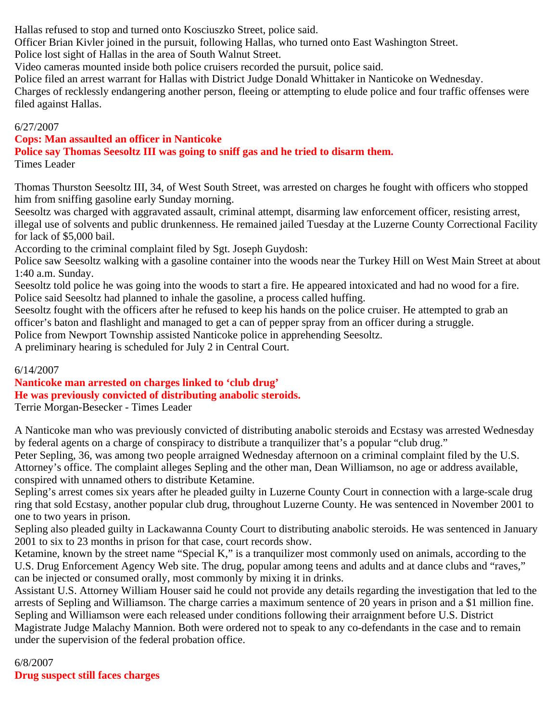Hallas refused to stop and turned onto Kosciuszko Street, police said.

Officer Brian Kivler joined in the pursuit, following Hallas, who turned onto East Washington Street.

Police lost sight of Hallas in the area of South Walnut Street.

Video cameras mounted inside both police cruisers recorded the pursuit, police said.

Police filed an arrest warrant for Hallas with District Judge Donald Whittaker in Nanticoke on Wednesday.

Charges of recklessly endangering another person, fleeing or attempting to elude police and four traffic offenses were filed against Hallas.

## 6/27/2007

## **Cops: Man assaulted an officer in Nanticoke**

**Police say Thomas Seesoltz III was going to sniff gas and he tried to disarm them.**

Times Leader

Thomas Thurston Seesoltz III, 34, of West South Street, was arrested on charges he fought with officers who stopped him from sniffing gasoline early Sunday morning.

Seesoltz was charged with aggravated assault, criminal attempt, disarming law enforcement officer, resisting arrest, illegal use of solvents and public drunkenness. He remained jailed Tuesday at the Luzerne County Correctional Facility for lack of \$5,000 bail.

According to the criminal complaint filed by Sgt. Joseph Guydosh:

Police saw Seesoltz walking with a gasoline container into the woods near the Turkey Hill on West Main Street at about 1:40 a.m. Sunday.

Seesoltz told police he was going into the woods to start a fire. He appeared intoxicated and had no wood for a fire. Police said Seesoltz had planned to inhale the gasoline, a process called huffing.

Seesoltz fought with the officers after he refused to keep his hands on the police cruiser. He attempted to grab an officer's baton and flashlight and managed to get a can of pepper spray from an officer during a struggle.

Police from Newport Township assisted Nanticoke police in apprehending Seesoltz.

A preliminary hearing is scheduled for July 2 in Central Court.

## 6/14/2007

**Nanticoke man arrested on charges linked to 'club drug' He was previously convicted of distributing anabolic steroids.**

Terrie Morgan-Besecker - Times Leader

A Nanticoke man who was previously convicted of distributing anabolic steroids and Ecstasy was arrested Wednesday by federal agents on a charge of conspiracy to distribute a tranquilizer that's a popular "club drug."

Peter Sepling, 36, was among two people arraigned Wednesday afternoon on a criminal complaint filed by the U.S. Attorney's office. The complaint alleges Sepling and the other man, Dean Williamson, no age or address available, conspired with unnamed others to distribute Ketamine.

Sepling's arrest comes six years after he pleaded guilty in Luzerne County Court in connection with a large-scale drug ring that sold Ecstasy, another popular club drug, throughout Luzerne County. He was sentenced in November 2001 to one to two years in prison.

Sepling also pleaded guilty in Lackawanna County Court to distributing anabolic steroids. He was sentenced in January 2001 to six to 23 months in prison for that case, court records show.

Ketamine, known by the street name "Special K," is a tranquilizer most commonly used on animals, according to the U.S. Drug Enforcement Agency Web site. The drug, popular among teens and adults and at dance clubs and "raves," can be injected or consumed orally, most commonly by mixing it in drinks.

Assistant U.S. Attorney William Houser said he could not provide any details regarding the investigation that led to the arrests of Sepling and Williamson. The charge carries a maximum sentence of 20 years in prison and a \$1 million fine. Sepling and Williamson were each released under conditions following their arraignment before U.S. District Magistrate Judge Malachy Mannion. Both were ordered not to speak to any co-defendants in the case and to remain under the supervision of the federal probation office.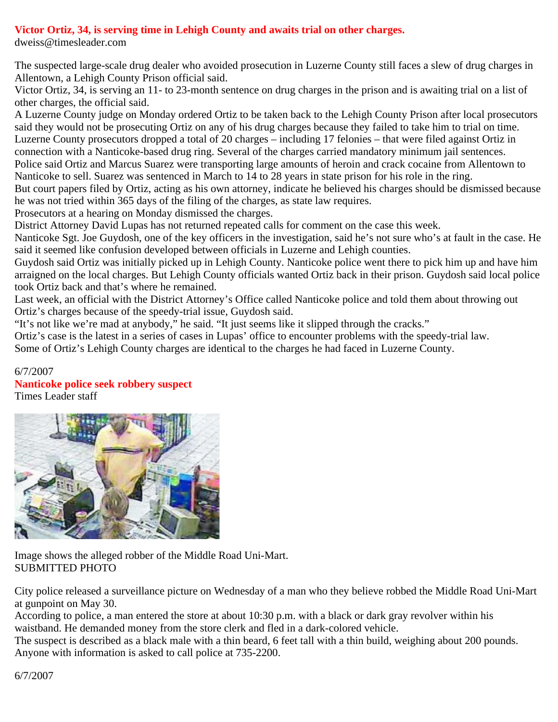## **Victor Ortiz, 34, is serving time in Lehigh County and awaits trial on other charges.**

dweiss@timesleader.com

The suspected large-scale drug dealer who avoided prosecution in Luzerne County still faces a slew of drug charges in Allentown, a Lehigh County Prison official said.

Victor Ortiz, 34, is serving an 11- to 23-month sentence on drug charges in the prison and is awaiting trial on a list of other charges, the official said.

A Luzerne County judge on Monday ordered Ortiz to be taken back to the Lehigh County Prison after local prosecutors said they would not be prosecuting Ortiz on any of his drug charges because they failed to take him to trial on time. Luzerne County prosecutors dropped a total of 20 charges – including 17 felonies – that were filed against Ortiz in connection with a Nanticoke-based drug ring. Several of the charges carried mandatory minimum jail sentences. Police said Ortiz and Marcus Suarez were transporting large amounts of heroin and crack cocaine from Allentown to Nanticoke to sell. Suarez was sentenced in March to 14 to 28 years in state prison for his role in the ring.

But court papers filed by Ortiz, acting as his own attorney, indicate he believed his charges should be dismissed because he was not tried within 365 days of the filing of the charges, as state law requires.

Prosecutors at a hearing on Monday dismissed the charges.

District Attorney David Lupas has not returned repeated calls for comment on the case this week.

Nanticoke Sgt. Joe Guydosh, one of the key officers in the investigation, said he's not sure who's at fault in the case. He said it seemed like confusion developed between officials in Luzerne and Lehigh counties.

Guydosh said Ortiz was initially picked up in Lehigh County. Nanticoke police went there to pick him up and have him arraigned on the local charges. But Lehigh County officials wanted Ortiz back in their prison. Guydosh said local police took Ortiz back and that's where he remained.

Last week, an official with the District Attorney's Office called Nanticoke police and told them about throwing out Ortiz's charges because of the speedy-trial issue, Guydosh said.

"It's not like we're mad at anybody," he said. "It just seems like it slipped through the cracks."

Ortiz's case is the latest in a series of cases in Lupas' office to encounter problems with the speedy-trial law.

Some of Ortiz's Lehigh County charges are identical to the charges he had faced in Luzerne County.

## 6/7/2007 **Nanticoke police seek robbery suspect**

Times Leader staff



Image shows the alleged robber of the Middle Road Uni-Mart. SUBMITTED PHOTO

City police released a surveillance picture on Wednesday of a man who they believe robbed the Middle Road Uni-Mart at gunpoint on May 30.

According to police, a man entered the store at about 10:30 p.m. with a black or dark gray revolver within his waistband. He demanded money from the store clerk and fled in a dark-colored vehicle.

The suspect is described as a black male with a thin beard, 6 feet tall with a thin build, weighing about 200 pounds. Anyone with information is asked to call police at 735-2200.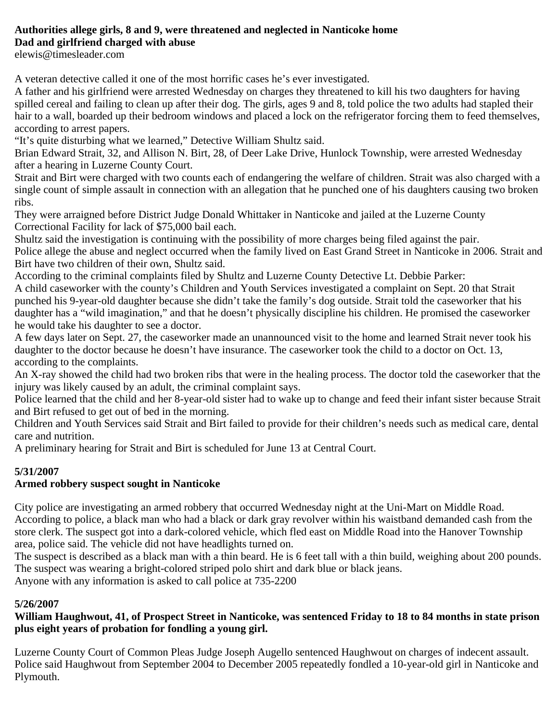#### **Authorities allege girls, 8 and 9, were threatened and neglected in Nanticoke home Dad and girlfriend charged with abuse**

elewis@timesleader.com

A veteran detective called it one of the most horrific cases he's ever investigated.

A father and his girlfriend were arrested Wednesday on charges they threatened to kill his two daughters for having spilled cereal and failing to clean up after their dog. The girls, ages 9 and 8, told police the two adults had stapled their hair to a wall, boarded up their bedroom windows and placed a lock on the refrigerator forcing them to feed themselves, according to arrest papers.

"It's quite disturbing what we learned," Detective William Shultz said.

Brian Edward Strait, 32, and Allison N. Birt, 28, of Deer Lake Drive, Hunlock Township, were arrested Wednesday after a hearing in Luzerne County Court.

Strait and Birt were charged with two counts each of endangering the welfare of children. Strait was also charged with a single count of simple assault in connection with an allegation that he punched one of his daughters causing two broken ribs.

They were arraigned before District Judge Donald Whittaker in Nanticoke and jailed at the Luzerne County Correctional Facility for lack of \$75,000 bail each.

Shultz said the investigation is continuing with the possibility of more charges being filed against the pair. Police allege the abuse and neglect occurred when the family lived on East Grand Street in Nanticoke in 2006. Strait and Birt have two children of their own, Shultz said.

According to the criminal complaints filed by Shultz and Luzerne County Detective Lt. Debbie Parker: A child caseworker with the county's Children and Youth Services investigated a complaint on Sept. 20 that Strait punched his 9-year-old daughter because she didn't take the family's dog outside. Strait told the caseworker that his daughter has a "wild imagination," and that he doesn't physically discipline his children. He promised the caseworker he would take his daughter to see a doctor.

A few days later on Sept. 27, the caseworker made an unannounced visit to the home and learned Strait never took his daughter to the doctor because he doesn't have insurance. The caseworker took the child to a doctor on Oct. 13, according to the complaints.

An X-ray showed the child had two broken ribs that were in the healing process. The doctor told the caseworker that the injury was likely caused by an adult, the criminal complaint says.

Police learned that the child and her 8-year-old sister had to wake up to change and feed their infant sister because Strait and Birt refused to get out of bed in the morning.

Children and Youth Services said Strait and Birt failed to provide for their children's needs such as medical care, dental care and nutrition.

A preliminary hearing for Strait and Birt is scheduled for June 13 at Central Court.

## **5/31/2007**

## **Armed robbery suspect sought in Nanticoke**

City police are investigating an armed robbery that occurred Wednesday night at the Uni-Mart on Middle Road. According to police, a black man who had a black or dark gray revolver within his waistband demanded cash from the store clerk. The suspect got into a dark-colored vehicle, which fled east on Middle Road into the Hanover Township area, police said. The vehicle did not have headlights turned on.

The suspect is described as a black man with a thin beard. He is 6 feet tall with a thin build, weighing about 200 pounds. The suspect was wearing a bright-colored striped polo shirt and dark blue or black jeans. Anyone with any information is asked to call police at 735-2200

## **5/26/2007**

### **William Haughwout, 41, of Prospect Street in Nanticoke, was sentenced Friday to 18 to 84 months in state prison plus eight years of probation for fondling a young girl.**

Luzerne County Court of Common Pleas Judge Joseph Augello sentenced Haughwout on charges of indecent assault. Police said Haughwout from September 2004 to December 2005 repeatedly fondled a 10-year-old girl in Nanticoke and Plymouth.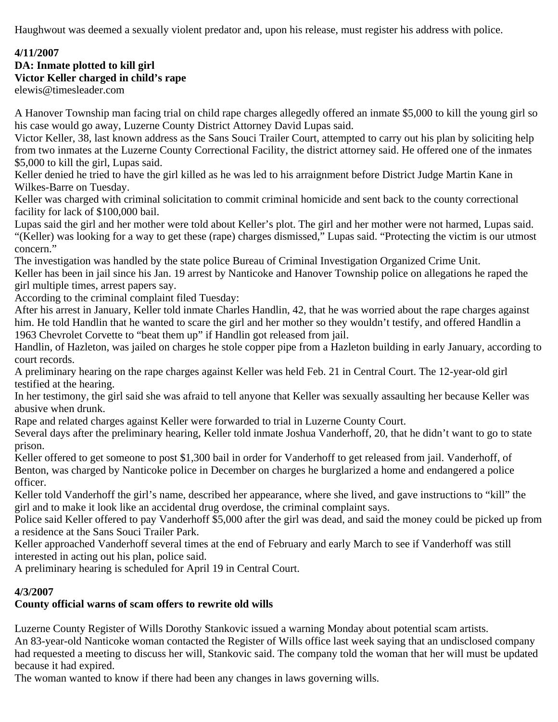Haughwout was deemed a sexually violent predator and, upon his release, must register his address with police.

## **4/11/2007**

## **DA: Inmate plotted to kill girl Victor Keller charged in child's rape**

elewis@timesleader.com

A Hanover Township man facing trial on child rape charges allegedly offered an inmate \$5,000 to kill the young girl so his case would go away, Luzerne County District Attorney David Lupas said.

Victor Keller, 38, last known address as the Sans Souci Trailer Court, attempted to carry out his plan by soliciting help from two inmates at the Luzerne County Correctional Facility, the district attorney said. He offered one of the inmates \$5,000 to kill the girl, Lupas said.

Keller denied he tried to have the girl killed as he was led to his arraignment before District Judge Martin Kane in Wilkes-Barre on Tuesday.

Keller was charged with criminal solicitation to commit criminal homicide and sent back to the county correctional facility for lack of \$100,000 bail.

Lupas said the girl and her mother were told about Keller's plot. The girl and her mother were not harmed, Lupas said. "(Keller) was looking for a way to get these (rape) charges dismissed," Lupas said. "Protecting the victim is our utmost concern."

The investigation was handled by the state police Bureau of Criminal Investigation Organized Crime Unit. Keller has been in jail since his Jan. 19 arrest by Nanticoke and Hanover Township police on allegations he raped the girl multiple times, arrest papers say.

According to the criminal complaint filed Tuesday:

After his arrest in January, Keller told inmate Charles Handlin, 42, that he was worried about the rape charges against him. He told Handlin that he wanted to scare the girl and her mother so they wouldn't testify, and offered Handlin a 1963 Chevrolet Corvette to "beat them up" if Handlin got released from jail.

Handlin, of Hazleton, was jailed on charges he stole copper pipe from a Hazleton building in early January, according to court records.

A preliminary hearing on the rape charges against Keller was held Feb. 21 in Central Court. The 12-year-old girl testified at the hearing.

In her testimony, the girl said she was afraid to tell anyone that Keller was sexually assaulting her because Keller was abusive when drunk.

Rape and related charges against Keller were forwarded to trial in Luzerne County Court.

Several days after the preliminary hearing, Keller told inmate Joshua Vanderhoff, 20, that he didn't want to go to state prison.

Keller offered to get someone to post \$1,300 bail in order for Vanderhoff to get released from jail. Vanderhoff, of Benton, was charged by Nanticoke police in December on charges he burglarized a home and endangered a police officer.

Keller told Vanderhoff the girl's name, described her appearance, where she lived, and gave instructions to "kill" the girl and to make it look like an accidental drug overdose, the criminal complaint says.

Police said Keller offered to pay Vanderhoff \$5,000 after the girl was dead, and said the money could be picked up from a residence at the Sans Souci Trailer Park.

Keller approached Vanderhoff several times at the end of February and early March to see if Vanderhoff was still interested in acting out his plan, police said.

A preliminary hearing is scheduled for April 19 in Central Court.

## **4/3/2007**

## **County official warns of scam offers to rewrite old wills**

Luzerne County Register of Wills Dorothy Stankovic issued a warning Monday about potential scam artists. An 83-year-old Nanticoke woman contacted the Register of Wills office last week saying that an undisclosed company had requested a meeting to discuss her will, Stankovic said. The company told the woman that her will must be updated because it had expired.

The woman wanted to know if there had been any changes in laws governing wills.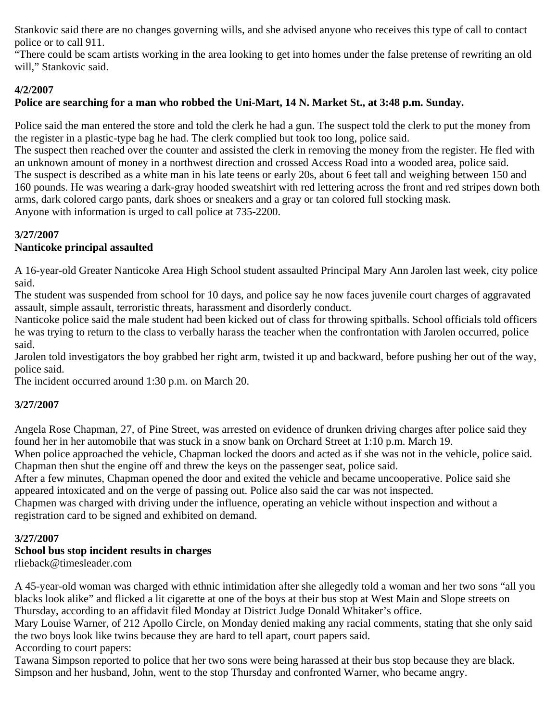Stankovic said there are no changes governing wills, and she advised anyone who receives this type of call to contact police or to call 911.

"There could be scam artists working in the area looking to get into homes under the false pretense of rewriting an old will," Stankovic said.

## **4/2/2007**

## **Police are searching for a man who robbed the Uni-Mart, 14 N. Market St., at 3:48 p.m. Sunday.**

Police said the man entered the store and told the clerk he had a gun. The suspect told the clerk to put the money from the register in a plastic-type bag he had. The clerk complied but took too long, police said.

The suspect then reached over the counter and assisted the clerk in removing the money from the register. He fled with an unknown amount of money in a northwest direction and crossed Access Road into a wooded area, police said. The suspect is described as a white man in his late teens or early 20s, about 6 feet tall and weighing between 150 and 160 pounds. He was wearing a dark-gray hooded sweatshirt with red lettering across the front and red stripes down both arms, dark colored cargo pants, dark shoes or sneakers and a gray or tan colored full stocking mask. Anyone with information is urged to call police at 735-2200.

## **3/27/2007**

## **Nanticoke principal assaulted**

A 16-year-old Greater Nanticoke Area High School student assaulted Principal Mary Ann Jarolen last week, city police said.

The student was suspended from school for 10 days, and police say he now faces juvenile court charges of aggravated assault, simple assault, terroristic threats, harassment and disorderly conduct.

Nanticoke police said the male student had been kicked out of class for throwing spitballs. School officials told officers he was trying to return to the class to verbally harass the teacher when the confrontation with Jarolen occurred, police said.

Jarolen told investigators the boy grabbed her right arm, twisted it up and backward, before pushing her out of the way, police said.

The incident occurred around 1:30 p.m. on March 20.

## **3/27/2007**

Angela Rose Chapman, 27, of Pine Street, was arrested on evidence of drunken driving charges after police said they found her in her automobile that was stuck in a snow bank on Orchard Street at 1:10 p.m. March 19.

When police approached the vehicle, Chapman locked the doors and acted as if she was not in the vehicle, police said. Chapman then shut the engine off and threw the keys on the passenger seat, police said.

After a few minutes, Chapman opened the door and exited the vehicle and became uncooperative. Police said she appeared intoxicated and on the verge of passing out. Police also said the car was not inspected.

Chapmen was charged with driving under the influence, operating an vehicle without inspection and without a registration card to be signed and exhibited on demand.

## **3/27/2007**

## **School bus stop incident results in charges**

rlieback@timesleader.com

A 45-year-old woman was charged with ethnic intimidation after she allegedly told a woman and her two sons "all you blacks look alike" and flicked a lit cigarette at one of the boys at their bus stop at West Main and Slope streets on Thursday, according to an affidavit filed Monday at District Judge Donald Whitaker's office.

Mary Louise Warner, of 212 Apollo Circle, on Monday denied making any racial comments, stating that she only said the two boys look like twins because they are hard to tell apart, court papers said. According to court papers:

Tawana Simpson reported to police that her two sons were being harassed at their bus stop because they are black. Simpson and her husband, John, went to the stop Thursday and confronted Warner, who became angry.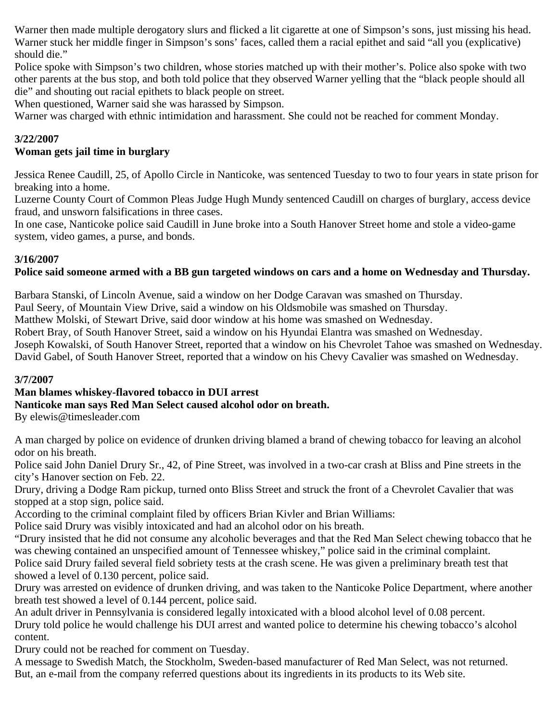Warner then made multiple derogatory slurs and flicked a lit cigarette at one of Simpson's sons, just missing his head. Warner stuck her middle finger in Simpson's sons' faces, called them a racial epithet and said "all you (explicative) should die."

Police spoke with Simpson's two children, whose stories matched up with their mother's. Police also spoke with two other parents at the bus stop, and both told police that they observed Warner yelling that the "black people should all die" and shouting out racial epithets to black people on street.

When questioned, Warner said she was harassed by Simpson.

Warner was charged with ethnic intimidation and harassment. She could not be reached for comment Monday.

## **3/22/2007**

## **Woman gets jail time in burglary**

Jessica Renee Caudill, 25, of Apollo Circle in Nanticoke, was sentenced Tuesday to two to four years in state prison for breaking into a home.

Luzerne County Court of Common Pleas Judge Hugh Mundy sentenced Caudill on charges of burglary, access device fraud, and unsworn falsifications in three cases.

In one case, Nanticoke police said Caudill in June broke into a South Hanover Street home and stole a video-game system, video games, a purse, and bonds.

## **3/16/2007**

## **Police said someone armed with a BB gun targeted windows on cars and a home on Wednesday and Thursday.**

Barbara Stanski, of Lincoln Avenue, said a window on her Dodge Caravan was smashed on Thursday.

Paul Seery, of Mountain View Drive, said a window on his Oldsmobile was smashed on Thursday.

Matthew Molski, of Stewart Drive, said door window at his home was smashed on Wednesday.

Robert Bray, of South Hanover Street, said a window on his Hyundai Elantra was smashed on Wednesday.

Joseph Kowalski, of South Hanover Street, reported that a window on his Chevrolet Tahoe was smashed on Wednesday. David Gabel, of South Hanover Street, reported that a window on his Chevy Cavalier was smashed on Wednesday.

## **3/7/2007**

## **Man blames whiskey-flavored tobacco in DUI arrest**

## **Nanticoke man says Red Man Select caused alcohol odor on breath.**

By elewis@timesleader.com

A man charged by police on evidence of drunken driving blamed a brand of chewing tobacco for leaving an alcohol odor on his breath.

Police said John Daniel Drury Sr., 42, of Pine Street, was involved in a two-car crash at Bliss and Pine streets in the city's Hanover section on Feb. 22.

Drury, driving a Dodge Ram pickup, turned onto Bliss Street and struck the front of a Chevrolet Cavalier that was stopped at a stop sign, police said.

According to the criminal complaint filed by officers Brian Kivler and Brian Williams:

Police said Drury was visibly intoxicated and had an alcohol odor on his breath.

"Drury insisted that he did not consume any alcoholic beverages and that the Red Man Select chewing tobacco that he was chewing contained an unspecified amount of Tennessee whiskey," police said in the criminal complaint.

Police said Drury failed several field sobriety tests at the crash scene. He was given a preliminary breath test that showed a level of 0.130 percent, police said.

Drury was arrested on evidence of drunken driving, and was taken to the Nanticoke Police Department, where another breath test showed a level of 0.144 percent, police said.

An adult driver in Pennsylvania is considered legally intoxicated with a blood alcohol level of 0.08 percent. Drury told police he would challenge his DUI arrest and wanted police to determine his chewing tobacco's alcohol content.

Drury could not be reached for comment on Tuesday.

A message to Swedish Match, the Stockholm, Sweden-based manufacturer of Red Man Select, was not returned. But, an e-mail from the company referred questions about its ingredients in its products to its Web site.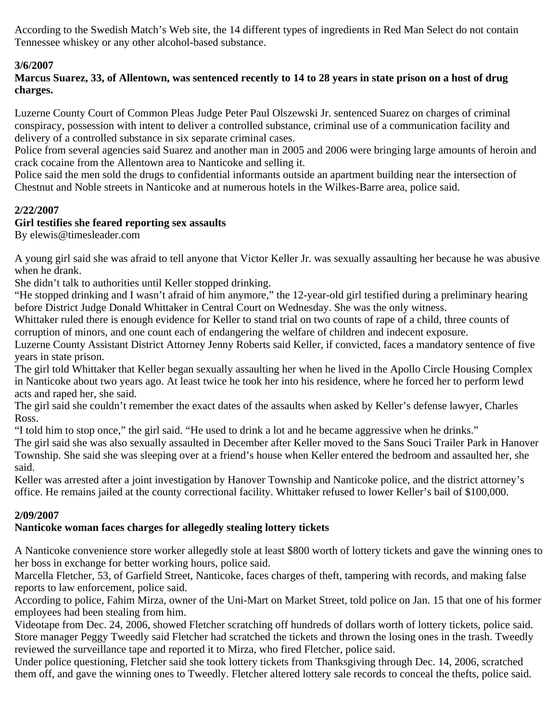According to the Swedish Match's Web site, the 14 different types of ingredients in Red Man Select do not contain Tennessee whiskey or any other alcohol-based substance.

## **3/6/2007**

**Marcus Suarez, 33, of Allentown, was sentenced recently to 14 to 28 years in state prison on a host of drug charges.**

Luzerne County Court of Common Pleas Judge Peter Paul Olszewski Jr. sentenced Suarez on charges of criminal conspiracy, possession with intent to deliver a controlled substance, criminal use of a communication facility and delivery of a controlled substance in six separate criminal cases.

Police from several agencies said Suarez and another man in 2005 and 2006 were bringing large amounts of heroin and crack cocaine from the Allentown area to Nanticoke and selling it.

Police said the men sold the drugs to confidential informants outside an apartment building near the intersection of Chestnut and Noble streets in Nanticoke and at numerous hotels in the Wilkes-Barre area, police said.

## **2/22/2007**

## **Girl testifies she feared reporting sex assaults**

By elewis@timesleader.com

A young girl said she was afraid to tell anyone that Victor Keller Jr. was sexually assaulting her because he was abusive when he drank.

She didn't talk to authorities until Keller stopped drinking.

"He stopped drinking and I wasn't afraid of him anymore," the 12-year-old girl testified during a preliminary hearing before District Judge Donald Whittaker in Central Court on Wednesday. She was the only witness.

Whittaker ruled there is enough evidence for Keller to stand trial on two counts of rape of a child, three counts of corruption of minors, and one count each of endangering the welfare of children and indecent exposure.

Luzerne County Assistant District Attorney Jenny Roberts said Keller, if convicted, faces a mandatory sentence of five years in state prison.

The girl told Whittaker that Keller began sexually assaulting her when he lived in the Apollo Circle Housing Complex in Nanticoke about two years ago. At least twice he took her into his residence, where he forced her to perform lewd acts and raped her, she said.

The girl said she couldn't remember the exact dates of the assaults when asked by Keller's defense lawyer, Charles Ross.

"I told him to stop once," the girl said. "He used to drink a lot and he became aggressive when he drinks."

The girl said she was also sexually assaulted in December after Keller moved to the Sans Souci Trailer Park in Hanover Township. She said she was sleeping over at a friend's house when Keller entered the bedroom and assaulted her, she said.

Keller was arrested after a joint investigation by Hanover Township and Nanticoke police, and the district attorney's office. He remains jailed at the county correctional facility. Whittaker refused to lower Keller's bail of \$100,000.

## **2/09/2007**

## **Nanticoke woman faces charges for allegedly stealing lottery tickets**

A Nanticoke convenience store worker allegedly stole at least \$800 worth of lottery tickets and gave the winning ones to her boss in exchange for better working hours, police said.

Marcella Fletcher, 53, of Garfield Street, Nanticoke, faces charges of theft, tampering with records, and making false reports to law enforcement, police said.

According to police, Fahim Mirza, owner of the Uni-Mart on Market Street, told police on Jan. 15 that one of his former employees had been stealing from him.

Videotape from Dec. 24, 2006, showed Fletcher scratching off hundreds of dollars worth of lottery tickets, police said. Store manager Peggy Tweedly said Fletcher had scratched the tickets and thrown the losing ones in the trash. Tweedly reviewed the surveillance tape and reported it to Mirza, who fired Fletcher, police said.

Under police questioning, Fletcher said she took lottery tickets from Thanksgiving through Dec. 14, 2006, scratched them off, and gave the winning ones to Tweedly. Fletcher altered lottery sale records to conceal the thefts, police said.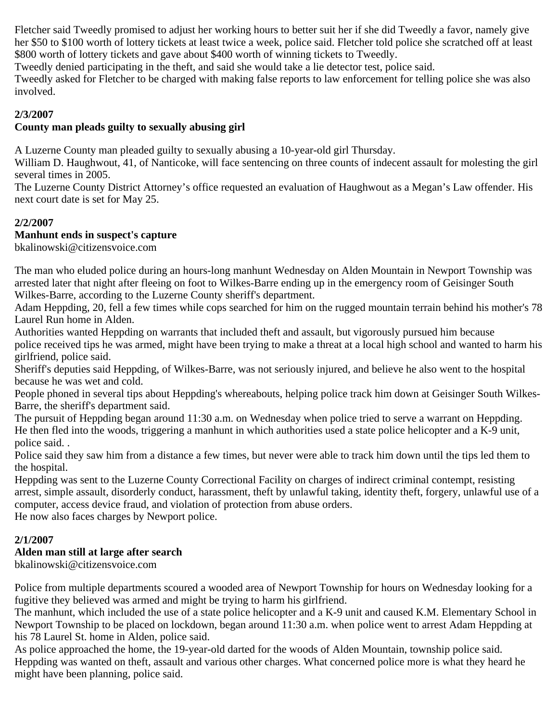Fletcher said Tweedly promised to adjust her working hours to better suit her if she did Tweedly a favor, namely give her \$50 to \$100 worth of lottery tickets at least twice a week, police said. Fletcher told police she scratched off at least \$800 worth of lottery tickets and gave about \$400 worth of winning tickets to Tweedly.

Tweedly denied participating in the theft, and said she would take a lie detector test, police said.

Tweedly asked for Fletcher to be charged with making false reports to law enforcement for telling police she was also involved.

### **2/3/2007**

## **County man pleads guilty to sexually abusing girl**

A Luzerne County man pleaded guilty to sexually abusing a 10-year-old girl Thursday.

William D. Haughwout, 41, of Nanticoke, will face sentencing on three counts of indecent assault for molesting the girl several times in 2005.

The Luzerne County District Attorney's office requested an evaluation of Haughwout as a Megan's Law offender. His next court date is set for May 25.

### **2/2/2007**

### **Manhunt ends in suspect's capture**

bkalinowski@citizensvoice.com

The man who eluded police during an hours-long manhunt Wednesday on Alden Mountain in Newport Township was arrested later that night after fleeing on foot to Wilkes-Barre ending up in the emergency room of Geisinger South Wilkes-Barre, according to the Luzerne County sheriff's department.

Adam Heppding, 20, fell a few times while cops searched for him on the rugged mountain terrain behind his mother's 78 Laurel Run home in Alden.

Authorities wanted Heppding on warrants that included theft and assault, but vigorously pursued him because police received tips he was armed, might have been trying to make a threat at a local high school and wanted to harm his girlfriend, police said.

Sheriff's deputies said Heppding, of Wilkes-Barre, was not seriously injured, and believe he also went to the hospital because he was wet and cold.

People phoned in several tips about Heppding's whereabouts, helping police track him down at Geisinger South Wilkes-Barre, the sheriff's department said.

The pursuit of Heppding began around 11:30 a.m. on Wednesday when police tried to serve a warrant on Heppding. He then fled into the woods, triggering a manhunt in which authorities used a state police helicopter and a K-9 unit, police said. .

Police said they saw him from a distance a few times, but never were able to track him down until the tips led them to the hospital.

Heppding was sent to the Luzerne County Correctional Facility on charges of indirect criminal contempt, resisting arrest, simple assault, disorderly conduct, harassment, theft by unlawful taking, identity theft, forgery, unlawful use of a computer, access device fraud, and violation of protection from abuse orders.

He now also faces charges by Newport police.

## **2/1/2007**

## **Alden man still at large after search**

bkalinowski@citizensvoice.com

Police from multiple departments scoured a wooded area of Newport Township for hours on Wednesday looking for a fugitive they believed was armed and might be trying to harm his girlfriend.

The manhunt, which included the use of a state police helicopter and a K-9 unit and caused K.M. Elementary School in Newport Township to be placed on lockdown, began around 11:30 a.m. when police went to arrest Adam Heppding at his 78 Laurel St. home in Alden, police said.

As police approached the home, the 19-year-old darted for the woods of Alden Mountain, township police said. Heppding was wanted on theft, assault and various other charges. What concerned police more is what they heard he might have been planning, police said.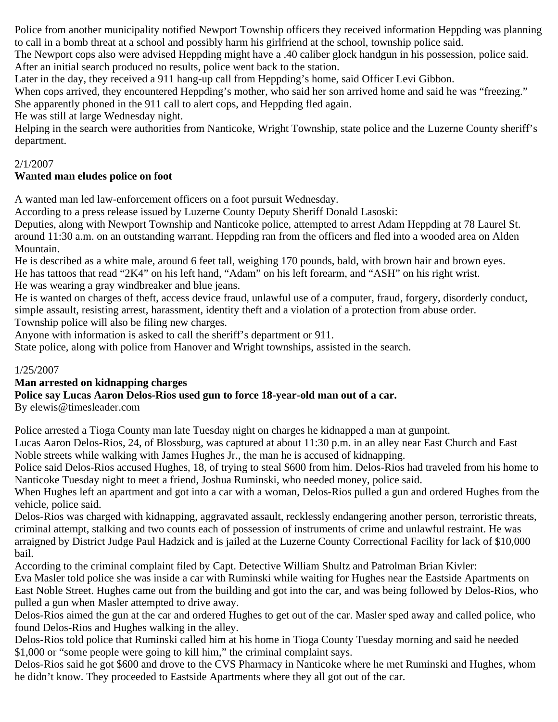Police from another municipality notified Newport Township officers they received information Heppding was planning to call in a bomb threat at a school and possibly harm his girlfriend at the school, township police said.

The Newport cops also were advised Heppding might have a .40 caliber glock handgun in his possession, police said. After an initial search produced no results, police went back to the station.

Later in the day, they received a 911 hang-up call from Heppding's home, said Officer Levi Gibbon.

When cops arrived, they encountered Heppding's mother, who said her son arrived home and said he was "freezing." She apparently phoned in the 911 call to alert cops, and Heppding fled again.

He was still at large Wednesday night.

Helping in the search were authorities from Nanticoke, Wright Township, state police and the Luzerne County sheriff's department.

## 2/1/2007

## **Wanted man eludes police on foot**

A wanted man led law-enforcement officers on a foot pursuit Wednesday.

According to a press release issued by Luzerne County Deputy Sheriff Donald Lasoski:

Deputies, along with Newport Township and Nanticoke police, attempted to arrest Adam Heppding at 78 Laurel St. around 11:30 a.m. on an outstanding warrant. Heppding ran from the officers and fled into a wooded area on Alden Mountain.

He is described as a white male, around 6 feet tall, weighing 170 pounds, bald, with brown hair and brown eyes. He has tattoos that read "2K4" on his left hand, "Adam" on his left forearm, and "ASH" on his right wrist. He was wearing a gray windbreaker and blue jeans.

He is wanted on charges of theft, access device fraud, unlawful use of a computer, fraud, forgery, disorderly conduct, simple assault, resisting arrest, harassment, identity theft and a violation of a protection from abuse order.

Township police will also be filing new charges.

Anyone with information is asked to call the sheriff's department or 911.

State police, along with police from Hanover and Wright townships, assisted in the search.

### 1/25/2007

## **Man arrested on kidnapping charges**

## **Police say Lucas Aaron Delos-Rios used gun to force 18-year-old man out of a car.**

By elewis@timesleader.com

Police arrested a Tioga County man late Tuesday night on charges he kidnapped a man at gunpoint.

Lucas Aaron Delos-Rios, 24, of Blossburg, was captured at about 11:30 p.m. in an alley near East Church and East Noble streets while walking with James Hughes Jr., the man he is accused of kidnapping.

Police said Delos-Rios accused Hughes, 18, of trying to steal \$600 from him. Delos-Rios had traveled from his home to Nanticoke Tuesday night to meet a friend, Joshua Ruminski, who needed money, police said.

When Hughes left an apartment and got into a car with a woman, Delos-Rios pulled a gun and ordered Hughes from the vehicle, police said.

Delos-Rios was charged with kidnapping, aggravated assault, recklessly endangering another person, terroristic threats, criminal attempt, stalking and two counts each of possession of instruments of crime and unlawful restraint. He was arraigned by District Judge Paul Hadzick and is jailed at the Luzerne County Correctional Facility for lack of \$10,000 bail.

According to the criminal complaint filed by Capt. Detective William Shultz and Patrolman Brian Kivler:

Eva Masler told police she was inside a car with Ruminski while waiting for Hughes near the Eastside Apartments on East Noble Street. Hughes came out from the building and got into the car, and was being followed by Delos-Rios, who pulled a gun when Masler attempted to drive away.

Delos-Rios aimed the gun at the car and ordered Hughes to get out of the car. Masler sped away and called police, who found Delos-Rios and Hughes walking in the alley.

Delos-Rios told police that Ruminski called him at his home in Tioga County Tuesday morning and said he needed \$1,000 or "some people were going to kill him," the criminal complaint says.

Delos-Rios said he got \$600 and drove to the CVS Pharmacy in Nanticoke where he met Ruminski and Hughes, whom he didn't know. They proceeded to Eastside Apartments where they all got out of the car.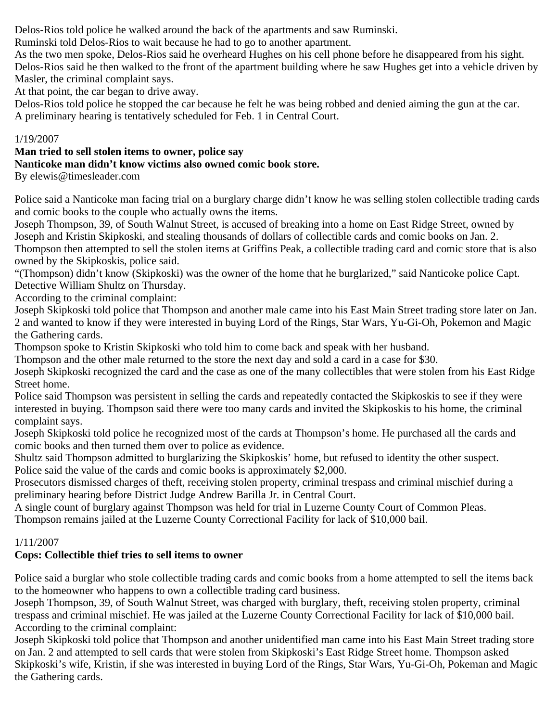Delos-Rios told police he walked around the back of the apartments and saw Ruminski.

Ruminski told Delos-Rios to wait because he had to go to another apartment.

As the two men spoke, Delos-Rios said he overheard Hughes on his cell phone before he disappeared from his sight. Delos-Rios said he then walked to the front of the apartment building where he saw Hughes get into a vehicle driven by Masler, the criminal complaint says.

At that point, the car began to drive away.

Delos-Rios told police he stopped the car because he felt he was being robbed and denied aiming the gun at the car. A preliminary hearing is tentatively scheduled for Feb. 1 in Central Court.

## 1/19/2007

#### **Man tried to sell stolen items to owner, police say Nanticoke man didn't know victims also owned comic book store.**

By elewis@timesleader.com

Police said a Nanticoke man facing trial on a burglary charge didn't know he was selling stolen collectible trading cards and comic books to the couple who actually owns the items.

Joseph Thompson, 39, of South Walnut Street, is accused of breaking into a home on East Ridge Street, owned by Joseph and Kristin Skipkoski, and stealing thousands of dollars of collectible cards and comic books on Jan. 2. Thompson then attempted to sell the stolen items at Griffins Peak, a collectible trading card and comic store that is also owned by the Skipkoskis, police said.

"(Thompson) didn't know (Skipkoski) was the owner of the home that he burglarized," said Nanticoke police Capt. Detective William Shultz on Thursday.

According to the criminal complaint:

Joseph Skipkoski told police that Thompson and another male came into his East Main Street trading store later on Jan. 2 and wanted to know if they were interested in buying Lord of the Rings, Star Wars, Yu-Gi-Oh, Pokemon and Magic the Gathering cards.

Thompson spoke to Kristin Skipkoski who told him to come back and speak with her husband.

Thompson and the other male returned to the store the next day and sold a card in a case for \$30.

Joseph Skipkoski recognized the card and the case as one of the many collectibles that were stolen from his East Ridge Street home.

Police said Thompson was persistent in selling the cards and repeatedly contacted the Skipkoskis to see if they were interested in buying. Thompson said there were too many cards and invited the Skipkoskis to his home, the criminal complaint says.

Joseph Skipkoski told police he recognized most of the cards at Thompson's home. He purchased all the cards and comic books and then turned them over to police as evidence.

Shultz said Thompson admitted to burglarizing the Skipkoskis' home, but refused to identity the other suspect. Police said the value of the cards and comic books is approximately \$2,000.

Prosecutors dismissed charges of theft, receiving stolen property, criminal trespass and criminal mischief during a preliminary hearing before District Judge Andrew Barilla Jr. in Central Court.

A single count of burglary against Thompson was held for trial in Luzerne County Court of Common Pleas.

Thompson remains jailed at the Luzerne County Correctional Facility for lack of \$10,000 bail.

## 1/11/2007

## **Cops: Collectible thief tries to sell items to owner**

Police said a burglar who stole collectible trading cards and comic books from a home attempted to sell the items back to the homeowner who happens to own a collectible trading card business.

Joseph Thompson, 39, of South Walnut Street, was charged with burglary, theft, receiving stolen property, criminal trespass and criminal mischief. He was jailed at the Luzerne County Correctional Facility for lack of \$10,000 bail. According to the criminal complaint:

Joseph Skipkoski told police that Thompson and another unidentified man came into his East Main Street trading store on Jan. 2 and attempted to sell cards that were stolen from Skipkoski's East Ridge Street home. Thompson asked Skipkoski's wife, Kristin, if she was interested in buying Lord of the Rings, Star Wars, Yu-Gi-Oh, Pokeman and Magic the Gathering cards.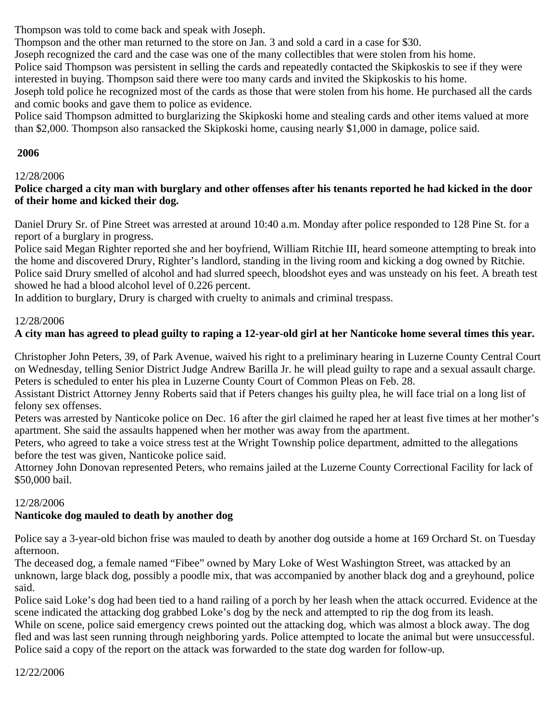Thompson was told to come back and speak with Joseph.

Thompson and the other man returned to the store on Jan. 3 and sold a card in a case for \$30.

Joseph recognized the card and the case was one of the many collectibles that were stolen from his home.

Police said Thompson was persistent in selling the cards and repeatedly contacted the Skipkoskis to see if they were interested in buying. Thompson said there were too many cards and invited the Skipkoskis to his home.

Joseph told police he recognized most of the cards as those that were stolen from his home. He purchased all the cards and comic books and gave them to police as evidence.

Police said Thompson admitted to burglarizing the Skipkoski home and stealing cards and other items valued at more than \$2,000. Thompson also ransacked the Skipkoski home, causing nearly \$1,000 in damage, police said.

## **2006**

## 12/28/2006

### **Police charged a city man with burglary and other offenses after his tenants reported he had kicked in the door of their home and kicked their dog.**

Daniel Drury Sr. of Pine Street was arrested at around 10:40 a.m. Monday after police responded to 128 Pine St. for a report of a burglary in progress.

Police said Megan Righter reported she and her boyfriend, William Ritchie III, heard someone attempting to break into the home and discovered Drury, Righter's landlord, standing in the living room and kicking a dog owned by Ritchie. Police said Drury smelled of alcohol and had slurred speech, bloodshot eyes and was unsteady on his feet. A breath test showed he had a blood alcohol level of 0.226 percent.

In addition to burglary, Drury is charged with cruelty to animals and criminal trespass.

### 12/28/2006

## **A city man has agreed to plead guilty to raping a 12-year-old girl at her Nanticoke home several times this year.**

Christopher John Peters, 39, of Park Avenue, waived his right to a preliminary hearing in Luzerne County Central Court on Wednesday, telling Senior District Judge Andrew Barilla Jr. he will plead guilty to rape and a sexual assault charge. Peters is scheduled to enter his plea in Luzerne County Court of Common Pleas on Feb. 28.

Assistant District Attorney Jenny Roberts said that if Peters changes his guilty plea, he will face trial on a long list of felony sex offenses.

Peters was arrested by Nanticoke police on Dec. 16 after the girl claimed he raped her at least five times at her mother's apartment. She said the assaults happened when her mother was away from the apartment.

Peters, who agreed to take a voice stress test at the Wright Township police department, admitted to the allegations before the test was given, Nanticoke police said.

Attorney John Donovan represented Peters, who remains jailed at the Luzerne County Correctional Facility for lack of \$50,000 bail.

## 12/28/2006

## **Nanticoke dog mauled to death by another dog**

Police say a 3-year-old bichon frise was mauled to death by another dog outside a home at 169 Orchard St. on Tuesday afternoon.

The deceased dog, a female named "Fibee" owned by Mary Loke of West Washington Street, was attacked by an unknown, large black dog, possibly a poodle mix, that was accompanied by another black dog and a greyhound, police said.

Police said Loke's dog had been tied to a hand railing of a porch by her leash when the attack occurred. Evidence at the scene indicated the attacking dog grabbed Loke's dog by the neck and attempted to rip the dog from its leash.

While on scene, police said emergency crews pointed out the attacking dog, which was almost a block away. The dog fled and was last seen running through neighboring yards. Police attempted to locate the animal but were unsuccessful. Police said a copy of the report on the attack was forwarded to the state dog warden for follow-up.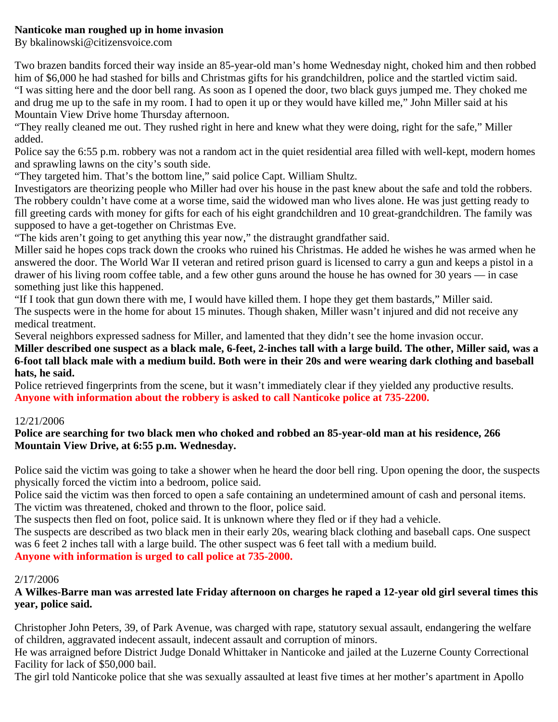### **Nanticoke man roughed up in home invasion**

By bkalinowski@citizensvoice.com

Two brazen bandits forced their way inside an 85-year-old man's home Wednesday night, choked him and then robbed him of \$6,000 he had stashed for bills and Christmas gifts for his grandchildren, police and the startled victim said. "I was sitting here and the door bell rang. As soon as I opened the door, two black guys jumped me. They choked me and drug me up to the safe in my room. I had to open it up or they would have killed me," John Miller said at his Mountain View Drive home Thursday afternoon.

"They really cleaned me out. They rushed right in here and knew what they were doing, right for the safe," Miller added.

Police say the 6:55 p.m. robbery was not a random act in the quiet residential area filled with well-kept, modern homes and sprawling lawns on the city's south side.

"They targeted him. That's the bottom line," said police Capt. William Shultz.

Investigators are theorizing people who Miller had over his house in the past knew about the safe and told the robbers. The robbery couldn't have come at a worse time, said the widowed man who lives alone. He was just getting ready to fill greeting cards with money for gifts for each of his eight grandchildren and 10 great-grandchildren. The family was supposed to have a get-together on Christmas Eve.

"The kids aren't going to get anything this year now," the distraught grandfather said.

Miller said he hopes cops track down the crooks who ruined his Christmas. He added he wishes he was armed when he answered the door. The World War II veteran and retired prison guard is licensed to carry a gun and keeps a pistol in a drawer of his living room coffee table, and a few other guns around the house he has owned for 30 years — in case something just like this happened.

"If I took that gun down there with me, I would have killed them. I hope they get them bastards," Miller said. The suspects were in the home for about 15 minutes. Though shaken, Miller wasn't injured and did not receive any medical treatment.

Several neighbors expressed sadness for Miller, and lamented that they didn't see the home invasion occur.

**Miller described one suspect as a black male, 6-feet, 2-inches tall with a large build. The other, Miller said, was a 6-foot tall black male with a medium build. Both were in their 20s and were wearing dark clothing and baseball hats, he said.**

Police retrieved fingerprints from the scene, but it wasn't immediately clear if they yielded any productive results. **Anyone with information about the robbery is asked to call Nanticoke police at 735-2200.**

### 12/21/2006

### **Police are searching for two black men who choked and robbed an 85-year-old man at his residence, 266 Mountain View Drive, at 6:55 p.m. Wednesday.**

Police said the victim was going to take a shower when he heard the door bell ring. Upon opening the door, the suspects physically forced the victim into a bedroom, police said.

Police said the victim was then forced to open a safe containing an undetermined amount of cash and personal items. The victim was threatened, choked and thrown to the floor, police said.

The suspects then fled on foot, police said. It is unknown where they fled or if they had a vehicle.

The suspects are described as two black men in their early 20s, wearing black clothing and baseball caps. One suspect was 6 feet 2 inches tall with a large build. The other suspect was 6 feet tall with a medium build.

**Anyone with information is urged to call police at 735-2000.**

### 2/17/2006

**A Wilkes-Barre man was arrested late Friday afternoon on charges he raped a 12-year old girl several times this year, police said.**

Christopher John Peters, 39, of Park Avenue, was charged with rape, statutory sexual assault, endangering the welfare of children, aggravated indecent assault, indecent assault and corruption of minors.

He was arraigned before District Judge Donald Whittaker in Nanticoke and jailed at the Luzerne County Correctional Facility for lack of \$50,000 bail.

The girl told Nanticoke police that she was sexually assaulted at least five times at her mother's apartment in Apollo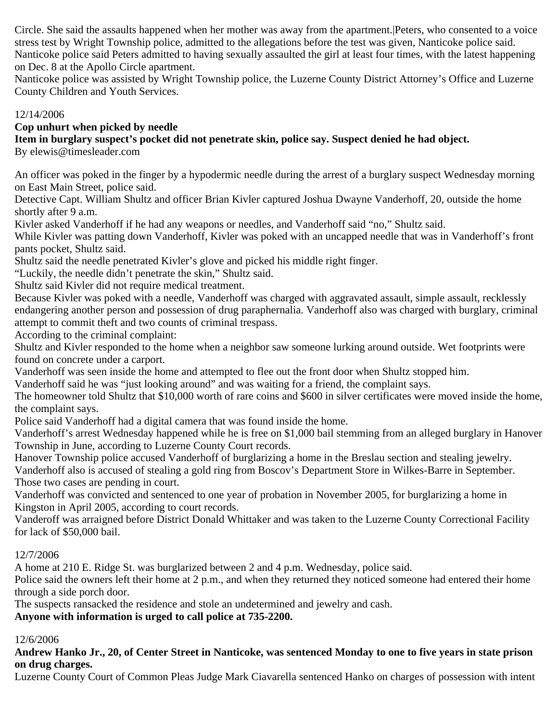Circle. She said the assaults happened when her mother was away from the apartment.|Peters, who consented to a voice stress test by Wright Township police, admitted to the allegations before the test was given, Nanticoke police said. Nanticoke police said Peters admitted to having sexually assaulted the girl at least four times, with the latest happening on Dec. 8 at the Apollo Circle apartment.

Nanticoke police was assisted by Wright Township police, the Luzerne County District Attorney's Office and Luzerne County Children and Youth Services.

### 12/14/2006

### **Cop unhurt when picked by needle**

**Item in burglary suspect's pocket did not penetrate skin, police say. Suspect denied he had object.**

By elewis@timesleader.com

An officer was poked in the finger by a hypodermic needle during the arrest of a burglary suspect Wednesday morning on East Main Street, police said.

Detective Capt. William Shultz and officer Brian Kivler captured Joshua Dwayne Vanderhoff, 20, outside the home shortly after 9 a.m.

Kivler asked Vanderhoff if he had any weapons or needles, and Vanderhoff said "no," Shultz said.

While Kivler was patting down Vanderhoff, Kivler was poked with an uncapped needle that was in Vanderhoff's front pants pocket, Shultz said.

Shultz said the needle penetrated Kivler's glove and picked his middle right finger.

"Luckily, the needle didn't penetrate the skin," Shultz said.

Shultz said Kivler did not require medical treatment.

Because Kivler was poked with a needle, Vanderhoff was charged with aggravated assault, simple assault, recklessly endangering another person and possession of drug paraphernalia. Vanderhoff also was charged with burglary, criminal attempt to commit theft and two counts of criminal trespass.

According to the criminal complaint:

Shultz and Kivler responded to the home when a neighbor saw someone lurking around outside. Wet footprints were found on concrete under a carport.

Vanderhoff was seen inside the home and attempted to flee out the front door when Shultz stopped him.

Vanderhoff said he was "just looking around" and was waiting for a friend, the complaint says.

The homeowner told Shultz that \$10,000 worth of rare coins and \$600 in silver certificates were moved inside the home, the complaint says.

Police said Vanderhoff had a digital camera that was found inside the home.

Vanderhoff's arrest Wednesday happened while he is free on \$1,000 bail stemming from an alleged burglary in Hanover Township in June, according to Luzerne County Court records.

Hanover Township police accused Vanderhoff of burglarizing a home in the Breslau section and stealing jewelry. Vanderhoff also is accused of stealing a gold ring from Boscov's Department Store in Wilkes-Barre in September. Those two cases are pending in court.

Vanderhoff was convicted and sentenced to one year of probation in November 2005, for burglarizing a home in Kingston in April 2005, according to court records.

Vanderoff was arraigned before District Donald Whittaker and was taken to the Luzerne County Correctional Facility for lack of \$50,000 bail.

## 12/7/2006

A home at 210 E. Ridge St. was burglarized between 2 and 4 p.m. Wednesday, police said.

Police said the owners left their home at 2 p.m., and when they returned they noticed someone had entered their home through a side porch door.

The suspects ransacked the residence and stole an undetermined and jewelry and cash.

**Anyone with information is urged to call police at 735-2200.**

### 12/6/2006

### **Andrew Hanko Jr., 20, of Center Street in Nanticoke, was sentenced Monday to one to five years in state prison on drug charges.**

Luzerne County Court of Common Pleas Judge Mark Ciavarella sentenced Hanko on charges of possession with intent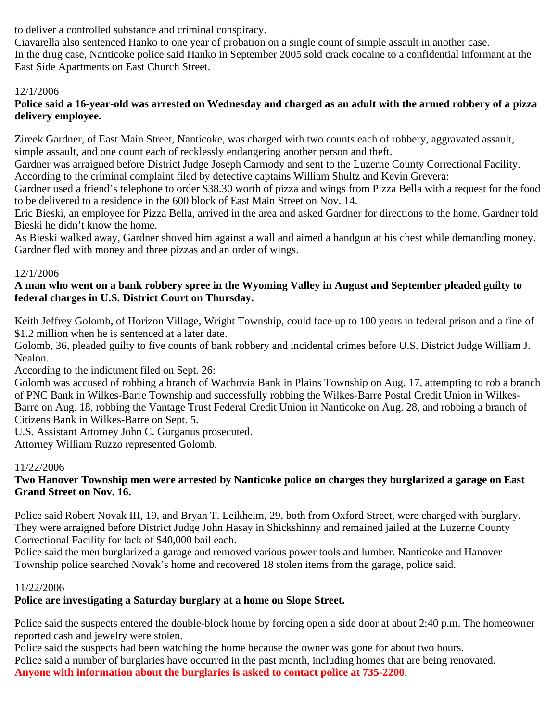to deliver a controlled substance and criminal conspiracy.

Ciavarella also sentenced Hanko to one year of probation on a single count of simple assault in another case. In the drug case, Nanticoke police said Hanko in September 2005 sold crack cocaine to a confidential informant at the East Side Apartments on East Church Street.

## 12/1/2006

### **Police said a 16-year-old was arrested on Wednesday and charged as an adult with the armed robbery of a pizza delivery employee.**

Zireek Gardner, of East Main Street, Nanticoke, was charged with two counts each of robbery, aggravated assault, simple assault, and one count each of recklessly endangering another person and theft.

Gardner was arraigned before District Judge Joseph Carmody and sent to the Luzerne County Correctional Facility. According to the criminal complaint filed by detective captains William Shultz and Kevin Grevera:

Gardner used a friend's telephone to order \$38.30 worth of pizza and wings from Pizza Bella with a request for the food to be delivered to a residence in the 600 block of East Main Street on Nov. 14.

Eric Bieski, an employee for Pizza Bella, arrived in the area and asked Gardner for directions to the home. Gardner told Bieski he didn't know the home.

As Bieski walked away, Gardner shoved him against a wall and aimed a handgun at his chest while demanding money. Gardner fled with money and three pizzas and an order of wings.

## 12/1/2006

### **A man who went on a bank robbery spree in the Wyoming Valley in August and September pleaded guilty to federal charges in U.S. District Court on Thursday.**

Keith Jeffrey Golomb, of Horizon Village, Wright Township, could face up to 100 years in federal prison and a fine of \$1.2 million when he is sentenced at a later date.

Golomb, 36, pleaded guilty to five counts of bank robbery and incidental crimes before U.S. District Judge William J. Nealon.

According to the indictment filed on Sept. 26:

Golomb was accused of robbing a branch of Wachovia Bank in Plains Township on Aug. 17, attempting to rob a branch of PNC Bank in Wilkes-Barre Township and successfully robbing the Wilkes-Barre Postal Credit Union in Wilkes-Barre on Aug. 18, robbing the Vantage Trust Federal Credit Union in Nanticoke on Aug. 28, and robbing a branch of Citizens Bank in Wilkes-Barre on Sept. 5.

U.S. Assistant Attorney John C. Gurganus prosecuted.

Attorney William Ruzzo represented Golomb.

## 11/22/2006

### **Two Hanover Township men were arrested by Nanticoke police on charges they burglarized a garage on East Grand Street on Nov. 16.**

Police said Robert Novak III, 19, and Bryan T. Leikheim, 29, both from Oxford Street, were charged with burglary. They were arraigned before District Judge John Hasay in Shickshinny and remained jailed at the Luzerne County Correctional Facility for lack of \$40,000 bail each.

Police said the men burglarized a garage and removed various power tools and lumber. Nanticoke and Hanover Township police searched Novak's home and recovered 18 stolen items from the garage, police said.

## 11/22/2006

## **Police are investigating a Saturday burglary at a home on Slope Street.**

Police said the suspects entered the double-block home by forcing open a side door at about 2:40 p.m. The homeowner reported cash and jewelry were stolen.

Police said the suspects had been watching the home because the owner was gone for about two hours. Police said a number of burglaries have occurred in the past month, including homes that are being renovated. **Anyone with information about the burglaries is asked to contact police at 735-2200**.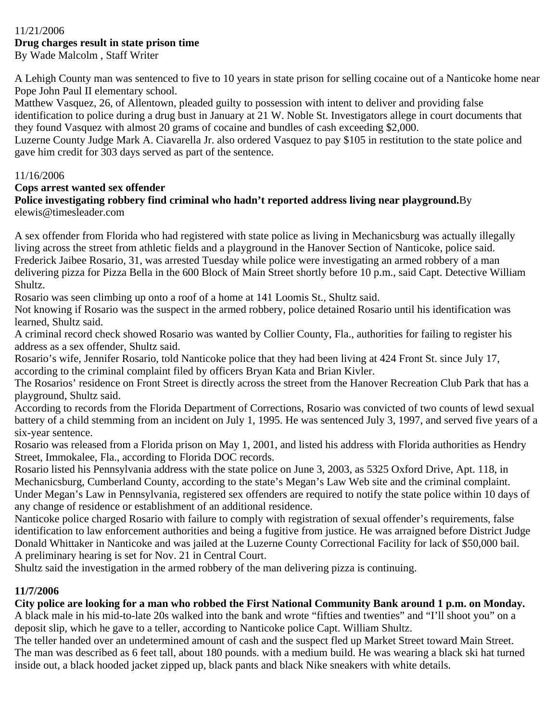#### 11/21/2006 **Drug charges result in state prison time** By Wade Malcolm , Staff Writer

A Lehigh County man was sentenced to five to 10 years in state prison for selling cocaine out of a Nanticoke home near Pope John Paul II elementary school.

Matthew Vasquez, 26, of Allentown, pleaded guilty to possession with intent to deliver and providing false identification to police during a drug bust in January at 21 W. Noble St. Investigators allege in court documents that they found Vasquez with almost 20 grams of cocaine and bundles of cash exceeding \$2,000.

Luzerne County Judge Mark A. Ciavarella Jr. also ordered Vasquez to pay \$105 in restitution to the state police and gave him credit for 303 days served as part of the sentence.

### 11/16/2006

### **Cops arrest wanted sex offender**

**Police investigating robbery find criminal who hadn't reported address living near playground.**By elewis@timesleader.com

A sex offender from Florida who had registered with state police as living in Mechanicsburg was actually illegally living across the street from athletic fields and a playground in the Hanover Section of Nanticoke, police said. Frederick Jaibee Rosario, 31, was arrested Tuesday while police were investigating an armed robbery of a man delivering pizza for Pizza Bella in the 600 Block of Main Street shortly before 10 p.m., said Capt. Detective William Shultz.

Rosario was seen climbing up onto a roof of a home at 141 Loomis St., Shultz said.

Not knowing if Rosario was the suspect in the armed robbery, police detained Rosario until his identification was learned, Shultz said.

A criminal record check showed Rosario was wanted by Collier County, Fla., authorities for failing to register his address as a sex offender, Shultz said.

Rosario's wife, Jennifer Rosario, told Nanticoke police that they had been living at 424 Front St. since July 17, according to the criminal complaint filed by officers Bryan Kata and Brian Kivler.

The Rosarios' residence on Front Street is directly across the street from the Hanover Recreation Club Park that has a playground, Shultz said.

According to records from the Florida Department of Corrections, Rosario was convicted of two counts of lewd sexual battery of a child stemming from an incident on July 1, 1995. He was sentenced July 3, 1997, and served five years of a six-year sentence.

Rosario was released from a Florida prison on May 1, 2001, and listed his address with Florida authorities as Hendry Street, Immokalee, Fla., according to Florida DOC records.

Rosario listed his Pennsylvania address with the state police on June 3, 2003, as 5325 Oxford Drive, Apt. 118, in Mechanicsburg, Cumberland County, according to the state's Megan's Law Web site and the criminal complaint. Under Megan's Law in Pennsylvania, registered sex offenders are required to notify the state police within 10 days of any change of residence or establishment of an additional residence.

Nanticoke police charged Rosario with failure to comply with registration of sexual offender's requirements, false identification to law enforcement authorities and being a fugitive from justice. He was arraigned before District Judge Donald Whittaker in Nanticoke and was jailed at the Luzerne County Correctional Facility for lack of \$50,000 bail. A preliminary hearing is set for Nov. 21 in Central Court.

Shultz said the investigation in the armed robbery of the man delivering pizza is continuing.

## **11/7/2006**

**City police are looking for a man who robbed the First National Community Bank around 1 p.m. on Monday.**

A black male in his mid-to-late 20s walked into the bank and wrote "fifties and twenties" and "I'll shoot you" on a deposit slip, which he gave to a teller, according to Nanticoke police Capt. William Shultz.

The teller handed over an undetermined amount of cash and the suspect fled up Market Street toward Main Street. The man was described as 6 feet tall, about 180 pounds. with a medium build. He was wearing a black ski hat turned inside out, a black hooded jacket zipped up, black pants and black Nike sneakers with white details.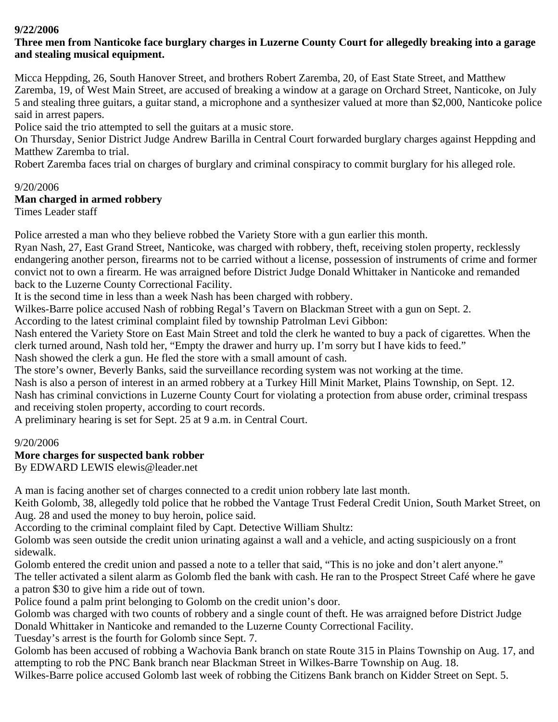### **9/22/2006**

## **Three men from Nanticoke face burglary charges in Luzerne County Court for allegedly breaking into a garage and stealing musical equipment.**

Micca Heppding, 26, South Hanover Street, and brothers Robert Zaremba, 20, of East State Street, and Matthew Zaremba, 19, of West Main Street, are accused of breaking a window at a garage on Orchard Street, Nanticoke, on July 5 and stealing three guitars, a guitar stand, a microphone and a synthesizer valued at more than \$2,000, Nanticoke police said in arrest papers.

Police said the trio attempted to sell the guitars at a music store.

On Thursday, Senior District Judge Andrew Barilla in Central Court forwarded burglary charges against Heppding and Matthew Zaremba to trial.

Robert Zaremba faces trial on charges of burglary and criminal conspiracy to commit burglary for his alleged role.

## 9/20/2006

## **Man charged in armed robbery**

Times Leader staff

Police arrested a man who they believe robbed the Variety Store with a gun earlier this month.

Ryan Nash, 27, East Grand Street, Nanticoke, was charged with robbery, theft, receiving stolen property, recklessly endangering another person, firearms not to be carried without a license, possession of instruments of crime and former convict not to own a firearm. He was arraigned before District Judge Donald Whittaker in Nanticoke and remanded back to the Luzerne County Correctional Facility.

It is the second time in less than a week Nash has been charged with robbery.

Wilkes-Barre police accused Nash of robbing Regal's Tavern on Blackman Street with a gun on Sept. 2.

According to the latest criminal complaint filed by township Patrolman Levi Gibbon:

Nash entered the Variety Store on East Main Street and told the clerk he wanted to buy a pack of cigarettes. When the clerk turned around, Nash told her, "Empty the drawer and hurry up. I'm sorry but I have kids to feed."

Nash showed the clerk a gun. He fled the store with a small amount of cash.

The store's owner, Beverly Banks, said the surveillance recording system was not working at the time.

Nash is also a person of interest in an armed robbery at a Turkey Hill Minit Market, Plains Township, on Sept. 12. Nash has criminal convictions in Luzerne County Court for violating a protection from abuse order, criminal trespass and receiving stolen property, according to court records.

A preliminary hearing is set for Sept. 25 at 9 a.m. in Central Court.

## 9/20/2006

## **More charges for suspected bank robber**

By EDWARD LEWIS elewis@leader.net

A man is facing another set of charges connected to a credit union robbery late last month.

Keith Golomb, 38, allegedly told police that he robbed the Vantage Trust Federal Credit Union, South Market Street, on Aug. 28 and used the money to buy heroin, police said.

According to the criminal complaint filed by Capt. Detective William Shultz:

Golomb was seen outside the credit union urinating against a wall and a vehicle, and acting suspiciously on a front sidewalk.

Golomb entered the credit union and passed a note to a teller that said, "This is no joke and don't alert anyone." The teller activated a silent alarm as Golomb fled the bank with cash. He ran to the Prospect Street Café where he gave a patron \$30 to give him a ride out of town.

Police found a palm print belonging to Golomb on the credit union's door.

Golomb was charged with two counts of robbery and a single count of theft. He was arraigned before District Judge Donald Whittaker in Nanticoke and remanded to the Luzerne County Correctional Facility.

Tuesday's arrest is the fourth for Golomb since Sept. 7.

Golomb has been accused of robbing a Wachovia Bank branch on state Route 315 in Plains Township on Aug. 17, and attempting to rob the PNC Bank branch near Blackman Street in Wilkes-Barre Township on Aug. 18.

Wilkes-Barre police accused Golomb last week of robbing the Citizens Bank branch on Kidder Street on Sept. 5.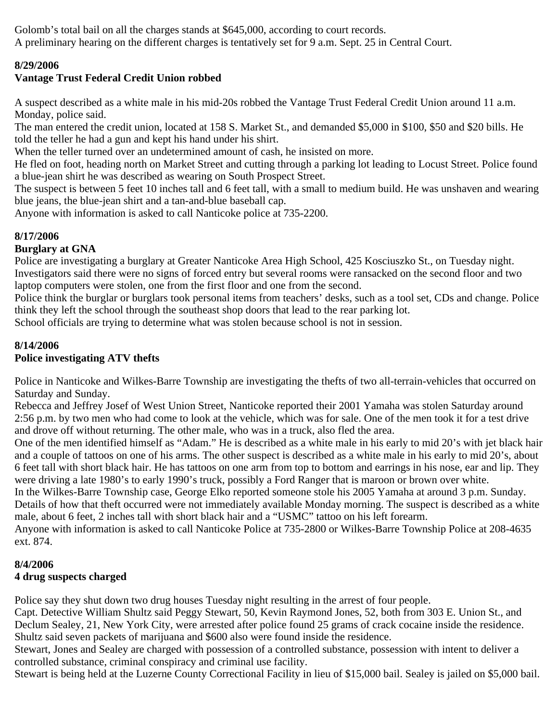Golomb's total bail on all the charges stands at \$645,000, according to court records. A preliminary hearing on the different charges is tentatively set for 9 a.m. Sept. 25 in Central Court.

## **8/29/2006**

## **Vantage Trust Federal Credit Union robbed**

A suspect described as a white male in his mid-20s robbed the Vantage Trust Federal Credit Union around 11 a.m. Monday, police said.

The man entered the credit union, located at 158 S. Market St., and demanded \$5,000 in \$100, \$50 and \$20 bills. He told the teller he had a gun and kept his hand under his shirt.

When the teller turned over an undetermined amount of cash, he insisted on more.

He fled on foot, heading north on Market Street and cutting through a parking lot leading to Locust Street. Police found a blue-jean shirt he was described as wearing on South Prospect Street.

The suspect is between 5 feet 10 inches tall and 6 feet tall, with a small to medium build. He was unshaven and wearing blue jeans, the blue-jean shirt and a tan-and-blue baseball cap.

Anyone with information is asked to call Nanticoke police at 735-2200.

## **8/17/2006**

## **Burglary at GNA**

Police are investigating a burglary at Greater Nanticoke Area High School, 425 Kosciuszko St., on Tuesday night. Investigators said there were no signs of forced entry but several rooms were ransacked on the second floor and two laptop computers were stolen, one from the first floor and one from the second.

Police think the burglar or burglars took personal items from teachers' desks, such as a tool set, CDs and change. Police think they left the school through the southeast shop doors that lead to the rear parking lot.

School officials are trying to determine what was stolen because school is not in session.

#### **8/14/2006 Police investigating ATV thefts**

Police in Nanticoke and Wilkes-Barre Township are investigating the thefts of two all-terrain-vehicles that occurred on Saturday and Sunday.

Rebecca and Jeffrey Josef of West Union Street, Nanticoke reported their 2001 Yamaha was stolen Saturday around 2:56 p.m. by two men who had come to look at the vehicle, which was for sale. One of the men took it for a test drive and drove off without returning. The other male, who was in a truck, also fled the area.

One of the men identified himself as "Adam." He is described as a white male in his early to mid 20's with jet black hair and a couple of tattoos on one of his arms. The other suspect is described as a white male in his early to mid 20's, about 6 feet tall with short black hair. He has tattoos on one arm from top to bottom and earrings in his nose, ear and lip. They were driving a late 1980's to early 1990's truck, possibly a Ford Ranger that is maroon or brown over white.

In the Wilkes-Barre Township case, George Elko reported someone stole his 2005 Yamaha at around 3 p.m. Sunday. Details of how that theft occurred were not immediately available Monday morning. The suspect is described as a white male, about 6 feet, 2 inches tall with short black hair and a "USMC" tattoo on his left forearm.

Anyone with information is asked to call Nanticoke Police at 735-2800 or Wilkes-Barre Township Police at 208-4635 ext. 874.

## **8/4/2006 4 drug suspects charged**

Police say they shut down two drug houses Tuesday night resulting in the arrest of four people.

Capt. Detective William Shultz said Peggy Stewart, 50, Kevin Raymond Jones, 52, both from 303 E. Union St., and Declum Sealey, 21, New York City, were arrested after police found 25 grams of crack cocaine inside the residence. Shultz said seven packets of marijuana and \$600 also were found inside the residence.

Stewart, Jones and Sealey are charged with possession of a controlled substance, possession with intent to deliver a controlled substance, criminal conspiracy and criminal use facility.

Stewart is being held at the Luzerne County Correctional Facility in lieu of \$15,000 bail. Sealey is jailed on \$5,000 bail.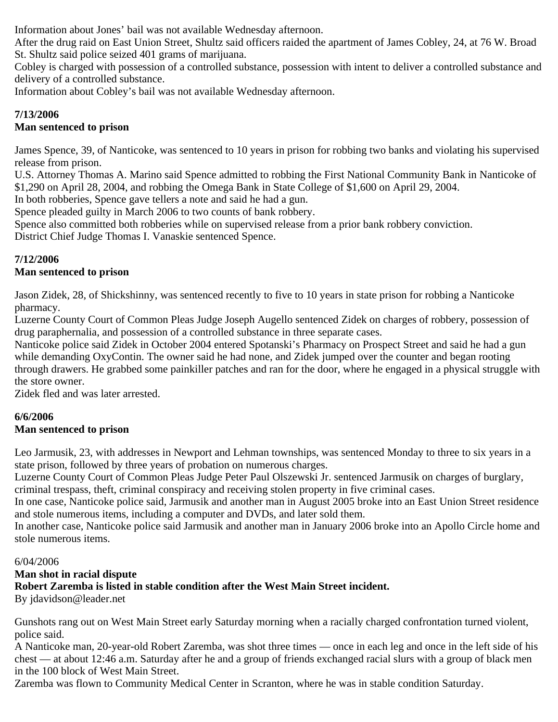Information about Jones' bail was not available Wednesday afternoon.

After the drug raid on East Union Street, Shultz said officers raided the apartment of James Cobley, 24, at 76 W. Broad St. Shultz said police seized 401 grams of marijuana.

Cobley is charged with possession of a controlled substance, possession with intent to deliver a controlled substance and delivery of a controlled substance.

Information about Cobley's bail was not available Wednesday afternoon.

## **7/13/2006**

## **Man sentenced to prison**

James Spence, 39, of Nanticoke, was sentenced to 10 years in prison for robbing two banks and violating his supervised release from prison.

U.S. Attorney Thomas A. Marino said Spence admitted to robbing the First National Community Bank in Nanticoke of \$1,290 on April 28, 2004, and robbing the Omega Bank in State College of \$1,600 on April 29, 2004.

In both robberies, Spence gave tellers a note and said he had a gun.

Spence pleaded guilty in March 2006 to two counts of bank robbery.

Spence also committed both robberies while on supervised release from a prior bank robbery conviction. District Chief Judge Thomas I. Vanaskie sentenced Spence.

## **7/12/2006**

## **Man sentenced to prison**

Jason Zidek, 28, of Shickshinny, was sentenced recently to five to 10 years in state prison for robbing a Nanticoke pharmacy.

Luzerne County Court of Common Pleas Judge Joseph Augello sentenced Zidek on charges of robbery, possession of drug paraphernalia, and possession of a controlled substance in three separate cases.

Nanticoke police said Zidek in October 2004 entered Spotanski's Pharmacy on Prospect Street and said he had a gun while demanding OxyContin. The owner said he had none, and Zidek jumped over the counter and began rooting through drawers. He grabbed some painkiller patches and ran for the door, where he engaged in a physical struggle with the store owner.

Zidek fled and was later arrested.

## **6/6/2006**

## **Man sentenced to prison**

Leo Jarmusik, 23, with addresses in Newport and Lehman townships, was sentenced Monday to three to six years in a state prison, followed by three years of probation on numerous charges.

Luzerne County Court of Common Pleas Judge Peter Paul Olszewski Jr. sentenced Jarmusik on charges of burglary, criminal trespass, theft, criminal conspiracy and receiving stolen property in five criminal cases.

In one case, Nanticoke police said, Jarmusik and another man in August 2005 broke into an East Union Street residence and stole numerous items, including a computer and DVDs, and later sold them.

In another case, Nanticoke police said Jarmusik and another man in January 2006 broke into an Apollo Circle home and stole numerous items.

#### 6/04/2006

## **Man shot in racial dispute**

**Robert Zaremba is listed in stable condition after the West Main Street incident.**

By jdavidson@leader.net

Gunshots rang out on West Main Street early Saturday morning when a racially charged confrontation turned violent, police said.

A Nanticoke man, 20-year-old Robert Zaremba, was shot three times — once in each leg and once in the left side of his chest — at about 12:46 a.m. Saturday after he and a group of friends exchanged racial slurs with a group of black men in the 100 block of West Main Street.

Zaremba was flown to Community Medical Center in Scranton, where he was in stable condition Saturday.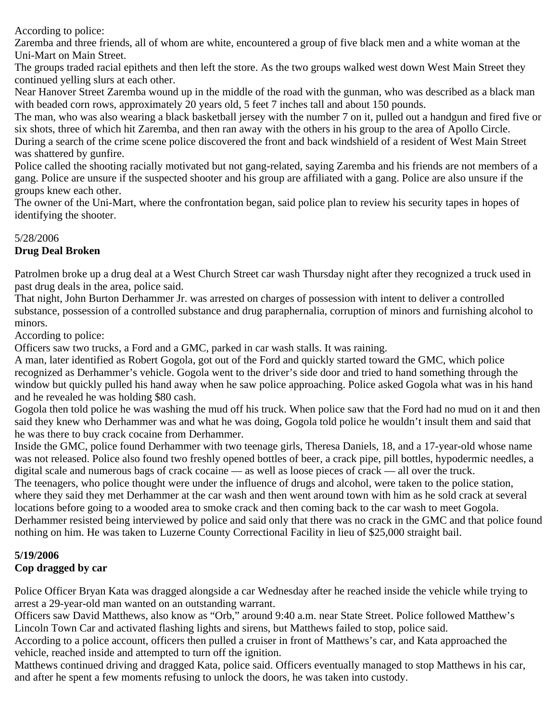According to police:

Zaremba and three friends, all of whom are white, encountered a group of five black men and a white woman at the Uni-Mart on Main Street.

The groups traded racial epithets and then left the store. As the two groups walked west down West Main Street they continued yelling slurs at each other.

Near Hanover Street Zaremba wound up in the middle of the road with the gunman, who was described as a black man with beaded corn rows, approximately 20 years old, 5 feet 7 inches tall and about 150 pounds.

The man, who was also wearing a black basketball jersey with the number 7 on it, pulled out a handgun and fired five or six shots, three of which hit Zaremba, and then ran away with the others in his group to the area of Apollo Circle. During a search of the crime scene police discovered the front and back windshield of a resident of West Main Street

was shattered by gunfire. Police called the shooting racially motivated but not gang-related, saying Zaremba and his friends are not members of a

gang. Police are unsure if the suspected shooter and his group are affiliated with a gang. Police are also unsure if the groups knew each other.

The owner of the Uni-Mart, where the confrontation began, said police plan to review his security tapes in hopes of identifying the shooter.

## 5/28/2006

# **Drug Deal Broken**

Patrolmen broke up a drug deal at a West Church Street car wash Thursday night after they recognized a truck used in past drug deals in the area, police said.

That night, John Burton Derhammer Jr. was arrested on charges of possession with intent to deliver a controlled substance, possession of a controlled substance and drug paraphernalia, corruption of minors and furnishing alcohol to minors.

According to police:

Officers saw two trucks, a Ford and a GMC, parked in car wash stalls. It was raining.

A man, later identified as Robert Gogola, got out of the Ford and quickly started toward the GMC, which police recognized as Derhammer's vehicle. Gogola went to the driver's side door and tried to hand something through the window but quickly pulled his hand away when he saw police approaching. Police asked Gogola what was in his hand and he revealed he was holding \$80 cash.

Gogola then told police he was washing the mud off his truck. When police saw that the Ford had no mud on it and then said they knew who Derhammer was and what he was doing, Gogola told police he wouldn't insult them and said that he was there to buy crack cocaine from Derhammer.

Inside the GMC, police found Derhammer with two teenage girls, Theresa Daniels, 18, and a 17-year-old whose name was not released. Police also found two freshly opened bottles of beer, a crack pipe, pill bottles, hypodermic needles, a digital scale and numerous bags of crack cocaine — as well as loose pieces of crack — all over the truck.

The teenagers, who police thought were under the influence of drugs and alcohol, were taken to the police station, where they said they met Derhammer at the car wash and then went around town with him as he sold crack at several locations before going to a wooded area to smoke crack and then coming back to the car wash to meet Gogola. Derhammer resisted being interviewed by police and said only that there was no crack in the GMC and that police found nothing on him. He was taken to Luzerne County Correctional Facility in lieu of \$25,000 straight bail.

#### **5/19/2006 Cop dragged by car**

Police Officer Bryan Kata was dragged alongside a car Wednesday after he reached inside the vehicle while trying to arrest a 29-year-old man wanted on an outstanding warrant.

Officers saw David Matthews, also know as "Orb," around 9:40 a.m. near State Street. Police followed Matthew's Lincoln Town Car and activated flashing lights and sirens, but Matthews failed to stop, police said.

According to a police account, officers then pulled a cruiser in front of Matthews's car, and Kata approached the vehicle, reached inside and attempted to turn off the ignition.

Matthews continued driving and dragged Kata, police said. Officers eventually managed to stop Matthews in his car, and after he spent a few moments refusing to unlock the doors, he was taken into custody.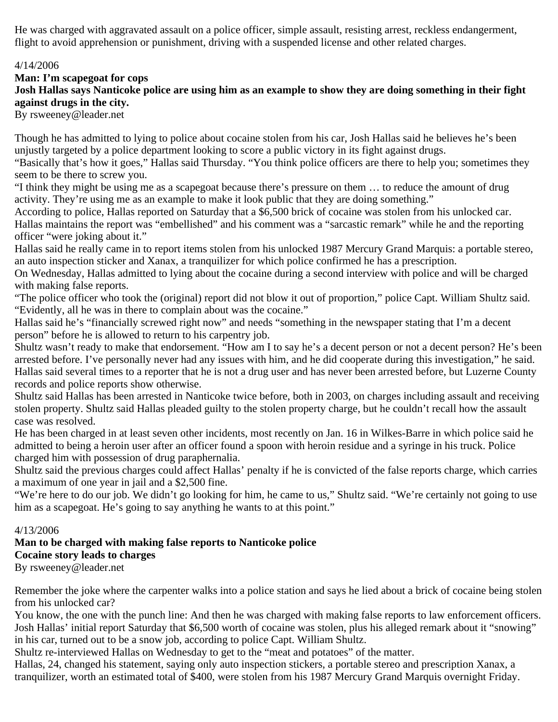He was charged with aggravated assault on a police officer, simple assault, resisting arrest, reckless endangerment, flight to avoid apprehension or punishment, driving with a suspended license and other related charges.

#### 4/14/2006

**Man: I'm scapegoat for cops**

**Josh Hallas says Nanticoke police are using him as an example to show they are doing something in their fight against drugs in the city.**

By rsweeney@leader.net

Though he has admitted to lying to police about cocaine stolen from his car, Josh Hallas said he believes he's been unjustly targeted by a police department looking to score a public victory in its fight against drugs.

"Basically that's how it goes," Hallas said Thursday. "You think police officers are there to help you; sometimes they seem to be there to screw you.

"I think they might be using me as a scapegoat because there's pressure on them … to reduce the amount of drug activity. They're using me as an example to make it look public that they are doing something."

According to police, Hallas reported on Saturday that a \$6,500 brick of cocaine was stolen from his unlocked car. Hallas maintains the report was "embellished" and his comment was a "sarcastic remark" while he and the reporting officer "were joking about it."

Hallas said he really came in to report items stolen from his unlocked 1987 Mercury Grand Marquis: a portable stereo, an auto inspection sticker and Xanax, a tranquilizer for which police confirmed he has a prescription.

On Wednesday, Hallas admitted to lying about the cocaine during a second interview with police and will be charged with making false reports.

"The police officer who took the (original) report did not blow it out of proportion," police Capt. William Shultz said. "Evidently, all he was in there to complain about was the cocaine."

Hallas said he's "financially screwed right now" and needs "something in the newspaper stating that I'm a decent person" before he is allowed to return to his carpentry job.

Shultz wasn't ready to make that endorsement. "How am I to say he's a decent person or not a decent person? He's been arrested before. I've personally never had any issues with him, and he did cooperate during this investigation," he said. Hallas said several times to a reporter that he is not a drug user and has never been arrested before, but Luzerne County records and police reports show otherwise.

Shultz said Hallas has been arrested in Nanticoke twice before, both in 2003, on charges including assault and receiving stolen property. Shultz said Hallas pleaded guilty to the stolen property charge, but he couldn't recall how the assault case was resolved.

He has been charged in at least seven other incidents, most recently on Jan. 16 in Wilkes-Barre in which police said he admitted to being a heroin user after an officer found a spoon with heroin residue and a syringe in his truck. Police charged him with possession of drug paraphernalia.

Shultz said the previous charges could affect Hallas' penalty if he is convicted of the false reports charge, which carries a maximum of one year in jail and a \$2,500 fine.

"We're here to do our job. We didn't go looking for him, he came to us," Shultz said. "We're certainly not going to use him as a scapegoat. He's going to say anything he wants to at this point."

#### 4/13/2006

**Man to be charged with making false reports to Nanticoke police Cocaine story leads to charges**

By rsweeney@leader.net

Remember the joke where the carpenter walks into a police station and says he lied about a brick of cocaine being stolen from his unlocked car?

You know, the one with the punch line: And then he was charged with making false reports to law enforcement officers. Josh Hallas' initial report Saturday that \$6,500 worth of cocaine was stolen, plus his alleged remark about it "snowing" in his car, turned out to be a snow job, according to police Capt. William Shultz.

Shultz re-interviewed Hallas on Wednesday to get to the "meat and potatoes" of the matter.

Hallas, 24, changed his statement, saying only auto inspection stickers, a portable stereo and prescription Xanax, a tranquilizer, worth an estimated total of \$400, were stolen from his 1987 Mercury Grand Marquis overnight Friday.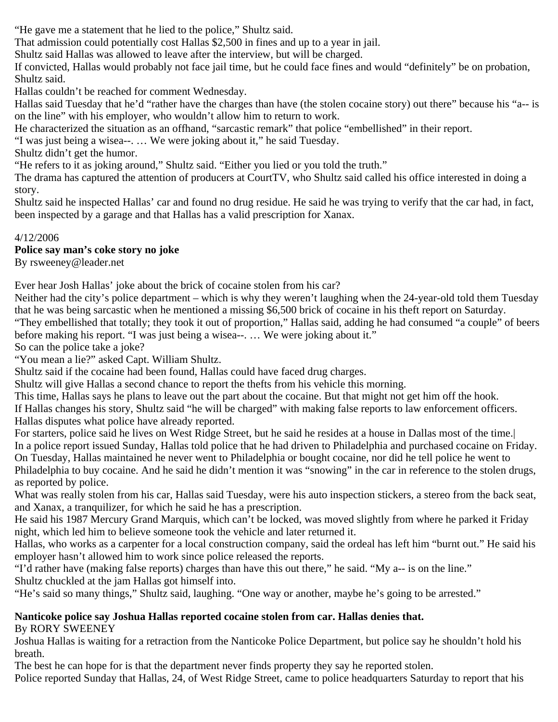"He gave me a statement that he lied to the police," Shultz said.

That admission could potentially cost Hallas \$2,500 in fines and up to a year in jail.

Shultz said Hallas was allowed to leave after the interview, but will be charged.

If convicted, Hallas would probably not face jail time, but he could face fines and would "definitely" be on probation, Shultz said.

Hallas couldn't be reached for comment Wednesday.

Hallas said Tuesday that he'd "rather have the charges than have (the stolen cocaine story) out there" because his "a-- is on the line" with his employer, who wouldn't allow him to return to work.

He characterized the situation as an offhand, "sarcastic remark" that police "embellished" in their report.

"I was just being a wisea--. … We were joking about it," he said Tuesday.

Shultz didn't get the humor.

"He refers to it as joking around," Shultz said. "Either you lied or you told the truth."

The drama has captured the attention of producers at CourtTV, who Shultz said called his office interested in doing a story.

Shultz said he inspected Hallas' car and found no drug residue. He said he was trying to verify that the car had, in fact, been inspected by a garage and that Hallas has a valid prescription for Xanax.

#### 4/12/2006

#### **Police say man's coke story no joke**

By rsweeney@leader.net

Ever hear Josh Hallas' joke about the brick of cocaine stolen from his car?

Neither had the city's police department – which is why they weren't laughing when the 24-year-old told them Tuesday that he was being sarcastic when he mentioned a missing \$6,500 brick of cocaine in his theft report on Saturday.

"They embellished that totally; they took it out of proportion," Hallas said, adding he had consumed "a couple" of beers before making his report. "I was just being a wisea--. … We were joking about it."

So can the police take a joke?

"You mean a lie?" asked Capt. William Shultz.

Shultz said if the cocaine had been found, Hallas could have faced drug charges.

Shultz will give Hallas a second chance to report the thefts from his vehicle this morning.

This time, Hallas says he plans to leave out the part about the cocaine. But that might not get him off the hook.

If Hallas changes his story, Shultz said "he will be charged" with making false reports to law enforcement officers. Hallas disputes what police have already reported.

For starters, police said he lives on West Ridge Street, but he said he resides at a house in Dallas most of the time.| In a police report issued Sunday, Hallas told police that he had driven to Philadelphia and purchased cocaine on Friday. On Tuesday, Hallas maintained he never went to Philadelphia or bought cocaine, nor did he tell police he went to Philadelphia to buy cocaine. And he said he didn't mention it was "snowing" in the car in reference to the stolen drugs, as reported by police.

What was really stolen from his car, Hallas said Tuesday, were his auto inspection stickers, a stereo from the back seat, and Xanax, a tranquilizer, for which he said he has a prescription.

He said his 1987 Mercury Grand Marquis, which can't be locked, was moved slightly from where he parked it Friday night, which led him to believe someone took the vehicle and later returned it.

Hallas, who works as a carpenter for a local construction company, said the ordeal has left him "burnt out." He said his employer hasn't allowed him to work since police released the reports.

"I'd rather have (making false reports) charges than have this out there," he said. "My a-- is on the line." Shultz chuckled at the jam Hallas got himself into.

"He's said so many things," Shultz said, laughing. "One way or another, maybe he's going to be arrested."

#### **Nanticoke police say Joshua Hallas reported cocaine stolen from car. Hallas denies that.** By RORY SWEENEY

Joshua Hallas is waiting for a retraction from the Nanticoke Police Department, but police say he shouldn't hold his breath.

The best he can hope for is that the department never finds property they say he reported stolen.

Police reported Sunday that Hallas, 24, of West Ridge Street, came to police headquarters Saturday to report that his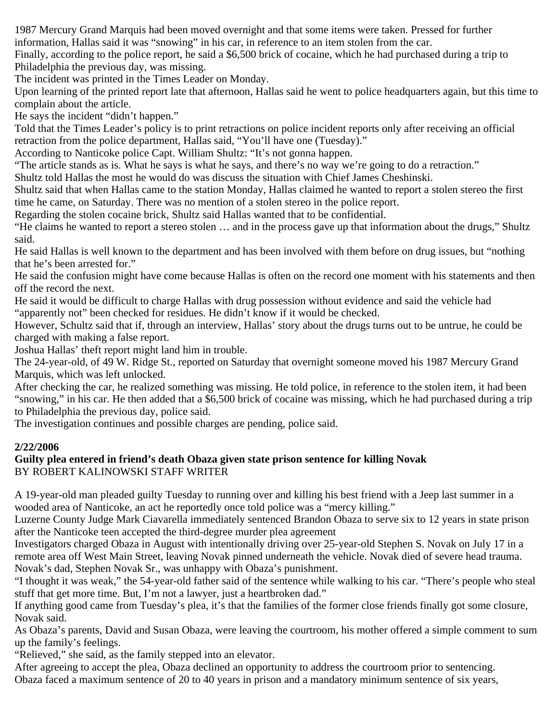1987 Mercury Grand Marquis had been moved overnight and that some items were taken. Pressed for further information, Hallas said it was "snowing" in his car, in reference to an item stolen from the car.

Finally, according to the police report, he said a \$6,500 brick of cocaine, which he had purchased during a trip to Philadelphia the previous day, was missing.

The incident was printed in the Times Leader on Monday.

Upon learning of the printed report late that afternoon, Hallas said he went to police headquarters again, but this time to complain about the article.

He says the incident "didn't happen."

Told that the Times Leader's policy is to print retractions on police incident reports only after receiving an official retraction from the police department, Hallas said, "You'll have one (Tuesday)."

According to Nanticoke police Capt. William Shultz: "It's not gonna happen.

"The article stands as is. What he says is what he says, and there's no way we're going to do a retraction."

Shultz told Hallas the most he would do was discuss the situation with Chief James Cheshinski.

Shultz said that when Hallas came to the station Monday, Hallas claimed he wanted to report a stolen stereo the first time he came, on Saturday. There was no mention of a stolen stereo in the police report.

Regarding the stolen cocaine brick, Shultz said Hallas wanted that to be confidential.

"He claims he wanted to report a stereo stolen … and in the process gave up that information about the drugs," Shultz said.

He said Hallas is well known to the department and has been involved with them before on drug issues, but "nothing that he's been arrested for."

He said the confusion might have come because Hallas is often on the record one moment with his statements and then off the record the next.

He said it would be difficult to charge Hallas with drug possession without evidence and said the vehicle had "apparently not" been checked for residues. He didn't know if it would be checked.

However, Schultz said that if, through an interview, Hallas' story about the drugs turns out to be untrue, he could be charged with making a false report.

Joshua Hallas' theft report might land him in trouble.

The 24-year-old, of 49 W. Ridge St., reported on Saturday that overnight someone moved his 1987 Mercury Grand Marquis, which was left unlocked.

After checking the car, he realized something was missing. He told police, in reference to the stolen item, it had been "snowing," in his car. He then added that a \$6,500 brick of cocaine was missing, which he had purchased during a trip to Philadelphia the previous day, police said.

The investigation continues and possible charges are pending, police said.

#### **2/22/2006**

#### **Guilty plea entered in friend's death Obaza given state prison sentence for killing Novak** BY ROBERT KALINOWSKI STAFF WRITER

A 19-year-old man pleaded guilty Tuesday to running over and killing his best friend with a Jeep last summer in a wooded area of Nanticoke, an act he reportedly once told police was a "mercy killing."

Luzerne County Judge Mark Ciavarella immediately sentenced Brandon Obaza to serve six to 12 years in state prison after the Nanticoke teen accepted the third-degree murder plea agreement

Investigators charged Obaza in August with intentionally driving over 25-year-old Stephen S. Novak on July 17 in a remote area off West Main Street, leaving Novak pinned underneath the vehicle. Novak died of severe head trauma. Novak's dad, Stephen Novak Sr., was unhappy with Obaza's punishment.

"I thought it was weak," the 54-year-old father said of the sentence while walking to his car. "There's people who steal stuff that get more time. But, I'm not a lawyer, just a heartbroken dad."

If anything good came from Tuesday's plea, it's that the families of the former close friends finally got some closure, Novak said.

As Obaza's parents, David and Susan Obaza, were leaving the courtroom, his mother offered a simple comment to sum up the family's feelings.

"Relieved," she said, as the family stepped into an elevator.

After agreeing to accept the plea, Obaza declined an opportunity to address the courtroom prior to sentencing. Obaza faced a maximum sentence of 20 to 40 years in prison and a mandatory minimum sentence of six years,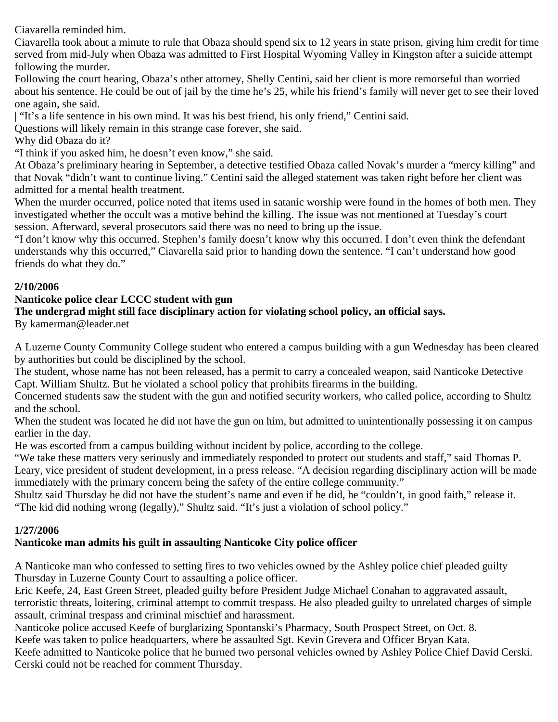Ciavarella reminded him.

Ciavarella took about a minute to rule that Obaza should spend six to 12 years in state prison, giving him credit for time served from mid-July when Obaza was admitted to First Hospital Wyoming Valley in Kingston after a suicide attempt following the murder.

Following the court hearing, Obaza's other attorney, Shelly Centini, said her client is more remorseful than worried about his sentence. He could be out of jail by the time he's 25, while his friend's family will never get to see their loved one again, she said.

| "It's a life sentence in his own mind. It was his best friend, his only friend," Centini said.

Questions will likely remain in this strange case forever, she said.

Why did Obaza do it?

"I think if you asked him, he doesn't even know," she said.

At Obaza's preliminary hearing in September, a detective testified Obaza called Novak's murder a "mercy killing" and that Novak "didn't want to continue living." Centini said the alleged statement was taken right before her client was admitted for a mental health treatment.

When the murder occurred, police noted that items used in satanic worship were found in the homes of both men. They investigated whether the occult was a motive behind the killing. The issue was not mentioned at Tuesday's court session. Afterward, several prosecutors said there was no need to bring up the issue.

"I don't know why this occurred. Stephen's family doesn't know why this occurred. I don't even think the defendant understands why this occurred," Ciavarella said prior to handing down the sentence. "I can't understand how good friends do what they do."

#### **2/10/2006**

#### **Nanticoke police clear LCCC student with gun**

#### **The undergrad might still face disciplinary action for violating school policy, an official says.**

By kamerman@leader.net

A Luzerne County Community College student who entered a campus building with a gun Wednesday has been cleared by authorities but could be disciplined by the school.

The student, whose name has not been released, has a permit to carry a concealed weapon, said Nanticoke Detective Capt. William Shultz. But he violated a school policy that prohibits firearms in the building.

Concerned students saw the student with the gun and notified security workers, who called police, according to Shultz and the school.

When the student was located he did not have the gun on him, but admitted to unintentionally possessing it on campus earlier in the day.

He was escorted from a campus building without incident by police, according to the college.

"We take these matters very seriously and immediately responded to protect out students and staff," said Thomas P. Leary, vice president of student development, in a press release. "A decision regarding disciplinary action will be made immediately with the primary concern being the safety of the entire college community."

Shultz said Thursday he did not have the student's name and even if he did, he "couldn't, in good faith," release it. "The kid did nothing wrong (legally)," Shultz said. "It's just a violation of school policy."

#### **1/27/2006**

## **Nanticoke man admits his guilt in assaulting Nanticoke City police officer**

A Nanticoke man who confessed to setting fires to two vehicles owned by the Ashley police chief pleaded guilty Thursday in Luzerne County Court to assaulting a police officer.

Eric Keefe, 24, East Green Street, pleaded guilty before President Judge Michael Conahan to aggravated assault, terroristic threats, loitering, criminal attempt to commit trespass. He also pleaded guilty to unrelated charges of simple assault, criminal trespass and criminal mischief and harassment.

Nanticoke police accused Keefe of burglarizing Spontanski's Pharmacy, South Prospect Street, on Oct. 8.

Keefe was taken to police headquarters, where he assaulted Sgt. Kevin Grevera and Officer Bryan Kata.

Keefe admitted to Nanticoke police that he burned two personal vehicles owned by Ashley Police Chief David Cerski. Cerski could not be reached for comment Thursday.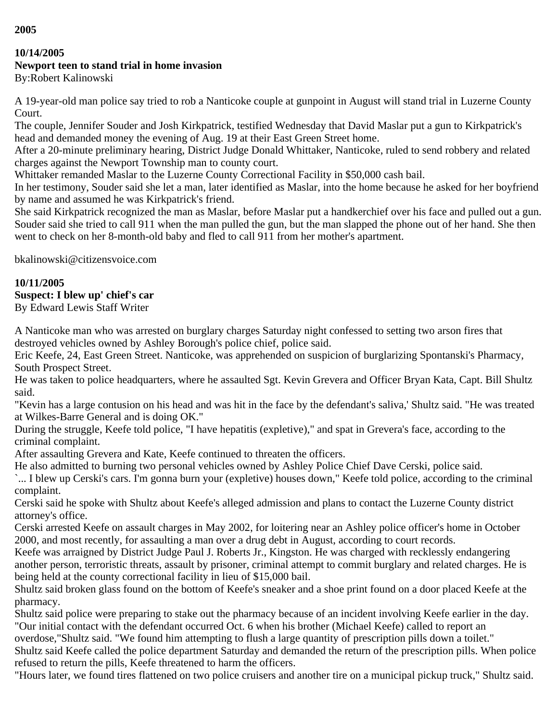## **10/14/2005**

## **Newport teen to stand trial in home invasion**

By:Robert Kalinowski

A 19-year-old man police say tried to rob a Nanticoke couple at gunpoint in August will stand trial in Luzerne County Court.

The couple, Jennifer Souder and Josh Kirkpatrick, testified Wednesday that David Maslar put a gun to Kirkpatrick's head and demanded money the evening of Aug. 19 at their East Green Street home.

After a 20-minute preliminary hearing, District Judge Donald Whittaker, Nanticoke, ruled to send robbery and related charges against the Newport Township man to county court.

Whittaker remanded Maslar to the Luzerne County Correctional Facility in \$50,000 cash bail.

In her testimony, Souder said she let a man, later identified as Maslar, into the home because he asked for her boyfriend by name and assumed he was Kirkpatrick's friend.

She said Kirkpatrick recognized the man as Maslar, before Maslar put a handkerchief over his face and pulled out a gun. Souder said she tried to call 911 when the man pulled the gun, but the man slapped the phone out of her hand. She then went to check on her 8-month-old baby and fled to call 911 from her mother's apartment.

bkalinowski@citizensvoice.com

## **10/11/2005**

## **Suspect: I blew up' chief's car**

By Edward Lewis Staff Writer

A Nanticoke man who was arrested on burglary charges Saturday night confessed to setting two arson fires that destroyed vehicles owned by Ashley Borough's police chief, police said.

Eric Keefe, 24, East Green Street. Nanticoke, was apprehended on suspicion of burglarizing Spontanski's Pharmacy, South Prospect Street.

He was taken to police headquarters, where he assaulted Sgt. Kevin Grevera and Officer Bryan Kata, Capt. Bill Shultz said.

"Kevin has a large contusion on his head and was hit in the face by the defendant's saliva,' Shultz said. "He was treated at Wilkes-Barre General and is doing OK."

During the struggle, Keefe told police, "I have hepatitis (expletive)," and spat in Grevera's face, according to the criminal complaint.

After assaulting Grevera and Kate, Keefe continued to threaten the officers.

He also admitted to burning two personal vehicles owned by Ashley Police Chief Dave Cerski, police said.

`... I blew up Cerski's cars. I'm gonna burn your (expletive) houses down," Keefe told police, according to the criminal complaint.

Cerski said he spoke with Shultz about Keefe's alleged admission and plans to contact the Luzerne County district attorney's office.

Cerski arrested Keefe on assault charges in May 2002, for loitering near an Ashley police officer's home in October 2000, and most recently, for assaulting a man over a drug debt in August, according to court records.

Keefe was arraigned by District Judge Paul J. Roberts Jr., Kingston. He was charged with recklessly endangering another person, terroristic threats, assault by prisoner, criminal attempt to commit burglary and related charges. He is being held at the county correctional facility in lieu of \$15,000 bail.

Shultz said broken glass found on the bottom of Keefe's sneaker and a shoe print found on a door placed Keefe at the pharmacy.

Shultz said police were preparing to stake out the pharmacy because of an incident involving Keefe earlier in the day. "Our initial contact with the defendant occurred Oct. 6 when his brother (Michael Keefe) called to report an

overdose,"Shultz said. "We found him attempting to flush a large quantity of prescription pills down a toilet."

Shultz said Keefe called the police department Saturday and demanded the return of the prescription pills. When police refused to return the pills, Keefe threatened to harm the officers.

"Hours later, we found tires flattened on two police cruisers and another tire on a municipal pickup truck," Shultz said.

**2005**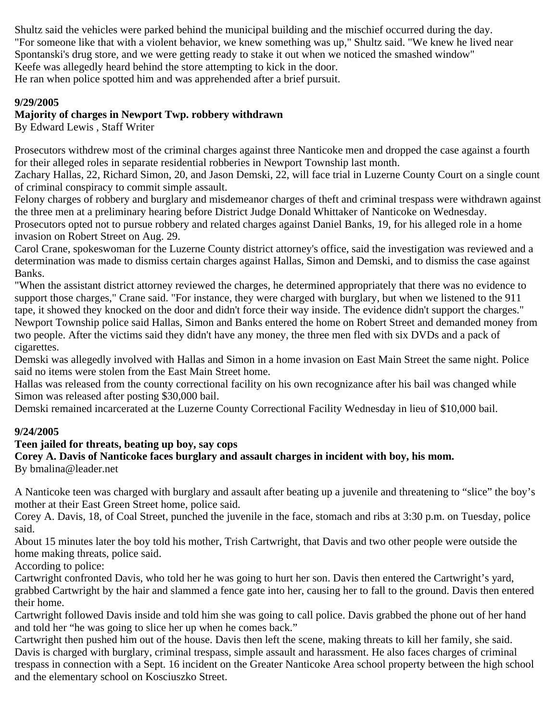Shultz said the vehicles were parked behind the municipal building and the mischief occurred during the day. "For someone like that with a violent behavior, we knew something was up," Shultz said. "We knew he lived near Spontanski's drug store, and we were getting ready to stake it out when we noticed the smashed window" Keefe was allegedly heard behind the store attempting to kick in the door. He ran when police spotted him and was apprehended after a brief pursuit.

#### **9/29/2005**

#### **Majority of charges in Newport Twp. robbery withdrawn**

By Edward Lewis , Staff Writer

Prosecutors withdrew most of the criminal charges against three Nanticoke men and dropped the case against a fourth for their alleged roles in separate residential robberies in Newport Township last month.

Zachary Hallas, 22, Richard Simon, 20, and Jason Demski, 22, will face trial in Luzerne County Court on a single count of criminal conspiracy to commit simple assault.

Felony charges of robbery and burglary and misdemeanor charges of theft and criminal trespass were withdrawn against the three men at a preliminary hearing before District Judge Donald Whittaker of Nanticoke on Wednesday.

Prosecutors opted not to pursue robbery and related charges against Daniel Banks, 19, for his alleged role in a home invasion on Robert Street on Aug. 29.

Carol Crane, spokeswoman for the Luzerne County district attorney's office, said the investigation was reviewed and a determination was made to dismiss certain charges against Hallas, Simon and Demski, and to dismiss the case against Banks.

"When the assistant district attorney reviewed the charges, he determined appropriately that there was no evidence to support those charges," Crane said. "For instance, they were charged with burglary, but when we listened to the 911 tape, it showed they knocked on the door and didn't force their way inside. The evidence didn't support the charges." Newport Township police said Hallas, Simon and Banks entered the home on Robert Street and demanded money from two people. After the victims said they didn't have any money, the three men fled with six DVDs and a pack of cigarettes.

Demski was allegedly involved with Hallas and Simon in a home invasion on East Main Street the same night. Police said no items were stolen from the East Main Street home.

Hallas was released from the county correctional facility on his own recognizance after his bail was changed while Simon was released after posting \$30,000 bail.

Demski remained incarcerated at the Luzerne County Correctional Facility Wednesday in lieu of \$10,000 bail.

#### **9/24/2005**

## **Teen jailed for threats, beating up boy, say cops**

#### **Corey A. Davis of Nanticoke faces burglary and assault charges in incident with boy, his mom.**

By bmalina@leader.net

A Nanticoke teen was charged with burglary and assault after beating up a juvenile and threatening to "slice" the boy's mother at their East Green Street home, police said.

Corey A. Davis, 18, of Coal Street, punched the juvenile in the face, stomach and ribs at 3:30 p.m. on Tuesday, police said.

About 15 minutes later the boy told his mother, Trish Cartwright, that Davis and two other people were outside the home making threats, police said.

According to police:

Cartwright confronted Davis, who told her he was going to hurt her son. Davis then entered the Cartwright's yard, grabbed Cartwright by the hair and slammed a fence gate into her, causing her to fall to the ground. Davis then entered their home.

Cartwright followed Davis inside and told him she was going to call police. Davis grabbed the phone out of her hand and told her "he was going to slice her up when he comes back."

Cartwright then pushed him out of the house. Davis then left the scene, making threats to kill her family, she said. Davis is charged with burglary, criminal trespass, simple assault and harassment. He also faces charges of criminal trespass in connection with a Sept. 16 incident on the Greater Nanticoke Area school property between the high school and the elementary school on Kosciuszko Street.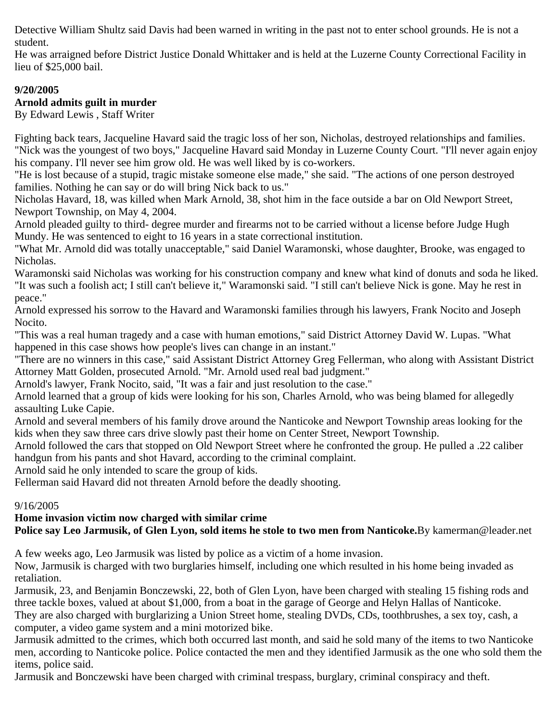Detective William Shultz said Davis had been warned in writing in the past not to enter school grounds. He is not a student.

He was arraigned before District Justice Donald Whittaker and is held at the Luzerne County Correctional Facility in lieu of \$25,000 bail.

## **9/20/2005**

## **Arnold admits guilt in murder**

By Edward Lewis , Staff Writer

Fighting back tears, Jacqueline Havard said the tragic loss of her son, Nicholas, destroyed relationships and families. "Nick was the youngest of two boys," Jacqueline Havard said Monday in Luzerne County Court. "I'll never again enjoy his company. I'll never see him grow old. He was well liked by is co-workers.

"He is lost because of a stupid, tragic mistake someone else made," she said. "The actions of one person destroyed families. Nothing he can say or do will bring Nick back to us."

Nicholas Havard, 18, was killed when Mark Arnold, 38, shot him in the face outside a bar on Old Newport Street, Newport Township, on May 4, 2004.

Arnold pleaded guilty to third- degree murder and firearms not to be carried without a license before Judge Hugh Mundy. He was sentenced to eight to 16 years in a state correctional institution.

"What Mr. Arnold did was totally unacceptable," said Daniel Waramonski, whose daughter, Brooke, was engaged to Nicholas.

Waramonski said Nicholas was working for his construction company and knew what kind of donuts and soda he liked. "It was such a foolish act; I still can't believe it," Waramonski said. "I still can't believe Nick is gone. May he rest in peace."

Arnold expressed his sorrow to the Havard and Waramonski families through his lawyers, Frank Nocito and Joseph Nocito.

"This was a real human tragedy and a case with human emotions," said District Attorney David W. Lupas. "What happened in this case shows how people's lives can change in an instant."

"There are no winners in this case," said Assistant District Attorney Greg Fellerman, who along with Assistant District Attorney Matt Golden, prosecuted Arnold. "Mr. Arnold used real bad judgment."

Arnold's lawyer, Frank Nocito, said, "It was a fair and just resolution to the case."

Arnold learned that a group of kids were looking for his son, Charles Arnold, who was being blamed for allegedly assaulting Luke Capie.

Arnold and several members of his family drove around the Nanticoke and Newport Township areas looking for the kids when they saw three cars drive slowly past their home on Center Street, Newport Township.

Arnold followed the cars that stopped on Old Newport Street where he confronted the group. He pulled a .22 caliber handgun from his pants and shot Havard, according to the criminal complaint.

Arnold said he only intended to scare the group of kids.

Fellerman said Havard did not threaten Arnold before the deadly shooting.

#### 9/16/2005

#### **Home invasion victim now charged with similar crime Police say Leo Jarmusik, of Glen Lyon, sold items he stole to two men from Nanticoke.**By kamerman@leader.net

A few weeks ago, Leo Jarmusik was listed by police as a victim of a home invasion.

Now, Jarmusik is charged with two burglaries himself, including one which resulted in his home being invaded as retaliation.

Jarmusik, 23, and Benjamin Bonczewski, 22, both of Glen Lyon, have been charged with stealing 15 fishing rods and three tackle boxes, valued at about \$1,000, from a boat in the garage of George and Helyn Hallas of Nanticoke. They are also charged with burglarizing a Union Street home, stealing DVDs, CDs, toothbrushes, a sex toy, cash, a computer, a video game system and a mini motorized bike.

Jarmusik admitted to the crimes, which both occurred last month, and said he sold many of the items to two Nanticoke men, according to Nanticoke police. Police contacted the men and they identified Jarmusik as the one who sold them the items, police said.

Jarmusik and Bonczewski have been charged with criminal trespass, burglary, criminal conspiracy and theft.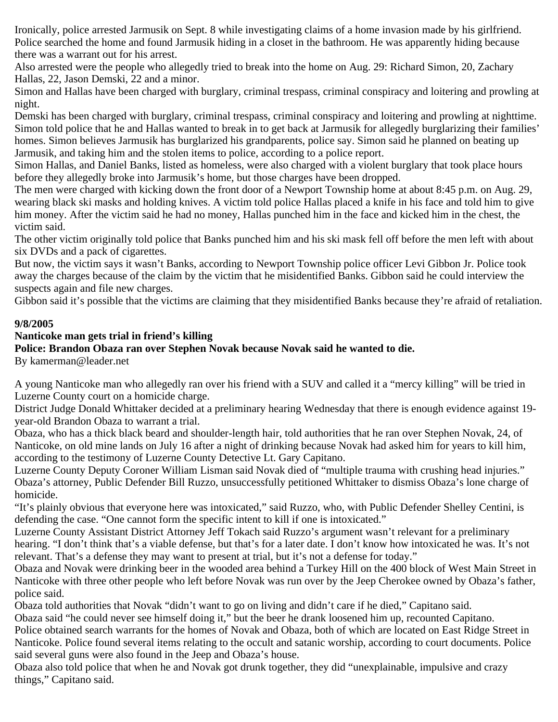Ironically, police arrested Jarmusik on Sept. 8 while investigating claims of a home invasion made by his girlfriend. Police searched the home and found Jarmusik hiding in a closet in the bathroom. He was apparently hiding because there was a warrant out for his arrest.

Also arrested were the people who allegedly tried to break into the home on Aug. 29: Richard Simon, 20, Zachary Hallas, 22, Jason Demski, 22 and a minor.

Simon and Hallas have been charged with burglary, criminal trespass, criminal conspiracy and loitering and prowling at night.

Demski has been charged with burglary, criminal trespass, criminal conspiracy and loitering and prowling at nighttime. Simon told police that he and Hallas wanted to break in to get back at Jarmusik for allegedly burglarizing their families' homes. Simon believes Jarmusik has burglarized his grandparents, police say. Simon said he planned on beating up Jarmusik, and taking him and the stolen items to police, according to a police report.

Simon Hallas, and Daniel Banks, listed as homeless, were also charged with a violent burglary that took place hours before they allegedly broke into Jarmusik's home, but those charges have been dropped.

The men were charged with kicking down the front door of a Newport Township home at about 8:45 p.m. on Aug. 29, wearing black ski masks and holding knives. A victim told police Hallas placed a knife in his face and told him to give him money. After the victim said he had no money, Hallas punched him in the face and kicked him in the chest, the victim said.

The other victim originally told police that Banks punched him and his ski mask fell off before the men left with about six DVDs and a pack of cigarettes.

But now, the victim says it wasn't Banks, according to Newport Township police officer Levi Gibbon Jr. Police took away the charges because of the claim by the victim that he misidentified Banks. Gibbon said he could interview the suspects again and file new charges.

Gibbon said it's possible that the victims are claiming that they misidentified Banks because they're afraid of retaliation.

#### **9/8/2005**

## **Nanticoke man gets trial in friend's killing**

## **Police: Brandon Obaza ran over Stephen Novak because Novak said he wanted to die.**

By kamerman@leader.net

A young Nanticoke man who allegedly ran over his friend with a SUV and called it a "mercy killing" will be tried in Luzerne County court on a homicide charge.

District Judge Donald Whittaker decided at a preliminary hearing Wednesday that there is enough evidence against 19 year-old Brandon Obaza to warrant a trial.

Obaza, who has a thick black beard and shoulder-length hair, told authorities that he ran over Stephen Novak, 24, of Nanticoke, on old mine lands on July 16 after a night of drinking because Novak had asked him for years to kill him, according to the testimony of Luzerne County Detective Lt. Gary Capitano.

Luzerne County Deputy Coroner William Lisman said Novak died of "multiple trauma with crushing head injuries." Obaza's attorney, Public Defender Bill Ruzzo, unsuccessfully petitioned Whittaker to dismiss Obaza's lone charge of homicide.

"It's plainly obvious that everyone here was intoxicated," said Ruzzo, who, with Public Defender Shelley Centini, is defending the case. "One cannot form the specific intent to kill if one is intoxicated."

Luzerne County Assistant District Attorney Jeff Tokach said Ruzzo's argument wasn't relevant for a preliminary hearing. "I don't think that's a viable defense, but that's for a later date. I don't know how intoxicated he was. It's not relevant. That's a defense they may want to present at trial, but it's not a defense for today."

Obaza and Novak were drinking beer in the wooded area behind a Turkey Hill on the 400 block of West Main Street in Nanticoke with three other people who left before Novak was run over by the Jeep Cherokee owned by Obaza's father, police said.

Obaza told authorities that Novak "didn't want to go on living and didn't care if he died," Capitano said.

Obaza said "he could never see himself doing it," but the beer he drank loosened him up, recounted Capitano.

Police obtained search warrants for the homes of Novak and Obaza, both of which are located on East Ridge Street in Nanticoke. Police found several items relating to the occult and satanic worship, according to court documents. Police said several guns were also found in the Jeep and Obaza's house.

Obaza also told police that when he and Novak got drunk together, they did "unexplainable, impulsive and crazy things," Capitano said.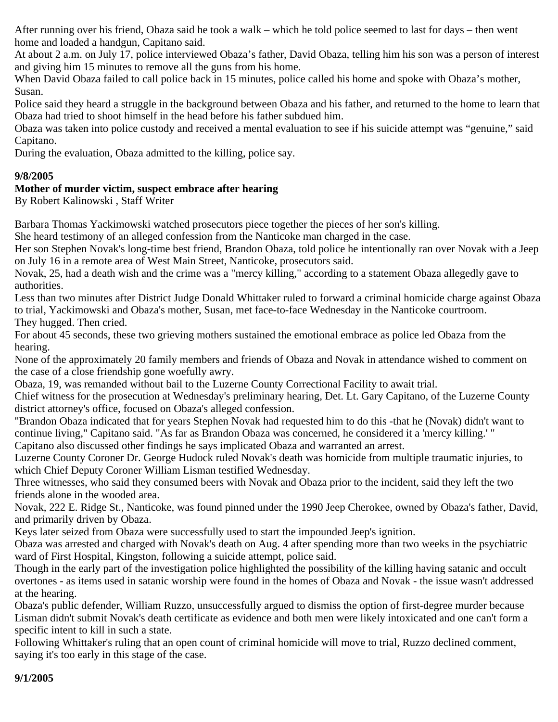After running over his friend, Obaza said he took a walk – which he told police seemed to last for days – then went home and loaded a handgun, Capitano said.

At about 2 a.m. on July 17, police interviewed Obaza's father, David Obaza, telling him his son was a person of interest and giving him 15 minutes to remove all the guns from his home.

When David Obaza failed to call police back in 15 minutes, police called his home and spoke with Obaza's mother, Susan.

Police said they heard a struggle in the background between Obaza and his father, and returned to the home to learn that Obaza had tried to shoot himself in the head before his father subdued him.

Obaza was taken into police custody and received a mental evaluation to see if his suicide attempt was "genuine," said Capitano.

During the evaluation, Obaza admitted to the killing, police say.

## **9/8/2005**

## **Mother of murder victim, suspect embrace after hearing**

By Robert Kalinowski , Staff Writer

Barbara Thomas Yackimowski watched prosecutors piece together the pieces of her son's killing.

She heard testimony of an alleged confession from the Nanticoke man charged in the case.

Her son Stephen Novak's long-time best friend, Brandon Obaza, told police he intentionally ran over Novak with a Jeep on July 16 in a remote area of West Main Street, Nanticoke, prosecutors said.

Novak, 25, had a death wish and the crime was a "mercy killing," according to a statement Obaza allegedly gave to authorities.

Less than two minutes after District Judge Donald Whittaker ruled to forward a criminal homicide charge against Obaza to trial, Yackimowski and Obaza's mother, Susan, met face-to-face Wednesday in the Nanticoke courtroom. They hugged. Then cried.

For about 45 seconds, these two grieving mothers sustained the emotional embrace as police led Obaza from the hearing.

None of the approximately 20 family members and friends of Obaza and Novak in attendance wished to comment on the case of a close friendship gone woefully awry.

Obaza, 19, was remanded without bail to the Luzerne County Correctional Facility to await trial.

Chief witness for the prosecution at Wednesday's preliminary hearing, Det. Lt. Gary Capitano, of the Luzerne County district attorney's office, focused on Obaza's alleged confession.

"Brandon Obaza indicated that for years Stephen Novak had requested him to do this -that he (Novak) didn't want to continue living," Capitano said. "As far as Brandon Obaza was concerned, he considered it a 'mercy killing.' " Capitano also discussed other findings he says implicated Obaza and warranted an arrest.

Luzerne County Coroner Dr. George Hudock ruled Novak's death was homicide from multiple traumatic injuries, to which Chief Deputy Coroner William Lisman testified Wednesday.

Three witnesses, who said they consumed beers with Novak and Obaza prior to the incident, said they left the two friends alone in the wooded area.

Novak, 222 E. Ridge St., Nanticoke, was found pinned under the 1990 Jeep Cherokee, owned by Obaza's father, David, and primarily driven by Obaza.

Keys later seized from Obaza were successfully used to start the impounded Jeep's ignition.

Obaza was arrested and charged with Novak's death on Aug. 4 after spending more than two weeks in the psychiatric ward of First Hospital, Kingston, following a suicide attempt, police said.

Though in the early part of the investigation police highlighted the possibility of the killing having satanic and occult overtones - as items used in satanic worship were found in the homes of Obaza and Novak - the issue wasn't addressed at the hearing.

Obaza's public defender, William Ruzzo, unsuccessfully argued to dismiss the option of first-degree murder because Lisman didn't submit Novak's death certificate as evidence and both men were likely intoxicated and one can't form a specific intent to kill in such a state.

Following Whittaker's ruling that an open count of criminal homicide will move to trial, Ruzzo declined comment, saying it's too early in this stage of the case.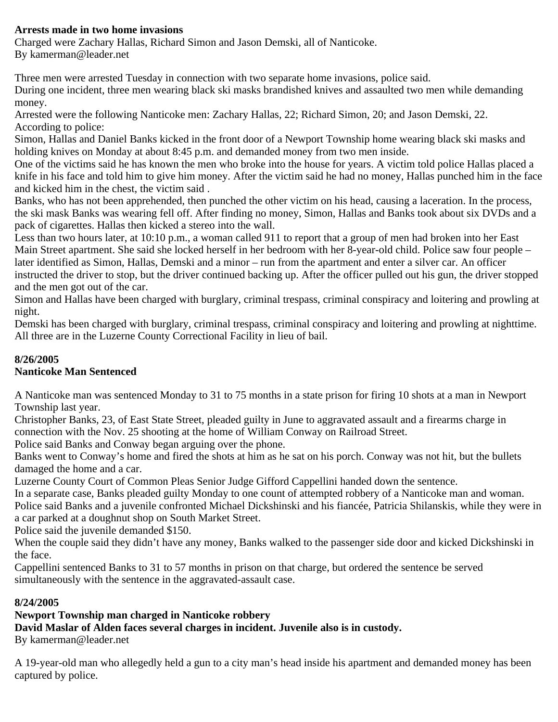## **Arrests made in two home invasions**

Charged were Zachary Hallas, Richard Simon and Jason Demski, all of Nanticoke. By kamerman@leader.net

Three men were arrested Tuesday in connection with two separate home invasions, police said.

During one incident, three men wearing black ski masks brandished knives and assaulted two men while demanding money.

Arrested were the following Nanticoke men: Zachary Hallas, 22; Richard Simon, 20; and Jason Demski, 22. According to police:

Simon, Hallas and Daniel Banks kicked in the front door of a Newport Township home wearing black ski masks and holding knives on Monday at about 8:45 p.m. and demanded money from two men inside.

One of the victims said he has known the men who broke into the house for years. A victim told police Hallas placed a knife in his face and told him to give him money. After the victim said he had no money, Hallas punched him in the face and kicked him in the chest, the victim said .

Banks, who has not been apprehended, then punched the other victim on his head, causing a laceration. In the process, the ski mask Banks was wearing fell off. After finding no money, Simon, Hallas and Banks took about six DVDs and a pack of cigarettes. Hallas then kicked a stereo into the wall.

Less than two hours later, at 10:10 p.m., a woman called 911 to report that a group of men had broken into her East Main Street apartment. She said she locked herself in her bedroom with her 8-year-old child. Police saw four people – later identified as Simon, Hallas, Demski and a minor – run from the apartment and enter a silver car. An officer instructed the driver to stop, but the driver continued backing up. After the officer pulled out his gun, the driver stopped and the men got out of the car.

Simon and Hallas have been charged with burglary, criminal trespass, criminal conspiracy and loitering and prowling at night.

Demski has been charged with burglary, criminal trespass, criminal conspiracy and loitering and prowling at nighttime. All three are in the Luzerne County Correctional Facility in lieu of bail.

## **8/26/2005**

## **Nanticoke Man Sentenced**

A Nanticoke man was sentenced Monday to 31 to 75 months in a state prison for firing 10 shots at a man in Newport Township last year.

Christopher Banks, 23, of East State Street, pleaded guilty in June to aggravated assault and a firearms charge in connection with the Nov. 25 shooting at the home of William Conway on Railroad Street.

Police said Banks and Conway began arguing over the phone.

Banks went to Conway's home and fired the shots at him as he sat on his porch. Conway was not hit, but the bullets damaged the home and a car.

Luzerne County Court of Common Pleas Senior Judge Gifford Cappellini handed down the sentence.

In a separate case, Banks pleaded guilty Monday to one count of attempted robbery of a Nanticoke man and woman. Police said Banks and a juvenile confronted Michael Dickshinski and his fiancée, Patricia Shilanskis, while they were in a car parked at a doughnut shop on South Market Street.

Police said the juvenile demanded \$150.

When the couple said they didn't have any money, Banks walked to the passenger side door and kicked Dickshinski in the face.

Cappellini sentenced Banks to 31 to 57 months in prison on that charge, but ordered the sentence be served simultaneously with the sentence in the aggravated-assault case.

#### **8/24/2005**

## **Newport Township man charged in Nanticoke robbery**

**David Maslar of Alden faces several charges in incident. Juvenile also is in custody.**

By kamerman@leader.net

A 19-year-old man who allegedly held a gun to a city man's head inside his apartment and demanded money has been captured by police.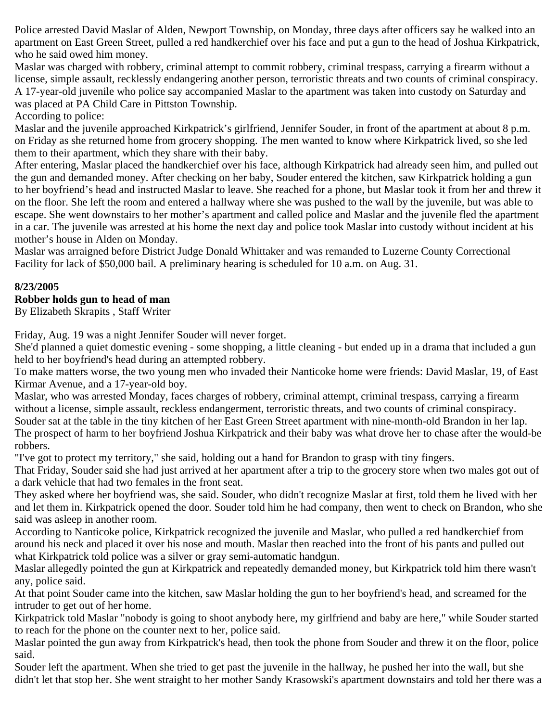Police arrested David Maslar of Alden, Newport Township, on Monday, three days after officers say he walked into an apartment on East Green Street, pulled a red handkerchief over his face and put a gun to the head of Joshua Kirkpatrick, who he said owed him money.

Maslar was charged with robbery, criminal attempt to commit robbery, criminal trespass, carrying a firearm without a license, simple assault, recklessly endangering another person, terroristic threats and two counts of criminal conspiracy. A 17-year-old juvenile who police say accompanied Maslar to the apartment was taken into custody on Saturday and was placed at PA Child Care in Pittston Township.

According to police:

Maslar and the juvenile approached Kirkpatrick's girlfriend, Jennifer Souder, in front of the apartment at about 8 p.m. on Friday as she returned home from grocery shopping. The men wanted to know where Kirkpatrick lived, so she led them to their apartment, which they share with their baby.

After entering, Maslar placed the handkerchief over his face, although Kirkpatrick had already seen him, and pulled out the gun and demanded money. After checking on her baby, Souder entered the kitchen, saw Kirkpatrick holding a gun to her boyfriend's head and instructed Maslar to leave. She reached for a phone, but Maslar took it from her and threw it on the floor. She left the room and entered a hallway where she was pushed to the wall by the juvenile, but was able to escape. She went downstairs to her mother's apartment and called police and Maslar and the juvenile fled the apartment in a car. The juvenile was arrested at his home the next day and police took Maslar into custody without incident at his mother's house in Alden on Monday.

Maslar was arraigned before District Judge Donald Whittaker and was remanded to Luzerne County Correctional Facility for lack of \$50,000 bail. A preliminary hearing is scheduled for 10 a.m. on Aug. 31.

#### **8/23/2005**

#### **Robber holds gun to head of man**

By Elizabeth Skrapits , Staff Writer

Friday, Aug. 19 was a night Jennifer Souder will never forget.

She'd planned a quiet domestic evening - some shopping, a little cleaning - but ended up in a drama that included a gun held to her boyfriend's head during an attempted robbery.

To make matters worse, the two young men who invaded their Nanticoke home were friends: David Maslar, 19, of East Kirmar Avenue, and a 17-year-old boy.

Maslar, who was arrested Monday, faces charges of robbery, criminal attempt, criminal trespass, carrying a firearm without a license, simple assault, reckless endangerment, terroristic threats, and two counts of criminal conspiracy. Souder sat at the table in the tiny kitchen of her East Green Street apartment with nine-month-old Brandon in her lap. The prospect of harm to her boyfriend Joshua Kirkpatrick and their baby was what drove her to chase after the would-be robbers.

"I've got to protect my territory," she said, holding out a hand for Brandon to grasp with tiny fingers.

That Friday, Souder said she had just arrived at her apartment after a trip to the grocery store when two males got out of a dark vehicle that had two females in the front seat.

They asked where her boyfriend was, she said. Souder, who didn't recognize Maslar at first, told them he lived with her and let them in. Kirkpatrick opened the door. Souder told him he had company, then went to check on Brandon, who she said was asleep in another room.

According to Nanticoke police, Kirkpatrick recognized the juvenile and Maslar, who pulled a red handkerchief from around his neck and placed it over his nose and mouth. Maslar then reached into the front of his pants and pulled out what Kirkpatrick told police was a silver or gray semi-automatic handgun.

Maslar allegedly pointed the gun at Kirkpatrick and repeatedly demanded money, but Kirkpatrick told him there wasn't any, police said.

At that point Souder came into the kitchen, saw Maslar holding the gun to her boyfriend's head, and screamed for the intruder to get out of her home.

Kirkpatrick told Maslar "nobody is going to shoot anybody here, my girlfriend and baby are here," while Souder started to reach for the phone on the counter next to her, police said.

Maslar pointed the gun away from Kirkpatrick's head, then took the phone from Souder and threw it on the floor, police said.

Souder left the apartment. When she tried to get past the juvenile in the hallway, he pushed her into the wall, but she didn't let that stop her. She went straight to her mother Sandy Krasowski's apartment downstairs and told her there was a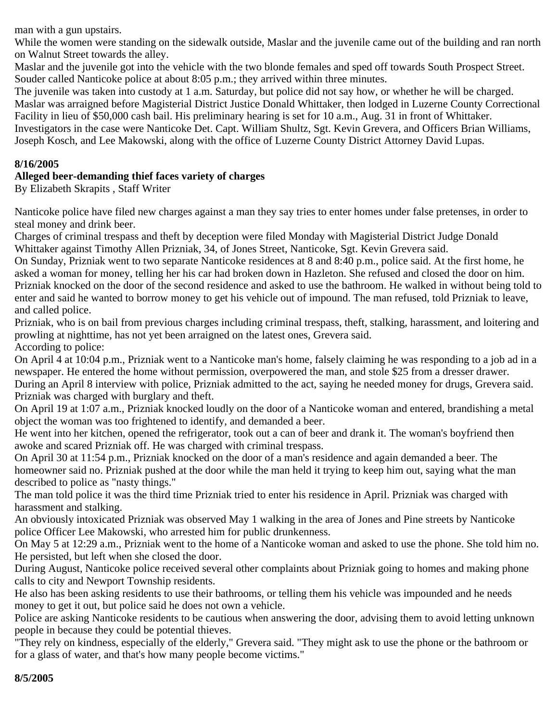man with a gun upstairs.

While the women were standing on the sidewalk outside, Maslar and the juvenile came out of the building and ran north on Walnut Street towards the alley.

Maslar and the juvenile got into the vehicle with the two blonde females and sped off towards South Prospect Street. Souder called Nanticoke police at about 8:05 p.m.; they arrived within three minutes.

The juvenile was taken into custody at 1 a.m. Saturday, but police did not say how, or whether he will be charged. Maslar was arraigned before Magisterial District Justice Donald Whittaker, then lodged in Luzerne County Correctional Facility in lieu of \$50,000 cash bail. His preliminary hearing is set for 10 a.m., Aug. 31 in front of Whittaker. Investigators in the case were Nanticoke Det. Capt. William Shultz, Sgt. Kevin Grevera, and Officers Brian Williams, Joseph Kosch, and Lee Makowski, along with the office of Luzerne County District Attorney David Lupas.

#### **8/16/2005**

#### **Alleged beer-demanding thief faces variety of charges**

By Elizabeth Skrapits , Staff Writer

Nanticoke police have filed new charges against a man they say tries to enter homes under false pretenses, in order to steal money and drink beer.

Charges of criminal trespass and theft by deception were filed Monday with Magisterial District Judge Donald Whittaker against Timothy Allen Prizniak, 34, of Jones Street, Nanticoke, Sgt. Kevin Grevera said.

On Sunday, Prizniak went to two separate Nanticoke residences at 8 and 8:40 p.m., police said. At the first home, he asked a woman for money, telling her his car had broken down in Hazleton. She refused and closed the door on him. Prizniak knocked on the door of the second residence and asked to use the bathroom. He walked in without being told to enter and said he wanted to borrow money to get his vehicle out of impound. The man refused, told Prizniak to leave, and called police.

Prizniak, who is on bail from previous charges including criminal trespass, theft, stalking, harassment, and loitering and prowling at nighttime, has not yet been arraigned on the latest ones, Grevera said. According to police:

On April 4 at 10:04 p.m., Prizniak went to a Nanticoke man's home, falsely claiming he was responding to a job ad in a newspaper. He entered the home without permission, overpowered the man, and stole \$25 from a dresser drawer. During an April 8 interview with police, Prizniak admitted to the act, saying he needed money for drugs, Grevera said. Prizniak was charged with burglary and theft.

On April 19 at 1:07 a.m., Prizniak knocked loudly on the door of a Nanticoke woman and entered, brandishing a metal object the woman was too frightened to identify, and demanded a beer.

He went into her kitchen, opened the refrigerator, took out a can of beer and drank it. The woman's boyfriend then awoke and scared Prizniak off. He was charged with criminal trespass.

On April 30 at 11:54 p.m., Prizniak knocked on the door of a man's residence and again demanded a beer. The homeowner said no. Prizniak pushed at the door while the man held it trying to keep him out, saying what the man described to police as "nasty things."

The man told police it was the third time Prizniak tried to enter his residence in April. Prizniak was charged with harassment and stalking.

An obviously intoxicated Prizniak was observed May 1 walking in the area of Jones and Pine streets by Nanticoke police Officer Lee Makowski, who arrested him for public drunkenness.

On May 5 at 12:29 a.m., Prizniak went to the home of a Nanticoke woman and asked to use the phone. She told him no. He persisted, but left when she closed the door.

During August, Nanticoke police received several other complaints about Prizniak going to homes and making phone calls to city and Newport Township residents.

He also has been asking residents to use their bathrooms, or telling them his vehicle was impounded and he needs money to get it out, but police said he does not own a vehicle.

Police are asking Nanticoke residents to be cautious when answering the door, advising them to avoid letting unknown people in because they could be potential thieves.

"They rely on kindness, especially of the elderly," Grevera said. "They might ask to use the phone or the bathroom or for a glass of water, and that's how many people become victims."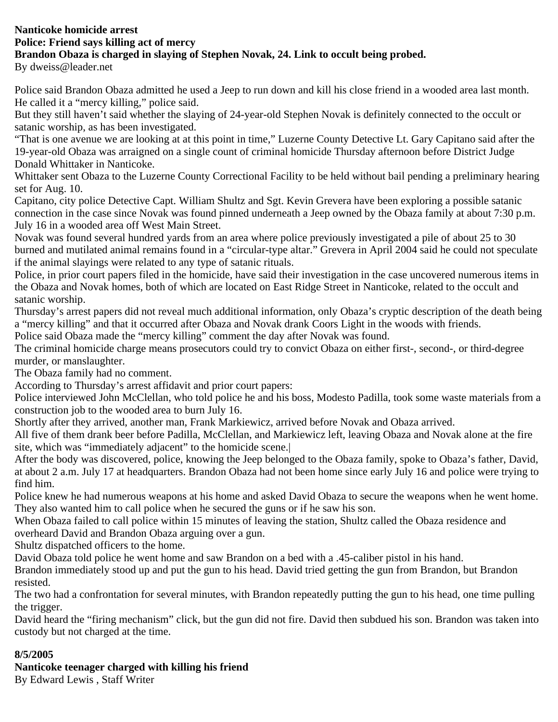# **Nanticoke homicide arrest Police: Friend says killing act of mercy Brandon Obaza is charged in slaying of Stephen Novak, 24. Link to occult being probed.**

By dweiss@leader.net

Police said Brandon Obaza admitted he used a Jeep to run down and kill his close friend in a wooded area last month. He called it a "mercy killing," police said.

But they still haven't said whether the slaying of 24-year-old Stephen Novak is definitely connected to the occult or satanic worship, as has been investigated.

"That is one avenue we are looking at at this point in time," Luzerne County Detective Lt. Gary Capitano said after the 19-year-old Obaza was arraigned on a single count of criminal homicide Thursday afternoon before District Judge Donald Whittaker in Nanticoke.

Whittaker sent Obaza to the Luzerne County Correctional Facility to be held without bail pending a preliminary hearing set for Aug. 10.

Capitano, city police Detective Capt. William Shultz and Sgt. Kevin Grevera have been exploring a possible satanic connection in the case since Novak was found pinned underneath a Jeep owned by the Obaza family at about 7:30 p.m. July 16 in a wooded area off West Main Street.

Novak was found several hundred yards from an area where police previously investigated a pile of about 25 to 30 burned and mutilated animal remains found in a "circular-type altar." Grevera in April 2004 said he could not speculate if the animal slayings were related to any type of satanic rituals.

Police, in prior court papers filed in the homicide, have said their investigation in the case uncovered numerous items in the Obaza and Novak homes, both of which are located on East Ridge Street in Nanticoke, related to the occult and satanic worship.

Thursday's arrest papers did not reveal much additional information, only Obaza's cryptic description of the death being a "mercy killing" and that it occurred after Obaza and Novak drank Coors Light in the woods with friends.

Police said Obaza made the "mercy killing" comment the day after Novak was found.

The criminal homicide charge means prosecutors could try to convict Obaza on either first-, second-, or third-degree murder, or manslaughter.

The Obaza family had no comment.

According to Thursday's arrest affidavit and prior court papers:

Police interviewed John McClellan, who told police he and his boss, Modesto Padilla, took some waste materials from a construction job to the wooded area to burn July 16.

Shortly after they arrived, another man, Frank Markiewicz, arrived before Novak and Obaza arrived.

All five of them drank beer before Padilla, McClellan, and Markiewicz left, leaving Obaza and Novak alone at the fire site, which was "immediately adjacent" to the homicide scene.|

After the body was discovered, police, knowing the Jeep belonged to the Obaza family, spoke to Obaza's father, David, at about 2 a.m. July 17 at headquarters. Brandon Obaza had not been home since early July 16 and police were trying to find him.

Police knew he had numerous weapons at his home and asked David Obaza to secure the weapons when he went home. They also wanted him to call police when he secured the guns or if he saw his son.

When Obaza failed to call police within 15 minutes of leaving the station, Shultz called the Obaza residence and overheard David and Brandon Obaza arguing over a gun.

Shultz dispatched officers to the home.

David Obaza told police he went home and saw Brandon on a bed with a .45-caliber pistol in his hand.

Brandon immediately stood up and put the gun to his head. David tried getting the gun from Brandon, but Brandon resisted.

The two had a confrontation for several minutes, with Brandon repeatedly putting the gun to his head, one time pulling the trigger.

David heard the "firing mechanism" click, but the gun did not fire. David then subdued his son. Brandon was taken into custody but not charged at the time.

#### **8/5/2005**

## **Nanticoke teenager charged with killing his friend**

By Edward Lewis , Staff Writer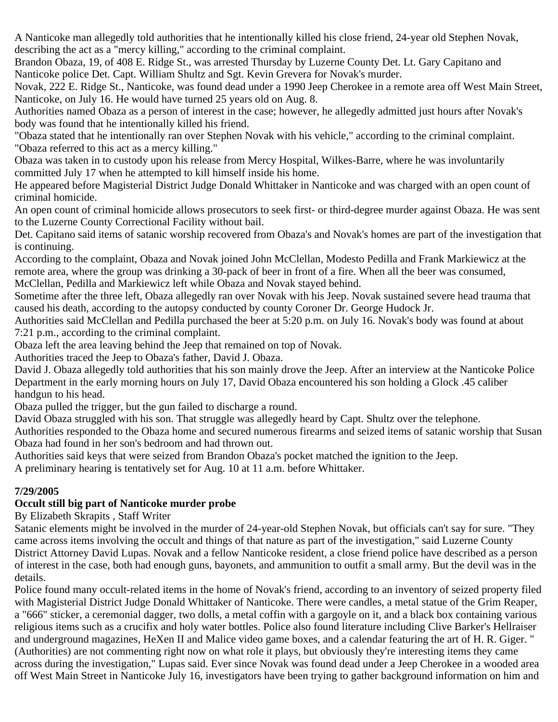A Nanticoke man allegedly told authorities that he intentionally killed his close friend, 24-year old Stephen Novak, describing the act as a "mercy killing," according to the criminal complaint.

Brandon Obaza, 19, of 408 E. Ridge St., was arrested Thursday by Luzerne County Det. Lt. Gary Capitano and Nanticoke police Det. Capt. William Shultz and Sgt. Kevin Grevera for Novak's murder.

Novak, 222 E. Ridge St., Nanticoke, was found dead under a 1990 Jeep Cherokee in a remote area off West Main Street, Nanticoke, on July 16. He would have turned 25 years old on Aug. 8.

Authorities named Obaza as a person of interest in the case; however, he allegedly admitted just hours after Novak's body was found that he intentionally killed his friend.

"Obaza stated that he intentionally ran over Stephen Novak with his vehicle," according to the criminal complaint. "Obaza referred to this act as a mercy killing."

Obaza was taken in to custody upon his release from Mercy Hospital, Wilkes-Barre, where he was involuntarily committed July 17 when he attempted to kill himself inside his home.

He appeared before Magisterial District Judge Donald Whittaker in Nanticoke and was charged with an open count of criminal homicide.

An open count of criminal homicide allows prosecutors to seek first- or third-degree murder against Obaza. He was sent to the Luzerne County Correctional Facility without bail.

Det. Capitano said items of satanic worship recovered from Obaza's and Novak's homes are part of the investigation that is continuing.

According to the complaint, Obaza and Novak joined John McClellan, Modesto Pedilla and Frank Markiewicz at the remote area, where the group was drinking a 30-pack of beer in front of a fire. When all the beer was consumed, McClellan, Pedilla and Markiewicz left while Obaza and Novak stayed behind.

Sometime after the three left, Obaza allegedly ran over Novak with his Jeep. Novak sustained severe head trauma that caused his death, according to the autopsy conducted by county Coroner Dr. George Hudock Jr.

Authorities said McClellan and Pedilla purchased the beer at 5:20 p.m. on July 16. Novak's body was found at about 7:21 p.m., according to the criminal complaint.

Obaza left the area leaving behind the Jeep that remained on top of Novak.

Authorities traced the Jeep to Obaza's father, David J. Obaza.

David J. Obaza allegedly told authorities that his son mainly drove the Jeep. After an interview at the Nanticoke Police Department in the early morning hours on July 17, David Obaza encountered his son holding a Glock .45 caliber handgun to his head.

Obaza pulled the trigger, but the gun failed to discharge a round.

David Obaza struggled with his son. That struggle was allegedly heard by Capt. Shultz over the telephone.

Authorities responded to the Obaza home and secured numerous firearms and seized items of satanic worship that Susan Obaza had found in her son's bedroom and had thrown out.

Authorities said keys that were seized from Brandon Obaza's pocket matched the ignition to the Jeep.

A preliminary hearing is tentatively set for Aug. 10 at 11 a.m. before Whittaker.

#### **7/29/2005**

#### **Occult still big part of Nanticoke murder probe**

By Elizabeth Skrapits , Staff Writer

Satanic elements might be involved in the murder of 24-year-old Stephen Novak, but officials can't say for sure. "They came across items involving the occult and things of that nature as part of the investigation," said Luzerne County District Attorney David Lupas. Novak and a fellow Nanticoke resident, a close friend police have described as a person of interest in the case, both had enough guns, bayonets, and ammunition to outfit a small army. But the devil was in the details.

Police found many occult-related items in the home of Novak's friend, according to an inventory of seized property filed with Magisterial District Judge Donald Whittaker of Nanticoke. There were candles, a metal statue of the Grim Reaper, a "666" sticker, a ceremonial dagger, two dolls, a metal coffin with a gargoyle on it, and a black box containing various religious items such as a crucifix and holy water bottles. Police also found literature including Clive Barker's Hellraiser and underground magazines, HeXen II and Malice video game boxes, and a calendar featuring the art of H. R. Giger. " (Authorities) are not commenting right now on what role it plays, but obviously they're interesting items they came across during the investigation," Lupas said. Ever since Novak was found dead under a Jeep Cherokee in a wooded area off West Main Street in Nanticoke July 16, investigators have been trying to gather background information on him and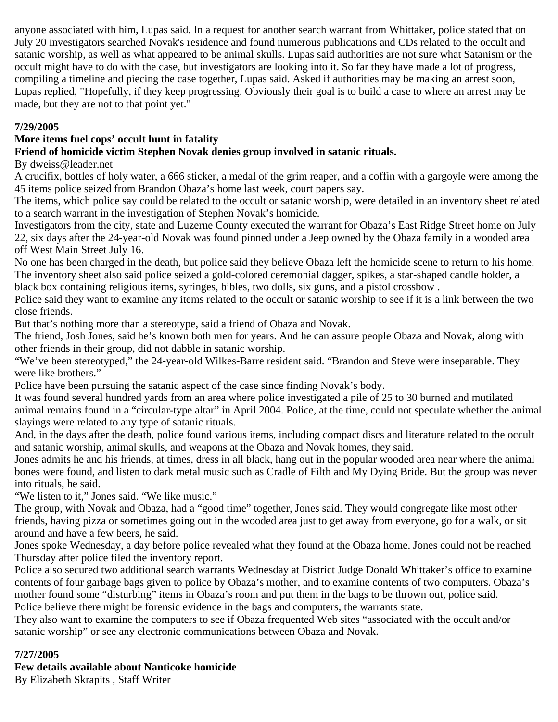anyone associated with him, Lupas said. In a request for another search warrant from Whittaker, police stated that on July 20 investigators searched Novak's residence and found numerous publications and CDs related to the occult and satanic worship, as well as what appeared to be animal skulls. Lupas said authorities are not sure what Satanism or the occult might have to do with the case, but investigators are looking into it. So far they have made a lot of progress, compiling a timeline and piecing the case together, Lupas said. Asked if authorities may be making an arrest soon, Lupas replied, "Hopefully, if they keep progressing. Obviously their goal is to build a case to where an arrest may be made, but they are not to that point yet."

#### **7/29/2005**

## **More items fuel cops' occult hunt in fatality**

## **Friend of homicide victim Stephen Novak denies group involved in satanic rituals.**

#### By dweiss@leader.net

A crucifix, bottles of holy water, a 666 sticker, a medal of the grim reaper, and a coffin with a gargoyle were among the 45 items police seized from Brandon Obaza's home last week, court papers say.

The items, which police say could be related to the occult or satanic worship, were detailed in an inventory sheet related to a search warrant in the investigation of Stephen Novak's homicide.

Investigators from the city, state and Luzerne County executed the warrant for Obaza's East Ridge Street home on July 22, six days after the 24-year-old Novak was found pinned under a Jeep owned by the Obaza family in a wooded area off West Main Street July 16.

No one has been charged in the death, but police said they believe Obaza left the homicide scene to return to his home. The inventory sheet also said police seized a gold-colored ceremonial dagger, spikes, a star-shaped candle holder, a black box containing religious items, syringes, bibles, two dolls, six guns, and a pistol crossbow .

Police said they want to examine any items related to the occult or satanic worship to see if it is a link between the two close friends.

But that's nothing more than a stereotype, said a friend of Obaza and Novak.

The friend, Josh Jones, said he's known both men for years. And he can assure people Obaza and Novak, along with other friends in their group, did not dabble in satanic worship.

"We've been stereotyped," the 24-year-old Wilkes-Barre resident said. "Brandon and Steve were inseparable. They were like brothers."

Police have been pursuing the satanic aspect of the case since finding Novak's body.

It was found several hundred yards from an area where police investigated a pile of 25 to 30 burned and mutilated animal remains found in a "circular-type altar" in April 2004. Police, at the time, could not speculate whether the animal slayings were related to any type of satanic rituals.

And, in the days after the death, police found various items, including compact discs and literature related to the occult and satanic worship, animal skulls, and weapons at the Obaza and Novak homes, they said.

Jones admits he and his friends, at times, dress in all black, hang out in the popular wooded area near where the animal bones were found, and listen to dark metal music such as Cradle of Filth and My Dying Bride. But the group was never into rituals, he said.

"We listen to it," Jones said. "We like music."

The group, with Novak and Obaza, had a "good time" together, Jones said. They would congregate like most other friends, having pizza or sometimes going out in the wooded area just to get away from everyone, go for a walk, or sit around and have a few beers, he said.

Jones spoke Wednesday, a day before police revealed what they found at the Obaza home. Jones could not be reached Thursday after police filed the inventory report.

Police also secured two additional search warrants Wednesday at District Judge Donald Whittaker's office to examine contents of four garbage bags given to police by Obaza's mother, and to examine contents of two computers. Obaza's mother found some "disturbing" items in Obaza's room and put them in the bags to be thrown out, police said. Police believe there might be forensic evidence in the bags and computers, the warrants state.

They also want to examine the computers to see if Obaza frequented Web sites "associated with the occult and/or

satanic worship" or see any electronic communications between Obaza and Novak.

## **7/27/2005**

## **Few details available about Nanticoke homicide**

By Elizabeth Skrapits , Staff Writer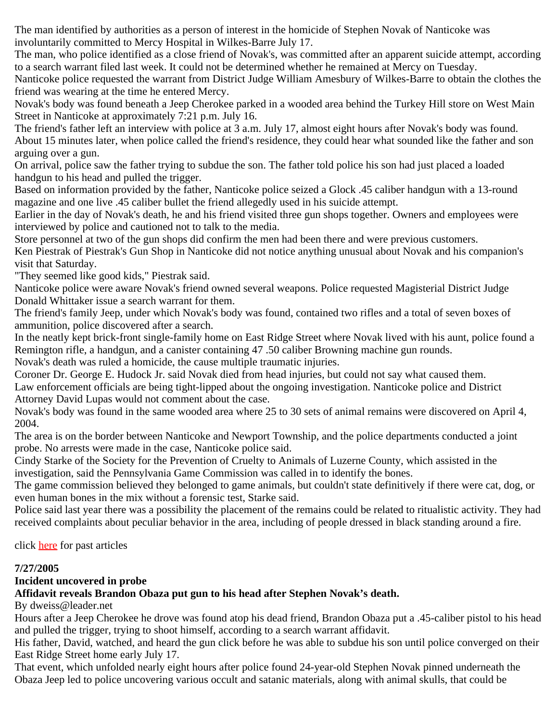The man identified by authorities as a person of interest in the homicide of Stephen Novak of Nanticoke was involuntarily committed to Mercy Hospital in Wilkes-Barre July 17.

The man, who police identified as a close friend of Novak's, was committed after an apparent suicide attempt, according to a search warrant filed last week. It could not be determined whether he remained at Mercy on Tuesday.

Nanticoke police requested the warrant from District Judge William Amesbury of Wilkes-Barre to obtain the clothes the friend was wearing at the time he entered Mercy.

Novak's body was found beneath a Jeep Cherokee parked in a wooded area behind the Turkey Hill store on West Main Street in Nanticoke at approximately 7:21 p.m. July 16.

The friend's father left an interview with police at 3 a.m. July 17, almost eight hours after Novak's body was found. About 15 minutes later, when police called the friend's residence, they could hear what sounded like the father and son arguing over a gun.

On arrival, police saw the father trying to subdue the son. The father told police his son had just placed a loaded handgun to his head and pulled the trigger.

Based on information provided by the father, Nanticoke police seized a Glock .45 caliber handgun with a 13-round magazine and one live .45 caliber bullet the friend allegedly used in his suicide attempt.

Earlier in the day of Novak's death, he and his friend visited three gun shops together. Owners and employees were interviewed by police and cautioned not to talk to the media.

Store personnel at two of the gun shops did confirm the men had been there and were previous customers. Ken Piestrak of Piestrak's Gun Shop in Nanticoke did not notice anything unusual about Novak and his companion's visit that Saturday.

"They seemed like good kids," Piestrak said.

Nanticoke police were aware Novak's friend owned several weapons. Police requested Magisterial District Judge Donald Whittaker issue a search warrant for them.

The friend's family Jeep, under which Novak's body was found, contained two rifles and a total of seven boxes of ammunition, police discovered after a search.

In the neatly kept brick-front single-family home on East Ridge Street where Novak lived with his aunt, police found a Remington rifle, a handgun, and a canister containing 47 .50 caliber Browning machine gun rounds.

Novak's death was ruled a homicide, the cause multiple traumatic injuries.

Coroner Dr. George E. Hudock Jr. said Novak died from head injuries, but could not say what caused them. Law enforcement officials are being tight-lipped about the ongoing investigation. Nanticoke police and District Attorney David Lupas would not comment about the case.

Novak's body was found in the same wooded area where 25 to 30 sets of animal remains were discovered on April 4, 2004.

The area is on the border between Nanticoke and Newport Township, and the police departments conducted a joint probe. No arrests were made in the case, Nanticoke police said.

Cindy Starke of the Society for the Prevention of Cruelty to Animals of Luzerne County, which assisted in the investigation, said the Pennsylvania Game Commission was called in to identify the bones.

The game commission believed they belonged to game animals, but couldn't state definitively if there were cat, dog, or even human bones in the mix without a forensic test, Starke said.

Police said last year there was a possibility the placement of the remains could be related to ritualistic activity. They had received complaints about peculiar behavior in the area, including of people dressed in black standing around a fire.

click [here](http://nanticokecity.com/npdnews.htm#2004) for past articles

## **7/27/2005**

## **Incident uncovered in probe**

## **Affidavit reveals Brandon Obaza put gun to his head after Stephen Novak's death.**

By dweiss@leader.net

Hours after a Jeep Cherokee he drove was found atop his dead friend, Brandon Obaza put a .45-caliber pistol to his head and pulled the trigger, trying to shoot himself, according to a search warrant affidavit.

His father, David, watched, and heard the gun click before he was able to subdue his son until police converged on their East Ridge Street home early July 17.

That event, which unfolded nearly eight hours after police found 24-year-old Stephen Novak pinned underneath the Obaza Jeep led to police uncovering various occult and satanic materials, along with animal skulls, that could be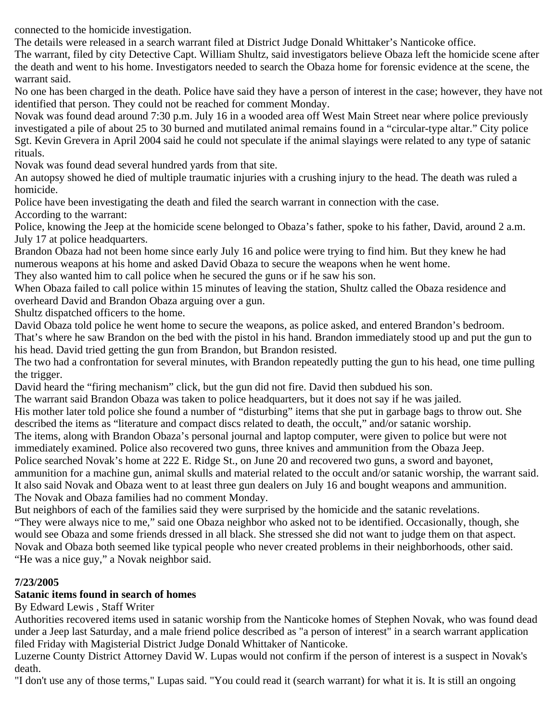connected to the homicide investigation.

The details were released in a search warrant filed at District Judge Donald Whittaker's Nanticoke office.

The warrant, filed by city Detective Capt. William Shultz, said investigators believe Obaza left the homicide scene after the death and went to his home. Investigators needed to search the Obaza home for forensic evidence at the scene, the warrant said.

No one has been charged in the death. Police have said they have a person of interest in the case; however, they have not identified that person. They could not be reached for comment Monday.

Novak was found dead around 7:30 p.m. July 16 in a wooded area off West Main Street near where police previously investigated a pile of about 25 to 30 burned and mutilated animal remains found in a "circular-type altar." City police Sgt. Kevin Grevera in April 2004 said he could not speculate if the animal slayings were related to any type of satanic rituals.

Novak was found dead several hundred yards from that site.

An autopsy showed he died of multiple traumatic injuries with a crushing injury to the head. The death was ruled a homicide.

Police have been investigating the death and filed the search warrant in connection with the case.

According to the warrant:

Police, knowing the Jeep at the homicide scene belonged to Obaza's father, spoke to his father, David, around 2 a.m. July 17 at police headquarters.

Brandon Obaza had not been home since early July 16 and police were trying to find him. But they knew he had numerous weapons at his home and asked David Obaza to secure the weapons when he went home.

They also wanted him to call police when he secured the guns or if he saw his son.

When Obaza failed to call police within 15 minutes of leaving the station, Shultz called the Obaza residence and overheard David and Brandon Obaza arguing over a gun.

Shultz dispatched officers to the home.

David Obaza told police he went home to secure the weapons, as police asked, and entered Brandon's bedroom.

That's where he saw Brandon on the bed with the pistol in his hand. Brandon immediately stood up and put the gun to his head. David tried getting the gun from Brandon, but Brandon resisted.

The two had a confrontation for several minutes, with Brandon repeatedly putting the gun to his head, one time pulling the trigger.

David heard the "firing mechanism" click, but the gun did not fire. David then subdued his son.

The warrant said Brandon Obaza was taken to police headquarters, but it does not say if he was jailed.

His mother later told police she found a number of "disturbing" items that she put in garbage bags to throw out. She described the items as "literature and compact discs related to death, the occult," and/or satanic worship.

The items, along with Brandon Obaza's personal journal and laptop computer, were given to police but were not immediately examined. Police also recovered two guns, three knives and ammunition from the Obaza Jeep.

Police searched Novak's home at 222 E. Ridge St., on June 20 and recovered two guns, a sword and bayonet,

ammunition for a machine gun, animal skulls and material related to the occult and/or satanic worship, the warrant said. It also said Novak and Obaza went to at least three gun dealers on July 16 and bought weapons and ammunition. The Novak and Obaza families had no comment Monday.

But neighbors of each of the families said they were surprised by the homicide and the satanic revelations. "They were always nice to me," said one Obaza neighbor who asked not to be identified. Occasionally, though, she would see Obaza and some friends dressed in all black. She stressed she did not want to judge them on that aspect. Novak and Obaza both seemed like typical people who never created problems in their neighborhoods, other said. "He was a nice guy," a Novak neighbor said.

## **7/23/2005**

## **Satanic items found in search of homes**

By Edward Lewis , Staff Writer

Authorities recovered items used in satanic worship from the Nanticoke homes of Stephen Novak, who was found dead under a Jeep last Saturday, and a male friend police described as "a person of interest" in a search warrant application filed Friday with Magisterial District Judge Donald Whittaker of Nanticoke.

Luzerne County District Attorney David W. Lupas would not confirm if the person of interest is a suspect in Novak's death.

"I don't use any of those terms," Lupas said. "You could read it (search warrant) for what it is. It is still an ongoing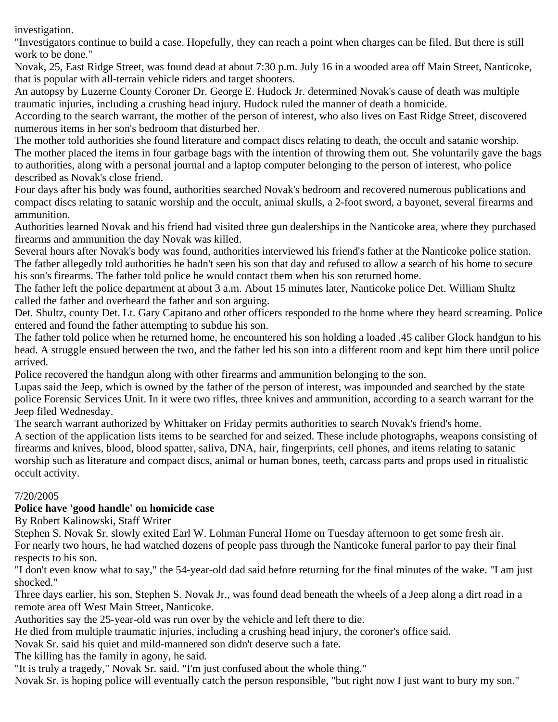investigation.

"Investigators continue to build a case. Hopefully, they can reach a point when charges can be filed. But there is still work to be done."

Novak, 25, East Ridge Street, was found dead at about 7:30 p.m. July 16 in a wooded area off Main Street, Nanticoke, that is popular with all-terrain vehicle riders and target shooters.

An autopsy by Luzerne County Coroner Dr. George E. Hudock Jr. determined Novak's cause of death was multiple traumatic injuries, including a crushing head injury. Hudock ruled the manner of death a homicide.

According to the search warrant, the mother of the person of interest, who also lives on East Ridge Street, discovered numerous items in her son's bedroom that disturbed her.

The mother told authorities she found literature and compact discs relating to death, the occult and satanic worship. The mother placed the items in four garbage bags with the intention of throwing them out. She voluntarily gave the bags to authorities, along with a personal journal and a laptop computer belonging to the person of interest, who police described as Novak's close friend.

Four days after his body was found, authorities searched Novak's bedroom and recovered numerous publications and compact discs relating to satanic worship and the occult, animal skulls, a 2-foot sword, a bayonet, several firearms and ammunition.

Authorities learned Novak and his friend had visited three gun dealerships in the Nanticoke area, where they purchased firearms and ammunition the day Novak was killed.

Several hours after Novak's body was found, authorities interviewed his friend's father at the Nanticoke police station. The father allegedly told authorities he hadn't seen his son that day and refused to allow a search of his home to secure his son's firearms. The father told police he would contact them when his son returned home.

The father left the police department at about 3 a.m. About 15 minutes later, Nanticoke police Det. William Shultz called the father and overheard the father and son arguing.

Det. Shultz, county Det. Lt. Gary Capitano and other officers responded to the home where they heard screaming. Police entered and found the father attempting to subdue his son.

The father told police when he returned home, he encountered his son holding a loaded .45 caliber Glock handgun to his head. A struggle ensued between the two, and the father led his son into a different room and kept him there until police arrived.

Police recovered the handgun along with other firearms and ammunition belonging to the son.

Lupas said the Jeep, which is owned by the father of the person of interest, was impounded and searched by the state police Forensic Services Unit. In it were two rifles, three knives and ammunition, according to a search warrant for the Jeep filed Wednesday.

The search warrant authorized by Whittaker on Friday permits authorities to search Novak's friend's home.

A section of the application lists items to be searched for and seized. These include photographs, weapons consisting of firearms and knives, blood, blood spatter, saliva, DNA, hair, fingerprints, cell phones, and items relating to satanic worship such as literature and compact discs, animal or human bones, teeth, carcass parts and props used in ritualistic occult activity.

## 7/20/2005

## **Police have 'good handle' on homicide case**

By Robert Kalinowski, Staff Writer

Stephen S. Novak Sr. slowly exited Earl W. Lohman Funeral Home on Tuesday afternoon to get some fresh air. For nearly two hours, he had watched dozens of people pass through the Nanticoke funeral parlor to pay their final respects to his son.

"I don't even know what to say," the 54-year-old dad said before returning for the final minutes of the wake. "I am just shocked."

Three days earlier, his son, Stephen S. Novak Jr., was found dead beneath the wheels of a Jeep along a dirt road in a remote area off West Main Street, Nanticoke.

Authorities say the 25-year-old was run over by the vehicle and left there to die.

He died from multiple traumatic injuries, including a crushing head injury, the coroner's office said.

Novak Sr. said his quiet and mild-mannered son didn't deserve such a fate.

The killing has the family in agony, he said.

"It is truly a tragedy," Novak Sr. said. "I'm just confused about the whole thing."

Novak Sr. is hoping police will eventually catch the person responsible, "but right now I just want to bury my son."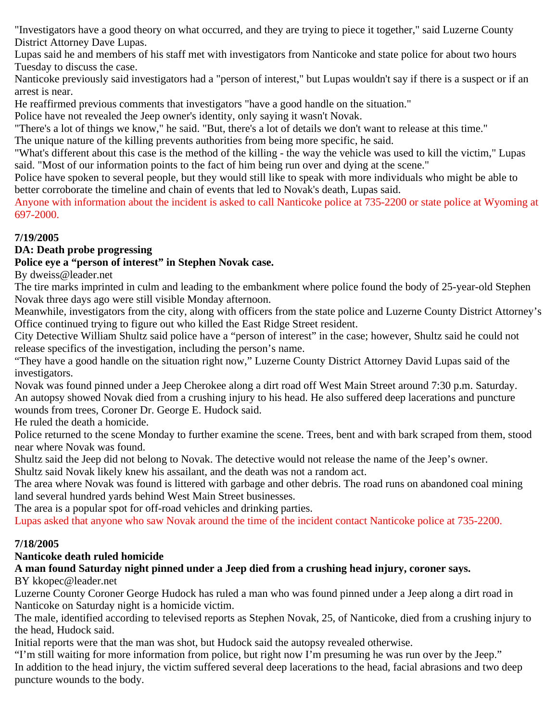"Investigators have a good theory on what occurred, and they are trying to piece it together," said Luzerne County District Attorney Dave Lupas.

Lupas said he and members of his staff met with investigators from Nanticoke and state police for about two hours Tuesday to discuss the case.

Nanticoke previously said investigators had a "person of interest," but Lupas wouldn't say if there is a suspect or if an arrest is near.

He reaffirmed previous comments that investigators "have a good handle on the situation."

Police have not revealed the Jeep owner's identity, only saying it wasn't Novak.

"There's a lot of things we know," he said. "But, there's a lot of details we don't want to release at this time."

The unique nature of the killing prevents authorities from being more specific, he said.

"What's different about this case is the method of the killing - the way the vehicle was used to kill the victim," Lupas said. "Most of our information points to the fact of him being run over and dying at the scene."

Police have spoken to several people, but they would still like to speak with more individuals who might be able to better corroborate the timeline and chain of events that led to Novak's death, Lupas said.

Anyone with information about the incident is asked to call Nanticoke police at 735-2200 or state police at Wyoming at 697-2000.

## **7/19/2005**

#### **DA: Death probe progressing**

## **Police eye a "person of interest" in Stephen Novak case.**

By dweiss@leader.net

The tire marks imprinted in culm and leading to the embankment where police found the body of 25-year-old Stephen Novak three days ago were still visible Monday afternoon.

Meanwhile, investigators from the city, along with officers from the state police and Luzerne County District Attorney's Office continued trying to figure out who killed the East Ridge Street resident.

City Detective William Shultz said police have a "person of interest" in the case; however, Shultz said he could not release specifics of the investigation, including the person's name.

"They have a good handle on the situation right now," Luzerne County District Attorney David Lupas said of the investigators.

Novak was found pinned under a Jeep Cherokee along a dirt road off West Main Street around 7:30 p.m. Saturday. An autopsy showed Novak died from a crushing injury to his head. He also suffered deep lacerations and puncture wounds from trees, Coroner Dr. George E. Hudock said.

He ruled the death a homicide.

Police returned to the scene Monday to further examine the scene. Trees, bent and with bark scraped from them, stood near where Novak was found.

Shultz said the Jeep did not belong to Novak. The detective would not release the name of the Jeep's owner.

Shultz said Novak likely knew his assailant, and the death was not a random act.

The area where Novak was found is littered with garbage and other debris. The road runs on abandoned coal mining land several hundred yards behind West Main Street businesses.

The area is a popular spot for off-road vehicles and drinking parties.

Lupas asked that anyone who saw Novak around the time of the incident contact Nanticoke police at 735-2200.

## **7/18/2005**

## **Nanticoke death ruled homicide**

# **A man found Saturday night pinned under a Jeep died from a crushing head injury, coroner says.**

#### BY kkopec@leader.net

Luzerne County Coroner George Hudock has ruled a man who was found pinned under a Jeep along a dirt road in Nanticoke on Saturday night is a homicide victim.

The male, identified according to televised reports as Stephen Novak, 25, of Nanticoke, died from a crushing injury to the head, Hudock said.

Initial reports were that the man was shot, but Hudock said the autopsy revealed otherwise.

"I'm still waiting for more information from police, but right now I'm presuming he was run over by the Jeep." In addition to the head injury, the victim suffered several deep lacerations to the head, facial abrasions and two deep puncture wounds to the body.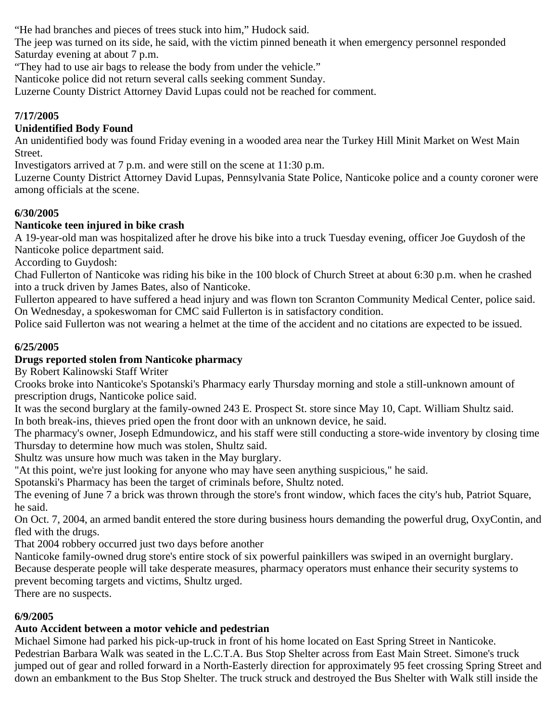"He had branches and pieces of trees stuck into him," Hudock said.

The jeep was turned on its side, he said, with the victim pinned beneath it when emergency personnel responded Saturday evening at about 7 p.m.

"They had to use air bags to release the body from under the vehicle."

Nanticoke police did not return several calls seeking comment Sunday.

Luzerne County District Attorney David Lupas could not be reached for comment.

## **7/17/2005**

## **Unidentified Body Found**

An unidentified body was found Friday evening in a wooded area near the Turkey Hill Minit Market on West Main Street.

Investigators arrived at 7 p.m. and were still on the scene at 11:30 p.m.

Luzerne County District Attorney David Lupas, Pennsylvania State Police, Nanticoke police and a county coroner were among officials at the scene.

## **6/30/2005**

## **Nanticoke teen injured in bike crash**

A 19-year-old man was hospitalized after he drove his bike into a truck Tuesday evening, officer Joe Guydosh of the Nanticoke police department said.

According to Guydosh:

Chad Fullerton of Nanticoke was riding his bike in the 100 block of Church Street at about 6:30 p.m. when he crashed into a truck driven by James Bates, also of Nanticoke.

Fullerton appeared to have suffered a head injury and was flown ton Scranton Community Medical Center, police said. On Wednesday, a spokeswoman for CMC said Fullerton is in satisfactory condition.

Police said Fullerton was not wearing a helmet at the time of the accident and no citations are expected to be issued.

## **6/25/2005**

## **Drugs reported stolen from Nanticoke pharmacy**

By Robert Kalinowski Staff Writer

Crooks broke into Nanticoke's Spotanski's Pharmacy early Thursday morning and stole a still-unknown amount of prescription drugs, Nanticoke police said.

It was the second burglary at the family-owned 243 E. Prospect St. store since May 10, Capt. William Shultz said. In both break-ins, thieves pried open the front door with an unknown device, he said.

The pharmacy's owner, Joseph Edmundowicz, and his staff were still conducting a store-wide inventory by closing time Thursday to determine how much was stolen, Shultz said.

Shultz was unsure how much was taken in the May burglary.

"At this point, we're just looking for anyone who may have seen anything suspicious," he said.

Spotanski's Pharmacy has been the target of criminals before, Shultz noted.

The evening of June 7 a brick was thrown through the store's front window, which faces the city's hub, Patriot Square, he said.

On Oct. 7, 2004, an armed bandit entered the store during business hours demanding the powerful drug, OxyContin, and fled with the drugs.

That 2004 robbery occurred just two days before another

Nanticoke family-owned drug store's entire stock of six powerful painkillers was swiped in an overnight burglary. Because desperate people will take desperate measures, pharmacy operators must enhance their security systems to prevent becoming targets and victims, Shultz urged.

There are no suspects.

## **6/9/2005**

## **Auto Accident between a motor vehicle and pedestrian**

Michael Simone had parked his pick-up-truck in front of his home located on East Spring Street in Nanticoke. Pedestrian Barbara Walk was seated in the L.C.T.A. Bus Stop Shelter across from East Main Street. Simone's truck jumped out of gear and rolled forward in a North-Easterly direction for approximately 95 feet crossing Spring Street and down an embankment to the Bus Stop Shelter. The truck struck and destroyed the Bus Shelter with Walk still inside the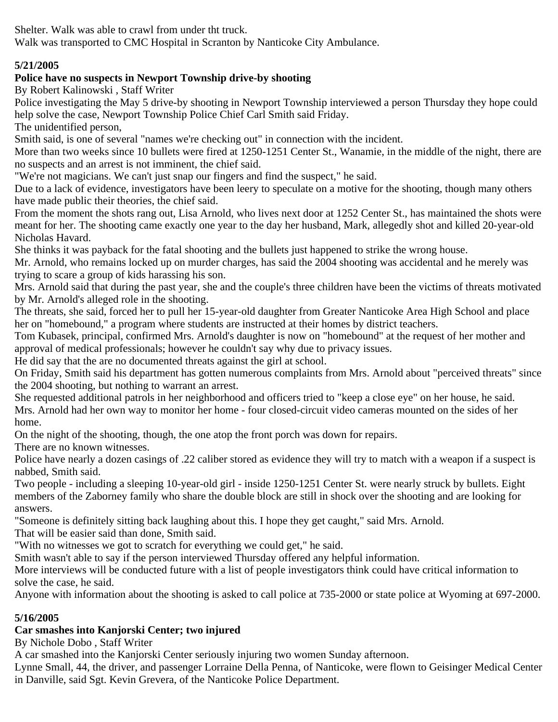Shelter. Walk was able to crawl from under tht truck.

Walk was transported to CMC Hospital in Scranton by Nanticoke City Ambulance.

# **5/21/2005**

# **Police have no suspects in Newport Township drive-by shooting**

By Robert Kalinowski , Staff Writer

Police investigating the May 5 drive-by shooting in Newport Township interviewed a person Thursday they hope could help solve the case, Newport Township Police Chief Carl Smith said Friday.

The unidentified person,

Smith said, is one of several "names we're checking out" in connection with the incident.

More than two weeks since 10 bullets were fired at 1250-1251 Center St., Wanamie, in the middle of the night, there are no suspects and an arrest is not imminent, the chief said.

"We're not magicians. We can't just snap our fingers and find the suspect," he said.

Due to a lack of evidence, investigators have been leery to speculate on a motive for the shooting, though many others have made public their theories, the chief said.

From the moment the shots rang out, Lisa Arnold, who lives next door at 1252 Center St., has maintained the shots were meant for her. The shooting came exactly one year to the day her husband, Mark, allegedly shot and killed 20-year-old Nicholas Havard.

She thinks it was payback for the fatal shooting and the bullets just happened to strike the wrong house.

Mr. Arnold, who remains locked up on murder charges, has said the 2004 shooting was accidental and he merely was trying to scare a group of kids harassing his son.

Mrs. Arnold said that during the past year, she and the couple's three children have been the victims of threats motivated by Mr. Arnold's alleged role in the shooting.

The threats, she said, forced her to pull her 15-year-old daughter from Greater Nanticoke Area High School and place her on "homebound," a program where students are instructed at their homes by district teachers.

Tom Kubasek, principal, confirmed Mrs. Arnold's daughter is now on "homebound" at the request of her mother and approval of medical professionals; however he couldn't say why due to privacy issues.

He did say that the are no documented threats against the girl at school.

On Friday, Smith said his department has gotten numerous complaints from Mrs. Arnold about "perceived threats" since the 2004 shooting, but nothing to warrant an arrest.

She requested additional patrols in her neighborhood and officers tried to "keep a close eye" on her house, he said. Mrs. Arnold had her own way to monitor her home - four closed-circuit video cameras mounted on the sides of her home.

On the night of the shooting, though, the one atop the front porch was down for repairs.

There are no known witnesses.

Police have nearly a dozen casings of .22 caliber stored as evidence they will try to match with a weapon if a suspect is nabbed, Smith said.

Two people - including a sleeping 10-year-old girl - inside 1250-1251 Center St. were nearly struck by bullets. Eight members of the Zaborney family who share the double block are still in shock over the shooting and are looking for answers.

"Someone is definitely sitting back laughing about this. I hope they get caught," said Mrs. Arnold.

That will be easier said than done, Smith said.

"With no witnesses we got to scratch for everything we could get," he said.

Smith wasn't able to say if the person interviewed Thursday offered any helpful information.

More interviews will be conducted future with a list of people investigators think could have critical information to solve the case, he said.

Anyone with information about the shooting is asked to call police at 735-2000 or state police at Wyoming at 697-2000.

## **5/16/2005**

## **Car smashes into Kanjorski Center; two injured**

By Nichole Dobo , Staff Writer

A car smashed into the Kanjorski Center seriously injuring two women Sunday afternoon.

Lynne Small, 44, the driver, and passenger Lorraine Della Penna, of Nanticoke, were flown to Geisinger Medical Center in Danville, said Sgt. Kevin Grevera, of the Nanticoke Police Department.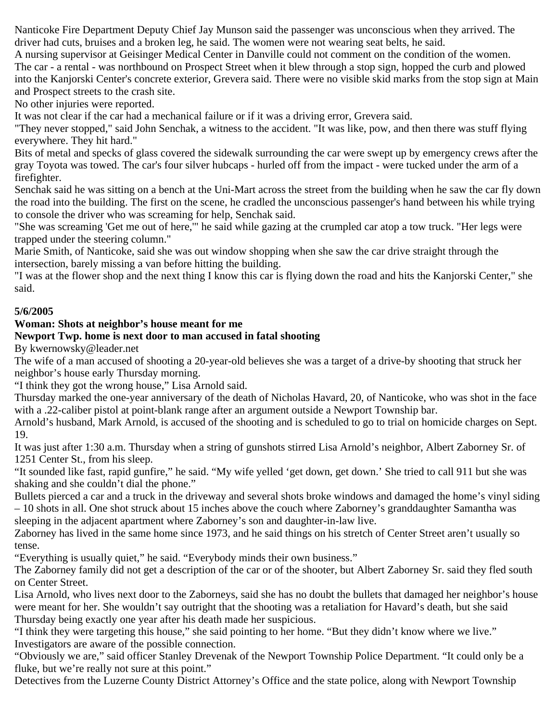Nanticoke Fire Department Deputy Chief Jay Munson said the passenger was unconscious when they arrived. The driver had cuts, bruises and a broken leg, he said. The women were not wearing seat belts, he said.

A nursing supervisor at Geisinger Medical Center in Danville could not comment on the condition of the women. The car - a rental - was northbound on Prospect Street when it blew through a stop sign, hopped the curb and plowed into the Kanjorski Center's concrete exterior, Grevera said. There were no visible skid marks from the stop sign at Main and Prospect streets to the crash site.

No other injuries were reported.

It was not clear if the car had a mechanical failure or if it was a driving error, Grevera said.

"They never stopped," said John Senchak, a witness to the accident. "It was like, pow, and then there was stuff flying everywhere. They hit hard."

Bits of metal and specks of glass covered the sidewalk surrounding the car were swept up by emergency crews after the gray Toyota was towed. The car's four silver hubcaps - hurled off from the impact - were tucked under the arm of a firefighter.

Senchak said he was sitting on a bench at the Uni-Mart across the street from the building when he saw the car fly down the road into the building. The first on the scene, he cradled the unconscious passenger's hand between his while trying to console the driver who was screaming for help, Senchak said.

"She was screaming 'Get me out of here,'" he said while gazing at the crumpled car atop a tow truck. "Her legs were trapped under the steering column."

Marie Smith, of Nanticoke, said she was out window shopping when she saw the car drive straight through the intersection, barely missing a van before hitting the building.

"I was at the flower shop and the next thing I know this car is flying down the road and hits the Kanjorski Center," she said.

#### **5/6/2005**

#### **Woman: Shots at neighbor's house meant for me**

#### **Newport Twp. home is next door to man accused in fatal shooting**

By kwernowsky@leader.net

The wife of a man accused of shooting a 20-year-old believes she was a target of a drive-by shooting that struck her neighbor's house early Thursday morning.

"I think they got the wrong house," Lisa Arnold said.

Thursday marked the one-year anniversary of the death of Nicholas Havard, 20, of Nanticoke, who was shot in the face with a .22-caliber pistol at point-blank range after an argument outside a Newport Township bar.

Arnold's husband, Mark Arnold, is accused of the shooting and is scheduled to go to trial on homicide charges on Sept. 19.

It was just after 1:30 a.m. Thursday when a string of gunshots stirred Lisa Arnold's neighbor, Albert Zaborney Sr. of 1251 Center St., from his sleep.

"It sounded like fast, rapid gunfire," he said. "My wife yelled 'get down, get down.' She tried to call 911 but she was shaking and she couldn't dial the phone."

Bullets pierced a car and a truck in the driveway and several shots broke windows and damaged the home's vinyl siding – 10 shots in all. One shot struck about 15 inches above the couch where Zaborney's granddaughter Samantha was sleeping in the adjacent apartment where Zaborney's son and daughter-in-law live.

Zaborney has lived in the same home since 1973, and he said things on his stretch of Center Street aren't usually so tense.

"Everything is usually quiet," he said. "Everybody minds their own business."

The Zaborney family did not get a description of the car or of the shooter, but Albert Zaborney Sr. said they fled south on Center Street.

Lisa Arnold, who lives next door to the Zaborneys, said she has no doubt the bullets that damaged her neighbor's house were meant for her. She wouldn't say outright that the shooting was a retaliation for Havard's death, but she said Thursday being exactly one year after his death made her suspicious.

"I think they were targeting this house," she said pointing to her home. "But they didn't know where we live." Investigators are aware of the possible connection.

"Obviously we are," said officer Stanley Drevenak of the Newport Township Police Department. "It could only be a fluke, but we're really not sure at this point."

Detectives from the Luzerne County District Attorney's Office and the state police, along with Newport Township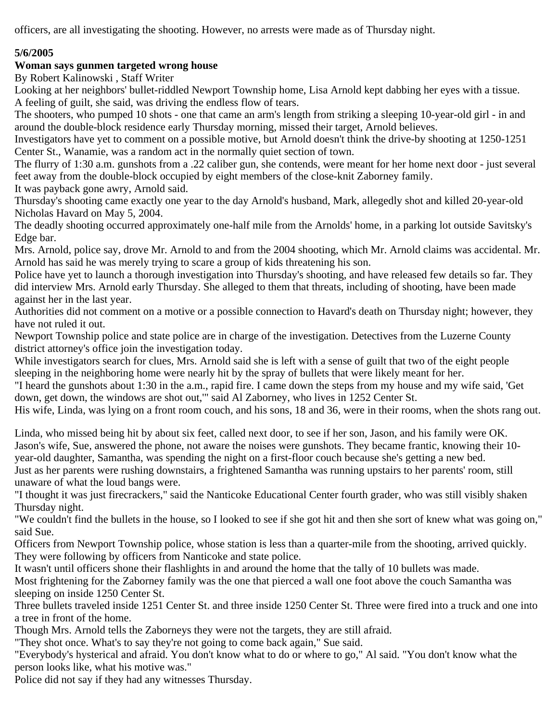officers, are all investigating the shooting. However, no arrests were made as of Thursday night.

## **5/6/2005**

## **Woman says gunmen targeted wrong house**

By Robert Kalinowski , Staff Writer

Looking at her neighbors' bullet-riddled Newport Township home, Lisa Arnold kept dabbing her eyes with a tissue. A feeling of guilt, she said, was driving the endless flow of tears.

The shooters, who pumped 10 shots - one that came an arm's length from striking a sleeping 10-year-old girl - in and around the double-block residence early Thursday morning, missed their target, Arnold believes.

Investigators have yet to comment on a possible motive, but Arnold doesn't think the drive-by shooting at 1250-1251 Center St., Wanamie, was a random act in the normally quiet section of town.

The flurry of 1:30 a.m. gunshots from a .22 caliber gun, she contends, were meant for her home next door - just several feet away from the double-block occupied by eight members of the close-knit Zaborney family.

It was payback gone awry, Arnold said.

Thursday's shooting came exactly one year to the day Arnold's husband, Mark, allegedly shot and killed 20-year-old Nicholas Havard on May 5, 2004.

The deadly shooting occurred approximately one-half mile from the Arnolds' home, in a parking lot outside Savitsky's Edge bar.

Mrs. Arnold, police say, drove Mr. Arnold to and from the 2004 shooting, which Mr. Arnold claims was accidental. Mr. Arnold has said he was merely trying to scare a group of kids threatening his son.

Police have yet to launch a thorough investigation into Thursday's shooting, and have released few details so far. They did interview Mrs. Arnold early Thursday. She alleged to them that threats, including of shooting, have been made against her in the last year.

Authorities did not comment on a motive or a possible connection to Havard's death on Thursday night; however, they have not ruled it out.

Newport Township police and state police are in charge of the investigation. Detectives from the Luzerne County district attorney's office join the investigation today.

While investigators search for clues, Mrs. Arnold said she is left with a sense of guilt that two of the eight people sleeping in the neighboring home were nearly hit by the spray of bullets that were likely meant for her.

"I heard the gunshots about 1:30 in the a.m., rapid fire. I came down the steps from my house and my wife said, 'Get down, get down, the windows are shot out,'" said Al Zaborney, who lives in 1252 Center St.

His wife, Linda, was lying on a front room couch, and his sons, 18 and 36, were in their rooms, when the shots rang out.

Linda, who missed being hit by about six feet, called next door, to see if her son, Jason, and his family were OK. Jason's wife, Sue, answered the phone, not aware the noises were gunshots. They became frantic, knowing their 10 year-old daughter, Samantha, was spending the night on a first-floor couch because she's getting a new bed. Just as her parents were rushing downstairs, a frightened Samantha was running upstairs to her parents' room, still unaware of what the loud bangs were.

"I thought it was just firecrackers," said the Nanticoke Educational Center fourth grader, who was still visibly shaken Thursday night.

"We couldn't find the bullets in the house, so I looked to see if she got hit and then she sort of knew what was going on," said Sue.

Officers from Newport Township police, whose station is less than a quarter-mile from the shooting, arrived quickly. They were following by officers from Nanticoke and state police.

It wasn't until officers shone their flashlights in and around the home that the tally of 10 bullets was made.

Most frightening for the Zaborney family was the one that pierced a wall one foot above the couch Samantha was sleeping on inside 1250 Center St.

Three bullets traveled inside 1251 Center St. and three inside 1250 Center St. Three were fired into a truck and one into a tree in front of the home.

Though Mrs. Arnold tells the Zaborneys they were not the targets, they are still afraid.

"They shot once. What's to say they're not going to come back again," Sue said.

"Everybody's hysterical and afraid. You don't know what to do or where to go," Al said. "You don't know what the person looks like, what his motive was."

Police did not say if they had any witnesses Thursday.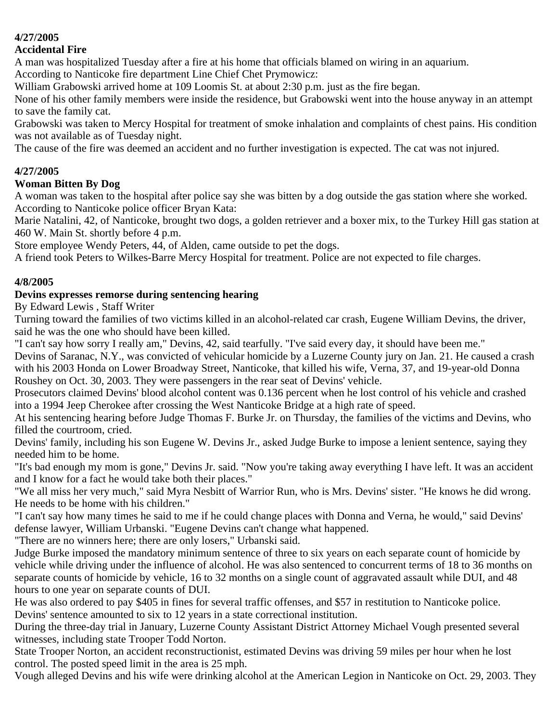#### **4/27/2005**

#### **Accidental Fire**

A man was hospitalized Tuesday after a fire at his home that officials blamed on wiring in an aquarium.

According to Nanticoke fire department Line Chief Chet Prymowicz:

William Grabowski arrived home at 109 Loomis St. at about 2:30 p.m. just as the fire began.

None of his other family members were inside the residence, but Grabowski went into the house anyway in an attempt to save the family cat.

Grabowski was taken to Mercy Hospital for treatment of smoke inhalation and complaints of chest pains. His condition was not available as of Tuesday night.

The cause of the fire was deemed an accident and no further investigation is expected. The cat was not injured.

#### **4/27/2005**

#### **Woman Bitten By Dog**

A woman was taken to the hospital after police say she was bitten by a dog outside the gas station where she worked. According to Nanticoke police officer Bryan Kata:

Marie Natalini, 42, of Nanticoke, brought two dogs, a golden retriever and a boxer mix, to the Turkey Hill gas station at 460 W. Main St. shortly before 4 p.m.

Store employee Wendy Peters, 44, of Alden, came outside to pet the dogs.

A friend took Peters to Wilkes-Barre Mercy Hospital for treatment. Police are not expected to file charges.

#### **4/8/2005**

#### **Devins expresses remorse during sentencing hearing**

By Edward Lewis , Staff Writer

Turning toward the families of two victims killed in an alcohol-related car crash, Eugene William Devins, the driver, said he was the one who should have been killed.

"I can't say how sorry I really am," Devins, 42, said tearfully. "I've said every day, it should have been me."

Devins of Saranac, N.Y., was convicted of vehicular homicide by a Luzerne County jury on Jan. 21. He caused a crash with his 2003 Honda on Lower Broadway Street, Nanticoke, that killed his wife, Verna, 37, and 19-year-old Donna Roushey on Oct. 30, 2003. They were passengers in the rear seat of Devins' vehicle.

Prosecutors claimed Devins' blood alcohol content was 0.136 percent when he lost control of his vehicle and crashed into a 1994 Jeep Cherokee after crossing the West Nanticoke Bridge at a high rate of speed.

At his sentencing hearing before Judge Thomas F. Burke Jr. on Thursday, the families of the victims and Devins, who filled the courtroom, cried.

Devins' family, including his son Eugene W. Devins Jr., asked Judge Burke to impose a lenient sentence, saying they needed him to be home.

"It's bad enough my mom is gone," Devins Jr. said. "Now you're taking away everything I have left. It was an accident and I know for a fact he would take both their places."

"We all miss her very much," said Myra Nesbitt of Warrior Run, who is Mrs. Devins' sister. "He knows he did wrong. He needs to be home with his children."

"I can't say how many times he said to me if he could change places with Donna and Verna, he would," said Devins' defense lawyer, William Urbanski. "Eugene Devins can't change what happened.

"There are no winners here; there are only losers," Urbanski said.

Judge Burke imposed the mandatory minimum sentence of three to six years on each separate count of homicide by vehicle while driving under the influence of alcohol. He was also sentenced to concurrent terms of 18 to 36 months on separate counts of homicide by vehicle, 16 to 32 months on a single count of aggravated assault while DUI, and 48 hours to one year on separate counts of DUI.

He was also ordered to pay \$405 in fines for several traffic offenses, and \$57 in restitution to Nanticoke police. Devins' sentence amounted to six to 12 years in a state correctional institution.

During the three-day trial in January, Luzerne County Assistant District Attorney Michael Vough presented several witnesses, including state Trooper Todd Norton.

State Trooper Norton, an accident reconstructionist, estimated Devins was driving 59 miles per hour when he lost control. The posted speed limit in the area is 25 mph.

Vough alleged Devins and his wife were drinking alcohol at the American Legion in Nanticoke on Oct. 29, 2003. They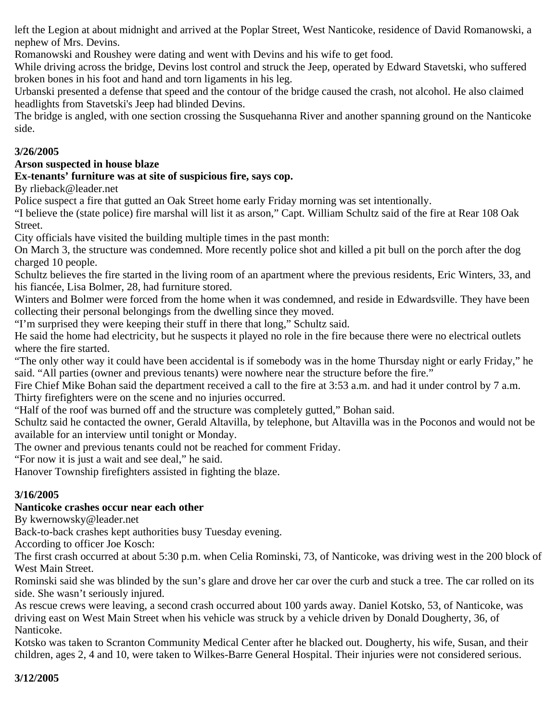left the Legion at about midnight and arrived at the Poplar Street, West Nanticoke, residence of David Romanowski, a nephew of Mrs. Devins.

Romanowski and Roushey were dating and went with Devins and his wife to get food.

While driving across the bridge, Devins lost control and struck the Jeep, operated by Edward Stavetski, who suffered broken bones in his foot and hand and torn ligaments in his leg.

Urbanski presented a defense that speed and the contour of the bridge caused the crash, not alcohol. He also claimed headlights from Stavetski's Jeep had blinded Devins.

The bridge is angled, with one section crossing the Susquehanna River and another spanning ground on the Nanticoke side.

## **3/26/2005**

## **Arson suspected in house blaze**

**Ex-tenants' furniture was at site of suspicious fire, says cop.**

By rlieback@leader.net

Police suspect a fire that gutted an Oak Street home early Friday morning was set intentionally.

"I believe the (state police) fire marshal will list it as arson," Capt. William Schultz said of the fire at Rear 108 Oak Street.

City officials have visited the building multiple times in the past month:

On March 3, the structure was condemned. More recently police shot and killed a pit bull on the porch after the dog charged 10 people.

Schultz believes the fire started in the living room of an apartment where the previous residents, Eric Winters, 33, and his fiancée, Lisa Bolmer, 28, had furniture stored.

Winters and Bolmer were forced from the home when it was condemned, and reside in Edwardsville. They have been collecting their personal belongings from the dwelling since they moved.

"I'm surprised they were keeping their stuff in there that long," Schultz said.

He said the home had electricity, but he suspects it played no role in the fire because there were no electrical outlets where the fire started.

"The only other way it could have been accidental is if somebody was in the home Thursday night or early Friday," he said. "All parties (owner and previous tenants) were nowhere near the structure before the fire."

Fire Chief Mike Bohan said the department received a call to the fire at 3:53 a.m. and had it under control by 7 a.m. Thirty firefighters were on the scene and no injuries occurred.

"Half of the roof was burned off and the structure was completely gutted," Bohan said.

Schultz said he contacted the owner, Gerald Altavilla, by telephone, but Altavilla was in the Poconos and would not be available for an interview until tonight or Monday.

The owner and previous tenants could not be reached for comment Friday.

"For now it is just a wait and see deal," he said.

Hanover Township firefighters assisted in fighting the blaze.

# **3/16/2005**

## **Nanticoke crashes occur near each other**

By kwernowsky@leader.net

Back-to-back crashes kept authorities busy Tuesday evening.

According to officer Joe Kosch:

The first crash occurred at about 5:30 p.m. when Celia Rominski, 73, of Nanticoke, was driving west in the 200 block of West Main Street.

Rominski said she was blinded by the sun's glare and drove her car over the curb and stuck a tree. The car rolled on its side. She wasn't seriously injured.

As rescue crews were leaving, a second crash occurred about 100 yards away. Daniel Kotsko, 53, of Nanticoke, was driving east on West Main Street when his vehicle was struck by a vehicle driven by Donald Dougherty, 36, of Nanticoke.

Kotsko was taken to Scranton Community Medical Center after he blacked out. Dougherty, his wife, Susan, and their children, ages 2, 4 and 10, were taken to Wilkes-Barre General Hospital. Their injuries were not considered serious.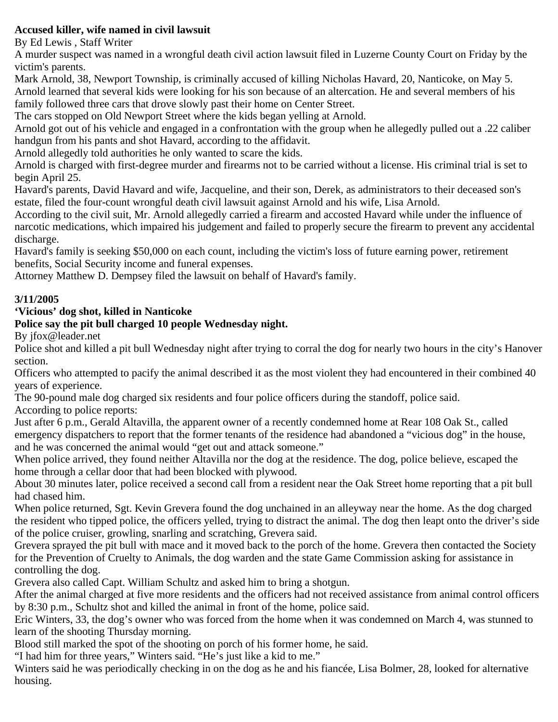## **Accused killer, wife named in civil lawsuit**

By Ed Lewis , Staff Writer

A murder suspect was named in a wrongful death civil action lawsuit filed in Luzerne County Court on Friday by the victim's parents.

Mark Arnold, 38, Newport Township, is criminally accused of killing Nicholas Havard, 20, Nanticoke, on May 5. Arnold learned that several kids were looking for his son because of an altercation. He and several members of his family followed three cars that drove slowly past their home on Center Street.

The cars stopped on Old Newport Street where the kids began yelling at Arnold.

Arnold got out of his vehicle and engaged in a confrontation with the group when he allegedly pulled out a .22 caliber handgun from his pants and shot Havard, according to the affidavit.

Arnold allegedly told authorities he only wanted to scare the kids.

Arnold is charged with first-degree murder and firearms not to be carried without a license. His criminal trial is set to begin April 25.

Havard's parents, David Havard and wife, Jacqueline, and their son, Derek, as administrators to their deceased son's estate, filed the four-count wrongful death civil lawsuit against Arnold and his wife, Lisa Arnold.

According to the civil suit, Mr. Arnold allegedly carried a firearm and accosted Havard while under the influence of narcotic medications, which impaired his judgement and failed to properly secure the firearm to prevent any accidental discharge.

Havard's family is seeking \$50,000 on each count, including the victim's loss of future earning power, retirement benefits, Social Security income and funeral expenses.

Attorney Matthew D. Dempsey filed the lawsuit on behalf of Havard's family.

## **3/11/2005**

## **'Vicious' dog shot, killed in Nanticoke**

## **Police say the pit bull charged 10 people Wednesday night.**

By jfox@leader.net

Police shot and killed a pit bull Wednesday night after trying to corral the dog for nearly two hours in the city's Hanover section.

Officers who attempted to pacify the animal described it as the most violent they had encountered in their combined 40 years of experience.

The 90-pound male dog charged six residents and four police officers during the standoff, police said. According to police reports:

Just after 6 p.m., Gerald Altavilla, the apparent owner of a recently condemned home at Rear 108 Oak St., called emergency dispatchers to report that the former tenants of the residence had abandoned a "vicious dog" in the house, and he was concerned the animal would "get out and attack someone."

When police arrived, they found neither Altavilla nor the dog at the residence. The dog, police believe, escaped the home through a cellar door that had been blocked with plywood.

About 30 minutes later, police received a second call from a resident near the Oak Street home reporting that a pit bull had chased him.

When police returned, Sgt. Kevin Grevera found the dog unchained in an alleyway near the home. As the dog charged the resident who tipped police, the officers yelled, trying to distract the animal. The dog then leapt onto the driver's side of the police cruiser, growling, snarling and scratching, Grevera said.

Grevera sprayed the pit bull with mace and it moved back to the porch of the home. Grevera then contacted the Society for the Prevention of Cruelty to Animals, the dog warden and the state Game Commission asking for assistance in controlling the dog.

Grevera also called Capt. William Schultz and asked him to bring a shotgun.

After the animal charged at five more residents and the officers had not received assistance from animal control officers by 8:30 p.m., Schultz shot and killed the animal in front of the home, police said.

Eric Winters, 33, the dog's owner who was forced from the home when it was condemned on March 4, was stunned to learn of the shooting Thursday morning.

Blood still marked the spot of the shooting on porch of his former home, he said.

"I had him for three years," Winters said. "He's just like a kid to me."

Winters said he was periodically checking in on the dog as he and his fiancée, Lisa Bolmer, 28, looked for alternative housing.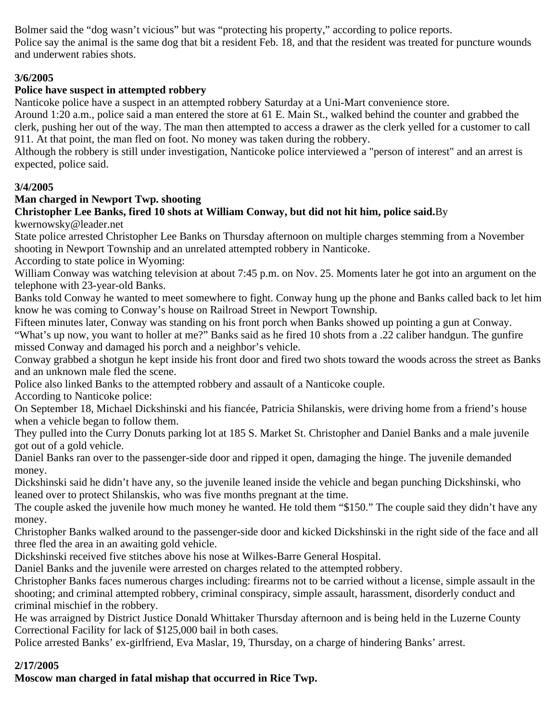Bolmer said the "dog wasn't vicious" but was "protecting his property," according to police reports. Police say the animal is the same dog that bit a resident Feb. 18, and that the resident was treated for puncture wounds and underwent rabies shots.

## **3/6/2005**

## **Police have suspect in attempted robbery**

Nanticoke police have a suspect in an attempted robbery Saturday at a Uni-Mart convenience store.

Around 1:20 a.m., police said a man entered the store at 61 E. Main St., walked behind the counter and grabbed the clerk, pushing her out of the way. The man then attempted to access a drawer as the clerk yelled for a customer to call 911. At that point, the man fled on foot. No money was taken during the robbery.

Although the robbery is still under investigation, Nanticoke police interviewed a "person of interest" and an arrest is expected, police said.

## **3/4/2005**

## **Man charged in Newport Twp. shooting**

# **Christopher Lee Banks, fired 10 shots at William Conway, but did not hit him, police said.**By

kwernowsky@leader.net

State police arrested Christopher Lee Banks on Thursday afternoon on multiple charges stemming from a November shooting in Newport Township and an unrelated attempted robbery in Nanticoke.

According to state police in Wyoming:

William Conway was watching television at about 7:45 p.m. on Nov. 25. Moments later he got into an argument on the telephone with 23-year-old Banks.

Banks told Conway he wanted to meet somewhere to fight. Conway hung up the phone and Banks called back to let him know he was coming to Conway's house on Railroad Street in Newport Township.

Fifteen minutes later, Conway was standing on his front porch when Banks showed up pointing a gun at Conway. "What's up now, you want to holler at me?" Banks said as he fired 10 shots from a .22 caliber handgun. The gunfire missed Conway and damaged his porch and a neighbor's vehicle.

Conway grabbed a shotgun he kept inside his front door and fired two shots toward the woods across the street as Banks and an unknown male fled the scene.

Police also linked Banks to the attempted robbery and assault of a Nanticoke couple.

According to Nanticoke police:

On September 18, Michael Dickshinski and his fiancée, Patricia Shilanskis, were driving home from a friend's house when a vehicle began to follow them.

They pulled into the Curry Donuts parking lot at 185 S. Market St. Christopher and Daniel Banks and a male juvenile got out of a gold vehicle.

Daniel Banks ran over to the passenger-side door and ripped it open, damaging the hinge. The juvenile demanded money.

Dickshinski said he didn't have any, so the juvenile leaned inside the vehicle and began punching Dickshinski, who leaned over to protect Shilanskis, who was five months pregnant at the time.

The couple asked the juvenile how much money he wanted. He told them "\$150." The couple said they didn't have any money.

Christopher Banks walked around to the passenger-side door and kicked Dickshinski in the right side of the face and all three fled the area in an awaiting gold vehicle.

Dickshinski received five stitches above his nose at Wilkes-Barre General Hospital.

Daniel Banks and the juvenile were arrested on charges related to the attempted robbery.

Christopher Banks faces numerous charges including: firearms not to be carried without a license, simple assault in the shooting; and criminal attempted robbery, criminal conspiracy, simple assault, harassment, disorderly conduct and criminal mischief in the robbery.

He was arraigned by District Justice Donald Whittaker Thursday afternoon and is being held in the Luzerne County Correctional Facility for lack of \$125,000 bail in both cases.

Police arrested Banks' ex-girlfriend, Eva Maslar, 19, Thursday, on a charge of hindering Banks' arrest.

## **2/17/2005**

**Moscow man charged in fatal mishap that occurred in Rice Twp.**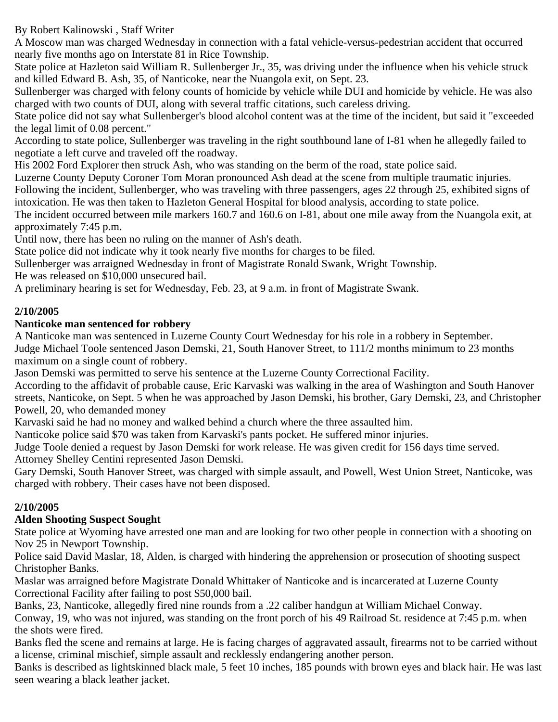By Robert Kalinowski , Staff Writer

A Moscow man was charged Wednesday in connection with a fatal vehicle-versus-pedestrian accident that occurred nearly five months ago on Interstate 81 in Rice Township.

State police at Hazleton said William R. Sullenberger Jr., 35, was driving under the influence when his vehicle struck and killed Edward B. Ash, 35, of Nanticoke, near the Nuangola exit, on Sept. 23.

Sullenberger was charged with felony counts of homicide by vehicle while DUI and homicide by vehicle. He was also charged with two counts of DUI, along with several traffic citations, such careless driving.

State police did not say what Sullenberger's blood alcohol content was at the time of the incident, but said it "exceeded the legal limit of 0.08 percent."

According to state police, Sullenberger was traveling in the right southbound lane of I-81 when he allegedly failed to negotiate a left curve and traveled off the roadway.

His 2002 Ford Explorer then struck Ash, who was standing on the berm of the road, state police said.

Luzerne County Deputy Coroner Tom Moran pronounced Ash dead at the scene from multiple traumatic injuries. Following the incident, Sullenberger, who was traveling with three passengers, ages 22 through 25, exhibited signs of

intoxication. He was then taken to Hazleton General Hospital for blood analysis, according to state police.

The incident occurred between mile markers 160.7 and 160.6 on I-81, about one mile away from the Nuangola exit, at approximately 7:45 p.m.

Until now, there has been no ruling on the manner of Ash's death.

State police did not indicate why it took nearly five months for charges to be filed.

Sullenberger was arraigned Wednesday in front of Magistrate Ronald Swank, Wright Township.

He was released on \$10,000 unsecured bail.

A preliminary hearing is set for Wednesday, Feb. 23, at 9 a.m. in front of Magistrate Swank.

## **2/10/2005**

#### **Nanticoke man sentenced for robbery**

A Nanticoke man was sentenced in Luzerne County Court Wednesday for his role in a robbery in September. Judge Michael Toole sentenced Jason Demski, 21, South Hanover Street, to 111/2 months minimum to 23 months maximum on a single count of robbery.

Jason Demski was permitted to serve his sentence at the Luzerne County Correctional Facility.

According to the affidavit of probable cause, Eric Karvaski was walking in the area of Washington and South Hanover streets, Nanticoke, on Sept. 5 when he was approached by Jason Demski, his brother, Gary Demski, 23, and Christopher Powell, 20, who demanded money

Karvaski said he had no money and walked behind a church where the three assaulted him.

Nanticoke police said \$70 was taken from Karvaski's pants pocket. He suffered minor injuries.

Judge Toole denied a request by Jason Demski for work release. He was given credit for 156 days time served.

Attorney Shelley Centini represented Jason Demski.

Gary Demski, South Hanover Street, was charged with simple assault, and Powell, West Union Street, Nanticoke, was charged with robbery. Their cases have not been disposed.

## **2/10/2005**

## **Alden Shooting Suspect Sought**

State police at Wyoming have arrested one man and are looking for two other people in connection with a shooting on Nov 25 in Newport Township.

Police said David Maslar, 18, Alden, is charged with hindering the apprehension or prosecution of shooting suspect Christopher Banks.

Maslar was arraigned before Magistrate Donald Whittaker of Nanticoke and is incarcerated at Luzerne County Correctional Facility after failing to post \$50,000 bail.

Banks, 23, Nanticoke, allegedly fired nine rounds from a .22 caliber handgun at William Michael Conway.

Conway, 19, who was not injured, was standing on the front porch of his 49 Railroad St. residence at 7:45 p.m. when the shots were fired.

Banks fled the scene and remains at large. He is facing charges of aggravated assault, firearms not to be carried without a license, criminal mischief, simple assault and recklessly endangering another person.

Banks is described as lightskinned black male, 5 feet 10 inches, 185 pounds with brown eyes and black hair. He was last seen wearing a black leather jacket.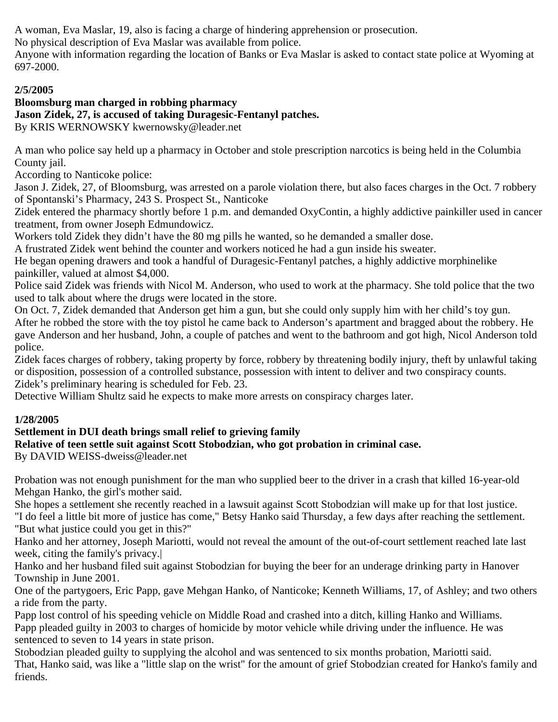A woman, Eva Maslar, 19, also is facing a charge of hindering apprehension or prosecution.

No physical description of Eva Maslar was available from police.

Anyone with information regarding the location of Banks or Eva Maslar is asked to contact state police at Wyoming at 697-2000.

## **2/5/2005**

#### **Bloomsburg man charged in robbing pharmacy Jason Zidek, 27, is accused of taking Duragesic-Fentanyl patches.** By KRIS WERNOWSKY kwernowsky@leader.net

A man who police say held up a pharmacy in October and stole prescription narcotics is being held in the Columbia County jail.

According to Nanticoke police:

Jason J. Zidek, 27, of Bloomsburg, was arrested on a parole violation there, but also faces charges in the Oct. 7 robbery of Spontanski's Pharmacy, 243 S. Prospect St., Nanticoke

Zidek entered the pharmacy shortly before 1 p.m. and demanded OxyContin, a highly addictive painkiller used in cancer treatment, from owner Joseph Edmundowicz.

Workers told Zidek they didn't have the 80 mg pills he wanted, so he demanded a smaller dose.

A frustrated Zidek went behind the counter and workers noticed he had a gun inside his sweater.

He began opening drawers and took a handful of Duragesic-Fentanyl patches, a highly addictive morphinelike painkiller, valued at almost \$4,000.

Police said Zidek was friends with Nicol M. Anderson, who used to work at the pharmacy. She told police that the two used to talk about where the drugs were located in the store.

On Oct. 7, Zidek demanded that Anderson get him a gun, but she could only supply him with her child's toy gun.

After he robbed the store with the toy pistol he came back to Anderson's apartment and bragged about the robbery. He gave Anderson and her husband, John, a couple of patches and went to the bathroom and got high, Nicol Anderson told police.

Zidek faces charges of robbery, taking property by force, robbery by threatening bodily injury, theft by unlawful taking or disposition, possession of a controlled substance, possession with intent to deliver and two conspiracy counts. Zidek's preliminary hearing is scheduled for Feb. 23.

Detective William Shultz said he expects to make more arrests on conspiracy charges later.

## **1/28/2005**

## **Settlement in DUI death brings small relief to grieving family**

## **Relative of teen settle suit against Scott Stobodzian, who got probation in criminal case.**

By DAVID WEISS-dweiss@leader.net

Probation was not enough punishment for the man who supplied beer to the driver in a crash that killed 16-year-old Mehgan Hanko, the girl's mother said.

She hopes a settlement she recently reached in a lawsuit against Scott Stobodzian will make up for that lost justice. "I do feel a little bit more of justice has come," Betsy Hanko said Thursday, a few days after reaching the settlement. "But what justice could you get in this?"

Hanko and her attorney, Joseph Mariotti, would not reveal the amount of the out-of-court settlement reached late last week, citing the family's privacy.|

Hanko and her husband filed suit against Stobodzian for buying the beer for an underage drinking party in Hanover Township in June 2001.

One of the partygoers, Eric Papp, gave Mehgan Hanko, of Nanticoke; Kenneth Williams, 17, of Ashley; and two others a ride from the party.

Papp lost control of his speeding vehicle on Middle Road and crashed into a ditch, killing Hanko and Williams. Papp pleaded guilty in 2003 to charges of homicide by motor vehicle while driving under the influence. He was sentenced to seven to 14 years in state prison.

Stobodzian pleaded guilty to supplying the alcohol and was sentenced to six months probation, Mariotti said. That, Hanko said, was like a "little slap on the wrist" for the amount of grief Stobodzian created for Hanko's family and friends.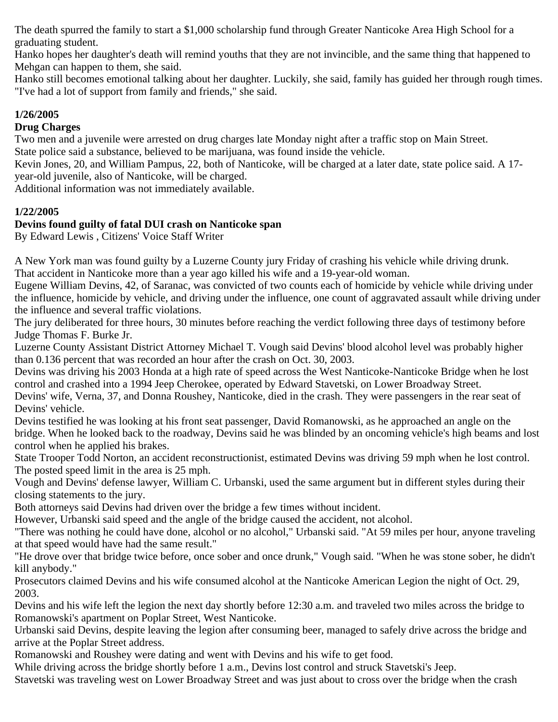The death spurred the family to start a \$1,000 scholarship fund through Greater Nanticoke Area High School for a graduating student.

Hanko hopes her daughter's death will remind youths that they are not invincible, and the same thing that happened to Mehgan can happen to them, she said.

Hanko still becomes emotional talking about her daughter. Luckily, she said, family has guided her through rough times. "I've had a lot of support from family and friends," she said.

## **1/26/2005**

#### **Drug Charges**

Two men and a juvenile were arrested on drug charges late Monday night after a traffic stop on Main Street. State police said a substance, believed to be marijuana, was found inside the vehicle.

Kevin Jones, 20, and William Pampus, 22, both of Nanticoke, will be charged at a later date, state police said. A 17 year-old juvenile, also of Nanticoke, will be charged.

Additional information was not immediately available.

## **1/22/2005**

#### **Devins found guilty of fatal DUI crash on Nanticoke span**

By Edward Lewis , Citizens' Voice Staff Writer

A New York man was found guilty by a Luzerne County jury Friday of crashing his vehicle while driving drunk. That accident in Nanticoke more than a year ago killed his wife and a 19-year-old woman.

Eugene William Devins, 42, of Saranac, was convicted of two counts each of homicide by vehicle while driving under the influence, homicide by vehicle, and driving under the influence, one count of aggravated assault while driving under the influence and several traffic violations.

The jury deliberated for three hours, 30 minutes before reaching the verdict following three days of testimony before Judge Thomas F. Burke Jr.

Luzerne County Assistant District Attorney Michael T. Vough said Devins' blood alcohol level was probably higher than 0.136 percent that was recorded an hour after the crash on Oct. 30, 2003.

Devins was driving his 2003 Honda at a high rate of speed across the West Nanticoke-Nanticoke Bridge when he lost control and crashed into a 1994 Jeep Cherokee, operated by Edward Stavetski, on Lower Broadway Street.

Devins' wife, Verna, 37, and Donna Roushey, Nanticoke, died in the crash. They were passengers in the rear seat of Devins' vehicle.

Devins testified he was looking at his front seat passenger, David Romanowski, as he approached an angle on the bridge. When he looked back to the roadway, Devins said he was blinded by an oncoming vehicle's high beams and lost control when he applied his brakes.

State Trooper Todd Norton, an accident reconstructionist, estimated Devins was driving 59 mph when he lost control. The posted speed limit in the area is 25 mph.

Vough and Devins' defense lawyer, William C. Urbanski, used the same argument but in different styles during their closing statements to the jury.

Both attorneys said Devins had driven over the bridge a few times without incident.

However, Urbanski said speed and the angle of the bridge caused the accident, not alcohol.

"There was nothing he could have done, alcohol or no alcohol," Urbanski said. "At 59 miles per hour, anyone traveling at that speed would have had the same result."

"He drove over that bridge twice before, once sober and once drunk," Vough said. "When he was stone sober, he didn't kill anybody."

Prosecutors claimed Devins and his wife consumed alcohol at the Nanticoke American Legion the night of Oct. 29, 2003.

Devins and his wife left the legion the next day shortly before 12:30 a.m. and traveled two miles across the bridge to Romanowski's apartment on Poplar Street, West Nanticoke.

Urbanski said Devins, despite leaving the legion after consuming beer, managed to safely drive across the bridge and arrive at the Poplar Street address.

Romanowski and Roushey were dating and went with Devins and his wife to get food.

While driving across the bridge shortly before 1 a.m., Devins lost control and struck Stavetski's Jeep.

Stavetski was traveling west on Lower Broadway Street and was just about to cross over the bridge when the crash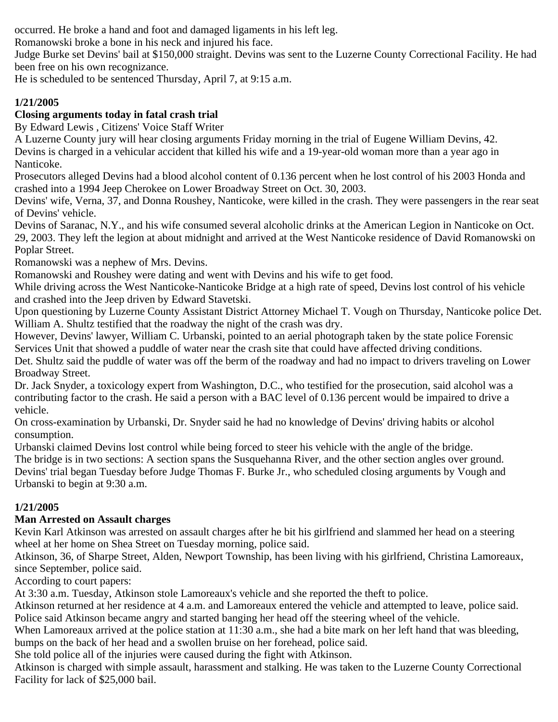occurred. He broke a hand and foot and damaged ligaments in his left leg.

Romanowski broke a bone in his neck and injured his face.

Judge Burke set Devins' bail at \$150,000 straight. Devins was sent to the Luzerne County Correctional Facility. He had been free on his own recognizance.

He is scheduled to be sentenced Thursday, April 7, at 9:15 a.m.

# **1/21/2005**

# **Closing arguments today in fatal crash trial**

By Edward Lewis , Citizens' Voice Staff Writer

A Luzerne County jury will hear closing arguments Friday morning in the trial of Eugene William Devins, 42. Devins is charged in a vehicular accident that killed his wife and a 19-year-old woman more than a year ago in Nanticoke.

Prosecutors alleged Devins had a blood alcohol content of 0.136 percent when he lost control of his 2003 Honda and crashed into a 1994 Jeep Cherokee on Lower Broadway Street on Oct. 30, 2003.

Devins' wife, Verna, 37, and Donna Roushey, Nanticoke, were killed in the crash. They were passengers in the rear seat of Devins' vehicle.

Devins of Saranac, N.Y., and his wife consumed several alcoholic drinks at the American Legion in Nanticoke on Oct. 29, 2003. They left the legion at about midnight and arrived at the West Nanticoke residence of David Romanowski on Poplar Street.

Romanowski was a nephew of Mrs. Devins.

Romanowski and Roushey were dating and went with Devins and his wife to get food.

While driving across the West Nanticoke-Nanticoke Bridge at a high rate of speed, Devins lost control of his vehicle and crashed into the Jeep driven by Edward Stavetski.

Upon questioning by Luzerne County Assistant District Attorney Michael T. Vough on Thursday, Nanticoke police Det. William A. Shultz testified that the roadway the night of the crash was dry.

However, Devins' lawyer, William C. Urbanski, pointed to an aerial photograph taken by the state police Forensic Services Unit that showed a puddle of water near the crash site that could have affected driving conditions.

Det. Shultz said the puddle of water was off the berm of the roadway and had no impact to drivers traveling on Lower Broadway Street.

Dr. Jack Snyder, a toxicology expert from Washington, D.C., who testified for the prosecution, said alcohol was a contributing factor to the crash. He said a person with a BAC level of 0.136 percent would be impaired to drive a vehicle.

On cross-examination by Urbanski, Dr. Snyder said he had no knowledge of Devins' driving habits or alcohol consumption.

Urbanski claimed Devins lost control while being forced to steer his vehicle with the angle of the bridge.

The bridge is in two sections: A section spans the Susquehanna River, and the other section angles over ground. Devins' trial began Tuesday before Judge Thomas F. Burke Jr., who scheduled closing arguments by Vough and Urbanski to begin at 9:30 a.m.

# **1/21/2005**

# **Man Arrested on Assault charges**

Kevin Karl Atkinson was arrested on assault charges after he bit his girlfriend and slammed her head on a steering wheel at her home on Shea Street on Tuesday morning, police said.

Atkinson, 36, of Sharpe Street, Alden, Newport Township, has been living with his girlfriend, Christina Lamoreaux, since September, police said.

According to court papers:

At 3:30 a.m. Tuesday, Atkinson stole Lamoreaux's vehicle and she reported the theft to police.

Atkinson returned at her residence at 4 a.m. and Lamoreaux entered the vehicle and attempted to leave, police said. Police said Atkinson became angry and started banging her head off the steering wheel of the vehicle.

When Lamoreaux arrived at the police station at 11:30 a.m., she had a bite mark on her left hand that was bleeding, bumps on the back of her head and a swollen bruise on her forehead, police said.

She told police all of the injuries were caused during the fight with Atkinson.

Atkinson is charged with simple assault, harassment and stalking. He was taken to the Luzerne County Correctional Facility for lack of \$25,000 bail.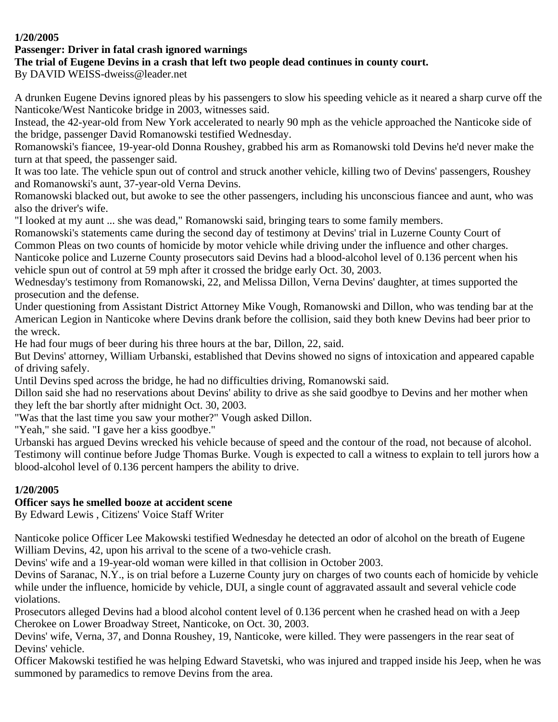#### **1/20/2005**

## **Passenger: Driver in fatal crash ignored warnings**

## **The trial of Eugene Devins in a crash that left two people dead continues in county court.**

By DAVID WEISS-dweiss@leader.net

A drunken Eugene Devins ignored pleas by his passengers to slow his speeding vehicle as it neared a sharp curve off the Nanticoke/West Nanticoke bridge in 2003, witnesses said.

Instead, the 42-year-old from New York accelerated to nearly 90 mph as the vehicle approached the Nanticoke side of the bridge, passenger David Romanowski testified Wednesday.

Romanowski's fiancee, 19-year-old Donna Roushey, grabbed his arm as Romanowski told Devins he'd never make the turn at that speed, the passenger said.

It was too late. The vehicle spun out of control and struck another vehicle, killing two of Devins' passengers, Roushey and Romanowski's aunt, 37-year-old Verna Devins.

Romanowski blacked out, but awoke to see the other passengers, including his unconscious fiancee and aunt, who was also the driver's wife.

"I looked at my aunt ... she was dead," Romanowski said, bringing tears to some family members.

Romanowski's statements came during the second day of testimony at Devins' trial in Luzerne County Court of Common Pleas on two counts of homicide by motor vehicle while driving under the influence and other charges. Nanticoke police and Luzerne County prosecutors said Devins had a blood-alcohol level of 0.136 percent when his

vehicle spun out of control at 59 mph after it crossed the bridge early Oct. 30, 2003.

Wednesday's testimony from Romanowski, 22, and Melissa Dillon, Verna Devins' daughter, at times supported the prosecution and the defense.

Under questioning from Assistant District Attorney Mike Vough, Romanowski and Dillon, who was tending bar at the American Legion in Nanticoke where Devins drank before the collision, said they both knew Devins had beer prior to the wreck.

He had four mugs of beer during his three hours at the bar, Dillon, 22, said.

But Devins' attorney, William Urbanski, established that Devins showed no signs of intoxication and appeared capable of driving safely.

Until Devins sped across the bridge, he had no difficulties driving, Romanowski said.

Dillon said she had no reservations about Devins' ability to drive as she said goodbye to Devins and her mother when they left the bar shortly after midnight Oct. 30, 2003.

"Was that the last time you saw your mother?" Vough asked Dillon.

"Yeah," she said. "I gave her a kiss goodbye."

Urbanski has argued Devins wrecked his vehicle because of speed and the contour of the road, not because of alcohol. Testimony will continue before Judge Thomas Burke. Vough is expected to call a witness to explain to tell jurors how a blood-alcohol level of 0.136 percent hampers the ability to drive.

#### **1/20/2005**

## **Officer says he smelled booze at accident scene**

By Edward Lewis , Citizens' Voice Staff Writer

Nanticoke police Officer Lee Makowski testified Wednesday he detected an odor of alcohol on the breath of Eugene William Devins, 42, upon his arrival to the scene of a two-vehicle crash.

Devins' wife and a 19-year-old woman were killed in that collision in October 2003.

Devins of Saranac, N.Y., is on trial before a Luzerne County jury on charges of two counts each of homicide by vehicle while under the influence, homicide by vehicle, DUI, a single count of aggravated assault and several vehicle code violations.

Prosecutors alleged Devins had a blood alcohol content level of 0.136 percent when he crashed head on with a Jeep Cherokee on Lower Broadway Street, Nanticoke, on Oct. 30, 2003.

Devins' wife, Verna, 37, and Donna Roushey, 19, Nanticoke, were killed. They were passengers in the rear seat of Devins' vehicle.

Officer Makowski testified he was helping Edward Stavetski, who was injured and trapped inside his Jeep, when he was summoned by paramedics to remove Devins from the area.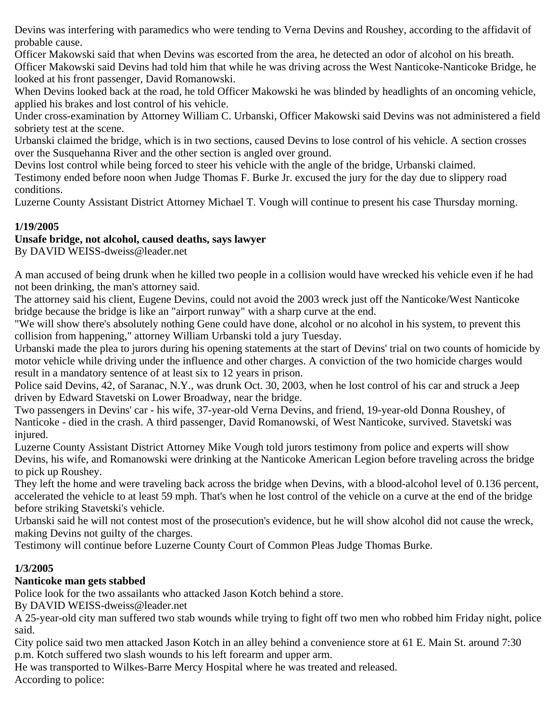Devins was interfering with paramedics who were tending to Verna Devins and Roushey, according to the affidavit of probable cause.

Officer Makowski said that when Devins was escorted from the area, he detected an odor of alcohol on his breath. Officer Makowski said Devins had told him that while he was driving across the West Nanticoke-Nanticoke Bridge, he looked at his front passenger, David Romanowski.

When Devins looked back at the road, he told Officer Makowski he was blinded by headlights of an oncoming vehicle, applied his brakes and lost control of his vehicle.

Under cross-examination by Attorney William C. Urbanski, Officer Makowski said Devins was not administered a field sobriety test at the scene.

Urbanski claimed the bridge, which is in two sections, caused Devins to lose control of his vehicle. A section crosses over the Susquehanna River and the other section is angled over ground.

Devins lost control while being forced to steer his vehicle with the angle of the bridge, Urbanski claimed.

Testimony ended before noon when Judge Thomas F. Burke Jr. excused the jury for the day due to slippery road conditions.

Luzerne County Assistant District Attorney Michael T. Vough will continue to present his case Thursday morning.

## **1/19/2005**

## **Unsafe bridge, not alcohol, caused deaths, says lawyer**

By DAVID WEISS-dweiss@leader.net

A man accused of being drunk when he killed two people in a collision would have wrecked his vehicle even if he had not been drinking, the man's attorney said.

The attorney said his client, Eugene Devins, could not avoid the 2003 wreck just off the Nanticoke/West Nanticoke bridge because the bridge is like an "airport runway" with a sharp curve at the end.

"We will show there's absolutely nothing Gene could have done, alcohol or no alcohol in his system, to prevent this collision from happening," attorney William Urbanski told a jury Tuesday.

Urbanski made the plea to jurors during his opening statements at the start of Devins' trial on two counts of homicide by motor vehicle while driving under the influence and other charges. A conviction of the two homicide charges would result in a mandatory sentence of at least six to 12 years in prison.

Police said Devins, 42, of Saranac, N.Y., was drunk Oct. 30, 2003, when he lost control of his car and struck a Jeep driven by Edward Stavetski on Lower Broadway, near the bridge.

Two passengers in Devins' car - his wife, 37-year-old Verna Devins, and friend, 19-year-old Donna Roushey, of Nanticoke - died in the crash. A third passenger, David Romanowski, of West Nanticoke, survived. Stavetski was injured.

Luzerne County Assistant District Attorney Mike Vough told jurors testimony from police and experts will show Devins, his wife, and Romanowski were drinking at the Nanticoke American Legion before traveling across the bridge to pick up Roushey.

They left the home and were traveling back across the bridge when Devins, with a blood-alcohol level of 0.136 percent, accelerated the vehicle to at least 59 mph. That's when he lost control of the vehicle on a curve at the end of the bridge before striking Stavetski's vehicle.

Urbanski said he will not contest most of the prosecution's evidence, but he will show alcohol did not cause the wreck, making Devins not guilty of the charges.

Testimony will continue before Luzerne County Court of Common Pleas Judge Thomas Burke.

## **1/3/2005**

## **Nanticoke man gets stabbed**

Police look for the two assailants who attacked Jason Kotch behind a store.

By DAVID WEISS-dweiss@leader.net

A 25-year-old city man suffered two stab wounds while trying to fight off two men who robbed him Friday night, police said.

City police said two men attacked Jason Kotch in an alley behind a convenience store at 61 E. Main St. around 7:30 p.m. Kotch suffered two slash wounds to his left forearm and upper arm.

He was transported to Wilkes-Barre Mercy Hospital where he was treated and released. According to police: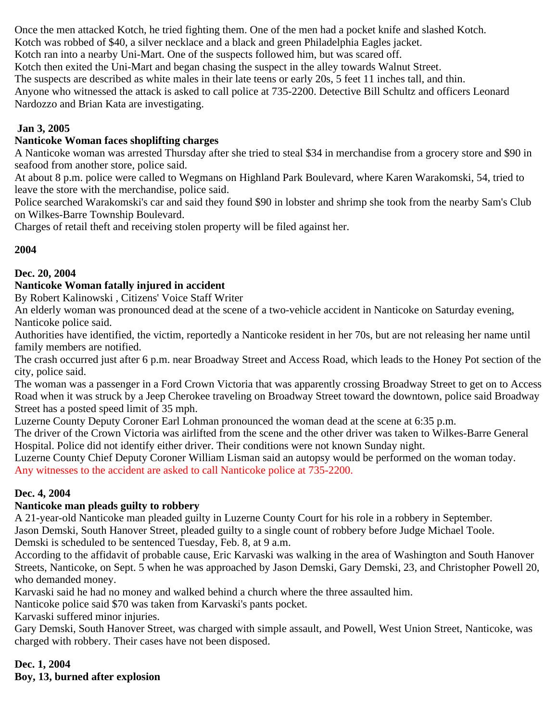Once the men attacked Kotch, he tried fighting them. One of the men had a pocket knife and slashed Kotch. Kotch was robbed of \$40, a silver necklace and a black and green Philadelphia Eagles jacket. Kotch ran into a nearby Uni-Mart. One of the suspects followed him, but was scared off. Kotch then exited the Uni-Mart and began chasing the suspect in the alley towards Walnut Street. The suspects are described as white males in their late teens or early 20s, 5 feet 11 inches tall, and thin. Anyone who witnessed the attack is asked to call police at 735-2200. Detective Bill Schultz and officers Leonard Nardozzo and Brian Kata are investigating.

#### **Jan 3, 2005**

#### **Nanticoke Woman faces shoplifting charges**

A Nanticoke woman was arrested Thursday after she tried to steal \$34 in merchandise from a grocery store and \$90 in seafood from another store, police said.

At about 8 p.m. police were called to Wegmans on Highland Park Boulevard, where Karen Warakomski, 54, tried to leave the store with the merchandise, police said.

Police searched Warakomski's car and said they found \$90 in lobster and shrimp she took from the nearby Sam's Club on Wilkes-Barre Township Boulevard.

Charges of retail theft and receiving stolen property will be filed against her.

#### **2004**

#### **Dec. 20, 2004**

#### **Nanticoke Woman fatally injured in accident**

By Robert Kalinowski , Citizens' Voice Staff Writer

An elderly woman was pronounced dead at the scene of a two-vehicle accident in Nanticoke on Saturday evening, Nanticoke police said.

Authorities have identified, the victim, reportedly a Nanticoke resident in her 70s, but are not releasing her name until family members are notified.

The crash occurred just after 6 p.m. near Broadway Street and Access Road, which leads to the Honey Pot section of the city, police said.

The woman was a passenger in a Ford Crown Victoria that was apparently crossing Broadway Street to get on to Access Road when it was struck by a Jeep Cherokee traveling on Broadway Street toward the downtown, police said Broadway Street has a posted speed limit of 35 mph.

Luzerne County Deputy Coroner Earl Lohman pronounced the woman dead at the scene at 6:35 p.m.

The driver of the Crown Victoria was airlifted from the scene and the other driver was taken to Wilkes-Barre General Hospital. Police did not identify either driver. Their conditions were not known Sunday night.

Luzerne County Chief Deputy Coroner William Lisman said an autopsy would be performed on the woman today. Any witnesses to the accident are asked to call Nanticoke police at 735-2200.

#### **Dec. 4, 2004**

#### **Nanticoke man pleads guilty to robbery**

A 21-year-old Nanticoke man pleaded guilty in Luzerne County Court for his role in a robbery in September. Jason Demski, South Hanover Street, pleaded guilty to a single count of robbery before Judge Michael Toole. Demski is scheduled to be sentenced Tuesday, Feb. 8, at 9 a.m.

According to the affidavit of probable cause, Eric Karvaski was walking in the area of Washington and South Hanover Streets, Nanticoke, on Sept. 5 when he was approached by Jason Demski, Gary Demski, 23, and Christopher Powell 20, who demanded money.

Karvaski said he had no money and walked behind a church where the three assaulted him.

Nanticoke police said \$70 was taken from Karvaski's pants pocket.

Karvaski suffered minor injuries.

Gary Demski, South Hanover Street, was charged with simple assault, and Powell, West Union Street, Nanticoke, was charged with robbery. Their cases have not been disposed.

**Dec. 1, 2004 Boy, 13, burned after explosion**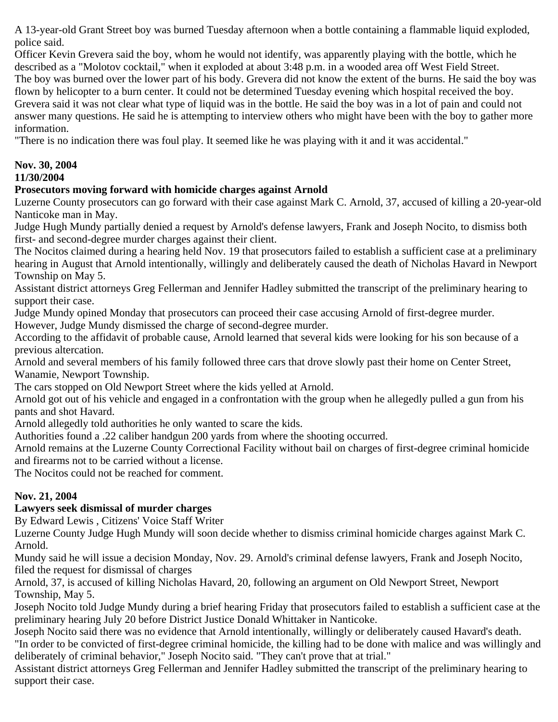A 13-year-old Grant Street boy was burned Tuesday afternoon when a bottle containing a flammable liquid exploded, police said.

Officer Kevin Grevera said the boy, whom he would not identify, was apparently playing with the bottle, which he described as a "Molotov cocktail," when it exploded at about 3:48 p.m. in a wooded area off West Field Street. The boy was burned over the lower part of his body. Grevera did not know the extent of the burns. He said the boy was flown by helicopter to a burn center. It could not be determined Tuesday evening which hospital received the boy. Grevera said it was not clear what type of liquid was in the bottle. He said the boy was in a lot of pain and could not answer many questions. He said he is attempting to interview others who might have been with the boy to gather more information.

"There is no indication there was foul play. It seemed like he was playing with it and it was accidental."

# **Nov. 30, 2004**

**11/30/2004** 

# **Prosecutors moving forward with homicide charges against Arnold**

Luzerne County prosecutors can go forward with their case against Mark C. Arnold, 37, accused of killing a 20-year-old Nanticoke man in May.

Judge Hugh Mundy partially denied a request by Arnold's defense lawyers, Frank and Joseph Nocito, to dismiss both first- and second-degree murder charges against their client.

The Nocitos claimed during a hearing held Nov. 19 that prosecutors failed to establish a sufficient case at a preliminary hearing in August that Arnold intentionally, willingly and deliberately caused the death of Nicholas Havard in Newport Township on May 5.

Assistant district attorneys Greg Fellerman and Jennifer Hadley submitted the transcript of the preliminary hearing to support their case.

Judge Mundy opined Monday that prosecutors can proceed their case accusing Arnold of first-degree murder. However, Judge Mundy dismissed the charge of second-degree murder.

According to the affidavit of probable cause, Arnold learned that several kids were looking for his son because of a previous altercation.

Arnold and several members of his family followed three cars that drove slowly past their home on Center Street, Wanamie, Newport Township.

The cars stopped on Old Newport Street where the kids yelled at Arnold.

Arnold got out of his vehicle and engaged in a confrontation with the group when he allegedly pulled a gun from his pants and shot Havard.

Arnold allegedly told authorities he only wanted to scare the kids.

Authorities found a .22 caliber handgun 200 yards from where the shooting occurred.

Arnold remains at the Luzerne County Correctional Facility without bail on charges of first-degree criminal homicide and firearms not to be carried without a license.

The Nocitos could not be reached for comment.

## **Nov. 21, 2004**

## **Lawyers seek dismissal of murder charges**

By Edward Lewis , Citizens' Voice Staff Writer

Luzerne County Judge Hugh Mundy will soon decide whether to dismiss criminal homicide charges against Mark C. Arnold.

Mundy said he will issue a decision Monday, Nov. 29. Arnold's criminal defense lawyers, Frank and Joseph Nocito, filed the request for dismissal of charges

Arnold, 37, is accused of killing Nicholas Havard, 20, following an argument on Old Newport Street, Newport Township, May 5.

Joseph Nocito told Judge Mundy during a brief hearing Friday that prosecutors failed to establish a sufficient case at the preliminary hearing July 20 before District Justice Donald Whittaker in Nanticoke.

Joseph Nocito said there was no evidence that Arnold intentionally, willingly or deliberately caused Havard's death. "In order to be convicted of first-degree criminal homicide, the killing had to be done with malice and was willingly and deliberately of criminal behavior," Joseph Nocito said. "They can't prove that at trial."

Assistant district attorneys Greg Fellerman and Jennifer Hadley submitted the transcript of the preliminary hearing to support their case.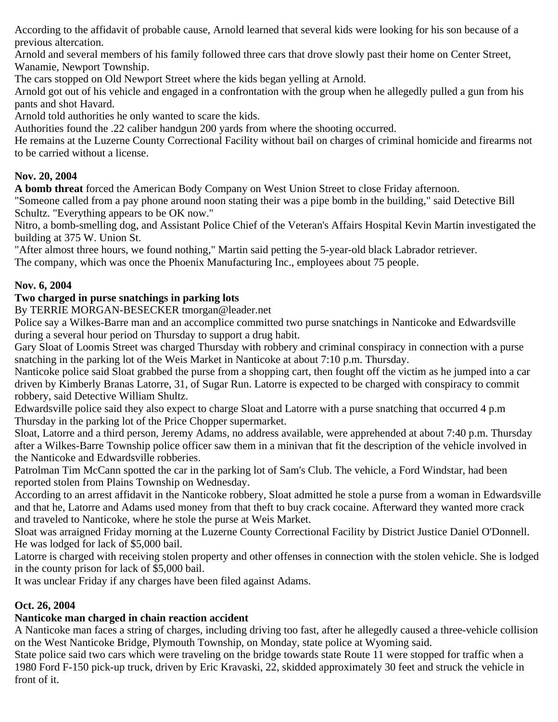According to the affidavit of probable cause, Arnold learned that several kids were looking for his son because of a previous altercation.

Arnold and several members of his family followed three cars that drove slowly past their home on Center Street, Wanamie, Newport Township.

The cars stopped on Old Newport Street where the kids began yelling at Arnold.

Arnold got out of his vehicle and engaged in a confrontation with the group when he allegedly pulled a gun from his pants and shot Havard.

Arnold told authorities he only wanted to scare the kids.

Authorities found the .22 caliber handgun 200 yards from where the shooting occurred.

He remains at the Luzerne County Correctional Facility without bail on charges of criminal homicide and firearms not to be carried without a license.

# **Nov. 20, 2004**

**A bomb threat** forced the American Body Company on West Union Street to close Friday afternoon.

"Someone called from a pay phone around noon stating their was a pipe bomb in the building," said Detective Bill Schultz. "Everything appears to be OK now."

Nitro, a bomb-smelling dog, and Assistant Police Chief of the Veteran's Affairs Hospital Kevin Martin investigated the building at 375 W. Union St.

"After almost three hours, we found nothing," Martin said petting the 5-year-old black Labrador retriever.

The company, which was once the Phoenix Manufacturing Inc., employees about 75 people.

# **Nov. 6, 2004**

# **Two charged in purse snatchings in parking lots**

By TERRIE MORGAN-BESECKER tmorgan@leader.net

Police say a Wilkes-Barre man and an accomplice committed two purse snatchings in Nanticoke and Edwardsville during a several hour period on Thursday to support a drug habit.

Gary Sloat of Loomis Street was charged Thursday with robbery and criminal conspiracy in connection with a purse snatching in the parking lot of the Weis Market in Nanticoke at about 7:10 p.m. Thursday.

Nanticoke police said Sloat grabbed the purse from a shopping cart, then fought off the victim as he jumped into a car driven by Kimberly Branas Latorre, 31, of Sugar Run. Latorre is expected to be charged with conspiracy to commit robbery, said Detective William Shultz.

Edwardsville police said they also expect to charge Sloat and Latorre with a purse snatching that occurred 4 p.m Thursday in the parking lot of the Price Chopper supermarket.

Sloat, Latorre and a third person, Jeremy Adams, no address available, were apprehended at about 7:40 p.m. Thursday after a Wilkes-Barre Township police officer saw them in a minivan that fit the description of the vehicle involved in the Nanticoke and Edwardsville robberies.

Patrolman Tim McCann spotted the car in the parking lot of Sam's Club. The vehicle, a Ford Windstar, had been reported stolen from Plains Township on Wednesday.

According to an arrest affidavit in the Nanticoke robbery, Sloat admitted he stole a purse from a woman in Edwardsville and that he, Latorre and Adams used money from that theft to buy crack cocaine. Afterward they wanted more crack and traveled to Nanticoke, where he stole the purse at Weis Market.

Sloat was arraigned Friday morning at the Luzerne County Correctional Facility by District Justice Daniel O'Donnell. He was lodged for lack of \$5,000 bail.

Latorre is charged with receiving stolen property and other offenses in connection with the stolen vehicle. She is lodged in the county prison for lack of \$5,000 bail.

It was unclear Friday if any charges have been filed against Adams.

## **Oct. 26, 2004**

# **Nanticoke man charged in chain reaction accident**

A Nanticoke man faces a string of charges, including driving too fast, after he allegedly caused a three-vehicle collision on the West Nanticoke Bridge, Plymouth Township, on Monday, state police at Wyoming said.

State police said two cars which were traveling on the bridge towards state Route 11 were stopped for traffic when a 1980 Ford F-150 pick-up truck, driven by Eric Kravaski, 22, skidded approximately 30 feet and struck the vehicle in front of it.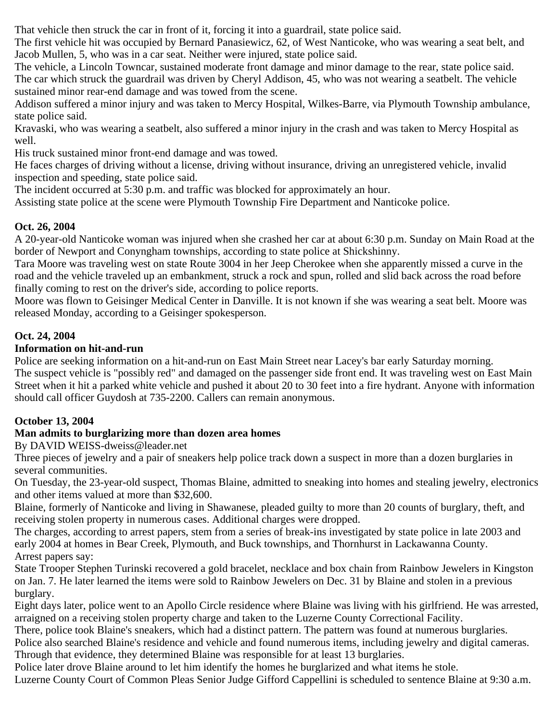That vehicle then struck the car in front of it, forcing it into a guardrail, state police said.

The first vehicle hit was occupied by Bernard Panasiewicz, 62, of West Nanticoke, who was wearing a seat belt, and Jacob Mullen, 5, who was in a car seat. Neither were injured, state police said.

The vehicle, a Lincoln Towncar, sustained moderate front damage and minor damage to the rear, state police said. The car which struck the guardrail was driven by Cheryl Addison, 45, who was not wearing a seatbelt. The vehicle sustained minor rear-end damage and was towed from the scene.

Addison suffered a minor injury and was taken to Mercy Hospital, Wilkes-Barre, via Plymouth Township ambulance, state police said.

Kravaski, who was wearing a seatbelt, also suffered a minor injury in the crash and was taken to Mercy Hospital as well.

His truck sustained minor front-end damage and was towed.

He faces charges of driving without a license, driving without insurance, driving an unregistered vehicle, invalid inspection and speeding, state police said.

The incident occurred at 5:30 p.m. and traffic was blocked for approximately an hour.

Assisting state police at the scene were Plymouth Township Fire Department and Nanticoke police.

#### **Oct. 26, 2004**

A 20-year-old Nanticoke woman was injured when she crashed her car at about 6:30 p.m. Sunday on Main Road at the border of Newport and Conyngham townships, according to state police at Shickshinny.

Tara Moore was traveling west on state Route 3004 in her Jeep Cherokee when she apparently missed a curve in the road and the vehicle traveled up an embankment, struck a rock and spun, rolled and slid back across the road before finally coming to rest on the driver's side, according to police reports.

Moore was flown to Geisinger Medical Center in Danville. It is not known if she was wearing a seat belt. Moore was released Monday, according to a Geisinger spokesperson.

#### **Oct. 24, 2004**

#### **Information on hit-and-run**

Police are seeking information on a hit-and-run on East Main Street near Lacey's bar early Saturday morning. The suspect vehicle is "possibly red" and damaged on the passenger side front end. It was traveling west on East Main Street when it hit a parked white vehicle and pushed it about 20 to 30 feet into a fire hydrant. Anyone with information should call officer Guydosh at 735-2200. Callers can remain anonymous.

## **October 13, 2004**

## **Man admits to burglarizing more than dozen area homes**

By DAVID WEISS-dweiss@leader.net

Three pieces of jewelry and a pair of sneakers help police track down a suspect in more than a dozen burglaries in several communities.

On Tuesday, the 23-year-old suspect, Thomas Blaine, admitted to sneaking into homes and stealing jewelry, electronics and other items valued at more than \$32,600.

Blaine, formerly of Nanticoke and living in Shawanese, pleaded guilty to more than 20 counts of burglary, theft, and receiving stolen property in numerous cases. Additional charges were dropped.

The charges, according to arrest papers, stem from a series of break-ins investigated by state police in late 2003 and early 2004 at homes in Bear Creek, Plymouth, and Buck townships, and Thornhurst in Lackawanna County. Arrest papers say:

State Trooper Stephen Turinski recovered a gold bracelet, necklace and box chain from Rainbow Jewelers in Kingston on Jan. 7. He later learned the items were sold to Rainbow Jewelers on Dec. 31 by Blaine and stolen in a previous burglary.

Eight days later, police went to an Apollo Circle residence where Blaine was living with his girlfriend. He was arrested, arraigned on a receiving stolen property charge and taken to the Luzerne County Correctional Facility.

There, police took Blaine's sneakers, which had a distinct pattern. The pattern was found at numerous burglaries. Police also searched Blaine's residence and vehicle and found numerous items, including jewelry and digital cameras.

Through that evidence, they determined Blaine was responsible for at least 13 burglaries.

Police later drove Blaine around to let him identify the homes he burglarized and what items he stole.

Luzerne County Court of Common Pleas Senior Judge Gifford Cappellini is scheduled to sentence Blaine at 9:30 a.m.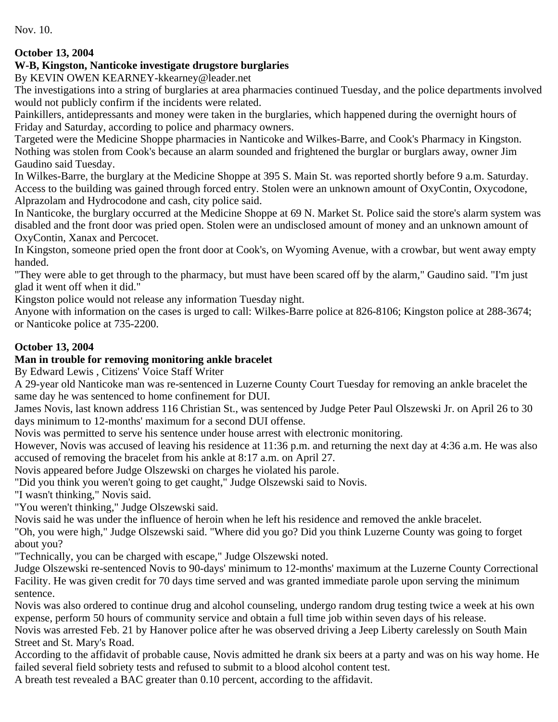Nov. 10.

# **October 13, 2004**

# **W-B, Kingston, Nanticoke investigate drugstore burglaries**

By KEVIN OWEN KEARNEY-kkearney@leader.net

The investigations into a string of burglaries at area pharmacies continued Tuesday, and the police departments involved would not publicly confirm if the incidents were related.

Painkillers, antidepressants and money were taken in the burglaries, which happened during the overnight hours of Friday and Saturday, according to police and pharmacy owners.

Targeted were the Medicine Shoppe pharmacies in Nanticoke and Wilkes-Barre, and Cook's Pharmacy in Kingston. Nothing was stolen from Cook's because an alarm sounded and frightened the burglar or burglars away, owner Jim Gaudino said Tuesday.

In Wilkes-Barre, the burglary at the Medicine Shoppe at 395 S. Main St. was reported shortly before 9 a.m. Saturday. Access to the building was gained through forced entry. Stolen were an unknown amount of OxyContin, Oxycodone, Alprazolam and Hydrocodone and cash, city police said.

In Nanticoke, the burglary occurred at the Medicine Shoppe at 69 N. Market St. Police said the store's alarm system was disabled and the front door was pried open. Stolen were an undisclosed amount of money and an unknown amount of OxyContin, Xanax and Percocet.

In Kingston, someone pried open the front door at Cook's, on Wyoming Avenue, with a crowbar, but went away empty handed.

"They were able to get through to the pharmacy, but must have been scared off by the alarm," Gaudino said. "I'm just glad it went off when it did."

Kingston police would not release any information Tuesday night.

Anyone with information on the cases is urged to call: Wilkes-Barre police at 826-8106; Kingston police at 288-3674; or Nanticoke police at 735-2200.

# **October 13, 2004**

## **Man in trouble for removing monitoring ankle bracelet**

By Edward Lewis , Citizens' Voice Staff Writer

A 29-year old Nanticoke man was re-sentenced in Luzerne County Court Tuesday for removing an ankle bracelet the same day he was sentenced to home confinement for DUI.

James Novis, last known address 116 Christian St., was sentenced by Judge Peter Paul Olszewski Jr. on April 26 to 30 days minimum to 12-months' maximum for a second DUI offense.

Novis was permitted to serve his sentence under house arrest with electronic monitoring.

However, Novis was accused of leaving his residence at 11:36 p.m. and returning the next day at 4:36 a.m. He was also accused of removing the bracelet from his ankle at 8:17 a.m. on April 27.

Novis appeared before Judge Olszewski on charges he violated his parole.

"Did you think you weren't going to get caught," Judge Olszewski said to Novis.

"I wasn't thinking," Novis said.

"You weren't thinking," Judge Olszewski said.

Novis said he was under the influence of heroin when he left his residence and removed the ankle bracelet.

"Oh, you were high," Judge Olszewski said. "Where did you go? Did you think Luzerne County was going to forget about you?

"Technically, you can be charged with escape," Judge Olszewski noted.

Judge Olszewski re-sentenced Novis to 90-days' minimum to 12-months' maximum at the Luzerne County Correctional Facility. He was given credit for 70 days time served and was granted immediate parole upon serving the minimum sentence.

Novis was also ordered to continue drug and alcohol counseling, undergo random drug testing twice a week at his own expense, perform 50 hours of community service and obtain a full time job within seven days of his release.

Novis was arrested Feb. 21 by Hanover police after he was observed driving a Jeep Liberty carelessly on South Main Street and St. Mary's Road.

According to the affidavit of probable cause, Novis admitted he drank six beers at a party and was on his way home. He failed several field sobriety tests and refused to submit to a blood alcohol content test.

A breath test revealed a BAC greater than 0.10 percent, according to the affidavit.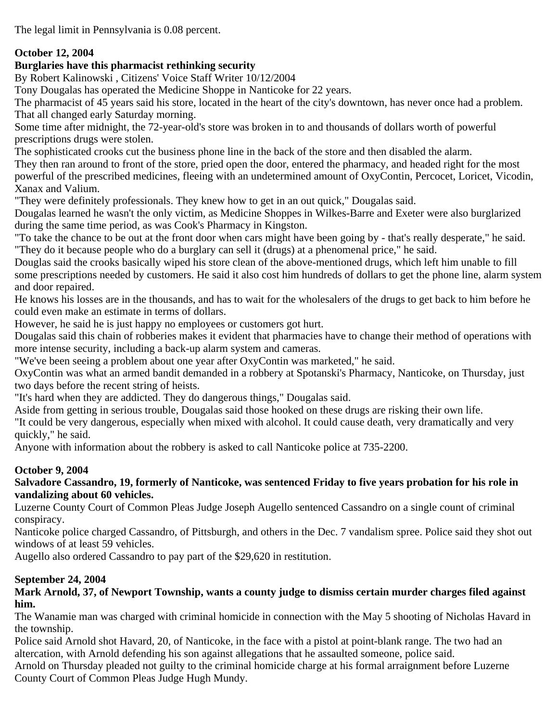The legal limit in Pennsylvania is 0.08 percent.

#### **October 12, 2004**

#### **Burglaries have this pharmacist rethinking security**

By Robert Kalinowski , Citizens' Voice Staff Writer 10/12/2004

Tony Dougalas has operated the Medicine Shoppe in Nanticoke for 22 years.

The pharmacist of 45 years said his store, located in the heart of the city's downtown, has never once had a problem. That all changed early Saturday morning.

Some time after midnight, the 72-year-old's store was broken in to and thousands of dollars worth of powerful prescriptions drugs were stolen.

The sophisticated crooks cut the business phone line in the back of the store and then disabled the alarm.

They then ran around to front of the store, pried open the door, entered the pharmacy, and headed right for the most powerful of the prescribed medicines, fleeing with an undetermined amount of OxyContin, Percocet, Loricet, Vicodin, Xanax and Valium.

"They were definitely professionals. They knew how to get in an out quick," Dougalas said.

Dougalas learned he wasn't the only victim, as Medicine Shoppes in Wilkes-Barre and Exeter were also burglarized during the same time period, as was Cook's Pharmacy in Kingston.

"To take the chance to be out at the front door when cars might have been going by - that's really desperate," he said. "They do it because people who do a burglary can sell it (drugs) at a phenomenal price," he said.

Douglas said the crooks basically wiped his store clean of the above-mentioned drugs, which left him unable to fill some prescriptions needed by customers. He said it also cost him hundreds of dollars to get the phone line, alarm system and door repaired.

He knows his losses are in the thousands, and has to wait for the wholesalers of the drugs to get back to him before he could even make an estimate in terms of dollars.

However, he said he is just happy no employees or customers got hurt.

Dougalas said this chain of robberies makes it evident that pharmacies have to change their method of operations with more intense security, including a back-up alarm system and cameras.

"We've been seeing a problem about one year after OxyContin was marketed," he said.

OxyContin was what an armed bandit demanded in a robbery at Spotanski's Pharmacy, Nanticoke, on Thursday, just two days before the recent string of heists.

"It's hard when they are addicted. They do dangerous things," Dougalas said.

Aside from getting in serious trouble, Dougalas said those hooked on these drugs are risking their own life.

"It could be very dangerous, especially when mixed with alcohol. It could cause death, very dramatically and very quickly," he said.

Anyone with information about the robbery is asked to call Nanticoke police at 735-2200.

## **October 9, 2004**

#### **Salvadore Cassandro, 19, formerly of Nanticoke, was sentenced Friday to five years probation for his role in vandalizing about 60 vehicles.**

Luzerne County Court of Common Pleas Judge Joseph Augello sentenced Cassandro on a single count of criminal conspiracy.

Nanticoke police charged Cassandro, of Pittsburgh, and others in the Dec. 7 vandalism spree. Police said they shot out windows of at least 59 vehicles.

Augello also ordered Cassandro to pay part of the \$29,620 in restitution.

## **September 24, 2004**

#### **Mark Arnold, 37, of Newport Township, wants a county judge to dismiss certain murder charges filed against him.**

The Wanamie man was charged with criminal homicide in connection with the May 5 shooting of Nicholas Havard in the township.

Police said Arnold shot Havard, 20, of Nanticoke, in the face with a pistol at point-blank range. The two had an altercation, with Arnold defending his son against allegations that he assaulted someone, police said.

Arnold on Thursday pleaded not guilty to the criminal homicide charge at his formal arraignment before Luzerne County Court of Common Pleas Judge Hugh Mundy.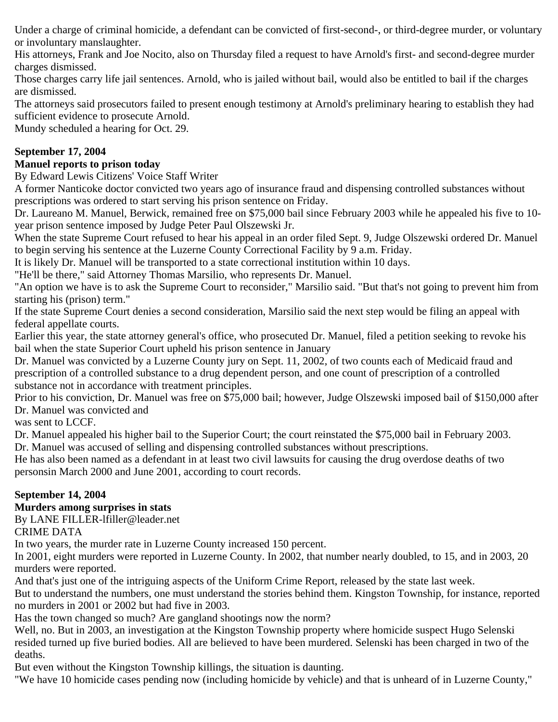Under a charge of criminal homicide, a defendant can be convicted of first-second-, or third-degree murder, or voluntary or involuntary manslaughter.

His attorneys, Frank and Joe Nocito, also on Thursday filed a request to have Arnold's first- and second-degree murder charges dismissed.

Those charges carry life jail sentences. Arnold, who is jailed without bail, would also be entitled to bail if the charges are dismissed.

The attorneys said prosecutors failed to present enough testimony at Arnold's preliminary hearing to establish they had sufficient evidence to prosecute Arnold.

Mundy scheduled a hearing for Oct. 29.

# **September 17, 2004**

## **Manuel reports to prison today**

By Edward Lewis Citizens' Voice Staff Writer

A former Nanticoke doctor convicted two years ago of insurance fraud and dispensing controlled substances without prescriptions was ordered to start serving his prison sentence on Friday.

Dr. Laureano M. Manuel, Berwick, remained free on \$75,000 bail since February 2003 while he appealed his five to 10 year prison sentence imposed by Judge Peter Paul Olszewski Jr.

When the state Supreme Court refused to hear his appeal in an order filed Sept. 9, Judge Olszewski ordered Dr. Manuel to begin serving his sentence at the Luzerne County Correctional Facility by 9 a.m. Friday.

It is likely Dr. Manuel will be transported to a state correctional institution within 10 days.

"He'll be there," said Attorney Thomas Marsilio, who represents Dr. Manuel.

"An option we have is to ask the Supreme Court to reconsider," Marsilio said. "But that's not going to prevent him from starting his (prison) term."

If the state Supreme Court denies a second consideration, Marsilio said the next step would be filing an appeal with federal appellate courts.

Earlier this year, the state attorney general's office, who prosecuted Dr. Manuel, filed a petition seeking to revoke his bail when the state Superior Court upheld his prison sentence in January

Dr. Manuel was convicted by a Luzerne County jury on Sept. 11, 2002, of two counts each of Medicaid fraud and prescription of a controlled substance to a drug dependent person, and one count of prescription of a controlled substance not in accordance with treatment principles.

Prior to his conviction, Dr. Manuel was free on \$75,000 bail; however, Judge Olszewski imposed bail of \$150,000 after Dr. Manuel was convicted and

was sent to LCCF.

Dr. Manuel appealed his higher bail to the Superior Court; the court reinstated the \$75,000 bail in February 2003. Dr. Manuel was accused of selling and dispensing controlled substances without prescriptions.

He has also been named as a defendant in at least two civil lawsuits for causing the drug overdose deaths of two personsin March 2000 and June 2001, according to court records.

## **September 14, 2004**

## **Murders among surprises in stats**

By LANE FILLER-lfiller@leader.net

CRIME DATA

In two years, the murder rate in Luzerne County increased 150 percent.

In 2001, eight murders were reported in Luzerne County. In 2002, that number nearly doubled, to 15, and in 2003, 20 murders were reported.

And that's just one of the intriguing aspects of the Uniform Crime Report, released by the state last week.

But to understand the numbers, one must understand the stories behind them. Kingston Township, for instance, reported no murders in 2001 or 2002 but had five in 2003.

Has the town changed so much? Are gangland shootings now the norm?

Well, no. But in 2003, an investigation at the Kingston Township property where homicide suspect Hugo Selenski resided turned up five buried bodies. All are believed to have been murdered. Selenski has been charged in two of the deaths.

But even without the Kingston Township killings, the situation is daunting.

"We have 10 homicide cases pending now (including homicide by vehicle) and that is unheard of in Luzerne County,"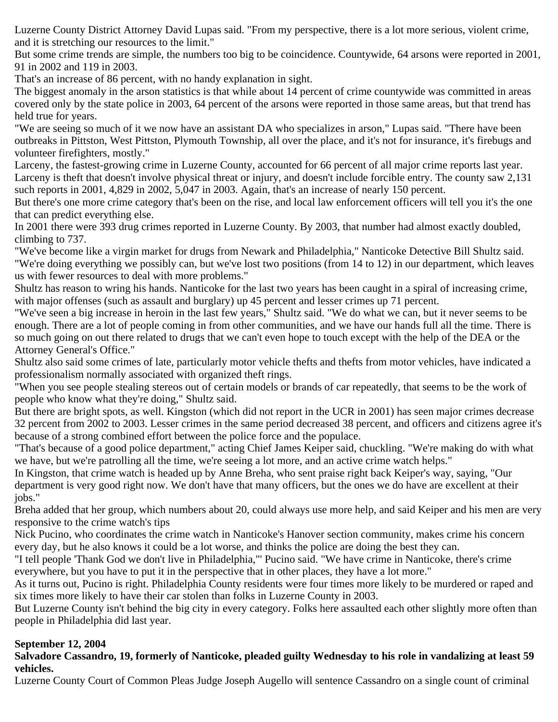Luzerne County District Attorney David Lupas said. "From my perspective, there is a lot more serious, violent crime, and it is stretching our resources to the limit."

But some crime trends are simple, the numbers too big to be coincidence. Countywide, 64 arsons were reported in 2001, 91 in 2002 and 119 in 2003.

That's an increase of 86 percent, with no handy explanation in sight.

The biggest anomaly in the arson statistics is that while about 14 percent of crime countywide was committed in areas covered only by the state police in 2003, 64 percent of the arsons were reported in those same areas, but that trend has held true for years.

"We are seeing so much of it we now have an assistant DA who specializes in arson," Lupas said. "There have been outbreaks in Pittston, West Pittston, Plymouth Township, all over the place, and it's not for insurance, it's firebugs and volunteer firefighters, mostly."

Larceny, the fastest-growing crime in Luzerne County, accounted for 66 percent of all major crime reports last year. Larceny is theft that doesn't involve physical threat or injury, and doesn't include forcible entry. The county saw 2,131 such reports in 2001, 4,829 in 2002, 5,047 in 2003. Again, that's an increase of nearly 150 percent.

But there's one more crime category that's been on the rise, and local law enforcement officers will tell you it's the one that can predict everything else.

In 2001 there were 393 drug crimes reported in Luzerne County. By 2003, that number had almost exactly doubled, climbing to 737.

"We've become like a virgin market for drugs from Newark and Philadelphia," Nanticoke Detective Bill Shultz said. "We're doing everything we possibly can, but we've lost two positions (from 14 to 12) in our department, which leaves us with fewer resources to deal with more problems."

Shultz has reason to wring his hands. Nanticoke for the last two years has been caught in a spiral of increasing crime, with major offenses (such as assault and burglary) up 45 percent and lesser crimes up 71 percent.

"We've seen a big increase in heroin in the last few years," Shultz said. "We do what we can, but it never seems to be enough. There are a lot of people coming in from other communities, and we have our hands full all the time. There is so much going on out there related to drugs that we can't even hope to touch except with the help of the DEA or the Attorney General's Office."

Shultz also said some crimes of late, particularly motor vehicle thefts and thefts from motor vehicles, have indicated a professionalism normally associated with organized theft rings.

"When you see people stealing stereos out of certain models or brands of car repeatedly, that seems to be the work of people who know what they're doing," Shultz said.

But there are bright spots, as well. Kingston (which did not report in the UCR in 2001) has seen major crimes decrease 32 percent from 2002 to 2003. Lesser crimes in the same period decreased 38 percent, and officers and citizens agree it's because of a strong combined effort between the police force and the populace.

"That's because of a good police department," acting Chief James Keiper said, chuckling. "We're making do with what we have, but we're patrolling all the time, we're seeing a lot more, and an active crime watch helps."

In Kingston, that crime watch is headed up by Anne Breha, who sent praise right back Keiper's way, saying, "Our department is very good right now. We don't have that many officers, but the ones we do have are excellent at their jobs."

Breha added that her group, which numbers about 20, could always use more help, and said Keiper and his men are very responsive to the crime watch's tips

Nick Pucino, who coordinates the crime watch in Nanticoke's Hanover section community, makes crime his concern every day, but he also knows it could be a lot worse, and thinks the police are doing the best they can.

"I tell people 'Thank God we don't live in Philadelphia,"' Pucino said. "We have crime in Nanticoke, there's crime everywhere, but you have to put it in the perspective that in other places, they have a lot more."

As it turns out, Pucino is right. Philadelphia County residents were four times more likely to be murdered or raped and six times more likely to have their car stolen than folks in Luzerne County in 2003.

But Luzerne County isn't behind the big city in every category. Folks here assaulted each other slightly more often than people in Philadelphia did last year.

## **September 12, 2004**

#### **Salvadore Cassandro, 19, formerly of Nanticoke, pleaded guilty Wednesday to his role in vandalizing at least 59 vehicles.**

Luzerne County Court of Common Pleas Judge Joseph Augello will sentence Cassandro on a single count of criminal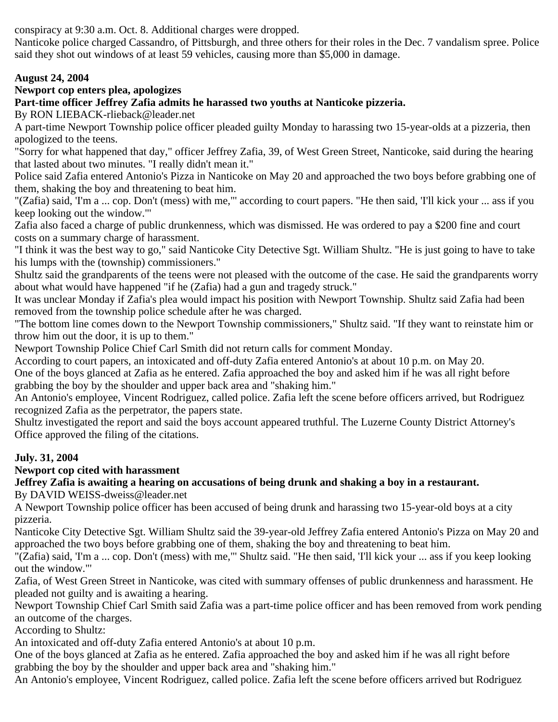conspiracy at 9:30 a.m. Oct. 8. Additional charges were dropped.

Nanticoke police charged Cassandro, of Pittsburgh, and three others for their roles in the Dec. 7 vandalism spree. Police said they shot out windows of at least 59 vehicles, causing more than \$5,000 in damage.

## **August 24, 2004**

# **Newport cop enters plea, apologizes**

## **Part-time officer Jeffrey Zafia admits he harassed two youths at Nanticoke pizzeria.**

By RON LIEBACK-rlieback@leader.net

A part-time Newport Township police officer pleaded guilty Monday to harassing two 15-year-olds at a pizzeria, then apologized to the teens.

"Sorry for what happened that day," officer Jeffrey Zafia, 39, of West Green Street, Nanticoke, said during the hearing that lasted about two minutes. "I really didn't mean it."

Police said Zafia entered Antonio's Pizza in Nanticoke on May 20 and approached the two boys before grabbing one of them, shaking the boy and threatening to beat him.

"(Zafia) said, 'I'm a ... cop. Don't (mess) with me,"' according to court papers. "He then said, 'I'll kick your ... ass if you keep looking out the window."'

Zafia also faced a charge of public drunkenness, which was dismissed. He was ordered to pay a \$200 fine and court costs on a summary charge of harassment.

"I think it was the best way to go," said Nanticoke City Detective Sgt. William Shultz. "He is just going to have to take his lumps with the (township) commissioners."

Shultz said the grandparents of the teens were not pleased with the outcome of the case. He said the grandparents worry about what would have happened "if he (Zafia) had a gun and tragedy struck."

It was unclear Monday if Zafia's plea would impact his position with Newport Township. Shultz said Zafia had been removed from the township police schedule after he was charged.

"The bottom line comes down to the Newport Township commissioners," Shultz said. "If they want to reinstate him or throw him out the door, it is up to them."

Newport Township Police Chief Carl Smith did not return calls for comment Monday.

According to court papers, an intoxicated and off-duty Zafia entered Antonio's at about 10 p.m. on May 20.

One of the boys glanced at Zafia as he entered. Zafia approached the boy and asked him if he was all right before grabbing the boy by the shoulder and upper back area and "shaking him."

An Antonio's employee, Vincent Rodriguez, called police. Zafia left the scene before officers arrived, but Rodriguez recognized Zafia as the perpetrator, the papers state.

Shultz investigated the report and said the boys account appeared truthful. The Luzerne County District Attorney's Office approved the filing of the citations.

## **July. 31, 2004**

## **Newport cop cited with harassment**

# **Jeffrey Zafia is awaiting a hearing on accusations of being drunk and shaking a boy in a restaurant.**

By DAVID WEISS-dweiss@leader.net

A Newport Township police officer has been accused of being drunk and harassing two 15-year-old boys at a city pizzeria.

Nanticoke City Detective Sgt. William Shultz said the 39-year-old Jeffrey Zafia entered Antonio's Pizza on May 20 and approached the two boys before grabbing one of them, shaking the boy and threatening to beat him.

"(Zafia) said, 'I'm a ... cop. Don't (mess) with me,"' Shultz said. "He then said, 'I'll kick your ... ass if you keep looking out the window."'

Zafia, of West Green Street in Nanticoke, was cited with summary offenses of public drunkenness and harassment. He pleaded not guilty and is awaiting a hearing.

Newport Township Chief Carl Smith said Zafia was a part-time police officer and has been removed from work pending an outcome of the charges.

According to Shultz:

An intoxicated and off-duty Zafia entered Antonio's at about 10 p.m.

One of the boys glanced at Zafia as he entered. Zafia approached the boy and asked him if he was all right before grabbing the boy by the shoulder and upper back area and "shaking him."

An Antonio's employee, Vincent Rodriguez, called police. Zafia left the scene before officers arrived but Rodriguez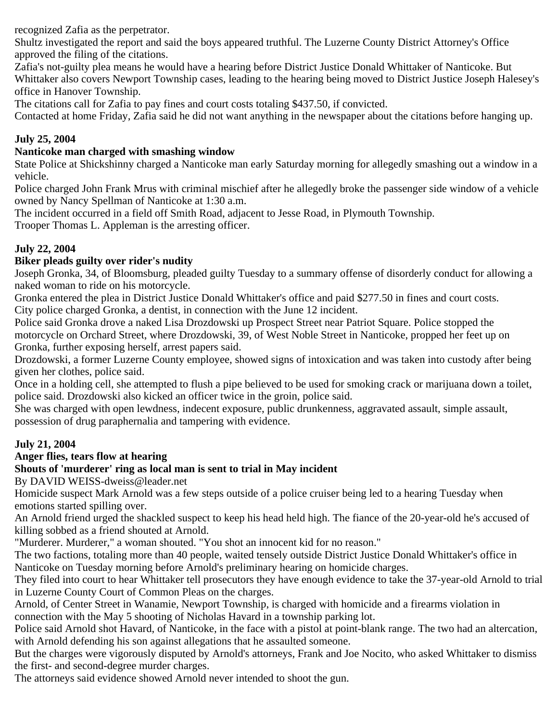recognized Zafia as the perpetrator.

Shultz investigated the report and said the boys appeared truthful. The Luzerne County District Attorney's Office approved the filing of the citations.

Zafia's not-guilty plea means he would have a hearing before District Justice Donald Whittaker of Nanticoke. But Whittaker also covers Newport Township cases, leading to the hearing being moved to District Justice Joseph Halesey's office in Hanover Township.

The citations call for Zafia to pay fines and court costs totaling \$437.50, if convicted.

Contacted at home Friday, Zafia said he did not want anything in the newspaper about the citations before hanging up.

#### **July 25, 2004**

#### **Nanticoke man charged with smashing window**

State Police at Shickshinny charged a Nanticoke man early Saturday morning for allegedly smashing out a window in a vehicle.

Police charged John Frank Mrus with criminal mischief after he allegedly broke the passenger side window of a vehicle owned by Nancy Spellman of Nanticoke at 1:30 a.m.

The incident occurred in a field off Smith Road, adjacent to Jesse Road, in Plymouth Township.

Trooper Thomas L. Appleman is the arresting officer.

#### **July 22, 2004**

#### **Biker pleads guilty over rider's nudity**

Joseph Gronka, 34, of Bloomsburg, pleaded guilty Tuesday to a summary offense of disorderly conduct for allowing a naked woman to ride on his motorcycle.

Gronka entered the plea in District Justice Donald Whittaker's office and paid \$277.50 in fines and court costs. City police charged Gronka, a dentist, in connection with the June 12 incident.

Police said Gronka drove a naked Lisa Drozdowski up Prospect Street near Patriot Square. Police stopped the motorcycle on Orchard Street, where Drozdowski, 39, of West Noble Street in Nanticoke, propped her feet up on Gronka, further exposing herself, arrest papers said.

Drozdowski, a former Luzerne County employee, showed signs of intoxication and was taken into custody after being given her clothes, police said.

Once in a holding cell, she attempted to flush a pipe believed to be used for smoking crack or marijuana down a toilet, police said. Drozdowski also kicked an officer twice in the groin, police said.

She was charged with open lewdness, indecent exposure, public drunkenness, aggravated assault, simple assault, possession of drug paraphernalia and tampering with evidence.

## **July 21, 2004**

#### **Anger flies, tears flow at hearing**

## **Shouts of 'murderer' ring as local man is sent to trial in May incident**

By DAVID WEISS-dweiss@leader.net

Homicide suspect Mark Arnold was a few steps outside of a police cruiser being led to a hearing Tuesday when emotions started spilling over.

An Arnold friend urged the shackled suspect to keep his head held high. The fiance of the 20-year-old he's accused of killing sobbed as a friend shouted at Arnold.

"Murderer. Murderer," a woman shouted. "You shot an innocent kid for no reason."

The two factions, totaling more than 40 people, waited tensely outside District Justice Donald Whittaker's office in Nanticoke on Tuesday morning before Arnold's preliminary hearing on homicide charges.

They filed into court to hear Whittaker tell prosecutors they have enough evidence to take the 37-year-old Arnold to trial in Luzerne County Court of Common Pleas on the charges.

Arnold, of Center Street in Wanamie, Newport Township, is charged with homicide and a firearms violation in connection with the May 5 shooting of Nicholas Havard in a township parking lot.

Police said Arnold shot Havard, of Nanticoke, in the face with a pistol at point-blank range. The two had an altercation, with Arnold defending his son against allegations that he assaulted someone.

But the charges were vigorously disputed by Arnold's attorneys, Frank and Joe Nocito, who asked Whittaker to dismiss the first- and second-degree murder charges.

The attorneys said evidence showed Arnold never intended to shoot the gun.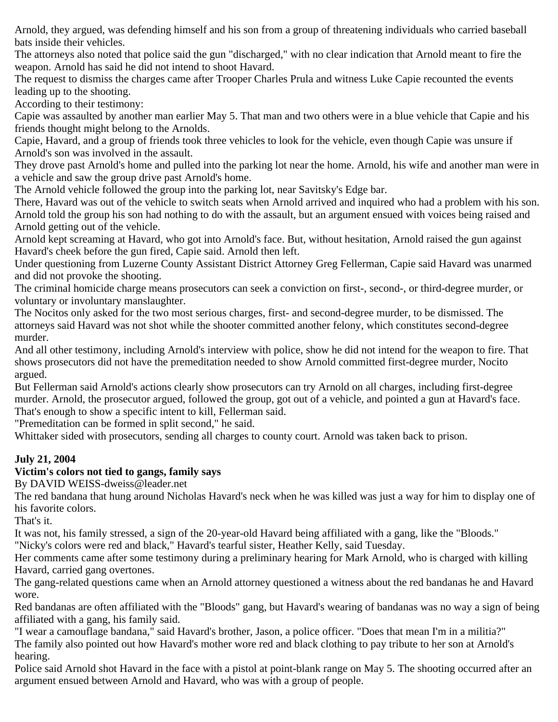Arnold, they argued, was defending himself and his son from a group of threatening individuals who carried baseball bats inside their vehicles.

The attorneys also noted that police said the gun "discharged," with no clear indication that Arnold meant to fire the weapon. Arnold has said he did not intend to shoot Havard.

The request to dismiss the charges came after Trooper Charles Prula and witness Luke Capie recounted the events leading up to the shooting.

According to their testimony:

Capie was assaulted by another man earlier May 5. That man and two others were in a blue vehicle that Capie and his friends thought might belong to the Arnolds.

Capie, Havard, and a group of friends took three vehicles to look for the vehicle, even though Capie was unsure if Arnold's son was involved in the assault.

They drove past Arnold's home and pulled into the parking lot near the home. Arnold, his wife and another man were in a vehicle and saw the group drive past Arnold's home.

The Arnold vehicle followed the group into the parking lot, near Savitsky's Edge bar.

There, Havard was out of the vehicle to switch seats when Arnold arrived and inquired who had a problem with his son. Arnold told the group his son had nothing to do with the assault, but an argument ensued with voices being raised and Arnold getting out of the vehicle.

Arnold kept screaming at Havard, who got into Arnold's face. But, without hesitation, Arnold raised the gun against Havard's cheek before the gun fired, Capie said. Arnold then left.

Under questioning from Luzerne County Assistant District Attorney Greg Fellerman, Capie said Havard was unarmed and did not provoke the shooting.

The criminal homicide charge means prosecutors can seek a conviction on first-, second-, or third-degree murder, or voluntary or involuntary manslaughter.

The Nocitos only asked for the two most serious charges, first- and second-degree murder, to be dismissed. The attorneys said Havard was not shot while the shooter committed another felony, which constitutes second-degree murder.

And all other testimony, including Arnold's interview with police, show he did not intend for the weapon to fire. That shows prosecutors did not have the premeditation needed to show Arnold committed first-degree murder, Nocito argued.

But Fellerman said Arnold's actions clearly show prosecutors can try Arnold on all charges, including first-degree murder. Arnold, the prosecutor argued, followed the group, got out of a vehicle, and pointed a gun at Havard's face. That's enough to show a specific intent to kill, Fellerman said.

"Premeditation can be formed in split second," he said.

Whittaker sided with prosecutors, sending all charges to county court. Arnold was taken back to prison.

## **July 21, 2004**

## **Victim's colors not tied to gangs, family says**

By DAVID WEISS-dweiss@leader.net

The red bandana that hung around Nicholas Havard's neck when he was killed was just a way for him to display one of his favorite colors.

That's it.

It was not, his family stressed, a sign of the 20-year-old Havard being affiliated with a gang, like the "Bloods."

"Nicky's colors were red and black," Havard's tearful sister, Heather Kelly, said Tuesday.

Her comments came after some testimony during a preliminary hearing for Mark Arnold, who is charged with killing Havard, carried gang overtones.

The gang-related questions came when an Arnold attorney questioned a witness about the red bandanas he and Havard wore.

Red bandanas are often affiliated with the "Bloods" gang, but Havard's wearing of bandanas was no way a sign of being affiliated with a gang, his family said.

"I wear a camouflage bandana," said Havard's brother, Jason, a police officer. "Does that mean I'm in a militia?" The family also pointed out how Havard's mother wore red and black clothing to pay tribute to her son at Arnold's hearing.

Police said Arnold shot Havard in the face with a pistol at point-blank range on May 5. The shooting occurred after an argument ensued between Arnold and Havard, who was with a group of people.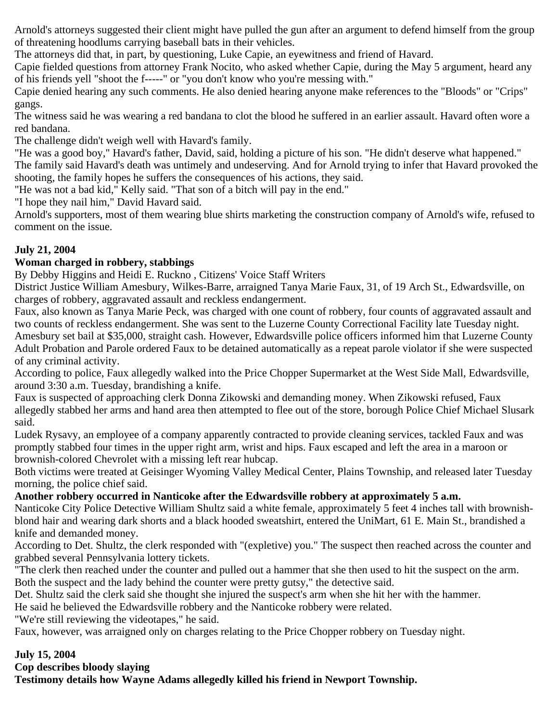Arnold's attorneys suggested their client might have pulled the gun after an argument to defend himself from the group of threatening hoodlums carrying baseball bats in their vehicles.

The attorneys did that, in part, by questioning, Luke Capie, an eyewitness and friend of Havard.

Capie fielded questions from attorney Frank Nocito, who asked whether Capie, during the May 5 argument, heard any of his friends yell "shoot the f-----" or "you don't know who you're messing with."

Capie denied hearing any such comments. He also denied hearing anyone make references to the "Bloods" or "Crips" gangs.

The witness said he was wearing a red bandana to clot the blood he suffered in an earlier assault. Havard often wore a red bandana.

The challenge didn't weigh well with Havard's family.

"He was a good boy," Havard's father, David, said, holding a picture of his son. "He didn't deserve what happened." The family said Havard's death was untimely and undeserving. And for Arnold trying to infer that Havard provoked the shooting, the family hopes he suffers the consequences of his actions, they said.

"He was not a bad kid," Kelly said. "That son of a bitch will pay in the end."

"I hope they nail him," David Havard said.

Arnold's supporters, most of them wearing blue shirts marketing the construction company of Arnold's wife, refused to comment on the issue.

#### **July 21, 2004**

#### **Woman charged in robbery, stabbings**

By Debby Higgins and Heidi E. Ruckno , Citizens' Voice Staff Writers

District Justice William Amesbury, Wilkes-Barre, arraigned Tanya Marie Faux, 31, of 19 Arch St., Edwardsville, on charges of robbery, aggravated assault and reckless endangerment.

Faux, also known as Tanya Marie Peck, was charged with one count of robbery, four counts of aggravated assault and two counts of reckless endangerment. She was sent to the Luzerne County Correctional Facility late Tuesday night. Amesbury set bail at \$35,000, straight cash. However, Edwardsville police officers informed him that Luzerne County Adult Probation and Parole ordered Faux to be detained automatically as a repeat parole violator if she were suspected of any criminal activity.

According to police, Faux allegedly walked into the Price Chopper Supermarket at the West Side Mall, Edwardsville, around 3:30 a.m. Tuesday, brandishing a knife.

Faux is suspected of approaching clerk Donna Zikowski and demanding money. When Zikowski refused, Faux allegedly stabbed her arms and hand area then attempted to flee out of the store, borough Police Chief Michael Slusark said.

Ludek Rysavy, an employee of a company apparently contracted to provide cleaning services, tackled Faux and was promptly stabbed four times in the upper right arm, wrist and hips. Faux escaped and left the area in a maroon or brownish-colored Chevrolet with a missing left rear hubcap.

Both victims were treated at Geisinger Wyoming Valley Medical Center, Plains Township, and released later Tuesday morning, the police chief said.

## **Another robbery occurred in Nanticoke after the Edwardsville robbery at approximately 5 a.m.**

Nanticoke City Police Detective William Shultz said a white female, approximately 5 feet 4 inches tall with brownishblond hair and wearing dark shorts and a black hooded sweatshirt, entered the UniMart, 61 E. Main St., brandished a knife and demanded money.

According to Det. Shultz, the clerk responded with "(expletive) you." The suspect then reached across the counter and grabbed several Pennsylvania lottery tickets.

"The clerk then reached under the counter and pulled out a hammer that she then used to hit the suspect on the arm. Both the suspect and the lady behind the counter were pretty gutsy," the detective said.

Det. Shultz said the clerk said she thought she injured the suspect's arm when she hit her with the hammer.

He said he believed the Edwardsville robbery and the Nanticoke robbery were related.

"We're still reviewing the videotapes," he said.

Faux, however, was arraigned only on charges relating to the Price Chopper robbery on Tuesday night.

## **July 15, 2004**

**Cop describes bloody slaying**

**Testimony details how Wayne Adams allegedly killed his friend in Newport Township.**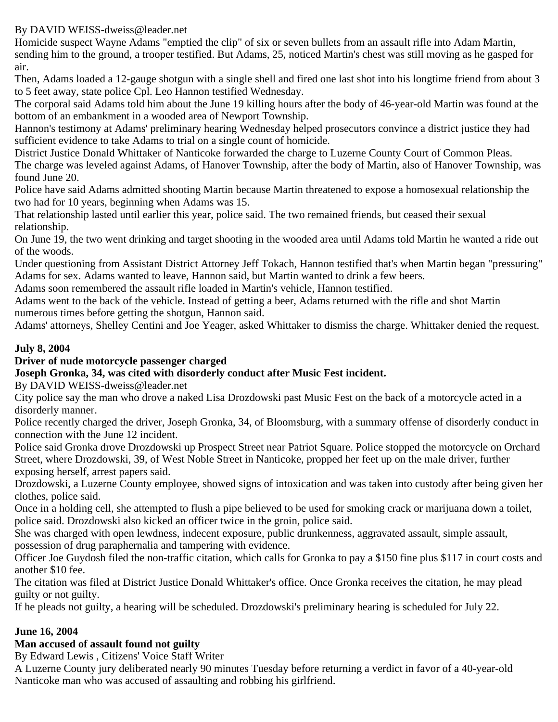## By DAVID WEISS-dweiss@leader.net

Homicide suspect Wayne Adams "emptied the clip" of six or seven bullets from an assault rifle into Adam Martin, sending him to the ground, a trooper testified. But Adams, 25, noticed Martin's chest was still moving as he gasped for air.

Then, Adams loaded a 12-gauge shotgun with a single shell and fired one last shot into his longtime friend from about 3 to 5 feet away, state police Cpl. Leo Hannon testified Wednesday.

The corporal said Adams told him about the June 19 killing hours after the body of 46-year-old Martin was found at the bottom of an embankment in a wooded area of Newport Township.

Hannon's testimony at Adams' preliminary hearing Wednesday helped prosecutors convince a district justice they had sufficient evidence to take Adams to trial on a single count of homicide.

District Justice Donald Whittaker of Nanticoke forwarded the charge to Luzerne County Court of Common Pleas. The charge was leveled against Adams, of Hanover Township, after the body of Martin, also of Hanover Township, was found June 20.

Police have said Adams admitted shooting Martin because Martin threatened to expose a homosexual relationship the two had for 10 years, beginning when Adams was 15.

That relationship lasted until earlier this year, police said. The two remained friends, but ceased their sexual relationship.

On June 19, the two went drinking and target shooting in the wooded area until Adams told Martin he wanted a ride out of the woods.

Under questioning from Assistant District Attorney Jeff Tokach, Hannon testified that's when Martin began "pressuring" Adams for sex. Adams wanted to leave, Hannon said, but Martin wanted to drink a few beers.

Adams soon remembered the assault rifle loaded in Martin's vehicle, Hannon testified.

Adams went to the back of the vehicle. Instead of getting a beer, Adams returned with the rifle and shot Martin numerous times before getting the shotgun, Hannon said.

Adams' attorneys, Shelley Centini and Joe Yeager, asked Whittaker to dismiss the charge. Whittaker denied the request.

# **July 8, 2004**

## **Driver of nude motorcycle passenger charged**

## **Joseph Gronka, 34, was cited with disorderly conduct after Music Fest incident.**

By DAVID WEISS-dweiss@leader.net

City police say the man who drove a naked Lisa Drozdowski past Music Fest on the back of a motorcycle acted in a disorderly manner.

Police recently charged the driver, Joseph Gronka, 34, of Bloomsburg, with a summary offense of disorderly conduct in connection with the June 12 incident.

Police said Gronka drove Drozdowski up Prospect Street near Patriot Square. Police stopped the motorcycle on Orchard Street, where Drozdowski, 39, of West Noble Street in Nanticoke, propped her feet up on the male driver, further exposing herself, arrest papers said.

Drozdowski, a Luzerne County employee, showed signs of intoxication and was taken into custody after being given her clothes, police said.

Once in a holding cell, she attempted to flush a pipe believed to be used for smoking crack or marijuana down a toilet, police said. Drozdowski also kicked an officer twice in the groin, police said.

She was charged with open lewdness, indecent exposure, public drunkenness, aggravated assault, simple assault, possession of drug paraphernalia and tampering with evidence.

Officer Joe Guydosh filed the non-traffic citation, which calls for Gronka to pay a \$150 fine plus \$117 in court costs and another \$10 fee.

The citation was filed at District Justice Donald Whittaker's office. Once Gronka receives the citation, he may plead guilty or not guilty.

If he pleads not guilty, a hearing will be scheduled. Drozdowski's preliminary hearing is scheduled for July 22.

# **June 16, 2004**

## **Man accused of assault found not guilty**

By Edward Lewis , Citizens' Voice Staff Writer

A Luzerne County jury deliberated nearly 90 minutes Tuesday before returning a verdict in favor of a 40-year-old Nanticoke man who was accused of assaulting and robbing his girlfriend.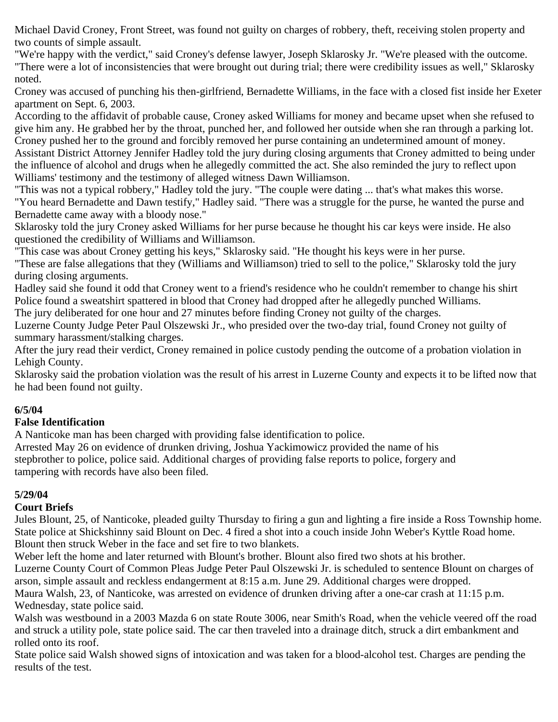Michael David Croney, Front Street, was found not guilty on charges of robbery, theft, receiving stolen property and two counts of simple assault.

"We're happy with the verdict," said Croney's defense lawyer, Joseph Sklarosky Jr. "We're pleased with the outcome. "There were a lot of inconsistencies that were brought out during trial; there were credibility issues as well," Sklarosky noted.

Croney was accused of punching his then-girlfriend, Bernadette Williams, in the face with a closed fist inside her Exeter apartment on Sept. 6, 2003.

According to the affidavit of probable cause, Croney asked Williams for money and became upset when she refused to give him any. He grabbed her by the throat, punched her, and followed her outside when she ran through a parking lot. Croney pushed her to the ground and forcibly removed her purse containing an undetermined amount of money. Assistant District Attorney Jennifer Hadley told the jury during closing arguments that Croney admitted to being under

the influence of alcohol and drugs when he allegedly committed the act. She also reminded the jury to reflect upon Williams' testimony and the testimony of alleged witness Dawn Williamson.

"This was not a typical robbery," Hadley told the jury. "The couple were dating ... that's what makes this worse. "You heard Bernadette and Dawn testify," Hadley said. "There was a struggle for the purse, he wanted the purse and Bernadette came away with a bloody nose."

Sklarosky told the jury Croney asked Williams for her purse because he thought his car keys were inside. He also questioned the credibility of Williams and Williamson.

"This case was about Croney getting his keys," Sklarosky said. "He thought his keys were in her purse.

"These are false allegations that they (Williams and Williamson) tried to sell to the police," Sklarosky told the jury during closing arguments.

Hadley said she found it odd that Croney went to a friend's residence who he couldn't remember to change his shirt Police found a sweatshirt spattered in blood that Croney had dropped after he allegedly punched Williams.

The jury deliberated for one hour and 27 minutes before finding Croney not guilty of the charges.

Luzerne County Judge Peter Paul Olszewski Jr., who presided over the two-day trial, found Croney not guilty of summary harassment/stalking charges.

After the jury read their verdict, Croney remained in police custody pending the outcome of a probation violation in Lehigh County.

Sklarosky said the probation violation was the result of his arrest in Luzerne County and expects it to be lifted now that he had been found not guilty.

## **6/5/04**

#### **False Identification**

A Nanticoke man has been charged with providing false identification to police.

Arrested May 26 on evidence of drunken driving, Joshua Yackimowicz provided the name of his stepbrother to police, police said. Additional charges of providing false reports to police, forgery and tampering with records have also been filed.

## **5/29/04**

## **Court Briefs**

Jules Blount, 25, of Nanticoke, pleaded guilty Thursday to firing a gun and lighting a fire inside a Ross Township home. State police at Shickshinny said Blount on Dec. 4 fired a shot into a couch inside John Weber's Kyttle Road home. Blount then struck Weber in the face and set fire to two blankets.

Weber left the home and later returned with Blount's brother. Blount also fired two shots at his brother.

Luzerne County Court of Common Pleas Judge Peter Paul Olszewski Jr. is scheduled to sentence Blount on charges of arson, simple assault and reckless endangerment at 8:15 a.m. June 29. Additional charges were dropped.

Maura Walsh, 23, of Nanticoke, was arrested on evidence of drunken driving after a one-car crash at 11:15 p.m. Wednesday, state police said.

Walsh was westbound in a 2003 Mazda 6 on state Route 3006, near Smith's Road, when the vehicle veered off the road and struck a utility pole, state police said. The car then traveled into a drainage ditch, struck a dirt embankment and rolled onto its roof.

State police said Walsh showed signs of intoxication and was taken for a blood-alcohol test. Charges are pending the results of the test.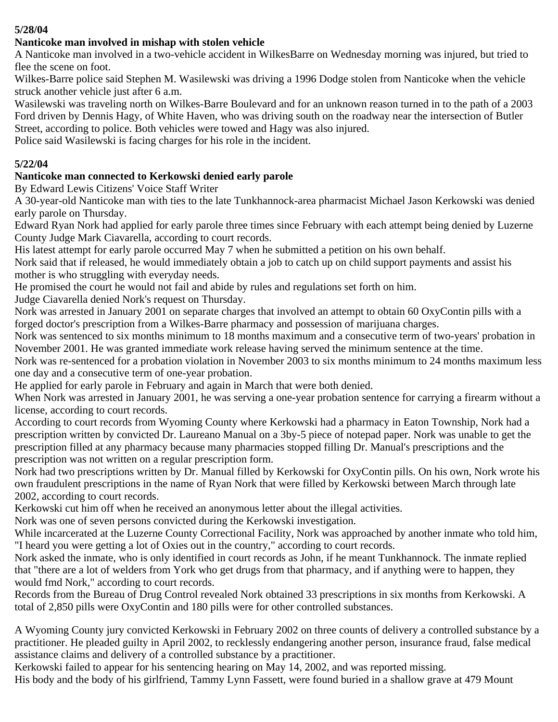## **5/28/04**

#### **Nanticoke man involved in mishap with stolen vehicle**

A Nanticoke man involved in a two-vehicle accident in WilkesBarre on Wednesday morning was injured, but tried to flee the scene on foot.

Wilkes-Barre police said Stephen M. Wasilewski was driving a 1996 Dodge stolen from Nanticoke when the vehicle struck another vehicle just after 6 a.m.

Wasilewski was traveling north on Wilkes-Barre Boulevard and for an unknown reason turned in to the path of a 2003 Ford driven by Dennis Hagy, of White Haven, who was driving south on the roadway near the intersection of Butler Street, according to police. Both vehicles were towed and Hagy was also injured.

Police said Wasilewski is facing charges for his role in the incident.

## **5/22/04**

# **Nanticoke man connected to Kerkowski denied early parole**

By Edward Lewis Citizens' Voice Staff Writer

A 30-year-old Nanticoke man with ties to the late Tunkhannock-area pharmacist Michael Jason Kerkowski was denied early parole on Thursday.

Edward Ryan Nork had applied for early parole three times since February with each attempt being denied by Luzerne County Judge Mark Ciavarella, according to court records.

His latest attempt for early parole occurred May 7 when he submitted a petition on his own behalf.

Nork said that if released, he would immediately obtain a job to catch up on child support payments and assist his mother is who struggling with everyday needs.

He promised the court he would not fail and abide by rules and regulations set forth on him.

Judge Ciavarella denied Nork's request on Thursday.

Nork was arrested in January 2001 on separate charges that involved an attempt to obtain 60 OxyContin pills with a forged doctor's prescription from a Wilkes-Barre pharmacy and possession of marijuana charges.

Nork was sentenced to six months minimum to 18 months maximum and a consecutive term of two-years' probation in November 2001. He was granted immediate work release having served the minimum sentence at the time.

Nork was re-sentenced for a probation violation in November 2003 to six months minimum to 24 months maximum less one day and a consecutive term of one-year probation.

He applied for early parole in February and again in March that were both denied.

When Nork was arrested in January 2001, he was serving a one-year probation sentence for carrying a firearm without a license, according to court records.

According to court records from Wyoming County where Kerkowski had a pharmacy in Eaton Township, Nork had a prescription written by convicted Dr. Laureano Manual on a 3by-5 piece of notepad paper. Nork was unable to get the prescription filled at any pharmacy because many pharmacies stopped filling Dr. Manual's prescriptions and the prescription was not written on a regular prescription form.

Nork had two prescriptions written by Dr. Manual filled by Kerkowski for OxyContin pills. On his own, Nork wrote his own fraudulent prescriptions in the name of Ryan Nork that were filled by Kerkowski between March through late 2002, according to court records.

Kerkowski cut him off when he received an anonymous letter about the illegal activities.

Nork was one of seven persons convicted during the Kerkowski investigation.

While incarcerated at the Luzerne County Correctional Facility, Nork was approached by another inmate who told him, "I heard you were getting a lot of Oxies out in the country," according to court records.

Nork asked the inmate, who is only identified in court records as John, if he meant Tunkhannock. The inmate replied that "there are a lot of welders from York who get drugs from that pharmacy, and if anything were to happen, they would fmd Nork," according to court records.

Records from the Bureau of Drug Control revealed Nork obtained 33 prescriptions in six months from Kerkowski. A total of 2,850 pills were OxyContin and 180 pills were for other controlled substances.

A Wyoming County jury convicted Kerkowski in February 2002 on three counts of delivery a controlled substance by a practitioner. He pleaded guilty in April 2002, to recklessly endangering another person, insurance fraud, false medical assistance claims and delivery of a controlled substance by a practitioner.

Kerkowski failed to appear for his sentencing hearing on May 14, 2002, and was reported missing. His body and the body of his girlfriend, Tammy Lynn Fassett, were found buried in a shallow grave at 479 Mount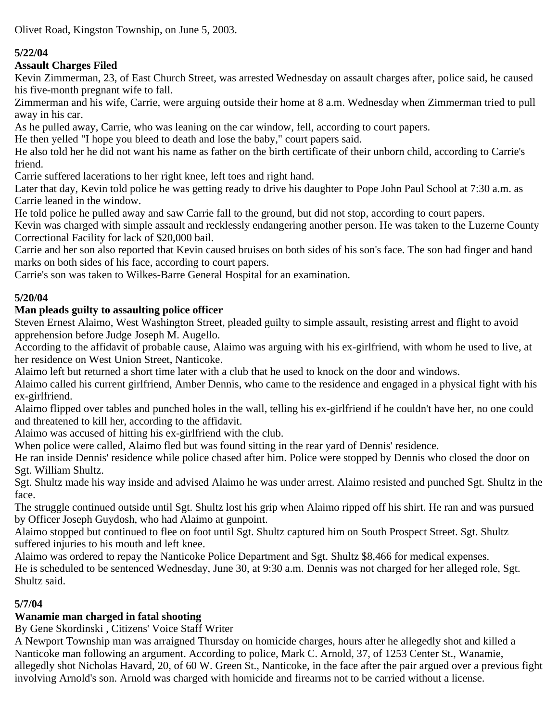Olivet Road, Kingston Township, on June 5, 2003.

# **5/22/04**

## **Assault Charges Filed**

Kevin Zimmerman, 23, of East Church Street, was arrested Wednesday on assault charges after, police said, he caused his five-month pregnant wife to fall.

Zimmerman and his wife, Carrie, were arguing outside their home at 8 a.m. Wednesday when Zimmerman tried to pull away in his car.

As he pulled away, Carrie, who was leaning on the car window, fell, according to court papers.

He then yelled "I hope you bleed to death and lose the baby," court papers said.

He also told her he did not want his name as father on the birth certificate of their unborn child, according to Carrie's friend.

Carrie suffered lacerations to her right knee, left toes and right hand.

Later that day, Kevin told police he was getting ready to drive his daughter to Pope John Paul School at 7:30 a.m. as Carrie leaned in the window.

He told police he pulled away and saw Carrie fall to the ground, but did not stop, according to court papers.

Kevin was charged with simple assault and recklessly endangering another person. He was taken to the Luzerne County Correctional Facility for lack of \$20,000 bail.

Carrie and her son also reported that Kevin caused bruises on both sides of his son's face. The son had finger and hand marks on both sides of his face, according to court papers.

Carrie's son was taken to Wilkes-Barre General Hospital for an examination.

# **5/20/04**

# **Man pleads guilty to assaulting police officer**

Steven Ernest Alaimo, West Washington Street, pleaded guilty to simple assault, resisting arrest and flight to avoid apprehension before Judge Joseph M. Augello.

According to the affidavit of probable cause, Alaimo was arguing with his ex-girlfriend, with whom he used to live, at her residence on West Union Street, Nanticoke.

Alaimo left but returned a short time later with a club that he used to knock on the door and windows.

Alaimo called his current girlfriend, Amber Dennis, who came to the residence and engaged in a physical fight with his ex-girlfriend.

Alaimo flipped over tables and punched holes in the wall, telling his ex-girlfriend if he couldn't have her, no one could and threatened to kill her, according to the affidavit.

Alaimo was accused of hitting his ex-girlfriend with the club.

When police were called, Alaimo fled but was found sitting in the rear yard of Dennis' residence.

He ran inside Dennis' residence while police chased after him. Police were stopped by Dennis who closed the door on Sgt. William Shultz.

Sgt. Shultz made his way inside and advised Alaimo he was under arrest. Alaimo resisted and punched Sgt. Shultz in the face.

The struggle continued outside until Sgt. Shultz lost his grip when Alaimo ripped off his shirt. He ran and was pursued by Officer Joseph Guydosh, who had Alaimo at gunpoint.

Alaimo stopped but continued to flee on foot until Sgt. Shultz captured him on South Prospect Street. Sgt. Shultz suffered injuries to his mouth and left knee.

Alaimo was ordered to repay the Nanticoke Police Department and Sgt. Shultz \$8,466 for medical expenses. He is scheduled to be sentenced Wednesday, June 30, at 9:30 a.m. Dennis was not charged for her alleged role, Sgt. Shultz said.

# **5/7/04**

# **Wanamie man charged in fatal shooting**

By Gene Skordinski , Citizens' Voice Staff Writer

A Newport Township man was arraigned Thursday on homicide charges, hours after he allegedly shot and killed a Nanticoke man following an argument. According to police, Mark C. Arnold, 37, of 1253 Center St., Wanamie, allegedly shot Nicholas Havard, 20, of 60 W. Green St., Nanticoke, in the face after the pair argued over a previous fight involving Arnold's son. Arnold was charged with homicide and firearms not to be carried without a license.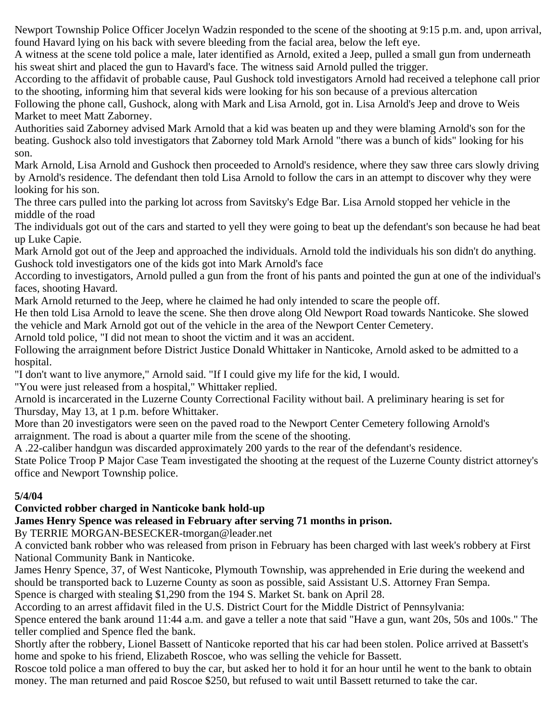Newport Township Police Officer Jocelyn Wadzin responded to the scene of the shooting at 9:15 p.m. and, upon arrival, found Havard lying on his back with severe bleeding from the facial area, below the left eye.

A witness at the scene told police a male, later identified as Arnold, exited a Jeep, pulled a small gun from underneath his sweat shirt and placed the gun to Havard's face. The witness said Arnold pulled the trigger.

According to the affidavit of probable cause, Paul Gushock told investigators Arnold had received a telephone call prior to the shooting, informing him that several kids were looking for his son because of a previous altercation

Following the phone call, Gushock, along with Mark and Lisa Arnold, got in. Lisa Arnold's Jeep and drove to Weis Market to meet Matt Zaborney.

Authorities said Zaborney advised Mark Arnold that a kid was beaten up and they were blaming Arnold's son for the beating. Gushock also told investigators that Zaborney told Mark Arnold "there was a bunch of kids" looking for his son.

Mark Arnold, Lisa Arnold and Gushock then proceeded to Arnold's residence, where they saw three cars slowly driving by Arnold's residence. The defendant then told Lisa Arnold to follow the cars in an attempt to discover why they were looking for his son.

The three cars pulled into the parking lot across from Savitsky's Edge Bar. Lisa Arnold stopped her vehicle in the middle of the road

The individuals got out of the cars and started to yell they were going to beat up the defendant's son because he had beat up Luke Capie.

Mark Arnold got out of the Jeep and approached the individuals. Arnold told the individuals his son didn't do anything. Gushock told investigators one of the kids got into Mark Arnold's face

According to investigators, Arnold pulled a gun from the front of his pants and pointed the gun at one of the individual's faces, shooting Havard.

Mark Arnold returned to the Jeep, where he claimed he had only intended to scare the people off.

He then told Lisa Arnold to leave the scene. She then drove along Old Newport Road towards Nanticoke. She slowed the vehicle and Mark Arnold got out of the vehicle in the area of the Newport Center Cemetery.

Arnold told police, "I did not mean to shoot the victim and it was an accident.

Following the arraignment before District Justice Donald Whittaker in Nanticoke, Arnold asked to be admitted to a hospital.

"I don't want to live anymore," Arnold said. "If I could give my life for the kid, I would.

"You were just released from a hospital," Whittaker replied.

Arnold is incarcerated in the Luzerne County Correctional Facility without bail. A preliminary hearing is set for Thursday, May 13, at 1 p.m. before Whittaker.

More than 20 investigators were seen on the paved road to the Newport Center Cemetery following Arnold's arraignment. The road is about a quarter mile from the scene of the shooting.

A .22-caliber handgun was discarded approximately 200 yards to the rear of the defendant's residence.

State Police Troop P Major Case Team investigated the shooting at the request of the Luzerne County district attorney's office and Newport Township police.

# **5/4/04**

# **Convicted robber charged in Nanticoke bank hold-up**

# **James Henry Spence was released in February after serving 71 months in prison.**

By TERRIE MORGAN-BESECKER-tmorgan@leader.net

A convicted bank robber who was released from prison in February has been charged with last week's robbery at First National Community Bank in Nanticoke.

James Henry Spence, 37, of West Nanticoke, Plymouth Township, was apprehended in Erie during the weekend and should be transported back to Luzerne County as soon as possible, said Assistant U.S. Attorney Fran Sempa. Spence is charged with stealing \$1,290 from the 194 S. Market St. bank on April 28.

According to an arrest affidavit filed in the U.S. District Court for the Middle District of Pennsylvania:

Spence entered the bank around 11:44 a.m. and gave a teller a note that said "Have a gun, want 20s, 50s and 100s." The teller complied and Spence fled the bank.

Shortly after the robbery, Lionel Bassett of Nanticoke reported that his car had been stolen. Police arrived at Bassett's home and spoke to his friend, Elizabeth Roscoe, who was selling the vehicle for Bassett.

Roscoe told police a man offered to buy the car, but asked her to hold it for an hour until he went to the bank to obtain money. The man returned and paid Roscoe \$250, but refused to wait until Bassett returned to take the car.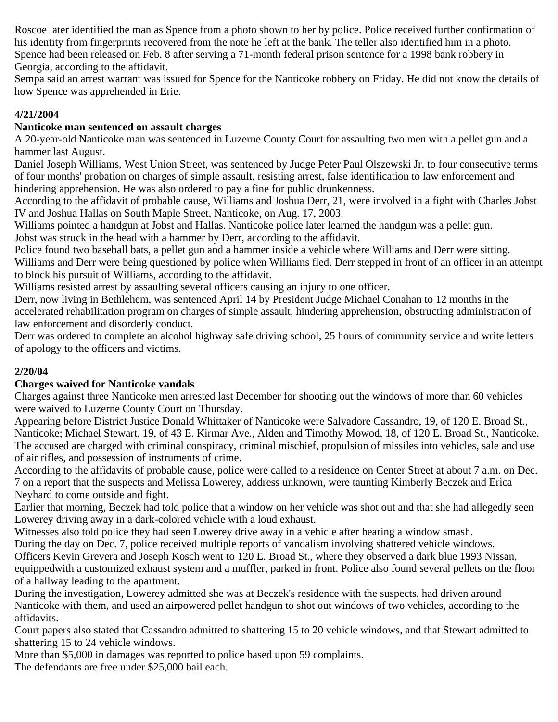Roscoe later identified the man as Spence from a photo shown to her by police. Police received further confirmation of his identity from fingerprints recovered from the note he left at the bank. The teller also identified him in a photo. Spence had been released on Feb. 8 after serving a 71-month federal prison sentence for a 1998 bank robbery in Georgia, according to the affidavit.

Sempa said an arrest warrant was issued for Spence for the Nanticoke robbery on Friday. He did not know the details of how Spence was apprehended in Erie.

## **4/21/2004**

## **Nanticoke man sentenced on assault charges**

A 20-year-old Nanticoke man was sentenced in Luzerne County Court for assaulting two men with a pellet gun and a hammer last August.

Daniel Joseph Williams, West Union Street, was sentenced by Judge Peter Paul Olszewski Jr. to four consecutive terms of four months' probation on charges of simple assault, resisting arrest, false identification to law enforcement and hindering apprehension. He was also ordered to pay a fine for public drunkenness.

According to the affidavit of probable cause, Williams and Joshua Derr, 21, were involved in a fight with Charles Jobst IV and Joshua Hallas on South Maple Street, Nanticoke, on Aug. 17, 2003.

Williams pointed a handgun at Jobst and Hallas. Nanticoke police later learned the handgun was a pellet gun. Jobst was struck in the head with a hammer by Derr, according to the affidavit.

Police found two baseball bats, a pellet gun and a hammer inside a vehicle where Williams and Derr were sitting. Williams and Derr were being questioned by police when Williams fled. Derr stepped in front of an officer in an attempt

to block his pursuit of Williams, according to the affidavit.

Williams resisted arrest by assaulting several officers causing an injury to one officer.

Derr, now living in Bethlehem, was sentenced April 14 by President Judge Michael Conahan to 12 months in the accelerated rehabilitation program on charges of simple assault, hindering apprehension, obstructing administration of law enforcement and disorderly conduct.

Derr was ordered to complete an alcohol highway safe driving school, 25 hours of community service and write letters of apology to the officers and victims.

## **2/20/04**

## **Charges waived for Nanticoke vandals**

Charges against three Nanticoke men arrested last December for shooting out the windows of more than 60 vehicles were waived to Luzerne County Court on Thursday.

Appearing before District Justice Donald Whittaker of Nanticoke were Salvadore Cassandro, 19, of 120 E. Broad St., Nanticoke; Michael Stewart, 19, of 43 E. Kirmar Ave., Alden and Timothy Mowod, 18, of 120 E. Broad St., Nanticoke. The accused are charged with criminal conspiracy, criminal mischief, propulsion of missiles into vehicles, sale and use of air rifles, and possession of instruments of crime.

According to the affidavits of probable cause, police were called to a residence on Center Street at about 7 a.m. on Dec. 7 on a report that the suspects and Melissa Lowerey, address unknown, were taunting Kimberly Beczek and Erica Neyhard to come outside and fight.

Earlier that morning, Beczek had told police that a window on her vehicle was shot out and that she had allegedly seen Lowerey driving away in a dark-colored vehicle with a loud exhaust.

Witnesses also told police they had seen Lowerey drive away in a vehicle after hearing a window smash.

During the day on Dec. 7, police received multiple reports of vandalism involving shattered vehicle windows.

Officers Kevin Grevera and Joseph Kosch went to 120 E. Broad St., where they observed a dark blue 1993 Nissan, equippedwith a customized exhaust system and a muffler, parked in front. Police also found several pellets on the floor of a hallway leading to the apartment.

During the investigation, Lowerey admitted she was at Beczek's residence with the suspects, had driven around Nanticoke with them, and used an airpowered pellet handgun to shot out windows of two vehicles, according to the affidavits.

Court papers also stated that Cassandro admitted to shattering 15 to 20 vehicle windows, and that Stewart admitted to shattering 15 to 24 vehicle windows.

More than \$5,000 in damages was reported to police based upon 59 complaints.

The defendants are free under \$25,000 bail each.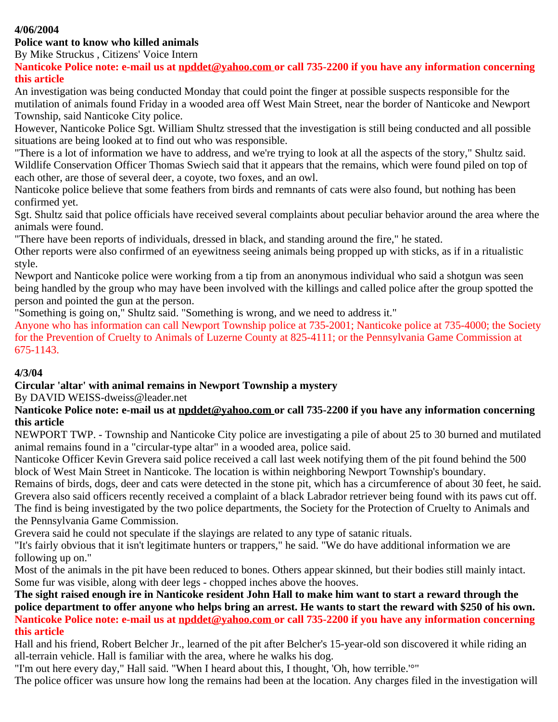## **4/06/2004**

#### **Police want to know who killed animals**

By Mike Struckus , Citizens' Voice Intern

**Nanticoke Police note: e-mail us at [npddet@yahoo.com](mailto:npddet@yahoo.com) or call 735-2200 if you have any information concerning this article**

An investigation was being conducted Monday that could point the finger at possible suspects responsible for the mutilation of animals found Friday in a wooded area off West Main Street, near the border of Nanticoke and Newport Township, said Nanticoke City police.

However, Nanticoke Police Sgt. William Shultz stressed that the investigation is still being conducted and all possible situations are being looked at to find out who was responsible.

"There is a lot of information we have to address, and we're trying to look at all the aspects of the story," Shultz said. Wildlife Conservation Officer Thomas Swiech said that it appears that the remains, which were found piled on top of each other, are those of several deer, a coyote, two foxes, and an owl.

Nanticoke police believe that some feathers from birds and remnants of cats were also found, but nothing has been confirmed yet.

Sgt. Shultz said that police officials have received several complaints about peculiar behavior around the area where the animals were found.

"There have been reports of individuals, dressed in black, and standing around the fire," he stated.

Other reports were also confirmed of an eyewitness seeing animals being propped up with sticks, as if in a ritualistic style.

Newport and Nanticoke police were working from a tip from an anonymous individual who said a shotgun was seen being handled by the group who may have been involved with the killings and called police after the group spotted the person and pointed the gun at the person.

"Something is going on," Shultz said. "Something is wrong, and we need to address it."

Anyone who has information can call Newport Township police at 735-2001; Nanticoke police at 735-4000; the Society for the Prevention of Cruelty to Animals of Luzerne County at 825-4111; or the Pennsylvania Game Commission at 675-1143.

#### **4/3/04**

**Circular 'altar' with animal remains in Newport Township a mystery**

By DAVID WEISS-dweiss@leader.net

#### **Nanticoke Police note: e-mail us at [npddet@yahoo.com](mailto:npddet@yahoo.com) or call 735-2200 if you have any information concerning this article**

NEWPORT TWP. - Township and Nanticoke City police are investigating a pile of about 25 to 30 burned and mutilated animal remains found in a "circular-type altar" in a wooded area, police said.

Nanticoke Officer Kevin Grevera said police received a call last week notifying them of the pit found behind the 500 block of West Main Street in Nanticoke. The location is within neighboring Newport Township's boundary.

Remains of birds, dogs, deer and cats were detected in the stone pit, which has a circumference of about 30 feet, he said. Grevera also said officers recently received a complaint of a black Labrador retriever being found with its paws cut off. The find is being investigated by the two police departments, the Society for the Protection of Cruelty to Animals and the Pennsylvania Game Commission.

Grevera said he could not speculate if the slayings are related to any type of satanic rituals.

"It's fairly obvious that it isn't legitimate hunters or trappers," he said. "We do have additional information we are following up on."

Most of the animals in the pit have been reduced to bones. Others appear skinned, but their bodies still mainly intact. Some fur was visible, along with deer legs - chopped inches above the hooves.

**The sight raised enough ire in Nanticoke resident John Hall to make him want to start a reward through the police department to offer anyone who helps bring an arrest. He wants to start the reward with \$250 of his own. Nanticoke Police note: e-mail us at [npddet@yahoo.com](mailto:npddet@yahoo.com) or call 735-2200 if you have any information concerning this article**

Hall and his friend, Robert Belcher Jr., learned of the pit after Belcher's 15-year-old son discovered it while riding an all-terrain vehicle. Hall is familiar with the area, where he walks his dog.

"I'm out here every day," Hall said. "When I heard about this, I thought, 'Oh, how terrible.'°"

The police officer was unsure how long the remains had been at the location. Any charges filed in the investigation will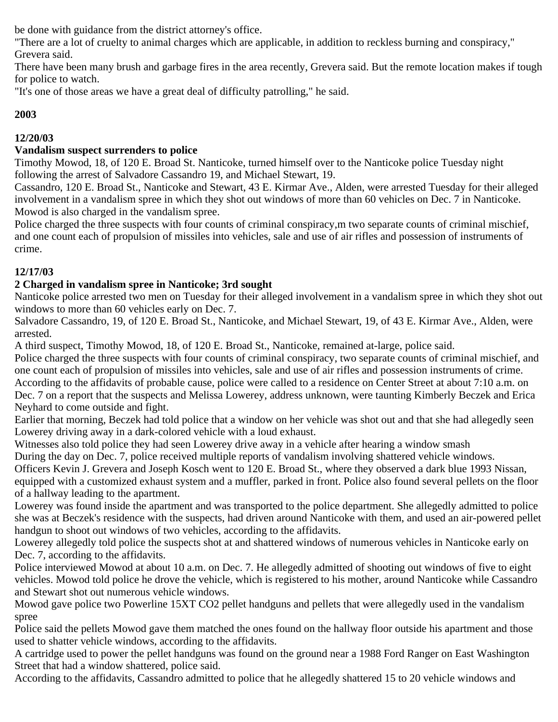be done with guidance from the district attorney's office.

"There are a lot of cruelty to animal charges which are applicable, in addition to reckless burning and conspiracy," Grevera said.

There have been many brush and garbage fires in the area recently, Grevera said. But the remote location makes if tough for police to watch.

"It's one of those areas we have a great deal of difficulty patrolling," he said.

# **2003**

# **12/20/03**

## **Vandalism suspect surrenders to police**

Timothy Mowod, 18, of 120 E. Broad St. Nanticoke, turned himself over to the Nanticoke police Tuesday night following the arrest of Salvadore Cassandro 19, and Michael Stewart, 19.

Cassandro, 120 E. Broad St., Nanticoke and Stewart, 43 E. Kirmar Ave., Alden, were arrested Tuesday for their alleged involvement in a vandalism spree in which they shot out windows of more than 60 vehicles on Dec. 7 in Nanticoke. Mowod is also charged in the vandalism spree.

Police charged the three suspects with four counts of criminal conspiracy,m two separate counts of criminal mischief, and one count each of propulsion of missiles into vehicles, sale and use of air rifles and possession of instruments of crime.

# **12/17/03**

# **2 Charged in vandalism spree in Nanticoke; 3rd sought**

Nanticoke police arrested two men on Tuesday for their alleged involvement in a vandalism spree in which they shot out windows to more than 60 vehicles early on Dec. 7.

Salvadore Cassandro, 19, of 120 E. Broad St., Nanticoke, and Michael Stewart, 19, of 43 E. Kirmar Ave., Alden, were arrested.

A third suspect, Timothy Mowod, 18, of 120 E. Broad St., Nanticoke, remained at-large, police said.

Police charged the three suspects with four counts of criminal conspiracy, two separate counts of criminal mischief, and one count each of propulsion of missiles into vehicles, sale and use of air rifles and possession instruments of crime. According to the affidavits of probable cause, police were called to a residence on Center Street at about 7:10 a.m. on Dec. 7 on a report that the suspects and Melissa Lowerey, address unknown, were taunting Kimberly Beczek and Erica Neyhard to come outside and fight.

Earlier that morning, Beczek had told police that a window on her vehicle was shot out and that she had allegedly seen Lowerey driving away in a dark-colored vehicle with a loud exhaust.

Witnesses also told police they had seen Lowerey drive away in a vehicle after hearing a window smash

During the day on Dec. 7, police received multiple reports of vandalism involving shattered vehicle windows.

Officers Kevin J. Grevera and Joseph Kosch went to 120 E. Broad St., where they observed a dark blue 1993 Nissan, equipped with a customized exhaust system and a muffler, parked in front. Police also found several pellets on the floor of a hallway leading to the apartment.

Lowerey was found inside the apartment and was transported to the police department. She allegedly admitted to police she was at Beczek's residence with the suspects, had driven around Nanticoke with them, and used an air-powered pellet handgun to shoot out windows of two vehicles, according to the affidavits.

Lowerey allegedly told police the suspects shot at and shattered windows of numerous vehicles in Nanticoke early on Dec. 7, according to the affidavits.

Police interviewed Mowod at about 10 a.m. on Dec. 7. He allegedly admitted of shooting out windows of five to eight vehicles. Mowod told police he drove the vehicle, which is registered to his mother, around Nanticoke while Cassandro and Stewart shot out numerous vehicle windows.

Mowod gave police two Powerline 15XT CO2 pellet handguns and pellets that were allegedly used in the vandalism spree

Police said the pellets Mowod gave them matched the ones found on the hallway floor outside his apartment and those used to shatter vehicle windows, according to the affidavits.

A cartridge used to power the pellet handguns was found on the ground near a 1988 Ford Ranger on East Washington Street that had a window shattered, police said.

According to the affidavits, Cassandro admitted to police that he allegedly shattered 15 to 20 vehicle windows and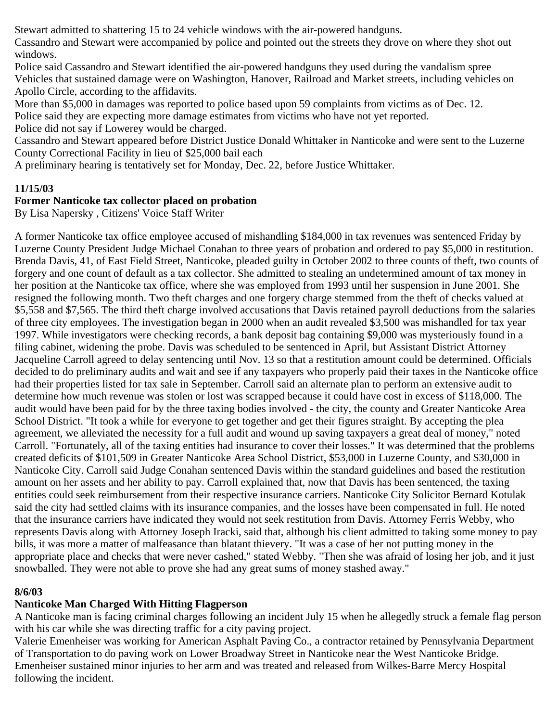Stewart admitted to shattering 15 to 24 vehicle windows with the air-powered handguns.

Cassandro and Stewart were accompanied by police and pointed out the streets they drove on where they shot out windows.

Police said Cassandro and Stewart identified the air-powered handguns they used during the vandalism spree Vehicles that sustained damage were on Washington, Hanover, Railroad and Market streets, including vehicles on Apollo Circle, according to the affidavits.

More than \$5,000 in damages was reported to police based upon 59 complaints from victims as of Dec. 12.

Police said they are expecting more damage estimates from victims who have not yet reported.

Police did not say if Lowerey would be charged.

Cassandro and Stewart appeared before District Justice Donald Whittaker in Nanticoke and were sent to the Luzerne County Correctional Facility in lieu of \$25,000 bail each

A preliminary hearing is tentatively set for Monday, Dec. 22, before Justice Whittaker.

## **11/15/03**

## **Former Nanticoke tax collector placed on probation**

By Lisa Napersky , Citizens' Voice Staff Writer

A former Nanticoke tax office employee accused of mishandling \$184,000 in tax revenues was sentenced Friday by Luzerne County President Judge Michael Conahan to three years of probation and ordered to pay \$5,000 in restitution. Brenda Davis, 41, of East Field Street, Nanticoke, pleaded guilty in October 2002 to three counts of theft, two counts of forgery and one count of default as a tax collector. She admitted to stealing an undetermined amount of tax money in her position at the Nanticoke tax office, where she was employed from 1993 until her suspension in June 2001. She resigned the following month. Two theft charges and one forgery charge stemmed from the theft of checks valued at \$5,558 and \$7,565. The third theft charge involved accusations that Davis retained payroll deductions from the salaries of three city employees. The investigation began in 2000 when an audit revealed \$3,500 was mishandled for tax year 1997. While investigators were checking records, a bank deposit bag containing \$9,000 was mysteriously found in a filing cabinet, widening the probe. Davis was scheduled to be sentenced in April, but Assistant District Attorney Jacqueline Carroll agreed to delay sentencing until Nov. 13 so that a restitution amount could be determined. Officials decided to do preliminary audits and wait and see if any taxpayers who properly paid their taxes in the Nanticoke office had their properties listed for tax sale in September. Carroll said an alternate plan to perform an extensive audit to determine how much revenue was stolen or lost was scrapped because it could have cost in excess of \$118,000. The audit would have been paid for by the three taxing bodies involved - the city, the county and Greater Nanticoke Area School District. "It took a while for everyone to get together and get their figures straight. By accepting the plea agreement, we alleviated the necessity for a full audit and wound up saving taxpayers a great deal of money," noted Carroll. "Fortunately, all of the taxing entities had insurance to cover their losses." It was determined that the problems created deficits of \$101,509 in Greater Nanticoke Area School District, \$53,000 in Luzerne County, and \$30,000 in Nanticoke City. Carroll said Judge Conahan sentenced Davis within the standard guidelines and based the restitution amount on her assets and her ability to pay. Carroll explained that, now that Davis has been sentenced, the taxing entities could seek reimbursement from their respective insurance carriers. Nanticoke City Solicitor Bernard Kotulak said the city had settled claims with its insurance companies, and the losses have been compensated in full. He noted that the insurance carriers have indicated they would not seek restitution from Davis. Attorney Ferris Webby, who represents Davis along with Attorney Joseph Iracki, said that, although his client admitted to taking some money to pay bills, it was more a matter of malfeasance than blatant thievery. "It was a case of her not putting money in the appropriate place and checks that were never cashed," stated Webby. "Then she was afraid of losing her job, and it just snowballed. They were not able to prove she had any great sums of money stashed away."

# **8/6/03**

# **Nanticoke Man Charged With Hitting Flagperson**

A Nanticoke man is facing criminal charges following an incident July 15 when he allegedly struck a female flag person with his car while she was directing traffic for a city paving project.

Valerie Emenheiser was working for American Asphalt Paving Co., a contractor retained by Pennsylvania Department of Transportation to do paving work on Lower Broadway Street in Nanticoke near the West Nanticoke Bridge. Emenheiser sustained minor injuries to her arm and was treated and released from Wilkes-Barre Mercy Hospital following the incident.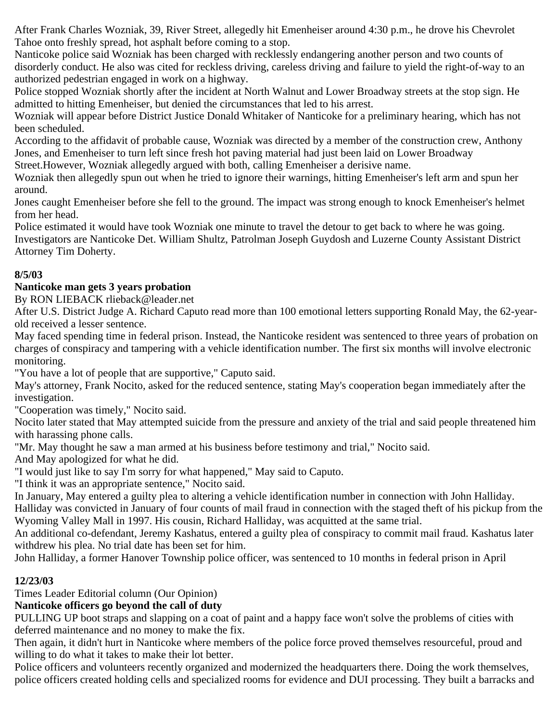After Frank Charles Wozniak, 39, River Street, allegedly hit Emenheiser around 4:30 p.m., he drove his Chevrolet Tahoe onto freshly spread, hot asphalt before coming to a stop.

Nanticoke police said Wozniak has been charged with recklessly endangering another person and two counts of disorderly conduct. He also was cited for reckless driving, careless driving and failure to yield the right-of-way to an authorized pedestrian engaged in work on a highway.

Police stopped Wozniak shortly after the incident at North Walnut and Lower Broadway streets at the stop sign. He admitted to hitting Emenheiser, but denied the circumstances that led to his arrest.

Wozniak will appear before District Justice Donald Whitaker of Nanticoke for a preliminary hearing, which has not been scheduled.

According to the affidavit of probable cause, Wozniak was directed by a member of the construction crew, Anthony Jones, and Emenheiser to turn left since fresh hot paving material had just been laid on Lower Broadway

Street.However, Wozniak allegedly argued with both, calling Emenheiser a derisive name.

Wozniak then allegedly spun out when he tried to ignore their warnings, hitting Emenheiser's left arm and spun her around.

Jones caught Emenheiser before she fell to the ground. The impact was strong enough to knock Emenheiser's helmet from her head.

Police estimated it would have took Wozniak one minute to travel the detour to get back to where he was going. Investigators are Nanticoke Det. William Shultz, Patrolman Joseph Guydosh and Luzerne County Assistant District Attorney Tim Doherty.

# **8/5/03**

# **Nanticoke man gets 3 years probation**

By RON LIEBACK rlieback@leader.net

After U.S. District Judge A. Richard Caputo read more than 100 emotional letters supporting Ronald May, the 62-yearold received a lesser sentence.

May faced spending time in federal prison. Instead, the Nanticoke resident was sentenced to three years of probation on charges of conspiracy and tampering with a vehicle identification number. The first six months will involve electronic monitoring.

"You have a lot of people that are supportive," Caputo said.

May's attorney, Frank Nocito, asked for the reduced sentence, stating May's cooperation began immediately after the investigation.

"Cooperation was timely," Nocito said.

Nocito later stated that May attempted suicide from the pressure and anxiety of the trial and said people threatened him with harassing phone calls.

"Mr. May thought he saw a man armed at his business before testimony and trial," Nocito said.

And May apologized for what he did.

"I would just like to say I'm sorry for what happened," May said to Caputo.

"I think it was an appropriate sentence," Nocito said.

In January, May entered a guilty plea to altering a vehicle identification number in connection with John Halliday.

Halliday was convicted in January of four counts of mail fraud in connection with the staged theft of his pickup from the Wyoming Valley Mall in 1997. His cousin, Richard Halliday, was acquitted at the same trial.

An additional co-defendant, Jeremy Kashatus, entered a guilty plea of conspiracy to commit mail fraud. Kashatus later withdrew his plea. No trial date has been set for him.

John Halliday, a former Hanover Township police officer, was sentenced to 10 months in federal prison in April

# **12/23/03**

Times Leader Editorial column (Our Opinion)

# **Nanticoke officers go beyond the call of duty**

PULLING UP boot straps and slapping on a coat of paint and a happy face won't solve the problems of cities with deferred maintenance and no money to make the fix.

Then again, it didn't hurt in Nanticoke where members of the police force proved themselves resourceful, proud and willing to do what it takes to make their lot better.

Police officers and volunteers recently organized and modernized the headquarters there. Doing the work themselves, police officers created holding cells and specialized rooms for evidence and DUI processing. They built a barracks and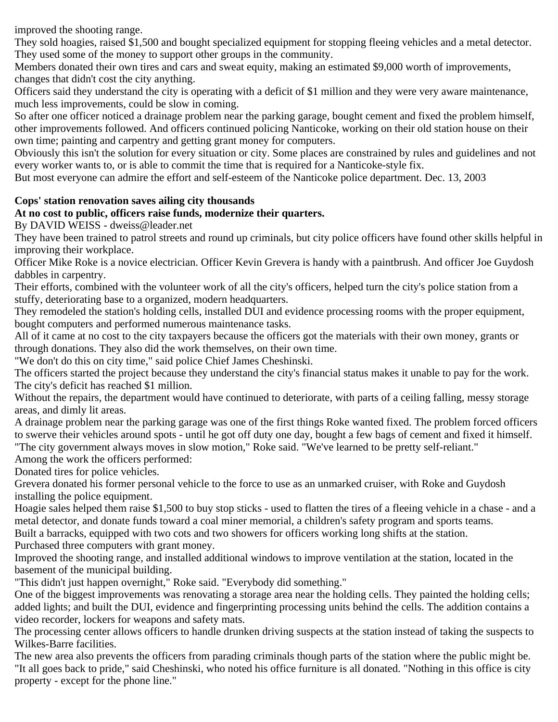improved the shooting range.

They sold hoagies, raised \$1,500 and bought specialized equipment for stopping fleeing vehicles and a metal detector. They used some of the money to support other groups in the community.

Members donated their own tires and cars and sweat equity, making an estimated \$9,000 worth of improvements, changes that didn't cost the city anything.

Officers said they understand the city is operating with a deficit of \$1 million and they were very aware maintenance, much less improvements, could be slow in coming.

So after one officer noticed a drainage problem near the parking garage, bought cement and fixed the problem himself, other improvements followed. And officers continued policing Nanticoke, working on their old station house on their own time; painting and carpentry and getting grant money for computers.

Obviously this isn't the solution for every situation or city. Some places are constrained by rules and guidelines and not every worker wants to, or is able to commit the time that is required for a Nanticoke-style fix.

But most everyone can admire the effort and self-esteem of the Nanticoke police department. Dec. 13, 2003

#### **Cops' station renovation saves ailing city thousands**

#### **At no cost to public, officers raise funds, modernize their quarters.**

By DAVID WEISS - dweiss@leader.net

They have been trained to patrol streets and round up criminals, but city police officers have found other skills helpful in improving their workplace.

Officer Mike Roke is a novice electrician. Officer Kevin Grevera is handy with a paintbrush. And officer Joe Guydosh dabbles in carpentry.

Their efforts, combined with the volunteer work of all the city's officers, helped turn the city's police station from a stuffy, deteriorating base to a organized, modern headquarters.

They remodeled the station's holding cells, installed DUI and evidence processing rooms with the proper equipment, bought computers and performed numerous maintenance tasks.

All of it came at no cost to the city taxpayers because the officers got the materials with their own money, grants or through donations. They also did the work themselves, on their own time.

"We don't do this on city time," said police Chief James Cheshinski.

The officers started the project because they understand the city's financial status makes it unable to pay for the work. The city's deficit has reached \$1 million.

Without the repairs, the department would have continued to deteriorate, with parts of a ceiling falling, messy storage areas, and dimly lit areas.

A drainage problem near the parking garage was one of the first things Roke wanted fixed. The problem forced officers to swerve their vehicles around spots - until he got off duty one day, bought a few bags of cement and fixed it himself. "The city government always moves in slow motion," Roke said. "We've learned to be pretty self-reliant."

Among the work the officers performed:

Donated tires for police vehicles.

Grevera donated his former personal vehicle to the force to use as an unmarked cruiser, with Roke and Guydosh installing the police equipment.

Hoagie sales helped them raise \$1,500 to buy stop sticks - used to flatten the tires of a fleeing vehicle in a chase - and a metal detector, and donate funds toward a coal miner memorial, a children's safety program and sports teams.

Built a barracks, equipped with two cots and two showers for officers working long shifts at the station.

Purchased three computers with grant money.

Improved the shooting range, and installed additional windows to improve ventilation at the station, located in the basement of the municipal building.

"This didn't just happen overnight," Roke said. "Everybody did something."

One of the biggest improvements was renovating a storage area near the holding cells. They painted the holding cells; added lights; and built the DUI, evidence and fingerprinting processing units behind the cells. The addition contains a video recorder, lockers for weapons and safety mats.

The processing center allows officers to handle drunken driving suspects at the station instead of taking the suspects to Wilkes-Barre facilities.

The new area also prevents the officers from parading criminals though parts of the station where the public might be. "It all goes back to pride," said Cheshinski, who noted his office furniture is all donated. "Nothing in this office is city property - except for the phone line."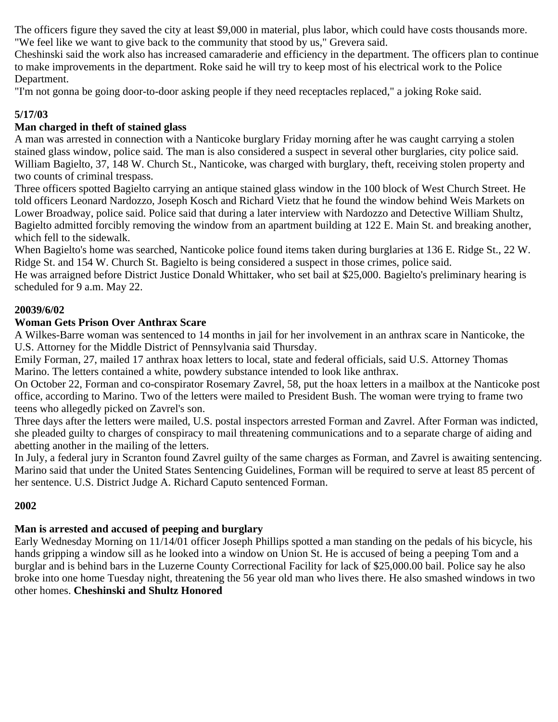The officers figure they saved the city at least \$9,000 in material, plus labor, which could have costs thousands more. "We feel like we want to give back to the community that stood by us," Grevera said.

Cheshinski said the work also has increased camaraderie and efficiency in the department. The officers plan to continue to make improvements in the department. Roke said he will try to keep most of his electrical work to the Police Department.

"I'm not gonna be going door-to-door asking people if they need receptacles replaced," a joking Roke said.

## **5/17/03**

# **Man charged in theft of stained glass**

A man was arrested in connection with a Nanticoke burglary Friday morning after he was caught carrying a stolen stained glass window, police said. The man is also considered a suspect in several other burglaries, city police said. William Bagielto, 37, 148 W. Church St., Nanticoke, was charged with burglary, theft, receiving stolen property and two counts of criminal trespass.

Three officers spotted Bagielto carrying an antique stained glass window in the 100 block of West Church Street. He told officers Leonard Nardozzo, Joseph Kosch and Richard Vietz that he found the window behind Weis Markets on Lower Broadway, police said. Police said that during a later interview with Nardozzo and Detective William Shultz, Bagielto admitted forcibly removing the window from an apartment building at 122 E. Main St. and breaking another, which fell to the sidewalk.

When Bagielto's home was searched, Nanticoke police found items taken during burglaries at 136 E. Ridge St., 22 W. Ridge St. and 154 W. Church St. Bagielto is being considered a suspect in those crimes, police said.

He was arraigned before District Justice Donald Whittaker, who set bail at \$25,000. Bagielto's preliminary hearing is scheduled for 9 a.m. May 22.

#### **20039/6/02**

#### **Woman Gets Prison Over Anthrax Scare**

A Wilkes-Barre woman was sentenced to 14 months in jail for her involvement in an anthrax scare in Nanticoke, the U.S. Attorney for the Middle District of Pennsylvania said Thursday.

Emily Forman, 27, mailed 17 anthrax hoax letters to local, state and federal officials, said U.S. Attorney Thomas Marino. The letters contained a white, powdery substance intended to look like anthrax.

On October 22, Forman and co-conspirator Rosemary Zavrel, 58, put the hoax letters in a mailbox at the Nanticoke post office, according to Marino. Two of the letters were mailed to President Bush. The woman were trying to frame two teens who allegedly picked on Zavrel's son.

Three days after the letters were mailed, U.S. postal inspectors arrested Forman and Zavrel. After Forman was indicted, she pleaded guilty to charges of conspiracy to mail threatening communications and to a separate charge of aiding and abetting another in the mailing of the letters.

In July, a federal jury in Scranton found Zavrel guilty of the same charges as Forman, and Zavrel is awaiting sentencing. Marino said that under the United States Sentencing Guidelines, Forman will be required to serve at least 85 percent of her sentence. U.S. District Judge A. Richard Caputo sentenced Forman.

## **2002**

## **Man is arrested and accused of peeping and burglary**

Early Wednesday Morning on 11/14/01 officer Joseph Phillips spotted a man standing on the pedals of his bicycle, his hands gripping a window sill as he looked into a window on Union St. He is accused of being a peeping Tom and a burglar and is behind bars in the Luzerne County Correctional Facility for lack of \$25,000.00 bail. Police say he also broke into one home Tuesday night, threatening the 56 year old man who lives there. He also smashed windows in two other homes. **Cheshinski and Shultz Honored**